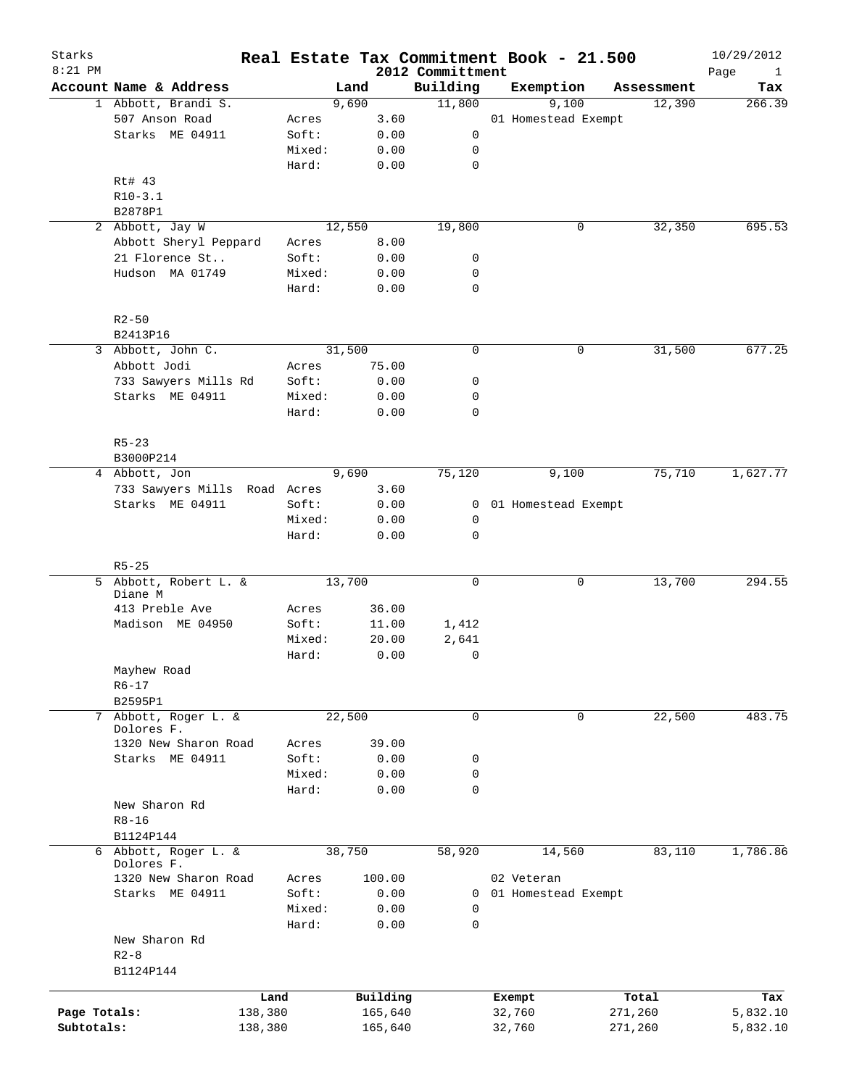| Starks<br>$8:21$ PM |                                    |         |        |          |                              | Real Estate Tax Commitment Book - 21.500 |             | 10/29/2012                  |
|---------------------|------------------------------------|---------|--------|----------|------------------------------|------------------------------------------|-------------|-----------------------------|
|                     | Account Name & Address             |         | Land   |          | 2012 Committment<br>Building | Exemption                                | Assessment  | Page<br>$\mathbf{1}$<br>Tax |
|                     | 1 Abbott, Brandi S.                |         | 9,690  |          | 11,800                       | 9,100                                    | 12,390      | 266.39                      |
|                     | 507 Anson Road                     | Acres   |        | 3.60     |                              | 01 Homestead Exempt                      |             |                             |
|                     | Starks ME 04911                    | Soft:   |        | 0.00     | 0                            |                                          |             |                             |
|                     |                                    | Mixed:  |        | 0.00     | 0                            |                                          |             |                             |
|                     |                                    | Hard:   |        | 0.00     | $\mathbf 0$                  |                                          |             |                             |
|                     | Rt# 43                             |         |        |          |                              |                                          |             |                             |
|                     | $R10-3.1$                          |         |        |          |                              |                                          |             |                             |
|                     | B2878P1                            |         |        |          |                              |                                          |             |                             |
|                     | 2 Abbott, Jay W                    |         | 12,550 |          | 19,800                       | 0                                        | 32,350      | 695.53                      |
|                     | Abbott Sheryl Peppard              | Acres   |        | 8.00     |                              |                                          |             |                             |
|                     | 21 Florence St                     | Soft:   |        | 0.00     | 0                            |                                          |             |                             |
|                     | Hudson MA 01749                    | Mixed:  |        | 0.00     | 0                            |                                          |             |                             |
|                     |                                    | Hard:   |        | 0.00     | $\mathbf 0$                  |                                          |             |                             |
|                     | $R2 - 50$                          |         |        |          |                              |                                          |             |                             |
|                     | B2413P16                           |         |        |          |                              |                                          |             |                             |
|                     | 3 Abbott, John C.                  |         | 31,500 |          | $\mathbf 0$                  | 0                                        | 31,500      | 677.25                      |
|                     | Abbott Jodi                        | Acres   |        | 75.00    |                              |                                          |             |                             |
|                     | 733 Sawyers Mills Rd               | Soft:   |        | 0.00     | 0                            |                                          |             |                             |
|                     | Starks ME 04911                    | Mixed:  |        | 0.00     | 0                            |                                          |             |                             |
|                     |                                    | Hard:   |        | 0.00     | $\mathbf 0$                  |                                          |             |                             |
|                     | $R5 - 23$                          |         |        |          |                              |                                          |             |                             |
|                     | B3000P214                          |         |        |          |                              |                                          |             |                             |
|                     | 4 Abbott, Jon                      |         | 9,690  |          | 75,120                       | 9,100                                    | 75,710      | 1,627.77                    |
|                     | 733 Sawyers Mills Road Acres       |         |        | 3.60     |                              |                                          |             |                             |
|                     | Starks ME 04911                    | Soft:   |        | 0.00     | 0                            | 01 Homestead Exempt                      |             |                             |
|                     |                                    | Mixed:  |        | 0.00     | 0                            |                                          |             |                             |
|                     |                                    | Hard:   |        | 0.00     | $\mathbf 0$                  |                                          |             |                             |
|                     | $R5 - 25$                          |         |        |          |                              |                                          |             |                             |
|                     | 5 Abbott, Robert L. &<br>Diane M   |         | 13,700 |          | 0                            | 0                                        | 13,700      | 294.55                      |
|                     | 413 Preble Ave                     | Acres   |        | 36.00    |                              |                                          |             |                             |
|                     | Madison ME 04950                   | Soft:   |        | 11.00    | 1,412                        |                                          |             |                             |
|                     |                                    | Mixed:  |        | 20.00    | 2,641                        |                                          |             |                             |
|                     |                                    | Hard:   |        | 0.00     | 0                            |                                          |             |                             |
|                     | Mayhew Road                        |         |        |          |                              |                                          |             |                             |
|                     | $R6 - 17$                          |         |        |          |                              |                                          |             |                             |
|                     | B2595P1                            |         |        |          |                              |                                          |             |                             |
|                     | 7 Abbott, Roger L. &               |         | 22,500 |          | 0                            |                                          | 0<br>22,500 | 483.75                      |
|                     | Dolores F.                         |         |        |          |                              |                                          |             |                             |
|                     | 1320 New Sharon Road               | Acres   |        | 39.00    |                              |                                          |             |                             |
|                     | Starks ME 04911                    | Soft:   |        | 0.00     | 0                            |                                          |             |                             |
|                     |                                    | Mixed:  |        | 0.00     | 0                            |                                          |             |                             |
|                     |                                    | Hard:   |        | 0.00     | $\mathbf 0$                  |                                          |             |                             |
|                     | New Sharon Rd                      |         |        |          |                              |                                          |             |                             |
|                     | $R8 - 16$                          |         |        |          |                              |                                          |             |                             |
|                     | B1124P144                          |         |        |          |                              |                                          |             |                             |
|                     | 6 Abbott, Roger L. &<br>Dolores F. |         | 38,750 |          | 58,920                       | 14,560                                   | 83,110      | 1,786.86                    |
|                     | 1320 New Sharon Road               | Acres   |        | 100.00   |                              | 02 Veteran                               |             |                             |
|                     | Starks ME 04911                    | Soft:   |        | 0.00     | $\mathbf{0}$                 | 01 Homestead Exempt                      |             |                             |
|                     |                                    | Mixed:  |        | 0.00     | 0                            |                                          |             |                             |
|                     |                                    | Hard:   |        | 0.00     | $\mathbf 0$                  |                                          |             |                             |
|                     | New Sharon Rd                      |         |        |          |                              |                                          |             |                             |
|                     | $R2 - 8$                           |         |        |          |                              |                                          |             |                             |
|                     | B1124P144                          |         |        |          |                              |                                          |             |                             |
|                     |                                    | Land    |        | Building |                              | Exempt                                   | Total       | Tax                         |
| Page Totals:        |                                    | 138,380 |        | 165,640  |                              | 32,760                                   | 271,260     | 5,832.10                    |
| Subtotals:          |                                    | 138,380 |        | 165,640  |                              | 32,760                                   | 271,260     | 5,832.10                    |
|                     |                                    |         |        |          |                              |                                          |             |                             |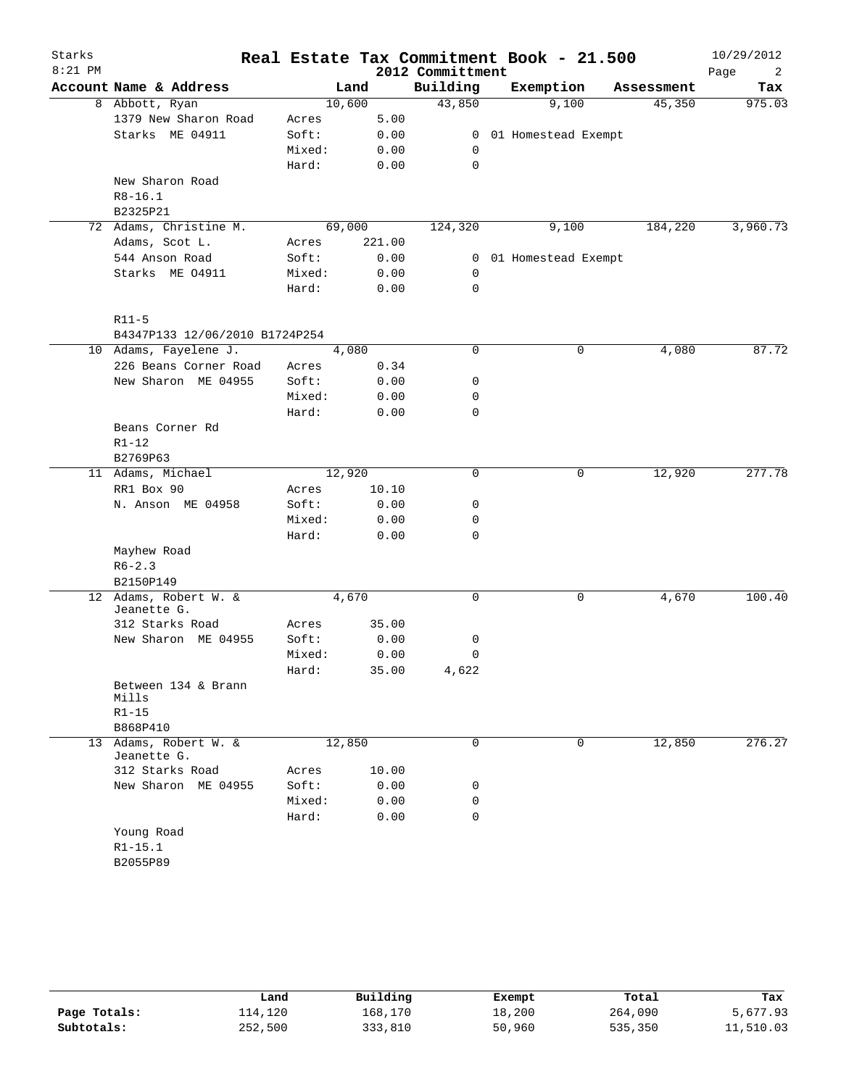| Starks<br>$8:21$ PM |                                      |        |        |        | 2012 Committment | Real Estate Tax Commitment Book - 21.500 |            | 10/29/2012<br>Page<br>2 |
|---------------------|--------------------------------------|--------|--------|--------|------------------|------------------------------------------|------------|-------------------------|
|                     | Account Name & Address               |        | Land   |        | Building         | Exemption                                | Assessment | Tax                     |
|                     | 8 Abbott, Ryan                       | 10,600 |        |        | 43,850           | 9,100                                    | 45,350     | 975.03                  |
|                     | 1379 New Sharon Road                 | Acres  |        | 5.00   |                  |                                          |            |                         |
|                     | Starks ME 04911                      | Soft:  |        | 0.00   | $\overline{0}$   | 01 Homestead Exempt                      |            |                         |
|                     |                                      | Mixed: |        | 0.00   | 0                |                                          |            |                         |
|                     |                                      | Hard:  |        | 0.00   | 0                |                                          |            |                         |
|                     | New Sharon Road                      |        |        |        |                  |                                          |            |                         |
|                     | $R8 - 16.1$                          |        |        |        |                  |                                          |            |                         |
|                     | B2325P21                             |        |        |        |                  |                                          |            |                         |
|                     | 72 Adams, Christine M.               |        | 69,000 |        | 124,320          | 9,100                                    | 184,220    | 3,960.73                |
|                     | Adams, Scot L.                       | Acres  |        | 221.00 |                  |                                          |            |                         |
|                     | 544 Anson Road                       | Soft:  |        | 0.00   | $\mathbf{0}$     | 01 Homestead Exempt                      |            |                         |
|                     | Starks ME 04911                      | Mixed: |        | 0.00   | $\mathbf 0$      |                                          |            |                         |
|                     |                                      | Hard:  |        | 0.00   | 0                |                                          |            |                         |
|                     | $R11-5$                              |        |        |        |                  |                                          |            |                         |
|                     | B4347P133 12/06/2010 B1724P254       |        |        |        |                  |                                          |            |                         |
|                     | 10 Adams, Fayelene J.                |        | 4,080  |        | 0                | 0                                        | 4,080      | 87.72                   |
|                     | 226 Beans Corner Road                | Acres  |        | 0.34   |                  |                                          |            |                         |
|                     | New Sharon ME 04955                  | Soft:  |        | 0.00   | 0                |                                          |            |                         |
|                     |                                      | Mixed: |        | 0.00   | 0                |                                          |            |                         |
|                     |                                      | Hard:  |        | 0.00   | 0                |                                          |            |                         |
|                     | Beans Corner Rd                      |        |        |        |                  |                                          |            |                         |
|                     | $R1 - 12$                            |        |        |        |                  |                                          |            |                         |
|                     | B2769P63                             |        |        |        |                  |                                          |            |                         |
|                     | 11 Adams, Michael                    | 12,920 |        |        | 0                | 0                                        | 12,920     | 277.78                  |
|                     | RR1 Box 90                           | Acres  |        | 10.10  |                  |                                          |            |                         |
|                     | N. Anson ME 04958                    | Soft:  |        | 0.00   | 0                |                                          |            |                         |
|                     |                                      | Mixed: |        | 0.00   | 0                |                                          |            |                         |
|                     |                                      | Hard:  |        | 0.00   | 0                |                                          |            |                         |
|                     | Mayhew Road                          |        |        |        |                  |                                          |            |                         |
|                     | $R6 - 2.3$                           |        |        |        |                  |                                          |            |                         |
|                     | B2150P149                            |        |        |        |                  |                                          |            |                         |
|                     | 12 Adams, Robert W. &<br>Jeanette G. |        | 4,670  |        | 0                | 0                                        | 4,670      | 100.40                  |
|                     | 312 Starks Road                      | Acres  |        | 35.00  |                  |                                          |            |                         |
|                     | New Sharon ME 04955                  | Soft:  |        | 0.00   | 0                |                                          |            |                         |
|                     |                                      | Mixed: |        | 0.00   | 0                |                                          |            |                         |
|                     |                                      | Hard:  |        | 35.00  | 4,622            |                                          |            |                         |
|                     | Between 134 & Brann<br>Mills         |        |        |        |                  |                                          |            |                         |
|                     | $R1 - 15$                            |        |        |        |                  |                                          |            |                         |
|                     | B868P410                             |        |        |        |                  |                                          |            |                         |
|                     | 13 Adams, Robert W. &                | 12,850 |        |        | $\Omega$         | 0                                        | 12,850     | 276.27                  |
|                     | Jeanette G.                          |        |        |        |                  |                                          |            |                         |
|                     | 312 Starks Road                      | Acres  |        | 10.00  |                  |                                          |            |                         |
|                     | New Sharon ME 04955                  | Soft:  |        | 0.00   | 0                |                                          |            |                         |
|                     |                                      | Mixed: |        | 0.00   | 0                |                                          |            |                         |
|                     |                                      | Hard:  |        | 0.00   | 0                |                                          |            |                         |
|                     | Young Road                           |        |        |        |                  |                                          |            |                         |
|                     | $R1 - 15.1$                          |        |        |        |                  |                                          |            |                         |
|                     | B2055P89                             |        |        |        |                  |                                          |            |                         |

|              | Land    | Building | Exempt | Total   | Tax       |
|--------------|---------|----------|--------|---------|-----------|
| Page Totals: | 114,120 | 168,170  | 18,200 | 264,090 | 5,677.93  |
| Subtotals:   | 252,500 | 333,810  | 50,960 | 535,350 | 11,510.03 |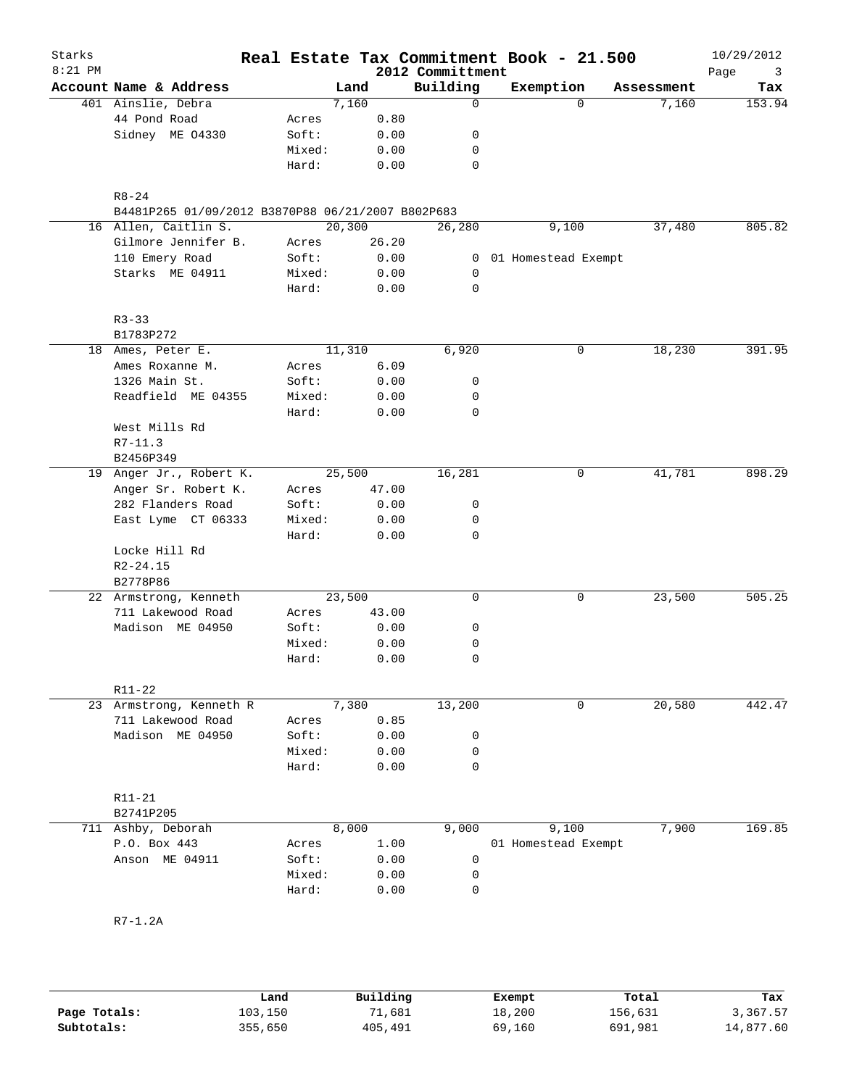| Starks<br>$8:21$ PM |                                                   |        |         |       | Real Estate Tax Commitment Book - 21.500<br>2012 Committment |                     |             |            | 10/29/2012<br>Page<br>3 |
|---------------------|---------------------------------------------------|--------|---------|-------|--------------------------------------------------------------|---------------------|-------------|------------|-------------------------|
|                     | Account Name & Address                            |        | Land    |       | Building                                                     | Exemption           |             | Assessment | Tax                     |
|                     | 401 Ainslie, Debra                                |        | 7,160   |       | 0                                                            |                     | $\Omega$    | 7,160      | 153.94                  |
|                     | 44 Pond Road                                      | Acres  |         | 0.80  |                                                              |                     |             |            |                         |
|                     | Sidney ME 04330                                   | Soft:  |         | 0.00  | 0                                                            |                     |             |            |                         |
|                     |                                                   | Mixed: |         | 0.00  | 0                                                            |                     |             |            |                         |
|                     |                                                   | Hard:  |         | 0.00  | 0                                                            |                     |             |            |                         |
|                     | $R8 - 24$                                         |        |         |       |                                                              |                     |             |            |                         |
|                     | B4481P265 01/09/2012 B3870P88 06/21/2007 B802P683 |        |         |       |                                                              |                     |             |            |                         |
|                     | 16 Allen, Caitlin S.                              |        | 20, 300 |       | 26,280                                                       |                     | 9,100       | 37,480     | 805.82                  |
|                     | Gilmore Jennifer B.                               | Acres  |         | 26.20 |                                                              |                     |             |            |                         |
|                     | 110 Emery Road                                    | Soft:  |         | 0.00  | 0                                                            | 01 Homestead Exempt |             |            |                         |
|                     | Starks ME 04911                                   | Mixed: |         | 0.00  | 0                                                            |                     |             |            |                         |
|                     |                                                   | Hard:  |         | 0.00  | 0                                                            |                     |             |            |                         |
|                     |                                                   |        |         |       |                                                              |                     |             |            |                         |
|                     | $R3 - 33$<br>B1783P272                            |        |         |       |                                                              |                     |             |            |                         |
|                     | 18 Ames, Peter E.                                 |        | 11,310  |       | 6,920                                                        |                     | 0           | 18,230     | 391.95                  |
|                     | Ames Roxanne M.                                   | Acres  |         | 6.09  |                                                              |                     |             |            |                         |
|                     | 1326 Main St.                                     | Soft:  |         | 0.00  | 0                                                            |                     |             |            |                         |
|                     | Readfield ME 04355                                | Mixed: |         | 0.00  | 0                                                            |                     |             |            |                         |
| 19                  |                                                   | Hard:  |         | 0.00  | 0                                                            |                     |             |            |                         |
|                     | West Mills Rd                                     |        |         |       |                                                              |                     |             |            |                         |
|                     | $R7 - 11.3$                                       |        |         |       |                                                              |                     |             |            |                         |
|                     | B2456P349                                         |        |         |       |                                                              |                     |             |            |                         |
|                     | Anger Jr., Robert K.                              |        | 25,500  |       | 16,281                                                       |                     | 0           | 41,781     | 898.29                  |
|                     | Anger Sr. Robert K.                               | Acres  |         | 47.00 |                                                              |                     |             |            |                         |
|                     | 282 Flanders Road                                 | Soft:  |         | 0.00  | 0                                                            |                     |             |            |                         |
|                     | East Lyme CT 06333                                | Mixed: |         | 0.00  | 0                                                            |                     |             |            |                         |
|                     |                                                   | Hard:  |         | 0.00  | 0                                                            |                     |             |            |                         |
|                     | Locke Hill Rd                                     |        |         |       |                                                              |                     |             |            |                         |
|                     | $R2 - 24.15$                                      |        |         |       |                                                              |                     |             |            |                         |
|                     | B2778P86                                          |        |         |       |                                                              |                     |             |            |                         |
|                     | 22 Armstrong, Kenneth                             |        | 23,500  |       | 0                                                            |                     | 0           | 23,500     | 505.25                  |
|                     | 711 Lakewood Road                                 | Acres  |         | 43.00 |                                                              |                     |             |            |                         |
|                     | Madison ME 04950                                  | Soft:  |         | 0.00  | 0                                                            |                     |             |            |                         |
|                     |                                                   | Mixed: |         | 0.00  | 0                                                            |                     |             |            |                         |
|                     |                                                   | Hard:  |         | 0.00  | 0                                                            |                     |             |            |                         |
|                     | R11-22                                            |        |         |       |                                                              |                     |             |            |                         |
|                     | 23 Armstrong, Kenneth R                           |        | 7,380   |       | 13,200                                                       |                     | $\mathbf 0$ | 20,580     | 442.47                  |
|                     | 711 Lakewood Road                                 | Acres  |         | 0.85  |                                                              |                     |             |            |                         |
|                     | Madison ME 04950                                  | Soft:  |         | 0.00  | 0                                                            |                     |             |            |                         |
|                     |                                                   | Mixed: |         | 0.00  | 0                                                            |                     |             |            |                         |
|                     |                                                   | Hard:  |         | 0.00  | $\mathbf 0$                                                  |                     |             |            |                         |
|                     | R11-21                                            |        |         |       |                                                              |                     |             |            |                         |
|                     | B2741P205                                         |        |         |       |                                                              |                     |             |            |                         |
|                     | 711 Ashby, Deborah                                |        | 8,000   |       | 9,000                                                        |                     | 9,100       | 7,900      | 169.85                  |
|                     | P.O. Box 443                                      | Acres  |         | 1.00  |                                                              | 01 Homestead Exempt |             |            |                         |
|                     | Anson ME 04911                                    | Soft:  |         | 0.00  | 0                                                            |                     |             |            |                         |
|                     |                                                   | Mixed: |         | 0.00  | 0                                                            |                     |             |            |                         |
|                     |                                                   | Hard:  |         | 0.00  | 0                                                            |                     |             |            |                         |
|                     |                                                   |        |         |       |                                                              |                     |             |            |                         |
|                     | $R7-1.2A$                                         |        |         |       |                                                              |                     |             |            |                         |
|                     |                                                   |        |         |       |                                                              |                     |             |            |                         |

|              | Land    | Building | Exempt | Total   | Tax       |
|--------------|---------|----------|--------|---------|-----------|
| Page Totals: | 103,150 | 1,681    | 18,200 | 156,631 | 3,367.57  |
| Subtotals:   | 355,650 | 405,491  | 69,160 | 691,981 | 14,877.60 |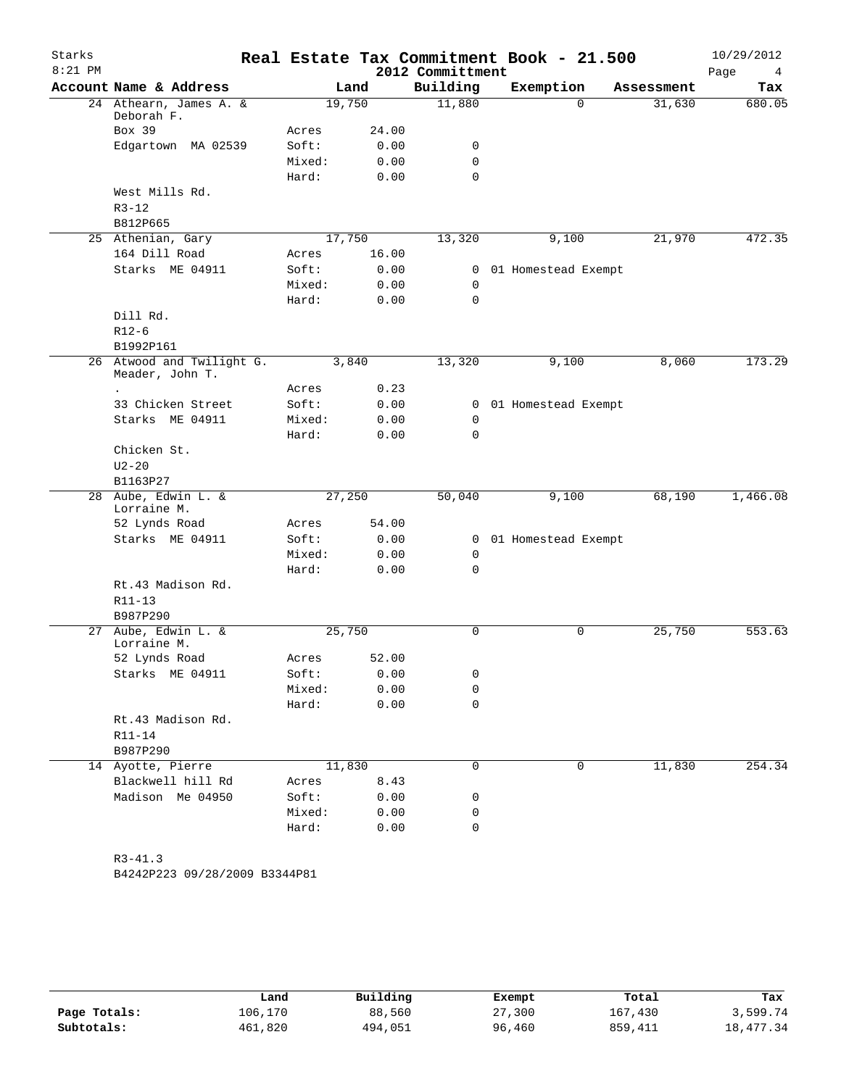| Starks    |                                              |        |       |                  | Real Estate Tax Commitment Book - 21.500 |            | 10/29/2012 |
|-----------|----------------------------------------------|--------|-------|------------------|------------------------------------------|------------|------------|
| $8:21$ PM |                                              |        |       | 2012 Committment |                                          |            | Page<br>4  |
|           | Account Name & Address                       | Land   |       | Building         | Exemption                                | Assessment | Tax        |
|           | 24 Athearn, James A. &<br>Deborah F.         | 19,750 |       | 11,880           | $\Omega$                                 | 31,630     | 680.05     |
|           | Box 39                                       | Acres  | 24.00 |                  |                                          |            |            |
|           | Edgartown MA 02539                           | Soft:  | 0.00  | 0                |                                          |            |            |
|           |                                              | Mixed: | 0.00  | $\mathbf 0$      |                                          |            |            |
|           |                                              | Hard:  | 0.00  | $\mathbf 0$      |                                          |            |            |
|           | West Mills Rd.                               |        |       |                  |                                          |            |            |
|           | $R3 - 12$                                    |        |       |                  |                                          |            |            |
|           | B812P665                                     |        |       |                  |                                          |            |            |
|           | 25 Athenian, Gary                            | 17,750 |       | 13,320           | 9,100                                    | 21,970     | 472.35     |
|           | 164 Dill Road                                | Acres  | 16.00 |                  |                                          |            |            |
|           | Starks ME 04911                              | Soft:  | 0.00  | $\mathbf{0}$     | 01 Homestead Exempt                      |            |            |
|           |                                              | Mixed: | 0.00  | $\mathbf 0$      |                                          |            |            |
|           |                                              | Hard:  | 0.00  | $\mathbf 0$      |                                          |            |            |
|           | Dill Rd.                                     |        |       |                  |                                          |            |            |
|           | $R12-6$                                      |        |       |                  |                                          |            |            |
|           | B1992P161                                    |        |       |                  |                                          |            |            |
|           | 26 Atwood and Twilight G.<br>Meader, John T. | 3,840  |       | 13,320           | 9,100                                    | 8,060      | 173.29     |
|           |                                              | Acres  | 0.23  |                  |                                          |            |            |
|           | 33 Chicken Street                            | Soft:  | 0.00  |                  | 0 01 Homestead Exempt                    |            |            |
|           | Starks ME 04911                              | Mixed: | 0.00  | 0                |                                          |            |            |
|           |                                              | Hard:  | 0.00  | $\mathbf 0$      |                                          |            |            |
|           | Chicken St.                                  |        |       |                  |                                          |            |            |
|           | $U2 - 20$                                    |        |       |                  |                                          |            |            |
|           | B1163P27                                     |        |       |                  |                                          |            |            |
|           | 28 Aube, Edwin L. &<br>Lorraine M.           | 27,250 |       | 50,040           | 9,100                                    | 68,190     | 1,466.08   |
|           | 52 Lynds Road                                | Acres  | 54.00 |                  |                                          |            |            |
|           | Starks ME 04911                              | Soft:  | 0.00  | $\overline{0}$   | 01 Homestead Exempt                      |            |            |
|           |                                              | Mixed: | 0.00  | 0                |                                          |            |            |
|           |                                              | Hard:  | 0.00  | 0                |                                          |            |            |
|           | Rt.43 Madison Rd.                            |        |       |                  |                                          |            |            |
|           | $R11 - 13$                                   |        |       |                  |                                          |            |            |
|           | B987P290                                     |        |       |                  |                                          |            |            |
| 27        | Aube, Edwin L. &<br>Lorraine M.              | 25,750 |       | 0                | 0                                        | 25,750     | 553.63     |
|           | 52 Lynds Road                                | Acres  | 52.00 |                  |                                          |            |            |
|           | Starks ME 04911                              | Soft:  | 0.00  | 0                |                                          |            |            |
|           |                                              | Mixed: | 0.00  | 0                |                                          |            |            |
|           |                                              | Hard:  | 0.00  | $\mathbf 0$      |                                          |            |            |
|           | Rt.43 Madison Rd.                            |        |       |                  |                                          |            |            |
|           | R11-14                                       |        |       |                  |                                          |            |            |
|           | B987P290                                     |        |       |                  |                                          |            |            |
|           | 14 Ayotte, Pierre                            | 11,830 |       | 0                | 0                                        | 11,830     | 254.34     |
|           | Blackwell hill Rd                            | Acres  | 8.43  |                  |                                          |            |            |
|           | Madison Me 04950                             | Soft:  | 0.00  | 0                |                                          |            |            |
|           |                                              | Mixed: | 0.00  | 0                |                                          |            |            |
|           |                                              | Hard:  | 0.00  | 0                |                                          |            |            |
|           |                                              |        |       |                  |                                          |            |            |
|           | $R3 - 41.3$                                  |        |       |                  |                                          |            |            |
|           | B4242P223 09/28/2009 B3344P81                |        |       |                  |                                          |            |            |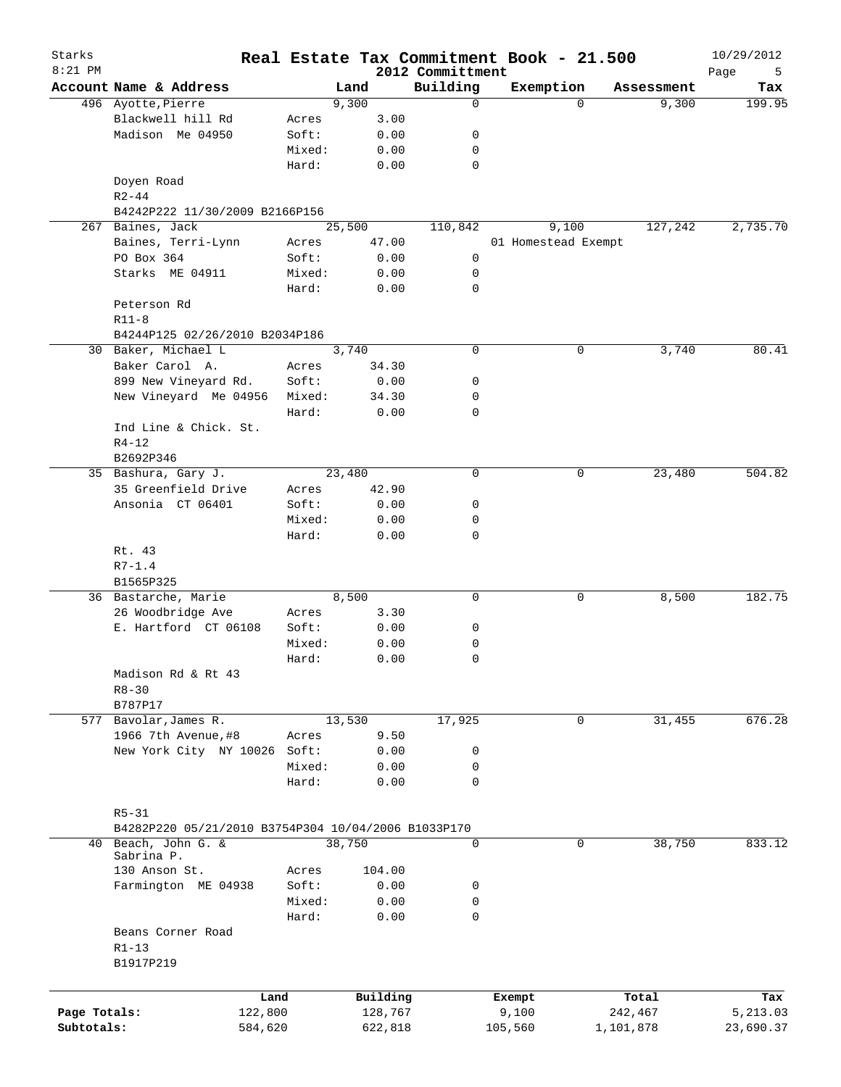| Starks<br>$8:21$ PM |                                                     |        |          | 2012 Committment | Real Estate Tax Commitment Book - 21.500 |             | 10/29/2012       |
|---------------------|-----------------------------------------------------|--------|----------|------------------|------------------------------------------|-------------|------------------|
|                     | Account Name & Address                              |        | Land     | Building         | Exemption                                | Assessment  | Page<br>5<br>Tax |
|                     | 496 Ayotte, Pierre                                  |        | 9,300    | 0                |                                          | $\Omega$    | 199.95<br>9,300  |
|                     | Blackwell hill Rd                                   | Acres  | 3.00     |                  |                                          |             |                  |
|                     | Madison Me 04950                                    | Soft:  | 0.00     | 0                |                                          |             |                  |
|                     |                                                     | Mixed: | 0.00     | 0                |                                          |             |                  |
|                     |                                                     | Hard:  | 0.00     | 0                |                                          |             |                  |
|                     | Doyen Road<br>$R2 - 44$                             |        |          |                  |                                          |             |                  |
|                     | B4242P222 11/30/2009 B2166P156                      |        |          |                  |                                          |             |                  |
| 267                 | Baines, Jack                                        |        | 25,500   | 110,842          | 9,100                                    | 127,242     | 2,735.70         |
|                     | Baines, Terri-Lynn                                  | Acres  | 47.00    |                  | 01 Homestead Exempt                      |             |                  |
|                     | PO Box 364                                          | Soft:  | 0.00     | 0                |                                          |             |                  |
|                     | Starks ME 04911                                     | Mixed: | 0.00     | 0                |                                          |             |                  |
|                     |                                                     | Hard:  | 0.00     | 0                |                                          |             |                  |
|                     | Peterson Rd                                         |        |          |                  |                                          |             |                  |
|                     | $R11-8$                                             |        |          |                  |                                          |             |                  |
|                     | B4244P125 02/26/2010 B2034P186                      |        |          |                  |                                          |             |                  |
|                     | 30 Baker, Michael L                                 |        | 3,740    | 0                |                                          | 0           | 3,740<br>80.41   |
|                     | Baker Carol A.                                      |        | 34.30    |                  |                                          |             |                  |
|                     | 899 New Vineyard Rd.                                | Acres  |          |                  |                                          |             |                  |
|                     |                                                     | Soft:  | 0.00     | 0                |                                          |             |                  |
|                     | New Vineyard Me 04956                               | Mixed: | 34.30    | 0                |                                          |             |                  |
|                     |                                                     | Hard:  | 0.00     | 0                |                                          |             |                  |
|                     | Ind Line & Chick. St.                               |        |          |                  |                                          |             |                  |
|                     | $R4 - 12$                                           |        |          |                  |                                          |             |                  |
|                     | B2692P346                                           |        |          |                  |                                          |             |                  |
|                     | 35 Bashura, Gary J.                                 |        | 23,480   | 0                |                                          | 23,480<br>0 | 504.82           |
|                     | 35 Greenfield Drive                                 | Acres  | 42.90    |                  |                                          |             |                  |
|                     | Ansonia CT 06401                                    | Soft:  | 0.00     | 0                |                                          |             |                  |
|                     |                                                     | Mixed: | 0.00     | 0                |                                          |             |                  |
|                     |                                                     | Hard:  | 0.00     | 0                |                                          |             |                  |
|                     | Rt. 43                                              |        |          |                  |                                          |             |                  |
|                     | $R7 - 1.4$                                          |        |          |                  |                                          |             |                  |
|                     | B1565P325                                           |        |          |                  |                                          |             |                  |
|                     | 36 Bastarche, Marie                                 |        | 8,500    | 0                |                                          | 0           | 182.75<br>8,500  |
|                     | 26 Woodbridge Ave                                   | Acres  | 3.30     |                  |                                          |             |                  |
|                     | E. Hartford CT 06108                                | Soft:  | 0.00     | 0                |                                          |             |                  |
|                     |                                                     | Mixed: | 0.00     | 0                |                                          |             |                  |
|                     |                                                     | Hard:  | 0.00     | 0                |                                          |             |                  |
|                     | Madison Rd & Rt 43                                  |        |          |                  |                                          |             |                  |
|                     | $R8 - 30$                                           |        |          |                  |                                          |             |                  |
|                     | B787P17                                             |        |          |                  |                                          |             |                  |
|                     | 577 Bavolar, James R.                               |        | 13,530   | 17,925           |                                          | 31,455<br>0 | 676.28           |
|                     | 1966 7th Avenue, #8                                 | Acres  | 9.50     |                  |                                          |             |                  |
|                     | New York City NY 10026                              | Soft:  | 0.00     | 0                |                                          |             |                  |
|                     |                                                     | Mixed: | 0.00     | 0                |                                          |             |                  |
|                     |                                                     | Hard:  | 0.00     | $\mathbf 0$      |                                          |             |                  |
|                     |                                                     |        |          |                  |                                          |             |                  |
|                     | $R5 - 31$                                           |        |          |                  |                                          |             |                  |
|                     | B4282P220 05/21/2010 B3754P304 10/04/2006 B1033P170 |        |          |                  |                                          |             |                  |
|                     | 40 Beach, John G. &                                 |        | 38,750   | 0                |                                          | 38,750<br>0 | 833.12           |
|                     | Sabrina P.                                          |        |          |                  |                                          |             |                  |
|                     | 130 Anson St.                                       | Acres  | 104.00   |                  |                                          |             |                  |
|                     | Farmington ME 04938                                 | Soft:  | 0.00     | 0                |                                          |             |                  |
|                     |                                                     | Mixed: | 0.00     | 0                |                                          |             |                  |
|                     |                                                     | Hard:  | 0.00     | 0                |                                          |             |                  |
|                     | Beans Corner Road                                   |        |          |                  |                                          |             |                  |
|                     | $R1 - 13$                                           |        |          |                  |                                          |             |                  |
|                     | B1917P219                                           |        |          |                  |                                          |             |                  |
|                     |                                                     |        |          |                  |                                          |             |                  |
|                     | Land                                                |        | Building |                  | Exempt                                   | Total       | Tax              |
| Page Totals:        | 122,800                                             |        | 128,767  |                  | 9,100                                    | 242,467     | 5,213.03         |
| Subtotals:          | 584,620                                             |        | 622,818  |                  | 105,560                                  | 1,101,878   | 23,690.37        |
|                     |                                                     |        |          |                  |                                          |             |                  |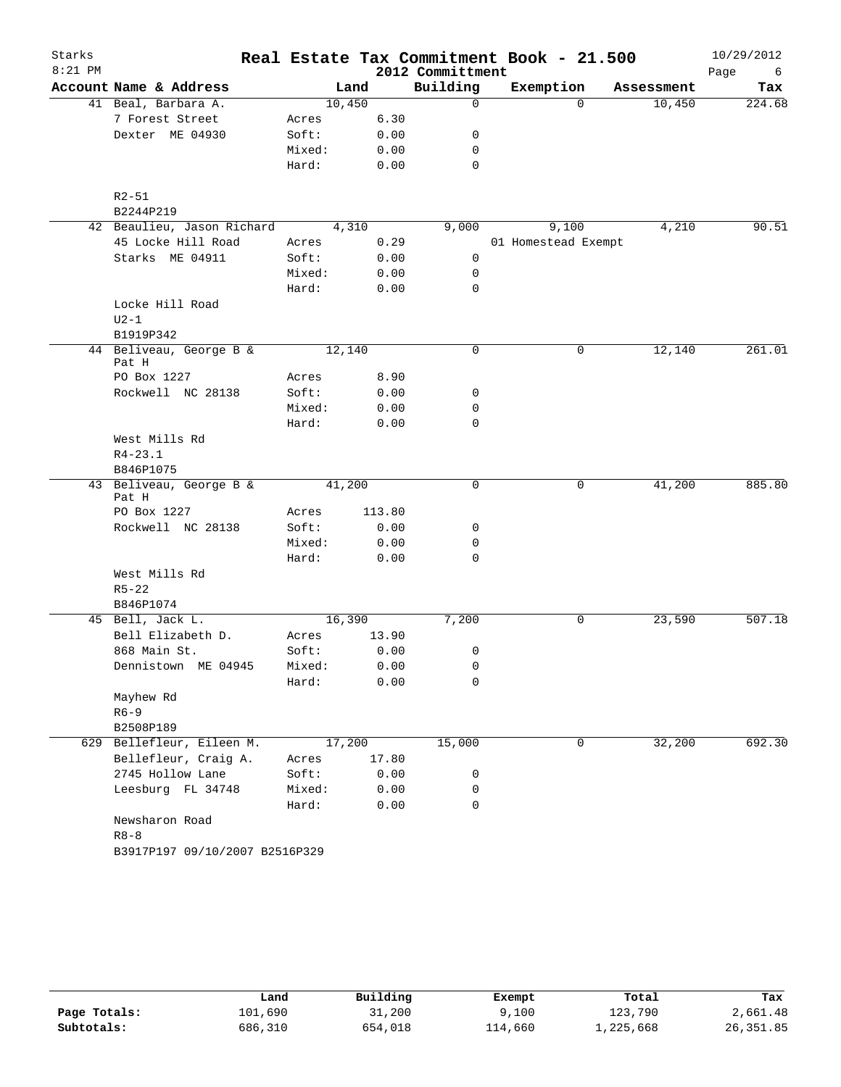| Starks    |                                  |        |        |                  | Real Estate Tax Commitment Book - 21.500 |            | 10/29/2012 |
|-----------|----------------------------------|--------|--------|------------------|------------------------------------------|------------|------------|
| $8:21$ PM |                                  |        |        | 2012 Committment |                                          |            | Page<br>6  |
|           | Account Name & Address           |        | Land   | Building         | Exemption                                | Assessment | Tax        |
|           | 41 Beal, Barbara A.              |        | 10,450 | $\mathbf 0$      | $\Omega$                                 | 10,450     | 224.68     |
|           | 7 Forest Street                  | Acres  | 6.30   |                  |                                          |            |            |
|           | Dexter ME 04930                  | Soft:  | 0.00   | 0                |                                          |            |            |
|           |                                  | Mixed: | 0.00   | 0                |                                          |            |            |
|           |                                  | Hard:  | 0.00   | $\mathbf 0$      |                                          |            |            |
|           | $R2 - 51$                        |        |        |                  |                                          |            |            |
|           | B2244P219                        |        |        |                  |                                          |            |            |
|           | 42 Beaulieu, Jason Richard       |        | 4,310  | 9,000            | 9,100                                    | 4,210      | 90.51      |
|           | 45 Locke Hill Road               | Acres  | 0.29   |                  | 01 Homestead Exempt                      |            |            |
|           | Starks ME 04911                  | Soft:  | 0.00   | 0                |                                          |            |            |
|           |                                  | Mixed: | 0.00   | 0                |                                          |            |            |
|           |                                  | Hard:  | 0.00   | 0                |                                          |            |            |
|           | Locke Hill Road                  |        |        |                  |                                          |            |            |
|           | $U2-1$<br>B1919P342              |        |        |                  |                                          |            |            |
|           | 44 Beliveau, George B &<br>Pat H |        | 12,140 | 0                | 0                                        | 12,140     | 261.01     |
|           | PO Box 1227                      | Acres  | 8.90   |                  |                                          |            |            |
|           | Rockwell NC 28138                | Soft:  | 0.00   | 0                |                                          |            |            |
|           |                                  | Mixed: | 0.00   | 0                |                                          |            |            |
|           |                                  | Hard:  | 0.00   | 0                |                                          |            |            |
|           | West Mills Rd                    |        |        |                  |                                          |            |            |
|           | $R4 - 23.1$                      |        |        |                  |                                          |            |            |
|           | B846P1075                        |        |        |                  |                                          |            |            |
|           | 43 Beliveau, George B &<br>Pat H |        | 41,200 | 0                | 0                                        | 41,200     | 885.80     |
|           | PO Box 1227                      | Acres  | 113.80 |                  |                                          |            |            |
|           | Rockwell NC 28138                | Soft:  | 0.00   | 0                |                                          |            |            |
|           |                                  | Mixed: | 0.00   | 0                |                                          |            |            |
|           |                                  | Hard:  | 0.00   | 0                |                                          |            |            |
|           | West Mills Rd                    |        |        |                  |                                          |            |            |
|           | $R5 - 22$                        |        |        |                  |                                          |            |            |
|           | B846P1074                        |        |        |                  |                                          |            |            |
|           | 45 Bell, Jack L.                 |        | 16,390 | 7,200            | 0                                        | 23,590     | 507.18     |
|           | Bell Elizabeth D.                | Acres  | 13.90  |                  |                                          |            |            |
|           | 868 Main St.                     | Soft:  | 0.00   | 0                |                                          |            |            |
|           | Dennistown ME 04945              | Mixed: | 0.00   | 0                |                                          |            |            |
|           |                                  | Hard:  | 0.00   | 0                |                                          |            |            |
|           | Mayhew Rd                        |        |        |                  |                                          |            |            |
|           | $R6 - 9$                         |        |        |                  |                                          |            |            |
|           | B2508P189                        |        |        |                  |                                          |            |            |
|           | 629 Bellefleur, Eileen M.        |        | 17,200 | 15,000           | 0                                        | 32,200     | 692.30     |
|           | Bellefleur, Craig A.             | Acres  | 17.80  |                  |                                          |            |            |
|           | 2745 Hollow Lane                 | Soft:  | 0.00   | 0                |                                          |            |            |
|           | Leesburg FL 34748                | Mixed: | 0.00   | 0                |                                          |            |            |
|           |                                  | Hard:  | 0.00   | $\mathbf 0$      |                                          |            |            |
|           | Newsharon Road                   |        |        |                  |                                          |            |            |
|           | $R8 - 8$                         |        |        |                  |                                          |            |            |
|           | B3917P197 09/10/2007 B2516P329   |        |        |                  |                                          |            |            |

|              | Land    | Building | Exempt  | Total     | Tax       |
|--------------|---------|----------|---------|-----------|-----------|
| Page Totals: | 101,690 | 31,200   | 9,100   | 123,790   | 2,661.48  |
| Subtotals:   | 686,310 | 654,018  | 114,660 | 1,225,668 | 26,351.85 |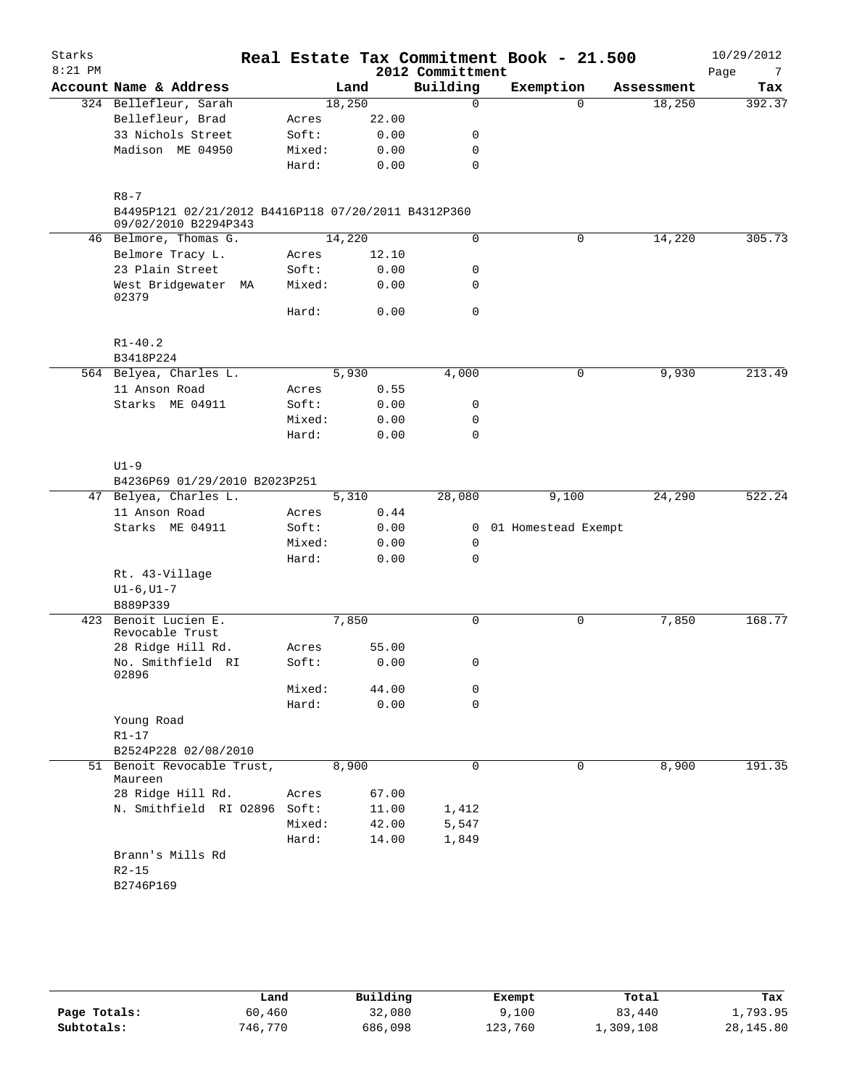| Starks    |                                                                             |        |        |                  | Real Estate Tax Commitment Book - 21.500 |            | 10/29/2012  |
|-----------|-----------------------------------------------------------------------------|--------|--------|------------------|------------------------------------------|------------|-------------|
| $8:21$ PM |                                                                             |        |        | 2012 Committment |                                          |            | Page<br>- 7 |
|           | Account Name & Address                                                      |        | Land   | Building         | Exemption                                | Assessment | Tax         |
|           | 324 Bellefleur, Sarah                                                       |        | 18,250 | $\Omega$         | 0                                        | 18,250     | 392.37      |
|           | Bellefleur, Brad                                                            | Acres  | 22.00  |                  |                                          |            |             |
|           | 33 Nichols Street                                                           | Soft:  | 0.00   | 0                |                                          |            |             |
|           | Madison ME 04950                                                            | Mixed: | 0.00   | $\mathbf 0$      |                                          |            |             |
|           |                                                                             | Hard:  | 0.00   | 0                |                                          |            |             |
|           | $R8 - 7$                                                                    |        |        |                  |                                          |            |             |
|           | B4495P121 02/21/2012 B4416P118 07/20/2011 B4312P360<br>09/02/2010 B2294P343 |        |        |                  |                                          |            |             |
|           | 46 Belmore, Thomas G.                                                       |        | 14,220 | 0                | 0                                        | 14,220     | 305.73      |
|           | Belmore Tracy L.                                                            | Acres  | 12.10  |                  |                                          |            |             |
|           | 23 Plain Street                                                             | Soft:  | 0.00   | 0                |                                          |            |             |
|           | West Bridgewater MA<br>02379                                                | Mixed: | 0.00   | $\mathbf 0$      |                                          |            |             |
|           |                                                                             | Hard:  | 0.00   | 0                |                                          |            |             |
|           | $R1 - 40.2$<br>B3418P224                                                    |        |        |                  |                                          |            |             |
|           | 564 Belyea, Charles L.                                                      |        | 5,930  | 4,000            | 0                                        | 9,930      | 213.49      |
|           | 11 Anson Road                                                               | Acres  | 0.55   |                  |                                          |            |             |
|           | Starks ME 04911                                                             | Soft:  | 0.00   | 0                |                                          |            |             |
|           |                                                                             | Mixed: | 0.00   | 0                |                                          |            |             |
|           |                                                                             | Hard:  | 0.00   | 0                |                                          |            |             |
|           | $U1-9$                                                                      |        |        |                  |                                          |            |             |
|           | B4236P69 01/29/2010 B2023P251                                               |        |        |                  |                                          |            |             |
|           | 47 Belyea, Charles L.                                                       |        | 5,310  | 28,080           | 9,100                                    | 24,290     | 522.24      |
|           | 11 Anson Road                                                               | Acres  | 0.44   |                  |                                          |            |             |
|           | Starks ME 04911                                                             | Soft:  | 0.00   | $\mathbf{0}$     | 01 Homestead Exempt                      |            |             |
|           |                                                                             | Mixed: | 0.00   | 0                |                                          |            |             |
|           |                                                                             | Hard:  | 0.00   | $\mathbf 0$      |                                          |            |             |
|           | Rt. 43-Village                                                              |        |        |                  |                                          |            |             |
|           | $UI-6, UI-7$                                                                |        |        |                  |                                          |            |             |
|           | B889P339                                                                    |        |        |                  |                                          |            |             |
| 423       | Benoit Lucien E.                                                            |        | 7,850  | 0                | 0                                        | 7,850      | 168.77      |
|           | Revocable Trust                                                             |        |        |                  |                                          |            |             |
|           | 28 Ridge Hill Rd.                                                           | Acres  | 55.00  |                  |                                          |            |             |
|           | No. Smithfield RI<br>02896                                                  | Soft:  | 0.00   | 0                |                                          |            |             |
|           |                                                                             | Mixed: | 44.00  | 0                |                                          |            |             |
|           |                                                                             | Hard:  | 0.00   | $\mathbf 0$      |                                          |            |             |
|           | Young Road                                                                  |        |        |                  |                                          |            |             |
|           | $R1-17$                                                                     |        |        |                  |                                          |            |             |
|           | B2524P228 02/08/2010                                                        |        |        |                  |                                          |            |             |
|           | 51 Benoit Revocable Trust,<br>Maureen                                       |        | 8,900  | 0                | 0                                        | 8,900      | 191.35      |
|           | 28 Ridge Hill Rd.                                                           | Acres  | 67.00  |                  |                                          |            |             |
|           | N. Smithfield RI 02896 Soft:                                                |        | 11.00  | 1,412            |                                          |            |             |
|           |                                                                             | Mixed: | 42.00  | 5,547            |                                          |            |             |
|           |                                                                             | Hard:  | 14.00  | 1,849            |                                          |            |             |
|           | Brann's Mills Rd                                                            |        |        |                  |                                          |            |             |
|           | $R2 - 15$                                                                   |        |        |                  |                                          |            |             |
|           | B2746P169                                                                   |        |        |                  |                                          |            |             |

|              | Land    | Building | Exempt  | Total     | Tax        |
|--------------|---------|----------|---------|-----------|------------|
| Page Totals: | 60,460  | 32,080   | 9.100   | 83,440    | 1,793.95   |
| Subtotals:   | 746,770 | 686,098  | 123,760 | L,309,108 | 28, 145.80 |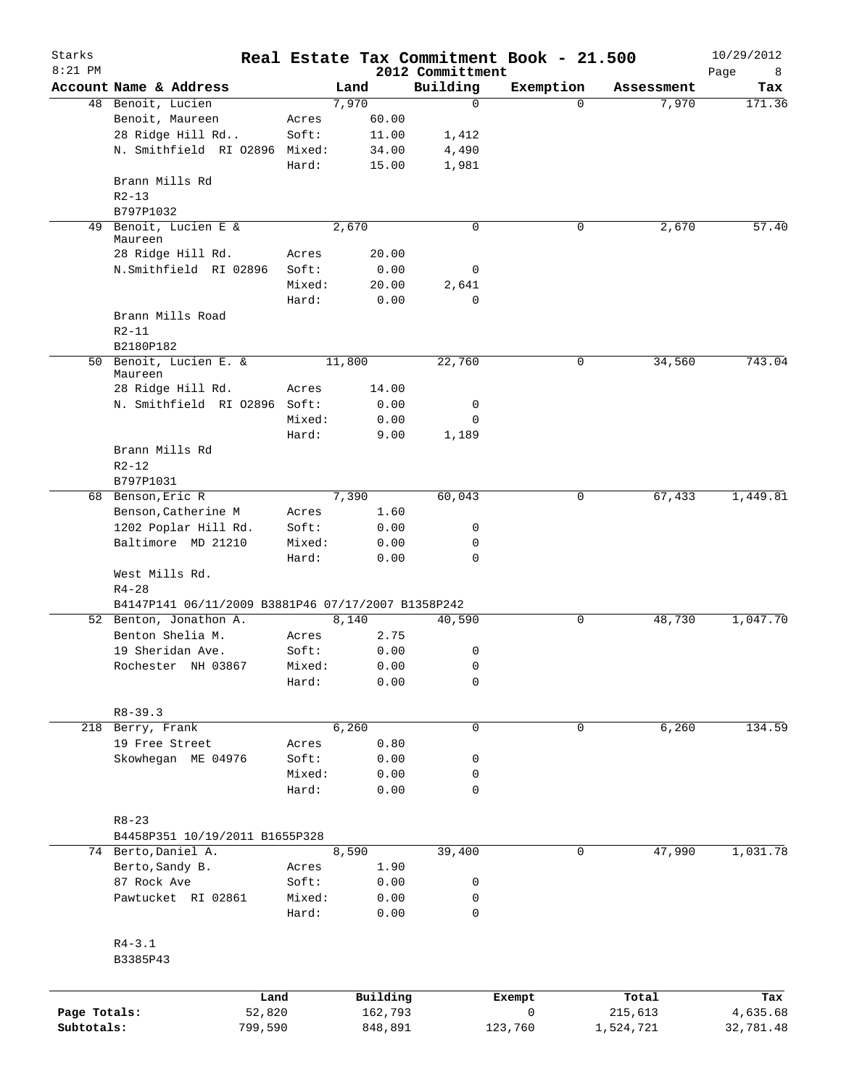| Starks<br>$8:21$ PM |                                                    |        |          | 2012 Committment | Real Estate Tax Commitment Book - 21.500 |             |            | 10/29/2012<br>Page<br>8 |
|---------------------|----------------------------------------------------|--------|----------|------------------|------------------------------------------|-------------|------------|-------------------------|
|                     | Account Name & Address                             |        | Land     | Building         | Exemption                                |             | Assessment | Tax                     |
|                     | 48 Benoit, Lucien                                  |        | 7,970    | $\mathbf 0$      |                                          | $\Omega$    | 7,970      | 171.36                  |
|                     | Benoit, Maureen                                    | Acres  | 60.00    |                  |                                          |             |            |                         |
|                     | 28 Ridge Hill Rd                                   | Soft:  | 11.00    | 1,412            |                                          |             |            |                         |
|                     | N. Smithfield RI 02896 Mixed:                      |        | 34.00    | 4,490            |                                          |             |            |                         |
|                     |                                                    | Hard:  | 15.00    | 1,981            |                                          |             |            |                         |
|                     | Brann Mills Rd                                     |        |          |                  |                                          |             |            |                         |
|                     | $R2 - 13$                                          |        |          |                  |                                          |             |            |                         |
|                     | B797P1032                                          |        |          |                  |                                          |             |            |                         |
|                     | 49 Benoit, Lucien E &                              |        | 2,670    | $\mathbf 0$      |                                          | 0           | 2,670      | 57.40                   |
|                     | Maureen                                            |        |          |                  |                                          |             |            |                         |
|                     | 28 Ridge Hill Rd.                                  | Acres  | 20.00    |                  |                                          |             |            |                         |
|                     | N.Smithfield RI 02896                              | Soft:  | 0.00     | 0                |                                          |             |            |                         |
|                     |                                                    | Mixed: | 20.00    | 2,641            |                                          |             |            |                         |
|                     |                                                    | Hard:  | 0.00     | 0                |                                          |             |            |                         |
|                     | Brann Mills Road                                   |        |          |                  |                                          |             |            |                         |
|                     | $R2 - 11$                                          |        |          |                  |                                          |             |            |                         |
|                     | B2180P182                                          |        |          |                  |                                          |             |            | 743.04                  |
|                     | 50 Benoit, Lucien E. &<br>Maureen                  |        | 11,800   | 22,760           |                                          | 0           | 34,560     |                         |
|                     | 28 Ridge Hill Rd.                                  | Acres  | 14.00    |                  |                                          |             |            |                         |
|                     | N. Smithfield RI 02896 Soft:                       |        | 0.00     | 0                |                                          |             |            |                         |
|                     |                                                    | Mixed: | 0.00     | 0                |                                          |             |            |                         |
|                     |                                                    | Hard:  | 9.00     | 1,189            |                                          |             |            |                         |
|                     | Brann Mills Rd                                     |        |          |                  |                                          |             |            |                         |
|                     | $R2 - 12$                                          |        |          |                  |                                          |             |            |                         |
|                     | B797P1031                                          |        |          |                  |                                          |             |            |                         |
|                     | 68 Benson, Eric R                                  |        | 7,390    | 60,043           |                                          | 0           | 67,433     | 1,449.81                |
|                     | Benson, Catherine M                                | Acres  | 1.60     |                  |                                          |             |            |                         |
|                     | 1202 Poplar Hill Rd.                               | Soft:  | 0.00     | 0                |                                          |             |            |                         |
|                     | Baltimore MD 21210                                 | Mixed: | 0.00     | 0                |                                          |             |            |                         |
|                     |                                                    | Hard:  | 0.00     | 0                |                                          |             |            |                         |
|                     | West Mills Rd.                                     |        |          |                  |                                          |             |            |                         |
|                     | $R4 - 28$                                          |        |          |                  |                                          |             |            |                         |
|                     | B4147P141 06/11/2009 B3881P46 07/17/2007 B1358P242 |        |          |                  |                                          |             |            |                         |
|                     | 52 Benton, Jonathon A.                             |        | 8,140    | 40,590           |                                          | 0           | 48,730     | 1,047.70                |
|                     | Benton Shelia M.                                   | Acres  | 2.75     |                  |                                          |             |            |                         |
|                     | 19 Sheridan Ave.                                   | Soft:  | 0.00     | 0                |                                          |             |            |                         |
|                     | Rochester NH 03867                                 | Mixed: | 0.00     | 0                |                                          |             |            |                         |
|                     |                                                    | Hard:  | 0.00     | 0                |                                          |             |            |                         |
|                     |                                                    |        |          |                  |                                          |             |            |                         |
|                     | $R8 - 39.3$                                        |        |          |                  |                                          |             |            |                         |
|                     | 218 Berry, Frank                                   |        | 6,260    | 0                |                                          | $\mathbf 0$ | 6,260      | 134.59                  |
|                     | 19 Free Street                                     | Acres  | 0.80     |                  |                                          |             |            |                         |
|                     | Skowhegan ME 04976                                 | Soft:  | 0.00     | 0                |                                          |             |            |                         |
|                     |                                                    | Mixed: | 0.00     | 0                |                                          |             |            |                         |
|                     |                                                    | Hard:  | 0.00     | $\mathbf 0$      |                                          |             |            |                         |
|                     |                                                    |        |          |                  |                                          |             |            |                         |
|                     | $R8 - 23$                                          |        |          |                  |                                          |             |            |                         |
|                     | B4458P351 10/19/2011 B1655P328                     |        |          |                  |                                          |             |            |                         |
|                     | 74 Berto, Daniel A.                                |        | 8,590    | 39,400           |                                          | 0           | 47,990     | 1,031.78                |
|                     | Berto, Sandy B.                                    | Acres  | 1.90     |                  |                                          |             |            |                         |
|                     | 87 Rock Ave                                        | Soft:  | 0.00     | 0                |                                          |             |            |                         |
|                     | Pawtucket RI 02861                                 | Mixed: | 0.00     | 0                |                                          |             |            |                         |
|                     |                                                    | Hard:  | 0.00     | 0                |                                          |             |            |                         |
|                     |                                                    |        |          |                  |                                          |             |            |                         |
|                     | $R4 - 3.1$                                         |        |          |                  |                                          |             |            |                         |
|                     | B3385P43                                           |        |          |                  |                                          |             |            |                         |
|                     |                                                    |        |          |                  |                                          |             |            |                         |
|                     | Land                                               |        | Building |                  | Exempt                                   |             | Total      | Tax                     |
| Page Totals:        | 52,820                                             |        | 162,793  |                  | 0                                        |             | 215,613    | 4,635.68                |
| Subtotals:          | 799,590                                            |        | 848,891  |                  | 123,760                                  |             | 1,524,721  | 32,781.48               |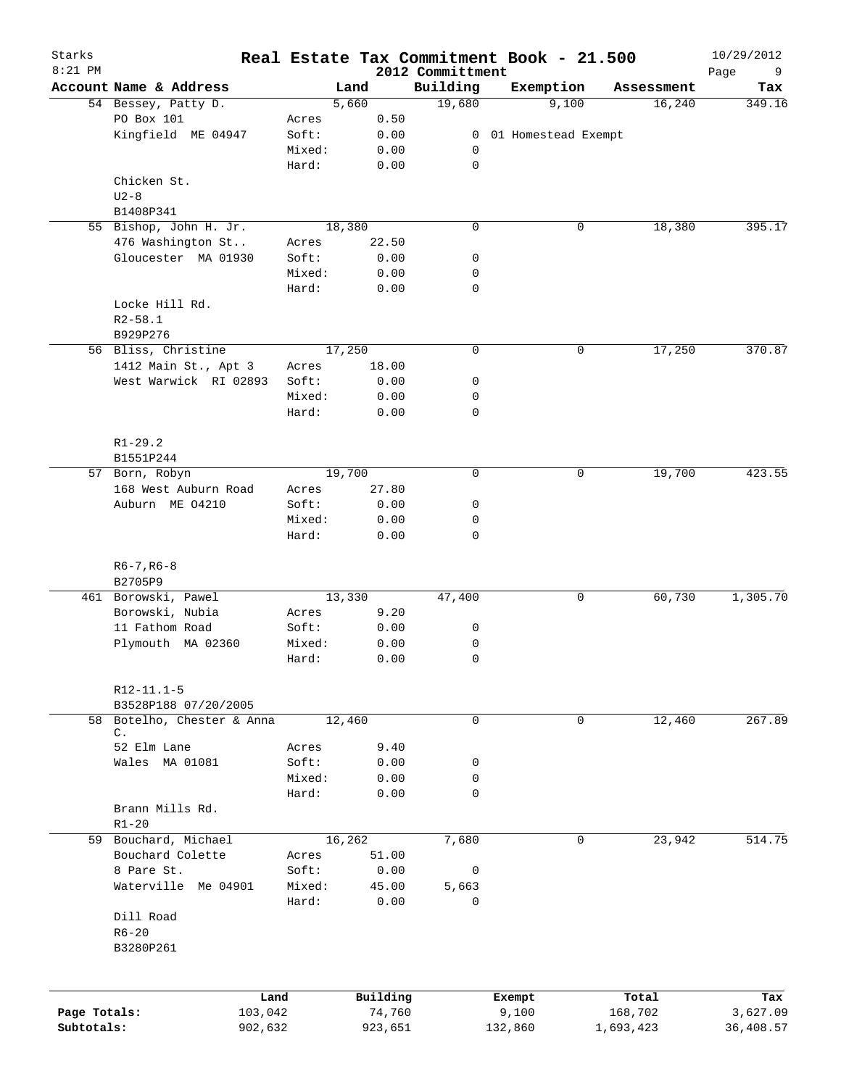| Starks<br>$8:21$ PM |                                          |        | Real Estate Tax Commitment Book - 21.500 | 2012 Committment |                     |       |            | 10/29/2012<br>9<br>Page |
|---------------------|------------------------------------------|--------|------------------------------------------|------------------|---------------------|-------|------------|-------------------------|
|                     | Account Name & Address                   |        | Land                                     | Building         | Exemption           |       | Assessment | Tax                     |
|                     | 54 Bessey, Patty D.                      |        | 5,660                                    | 19,680           |                     | 9,100 | 16,240     | 349.16                  |
|                     | PO Box 101                               | Acres  | 0.50                                     |                  |                     |       |            |                         |
|                     | Kingfield ME 04947                       | Soft:  | 0.00                                     | $\overline{0}$   | 01 Homestead Exempt |       |            |                         |
|                     |                                          | Mixed: | 0.00                                     | 0                |                     |       |            |                         |
|                     |                                          | Hard:  | 0.00                                     | 0                |                     |       |            |                         |
|                     | Chicken St.                              |        |                                          |                  |                     |       |            |                         |
|                     | $U2-8$                                   |        |                                          |                  |                     |       |            |                         |
|                     | B1408P341                                |        |                                          |                  |                     |       |            |                         |
|                     | 55 Bishop, John H. Jr.                   |        | 18,380                                   | 0                |                     | 0     | 18,380     | 395.17                  |
|                     | 476 Washington St                        | Acres  | 22.50                                    |                  |                     |       |            |                         |
|                     | Gloucester MA 01930                      | Soft:  | 0.00                                     | 0                |                     |       |            |                         |
|                     |                                          | Mixed: | 0.00                                     | 0                |                     |       |            |                         |
|                     |                                          | Hard:  | 0.00                                     | $\mathbf 0$      |                     |       |            |                         |
|                     | Locke Hill Rd.                           |        |                                          |                  |                     |       |            |                         |
|                     | $R2 - 58.1$                              |        |                                          |                  |                     |       |            |                         |
|                     | B929P276                                 |        |                                          |                  |                     |       |            |                         |
|                     | 56 Bliss, Christine                      |        | 17,250                                   | $\mathbf 0$      |                     | 0     | 17,250     | 370.87                  |
|                     | 1412 Main St., Apt 3                     | Acres  | 18.00                                    |                  |                     |       |            |                         |
|                     | West Warwick RI 02893                    | Soft:  | 0.00                                     | 0                |                     |       |            |                         |
|                     |                                          | Mixed: | 0.00                                     | 0                |                     |       |            |                         |
|                     |                                          | Hard:  | 0.00                                     | $\mathbf 0$      |                     |       |            |                         |
|                     |                                          |        |                                          |                  |                     |       |            |                         |
|                     | $R1 - 29.2$                              |        |                                          |                  |                     |       |            |                         |
|                     | B1551P244                                |        |                                          |                  |                     |       |            |                         |
|                     | 57 Born, Robyn                           |        | 19,700                                   | $\mathbf 0$      |                     | 0     | 19,700     | 423.55                  |
|                     | 168 West Auburn Road                     | Acres  | 27.80                                    |                  |                     |       |            |                         |
|                     | Auburn ME 04210                          | Soft:  | 0.00                                     | 0                |                     |       |            |                         |
|                     |                                          | Mixed: | 0.00                                     | 0                |                     |       |            |                         |
|                     |                                          | Hard:  | 0.00                                     | $\mathbf 0$      |                     |       |            |                         |
|                     |                                          |        |                                          |                  |                     |       |            |                         |
|                     | $R6 - 7, R6 - 8$                         |        |                                          |                  |                     |       |            |                         |
|                     | B2705P9                                  |        |                                          |                  |                     |       |            |                         |
|                     | 461 Borowski, Pawel                      |        | 13,330                                   | 47,400           |                     | 0     | 60,730     | 1,305.70                |
|                     | Borowski, Nubia                          | Acres  | 9.20                                     |                  |                     |       |            |                         |
|                     | 11 Fathom Road                           | Soft:  | 0.00                                     | 0                |                     |       |            |                         |
|                     | Plymouth MA 02360                        | Mixed: | 0.00                                     | 0<br>0           |                     |       |            |                         |
|                     |                                          | Hard:  | 0.00                                     |                  |                     |       |            |                         |
|                     |                                          |        |                                          |                  |                     |       |            |                         |
|                     | $R12 - 11.1 - 5$<br>B3528P188 07/20/2005 |        |                                          |                  |                     |       |            |                         |
|                     | 58 Botelho, Chester & Anna               |        | 12,460                                   | 0                |                     | 0     | 12,460     | 267.89                  |
|                     | $\mathsf{C}$ .                           |        |                                          |                  |                     |       |            |                         |
|                     | 52 Elm Lane                              | Acres  | 9.40                                     |                  |                     |       |            |                         |
|                     | Wales MA 01081                           | Soft:  | 0.00                                     | 0                |                     |       |            |                         |
|                     |                                          | Mixed: | 0.00                                     | 0                |                     |       |            |                         |
|                     |                                          | Hard:  | 0.00                                     | 0                |                     |       |            |                         |
|                     | Brann Mills Rd.                          |        |                                          |                  |                     |       |            |                         |
|                     | $R1 - 20$                                |        |                                          |                  |                     |       |            |                         |
|                     | 59 Bouchard, Michael                     |        | 16,262                                   | 7,680            |                     | 0     | 23,942     | 514.75                  |
|                     | Bouchard Colette                         | Acres  | 51.00                                    |                  |                     |       |            |                         |
|                     | 8 Pare St.                               | Soft:  | 0.00                                     | 0                |                     |       |            |                         |
|                     | Waterville Me 04901                      | Mixed: | 45.00                                    | 5,663            |                     |       |            |                         |
|                     |                                          | Hard:  | 0.00                                     | 0                |                     |       |            |                         |
|                     | Dill Road                                |        |                                          |                  |                     |       |            |                         |
|                     | $R6 - 20$                                |        |                                          |                  |                     |       |            |                         |
|                     | B3280P261                                |        |                                          |                  |                     |       |            |                         |
|                     |                                          |        |                                          |                  |                     |       |            |                         |
|                     |                                          |        |                                          |                  |                     |       |            |                         |
|                     | Land                                     |        | Building                                 |                  | Exempt              |       | Total      | Tax                     |
| Page Totals:        | 103,042                                  |        | 74,760                                   |                  | 9,100               |       | 168,702    | 3,627.09                |
| Subtotals:          | 902,632                                  |        | 923,651                                  |                  | 132,860             |       | 1,693,423  | 36,408.57               |
|                     |                                          |        |                                          |                  |                     |       |            |                         |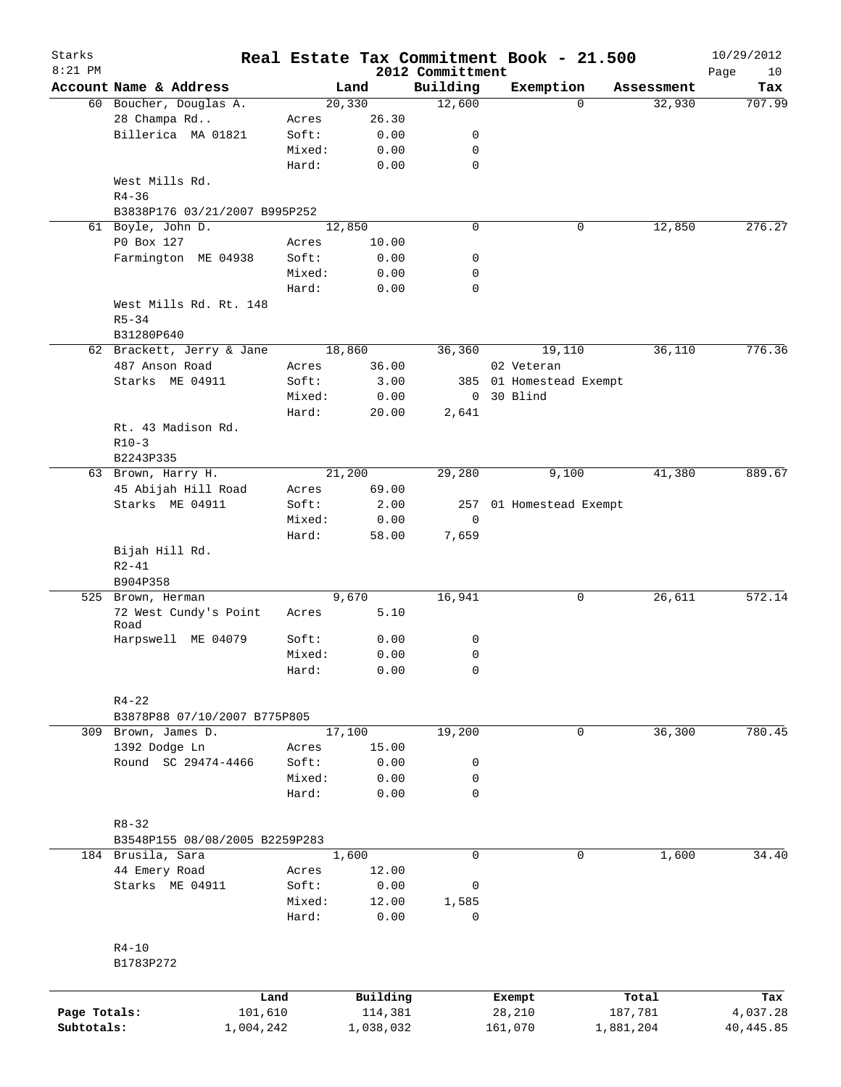| Starks<br>$8:21$ PM |                                |                 |                     |                              | Real Estate Tax Commitment Book - 21.500 |                  | 10/29/2012        |
|---------------------|--------------------------------|-----------------|---------------------|------------------------------|------------------------------------------|------------------|-------------------|
|                     | Account Name & Address         |                 | Land                | 2012 Committment<br>Building | Exemption                                | Assessment       | Page<br>10<br>Tax |
|                     | 60 Boucher, Douglas A.         |                 | 20,330              | 12,600                       | $\Omega$                                 | 32,930           | 707.99            |
|                     | 28 Champa Rd                   | Acres           | 26.30               |                              |                                          |                  |                   |
|                     | Billerica MA 01821             | Soft:           | 0.00                | 0                            |                                          |                  |                   |
|                     |                                | Mixed:          | 0.00                | 0                            |                                          |                  |                   |
|                     |                                | Hard:           | 0.00                | $\mathbf 0$                  |                                          |                  |                   |
|                     | West Mills Rd.                 |                 |                     |                              |                                          |                  |                   |
|                     | $R4 - 36$                      |                 |                     |                              |                                          |                  |                   |
|                     | B3838P176 03/21/2007 B995P252  |                 |                     |                              |                                          |                  |                   |
|                     | 61 Boyle, John D.              |                 | 12,850              | $\mathbf 0$                  | 0                                        | 12,850           | 276.27            |
|                     | P0 Box 127                     | Acres           | 10.00               |                              |                                          |                  |                   |
|                     | Farmington ME 04938            | Soft:           | 0.00                | 0                            |                                          |                  |                   |
|                     |                                | Mixed:          | 0.00                | 0                            |                                          |                  |                   |
|                     |                                | Hard:           | 0.00                | $\mathbf 0$                  |                                          |                  |                   |
|                     | West Mills Rd. Rt. 148         |                 |                     |                              |                                          |                  |                   |
|                     | $R5 - 34$                      |                 |                     |                              |                                          |                  |                   |
|                     | B31280P640                     |                 |                     |                              |                                          |                  |                   |
|                     | 62 Brackett, Jerry & Jane      |                 | 18,860              | 36,360                       | 19,110                                   | 36,110           | 776.36            |
|                     | 487 Anson Road                 | Acres           | 36.00               |                              | 02 Veteran                               |                  |                   |
|                     | Starks ME 04911                | Soft:           | 3.00                |                              | 385 01 Homestead Exempt                  |                  |                   |
|                     |                                | Mixed:          | 0.00                |                              | 0 30 Blind                               |                  |                   |
|                     |                                | Hard:           | 20.00               | 2,641                        |                                          |                  |                   |
|                     | Rt. 43 Madison Rd.             |                 |                     |                              |                                          |                  |                   |
|                     | $R10-3$                        |                 |                     |                              |                                          |                  |                   |
|                     | B2243P335                      |                 |                     |                              |                                          |                  |                   |
|                     | 63 Brown, Harry H.             |                 | 21,200              | 29,280                       | 9,100                                    | 41,380           | 889.67            |
|                     | 45 Abijah Hill Road            | Acres           | 69.00               |                              |                                          |                  |                   |
|                     | Starks ME 04911                | Soft:           | 2.00                |                              | 257 01 Homestead Exempt                  |                  |                   |
|                     |                                | Mixed:          | 0.00                | $\mathbf 0$                  |                                          |                  |                   |
|                     |                                | Hard:           | 58.00               | 7,659                        |                                          |                  |                   |
|                     | Bijah Hill Rd.                 |                 |                     |                              |                                          |                  |                   |
|                     | $R2 - 41$                      |                 |                     |                              |                                          |                  |                   |
|                     | B904P358                       |                 |                     |                              |                                          |                  |                   |
|                     | 525 Brown, Herman              |                 | 9,670               | 16,941                       | 0                                        | 26,611           | 572.14            |
|                     | 72 West Cundy's Point<br>Road  | Acres           | 5.10                |                              |                                          |                  |                   |
|                     | Harpswell ME 04079             | Soft:           | 0.00                | 0                            |                                          |                  |                   |
|                     |                                | Mixed:          | 0.00                | $\mathbf 0$                  |                                          |                  |                   |
|                     |                                | Hard:           | 0.00                | 0                            |                                          |                  |                   |
|                     | $R4 - 22$                      |                 |                     |                              |                                          |                  |                   |
|                     | B3878P88 07/10/2007 B775P805   |                 |                     |                              |                                          |                  |                   |
|                     | 309 Brown, James D.            |                 | 17,100              | 19,200                       | 0                                        | 36,300           | 780.45            |
|                     | 1392 Dodge Ln                  |                 | 15.00               |                              |                                          |                  |                   |
|                     | Round SC 29474-4466            | Acres<br>Soft:  |                     |                              |                                          |                  |                   |
|                     |                                |                 | 0.00                | 0                            |                                          |                  |                   |
|                     |                                | Mixed:<br>Hard: | 0.00<br>0.00        | 0<br>0                       |                                          |                  |                   |
|                     |                                |                 |                     |                              |                                          |                  |                   |
|                     | $R8 - 32$                      |                 |                     |                              |                                          |                  |                   |
|                     |                                |                 |                     |                              |                                          |                  |                   |
|                     | B3548P155 08/08/2005 B2259P283 |                 |                     |                              |                                          |                  |                   |
|                     | 184 Brusila, Sara              |                 | 1,600               | $\mathbf 0$                  | 0                                        | 1,600            | 34.40             |
|                     | 44 Emery Road                  | Acres           | 12.00               |                              |                                          |                  |                   |
|                     | Starks ME 04911                | Soft:           | 0.00                | 0                            |                                          |                  |                   |
|                     |                                | Mixed:<br>Hard: | 12.00<br>0.00       | 1,585<br>0                   |                                          |                  |                   |
|                     |                                |                 |                     |                              |                                          |                  |                   |
|                     | $R4-10$                        |                 |                     |                              |                                          |                  |                   |
|                     | B1783P272                      |                 |                     |                              |                                          |                  |                   |
|                     |                                |                 |                     |                              |                                          |                  |                   |
| Page Totals:        | 101,610                        | Land            | Building<br>114,381 |                              | Exempt<br>28,210                         | Total<br>187,781 | Tax<br>4,037.28   |
| Subtotals:          |                                |                 |                     |                              |                                          |                  |                   |
|                     | 1,004,242                      |                 | 1,038,032           |                              | 161,070                                  | 1,881,204        | 40, 445.85        |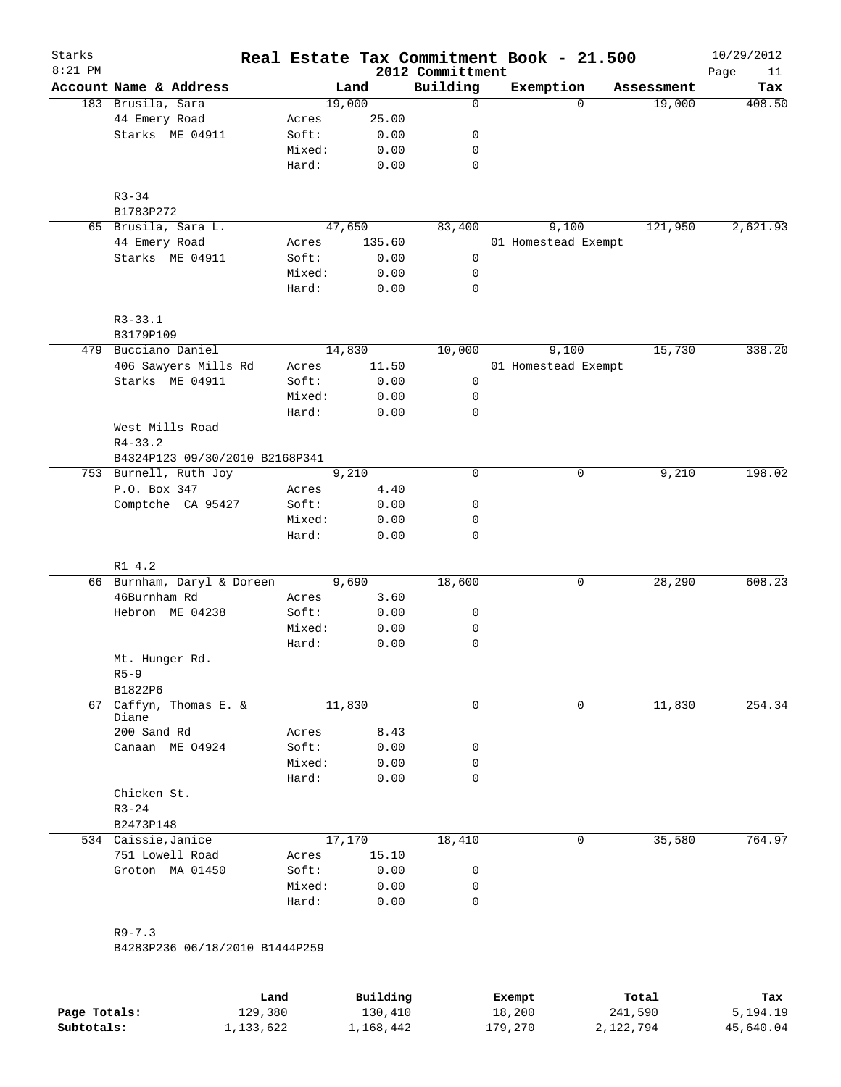| Starks<br>$8:21$ PM |                                |        |        | 2012 Committment | Real Estate Tax Commitment Book - 21.500 |            | 10/29/2012<br>11<br>Page |
|---------------------|--------------------------------|--------|--------|------------------|------------------------------------------|------------|--------------------------|
|                     | Account Name & Address         |        | Land   | Building         | Exemption                                | Assessment | Tax                      |
|                     | 183 Brusila, Sara              | 19,000 |        | $\mathbf 0$      | $\Omega$                                 | 19,000     | 408.50                   |
|                     | 44 Emery Road                  | Acres  | 25.00  |                  |                                          |            |                          |
|                     | Starks ME 04911                | Soft:  | 0.00   | 0                |                                          |            |                          |
|                     |                                | Mixed: | 0.00   | 0                |                                          |            |                          |
|                     |                                | Hard:  | 0.00   | $\mathbf 0$      |                                          |            |                          |
|                     |                                |        |        |                  |                                          |            |                          |
|                     | $R3 - 34$                      |        |        |                  |                                          |            |                          |
|                     | B1783P272                      |        |        |                  |                                          |            |                          |
|                     | 65 Brusila, Sara L.            | 47,650 |        | 83,400           | 9,100                                    | 121,950    | 2,621.93                 |
|                     | 44 Emery Road                  | Acres  | 135.60 |                  | 01 Homestead Exempt                      |            |                          |
|                     | Starks ME 04911                | Soft:  | 0.00   | 0                |                                          |            |                          |
|                     |                                | Mixed: | 0.00   | 0                |                                          |            |                          |
|                     |                                | Hard:  | 0.00   | $\mathbf 0$      |                                          |            |                          |
|                     | $R3 - 33.1$                    |        |        |                  |                                          |            |                          |
|                     | B3179P109                      |        |        |                  |                                          |            |                          |
|                     | 479 Bucciano Daniel            | 14,830 |        | 10,000           | 9,100                                    | 15,730     | 338.20                   |
|                     | 406 Sawyers Mills Rd           | Acres  | 11.50  |                  | 01 Homestead Exempt                      |            |                          |
|                     | Starks ME 04911                | Soft:  | 0.00   | 0                |                                          |            |                          |
|                     |                                | Mixed: | 0.00   | 0                |                                          |            |                          |
|                     |                                | Hard:  | 0.00   | $\mathbf 0$      |                                          |            |                          |
|                     | West Mills Road                |        |        |                  |                                          |            |                          |
|                     | $R4 - 33.2$                    |        |        |                  |                                          |            |                          |
|                     | B4324P123 09/30/2010 B2168P341 |        |        |                  |                                          |            |                          |
|                     | 753 Burnell, Ruth Joy          |        | 9,210  | $\mathbf 0$      | 0                                        | 9,210      | 198.02                   |
|                     | P.O. Box 347                   | Acres  | 4.40   |                  |                                          |            |                          |
|                     | Comptche CA 95427              | Soft:  | 0.00   | 0                |                                          |            |                          |
|                     |                                | Mixed: | 0.00   | 0                |                                          |            |                          |
|                     |                                | Hard:  | 0.00   | 0                |                                          |            |                          |
|                     |                                |        |        |                  |                                          |            |                          |
|                     | R1 4.2                         |        |        |                  |                                          |            |                          |
|                     | 66 Burnham, Daryl & Doreen     |        | 9,690  | 18,600           | 0                                        | 28,290     | 608.23                   |
|                     | 46Burnham Rd                   | Acres  | 3.60   |                  |                                          |            |                          |
|                     | Hebron ME 04238                | Soft:  | 0.00   | 0                |                                          |            |                          |
|                     |                                | Mixed: | 0.00   | 0                |                                          |            |                          |
|                     |                                | Hard:  | 0.00   | 0                |                                          |            |                          |
|                     | Mt. Hunger Rd.                 |        |        |                  |                                          |            |                          |
|                     | $R5 - 9$                       |        |        |                  |                                          |            |                          |
| 67                  | B1822P6<br>Caffyn, Thomas E. & | 11,830 |        | $\mathbf 0$      | $\Omega$                                 | 11,830     | 254.34                   |
|                     | Diane                          |        |        |                  |                                          |            |                          |
|                     | 200 Sand Rd                    | Acres  | 8.43   |                  |                                          |            |                          |
|                     | Canaan ME 04924                | Soft:  | 0.00   | 0                |                                          |            |                          |
|                     |                                | Mixed: | 0.00   | 0                |                                          |            |                          |
|                     |                                | Hard:  | 0.00   | 0                |                                          |            |                          |
|                     | Chicken St.                    |        |        |                  |                                          |            |                          |
|                     |                                |        |        |                  |                                          |            |                          |
|                     | $R3 - 24$                      |        |        |                  |                                          |            |                          |
|                     | B2473P148                      |        |        |                  |                                          |            |                          |
|                     | 534 Caissie, Janice            | 17,170 |        | 18,410           | 0                                        | 35,580     |                          |
|                     | 751 Lowell Road                | Acres  | 15.10  |                  |                                          |            |                          |
|                     | Groton MA 01450                | Soft:  | 0.00   | 0                |                                          |            |                          |
|                     |                                | Mixed: | 0.00   | 0                |                                          |            | 764.97                   |

B4283P236 06/18/2010 B1444P259

|              | Land      | Building  | Exempt  | Total     | Tax       |
|--------------|-----------|-----------|---------|-----------|-----------|
| Page Totals: | 129,380   | 130,410   | 18,200  | 241,590   | 5,194.19  |
| Subtotals:   | 1,133,622 | 1,168,442 | 179,270 | 2,122,794 | 45,640.04 |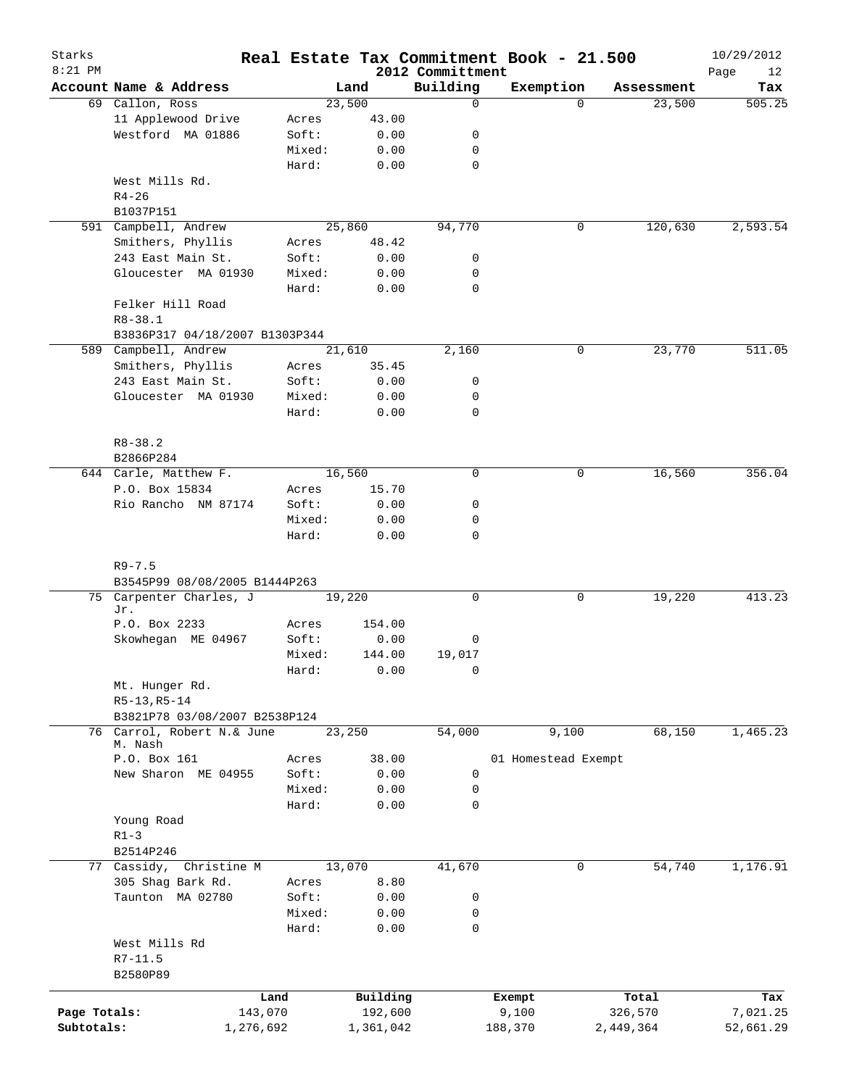| Starks<br>$8:21$ PM |                                       |           |           | 2012 Committment | Real Estate Tax Commitment Book - 21.500 |            | 10/29/2012        |
|---------------------|---------------------------------------|-----------|-----------|------------------|------------------------------------------|------------|-------------------|
|                     | Account Name & Address                |           | Land      | Building         | Exemption                                | Assessment | Page<br>12<br>Tax |
|                     | 69 Callon, Ross                       |           | 23,500    | $\mathbf 0$      | $\Omega$                                 | 23,500     | 505.25            |
|                     | 11 Applewood Drive                    | Acres     | 43.00     |                  |                                          |            |                   |
|                     | Westford MA 01886                     | Soft:     | 0.00      | 0                |                                          |            |                   |
|                     |                                       | Mixed:    | 0.00      | 0                |                                          |            |                   |
|                     |                                       | Hard:     | 0.00      | $\mathbf 0$      |                                          |            |                   |
|                     | West Mills Rd.                        |           |           |                  |                                          |            |                   |
|                     | $R4 - 26$                             |           |           |                  |                                          |            |                   |
|                     | B1037P151                             |           |           |                  |                                          |            |                   |
|                     | 591 Campbell, Andrew                  |           | 25,860    | 94,770           | 0                                        | 120,630    | 2,593.54          |
|                     | Smithers, Phyllis                     | Acres     | 48.42     |                  |                                          |            |                   |
|                     | 243 East Main St.                     | Soft:     | 0.00      | 0                |                                          |            |                   |
|                     | Gloucester MA 01930                   | Mixed:    | 0.00      | 0                |                                          |            |                   |
|                     |                                       | Hard:     | 0.00      | 0                |                                          |            |                   |
|                     | Felker Hill Road                      |           |           |                  |                                          |            |                   |
|                     | $R8 - 38.1$                           |           |           |                  |                                          |            |                   |
|                     | B3836P317 04/18/2007 B1303P344        |           |           |                  |                                          |            |                   |
|                     | 589 Campbell, Andrew                  |           | 21,610    | 2,160            | 0                                        | 23,770     | 511.05            |
|                     | Smithers, Phyllis                     | Acres     | 35.45     |                  |                                          |            |                   |
|                     | 243 East Main St.                     | Soft:     | 0.00      | 0                |                                          |            |                   |
|                     | Gloucester MA 01930                   | Mixed:    | 0.00      | 0                |                                          |            |                   |
|                     |                                       | Hard:     | 0.00      | $\mathbf 0$      |                                          |            |                   |
|                     |                                       |           |           |                  |                                          |            |                   |
|                     | $R8 - 38.2$                           |           |           |                  |                                          |            |                   |
|                     | B2866P284                             |           |           |                  |                                          |            |                   |
|                     | 644 Carle, Matthew F.                 |           | 16,560    | $\mathbf 0$      | 0                                        | 16,560     | 356.04            |
|                     | P.O. Box 15834                        | Acres     | 15.70     |                  |                                          |            |                   |
|                     | Rio Rancho NM 87174                   | Soft:     | 0.00      | 0                |                                          |            |                   |
|                     |                                       | Mixed:    | 0.00      | 0                |                                          |            |                   |
|                     |                                       | Hard:     | 0.00      | $\mathbf 0$      |                                          |            |                   |
|                     |                                       |           |           |                  |                                          |            |                   |
|                     | $R9 - 7.5$                            |           |           |                  |                                          |            |                   |
|                     | B3545P99 08/08/2005 B1444P263         |           |           |                  |                                          |            |                   |
|                     | 75 Carpenter Charles, J               |           | 19,220    | 0                | 0                                        | 19,220     | 413.23            |
|                     | Jr.                                   |           |           |                  |                                          |            |                   |
|                     | P.O. Box 2233                         | Acres     | 154.00    |                  |                                          |            |                   |
|                     | Skowhegan ME 04967                    | Soft:     | 0.00      | 0                |                                          |            |                   |
|                     |                                       | Mixed:    | 144.00    | 19,017           |                                          |            |                   |
|                     |                                       | Hard:     | 0.00      | 0                |                                          |            |                   |
|                     | Mt. Hunger Rd.                        |           |           |                  |                                          |            |                   |
|                     | $R5-13, R5-14$                        |           |           |                  |                                          |            |                   |
|                     | B3821P78 03/08/2007 B2538P124         |           |           |                  |                                          |            |                   |
|                     | 76 Carrol, Robert N.& June<br>M. Nash |           | 23,250    | 54,000           | 9,100                                    | 68,150     | 1, 465.23         |
|                     | P.O. Box 161                          | Acres     | 38.00     |                  | 01 Homestead Exempt                      |            |                   |
|                     | New Sharon ME 04955                   | Soft:     | 0.00      | 0                |                                          |            |                   |
|                     |                                       | Mixed:    | 0.00      | 0                |                                          |            |                   |
|                     |                                       | Hard:     | 0.00      | $\mathbf 0$      |                                          |            |                   |
|                     | Young Road                            |           |           |                  |                                          |            |                   |
|                     | $R1 - 3$                              |           |           |                  |                                          |            |                   |
|                     | B2514P246                             |           |           |                  |                                          |            |                   |
|                     | 77 Cassidy, Christine M               |           | 13,070    | 41,670           | 0                                        | 54,740     | 1,176.91          |
|                     | 305 Shag Bark Rd.                     | Acres     | 8.80      |                  |                                          |            |                   |
|                     | Taunton MA 02780                      | Soft:     | 0.00      | 0                |                                          |            |                   |
|                     |                                       | Mixed:    | 0.00      | 0                |                                          |            |                   |
|                     |                                       | Hard:     | 0.00      | 0                |                                          |            |                   |
|                     | West Mills Rd                         |           |           |                  |                                          |            |                   |
|                     | $R7 - 11.5$                           |           |           |                  |                                          |            |                   |
|                     | B2580P89                              |           |           |                  |                                          |            |                   |
|                     |                                       |           |           |                  |                                          |            |                   |
|                     |                                       | Land      | Building  |                  | Exempt                                   | Total      | Tax               |
| Page Totals:        |                                       | 143,070   | 192,600   |                  | 9,100                                    | 326,570    | 7,021.25          |
| Subtotals:          |                                       | 1,276,692 | 1,361,042 |                  | 188,370                                  | 2,449,364  | 52,661.29         |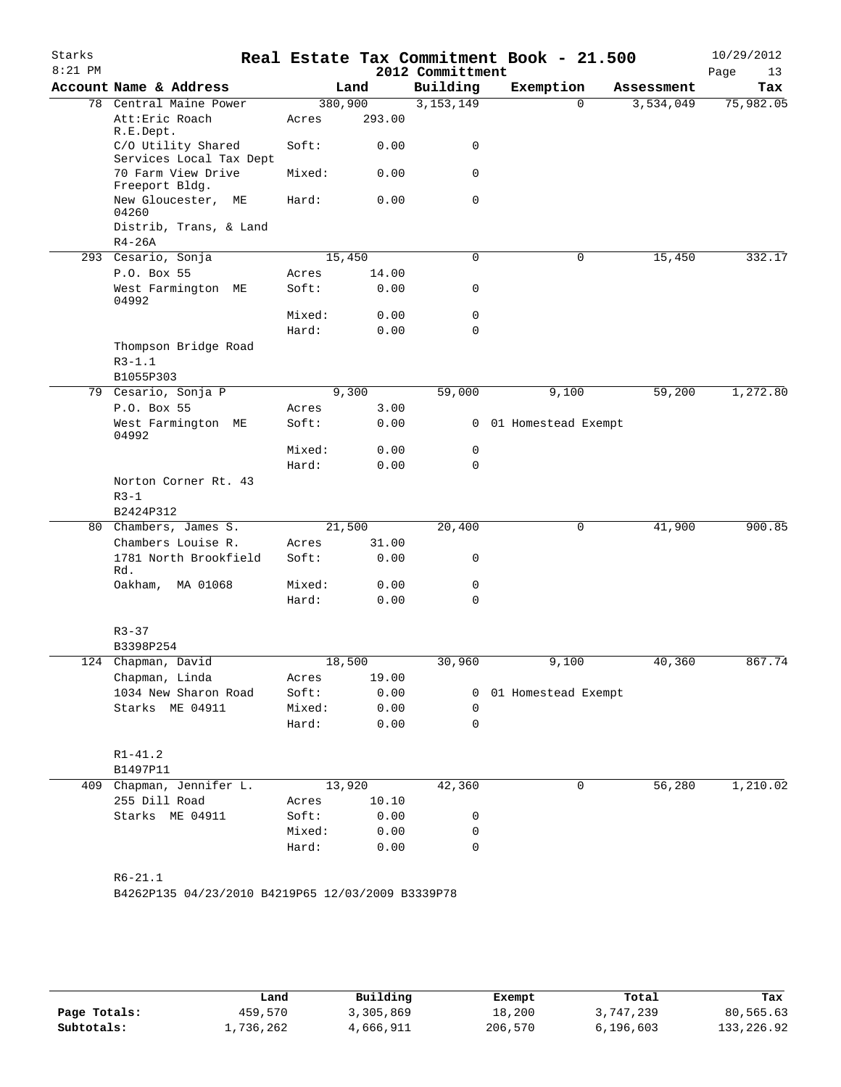| Starks<br>$8:21$ PM |                                                    |                |               | 2012 Committment | Real Estate Tax Commitment Book - 21.500 |            | 10/29/2012<br>Page<br>13 |
|---------------------|----------------------------------------------------|----------------|---------------|------------------|------------------------------------------|------------|--------------------------|
|                     | Account Name & Address                             |                | Land          | Building         | Exemption                                | Assessment | Tax                      |
| 78                  | Central Maine Power                                | 380,900        |               | 3,153,149        | 0                                        | 3,534,049  | 75,982.05                |
|                     | Att: Eric Roach<br>R.E.Dept.                       | Acres          | 293.00        |                  |                                          |            |                          |
|                     | C/O Utility Shared<br>Services Local Tax Dept      | Soft:          | 0.00          | 0                |                                          |            |                          |
|                     | 70 Farm View Drive<br>Freeport Bldg.               | Mixed:         | 0.00          | 0                |                                          |            |                          |
|                     | New Gloucester,<br>МE<br>04260                     | Hard:          | 0.00          | 0                |                                          |            |                          |
|                     | Distrib, Trans, & Land<br>$R4-26A$                 |                |               |                  |                                          |            |                          |
|                     | 293 Cesario, Sonja                                 | 15,450         |               | $\Omega$         | 0                                        | 15,450     | 332.17                   |
|                     | P.O. Box 55                                        | Acres          | 14.00         |                  |                                          |            |                          |
|                     | West Farmington ME<br>04992                        | Soft:          | 0.00          | 0                |                                          |            |                          |
|                     |                                                    | Mixed:         | 0.00          | 0                |                                          |            |                          |
|                     |                                                    | Hard:          | 0.00          | 0                |                                          |            |                          |
|                     | Thompson Bridge Road                               |                |               |                  |                                          |            |                          |
|                     | $R3 - 1.1$                                         |                |               |                  |                                          |            |                          |
|                     | B1055P303                                          |                |               |                  |                                          |            |                          |
|                     | 79 Cesario, Sonja P                                |                | 9,300         | 59,000           | 9,100                                    | 59,200     | 1,272.80                 |
|                     | P.O. Box 55                                        | Acres          | 3.00          |                  |                                          |            |                          |
|                     | West Farmington ME<br>04992                        | Soft:          | 0.00          |                  | 0 01 Homestead Exempt                    |            |                          |
|                     |                                                    | Mixed:         | 0.00          | 0                |                                          |            |                          |
|                     |                                                    | Hard:          | 0.00          | 0                |                                          |            |                          |
|                     | Norton Corner Rt. 43                               |                |               |                  |                                          |            |                          |
|                     | $R3-1$                                             |                |               |                  |                                          |            |                          |
|                     | B2424P312                                          |                |               |                  |                                          |            |                          |
|                     | 80 Chambers, James S.                              | 21,500         |               | 20,400           | 0                                        | 41,900     | 900.85                   |
|                     | Chambers Louise R.<br>1781 North Brookfield<br>Rd. | Acres<br>Soft: | 31.00<br>0.00 | 0                |                                          |            |                          |
|                     | Oakham,<br>MA 01068                                | Mixed:         | 0.00          | 0                |                                          |            |                          |
|                     |                                                    | Hard:          | 0.00          | 0                |                                          |            |                          |
|                     | $R3 - 37$                                          |                |               |                  |                                          |            |                          |
|                     | B3398P254                                          |                |               |                  |                                          |            |                          |
| 124                 | Chapman, David                                     | 18,500         |               | 30,960           | 9,100                                    | 40,360     | 867.74                   |
|                     | Chapman, Linda                                     | Acres          | 19.00         |                  |                                          |            |                          |
|                     | 1034 New Sharon Road                               | Soft: 0.00     |               |                  | 0 01 Homestead Exempt                    |            |                          |
|                     | Starks ME 04911                                    | Mixed: 0.00    |               | $\mathbf 0$      |                                          |            |                          |
|                     |                                                    | Hard: 0.00     |               | $\mathbf 0$      |                                          |            |                          |
|                     | $R1 - 41.2$                                        |                |               |                  |                                          |            |                          |
|                     | B1497P11                                           |                |               |                  |                                          |            |                          |
|                     | 409 Chapman, Jennifer L.                           |                | 13,920        | 42,360           | 0                                        | 56,280     | 1,210.02                 |
|                     | 255 Dill Road                                      | Acres 10.10    |               |                  |                                          |            |                          |
|                     | Starks ME 04911                                    | Soft:          | 0.00          | 0                |                                          |            |                          |
|                     |                                                    | Mixed:         | 0.00          | 0                |                                          |            |                          |
|                     |                                                    | Hard:          | 0.00          | 0                |                                          |            |                          |
|                     |                                                    |                |               |                  |                                          |            |                          |
|                     | $R6 - 21.1$                                        |                |               |                  |                                          |            |                          |
|                     | B4262P135 04/23/2010 B4219P65 12/03/2009 B3339P78  |                |               |                  |                                          |            |                          |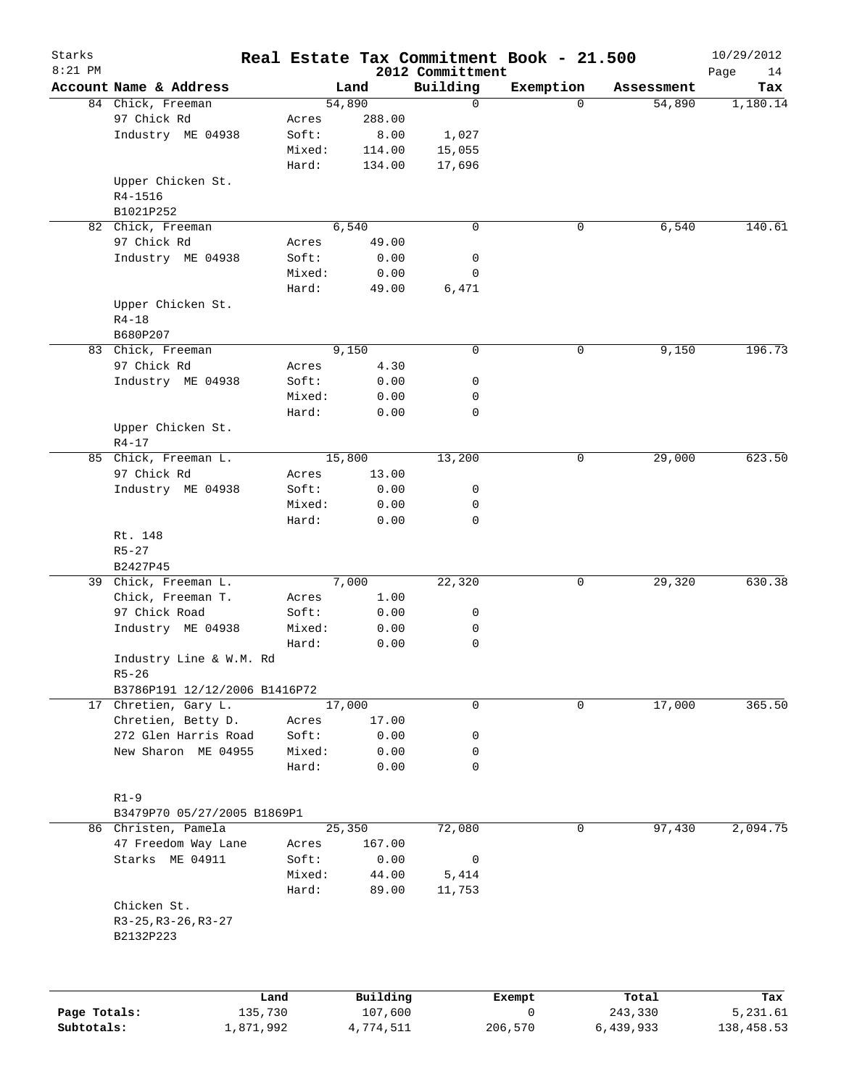| Starks       |                               |                 |        |                     |                              | Real Estate Tax Commitment Book - 21.500 |                  | 10/29/2012        |
|--------------|-------------------------------|-----------------|--------|---------------------|------------------------------|------------------------------------------|------------------|-------------------|
| $8:21$ PM    | Account Name & Address        |                 |        | Land                | 2012 Committment<br>Building | Exemption                                | Assessment       | Page<br>14<br>Tax |
|              | 84 Chick, Freeman             |                 |        | 54,890              | $\mathbf 0$                  | $\Omega$                                 | 54,890           | 1,180.14          |
|              | 97 Chick Rd                   |                 | Acres  | 288.00              |                              |                                          |                  |                   |
|              | Industry ME 04938             |                 | Soft:  | 8.00                | 1,027                        |                                          |                  |                   |
|              |                               |                 | Mixed: | 114.00              | 15,055                       |                                          |                  |                   |
|              |                               |                 | Hard:  | 134.00              | 17,696                       |                                          |                  |                   |
|              | Upper Chicken St.             |                 |        |                     |                              |                                          |                  |                   |
|              | R4-1516                       |                 |        |                     |                              |                                          |                  |                   |
|              | B1021P252                     |                 |        |                     |                              |                                          |                  |                   |
|              | 82 Chick, Freeman             |                 |        | 6,540               | $\mathbf 0$                  | 0                                        | 6,540            | 140.61            |
|              | 97 Chick Rd                   |                 | Acres  | 49.00               |                              |                                          |                  |                   |
|              | Industry ME 04938             |                 | Soft:  | 0.00                | 0                            |                                          |                  |                   |
|              |                               |                 | Mixed: | 0.00                | 0                            |                                          |                  |                   |
|              |                               |                 | Hard:  | 49.00               | 6,471                        |                                          |                  |                   |
|              | Upper Chicken St.             |                 |        |                     |                              |                                          |                  |                   |
|              | $R4 - 18$                     |                 |        |                     |                              |                                          |                  |                   |
|              | B680P207                      |                 |        |                     |                              |                                          |                  |                   |
|              | 83 Chick, Freeman             |                 |        | 9,150               | $\mathbf 0$                  | 0                                        | 9,150            | 196.73            |
|              | 97 Chick Rd                   |                 | Acres  | 4.30                |                              |                                          |                  |                   |
|              | Industry ME 04938             |                 | Soft:  | 0.00                | 0                            |                                          |                  |                   |
|              |                               |                 |        |                     |                              |                                          |                  |                   |
|              |                               |                 | Mixed: | 0.00                | 0                            |                                          |                  |                   |
|              |                               |                 | Hard:  | 0.00                | $\mathbf 0$                  |                                          |                  |                   |
|              | Upper Chicken St.             |                 |        |                     |                              |                                          |                  |                   |
|              | $R4 - 17$                     |                 |        |                     |                              |                                          |                  |                   |
|              | 85 Chick, Freeman L.          |                 |        | 15,800              | 13,200                       | 0                                        | 29,000           | 623.50            |
|              | 97 Chick Rd                   |                 | Acres  | 13.00               |                              |                                          |                  |                   |
|              | Industry ME 04938             |                 | Soft:  | 0.00                | 0                            |                                          |                  |                   |
|              |                               |                 | Mixed: | 0.00                | 0                            |                                          |                  |                   |
|              |                               |                 | Hard:  | 0.00                | $\mathbf 0$                  |                                          |                  |                   |
|              | Rt. 148                       |                 |        |                     |                              |                                          |                  |                   |
|              | $R5 - 27$                     |                 |        |                     |                              |                                          |                  |                   |
|              | B2427P45                      |                 |        |                     |                              |                                          |                  |                   |
| 39           | Chick, Freeman L.             |                 |        | 7,000               | 22,320                       | 0                                        | 29,320           | 630.38            |
|              | Chick, Freeman T.             |                 | Acres  | 1.00                |                              |                                          |                  |                   |
|              | 97 Chick Road                 |                 | Soft:  | 0.00                | 0                            |                                          |                  |                   |
|              | Industry ME 04938             |                 | Mixed: | 0.00                | 0                            |                                          |                  |                   |
|              |                               |                 | Hard:  | 0.00                | 0                            |                                          |                  |                   |
|              | Industry Line & W.M. Rd       |                 |        |                     |                              |                                          |                  |                   |
|              | $R5 - 26$                     |                 |        |                     |                              |                                          |                  |                   |
|              | B3786P191 12/12/2006 B1416P72 |                 |        |                     |                              |                                          |                  |                   |
|              | 17 Chretien, Gary L.          |                 |        | 17,000              | 0                            | 0                                        | 17,000           | 365.50            |
|              | Chretien, Betty D.            |                 | Acres  | 17.00               |                              |                                          |                  |                   |
|              | 272 Glen Harris Road          |                 | Soft:  | 0.00                | 0                            |                                          |                  |                   |
|              | New Sharon ME 04955           |                 | Mixed: | 0.00                | 0                            |                                          |                  |                   |
|              |                               |                 | Hard:  | 0.00                | $\mathbf 0$                  |                                          |                  |                   |
|              |                               |                 |        |                     |                              |                                          |                  |                   |
|              | $R1-9$                        |                 |        |                     |                              |                                          |                  |                   |
|              | B3479P70 05/27/2005 B1869P1   |                 |        |                     |                              |                                          |                  |                   |
|              | 86 Christen, Pamela           |                 |        | 25,350              | 72,080                       | 0                                        | 97,430           | 2,094.75          |
|              | 47 Freedom Way Lane           |                 | Acres  | 167.00              |                              |                                          |                  |                   |
|              | Starks ME 04911               |                 | Soft:  | 0.00                | 0                            |                                          |                  |                   |
|              |                               |                 | Mixed: | 44.00               | 5,414                        |                                          |                  |                   |
|              |                               |                 | Hard:  | 89.00               | 11,753                       |                                          |                  |                   |
|              | Chicken St.                   |                 |        |                     |                              |                                          |                  |                   |
|              | $R3-25, R3-26, R3-27$         |                 |        |                     |                              |                                          |                  |                   |
|              | B2132P223                     |                 |        |                     |                              |                                          |                  |                   |
|              |                               |                 |        |                     |                              |                                          |                  |                   |
|              |                               |                 |        |                     |                              |                                          |                  |                   |
| Page Totals: |                               | Land<br>135,730 |        | Building<br>107,600 |                              | Exempt<br>0                              | Total<br>243,330 | Tax<br>5,231.61   |
| Subtotals:   |                               | 1,871,992       |        | 4,774,511           |                              | 206,570                                  | 6,439,933        | 138,458.53        |
|              |                               |                 |        |                     |                              |                                          |                  |                   |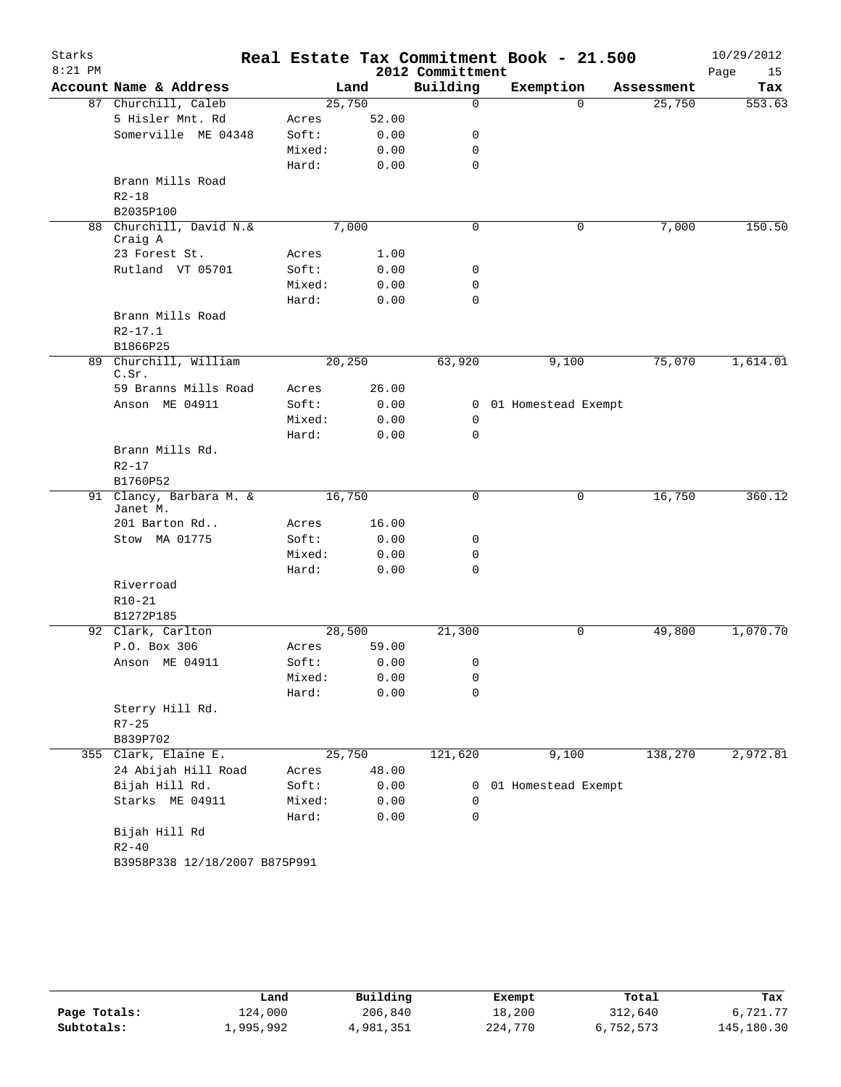| Starks    |                                 |        |       |                  | Real Estate Tax Commitment Book - 21.500 |            | 10/29/2012 |
|-----------|---------------------------------|--------|-------|------------------|------------------------------------------|------------|------------|
| $8:21$ PM |                                 |        |       | 2012 Committment |                                          |            | Page<br>15 |
|           | Account Name & Address          |        | Land  | Building         | Exemption                                | Assessment | Tax        |
|           | 87 Churchill, Caleb             | 25,750 |       | $\mathbf 0$      | $\Omega$                                 | 25,750     | 553.63     |
|           | 5 Hisler Mnt. Rd                | Acres  | 52.00 |                  |                                          |            |            |
|           | Somerville ME 04348             | Soft:  | 0.00  | 0                |                                          |            |            |
|           |                                 | Mixed: | 0.00  | 0                |                                          |            |            |
|           |                                 | Hard:  | 0.00  | $\mathbf 0$      |                                          |            |            |
|           | Brann Mills Road                |        |       |                  |                                          |            |            |
|           | $R2 - 18$                       |        |       |                  |                                          |            |            |
|           | B2035P100                       |        |       |                  |                                          |            |            |
| 88        | Churchill, David N.&<br>Craig A |        | 7,000 | $\mathbf 0$      | 0                                        | 7,000      | 150.50     |
|           | 23 Forest St.                   | Acres  | 1.00  |                  |                                          |            |            |
|           | Rutland VT 05701                | Soft:  | 0.00  | 0                |                                          |            |            |
|           |                                 | Mixed: | 0.00  | 0                |                                          |            |            |
|           |                                 | Hard:  | 0.00  | $\mathbf 0$      |                                          |            |            |
|           | Brann Mills Road                |        |       |                  |                                          |            |            |
|           | $R2 - 17.1$                     |        |       |                  |                                          |            |            |
|           | B1866P25                        |        |       |                  |                                          |            |            |
|           | 89 Churchill, William           | 20,250 |       | 63,920           | 9,100                                    | 75,070     | 1,614.01   |
|           | C.Sr.                           |        |       |                  |                                          |            |            |
|           | 59 Branns Mills Road            | Acres  | 26.00 |                  |                                          |            |            |
|           | Anson ME 04911                  | Soft:  | 0.00  |                  | 0 01 Homestead Exempt                    |            |            |
|           |                                 | Mixed: | 0.00  | 0                |                                          |            |            |
|           |                                 | Hard:  | 0.00  | $\Omega$         |                                          |            |            |
|           | Brann Mills Rd.                 |        |       |                  |                                          |            |            |
|           | $R2 - 17$                       |        |       |                  |                                          |            |            |
|           | B1760P52                        |        |       |                  |                                          |            |            |
|           | 91 Clancy, Barbara M. &         | 16,750 |       | 0                | 0                                        | 16,750     | 360.12     |
|           | Janet M.                        |        |       |                  |                                          |            |            |
|           | 201 Barton Rd                   | Acres  | 16.00 |                  |                                          |            |            |
|           | Stow MA 01775                   | Soft:  | 0.00  | 0                |                                          |            |            |
|           |                                 | Mixed: | 0.00  | 0                |                                          |            |            |
|           |                                 | Hard:  | 0.00  | 0                |                                          |            |            |
|           | Riverroad                       |        |       |                  |                                          |            |            |
|           | $R10 - 21$                      |        |       |                  |                                          |            |            |
|           | B1272P185                       |        |       |                  |                                          |            |            |
|           | 92 Clark, Carlton               | 28,500 |       | 21,300           | 0                                        | 49,800     | 1,070.70   |
|           | P.O. Box 306                    | Acres  | 59.00 |                  |                                          |            |            |
|           | Anson ME 04911                  | Soft:  | 0.00  | 0                |                                          |            |            |
|           |                                 | Mixed: | 0.00  | 0                |                                          |            |            |
|           |                                 | Hard:  | 0.00  | $\mathbf 0$      |                                          |            |            |
|           | Sterry Hill Rd.                 |        |       |                  |                                          |            |            |
|           | $R7 - 25$                       |        |       |                  |                                          |            |            |
|           | B839P702                        |        |       |                  |                                          |            |            |
|           | 355 Clark, Elaine E.            | 25,750 |       | 121,620          | 9,100                                    | 138,270    | 2,972.81   |
|           | 24 Abijah Hill Road             | Acres  | 48.00 |                  |                                          |            |            |
|           | Bijah Hill Rd.                  | Soft:  | 0.00  | 0                | 01 Homestead Exempt                      |            |            |
|           | Starks ME 04911                 | Mixed: | 0.00  | 0                |                                          |            |            |
|           |                                 | Hard:  | 0.00  | 0                |                                          |            |            |
|           | Bijah Hill Rd                   |        |       |                  |                                          |            |            |
|           | $R2 - 40$                       |        |       |                  |                                          |            |            |
|           | B3958P338 12/18/2007 B875P991   |        |       |                  |                                          |            |            |

|              | Land      | Building  | Exempt  | Total     | Tax        |
|--------------|-----------|-----------|---------|-----------|------------|
| Page Totals: | 124,000   | 206,840   | 18,200  | 312,640   | 6,721.77   |
| Subtotals:   | 1,995,992 | 4,981,351 | 224,770 | 6,752,573 | 145,180.30 |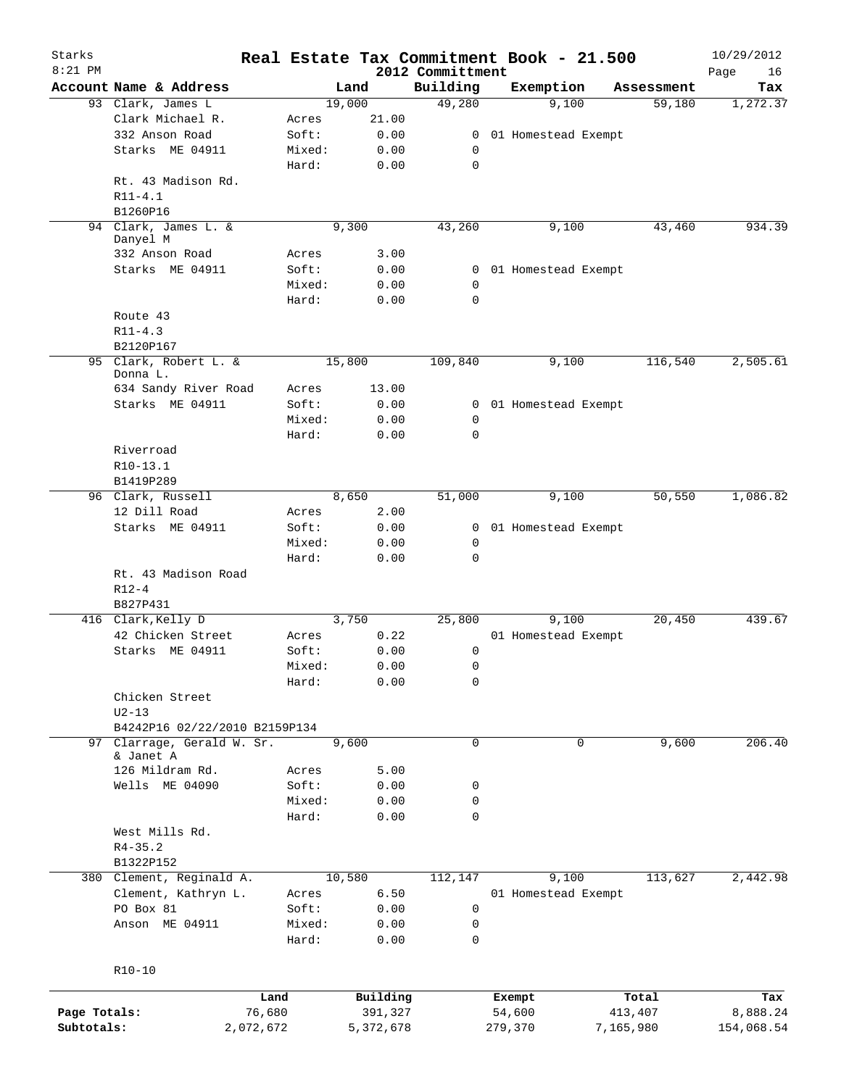|              |                                         |        |           |                              | Real Estate Tax Commitment Book - 21.500 |            | 10/29/2012        |
|--------------|-----------------------------------------|--------|-----------|------------------------------|------------------------------------------|------------|-------------------|
| $8:21$ PM    | Account Name & Address                  |        | Land      | 2012 Committment<br>Building | Exemption                                | Assessment | Page<br>16<br>Tax |
|              | 93 Clark, James L                       |        | 19,000    | 49,280                       | 9,100                                    | 59,180     | 1, 272.37         |
|              | Clark Michael R.                        | Acres  | 21.00     |                              |                                          |            |                   |
|              | 332 Anson Road                          | Soft:  | 0.00      | 0                            | 01 Homestead Exempt                      |            |                   |
|              | Starks ME 04911                         | Mixed: | 0.00      | 0                            |                                          |            |                   |
|              |                                         | Hard:  | 0.00      | $\mathbf 0$                  |                                          |            |                   |
|              | Rt. 43 Madison Rd.                      |        |           |                              |                                          |            |                   |
|              | $R11 - 4.1$                             |        |           |                              |                                          |            |                   |
|              | B1260P16                                |        |           |                              |                                          |            |                   |
|              | 94 Clark, James L. &                    |        | 9,300     |                              |                                          |            | 934.39            |
|              | Danyel M                                |        |           | 43,260                       | 9,100                                    | 43,460     |                   |
|              | 332 Anson Road                          | Acres  | 3.00      |                              |                                          |            |                   |
|              | Starks ME 04911                         | Soft:  | 0.00      |                              | 0 01 Homestead Exempt                    |            |                   |
|              |                                         | Mixed: | 0.00      | $\mathbf 0$                  |                                          |            |                   |
|              |                                         | Hard:  | 0.00      | $\mathbf 0$                  |                                          |            |                   |
|              |                                         |        |           |                              |                                          |            |                   |
|              | Route 43                                |        |           |                              |                                          |            |                   |
|              | $R11 - 4.3$                             |        |           |                              |                                          |            |                   |
|              | B2120P167                               |        |           |                              |                                          |            |                   |
|              | 95 Clark, Robert L. &<br>Donna L.       |        | 15,800    | 109,840                      | 9,100                                    | 116,540    | 2,505.61          |
|              | 634 Sandy River Road                    | Acres  | 13.00     |                              |                                          |            |                   |
|              |                                         |        |           |                              |                                          |            |                   |
|              | Starks ME 04911                         | Soft:  | 0.00      |                              | 0 01 Homestead Exempt                    |            |                   |
|              |                                         | Mixed: | 0.00      | 0                            |                                          |            |                   |
|              |                                         | Hard:  | 0.00      | $\Omega$                     |                                          |            |                   |
|              | Riverroad                               |        |           |                              |                                          |            |                   |
|              | R10-13.1                                |        |           |                              |                                          |            |                   |
|              | B1419P289                               |        |           |                              |                                          |            |                   |
|              | 96 Clark, Russell                       |        | 8,650     | 51,000                       | 9,100                                    | 50,550     | 1,086.82          |
|              | 12 Dill Road                            | Acres  | 2.00      |                              |                                          |            |                   |
|              | Starks ME 04911                         | Soft:  | 0.00      |                              | 0 01 Homestead Exempt                    |            |                   |
|              |                                         | Mixed: | 0.00      | $\mathbf 0$                  |                                          |            |                   |
|              |                                         | Hard:  | 0.00      | $\mathbf 0$                  |                                          |            |                   |
|              | Rt. 43 Madison Road                     |        |           |                              |                                          |            |                   |
|              | $R12 - 4$                               |        |           |                              |                                          |            |                   |
|              | B827P431                                |        |           |                              |                                          |            |                   |
|              | 416 Clark, Kelly D                      |        | 3,750     | 25,800                       | 9,100                                    | 20,450     | 439.67            |
|              | 42 Chicken Street                       | Acres  | 0.22      |                              | 01 Homestead Exempt                      |            |                   |
|              | Starks ME 04911                         | Soft:  | 0.00      | 0                            |                                          |            |                   |
|              |                                         | Mixed: | 0.00      | 0                            |                                          |            |                   |
|              |                                         | Hard:  | 0.00      | 0                            |                                          |            |                   |
|              | Chicken Street                          |        |           |                              |                                          |            |                   |
|              | $U2-13$                                 |        |           |                              |                                          |            |                   |
|              | B4242P16 02/22/2010 B2159P134           |        |           |                              |                                          |            |                   |
|              |                                         |        |           |                              |                                          |            |                   |
|              | 97 Clarrage, Gerald W. Sr.<br>& Janet A |        | 9,600     | $\mathbf 0$                  | $\mathbf 0$                              | 9,600      | 206.40            |
|              | 126 Mildram Rd.                         | Acres  | 5.00      |                              |                                          |            |                   |
|              | Wells ME 04090                          | Soft:  | 0.00      | 0                            |                                          |            |                   |
|              |                                         | Mixed: | 0.00      | 0                            |                                          |            |                   |
|              |                                         |        |           |                              |                                          |            |                   |
|              |                                         | Hard:  | 0.00      | 0                            |                                          |            |                   |
|              | West Mills Rd.                          |        |           |                              |                                          |            |                   |
|              | $R4 - 35.2$                             |        |           |                              |                                          |            |                   |
|              | B1322P152                               |        |           |                              |                                          |            |                   |
|              | 380 Clement, Reginald A.                |        | 10,580    | 112,147                      | 9,100                                    | 113,627    | 2,442.98          |
|              | Clement, Kathryn L.                     | Acres  | 6.50      |                              | 01 Homestead Exempt                      |            |                   |
|              | PO Box 81                               | Soft:  | 0.00      | 0                            |                                          |            |                   |
|              | Anson ME 04911                          | Mixed: | 0.00      | 0                            |                                          |            |                   |
|              |                                         | Hard:  | 0.00      | 0                            |                                          |            |                   |
|              |                                         |        |           |                              |                                          |            |                   |
|              | $R10-10$                                |        |           |                              |                                          |            |                   |
|              |                                         |        |           |                              |                                          |            |                   |
|              |                                         | Land   | Building  |                              | Exempt                                   | Total      | Tax               |
| Page Totals: | 76,680                                  |        | 391,327   |                              | 54,600                                   | 413,407    | 8,888.24          |
| Subtotals:   | 2,072,672                               |        | 5,372,678 |                              | 279,370                                  | 7,165,980  | 154,068.54        |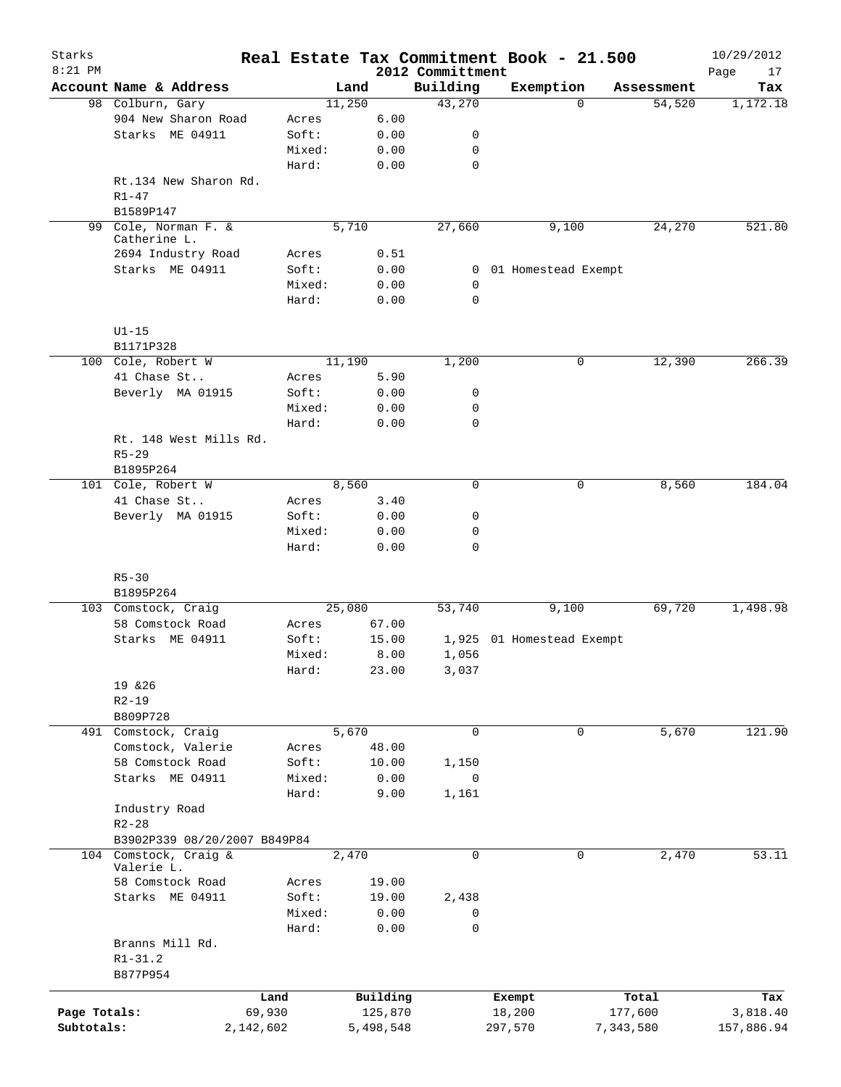| Starks       |                                       |                 |           |              |                              | Real Estate Tax Commitment Book - 21.500 |             |            | 10/29/2012        |
|--------------|---------------------------------------|-----------------|-----------|--------------|------------------------------|------------------------------------------|-------------|------------|-------------------|
| $8:21$ PM    | Account Name & Address                |                 | Land      |              | 2012 Committment<br>Building | Exemption                                |             | Assessment | Page<br>17<br>Tax |
|              | 98 Colburn, Gary                      |                 | 11,250    |              | 43,270                       |                                          | $\Omega$    | 54,520     | 1,172.18          |
|              | 904 New Sharon Road                   | Acres           |           | 6.00         |                              |                                          |             |            |                   |
|              | Starks ME 04911                       | Soft:           |           | 0.00         | 0                            |                                          |             |            |                   |
|              |                                       | Mixed:          |           | 0.00         | 0                            |                                          |             |            |                   |
|              |                                       | Hard:           |           | 0.00         | $\mathbf 0$                  |                                          |             |            |                   |
|              | Rt.134 New Sharon Rd.<br>$R1 - 47$    |                 |           |              |                              |                                          |             |            |                   |
|              | B1589P147                             |                 |           |              |                              |                                          |             |            |                   |
| 99           | Cole, Norman F. &<br>Catherine L.     |                 | 5,710     |              | 27,660                       | 9,100                                    |             | 24,270     | 521.80            |
|              | 2694 Industry Road<br>Starks ME 04911 | Acres<br>Soft:  |           | 0.51<br>0.00 |                              | 01 Homestead Exempt                      |             |            |                   |
|              |                                       | Mixed:          |           | 0.00         | 0<br>$\mathbf 0$             |                                          |             |            |                   |
|              |                                       | Hard:           |           | 0.00         | $\mathbf 0$                  |                                          |             |            |                   |
|              | $U1-15$                               |                 |           |              |                              |                                          |             |            |                   |
|              | B1171P328                             |                 |           |              |                              |                                          |             |            |                   |
|              | 100 Cole, Robert W                    |                 | 11,190    |              | 1,200                        |                                          | 0           | 12,390     | 266.39            |
|              | 41 Chase St                           | Acres           |           | 5.90         |                              |                                          |             |            |                   |
|              | Beverly MA 01915                      | Soft:           |           | 0.00         | 0                            |                                          |             |            |                   |
|              |                                       | Mixed:          |           | 0.00         | 0                            |                                          |             |            |                   |
|              |                                       | Hard:           |           | 0.00         | $\mathbf 0$                  |                                          |             |            |                   |
|              | Rt. 148 West Mills Rd.                |                 |           |              |                              |                                          |             |            |                   |
|              | $R5 - 29$                             |                 |           |              |                              |                                          |             |            |                   |
|              | B1895P264                             |                 |           |              |                              |                                          |             |            |                   |
|              | 101 Cole, Robert W                    |                 | 8,560     |              | 0                            |                                          | 0           | 8,560      | 184.04            |
|              | 41 Chase St                           | Acres           |           | 3.40         |                              |                                          |             |            |                   |
|              | Beverly MA 01915                      | Soft:           |           | 0.00         | 0                            |                                          |             |            |                   |
|              |                                       | Mixed:<br>Hard: |           | 0.00<br>0.00 | 0<br>0                       |                                          |             |            |                   |
|              | $R5 - 30$                             |                 |           |              |                              |                                          |             |            |                   |
|              | B1895P264                             |                 |           |              |                              |                                          |             |            |                   |
|              | 103 Comstock, Craig                   |                 | 25,080    |              | 53,740                       | 9,100                                    |             | 69,720     | 1,498.98          |
|              | 58 Comstock Road                      | Acres           | 67.00     |              |                              |                                          |             |            |                   |
|              | Starks ME 04911                       | Soft:           | 15.00     |              | 1,925                        | 01 Homestead Exempt                      |             |            |                   |
|              |                                       | Mixed:          |           | 8.00         | 1,056                        |                                          |             |            |                   |
|              |                                       | Hard:           | 23.00     |              | 3,037                        |                                          |             |            |                   |
|              | 19 & 26                               |                 |           |              |                              |                                          |             |            |                   |
|              | $R2 - 19$                             |                 |           |              |                              |                                          |             |            |                   |
|              | B809P728                              |                 |           |              |                              |                                          |             |            |                   |
|              | 491 Comstock, Craig                   |                 | 5,670     |              | $\mathbf 0$                  |                                          | $\mathbf 0$ | 5,670      | 121.90            |
|              | Comstock, Valerie                     | Acres           | 48.00     |              |                              |                                          |             |            |                   |
|              | 58 Comstock Road                      | Soft:           | 10.00     |              | 1,150                        |                                          |             |            |                   |
|              | Starks ME 04911                       | Mixed:          |           | 0.00         | 0                            |                                          |             |            |                   |
|              |                                       | Hard:           |           | 9.00         | 1,161                        |                                          |             |            |                   |
|              | Industry Road                         |                 |           |              |                              |                                          |             |            |                   |
|              | $R2 - 28$                             |                 |           |              |                              |                                          |             |            |                   |
|              | B3902P339 08/20/2007 B849P84          |                 |           |              |                              |                                          |             |            |                   |
|              | 104 Comstock, Craig &                 |                 | 2,470     |              | $\mathbf 0$                  |                                          | $\mathbf 0$ | 2,470      | 53.11             |
|              | Valerie L.                            |                 |           |              |                              |                                          |             |            |                   |
|              | 58 Comstock Road                      | Acres           | 19.00     |              |                              |                                          |             |            |                   |
|              | Starks ME 04911                       | Soft:           | 19.00     |              | 2,438                        |                                          |             |            |                   |
|              |                                       | Mixed:          |           | 0.00         | 0                            |                                          |             |            |                   |
|              |                                       | Hard:           |           | 0.00         | 0                            |                                          |             |            |                   |
|              | Branns Mill Rd.                       |                 |           |              |                              |                                          |             |            |                   |
|              | $R1 - 31.2$                           |                 |           |              |                              |                                          |             |            |                   |
|              | B877P954                              |                 |           |              |                              |                                          |             |            |                   |
|              |                                       | Land            | Building  |              |                              | Exempt                                   |             | Total      | Tax               |
| Page Totals: |                                       | 69,930          | 125,870   |              |                              | 18,200                                   |             | 177,600    | 3,818.40          |
| Subtotals:   |                                       | 2,142,602       | 5,498,548 |              |                              | 297,570                                  |             | 7,343,580  | 157,886.94        |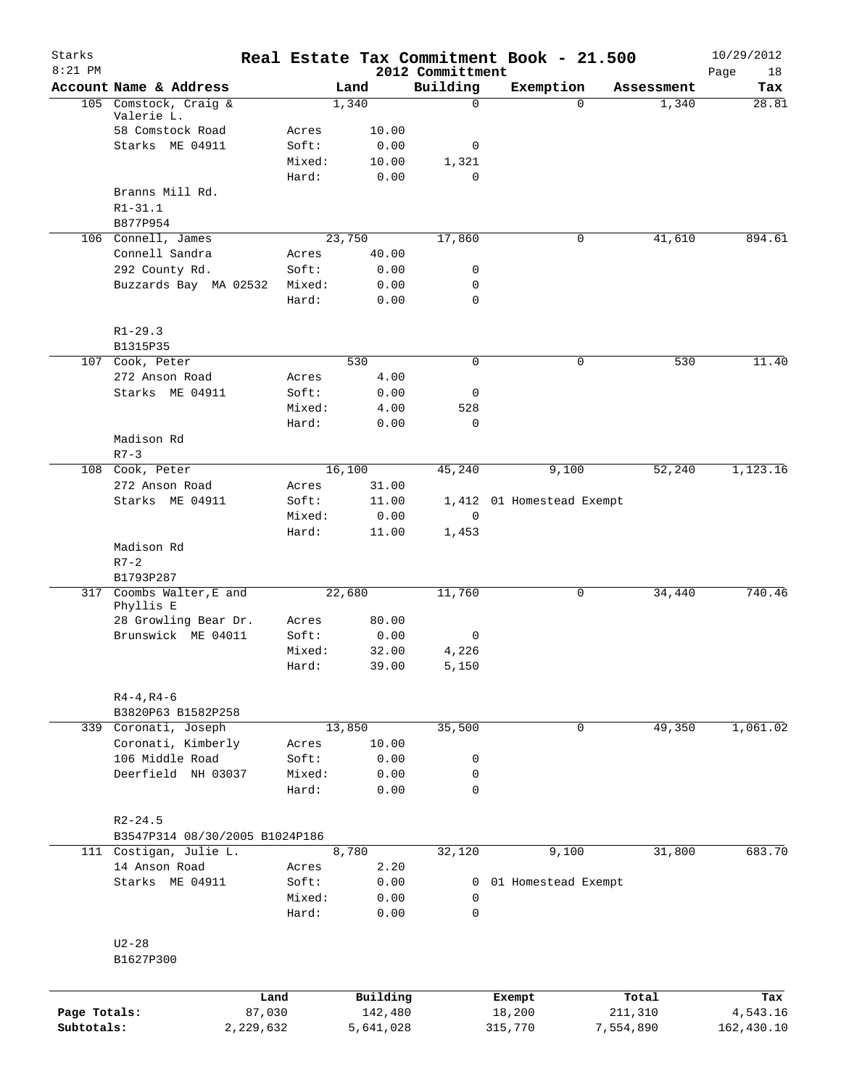| Starks<br>$8:21$ PM |                                     |        |                     | 2012 Committment | Real Estate Tax Commitment Book - 21.500 |                  | 10/29/2012<br>Page<br>18 |
|---------------------|-------------------------------------|--------|---------------------|------------------|------------------------------------------|------------------|--------------------------|
|                     | Account Name & Address              |        | Land                | Building         | Exemption                                | Assessment       | Tax                      |
|                     | 105 Comstock, Craig &<br>Valerie L. |        | 1,340               | 0                | $\Omega$                                 | 1,340            | 28.81                    |
|                     | 58 Comstock Road                    | Acres  | 10.00               |                  |                                          |                  |                          |
|                     | Starks ME 04911                     | Soft:  | 0.00                | 0                |                                          |                  |                          |
|                     |                                     | Mixed: | 10.00               | 1,321            |                                          |                  |                          |
|                     |                                     | Hard:  | 0.00                | $\Omega$         |                                          |                  |                          |
|                     | Branns Mill Rd.                     |        |                     |                  |                                          |                  |                          |
|                     | $R1 - 31.1$                         |        |                     |                  |                                          |                  |                          |
|                     | B877P954                            |        |                     |                  |                                          |                  |                          |
|                     | 106 Connell, James                  |        | 23,750              | 17,860           | 0                                        | 41,610           | 894.61                   |
|                     | Connell Sandra                      | Acres  | 40.00               |                  |                                          |                  |                          |
|                     | 292 County Rd.                      | Soft:  | 0.00                | 0                |                                          |                  |                          |
|                     | Buzzards Bay MA 02532               | Mixed: | 0.00                | 0                |                                          |                  |                          |
|                     |                                     | Hard:  | 0.00                | 0                |                                          |                  |                          |
|                     | $R1 - 29.3$                         |        |                     |                  |                                          |                  |                          |
|                     | B1315P35                            |        |                     |                  |                                          |                  |                          |
|                     | 107 Cook, Peter                     |        | 530                 | 0                | 0                                        | 530              | 11.40                    |
|                     | 272 Anson Road                      | Acres  | 4.00                |                  |                                          |                  |                          |
|                     | Starks ME 04911                     | Soft:  | 0.00                | 0                |                                          |                  |                          |
|                     |                                     | Mixed: | 4.00                | 528              |                                          |                  |                          |
|                     |                                     | Hard:  | 0.00                | 0                |                                          |                  |                          |
|                     | Madison Rd                          |        |                     |                  |                                          |                  |                          |
|                     | $R7 - 3$                            |        |                     |                  |                                          |                  |                          |
|                     | 108 Cook, Peter                     |        | 16,100              | 45,240           | 9,100                                    | 52,240           | 1,123.16                 |
|                     | 272 Anson Road                      | Acres  | 31.00               |                  |                                          |                  |                          |
|                     | Starks ME 04911                     | Soft:  | 11.00               |                  | 1,412 01 Homestead Exempt                |                  |                          |
|                     |                                     | Mixed: | 0.00                | $\mathbf 0$      |                                          |                  |                          |
|                     |                                     | Hard:  | 11.00               | 1,453            |                                          |                  |                          |
|                     | Madison Rd<br>$R7 - 2$              |        |                     |                  |                                          |                  |                          |
|                     | B1793P287                           |        |                     |                  |                                          |                  |                          |
|                     | 317 Coombs Walter, E and            |        | 22,680              | 11,760           | 0                                        | 34,440           | 740.46                   |
|                     | Phyllis E                           |        |                     |                  |                                          |                  |                          |
|                     | 28 Growling Bear Dr.                | Acres  | 80.00               |                  |                                          |                  |                          |
|                     | Brunswick ME 04011                  | Soft:  | 0.00                | 0                |                                          |                  |                          |
|                     |                                     | Mixed: | 32.00               | 4,226            |                                          |                  |                          |
|                     |                                     | Hard:  | 39.00               | 5,150            |                                          |                  |                          |
|                     | $R4 - 4, R4 - 6$                    |        |                     |                  |                                          |                  |                          |
|                     | B3820P63 B1582P258                  |        |                     |                  |                                          |                  |                          |
|                     | 339 Coronati, Joseph                |        | 13,850              | 35,500           | 0                                        | 49,350           | 1,061.02                 |
|                     | Coronati, Kimberly                  | Acres  | 10.00               |                  |                                          |                  |                          |
|                     | 106 Middle Road                     | Soft:  | 0.00                | 0                |                                          |                  |                          |
|                     | Deerfield NH 03037                  | Mixed: | 0.00                | 0                |                                          |                  |                          |
|                     |                                     | Hard:  | 0.00                | $\mathbf 0$      |                                          |                  |                          |
|                     | $R2 - 24.5$                         |        |                     |                  |                                          |                  |                          |
|                     | B3547P314 08/30/2005 B1024P186      |        |                     |                  |                                          |                  |                          |
|                     | 111 Costigan, Julie L.              |        | 8,780               | 32,120           | 9,100                                    | 31,800           | 683.70                   |
|                     | 14 Anson Road                       | Acres  | 2.20                |                  |                                          |                  |                          |
|                     | Starks ME 04911                     | Soft:  | 0.00                | 0                | 01 Homestead Exempt                      |                  |                          |
|                     |                                     | Mixed: | 0.00                | 0                |                                          |                  |                          |
|                     |                                     | Hard:  | 0.00                | 0                |                                          |                  |                          |
|                     | $U2-28$                             |        |                     |                  |                                          |                  |                          |
|                     | B1627P300                           |        |                     |                  |                                          |                  |                          |
|                     |                                     |        |                     |                  |                                          |                  |                          |
| Page Totals:        | Land<br>87,030                      |        | Building<br>142,480 |                  | Exempt<br>18,200                         | Total<br>211,310 | Tax<br>4,543.16          |
| Subtotals:          | 2,229,632                           |        | 5,641,028           |                  | 315,770                                  | 7,554,890        | 162,430.10               |
|                     |                                     |        |                     |                  |                                          |                  |                          |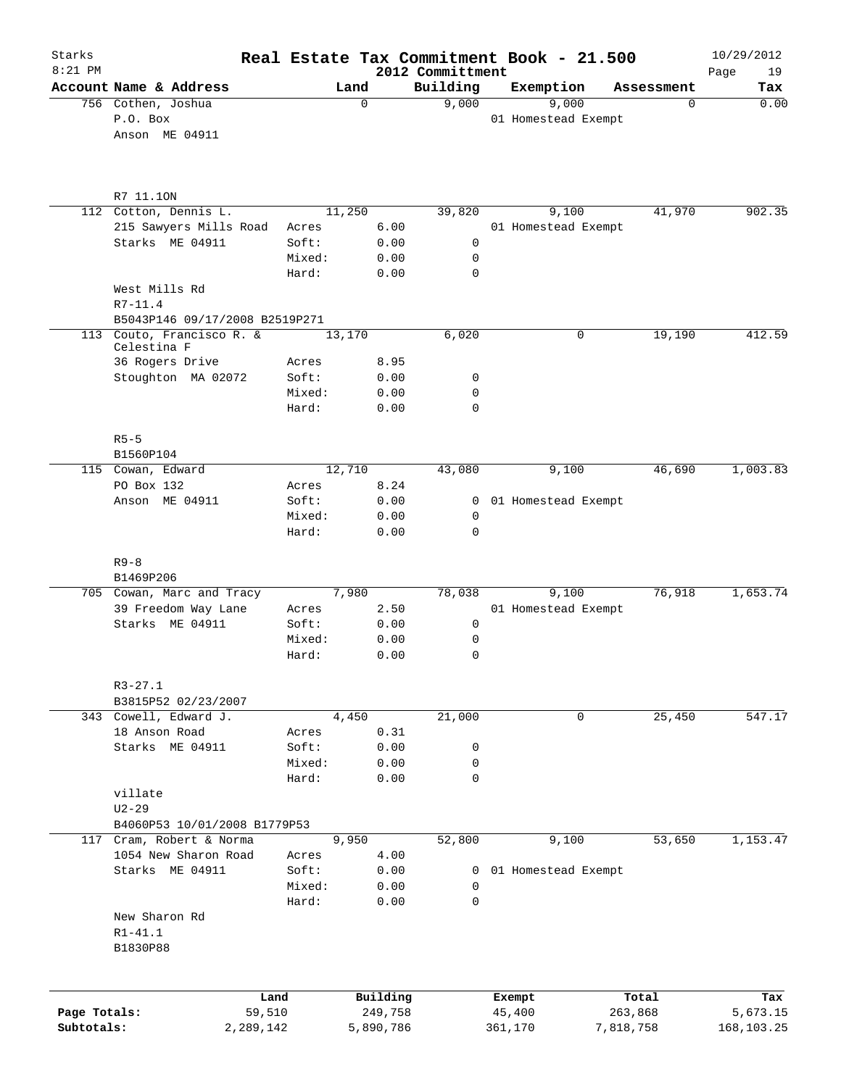| Starks<br>$8:21$ PM |                                                          |                |           | 2012 Committment | Real Estate Tax Commitment Book - 21.500 |                       | 10/29/2012        |
|---------------------|----------------------------------------------------------|----------------|-----------|------------------|------------------------------------------|-----------------------|-------------------|
|                     | Account Name & Address                                   |                | Land      | Building         | Exemption                                | Assessment            | 19<br>Page<br>Tax |
|                     | 756 Cothen, Joshua<br>P.O. Box<br>Anson ME 04911         |                | 0         | 9,000            | 9,000<br>01 Homestead Exempt             | $\mathbf 0$           | 0.00              |
|                     |                                                          |                |           |                  |                                          |                       |                   |
|                     | R7 11.10N                                                |                |           |                  |                                          |                       |                   |
|                     | 112 Cotton, Dennis L.                                    | 11,250         |           | 39,820           | 9,100                                    | 41,970                | 902.35            |
|                     | 215 Sawyers Mills Road                                   | Acres          | 6.00      |                  | 01 Homestead Exempt                      |                       |                   |
|                     | Starks ME 04911                                          | Soft:          | 0.00      | 0                |                                          |                       |                   |
|                     |                                                          | Mixed:         | 0.00      | 0                |                                          |                       |                   |
|                     | West Mills Rd                                            | Hard:          | 0.00      | 0                |                                          |                       |                   |
|                     | $R7 - 11.4$<br>B5043P146 09/17/2008 B2519P271            |                |           |                  |                                          |                       |                   |
|                     | 113 Couto, Francisco R. &                                | 13,170         |           | 6,020            |                                          | 19,190<br>$\mathbf 0$ | 412.59            |
|                     | Celestina F                                              |                |           |                  |                                          |                       |                   |
|                     | 36 Rogers Drive                                          | Acres          | 8.95      |                  |                                          |                       |                   |
|                     | Stoughton MA 02072                                       | Soft:          | 0.00      | 0                |                                          |                       |                   |
|                     |                                                          | Mixed:         | 0.00      | 0                |                                          |                       |                   |
|                     |                                                          | Hard:          | 0.00      | $\Omega$         |                                          |                       |                   |
|                     | $R5 - 5$                                                 |                |           |                  |                                          |                       |                   |
|                     | B1560P104                                                |                |           |                  |                                          |                       |                   |
|                     | 115 Cowan, Edward                                        | 12,710         |           | 43,080           | 9,100                                    | 46,690                | 1,003.83          |
|                     | PO Box 132                                               | Acres          | 8.24      |                  |                                          |                       |                   |
|                     | Anson ME 04911                                           | Soft:          | 0.00      | $\mathbf{0}$     | 01 Homestead Exempt                      |                       |                   |
|                     |                                                          | Mixed:         | 0.00      | 0                |                                          |                       |                   |
|                     |                                                          | Hard:          | 0.00      | $\Omega$         |                                          |                       |                   |
|                     | $R9 - 8$                                                 |                |           |                  |                                          |                       |                   |
|                     | B1469P206                                                |                |           |                  |                                          |                       |                   |
|                     | 705 Cowan, Marc and Tracy                                |                | 7,980     | 78,038           | 9,100                                    | 76,918                | 1,653.74          |
|                     | 39 Freedom Way Lane                                      | Acres          | 2.50      |                  | 01 Homestead Exempt                      |                       |                   |
|                     | Starks ME 04911                                          | Soft:          | 0.00      | 0                |                                          |                       |                   |
|                     |                                                          | Mixed:         | 0.00      | 0<br>0           |                                          |                       |                   |
|                     |                                                          | Hard:          | 0.00      |                  |                                          |                       |                   |
|                     | $R3 - 27.1$                                              |                |           |                  |                                          |                       |                   |
|                     | B3815P52 02/23/2007                                      |                |           |                  |                                          |                       |                   |
|                     | 343 Cowell, Edward J.                                    |                | 4,450     | 21,000           |                                          | 0<br>25,450           | 547.17            |
|                     | 18 Anson Road                                            | Acres          | 0.31      |                  |                                          |                       |                   |
|                     | Starks ME 04911                                          | Soft:          | 0.00      | 0                |                                          |                       |                   |
|                     |                                                          | Mixed:         | 0.00      | 0                |                                          |                       |                   |
|                     |                                                          | Hard:          | 0.00      | $\mathbf 0$      |                                          |                       |                   |
|                     | villate                                                  |                |           |                  |                                          |                       |                   |
|                     | $U2 - 29$                                                |                |           |                  |                                          |                       |                   |
|                     | B4060P53 10/01/2008 B1779P53<br>117 Cram, Robert & Norma |                | 9,950     | 52,800           | 9,100                                    | 53,650                |                   |
|                     | 1054 New Sharon Road                                     |                | 4.00      |                  |                                          |                       | 1,153.47          |
|                     | Starks ME 04911                                          | Acres<br>Soft: | 0.00      | 0                | 01 Homestead Exempt                      |                       |                   |
|                     |                                                          | Mixed:         | 0.00      | 0                |                                          |                       |                   |
|                     |                                                          | Hard:          | 0.00      | 0                |                                          |                       |                   |
|                     | New Sharon Rd                                            |                |           |                  |                                          |                       |                   |
|                     | $R1 - 41.1$                                              |                |           |                  |                                          |                       |                   |
|                     | B1830P88                                                 |                |           |                  |                                          |                       |                   |
|                     |                                                          |                |           |                  |                                          |                       |                   |
|                     |                                                          | Land           | Building  |                  | Exempt                                   | Total                 | Tax               |
| Page Totals:        | 59,510                                                   |                | 249,758   |                  | 45,400                                   | 263,868               | 5,673.15          |
| Subtotals:          | 2,289,142                                                |                | 5,890,786 |                  | 361,170                                  | 7,818,758             | 168, 103. 25      |
|                     |                                                          |                |           |                  |                                          |                       |                   |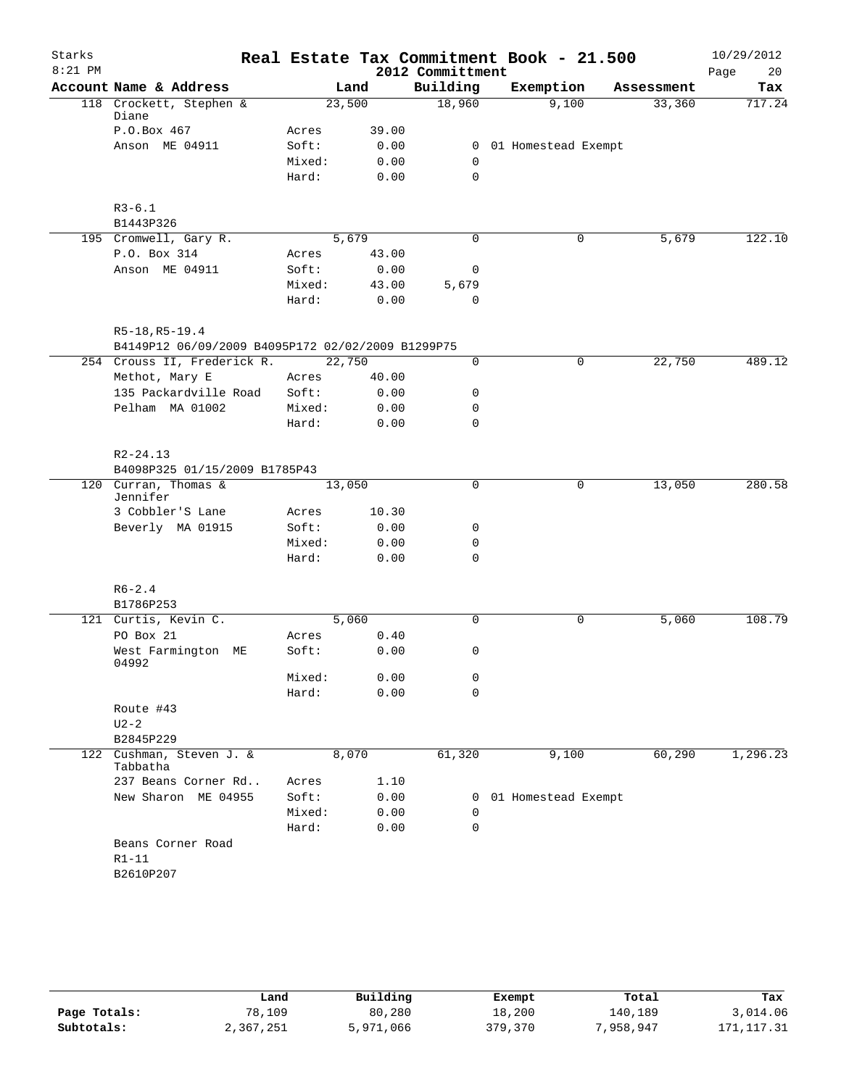| Starks    |                                                                     |        |       |                  | Real Estate Tax Commitment Book - 21.500 |            | 10/29/2012 |
|-----------|---------------------------------------------------------------------|--------|-------|------------------|------------------------------------------|------------|------------|
| $8:21$ PM |                                                                     |        |       | 2012 Committment |                                          |            | Page<br>20 |
|           | Account Name & Address                                              |        | Land  | Building         | Exemption                                | Assessment | Tax        |
|           | 118 Crockett, Stephen &<br>Diane                                    | 23,500 |       | 18,960           | 9,100                                    | 33,360     | 717.24     |
|           | P.O.Box 467                                                         | Acres  | 39.00 |                  |                                          |            |            |
|           | Anson ME 04911                                                      | Soft:  | 0.00  |                  | 0 01 Homestead Exempt                    |            |            |
|           |                                                                     | Mixed: | 0.00  | $\mathbf 0$      |                                          |            |            |
|           |                                                                     | Hard:  | 0.00  | $\mathbf 0$      |                                          |            |            |
|           | $R3-6.1$                                                            |        |       |                  |                                          |            |            |
|           | B1443P326                                                           |        |       |                  |                                          |            |            |
|           | 195 Cromwell, Gary R.                                               | 5,679  |       | 0                | 0                                        | 5,679      | 122.10     |
|           | P.O. Box 314                                                        | Acres  | 43.00 |                  |                                          |            |            |
|           | Anson ME 04911                                                      | Soft:  | 0.00  | 0                |                                          |            |            |
|           |                                                                     | Mixed: | 43.00 | 5,679            |                                          |            |            |
|           |                                                                     | Hard:  | 0.00  | $\mathbf 0$      |                                          |            |            |
|           | R5-18, R5-19.4<br>B4149P12 06/09/2009 B4095P172 02/02/2009 B1299P75 |        |       |                  |                                          |            |            |
|           | 254 Crouss II, Frederick R.                                         | 22,750 |       | 0                | 0                                        | 22,750     | 489.12     |
|           | Methot, Mary E                                                      | Acres  | 40.00 |                  |                                          |            |            |
|           | 135 Packardville Road                                               | Soft:  | 0.00  | 0                |                                          |            |            |
|           | Pelham MA 01002                                                     | Mixed: | 0.00  | 0                |                                          |            |            |
|           |                                                                     | Hard:  | 0.00  | $\mathbf 0$      |                                          |            |            |
|           | $R2 - 24.13$                                                        |        |       |                  |                                          |            |            |
|           | B4098P325 01/15/2009 B1785P43                                       |        |       |                  |                                          |            |            |
|           | 120 Curran, Thomas &<br>Jennifer                                    | 13,050 |       | $\Omega$         | $\mathbf 0$                              | 13,050     | 280.58     |
|           | 3 Cobbler'S Lane                                                    | Acres  | 10.30 |                  |                                          |            |            |
|           | Beverly MA 01915                                                    | Soft:  | 0.00  | 0                |                                          |            |            |
|           |                                                                     | Mixed: | 0.00  | 0                |                                          |            |            |
|           |                                                                     | Hard:  | 0.00  | $\mathbf 0$      |                                          |            |            |
|           | $R6 - 2.4$                                                          |        |       |                  |                                          |            |            |
|           | B1786P253                                                           |        |       |                  |                                          |            |            |
|           | 121 Curtis, Kevin C.                                                | 5,060  |       | $\mathbf 0$      | 0                                        | 5,060      | 108.79     |
|           | PO Box 21                                                           | Acres  | 0.40  |                  |                                          |            |            |
|           | West Farmington ME<br>04992                                         | Soft:  | 0.00  | 0                |                                          |            |            |
|           |                                                                     | Mixed: | 0.00  | 0                |                                          |            |            |
|           |                                                                     | Hard:  | 0.00  | 0                |                                          |            |            |
|           | Route #43<br>$U2-2$                                                 |        |       |                  |                                          |            |            |
|           | B2845P229                                                           |        |       |                  |                                          |            |            |
|           | 122 Cushman, Steven J. &<br>Tabbatha                                | 8,070  |       | 61,320           | 9,100                                    | 60,290     | 1,296.23   |
|           | 237 Beans Corner Rd                                                 | Acres  | 1.10  |                  |                                          |            |            |
|           | New Sharon ME 04955                                                 | Soft:  | 0.00  |                  | 0 01 Homestead Exempt                    |            |            |
|           |                                                                     | Mixed: | 0.00  | 0                |                                          |            |            |
|           |                                                                     | Hard:  | 0.00  | $\mathbf 0$      |                                          |            |            |
|           | Beans Corner Road<br>$R1-11$                                        |        |       |                  |                                          |            |            |
|           | B2610P207                                                           |        |       |                  |                                          |            |            |
|           |                                                                     |        |       |                  |                                          |            |            |

|              | Land      | Building  | Exempt  | Total     | Tax         |
|--------------|-----------|-----------|---------|-----------|-------------|
| Page Totals: | 78,109    | 80,280    | 18,200  | 140.189   | 3,014.06    |
| Subtotals:   | 2,367,251 | 5,971,066 | 379,370 | 7,958,947 | 171, 117.31 |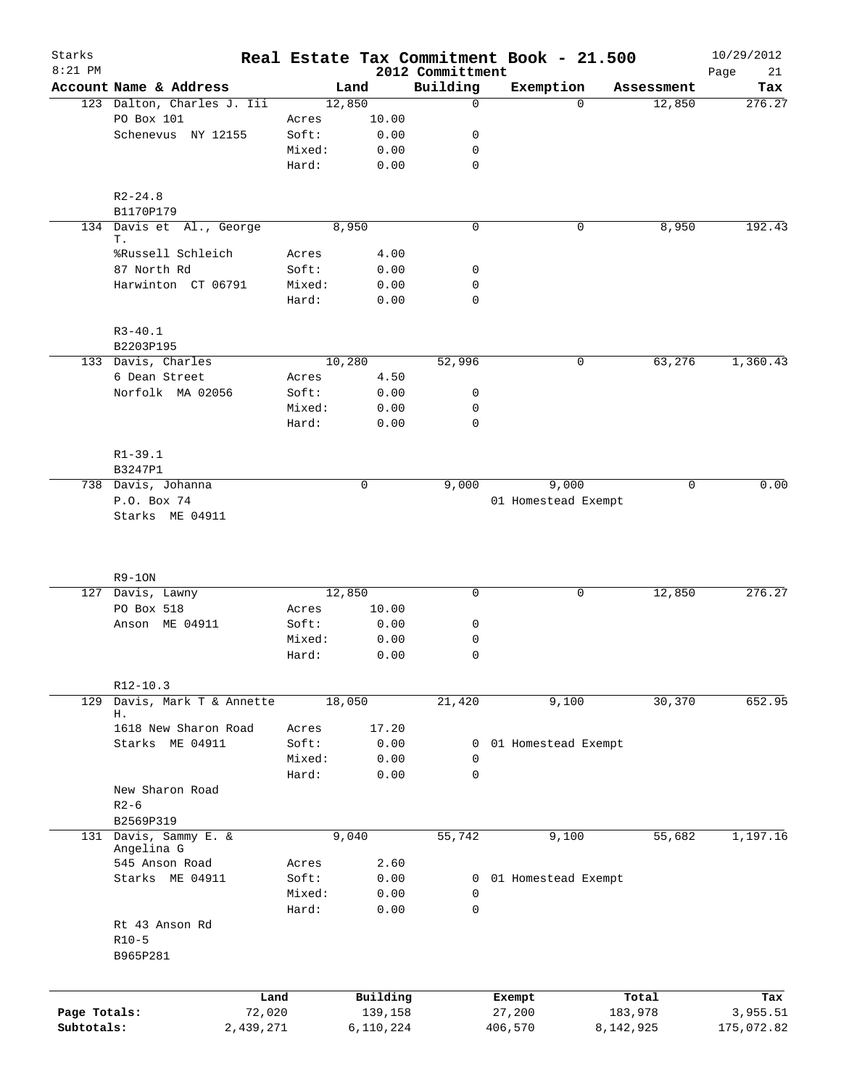| Starks<br>$8:21$ PM |                                       |        |           | 2012 Committment | Real Estate Tax Commitment Book - 21.500 |           |            | 10/29/2012<br>21<br>Page |
|---------------------|---------------------------------------|--------|-----------|------------------|------------------------------------------|-----------|------------|--------------------------|
|                     | Account Name & Address                |        | Land      | Building         | Exemption                                |           | Assessment | Tax                      |
|                     | 123 Dalton, Charles J. Iii            |        | 12,850    | $\mathbf 0$      |                                          | $\Omega$  | 12,850     | 276.27                   |
|                     | PO Box 101                            | Acres  | 10.00     |                  |                                          |           |            |                          |
|                     | Schenevus NY 12155                    | Soft:  | 0.00      | 0                |                                          |           |            |                          |
|                     |                                       | Mixed: | 0.00      | 0                |                                          |           |            |                          |
|                     |                                       | Hard:  | 0.00      | 0                |                                          |           |            |                          |
|                     | $R2 - 24.8$                           |        |           |                  |                                          |           |            |                          |
|                     | B1170P179<br>134 Davis et Al., George |        | 8,950     | $\mathbf 0$      |                                          | 0         | 8,950      | 192.43                   |
|                     | Т.<br>%Russell Schleich               | Acres  | 4.00      |                  |                                          |           |            |                          |
|                     | 87 North Rd                           | Soft:  | 0.00      | 0                |                                          |           |            |                          |
|                     | Harwinton CT 06791                    | Mixed: | 0.00      | 0                |                                          |           |            |                          |
|                     |                                       | Hard:  | 0.00      | $\mathbf 0$      |                                          |           |            |                          |
|                     | $R3 - 40.1$                           |        |           |                  |                                          |           |            |                          |
|                     | B2203P195                             |        |           |                  |                                          |           |            |                          |
|                     | 133 Davis, Charles                    |        | 10,280    | 52,996           |                                          | 0         | 63,276     | 1,360.43                 |
|                     | 6 Dean Street                         | Acres  | 4.50      |                  |                                          |           |            |                          |
|                     | Norfolk MA 02056                      | Soft:  | 0.00      | 0                |                                          |           |            |                          |
|                     |                                       | Mixed: | 0.00      | 0                |                                          |           |            |                          |
|                     |                                       | Hard:  | 0.00      | $\mathbf 0$      |                                          |           |            |                          |
|                     | $R1 - 39.1$<br>B3247P1                |        |           |                  |                                          |           |            |                          |
|                     | 738 Davis, Johanna                    |        | 0         | 9,000            | 9,000                                    |           | $\Omega$   | 0.00                     |
|                     | P.O. Box 74                           |        |           |                  | 01 Homestead Exempt                      |           |            |                          |
|                     | Starks ME 04911                       |        |           |                  |                                          |           |            |                          |
|                     | $R9-10N$<br>127 Davis, Lawny          |        | 12,850    | 0                |                                          | 0         | 12,850     | 276.27                   |
|                     | PO Box 518                            | Acres  | 10.00     |                  |                                          |           |            |                          |
|                     | Anson ME 04911                        | Soft:  | 0.00      | 0                |                                          |           |            |                          |
|                     |                                       | Mixed: | 0.00      | 0                |                                          |           |            |                          |
|                     |                                       | Hard:  | 0.00      | 0                |                                          |           |            |                          |
|                     | $R12-10.3$                            |        |           |                  |                                          |           |            |                          |
| 129                 | Davis, Mark T & Annette<br>Н.         |        | 18,050    | 21,420           | 9,100                                    |           | 30,370     | 652.95                   |
|                     | 1618 New Sharon Road                  | Acres  | 17.20     |                  |                                          |           |            |                          |
|                     | Starks ME 04911                       | Soft:  | 0.00      | 0                | 01 Homestead Exempt                      |           |            |                          |
|                     |                                       | Mixed: | 0.00      | 0                |                                          |           |            |                          |
|                     |                                       | Hard:  | 0.00      | 0                |                                          |           |            |                          |
|                     | New Sharon Road<br>$R2-6$             |        |           |                  |                                          |           |            |                          |
|                     | B2569P319                             |        |           |                  |                                          |           |            |                          |
| 131                 | Davis, Sammy E. &<br>Angelina G       |        | 9,040     | 55,742           | 9,100                                    |           | 55,682     | 1,197.16                 |
|                     | 545 Anson Road                        | Acres  | 2.60      |                  |                                          |           |            |                          |
|                     | Starks ME 04911                       | Soft:  | 0.00      | 0                | 01 Homestead Exempt                      |           |            |                          |
|                     |                                       | Mixed: | 0.00      | 0                |                                          |           |            |                          |
|                     |                                       | Hard:  | 0.00      | $\mathbf 0$      |                                          |           |            |                          |
|                     | Rt 43 Anson Rd                        |        |           |                  |                                          |           |            |                          |
|                     | $R10-5$<br>B965P281                   |        |           |                  |                                          |           |            |                          |
|                     |                                       |        |           |                  |                                          |           |            |                          |
|                     | Land                                  |        | Building  |                  | Exempt                                   |           | Total      | Tax                      |
| Page Totals:        | 72,020                                |        | 139,158   |                  | 27,200                                   |           | 183,978    | 3,955.51                 |
| Subtotals:          | 2,439,271                             |        | 6,110,224 |                  | 406,570                                  | 8,142,925 |            | 175,072.82               |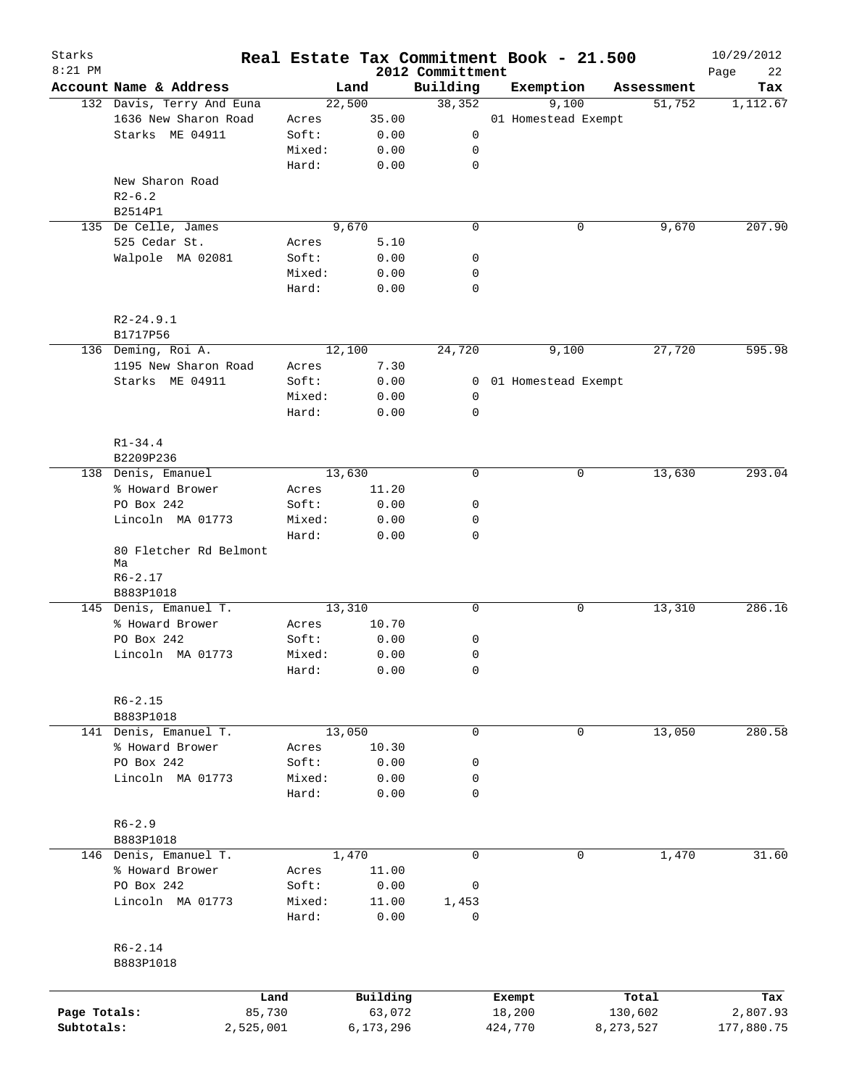| Starks<br>$8:21$ PM |                              |        |           |                              | Real Estate Tax Commitment Book - 21.500 |            | 10/29/2012        |
|---------------------|------------------------------|--------|-----------|------------------------------|------------------------------------------|------------|-------------------|
|                     | Account Name & Address       |        | Land      | 2012 Committment<br>Building | Exemption                                | Assessment | Page<br>22<br>Tax |
|                     | 132 Davis, Terry And Euna    |        | 22,500    | 38,352                       | 9,100                                    | 51,752     | 1,112.67          |
|                     | 1636 New Sharon Road         | Acres  | 35.00     |                              | 01 Homestead Exempt                      |            |                   |
|                     | Starks ME 04911              | Soft:  | 0.00      | 0                            |                                          |            |                   |
|                     |                              | Mixed: | 0.00      | 0                            |                                          |            |                   |
|                     |                              | Hard:  | 0.00      | 0                            |                                          |            |                   |
|                     | New Sharon Road              |        |           |                              |                                          |            |                   |
|                     | $R2-6.2$                     |        |           |                              |                                          |            |                   |
|                     | B2514P1                      |        |           |                              |                                          |            |                   |
|                     | 135 De Celle, James          |        | 9,670     | $\mathbf 0$                  | 0                                        | 9,670      | 207.90            |
|                     | 525 Cedar St.                | Acres  | 5.10      |                              |                                          |            |                   |
|                     | Walpole MA 02081             | Soft:  | 0.00      | 0                            |                                          |            |                   |
|                     |                              | Mixed: | 0.00      | 0                            |                                          |            |                   |
|                     |                              | Hard:  | 0.00      | 0                            |                                          |            |                   |
|                     | $R2 - 24.9.1$                |        |           |                              |                                          |            |                   |
|                     | B1717P56                     |        |           |                              |                                          |            |                   |
|                     | 136 Deming, Roi A.           |        | 12,100    | 24,720                       | 9,100                                    | 27,720     | 595.98            |
|                     | 1195 New Sharon Road         | Acres  | 7.30      |                              |                                          |            |                   |
|                     | Starks ME 04911              | Soft:  | 0.00      | $\mathbf{0}$                 | 01 Homestead Exempt                      |            |                   |
|                     |                              | Mixed: | 0.00      | 0                            |                                          |            |                   |
|                     |                              | Hard:  | 0.00      | 0                            |                                          |            |                   |
|                     |                              |        |           |                              |                                          |            |                   |
|                     | $R1 - 34.4$                  |        |           |                              |                                          |            |                   |
|                     | B2209P236                    |        |           |                              |                                          |            |                   |
|                     | 138 Denis, Emanuel           |        | 13,630    | 0                            | 0                                        | 13,630     | 293.04            |
|                     | % Howard Brower              | Acres  | 11.20     |                              |                                          |            |                   |
|                     | PO Box 242                   | Soft:  | 0.00      | 0                            |                                          |            |                   |
|                     | Lincoln MA 01773             | Mixed: | 0.00      | 0                            |                                          |            |                   |
|                     |                              | Hard:  | 0.00      | 0                            |                                          |            |                   |
|                     | 80 Fletcher Rd Belmont<br>Ma |        |           |                              |                                          |            |                   |
|                     | $R6 - 2.17$                  |        |           |                              |                                          |            |                   |
|                     | B883P1018                    |        |           |                              |                                          |            |                   |
|                     | 145 Denis, Emanuel T.        |        | 13,310    | 0                            | 0                                        | 13,310     | 286.16            |
|                     | % Howard Brower              | Acres  | 10.70     |                              |                                          |            |                   |
|                     | PO Box 242                   | Soft:  | 0.00      | 0                            |                                          |            |                   |
|                     | Lincoln MA 01773             | Mixed: | 0.00      | 0                            |                                          |            |                   |
|                     |                              | Hard:  | 0.00      | 0                            |                                          |            |                   |
|                     |                              |        |           |                              |                                          |            |                   |
|                     | $R6 - 2.15$<br>B883P1018     |        |           |                              |                                          |            |                   |
|                     | 141 Denis, Emanuel T.        |        | 13,050    | 0                            | 0                                        | 13,050     | 280.58            |
|                     | % Howard Brower              | Acres  | 10.30     |                              |                                          |            |                   |
|                     | PO Box 242                   | Soft:  | 0.00      | 0                            |                                          |            |                   |
|                     | Lincoln MA 01773             | Mixed: | 0.00      | 0                            |                                          |            |                   |
|                     |                              | Hard:  | 0.00      | 0                            |                                          |            |                   |
|                     | $R6 - 2.9$                   |        |           |                              |                                          |            |                   |
|                     | B883P1018                    |        |           |                              |                                          |            |                   |
|                     | 146 Denis, Emanuel T.        |        | 1,470     | $\mathbf 0$                  | 0                                        | 1,470      | 31.60             |
|                     | % Howard Brower              | Acres  | 11.00     |                              |                                          |            |                   |
|                     | PO Box 242                   | Soft:  | 0.00      | 0                            |                                          |            |                   |
|                     | Lincoln MA 01773             | Mixed: | 11.00     | 1,453                        |                                          |            |                   |
|                     |                              | Hard:  | 0.00      | 0                            |                                          |            |                   |
|                     |                              |        |           |                              |                                          |            |                   |
|                     | $R6 - 2.14$<br>B883P1018     |        |           |                              |                                          |            |                   |
|                     |                              |        |           |                              |                                          |            |                   |
|                     | Land                         |        | Building  |                              | Exempt                                   | Total      | Tax               |
| Page Totals:        | 85,730                       |        | 63,072    |                              | 18,200                                   | 130,602    | 2,807.93          |
| Subtotals:          | 2,525,001                    |        | 6,173,296 |                              | 424,770                                  | 8,273,527  | 177,880.75        |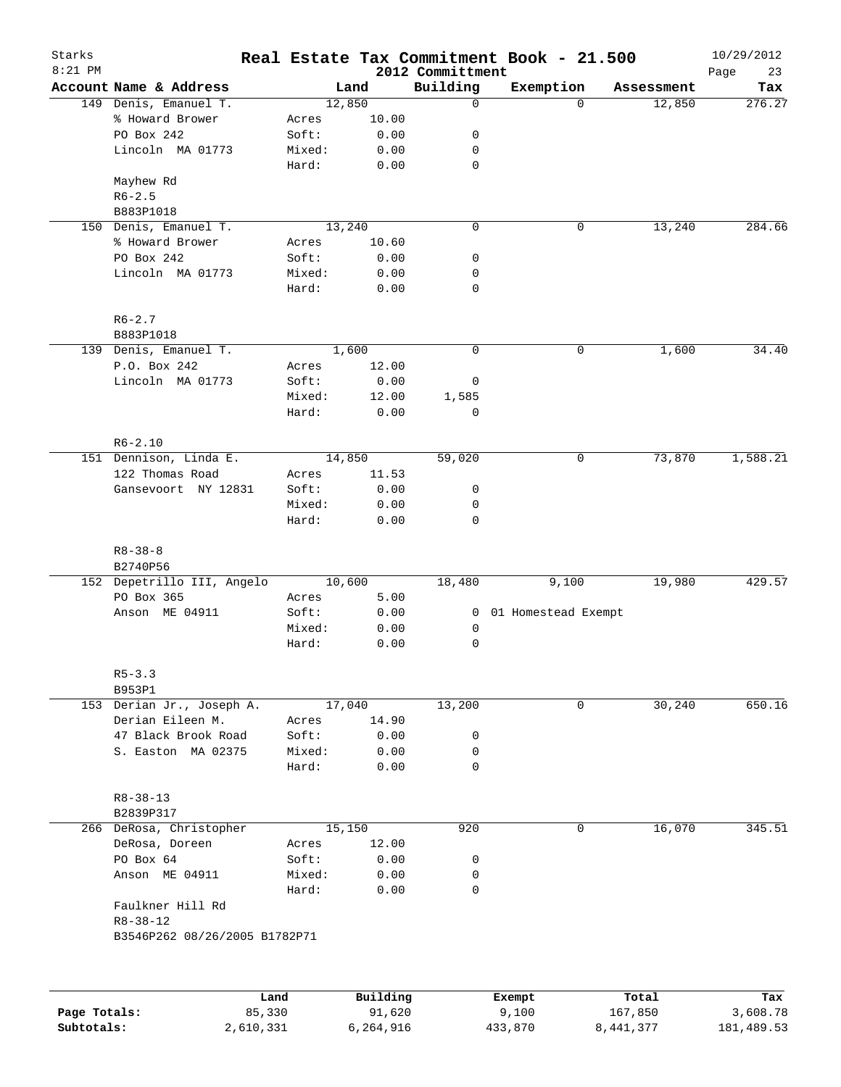| Starks       |                                          |           |           |                              | Real Estate Tax Commitment Book - 21.500 |                    | 10/29/2012        |
|--------------|------------------------------------------|-----------|-----------|------------------------------|------------------------------------------|--------------------|-------------------|
| $8:21$ PM    | Account Name & Address                   |           | Land      | 2012 Committment<br>Building | Exemption                                | Assessment         | Page<br>23<br>Tax |
|              | 149 Denis, Emanuel T.                    |           | 12,850    | $\mathbf 0$                  |                                          | $\Omega$<br>12,850 | 276.27            |
|              | % Howard Brower                          | Acres     | 10.00     |                              |                                          |                    |                   |
|              | PO Box 242                               | Soft:     | 0.00      | 0                            |                                          |                    |                   |
|              | Lincoln MA 01773                         | Mixed:    | 0.00      | 0                            |                                          |                    |                   |
|              |                                          | Hard:     | 0.00      | 0                            |                                          |                    |                   |
|              | Mayhew Rd                                |           |           |                              |                                          |                    |                   |
|              | $R6 - 2.5$                               |           |           |                              |                                          |                    |                   |
|              | B883P1018                                |           |           |                              |                                          |                    |                   |
|              |                                          |           | 13,240    | $\mathbf 0$                  |                                          | 0                  | 284.66            |
|              | 150 Denis, Emanuel T.<br>% Howard Brower |           |           |                              |                                          | 13,240             |                   |
|              |                                          | Acres     | 10.60     |                              |                                          |                    |                   |
|              | PO Box 242                               | Soft:     | 0.00      | 0                            |                                          |                    |                   |
|              | Lincoln MA 01773                         | Mixed:    | 0.00      | 0                            |                                          |                    |                   |
|              |                                          | Hard:     | 0.00      | $\mathbf 0$                  |                                          |                    |                   |
|              | $R6 - 2.7$                               |           |           |                              |                                          |                    |                   |
|              | B883P1018                                |           |           |                              |                                          |                    |                   |
|              | 139 Denis, Emanuel T.                    |           | 1,600     | $\mathbf 0$                  |                                          | 0<br>1,600         | 34.40             |
|              | P.O. Box 242                             | Acres     | 12.00     |                              |                                          |                    |                   |
|              | Lincoln MA 01773                         | Soft:     | 0.00      | 0                            |                                          |                    |                   |
|              |                                          | Mixed:    | 12.00     | 1,585                        |                                          |                    |                   |
|              |                                          | Hard:     | 0.00      | $\mathbf 0$                  |                                          |                    |                   |
|              | $R6 - 2.10$                              |           |           |                              |                                          |                    |                   |
|              | 151 Dennison, Linda E.                   |           | 14,850    | 59,020                       |                                          | 0<br>73,870        | 1,588.21          |
|              | 122 Thomas Road                          | Acres     | 11.53     |                              |                                          |                    |                   |
|              | Gansevoort NY 12831                      | Soft:     | 0.00      | 0                            |                                          |                    |                   |
|              |                                          | Mixed:    | 0.00      | 0                            |                                          |                    |                   |
|              |                                          | Hard:     | 0.00      | 0                            |                                          |                    |                   |
|              |                                          |           |           |                              |                                          |                    |                   |
|              | $R8 - 38 - 8$                            |           |           |                              |                                          |                    |                   |
|              | B2740P56<br>152 Depetrillo III, Angelo   |           | 10,600    | 18,480                       | 9,100                                    | 19,980             | 429.57            |
|              | PO Box 365                               | Acres     | 5.00      |                              |                                          |                    |                   |
|              | Anson ME 04911                           | Soft:     | 0.00      | $\overline{0}$               | 01 Homestead Exempt                      |                    |                   |
|              |                                          | Mixed:    | 0.00      | 0                            |                                          |                    |                   |
|              |                                          | Hard:     | 0.00      | 0                            |                                          |                    |                   |
|              |                                          |           |           |                              |                                          |                    |                   |
|              | $R5 - 3.3$                               |           |           |                              |                                          |                    |                   |
|              | B953P1                                   |           |           |                              |                                          |                    |                   |
|              | 153 Derian Jr., Joseph A.                |           | 17,040    | 13,200                       |                                          | 30,240<br>0        | 650.16            |
|              | Derian Eileen M.                         | Acres     | 14.90     |                              |                                          |                    |                   |
|              | 47 Black Brook Road                      | Soft:     | 0.00      | 0                            |                                          |                    |                   |
|              | S. Easton MA 02375                       | Mixed:    | 0.00      | 0                            |                                          |                    |                   |
|              |                                          | Hard:     | 0.00      | 0                            |                                          |                    |                   |
|              | $R8 - 38 - 13$                           |           |           |                              |                                          |                    |                   |
|              | B2839P317                                |           |           |                              |                                          |                    |                   |
|              | 266 DeRosa, Christopher                  |           | 15,150    | 920                          |                                          | 16,070<br>0        | 345.51            |
|              | DeRosa, Doreen                           | Acres     | 12.00     |                              |                                          |                    |                   |
|              | PO Box 64                                | Soft:     | 0.00      | 0                            |                                          |                    |                   |
|              | Anson ME 04911                           | Mixed:    | 0.00      | 0                            |                                          |                    |                   |
|              |                                          | Hard:     | 0.00      | 0                            |                                          |                    |                   |
|              | Faulkner Hill Rd                         |           |           |                              |                                          |                    |                   |
|              | $R8 - 38 - 12$                           |           |           |                              |                                          |                    |                   |
|              | B3546P262 08/26/2005 B1782P71            |           |           |                              |                                          |                    |                   |
|              |                                          |           |           |                              |                                          |                    |                   |
|              |                                          | Land      | Building  |                              | Exempt                                   | Total              | Tax               |
| Page Totals: |                                          | 85,330    | 91,620    |                              | 9,100                                    | 167,850            | 3,608.78          |
| Subtotals:   |                                          | 2,610,331 | 6,264,916 |                              | 433,870                                  | 8,441,377          | 181,489.53        |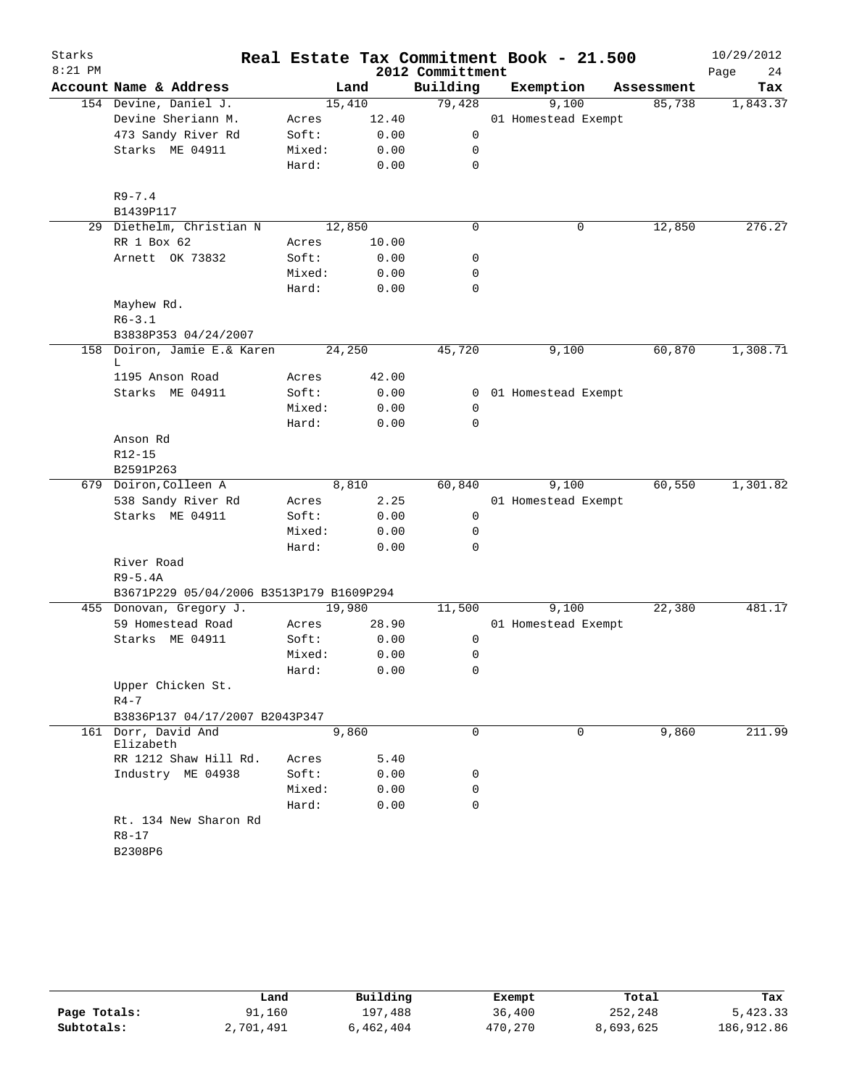| Starks    |                                          |        |       |                  | Real Estate Tax Commitment Book - 21.500 |            | 10/29/2012 |
|-----------|------------------------------------------|--------|-------|------------------|------------------------------------------|------------|------------|
| $8:21$ PM |                                          |        |       | 2012 Committment |                                          |            | 24<br>Page |
|           | Account Name & Address                   |        | Land  | Building         | Exemption                                | Assessment | Tax        |
|           | 154 Devine, Daniel J.                    | 15,410 |       | 79,428           | 9,100                                    | 85,738     | 1,843.37   |
|           | Devine Sheriann M.                       | Acres  | 12.40 |                  | 01 Homestead Exempt                      |            |            |
|           | 473 Sandy River Rd                       | Soft:  | 0.00  | 0                |                                          |            |            |
|           | Starks ME 04911                          | Mixed: | 0.00  | 0                |                                          |            |            |
|           |                                          | Hard:  | 0.00  | $\mathbf 0$      |                                          |            |            |
|           | $R9 - 7.4$                               |        |       |                  |                                          |            |            |
|           | B1439P117                                |        |       |                  |                                          |            |            |
|           | 29 Diethelm, Christian N                 | 12,850 |       | 0                | 0                                        | 12,850     | 276.27     |
|           | RR 1 Box 62                              | Acres  | 10.00 |                  |                                          |            |            |
|           | Arnett OK 73832                          | Soft:  | 0.00  | 0                |                                          |            |            |
|           |                                          | Mixed: | 0.00  | 0                |                                          |            |            |
|           |                                          | Hard:  | 0.00  | 0                |                                          |            |            |
|           | Mayhew Rd.                               |        |       |                  |                                          |            |            |
|           | $R6 - 3.1$                               |        |       |                  |                                          |            |            |
|           | B3838P353 04/24/2007                     |        |       |                  |                                          |            |            |
|           | 158 Doiron, Jamie E.& Karen<br>L         | 24,250 |       | 45,720           | 9,100                                    | 60,870     | 1,308.71   |
|           | 1195 Anson Road                          | Acres  | 42.00 |                  |                                          |            |            |
|           | Starks ME 04911                          | Soft:  | 0.00  |                  | 0 01 Homestead Exempt                    |            |            |
|           |                                          | Mixed: | 0.00  | 0                |                                          |            |            |
|           |                                          | Hard:  | 0.00  | 0                |                                          |            |            |
|           | Anson Rd                                 |        |       |                  |                                          |            |            |
|           | R12-15                                   |        |       |                  |                                          |            |            |
|           | B2591P263                                |        |       |                  |                                          |            |            |
|           | 679 Doiron, Colleen A                    |        | 8,810 | 60,840           | 9,100                                    | 60,550     | 1,301.82   |
|           | 538 Sandy River Rd                       | Acres  | 2.25  |                  | 01 Homestead Exempt                      |            |            |
|           | Starks ME 04911                          | Soft:  | 0.00  | $\mathbf 0$      |                                          |            |            |
|           |                                          | Mixed: | 0.00  | 0                |                                          |            |            |
|           |                                          | Hard:  | 0.00  | $\Omega$         |                                          |            |            |
|           | River Road                               |        |       |                  |                                          |            |            |
|           | $R9-5.4A$                                |        |       |                  |                                          |            |            |
|           | B3671P229 05/04/2006 B3513P179 B1609P294 |        |       |                  |                                          |            |            |
|           | 455 Donovan, Gregory J.                  | 19,980 |       | 11,500           | 9,100                                    | 22,380     | 481.17     |
|           | 59 Homestead Road                        | Acres  | 28.90 |                  | 01 Homestead Exempt                      |            |            |
|           | Starks ME 04911                          | Soft:  | 0.00  | 0                |                                          |            |            |
|           |                                          | Mixed: | 0.00  | 0                |                                          |            |            |
|           |                                          | Hard:  | 0.00  | 0                |                                          |            |            |
|           | Upper Chicken St.                        |        |       |                  |                                          |            |            |
|           | $R4-7$                                   |        |       |                  |                                          |            |            |
|           | B3836P137 04/17/2007 B2043P347           |        |       |                  |                                          |            |            |
|           | 161 Dorr, David And<br>Elizabeth         |        | 9,860 | 0                | $\mathbf 0$                              | 9,860      | 211.99     |
|           | RR 1212 Shaw Hill Rd.                    | Acres  | 5.40  |                  |                                          |            |            |
|           | Industry ME 04938                        | Soft:  | 0.00  | 0                |                                          |            |            |
|           |                                          | Mixed: | 0.00  | 0                |                                          |            |            |
|           |                                          | Hard:  | 0.00  | $\Omega$         |                                          |            |            |
|           | Rt. 134 New Sharon Rd<br>$R8 - 17$       |        |       |                  |                                          |            |            |
|           | B2308P6                                  |        |       |                  |                                          |            |            |

|              | Land      | Building  | Exempt  | Total     | Tax        |
|--------------|-----------|-----------|---------|-----------|------------|
| Page Totals: | 91,160    | 197,488   | 36,400  | 252,248   | 5,423.33   |
| Subtotals:   | 2,701,491 | 6,462,404 | 470,270 | 8,693,625 | 186,912.86 |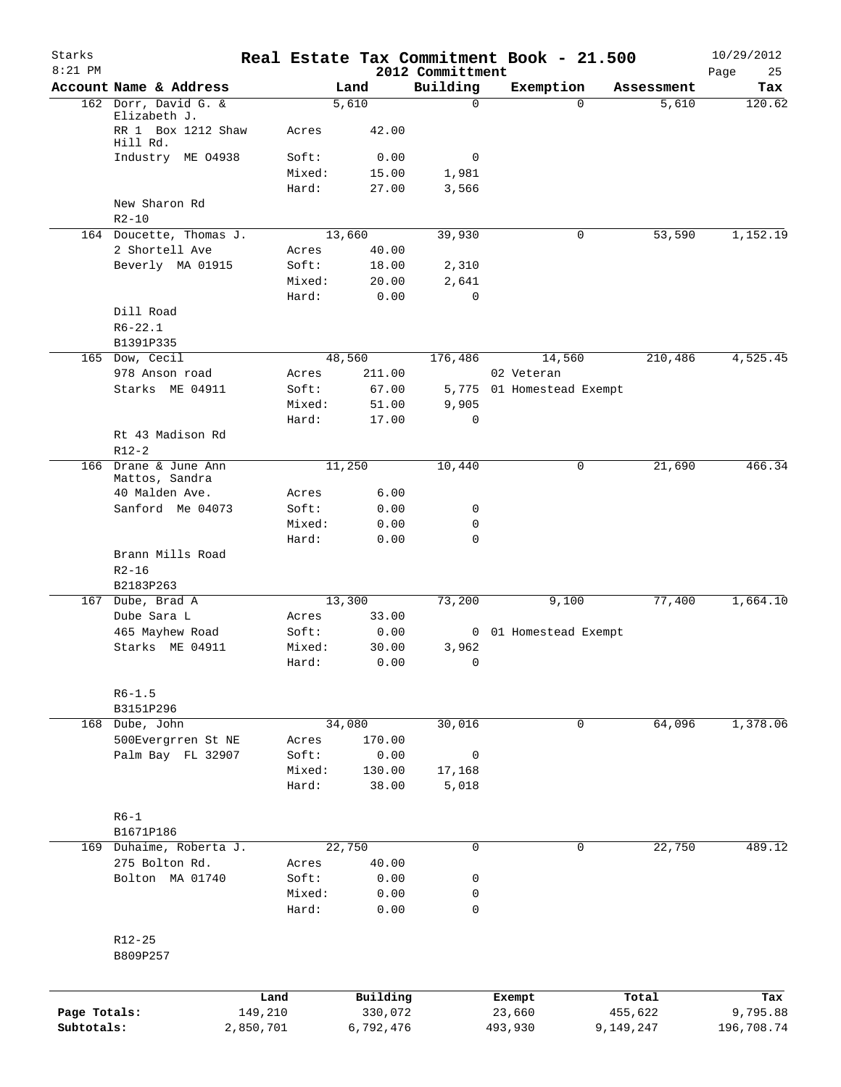| Starks<br>$8:21$ PM |                                                |                 |              | 2012 Committment | Real Estate Tax Commitment Book - 21.500 |            | 10/29/2012<br>Page<br>25 |
|---------------------|------------------------------------------------|-----------------|--------------|------------------|------------------------------------------|------------|--------------------------|
|                     | Account Name & Address                         |                 | Land         | Building         | Exemption                                | Assessment | Tax                      |
|                     | 162 Dorr, David G. &                           |                 | 5,610        | 0                | $\Omega$                                 | 5,610      | 120.62                   |
|                     | Elizabeth J.<br>RR 1 Box 1212 Shaw<br>Hill Rd. | Acres           | 42.00        |                  |                                          |            |                          |
|                     | Industry ME 04938                              | Soft:           | 0.00         | 0                |                                          |            |                          |
|                     |                                                | Mixed:          | 15.00        | 1,981            |                                          |            |                          |
|                     |                                                | Hard:           | 27.00        | 3,566            |                                          |            |                          |
|                     | New Sharon Rd<br>$R2 - 10$                     |                 |              |                  |                                          |            |                          |
|                     | 164 Doucette, Thomas J.                        |                 | 13,660       | 39,930           | 0                                        | 53,590     | 1,152.19                 |
|                     | 2 Shortell Ave                                 | Acres           | 40.00        |                  |                                          |            |                          |
|                     | Beverly MA 01915                               | Soft:           | 18.00        | 2,310            |                                          |            |                          |
|                     |                                                | Mixed:          | 20.00        | 2,641            |                                          |            |                          |
|                     |                                                | Hard:           | 0.00         | 0                |                                          |            |                          |
|                     | Dill Road                                      |                 |              |                  |                                          |            |                          |
|                     | $R6 - 22.1$                                    |                 |              |                  |                                          |            |                          |
|                     | B1391P335<br>165 Dow, Cecil                    |                 | 48,560       | 176,486          | 14,560                                   | 210,486    | 4,525.45                 |
|                     | 978 Anson road                                 | Acres           | 211.00       |                  | 02 Veteran                               |            |                          |
|                     | Starks ME 04911                                | Soft:           | 67.00        |                  | 5,775 01 Homestead Exempt                |            |                          |
|                     |                                                | Mixed:          | 51.00        | 9,905            |                                          |            |                          |
|                     |                                                | Hard:           | 17.00        | $\mathbf 0$      |                                          |            |                          |
|                     | Rt 43 Madison Rd                               |                 |              |                  |                                          |            |                          |
|                     | $R12-2$                                        |                 |              |                  |                                          |            |                          |
| 166                 | Drane & June Ann                               |                 | 11,250       | 10,440           | 0                                        | 21,690     | 466.34                   |
|                     | Mattos, Sandra                                 |                 |              |                  |                                          |            |                          |
|                     | 40 Malden Ave.                                 | Acres           | 6.00         |                  |                                          |            |                          |
|                     | Sanford Me 04073                               | Soft:           | 0.00         | 0<br>0           |                                          |            |                          |
|                     |                                                | Mixed:<br>Hard: | 0.00<br>0.00 | 0                |                                          |            |                          |
|                     | Brann Mills Road<br>$R2 - 16$<br>B2183P263     |                 |              |                  |                                          |            |                          |
|                     | 167 Dube, Brad A                               |                 | 13,300       | 73,200           | 9,100                                    | 77,400     | 1,664.10                 |
|                     | Dube Sara L                                    | Acres           | 33.00        |                  |                                          |            |                          |
|                     | 465 Mayhew Road                                | Soft:           | 0.00         |                  | 0 01 Homestead Exempt                    |            |                          |
|                     | Starks ME 04911                                | Mixed:          | 30.00        | 3,962            |                                          |            |                          |
|                     |                                                | Hard:           | 0.00         | 0                |                                          |            |                          |
|                     |                                                |                 |              |                  |                                          |            |                          |
|                     | $R6 - 1.5$<br>B3151P296                        |                 |              |                  |                                          |            |                          |
|                     | 168 Dube, John                                 |                 | 34,080       | 30,016           | $\mathbf{0}$                             | 64,096     | 1,378.06                 |
|                     | 500Evergrren St NE                             | Acres           | 170.00       |                  |                                          |            |                          |
|                     | Palm Bay FL 32907                              | Soft:           | 0.00         | $\mathsf{O}$     |                                          |            |                          |
|                     |                                                | Mixed:          | 130.00       | 17,168           |                                          |            |                          |
|                     |                                                | Hard:           | 38.00        | 5,018            |                                          |            |                          |
|                     |                                                |                 |              |                  |                                          |            |                          |
|                     | $R6 - 1$                                       |                 |              |                  |                                          |            |                          |
|                     | B1671P186                                      |                 |              |                  |                                          |            |                          |
|                     | 169 Duhaime, Roberta J.                        |                 | 22,750       | 0                | 0                                        | 22,750     | 489.12                   |
|                     | 275 Bolton Rd.                                 | Acres           | 40.00        |                  |                                          |            |                          |
|                     | Bolton MA 01740                                | Soft:           | 0.00         | 0                |                                          |            |                          |
|                     |                                                | Mixed:          | 0.00         | 0                |                                          |            |                          |
|                     |                                                | Hard:           | 0.00         | 0                |                                          |            |                          |
|                     | R12-25                                         |                 |              |                  |                                          |            |                          |
|                     | B809P257                                       |                 |              |                  |                                          |            |                          |
|                     |                                                |                 |              |                  |                                          |            |                          |
|                     |                                                | Land            | Building     |                  | Exempt                                   | Total      | Tax                      |
| Page Totals:        |                                                | 149,210         | 330,072      |                  | 23,660                                   | 455,622    | 9,795.88                 |
| Subtotals:          |                                                | 2,850,701       | 6,792,476    |                  | 493,930                                  | 9,149,247  | 196,708.74               |
|                     |                                                |                 |              |                  |                                          |            |                          |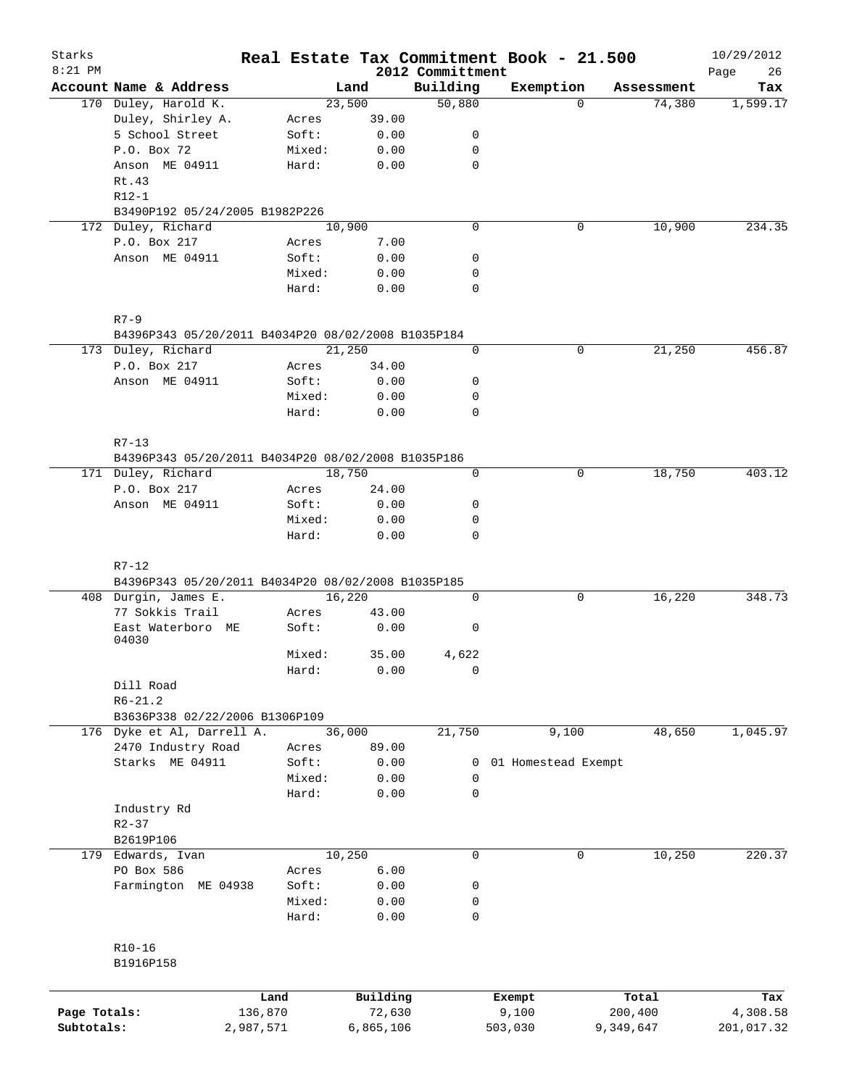| Starks       |                                                    |                 |        |              |                              | Real Estate Tax Commitment Book - 21.500 |             |            | 10/29/2012        |
|--------------|----------------------------------------------------|-----------------|--------|--------------|------------------------------|------------------------------------------|-------------|------------|-------------------|
| $8:21$ PM    | Account Name & Address                             |                 |        | Land         | 2012 Committment<br>Building | Exemption                                |             | Assessment | 26<br>Page<br>Tax |
|              | 170 Duley, Harold K.                               |                 | 23,500 |              | 50,880                       |                                          | $\Omega$    | 74,380     | 1,599.17          |
|              | Duley, Shirley A.                                  | Acres           |        | 39.00        |                              |                                          |             |            |                   |
|              | 5 School Street                                    | Soft:           |        | 0.00         | 0                            |                                          |             |            |                   |
|              | P.O. Box 72                                        | Mixed:          |        | 0.00         | 0                            |                                          |             |            |                   |
|              | Anson ME 04911                                     | Hard:           |        | 0.00         | $\mathbf 0$                  |                                          |             |            |                   |
|              | Rt.43                                              |                 |        |              |                              |                                          |             |            |                   |
|              | $R12-1$                                            |                 |        |              |                              |                                          |             |            |                   |
|              | B3490P192 05/24/2005 B1982P226                     |                 |        |              |                              |                                          |             |            |                   |
|              | 172 Duley, Richard                                 |                 | 10,900 |              | $\mathbf 0$                  |                                          | $\mathbf 0$ | 10,900     | 234.35            |
|              | P.O. Box 217                                       | Acres           |        | 7.00         |                              |                                          |             |            |                   |
|              | Anson ME 04911                                     | Soft:           |        | 0.00         | 0                            |                                          |             |            |                   |
|              |                                                    | Mixed:          |        | 0.00         | 0                            |                                          |             |            |                   |
|              |                                                    | Hard:           |        | 0.00         | 0                            |                                          |             |            |                   |
|              | $R7 - 9$                                           |                 |        |              |                              |                                          |             |            |                   |
|              | B4396P343 05/20/2011 B4034P20 08/02/2008 B1035P184 |                 |        |              |                              |                                          |             |            |                   |
|              | 173 Duley, Richard                                 |                 | 21,250 |              | 0                            |                                          | $\mathbf 0$ | 21,250     | 456.87            |
|              | P.O. Box 217                                       | Acres           |        | 34.00        |                              |                                          |             |            |                   |
|              | Anson ME 04911                                     | Soft:           |        | 0.00         | 0                            |                                          |             |            |                   |
|              |                                                    | Mixed:          |        | 0.00         | 0                            |                                          |             |            |                   |
|              |                                                    | Hard:           |        | 0.00         | 0                            |                                          |             |            |                   |
|              | $R7 - 13$                                          |                 |        |              |                              |                                          |             |            |                   |
|              | B4396P343 05/20/2011 B4034P20 08/02/2008 B1035P186 |                 |        |              |                              |                                          |             |            |                   |
|              | 171 Duley, Richard                                 |                 | 18,750 |              | $\mathbf 0$                  |                                          | 0           | 18,750     | 403.12            |
|              | P.O. Box 217                                       | Acres           |        | 24.00        |                              |                                          |             |            |                   |
|              | Anson ME 04911                                     | Soft:           |        | 0.00         | 0                            |                                          |             |            |                   |
|              |                                                    | Mixed:          |        | 0.00         | 0                            |                                          |             |            |                   |
|              |                                                    | Hard:           |        | 0.00         | 0                            |                                          |             |            |                   |
|              | $R7-12$                                            |                 |        |              |                              |                                          |             |            |                   |
|              | B4396P343 05/20/2011 B4034P20 08/02/2008 B1035P185 |                 |        |              |                              |                                          |             |            |                   |
|              | 408 Durgin, James E.                               |                 | 16,220 |              | 0                            |                                          | 0           | 16,220     | 348.73            |
|              | 77 Sokkis Trail                                    | Acres           |        | 43.00        |                              |                                          |             |            |                   |
|              | East Waterboro ME<br>04030                         | Soft:           |        | 0.00         | 0                            |                                          |             |            |                   |
|              |                                                    | Mixed:          |        | 35.00        | 4,622                        |                                          |             |            |                   |
|              |                                                    | Hard:           |        | 0.00         | 0                            |                                          |             |            |                   |
|              | Dill Road                                          |                 |        |              |                              |                                          |             |            |                   |
|              | $R6 - 21.2$                                        |                 |        |              |                              |                                          |             |            |                   |
|              | B3636P338 02/22/2006 B1306P109                     |                 |        |              |                              |                                          |             |            |                   |
|              | 176 Dyke et Al, Darrell A.                         |                 | 36,000 |              | 21,750                       | 9,100                                    |             | 48,650     | 1,045.97          |
|              | 2470 Industry Road                                 | Acres           |        | 89.00        |                              |                                          |             |            |                   |
|              | Starks ME 04911                                    | Soft:           |        | 0.00         | 0                            | 01 Homestead Exempt                      |             |            |                   |
|              |                                                    | Mixed:          |        | 0.00         | 0                            |                                          |             |            |                   |
|              |                                                    | Hard:           |        | 0.00         | $\mathbf 0$                  |                                          |             |            |                   |
|              | Industry Rd                                        |                 |        |              |                              |                                          |             |            |                   |
|              | $R2 - 37$                                          |                 |        |              |                              |                                          |             |            |                   |
|              | B2619P106                                          |                 |        |              | 0                            |                                          | $\mathbf 0$ |            |                   |
|              | 179 Edwards, Ivan                                  |                 | 10,250 |              |                              |                                          |             | 10,250     | 220.37            |
|              | PO Box 586                                         | Acres           |        | 6.00         |                              |                                          |             |            |                   |
|              | Farmington ME 04938                                | Soft:           |        | 0.00         | 0                            |                                          |             |            |                   |
|              |                                                    | Mixed:<br>Hard: |        | 0.00<br>0.00 | 0<br>0                       |                                          |             |            |                   |
|              | $R10 - 16$                                         |                 |        |              |                              |                                          |             |            |                   |
|              | B1916P158                                          |                 |        |              |                              |                                          |             |            |                   |
|              |                                                    |                 |        |              |                              |                                          |             |            |                   |
|              |                                                    | Land            |        | Building     |                              | Exempt                                   |             | Total      | Tax               |
| Page Totals: |                                                    | 136,870         |        | 72,630       |                              | 9,100                                    |             | 200,400    | 4,308.58          |
| Subtotals:   |                                                    | 2,987,571       |        | 6,865,106    |                              | 503,030                                  |             | 9,349,647  | 201,017.32        |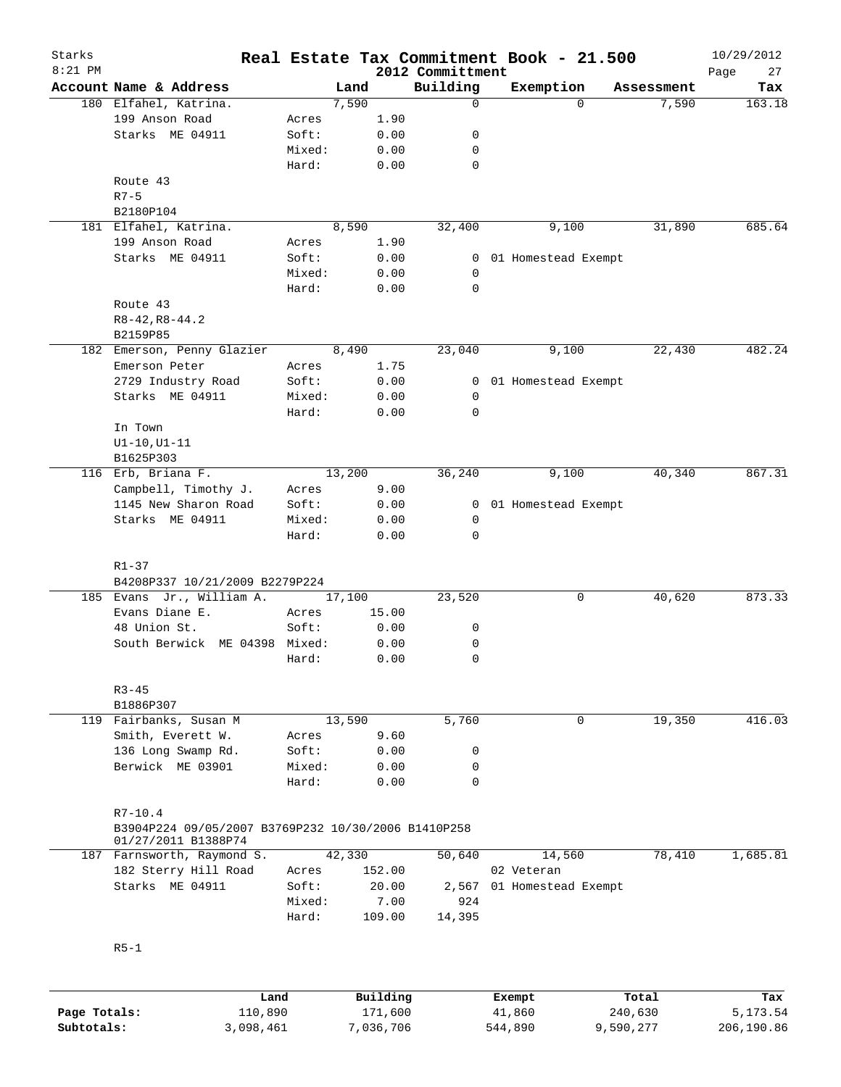| Starks       |                                                     |        |        |          |                              | Real Estate Tax Commitment Book - 21.500 |            | 10/29/2012        |
|--------------|-----------------------------------------------------|--------|--------|----------|------------------------------|------------------------------------------|------------|-------------------|
| $8:21$ PM    | Account Name & Address                              |        | Land   |          | 2012 Committment<br>Building | Exemption                                | Assessment | Page<br>27<br>Tax |
|              | 180 Elfahel, Katrina.                               |        | 7,590  |          | 0                            | $\Omega$                                 | 7,590      | 163.18            |
|              | 199 Anson Road                                      | Acres  |        | 1.90     |                              |                                          |            |                   |
|              | Starks ME 04911                                     | Soft:  |        | 0.00     | 0                            |                                          |            |                   |
|              |                                                     |        |        |          |                              |                                          |            |                   |
|              |                                                     | Mixed: |        | 0.00     | 0                            |                                          |            |                   |
|              |                                                     | Hard:  |        | 0.00     | $\mathbf 0$                  |                                          |            |                   |
|              | Route 43                                            |        |        |          |                              |                                          |            |                   |
|              | $R7 - 5$                                            |        |        |          |                              |                                          |            |                   |
|              | B2180P104                                           |        |        |          |                              |                                          |            |                   |
|              | 181 Elfahel, Katrina.                               |        | 8,590  |          | 32,400                       | 9,100                                    | 31,890     | 685.64            |
|              | 199 Anson Road                                      | Acres  |        | 1.90     |                              |                                          |            |                   |
|              | Starks ME 04911                                     | Soft:  |        | 0.00     | 0                            | 01 Homestead Exempt                      |            |                   |
|              |                                                     | Mixed: |        | 0.00     | 0                            |                                          |            |                   |
|              |                                                     | Hard:  |        | 0.00     | $\mathbf 0$                  |                                          |            |                   |
|              | Route 43                                            |        |        |          |                              |                                          |            |                   |
|              | $R8-42, R8-44.2$                                    |        |        |          |                              |                                          |            |                   |
|              | B2159P85                                            |        |        |          |                              |                                          |            |                   |
|              | 182 Emerson, Penny Glazier                          |        | 8,490  |          | 23,040                       | 9,100                                    | 22,430     | 482.24            |
|              | Emerson Peter                                       | Acres  |        | 1.75     |                              |                                          |            |                   |
|              |                                                     |        |        |          |                              |                                          |            |                   |
|              | 2729 Industry Road                                  | Soft:  |        | 0.00     | 0                            | 01 Homestead Exempt                      |            |                   |
|              | Starks ME 04911                                     | Mixed: |        | 0.00     | 0                            |                                          |            |                   |
|              |                                                     | Hard:  |        | 0.00     | $\mathbf 0$                  |                                          |            |                   |
|              | In Town                                             |        |        |          |                              |                                          |            |                   |
|              | $UI-10, UI-11$                                      |        |        |          |                              |                                          |            |                   |
|              | B1625P303                                           |        |        |          |                              |                                          |            |                   |
|              | 116 Erb, Briana F.                                  |        | 13,200 |          | 36,240                       | 9,100                                    | 40,340     | 867.31            |
|              | Campbell, Timothy J.                                | Acres  |        | 9.00     |                              |                                          |            |                   |
|              | 1145 New Sharon Road                                | Soft:  |        | 0.00     | 0                            | 01 Homestead Exempt                      |            |                   |
|              | Starks ME 04911                                     | Mixed: |        | 0.00     | 0                            |                                          |            |                   |
|              |                                                     | Hard:  |        | 0.00     | $\mathbf 0$                  |                                          |            |                   |
|              |                                                     |        |        |          |                              |                                          |            |                   |
|              | $R1 - 37$                                           |        |        |          |                              |                                          |            |                   |
|              | B4208P337 10/21/2009 B2279P224                      |        |        |          |                              |                                          |            |                   |
|              | 185 Evans Jr., William A.                           |        | 17,100 |          | 23,520                       | 0                                        | 40,620     | 873.33            |
|              | Evans Diane E.                                      | Acres  |        | 15.00    |                              |                                          |            |                   |
|              |                                                     |        |        |          |                              |                                          |            |                   |
|              | 48 Union St.                                        | Soft:  |        | 0.00     | 0                            |                                          |            |                   |
|              | South Berwick ME 04398 Mixed:                       |        |        | 0.00     | 0                            |                                          |            |                   |
|              |                                                     | Hard:  |        | 0.00     | $\mathbf 0$                  |                                          |            |                   |
|              |                                                     |        |        |          |                              |                                          |            |                   |
|              | $R3 - 45$                                           |        |        |          |                              |                                          |            |                   |
|              | B1886P307                                           |        |        |          |                              |                                          |            |                   |
|              | 119 Fairbanks, Susan M                              |        | 13,590 |          | 5,760                        | 0                                        | 19,350     | 416.03            |
|              | Smith, Everett W.                                   | Acres  |        | 9.60     |                              |                                          |            |                   |
|              | 136 Long Swamp Rd.                                  | Soft:  |        | 0.00     | 0                            |                                          |            |                   |
|              | Berwick ME 03901                                    | Mixed: |        | 0.00     | 0                            |                                          |            |                   |
|              |                                                     | Hard:  |        | 0.00     | $\mathbf 0$                  |                                          |            |                   |
|              |                                                     |        |        |          |                              |                                          |            |                   |
|              | $R7 - 10.4$                                         |        |        |          |                              |                                          |            |                   |
|              | B3904P224 09/05/2007 B3769P232 10/30/2006 B1410P258 |        |        |          |                              |                                          |            |                   |
|              | 01/27/2011 B1388P74                                 |        |        |          |                              |                                          |            |                   |
|              | 187 Farnsworth, Raymond S.                          |        | 42,330 |          | 50,640                       | 14,560                                   | 78,410     | 1,685.81          |
|              | 182 Sterry Hill Road                                | Acres  |        | 152.00   |                              | 02 Veteran                               |            |                   |
|              | Starks ME 04911                                     | Soft:  |        | 20.00    |                              | 01 Homestead Exempt                      |            |                   |
|              |                                                     |        |        |          | 2,567                        |                                          |            |                   |
|              |                                                     | Mixed: |        | 7.00     | 924                          |                                          |            |                   |
|              |                                                     | Hard:  |        | 109.00   | 14,395                       |                                          |            |                   |
|              |                                                     |        |        |          |                              |                                          |            |                   |
|              | $R5-1$                                              |        |        |          |                              |                                          |            |                   |
|              |                                                     |        |        |          |                              |                                          |            |                   |
|              |                                                     |        |        |          |                              |                                          |            |                   |
|              |                                                     | Land   |        | Building |                              | Exempt                                   | Total      | Tax               |
| Page Totals: | 110,890                                             |        |        | 171,600  |                              | 41,860                                   | 240,630    | 5,173.54          |

**Subtotals:** 3,098,461 7,036,706 544,890 9,590,277 206,190.86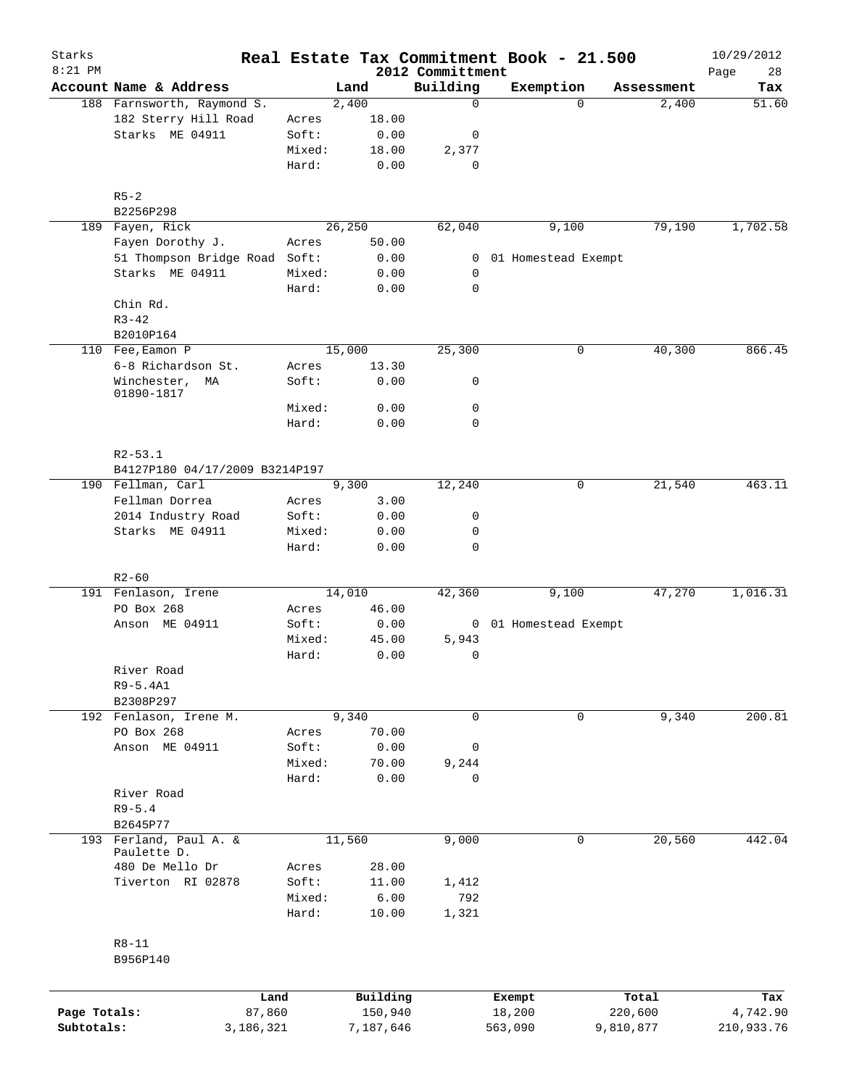| Starks<br>$8:21$ PM |                                       |                 |               |                              | Real Estate Tax Commitment Book - 21.500 |            | 10/29/2012        |
|---------------------|---------------------------------------|-----------------|---------------|------------------------------|------------------------------------------|------------|-------------------|
|                     | Account Name & Address                |                 | Land          | 2012 Committment<br>Building | Exemption                                | Assessment | 28<br>Page<br>Tax |
|                     | 188 Farnsworth, Raymond S.            |                 | 2,400         | 0                            | $\Omega$                                 | 2,400      | 51.60             |
|                     | 182 Sterry Hill Road                  | Acres           | 18.00         |                              |                                          |            |                   |
|                     | Starks ME 04911                       | Soft:           | 0.00          | 0                            |                                          |            |                   |
|                     |                                       | Mixed:          | 18.00         | 2,377                        |                                          |            |                   |
|                     |                                       | Hard:           | 0.00          | 0                            |                                          |            |                   |
|                     | $R5 - 2$                              |                 |               |                              |                                          |            |                   |
| 189                 | B2256P298<br>Fayen, Rick              |                 | 26,250        | 62,040                       | 9,100                                    | 79,190     | 1,702.58          |
|                     | Fayen Dorothy J.                      | Acres           | 50.00         |                              |                                          |            |                   |
|                     | 51 Thompson Bridge Road Soft:         |                 | 0.00          | 0                            | 01 Homestead Exempt                      |            |                   |
|                     | Starks ME 04911                       | Mixed:          | 0.00          | 0                            |                                          |            |                   |
|                     |                                       | Hard:           | 0.00          | 0                            |                                          |            |                   |
|                     | Chin Rd.                              |                 |               |                              |                                          |            |                   |
|                     | $R3 - 42$                             |                 |               |                              |                                          |            |                   |
|                     | B2010P164                             |                 |               |                              |                                          |            |                   |
|                     | 110 Fee, Eamon P                      |                 | 15,000        | 25,300                       | 0                                        | 40,300     | 866.45            |
|                     | 6-8 Richardson St.                    | Acres           | 13.30         |                              |                                          |            |                   |
|                     | Winchester,<br>ΜA<br>01890-1817       | Soft:           | 0.00          | 0                            |                                          |            |                   |
|                     |                                       | Mixed:          | 0.00          | 0                            |                                          |            |                   |
|                     |                                       | Hard:           | 0.00          | 0                            |                                          |            |                   |
|                     | $R2 - 53.1$                           |                 |               |                              |                                          |            |                   |
|                     | B4127P180 04/17/2009 B3214P197        |                 |               |                              |                                          |            |                   |
|                     | 190 Fellman, Carl                     |                 | 9,300         | 12,240                       | 0                                        | 21,540     | 463.11            |
|                     | Fellman Dorrea                        | Acres           | 3.00          |                              |                                          |            |                   |
|                     | 2014 Industry Road                    | Soft:           | 0.00          | 0                            |                                          |            |                   |
|                     | Starks ME 04911                       | Mixed:<br>Hard: | 0.00<br>0.00  | 0<br>0                       |                                          |            |                   |
|                     | $R2 - 60$                             |                 |               |                              |                                          |            |                   |
|                     | 191 Fenlason, Irene                   |                 | 14,010        | 42,360                       | 9,100                                    | 47,270     | 1,016.31          |
|                     | PO Box 268                            | Acres           | 46.00         |                              |                                          |            |                   |
|                     | Anson ME 04911                        | Soft:           | 0.00          |                              | 0 01 Homestead Exempt                    |            |                   |
|                     |                                       | Mixed:          | 45.00         | 5,943                        |                                          |            |                   |
|                     |                                       | Hard:           | 0.00          | 0                            |                                          |            |                   |
|                     | River Road                            |                 |               |                              |                                          |            |                   |
|                     | $R9-5.4A1$                            |                 |               |                              |                                          |            |                   |
|                     | B2308P297                             |                 |               |                              |                                          |            |                   |
|                     | 192 Fenlason, Irene M.                |                 | 9,340         | 0                            | 0                                        | 9,340      | 200.81            |
|                     | PO Box 268                            | Acres           | 70.00         |                              |                                          |            |                   |
|                     | Anson ME 04911                        | Soft:           | 0.00          | 0                            |                                          |            |                   |
|                     |                                       | Mixed:          | 70.00         | 9,244                        |                                          |            |                   |
|                     |                                       | Hard:           | 0.00          | 0                            |                                          |            |                   |
|                     | River Road                            |                 |               |                              |                                          |            |                   |
|                     | $R9 - 5.4$                            |                 |               |                              |                                          |            |                   |
|                     | B2645P77                              |                 |               |                              |                                          |            |                   |
|                     | 193 Ferland, Paul A. &<br>Paulette D. |                 | 11,560        | 9,000                        | 0                                        | 20,560     | 442.04            |
|                     | 480 De Mello Dr                       | Acres           | 28.00         |                              |                                          |            |                   |
|                     | Tiverton RI 02878                     | Soft:           | 11.00         | 1,412                        |                                          |            |                   |
|                     |                                       | Mixed:<br>Hard: | 6.00<br>10.00 | 792<br>1,321                 |                                          |            |                   |
|                     | $R8 - 11$<br>B956P140                 |                 |               |                              |                                          |            |                   |
|                     | Land                                  |                 | Building      |                              | Exempt                                   | Total      | Tax               |
| Page Totals:        | 87,860                                |                 | 150,940       |                              | 18,200                                   | 220,600    | 4,742.90          |
| Subtotals:          | 3,186,321                             |                 | 7,187,646     |                              | 563,090                                  | 9,810,877  | 210,933.76        |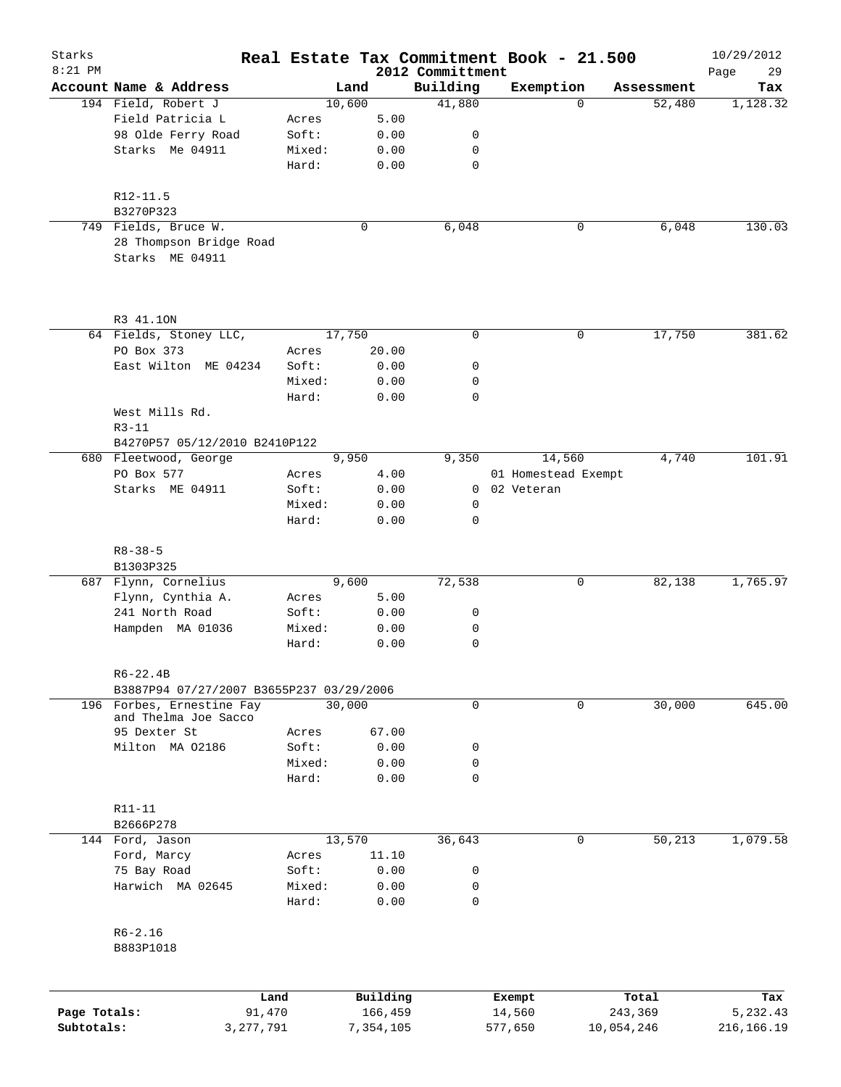| Starks       |                                                                    |        |                |                    | Real Estate Tax Commitment Book - 21.500 |             |                      | 10/29/2012      |
|--------------|--------------------------------------------------------------------|--------|----------------|--------------------|------------------------------------------|-------------|----------------------|-----------------|
| $8:21$ PM    | Account Name & Address                                             |        |                | 2012 Committment   |                                          |             |                      | 29<br>Page      |
|              | 194 Field, Robert J                                                |        | Land<br>10,600 | Building<br>41,880 | Exemption                                | $\Omega$    | Assessment<br>52,480 | Tax<br>1,128.32 |
|              | Field Patricia L                                                   | Acres  | 5.00           |                    |                                          |             |                      |                 |
|              | 98 Olde Ferry Road                                                 | Soft:  | 0.00           | 0                  |                                          |             |                      |                 |
|              | Starks Me 04911                                                    | Mixed: | 0.00           | 0                  |                                          |             |                      |                 |
|              |                                                                    | Hard:  | 0.00           | 0                  |                                          |             |                      |                 |
|              | $R12 - 11.5$                                                       |        |                |                    |                                          |             |                      |                 |
|              | B3270P323                                                          |        |                |                    |                                          |             |                      |                 |
|              | 749 Fields, Bruce W.<br>28 Thompson Bridge Road<br>Starks ME 04911 |        | 0              | 6,048              |                                          | 0           | 6,048                | 130.03          |
|              | R3 41.10N                                                          |        |                |                    |                                          |             |                      |                 |
|              | 64 Fields, Stoney LLC,                                             |        | 17,750         | 0                  |                                          | $\mathbf 0$ | 17,750               | 381.62          |
|              | PO Box 373                                                         | Acres  | 20.00          |                    |                                          |             |                      |                 |
|              | East Wilton ME 04234                                               | Soft:  | 0.00           | 0                  |                                          |             |                      |                 |
|              |                                                                    | Mixed: | 0.00           | 0                  |                                          |             |                      |                 |
|              |                                                                    | Hard:  | 0.00           | $\mathbf 0$        |                                          |             |                      |                 |
|              | West Mills Rd.                                                     |        |                |                    |                                          |             |                      |                 |
|              | $R3 - 11$<br>B4270P57 05/12/2010 B2410P122                         |        |                |                    |                                          |             |                      |                 |
|              | 680 Fleetwood, George                                              |        | 9,950          | 9,350              | 14,560                                   |             | 4,740                | 101.91          |
|              | PO Box 577                                                         | Acres  | 4.00           |                    | 01 Homestead Exempt                      |             |                      |                 |
|              | Starks ME 04911                                                    | Soft:  | 0.00           |                    | 0 02 Veteran                             |             |                      |                 |
|              |                                                                    | Mixed: | 0.00           | 0                  |                                          |             |                      |                 |
|              |                                                                    | Hard:  | 0.00           | $\mathbf 0$        |                                          |             |                      |                 |
|              | $R8 - 38 - 5$                                                      |        |                |                    |                                          |             |                      |                 |
|              | B1303P325<br>687 Flynn, Cornelius                                  |        | 9,600          | 72,538             |                                          | 0           | 82,138               | 1,765.97        |
|              | Flynn, Cynthia A.                                                  | Acres  | 5.00           |                    |                                          |             |                      |                 |
|              | 241 North Road                                                     | Soft:  | 0.00           | 0                  |                                          |             |                      |                 |
|              | Hampden MA 01036                                                   | Mixed: | 0.00           | 0                  |                                          |             |                      |                 |
|              |                                                                    | Hard:  | 0.00           | 0                  |                                          |             |                      |                 |
|              | $R6 - 22.4B$                                                       |        |                |                    |                                          |             |                      |                 |
|              | B3887P94 07/27/2007 B3655P237 03/29/2006                           |        |                |                    |                                          |             |                      |                 |
|              | 196 Forbes, Ernestine Fay                                          |        | 30,000         | $\mathbf 0$        |                                          | $\mathbf 0$ | 30,000               | 645.00          |
|              | and Thelma Joe Sacco                                               |        |                |                    |                                          |             |                      |                 |
|              | 95 Dexter St                                                       | Acres  | 67.00          |                    |                                          |             |                      |                 |
|              | Milton MA 02186                                                    | Soft:  | 0.00           | 0                  |                                          |             |                      |                 |
|              |                                                                    | Mixed: | 0.00           | 0                  |                                          |             |                      |                 |
|              |                                                                    | Hard:  | 0.00           | 0                  |                                          |             |                      |                 |
|              | R11-11                                                             |        |                |                    |                                          |             |                      |                 |
|              | B2666P278                                                          |        |                |                    |                                          |             |                      |                 |
|              | 144 Ford, Jason                                                    |        | 13,570         | 36,643             |                                          | 0           | 50,213               | 1,079.58        |
|              | Ford, Marcy                                                        | Acres  | 11.10          |                    |                                          |             |                      |                 |
|              | 75 Bay Road                                                        | Soft:  | 0.00           | 0                  |                                          |             |                      |                 |
|              | Harwich MA 02645                                                   | Mixed: | 0.00           | 0                  |                                          |             |                      |                 |
|              |                                                                    | Hard:  | 0.00           | 0                  |                                          |             |                      |                 |
|              | $R6 - 2.16$                                                        |        |                |                    |                                          |             |                      |                 |
|              | B883P1018                                                          |        |                |                    |                                          |             |                      |                 |
|              |                                                                    | Land   | Building       |                    | Exempt                                   | Total       |                      | Tax             |
| Page Totals: |                                                                    | 91,470 | 166,459        |                    | 14,560                                   | 243,369     |                      | 5,232.43        |
| Subtotals:   | 3, 277, 791                                                        |        | 7,354,105      |                    | 577,650                                  | 10,054,246  |                      | 216, 166. 19    |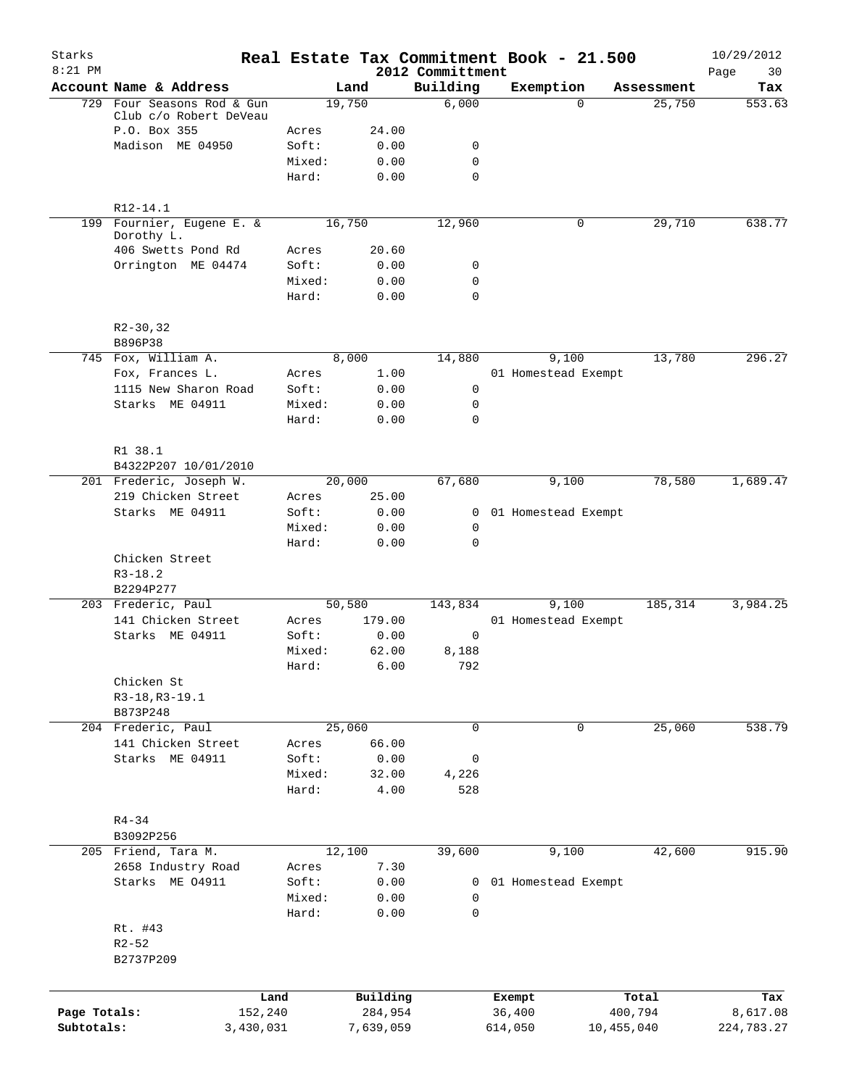| Starks<br>$8:21$ PM |                           |                 |                     | 2012 Committment           | Real Estate Tax Commitment Book - 21.500 |                  | 10/29/2012<br>30<br>Page |
|---------------------|---------------------------|-----------------|---------------------|----------------------------|------------------------------------------|------------------|--------------------------|
|                     | Account Name & Address    |                 | Land                | Building                   | Exemption                                | Assessment       | Tax                      |
| 729                 | Four Seasons Rod & Gun    |                 | 19,750              | 6,000                      | $\Omega$                                 | 25,750           | 553.63                   |
|                     | Club c/o Robert DeVeau    |                 |                     |                            |                                          |                  |                          |
|                     | P.O. Box 355              | Acres           | 24.00               |                            |                                          |                  |                          |
|                     | Madison ME 04950          | Soft:           | 0.00                | 0                          |                                          |                  |                          |
|                     |                           | Mixed:          | 0.00                | $\mathbf 0$<br>$\mathbf 0$ |                                          |                  |                          |
|                     |                           | Hard:           | 0.00                |                            |                                          |                  |                          |
|                     | R12-14.1                  |                 |                     |                            |                                          |                  |                          |
|                     | 199 Fournier, Eugene E. & |                 | 16,750              | 12,960                     | 0                                        | 29,710           | 638.77                   |
|                     | Dorothy L.                |                 |                     |                            |                                          |                  |                          |
|                     | 406 Swetts Pond Rd        | Acres           | 20.60               |                            |                                          |                  |                          |
|                     | Orrington ME 04474        | Soft:           | 0.00                | 0                          |                                          |                  |                          |
|                     |                           | Mixed:<br>Hard: | 0.00<br>0.00        | $\mathbf 0$<br>$\mathbf 0$ |                                          |                  |                          |
|                     |                           |                 |                     |                            |                                          |                  |                          |
|                     | $R2-30, 32$<br>B896P38    |                 |                     |                            |                                          |                  |                          |
|                     | 745 Fox, William A.       |                 | 8,000               | 14,880                     | 9,100                                    | 13,780           | 296.27                   |
|                     | Fox, Frances L.           | Acres           | 1.00                |                            | 01 Homestead Exempt                      |                  |                          |
|                     | 1115 New Sharon Road      | Soft:           | 0.00                | 0                          |                                          |                  |                          |
|                     | Starks ME 04911           | Mixed:          | 0.00                | 0                          |                                          |                  |                          |
|                     |                           | Hard:           | 0.00                | $\mathbf 0$                |                                          |                  |                          |
|                     | R1 38.1                   |                 |                     |                            |                                          |                  |                          |
|                     | B4322P207 10/01/2010      |                 |                     |                            |                                          |                  |                          |
|                     | 201 Frederic, Joseph W.   |                 | 20,000              | 67,680                     | 9,100                                    | 78,580           | 1,689.47                 |
|                     | 219 Chicken Street        | Acres           | 25.00               |                            |                                          |                  |                          |
|                     | Starks ME 04911           | Soft:           | 0.00                | $\overline{0}$             | 01 Homestead Exempt                      |                  |                          |
|                     |                           | Mixed:          | 0.00                | 0                          |                                          |                  |                          |
|                     |                           | Hard:           | 0.00                | $\mathbf 0$                |                                          |                  |                          |
|                     | Chicken Street            |                 |                     |                            |                                          |                  |                          |
|                     | $R3 - 18.2$               |                 |                     |                            |                                          |                  |                          |
|                     | B2294P277                 |                 |                     |                            |                                          |                  |                          |
|                     | 203 Frederic, Paul        |                 | 50,580              | 143,834                    | 9,100                                    | 185,314          | 3,984.25                 |
|                     | 141 Chicken Street        | Acres           | 179.00              |                            | 01 Homestead Exempt                      |                  |                          |
|                     | Starks ME 04911           | Soft:           | 0.00                | 0                          |                                          |                  |                          |
|                     |                           | Mixed:          | 62.00               | 8,188                      |                                          |                  |                          |
|                     |                           | Hard:           | 6.00                | 792                        |                                          |                  |                          |
|                     | Chicken St                |                 |                     |                            |                                          |                  |                          |
|                     | R3-18, R3-19.1            |                 |                     |                            |                                          |                  |                          |
|                     | B873P248                  |                 |                     |                            |                                          |                  |                          |
|                     | 204 Frederic, Paul        |                 | 25,060              | $\mathbf 0$                | 0                                        | 25,060           | 538.79                   |
|                     | 141 Chicken Street        | Acres           | 66.00               |                            |                                          |                  |                          |
|                     | Starks ME 04911           | Soft:           | 0.00                | 0                          |                                          |                  |                          |
|                     |                           | Mixed:          | 32.00               | 4,226                      |                                          |                  |                          |
|                     |                           | Hard:           | 4.00                | 528                        |                                          |                  |                          |
|                     | $R4 - 34$                 |                 |                     |                            |                                          |                  |                          |
|                     | B3092P256                 |                 |                     |                            |                                          |                  |                          |
|                     | 205 Friend, Tara M.       |                 | 12,100              | 39,600                     | 9,100                                    | 42,600           | 915.90                   |
|                     | 2658 Industry Road        | Acres           | 7.30                |                            |                                          |                  |                          |
|                     | Starks ME 04911           | Soft:           | 0.00                | 0                          | 01 Homestead Exempt                      |                  |                          |
|                     |                           | Mixed:          | 0.00                | 0                          |                                          |                  |                          |
|                     |                           | Hard:           | 0.00                | 0                          |                                          |                  |                          |
|                     | Rt. #43                   |                 |                     |                            |                                          |                  |                          |
|                     | $R2 - 52$                 |                 |                     |                            |                                          |                  |                          |
|                     | B2737P209                 |                 |                     |                            |                                          |                  |                          |
|                     |                           |                 |                     |                            |                                          |                  |                          |
| Page Totals:        | Land<br>152,240           |                 | Building<br>284,954 |                            | Exempt<br>36,400                         | Total<br>400,794 | Tax<br>8,617.08          |
| Subtotals:          | 3,430,031                 |                 | 7,639,059           |                            | 614,050                                  | 10,455,040       | 224,783.27               |
|                     |                           |                 |                     |                            |                                          |                  |                          |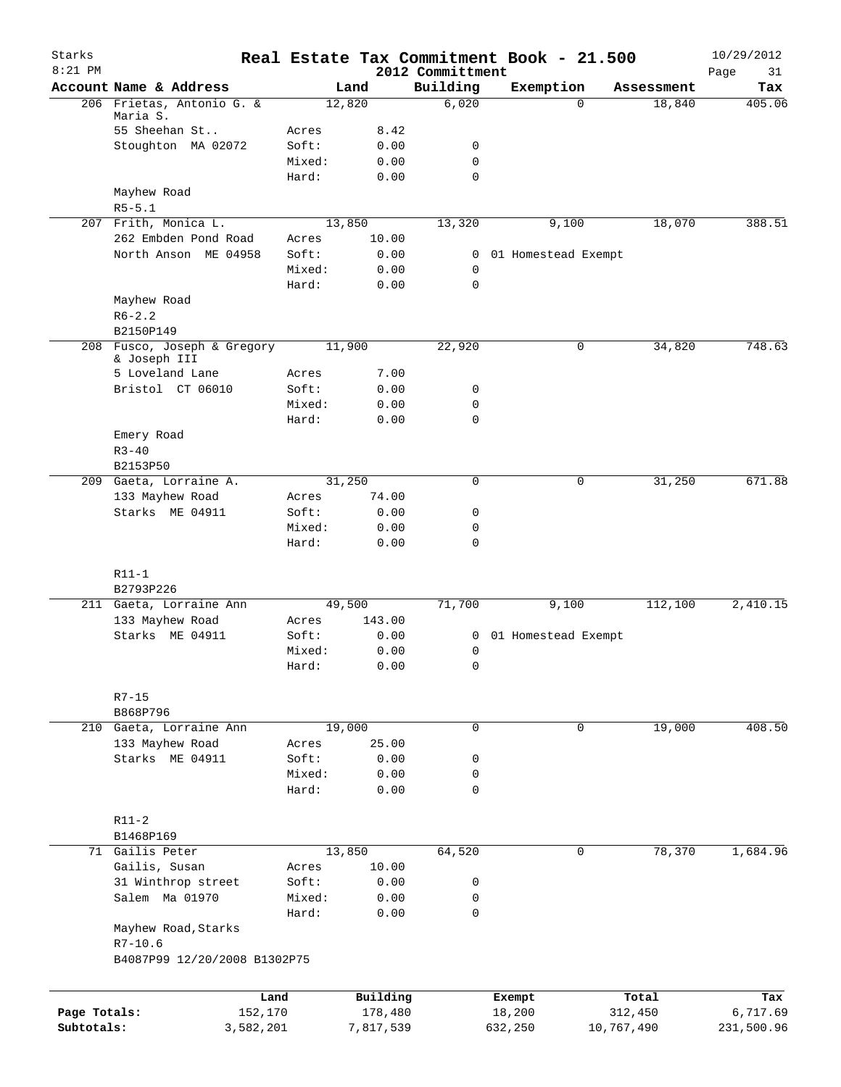| Starks       |                                             |        |                |                              | Real Estate Tax Commitment Book - 21.500 |                      | 10/29/2012    |
|--------------|---------------------------------------------|--------|----------------|------------------------------|------------------------------------------|----------------------|---------------|
| $8:21$ PM    | Account Name & Address                      |        |                | 2012 Committment<br>Building |                                          |                      | Page<br>31    |
|              | 206 Frietas, Antonio G. &                   |        | Land<br>12,820 | 6,020                        | Exemption<br>$\Omega$                    | Assessment<br>18,840 | Tax<br>405.06 |
|              | Maria S.                                    |        |                |                              |                                          |                      |               |
|              | 55 Sheehan St                               | Acres  | 8.42           |                              |                                          |                      |               |
|              | Stoughton MA 02072                          | Soft:  | 0.00           | 0                            |                                          |                      |               |
|              |                                             | Mixed: | 0.00           | 0                            |                                          |                      |               |
|              |                                             | Hard:  | 0.00           | $\mathbf 0$                  |                                          |                      |               |
|              | Mayhew Road                                 |        |                |                              |                                          |                      |               |
|              | $R5 - 5.1$                                  |        |                |                              |                                          |                      |               |
|              | 207 Frith, Monica L.                        |        | 13,850         | 13,320                       | 9,100                                    | 18,070               | 388.51        |
|              | 262 Embden Pond Road                        | Acres  | 10.00          |                              |                                          |                      |               |
|              | North Anson ME 04958                        | Soft:  | 0.00           | $\mathbf{0}$                 | 01 Homestead Exempt                      |                      |               |
|              |                                             | Mixed: | 0.00           | $\mathbf 0$                  |                                          |                      |               |
|              |                                             | Hard:  | 0.00           | $\Omega$                     |                                          |                      |               |
|              | Mayhew Road                                 |        |                |                              |                                          |                      |               |
|              | $R6 - 2.2$                                  |        |                |                              |                                          |                      |               |
|              | B2150P149                                   |        |                |                              |                                          |                      |               |
|              | 208 Fusco, Joseph & Gregory<br>& Joseph III |        | 11,900         | 22,920                       | 0                                        | 34,820               | 748.63        |
|              | 5 Loveland Lane                             | Acres  | 7.00           |                              |                                          |                      |               |
|              | Bristol CT 06010                            | Soft:  | 0.00           | 0                            |                                          |                      |               |
|              |                                             | Mixed: | 0.00           | 0                            |                                          |                      |               |
|              |                                             | Hard:  | 0.00           | $\mathbf 0$                  |                                          |                      |               |
|              | Emery Road                                  |        |                |                              |                                          |                      |               |
|              | $R3 - 40$                                   |        |                |                              |                                          |                      |               |
|              | B2153P50                                    |        |                |                              |                                          |                      |               |
|              | 209 Gaeta, Lorraine A.                      |        | 31,250         | $\mathbf 0$                  | 0                                        | 31,250               | 671.88        |
|              | 133 Mayhew Road                             | Acres  | 74.00          |                              |                                          |                      |               |
|              | Starks ME 04911                             | Soft:  | 0.00           | 0                            |                                          |                      |               |
|              |                                             | Mixed: | 0.00           | 0                            |                                          |                      |               |
|              |                                             | Hard:  | 0.00           | $\mathbf 0$                  |                                          |                      |               |
|              |                                             |        |                |                              |                                          |                      |               |
|              | $R11-1$                                     |        |                |                              |                                          |                      |               |
|              | B2793P226                                   |        |                |                              |                                          |                      |               |
|              | 211 Gaeta, Lorraine Ann                     |        | 49,500         | 71,700                       | 9,100                                    | 112,100              | 2,410.15      |
|              | 133 Mayhew Road                             | Acres  | 143.00         |                              |                                          |                      |               |
|              | Starks ME 04911                             | Soft:  | 0.00           | 0                            | 01 Homestead Exempt                      |                      |               |
|              |                                             | Mixed: | 0.00           | 0                            |                                          |                      |               |
|              |                                             | Hard:  | 0.00           | 0                            |                                          |                      |               |
|              |                                             |        |                |                              |                                          |                      |               |
|              | $R7 - 15$                                   |        |                |                              |                                          |                      |               |
|              | B868P796                                    |        |                |                              |                                          |                      |               |
|              | 210 Gaeta, Lorraine Ann                     |        | 19,000         | 0                            | 0                                        | 19,000               | 408.50        |
|              | 133 Mayhew Road                             | Acres  | 25.00          |                              |                                          |                      |               |
|              | Starks ME 04911                             | Soft:  | 0.00           | 0                            |                                          |                      |               |
|              |                                             | Mixed: | 0.00           | 0<br>0                       |                                          |                      |               |
|              |                                             | Hard:  | 0.00           |                              |                                          |                      |               |
|              | $R11 - 2$                                   |        |                |                              |                                          |                      |               |
|              | B1468P169                                   |        |                |                              |                                          |                      |               |
|              | 71 Gailis Peter                             |        | 13,850         | 64,520                       | 0                                        | 78,370               | 1,684.96      |
|              | Gailis, Susan                               | Acres  | 10.00          |                              |                                          |                      |               |
|              | 31 Winthrop street                          | Soft:  | 0.00           | 0                            |                                          |                      |               |
|              | Salem Ma 01970                              | Mixed: | 0.00           | 0                            |                                          |                      |               |
|              |                                             | Hard:  | 0.00           | 0                            |                                          |                      |               |
|              | Mayhew Road, Starks                         |        |                |                              |                                          |                      |               |
|              | $R7 - 10.6$                                 |        |                |                              |                                          |                      |               |
|              | B4087P99 12/20/2008 B1302P75                |        |                |                              |                                          |                      |               |
|              |                                             |        |                |                              |                                          |                      |               |
|              | Land                                        |        | Building       |                              | Exempt                                   | Total                | Tax           |
| Page Totals: | 152,170                                     |        | 178,480        |                              | 18,200                                   | 312,450              | 6,717.69      |
| Subtotals:   | 3,582,201                                   |        | 7,817,539      |                              | 632,250                                  | 10,767,490           | 231,500.96    |
|              |                                             |        |                |                              |                                          |                      |               |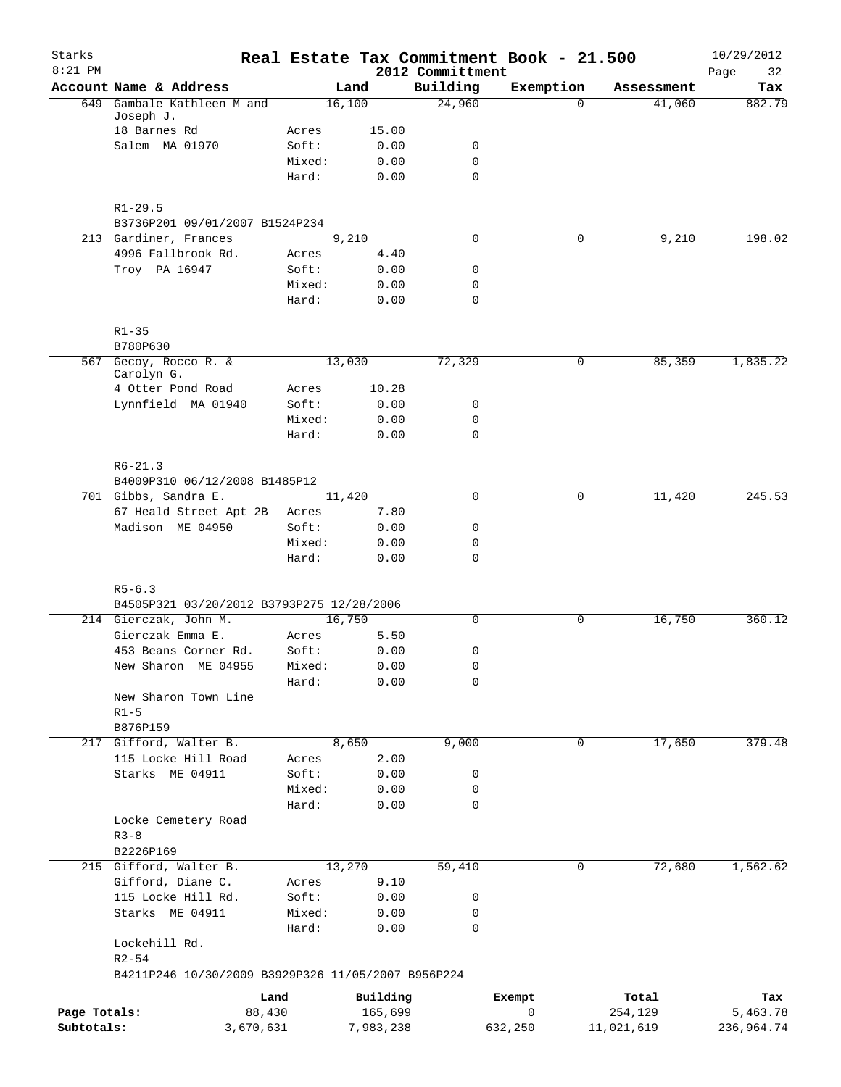| Starks<br>$8:21$ PM |                                                    |                 |              | 2012 Committment | Real Estate Tax Commitment Book - 21.500 |            | 10/29/2012<br>32<br>Page |
|---------------------|----------------------------------------------------|-----------------|--------------|------------------|------------------------------------------|------------|--------------------------|
|                     | Account Name & Address                             |                 | Land         | Building         | Exemption                                | Assessment | Tax                      |
| 649                 | Gambale Kathleen M and                             |                 | 16,100       | 24,960           | $\Omega$                                 | 41,060     | 882.79                   |
|                     | Joseph J.                                          |                 |              |                  |                                          |            |                          |
|                     | 18 Barnes Rd<br>Salem MA 01970                     | Acres           | 15.00        |                  |                                          |            |                          |
|                     |                                                    | Soft:<br>Mixed: | 0.00<br>0.00 | 0<br>$\mathbf 0$ |                                          |            |                          |
|                     |                                                    | Hard:           | 0.00         | $\mathbf 0$      |                                          |            |                          |
|                     |                                                    |                 |              |                  |                                          |            |                          |
|                     | $R1 - 29.5$                                        |                 |              |                  |                                          |            |                          |
|                     | B3736P201 09/01/2007 B1524P234                     |                 |              |                  |                                          |            |                          |
|                     | 213 Gardiner, Frances                              |                 | 9,210        | 0                | 0                                        | 9,210      | 198.02                   |
|                     | 4996 Fallbrook Rd.                                 | Acres           | 4.40         |                  |                                          |            |                          |
|                     | Troy PA 16947                                      | Soft:           | 0.00         | 0                |                                          |            |                          |
|                     |                                                    | Mixed:          | 0.00         | $\mathbf 0$      |                                          |            |                          |
|                     |                                                    | Hard:           | 0.00         | $\mathbf 0$      |                                          |            |                          |
|                     | $R1 - 35$                                          |                 |              |                  |                                          |            |                          |
|                     | B780P630                                           |                 |              |                  |                                          |            |                          |
|                     | 567 Gecoy, Rocco R. &                              |                 | 13,030       | 72,329           | 0                                        | 85,359     | 1,835.22                 |
|                     | Carolyn G.                                         |                 |              |                  |                                          |            |                          |
|                     | 4 Otter Pond Road                                  | Acres           | 10.28        |                  |                                          |            |                          |
|                     | Lynnfield MA 01940                                 | Soft:           | 0.00         | 0                |                                          |            |                          |
|                     |                                                    | Mixed:          | 0.00         | 0                |                                          |            |                          |
|                     |                                                    | Hard:           | 0.00         | $\mathbf 0$      |                                          |            |                          |
|                     |                                                    |                 |              |                  |                                          |            |                          |
|                     | $R6 - 21.3$<br>B4009P310 06/12/2008 B1485P12       |                 |              |                  |                                          |            |                          |
|                     | 701 Gibbs, Sandra E.                               |                 | 11,420       | 0                | 0                                        | 11,420     | 245.53                   |
|                     | 67 Heald Street Apt 2B                             | Acres           | 7.80         |                  |                                          |            |                          |
|                     | Madison ME 04950                                   | Soft:           | 0.00         | 0                |                                          |            |                          |
|                     |                                                    | Mixed:          | 0.00         | 0                |                                          |            |                          |
|                     |                                                    | Hard:           | 0.00         | $\mathbf 0$      |                                          |            |                          |
|                     |                                                    |                 |              |                  |                                          |            |                          |
|                     | $R5 - 6.3$                                         |                 |              |                  |                                          |            |                          |
|                     | B4505P321 03/20/2012 B3793P275 12/28/2006          |                 |              |                  |                                          |            |                          |
|                     | 214 Gierczak, John M.                              |                 | 16,750       | $\mathbf 0$      | 0                                        | 16,750     | 360.12                   |
|                     | Gierczak Emma E.                                   | Acres           | 5.50         |                  |                                          |            |                          |
|                     | 453 Beans Corner Rd.                               | Soft:           | 0.00         | 0                |                                          |            |                          |
|                     | New Sharon ME 04955                                | Mixed:          | 0.00         | 0                |                                          |            |                          |
|                     |                                                    | Hard:           | 0.00         | 0                |                                          |            |                          |
|                     | New Sharon Town Line                               |                 |              |                  |                                          |            |                          |
|                     | $R1-5$                                             |                 |              |                  |                                          |            |                          |
|                     | B876P159<br>217 Gifford, Walter B.                 |                 | 8,650        | 9,000            | 0                                        | 17,650     | 379.48                   |
|                     | 115 Locke Hill Road                                | Acres           | 2.00         |                  |                                          |            |                          |
|                     | Starks ME 04911                                    | Soft:           | 0.00         | 0                |                                          |            |                          |
|                     |                                                    | Mixed:          | 0.00         | 0                |                                          |            |                          |
|                     |                                                    | Hard:           | 0.00         | $\mathbf 0$      |                                          |            |                          |
|                     | Locke Cemetery Road                                |                 |              |                  |                                          |            |                          |
|                     | $R3 - 8$                                           |                 |              |                  |                                          |            |                          |
|                     | B2226P169                                          |                 |              |                  |                                          |            |                          |
|                     | 215 Gifford, Walter B.                             |                 | 13,270       | 59,410           | 0                                        | 72,680     | 1,562.62                 |
|                     | Gifford, Diane C.                                  | Acres           | 9.10         |                  |                                          |            |                          |
|                     | 115 Locke Hill Rd.                                 | Soft:           | 0.00         | 0                |                                          |            |                          |
|                     | Starks ME 04911                                    | Mixed:          | 0.00         | 0                |                                          |            |                          |
|                     |                                                    | Hard:           | 0.00         | 0                |                                          |            |                          |
|                     | Lockehill Rd.                                      |                 |              |                  |                                          |            |                          |
|                     | $R2 - 54$                                          |                 |              |                  |                                          |            |                          |
|                     | B4211P246 10/30/2009 B3929P326 11/05/2007 B956P224 |                 |              |                  |                                          |            |                          |
|                     |                                                    | Land            | Building     |                  | Exempt                                   | Total      | Tax                      |
| Page Totals:        |                                                    | 88,430          | 165,699      |                  | 0                                        | 254,129    | 5,463.78                 |
| Subtotals:          | 3,670,631                                          |                 | 7,983,238    |                  | 632,250                                  | 11,021,619 | 236,964.74               |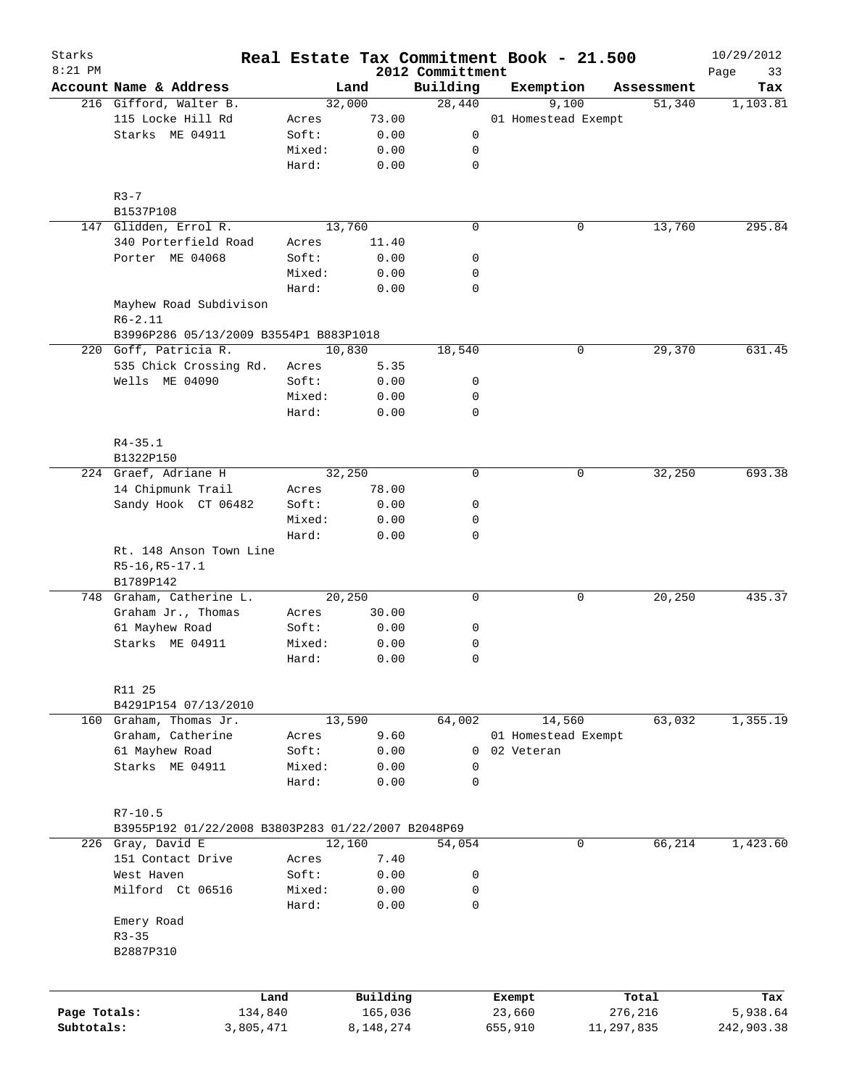| Starks<br>$8:21$ PM        |                                                        |        |                      | 2012 Committment | Real Estate Tax Commitment Book - 21.500 |            |            | 10/29/2012             |
|----------------------------|--------------------------------------------------------|--------|----------------------|------------------|------------------------------------------|------------|------------|------------------------|
|                            | Account Name & Address                                 |        | Land                 | Building         | Exemption                                |            | Assessment | Page<br>33<br>Tax      |
|                            | 216 Gifford, Walter B.                                 |        | 32,000               | 28,440           | 9,100                                    |            | 51,340     | 1,103.81               |
|                            | 115 Locke Hill Rd                                      | Acres  | 73.00                |                  | 01 Homestead Exempt                      |            |            |                        |
|                            | Starks ME 04911                                        | Soft:  | 0.00                 | 0                |                                          |            |            |                        |
|                            |                                                        | Mixed: | 0.00                 | 0                |                                          |            |            |                        |
|                            |                                                        | Hard:  | 0.00                 | 0                |                                          |            |            |                        |
|                            | $R3 - 7$                                               |        |                      |                  |                                          |            |            |                        |
|                            | B1537P108                                              |        |                      |                  |                                          |            |            |                        |
|                            | 147 Glidden, Errol R.                                  |        | 13,760               | $\mathbf 0$      |                                          | 0          | 13,760     | 295.84                 |
|                            | 340 Porterfield Road                                   | Acres  | 11.40                |                  |                                          |            |            |                        |
|                            | Porter ME 04068                                        | Soft:  | 0.00                 | 0                |                                          |            |            |                        |
|                            |                                                        | Mixed: | 0.00                 | 0                |                                          |            |            |                        |
|                            |                                                        | Hard:  | 0.00                 | 0                |                                          |            |            |                        |
|                            | Mayhew Road Subdivison<br>$R6 - 2.11$                  |        |                      |                  |                                          |            |            |                        |
|                            | B3996P286 05/13/2009 B3554P1 B883P1018                 |        |                      |                  |                                          |            |            |                        |
|                            | 220 Goff, Patricia R.                                  |        | 10,830               | 18,540           |                                          | 0          | 29,370     | 631.45                 |
|                            | 535 Chick Crossing Rd.                                 | Acres  | 5.35                 |                  |                                          |            |            |                        |
|                            | Wells ME 04090                                         | Soft:  | 0.00                 | 0                |                                          |            |            |                        |
|                            |                                                        | Mixed: | 0.00                 | 0                |                                          |            |            |                        |
|                            |                                                        | Hard:  | 0.00                 | 0                |                                          |            |            |                        |
|                            |                                                        |        |                      |                  |                                          |            |            |                        |
|                            | $R4 - 35.1$<br>B1322P150                               |        |                      |                  |                                          |            |            |                        |
|                            | 224 Graef, Adriane H                                   |        | 32,250               | $\mathbf 0$      |                                          | 0          | 32,250     | 693.38                 |
|                            | 14 Chipmunk Trail                                      | Acres  | 78.00                |                  |                                          |            |            |                        |
|                            | Sandy Hook CT 06482                                    | Soft:  | 0.00                 | 0                |                                          |            |            |                        |
|                            |                                                        | Mixed: | 0.00                 | 0                |                                          |            |            |                        |
|                            |                                                        | Hard:  | 0.00                 | $\mathbf 0$      |                                          |            |            |                        |
|                            | Rt. 148 Anson Town Line<br>R5-16, R5-17.1<br>B1789P142 |        |                      |                  |                                          |            |            |                        |
|                            | 748 Graham, Catherine L.                               |        | 20,250               | $\mathbf 0$      |                                          | 0          | 20,250     | 435.37                 |
|                            | Graham Jr., Thomas                                     | Acres  | 30.00                |                  |                                          |            |            |                        |
|                            | 61 Mayhew Road                                         | Soft:  | 0.00                 | 0                |                                          |            |            |                        |
|                            | Starks ME 04911                                        | Mixed: | 0.00                 | 0                |                                          |            |            |                        |
|                            |                                                        | Hard:  | 0.00                 | 0                |                                          |            |            |                        |
|                            | R11 25                                                 |        |                      |                  |                                          |            |            |                        |
|                            | B4291P154 07/13/2010                                   |        |                      |                  |                                          |            |            |                        |
|                            | 160 Graham, Thomas Jr.                                 |        | 13,590               | 64,002           | 14,560                                   |            | 63,032     | 1,355.19               |
|                            | Graham, Catherine                                      | Acres  | 9.60                 |                  | 01 Homestead Exempt                      |            |            |                        |
|                            | 61 Mayhew Road                                         | Soft:  | 0.00                 | $\mathbf 0$      | 02 Veteran                               |            |            |                        |
|                            | Starks ME 04911                                        | Mixed: | 0.00                 | 0                |                                          |            |            |                        |
|                            |                                                        | Hard:  | 0.00                 | 0                |                                          |            |            |                        |
|                            | $R7 - 10.5$                                            |        |                      |                  |                                          |            |            |                        |
|                            | B3955P192 01/22/2008 B3803P283 01/22/2007 B2048P69     |        |                      |                  |                                          |            |            |                        |
|                            | 226 Gray, David E                                      |        | 12,160               | 54,054           |                                          | 0          | 66,214     | 1,423.60               |
|                            | 151 Contact Drive                                      | Acres  | 7.40                 |                  |                                          |            |            |                        |
|                            | West Haven                                             | Soft:  | 0.00                 | 0                |                                          |            |            |                        |
|                            | Milford Ct 06516                                       | Mixed: | 0.00                 | 0                |                                          |            |            |                        |
|                            |                                                        | Hard:  | 0.00                 | $\mathbf 0$      |                                          |            |            |                        |
|                            | Emery Road                                             |        |                      |                  |                                          |            |            |                        |
|                            | $R3 - 35$                                              |        |                      |                  |                                          |            |            |                        |
|                            | B2887P310                                              |        |                      |                  |                                          |            |            |                        |
|                            |                                                        |        |                      |                  |                                          |            |            |                        |
|                            | Land                                                   |        | Building             |                  | Exempt                                   |            | Total      | Tax                    |
| Page Totals:<br>Subtotals: | 134,840<br>3,805,471                                   |        | 165,036<br>8,148,274 |                  | 23,660<br>655,910                        | 11,297,835 | 276,216    | 5,938.64<br>242,903.38 |
|                            |                                                        |        |                      |                  |                                          |            |            |                        |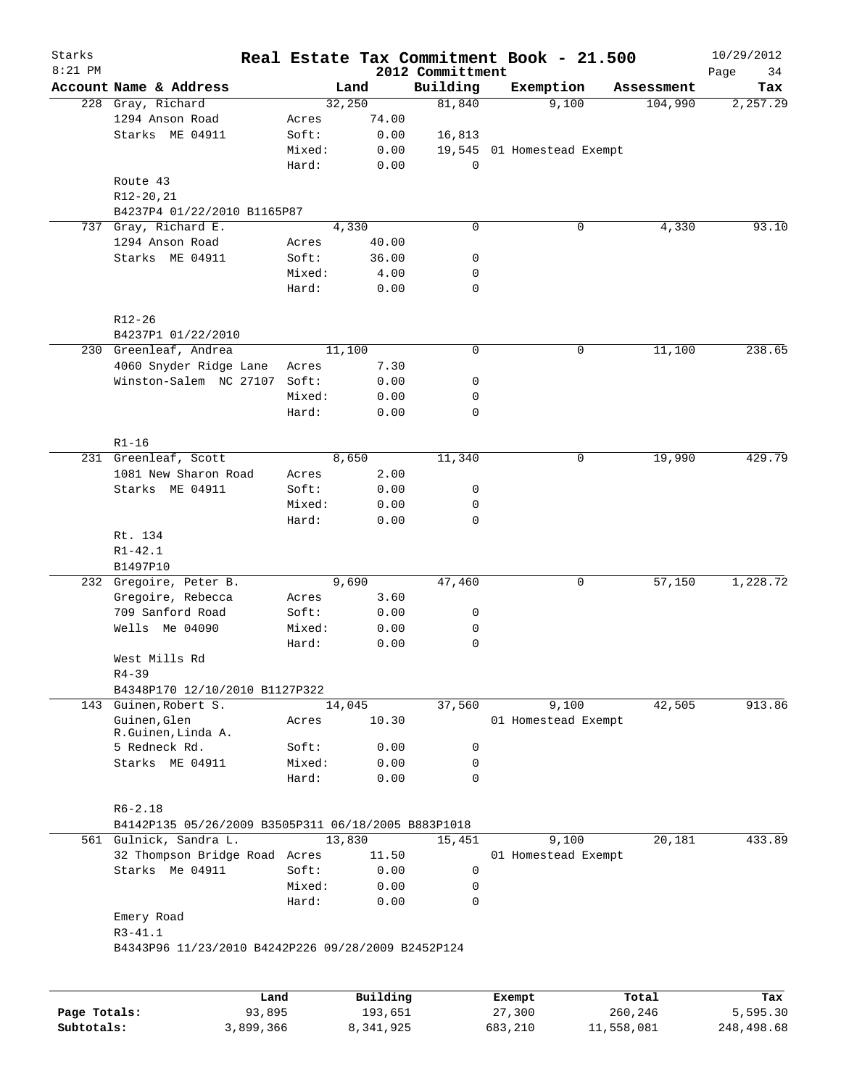| Starks<br>$8:21$ PM |                                                     |        |          | 2012 Committment | Real Estate Tax Commitment Book - 21.500 |            | 10/29/2012<br>Page<br>34 |
|---------------------|-----------------------------------------------------|--------|----------|------------------|------------------------------------------|------------|--------------------------|
|                     | Account Name & Address                              |        | Land     | Building         | Exemption                                | Assessment | Tax                      |
| 228                 | Gray, Richard                                       |        | 32,250   | 81,840           | 9,100                                    | 104,990    | 2,257.29                 |
|                     | 1294 Anson Road                                     | Acres  | 74.00    |                  |                                          |            |                          |
|                     | Starks ME 04911                                     | Soft:  | 0.00     | 16,813           |                                          |            |                          |
|                     |                                                     | Mixed: | 0.00     |                  | 19,545 01 Homestead Exempt               |            |                          |
|                     |                                                     | Hard:  | 0.00     | 0                |                                          |            |                          |
|                     | Route 43                                            |        |          |                  |                                          |            |                          |
|                     | R12-20,21                                           |        |          |                  |                                          |            |                          |
|                     | B4237P4 01/22/2010 B1165P87                         |        |          |                  |                                          |            |                          |
| 737                 | Gray, Richard E.                                    |        | 4,330    | $\mathbf 0$      | $\mathsf{O}$                             | 4,330      | 93.10                    |
|                     | 1294 Anson Road                                     | Acres  | 40.00    |                  |                                          |            |                          |
|                     | Starks ME 04911                                     | Soft:  | 36.00    | 0                |                                          |            |                          |
|                     |                                                     | Mixed: | 4.00     | 0                |                                          |            |                          |
|                     |                                                     | Hard:  | 0.00     | $\mathbf 0$      |                                          |            |                          |
|                     |                                                     |        |          |                  |                                          |            |                          |
|                     | R12-26<br>B4237P1 01/22/2010                        |        |          |                  |                                          |            |                          |
|                     | 230 Greenleaf, Andrea                               |        | 11,100   | 0                | 0                                        | 11,100     | 238.65                   |
|                     | 4060 Snyder Ridge Lane                              |        |          |                  |                                          |            |                          |
|                     |                                                     | Acres  | 7.30     |                  |                                          |            |                          |
|                     | Winston-Salem NC 27107                              | Soft:  | 0.00     | 0                |                                          |            |                          |
|                     |                                                     | Mixed: | 0.00     | 0                |                                          |            |                          |
|                     |                                                     | Hard:  | 0.00     | 0                |                                          |            |                          |
|                     | $R1 - 16$                                           |        |          |                  |                                          |            |                          |
|                     | 231 Greenleaf, Scott                                |        | 8,650    | 11,340           | $\mathsf{O}$                             | 19,990     | 429.79                   |
|                     | 1081 New Sharon Road                                | Acres  | 2.00     |                  |                                          |            |                          |
|                     | Starks ME 04911                                     | Soft:  | 0.00     | 0                |                                          |            |                          |
|                     |                                                     | Mixed: | 0.00     | 0                |                                          |            |                          |
|                     |                                                     | Hard:  | 0.00     | 0                |                                          |            |                          |
|                     | Rt. 134                                             |        |          |                  |                                          |            |                          |
|                     | $R1 - 42.1$                                         |        |          |                  |                                          |            |                          |
|                     | B1497P10                                            |        |          |                  |                                          |            |                          |
|                     | 232 Gregoire, Peter B.                              |        | 9,690    | 47,460           | 0                                        | 57,150     | 1,228.72                 |
|                     | Gregoire, Rebecca                                   | Acres  | 3.60     |                  |                                          |            |                          |
|                     | 709 Sanford Road                                    | Soft:  | 0.00     | 0                |                                          |            |                          |
|                     | Wells Me 04090                                      | Mixed: | 0.00     | 0                |                                          |            |                          |
|                     |                                                     | Hard:  | 0.00     | 0                |                                          |            |                          |
|                     | West Mills Rd                                       |        |          |                  |                                          |            |                          |
|                     | $R4 - 39$                                           |        |          |                  |                                          |            |                          |
|                     | B4348P170 12/10/2010 B1127P322                      |        |          |                  |                                          |            |                          |
| 143                 | Guinen, Robert S.                                   |        | 14,045   | 37,560           | 9,100                                    | 42,505     | 913.86                   |
|                     | Guinen, Glen                                        | Acres  | 10.30    |                  | 01 Homestead Exempt                      |            |                          |
|                     | R.Guinen, Linda A.                                  |        |          |                  |                                          |            |                          |
|                     | 5 Redneck Rd.                                       | Soft:  | 0.00     | 0                |                                          |            |                          |
|                     | Starks ME 04911                                     | Mixed: | 0.00     | 0                |                                          |            |                          |
|                     |                                                     | Hard:  | 0.00     | $\Omega$         |                                          |            |                          |
|                     | $R6 - 2.18$                                         |        |          |                  |                                          |            |                          |
|                     | B4142P135 05/26/2009 B3505P311 06/18/2005 B883P1018 |        |          |                  |                                          |            |                          |
|                     | 561 Gulnick, Sandra L.                              |        | 13,830   | 15,451           | 9,100                                    | 20,181     | 433.89                   |
|                     | 32 Thompson Bridge Road Acres                       |        | 11.50    |                  |                                          |            |                          |
|                     |                                                     |        |          |                  | 01 Homestead Exempt                      |            |                          |
|                     | Starks Me 04911                                     | Soft:  | 0.00     | 0                |                                          |            |                          |
|                     |                                                     | Mixed: | 0.00     | 0                |                                          |            |                          |
|                     |                                                     | Hard:  | 0.00     | 0                |                                          |            |                          |
|                     | Emery Road                                          |        |          |                  |                                          |            |                          |
|                     | $R3 - 41.1$                                         |        |          |                  |                                          |            |                          |
|                     | B4343P96 11/23/2010 B4242P226 09/28/2009 B2452P124  |        |          |                  |                                          |            |                          |
|                     |                                                     |        |          |                  |                                          |            |                          |
|                     | Land                                                |        | Building |                  | <b>Exempt</b>                            | Total      | Tax                      |

|              | Land      | Building  | Exempt  | Total      | Tax        |
|--------------|-----------|-----------|---------|------------|------------|
| Page Totals: | 93,895    | 193,651   | 27,300  | 260,246    | 5,595.30   |
| Subtotals:   | 3,899,366 | 8,341,925 | 683,210 | 11,558,081 | 248,498.68 |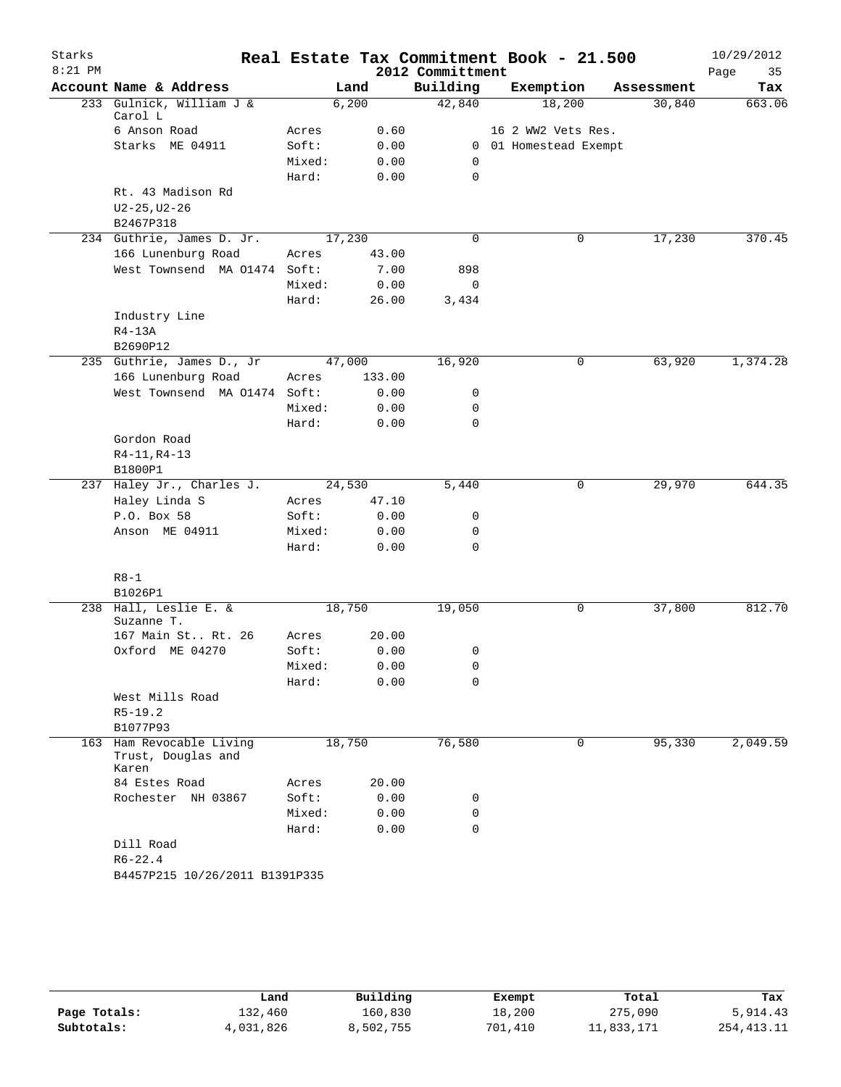| Starks    |                                                         |        |        |                  | Real Estate Tax Commitment Book - 21.500 |            | 10/29/2012 |
|-----------|---------------------------------------------------------|--------|--------|------------------|------------------------------------------|------------|------------|
| $8:21$ PM |                                                         |        |        | 2012 Committment |                                          |            | Page<br>35 |
|           | Account Name & Address                                  |        | Land   | Building         | Exemption                                | Assessment | Tax        |
|           | 233 Gulnick, William J &<br>Carol L                     |        | 6,200  | 42,840           | 18,200                                   | 30,840     | 663.06     |
|           | 6 Anson Road                                            | Acres  | 0.60   |                  | 16 2 WW2 Vets Res.                       |            |            |
|           | Starks ME 04911                                         | Soft:  | 0.00   |                  | 0 01 Homestead Exempt                    |            |            |
|           |                                                         | Mixed: | 0.00   | 0                |                                          |            |            |
|           |                                                         | Hard:  | 0.00   | $\mathbf 0$      |                                          |            |            |
|           | Rt. 43 Madison Rd                                       |        |        |                  |                                          |            |            |
|           | $U2 - 25, U2 - 26$                                      |        |        |                  |                                          |            |            |
|           | B2467P318                                               |        |        |                  |                                          |            |            |
|           | 234 Guthrie, James D. Jr.                               |        | 17,230 | 0                | 0                                        | 17,230     | 370.45     |
|           | 166 Lunenburg Road                                      | Acres  | 43.00  |                  |                                          |            |            |
|           | West Townsend MA 01474 Soft:                            |        | 7.00   | 898              |                                          |            |            |
|           |                                                         | Mixed: | 0.00   | $\mathsf{O}$     |                                          |            |            |
|           |                                                         | Hard:  | 26.00  | 3,434            |                                          |            |            |
|           | Industry Line                                           |        |        |                  |                                          |            |            |
|           | $R4-13A$                                                |        |        |                  |                                          |            |            |
|           | B2690P12<br>235 Guthrie, James D., Jr                   |        | 47,000 | 16,920           | 0                                        | 63,920     | 1,374.28   |
|           | 166 Lunenburg Road                                      | Acres  | 133.00 |                  |                                          |            |            |
|           | West Townsend MA 01474 Soft:                            |        | 0.00   | 0                |                                          |            |            |
|           |                                                         | Mixed: | 0.00   | 0                |                                          |            |            |
|           |                                                         | Hard:  | 0.00   | $\mathbf 0$      |                                          |            |            |
|           | Gordon Road                                             |        |        |                  |                                          |            |            |
|           | $R4-11, R4-13$                                          |        |        |                  |                                          |            |            |
|           | B1800P1                                                 |        |        |                  |                                          |            |            |
|           | 237 Haley Jr., Charles J.                               |        | 24,530 | 5,440            | 0                                        | 29,970     | 644.35     |
|           | Haley Linda S                                           | Acres  | 47.10  |                  |                                          |            |            |
|           | P.O. Box 58                                             | Soft:  | 0.00   | 0                |                                          |            |            |
|           | Anson ME 04911                                          | Mixed: | 0.00   | 0                |                                          |            |            |
|           |                                                         | Hard:  | 0.00   | 0                |                                          |            |            |
|           | $R8 - 1$                                                |        |        |                  |                                          |            |            |
|           | B1026P1                                                 |        |        |                  |                                          |            |            |
|           | 238 Hall, Leslie E. &<br>Suzanne T.                     |        | 18,750 | 19,050           | 0                                        | 37,800     | 812.70     |
|           | 167 Main St Rt. 26                                      | Acres  | 20.00  |                  |                                          |            |            |
|           | Oxford ME 04270                                         | Soft:  | 0.00   | 0                |                                          |            |            |
|           |                                                         | Mixed: | 0.00   | 0                |                                          |            |            |
|           |                                                         | Hard:  | 0.00   | 0                |                                          |            |            |
|           | West Mills Road                                         |        |        |                  |                                          |            |            |
|           | $R5 - 19.2$                                             |        |        |                  |                                          |            |            |
|           | B1077P93                                                |        |        |                  |                                          |            |            |
|           | 163 Ham Revocable Living<br>Trust, Douglas and<br>Karen |        | 18,750 | 76,580           | 0                                        | 95,330     | 2,049.59   |
|           | 84 Estes Road                                           | Acres  | 20.00  |                  |                                          |            |            |
|           | Rochester NH 03867                                      | Soft:  | 0.00   | 0                |                                          |            |            |
|           |                                                         | Mixed: | 0.00   | 0                |                                          |            |            |
|           |                                                         | Hard:  | 0.00   | $\mathbf 0$      |                                          |            |            |
|           | Dill Road                                               |        |        |                  |                                          |            |            |
|           | $R6 - 22.4$                                             |        |        |                  |                                          |            |            |
|           | B4457P215 10/26/2011 B1391P335                          |        |        |                  |                                          |            |            |

|              | Land      | Building  | Exempt  | Total      | Tax          |
|--------------|-----------|-----------|---------|------------|--------------|
| Page Totals: | l32,460   | 160,830   | 18,200  | 275,090    | 5,914.43     |
| Subtotals:   | 4,031,826 | 8,502,755 | 701,410 | 11,833,171 | 254, 413. 11 |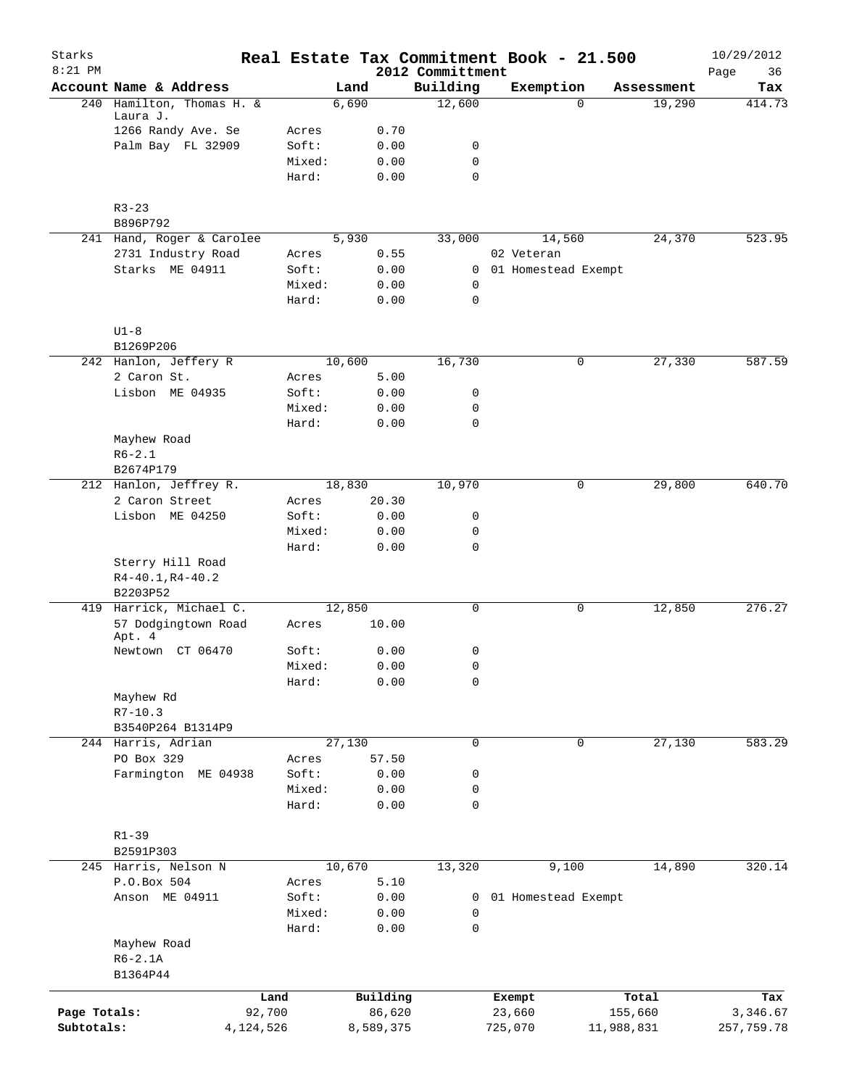| Starks<br>$8:21$ PM |                                     |           |        |        |           | 2012 Committment | Real Estate Tax Commitment Book - 21.500 |            | 10/29/2012<br>36<br>Page |
|---------------------|-------------------------------------|-----------|--------|--------|-----------|------------------|------------------------------------------|------------|--------------------------|
|                     | Account Name & Address              |           |        | Land   |           | Building         | Exemption                                | Assessment | Tax                      |
| 240                 | Hamilton, Thomas H. &               |           |        | 6,690  |           | 12,600           | $\Omega$                                 | 19,290     | 414.73                   |
|                     | Laura J.                            |           |        |        |           |                  |                                          |            |                          |
|                     | 1266 Randy Ave. Se                  |           | Acres  |        | 0.70      |                  |                                          |            |                          |
|                     | Palm Bay FL 32909                   |           | Soft:  |        | 0.00      | 0                |                                          |            |                          |
|                     |                                     |           | Mixed: |        | 0.00      | 0                |                                          |            |                          |
|                     |                                     |           | Hard:  |        | 0.00      | $\mathbf 0$      |                                          |            |                          |
|                     | $R3 - 23$                           |           |        |        |           |                  |                                          |            |                          |
|                     | B896P792                            |           |        |        |           |                  |                                          |            |                          |
|                     | 241 Hand, Roger & Carolee           |           |        | 5,930  |           | 33,000           | 14,560                                   | 24,370     | 523.95                   |
|                     | 2731 Industry Road                  |           | Acres  |        | 0.55      |                  | 02 Veteran                               |            |                          |
|                     | Starks ME 04911                     |           | Soft:  |        | 0.00      | $\mathbf{0}$     | 01 Homestead Exempt                      |            |                          |
|                     |                                     |           | Mixed: |        | 0.00      | 0                |                                          |            |                          |
|                     |                                     |           | Hard:  |        | 0.00      | $\mathbf 0$      |                                          |            |                          |
|                     | $U1-8$                              |           |        |        |           |                  |                                          |            |                          |
|                     | B1269P206                           |           |        |        |           |                  |                                          |            |                          |
|                     | 242 Hanlon, Jeffery R               |           |        | 10,600 |           | 16,730           | 0                                        | 27,330     | 587.59                   |
|                     | 2 Caron St.                         |           | Acres  |        | 5.00      |                  |                                          |            |                          |
|                     | Lisbon ME 04935                     |           | Soft:  |        | 0.00      | 0                |                                          |            |                          |
|                     |                                     |           | Mixed: |        | 0.00      | 0                |                                          |            |                          |
|                     |                                     |           | Hard:  |        | 0.00      | $\mathbf 0$      |                                          |            |                          |
|                     | Mayhew Road                         |           |        |        |           |                  |                                          |            |                          |
|                     | $R6 - 2.1$                          |           |        |        |           |                  |                                          |            |                          |
|                     | B2674P179                           |           |        |        |           |                  |                                          |            |                          |
|                     | 212 Hanlon, Jeffrey R.              |           |        | 18,830 |           | 10,970           | 0                                        | 29,800     | 640.70                   |
|                     | 2 Caron Street                      |           | Acres  |        | 20.30     |                  |                                          |            |                          |
|                     | Lisbon ME 04250                     |           | Soft:  |        | 0.00      | 0                |                                          |            |                          |
|                     |                                     |           | Mixed: |        | 0.00      | 0                |                                          |            |                          |
|                     |                                     |           | Hard:  |        | 0.00      | 0                |                                          |            |                          |
|                     | Sterry Hill Road                    |           |        |        |           |                  |                                          |            |                          |
|                     | $R4 - 40.1, R4 - 40.2$              |           |        |        |           |                  |                                          |            |                          |
|                     | B2203P52<br>419 Harrick, Michael C. |           |        | 12,850 |           | 0                | 0                                        | 12,850     | 276.27                   |
|                     | 57 Dodgingtown Road<br>Apt. 4       |           | Acres  |        | 10.00     |                  |                                          |            |                          |
|                     | Newtown CT 06470                    |           | Soft:  |        | 0.00      | 0                |                                          |            |                          |
|                     |                                     |           | Mixed: |        | 0.00      | 0                |                                          |            |                          |
|                     |                                     |           | Hard:  |        | 0.00      | $\mathsf 0$      |                                          |            |                          |
|                     | Mayhew Rd                           |           |        |        |           |                  |                                          |            |                          |
|                     | $R7 - 10.3$                         |           |        |        |           |                  |                                          |            |                          |
|                     | B3540P264 B1314P9                   |           |        |        |           |                  |                                          |            |                          |
|                     | 244 Harris, Adrian                  |           |        | 27,130 |           | 0                | 0                                        | 27,130     | 583.29                   |
|                     | PO Box 329                          |           | Acres  |        | 57.50     |                  |                                          |            |                          |
|                     | Farmington ME 04938                 |           | Soft:  |        | 0.00      | 0                |                                          |            |                          |
|                     |                                     |           | Mixed: |        | 0.00      | 0                |                                          |            |                          |
|                     |                                     |           | Hard:  |        | 0.00      | 0                |                                          |            |                          |
|                     |                                     |           |        |        |           |                  |                                          |            |                          |
|                     | $R1 - 39$<br>B2591P303              |           |        |        |           |                  |                                          |            |                          |
|                     | 245 Harris, Nelson N                |           |        | 10,670 |           | 13,320           | 9,100                                    | 14,890     | 320.14                   |
|                     | P.O.Box 504                         |           | Acres  |        | 5.10      |                  |                                          |            |                          |
|                     | Anson ME 04911                      |           | Soft:  |        | 0.00      | 0                | 01 Homestead Exempt                      |            |                          |
|                     |                                     |           | Mixed: |        | 0.00      | 0                |                                          |            |                          |
|                     |                                     |           | Hard:  |        | 0.00      | 0                |                                          |            |                          |
|                     | Mayhew Road                         |           |        |        |           |                  |                                          |            |                          |
|                     | $R6-2.1A$                           |           |        |        |           |                  |                                          |            |                          |
|                     | B1364P44                            |           |        |        |           |                  |                                          |            |                          |
|                     |                                     | Land      |        |        | Building  |                  | Exempt                                   | Total      | Tax                      |
| Page Totals:        |                                     | 92,700    |        |        | 86,620    |                  | 23,660                                   | 155,660    | 3,346.67                 |
| Subtotals:          |                                     | 4,124,526 |        |        | 8,589,375 |                  | 725,070                                  | 11,988,831 | 257,759.78               |
|                     |                                     |           |        |        |           |                  |                                          |            |                          |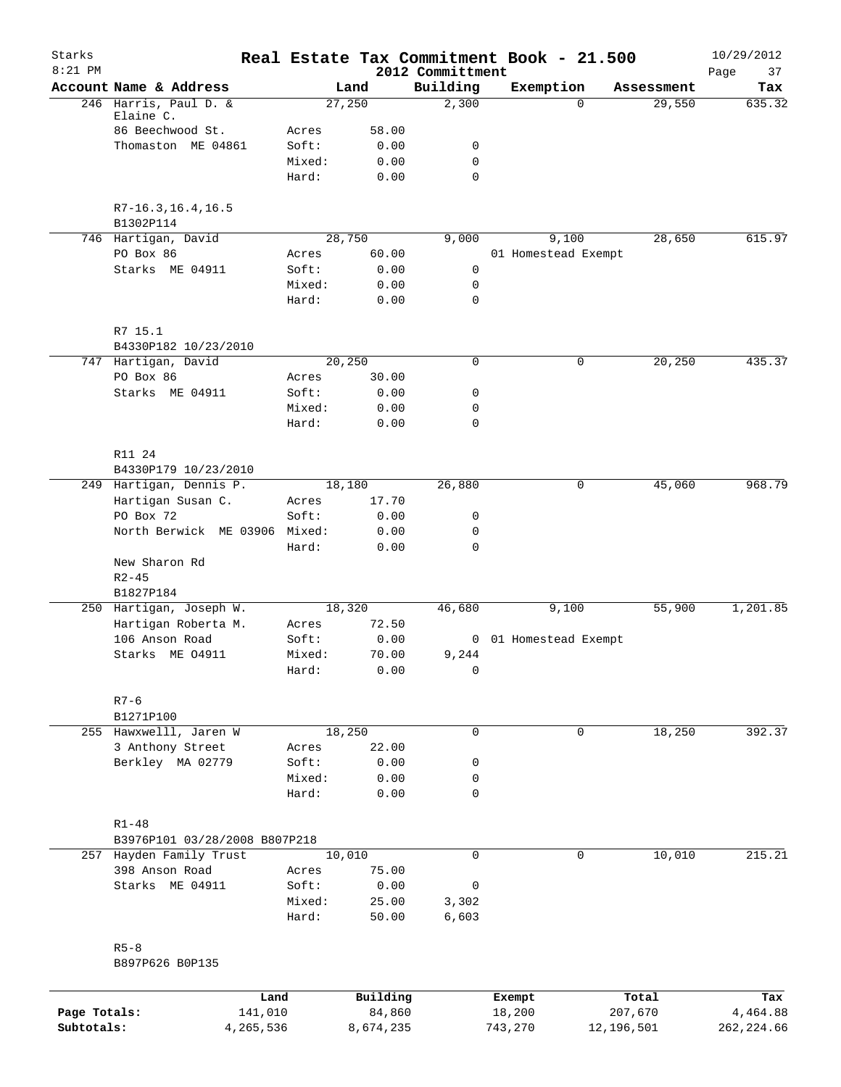| Starks       |                                        |                 |               |                              | Real Estate Tax Commitment Book - 21.500 |          |            | 10/29/2012        |
|--------------|----------------------------------------|-----------------|---------------|------------------------------|------------------------------------------|----------|------------|-------------------|
| $8:21$ PM    | Account Name & Address                 |                 | Land          | 2012 Committment<br>Building | Exemption                                |          | Assessment | Page<br>37<br>Tax |
|              | 246 Harris, Paul D. &                  |                 | 27,250        | 2,300                        |                                          | $\Omega$ | 29,550     | 635.32            |
|              | Elaine C.                              |                 |               |                              |                                          |          |            |                   |
|              | 86 Beechwood St.<br>Thomaston ME 04861 | Acres<br>Soft:  | 58.00<br>0.00 | 0                            |                                          |          |            |                   |
|              |                                        | Mixed:          | 0.00          | 0                            |                                          |          |            |                   |
|              |                                        | Hard:           | 0.00          | $\mathbf 0$                  |                                          |          |            |                   |
|              | $R7 - 16.3, 16.4, 16.5$                |                 |               |                              |                                          |          |            |                   |
|              | B1302P114                              |                 |               |                              |                                          |          |            |                   |
|              | 746 Hartigan, David                    |                 | 28,750        | 9,000                        | 9,100                                    |          | 28,650     | 615.97            |
|              | PO Box 86<br>Starks ME 04911           | Acres<br>Soft:  | 60.00<br>0.00 | 0                            | 01 Homestead Exempt                      |          |            |                   |
|              |                                        | Mixed:          | 0.00          | 0                            |                                          |          |            |                   |
|              |                                        | Hard:           | 0.00          | 0                            |                                          |          |            |                   |
|              | R7 15.1                                |                 |               |                              |                                          |          |            |                   |
|              | B4330P182 10/23/2010                   |                 |               |                              |                                          |          |            |                   |
|              | 747 Hartigan, David                    |                 | 20,250        | 0                            |                                          | 0        | 20,250     | 435.37            |
|              | PO Box 86                              | Acres           | 30.00         |                              |                                          |          |            |                   |
|              | Starks ME 04911                        | Soft:           | 0.00          | 0                            |                                          |          |            |                   |
|              |                                        | Mixed:          | 0.00          | 0                            |                                          |          |            |                   |
|              |                                        | Hard:           | 0.00          | 0                            |                                          |          |            |                   |
|              | R11 24                                 |                 |               |                              |                                          |          |            |                   |
|              | B4330P179 10/23/2010                   |                 |               |                              |                                          |          |            |                   |
|              | 249 Hartigan, Dennis P.                |                 | 18,180        | 26,880                       |                                          | 0        | 45,060     | 968.79            |
|              | Hartigan Susan C.                      | Acres           | 17.70         |                              |                                          |          |            |                   |
|              | PO Box 72                              | Soft:           | 0.00          | 0                            |                                          |          |            |                   |
|              | North Berwick ME 03906                 | Mixed:<br>Hard: | 0.00<br>0.00  | 0<br>0                       |                                          |          |            |                   |
|              | New Sharon Rd                          |                 |               |                              |                                          |          |            |                   |
|              | $R2 - 45$                              |                 |               |                              |                                          |          |            |                   |
|              | B1827P184<br>250 Hartigan, Joseph W.   |                 | 18,320        | 46,680                       | 9,100                                    |          | 55,900     | 1,201.85          |
|              | Hartigan Roberta M.                    | Acres           | 72.50         |                              |                                          |          |            |                   |
|              | 106 Anson Road                         | Soft:           | 0.00          | 0                            | 01 Homestead Exempt                      |          |            |                   |
|              | Starks ME 04911                        | Mixed:          | 70.00         | 9,244                        |                                          |          |            |                   |
|              |                                        | Hard:           | 0.00          | 0                            |                                          |          |            |                   |
|              | $R7 - 6$                               |                 |               |                              |                                          |          |            |                   |
|              | B1271P100                              |                 |               |                              |                                          |          |            |                   |
|              | 255 Hawxwelll, Jaren W                 |                 | 18,250        | $\mathbf 0$                  |                                          | 0        | 18,250     | 392.37            |
|              | 3 Anthony Street                       | Acres           | 22.00         |                              |                                          |          |            |                   |
|              | Berkley MA 02779                       | Soft:           | 0.00          | 0                            |                                          |          |            |                   |
|              |                                        | Mixed:          | 0.00          | 0                            |                                          |          |            |                   |
|              |                                        | Hard:           | 0.00          | 0                            |                                          |          |            |                   |
|              | $R1 - 48$                              |                 |               |                              |                                          |          |            |                   |
|              | B3976P101 03/28/2008 B807P218          |                 |               |                              |                                          |          |            |                   |
|              | 257 Hayden Family Trust                |                 | 10,010        | $\mathbf 0$                  |                                          | 0        | 10,010     | 215.21            |
|              | 398 Anson Road                         | Acres           | 75.00         |                              |                                          |          |            |                   |
|              | Starks ME 04911                        | Soft:           | 0.00          | 0                            |                                          |          |            |                   |
|              |                                        | Mixed:          | 25.00         | 3,302                        |                                          |          |            |                   |
|              |                                        | Hard:           | 50.00         | 6,603                        |                                          |          |            |                   |
|              | $R5 - 8$                               |                 |               |                              |                                          |          |            |                   |
|              | B897P626 B0P135                        |                 |               |                              |                                          |          |            |                   |
|              | Land                                   |                 | Building      |                              | Exempt                                   |          | Total      | Tax               |
| Page Totals: | 141,010                                |                 | 84,860        |                              | 18,200                                   |          | 207,670    | 4,464.88          |
| Subtotals:   | 4,265,536                              |                 | 8,674,235     |                              | 743,270                                  |          | 12,196,501 | 262, 224.66       |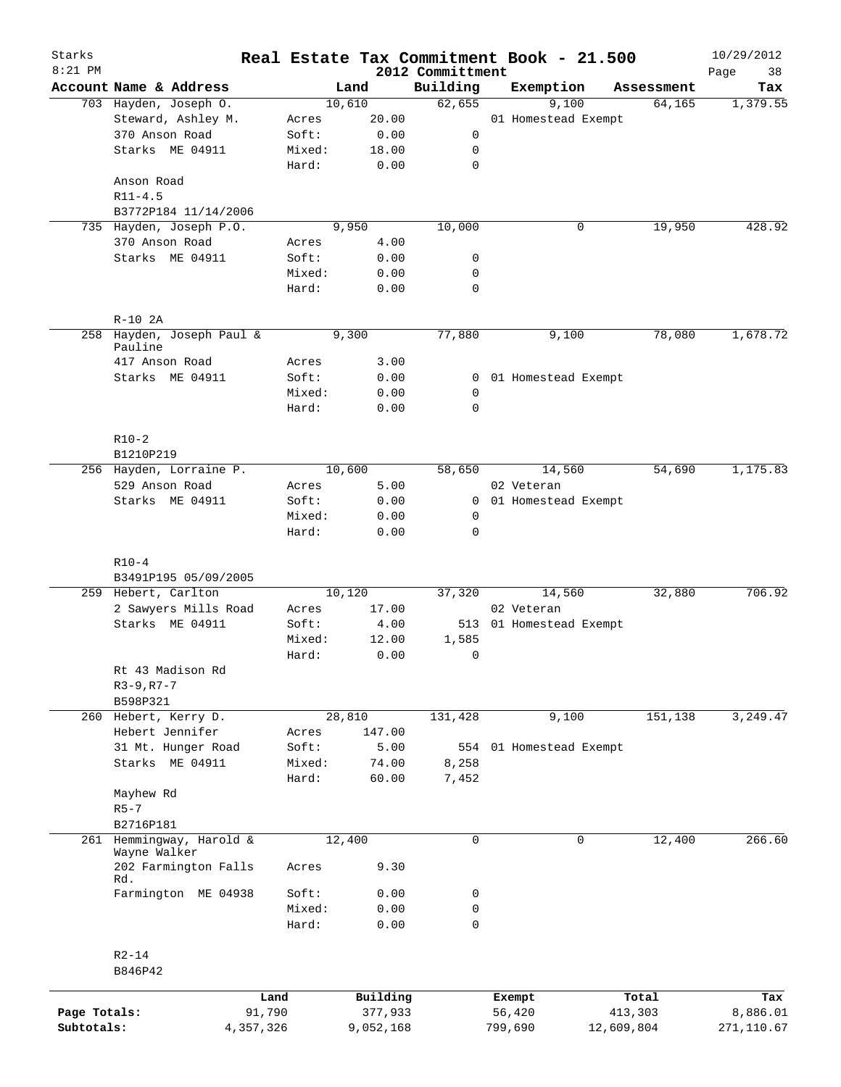| Starks<br>$8:21$ PM |                                       |                 |                |                              | Real Estate Tax Commitment Book - 21.500 |            | 10/29/2012        |
|---------------------|---------------------------------------|-----------------|----------------|------------------------------|------------------------------------------|------------|-------------------|
|                     | Account Name & Address                |                 | Land           | 2012 Committment<br>Building | Exemption                                | Assessment | 38<br>Page<br>Tax |
|                     | 703 Hayden, Joseph O.                 |                 | 10,610         | 62,655                       | 9,100                                    | 64,165     | 1,379.55          |
|                     | Steward, Ashley M.                    | Acres           | 20.00          |                              | 01 Homestead Exempt                      |            |                   |
|                     | 370 Anson Road                        | Soft:           | 0.00           | 0                            |                                          |            |                   |
|                     | Starks ME 04911                       | Mixed:          | 18.00          | 0                            |                                          |            |                   |
|                     |                                       | Hard:           | 0.00           | $\mathbf 0$                  |                                          |            |                   |
|                     | Anson Road                            |                 |                |                              |                                          |            |                   |
|                     | $R11 - 4.5$                           |                 |                |                              |                                          |            |                   |
|                     | B3772P184 11/14/2006                  |                 |                |                              |                                          |            |                   |
| 735                 | Hayden, Joseph P.O.                   |                 | 9,950          | 10,000                       | 0                                        | 19,950     | 428.92            |
|                     | 370 Anson Road                        | Acres           | 4.00           |                              |                                          |            |                   |
|                     | Starks ME 04911                       | Soft:           | 0.00           | 0                            |                                          |            |                   |
|                     |                                       | Mixed:          | 0.00           | 0                            |                                          |            |                   |
|                     |                                       | Hard:           | 0.00           | $\mathbf 0$                  |                                          |            |                   |
|                     | $R-10$ 2A                             |                 |                |                              |                                          |            |                   |
|                     | 258 Hayden, Joseph Paul &<br>Pauline  |                 | 9,300          | 77,880                       | 9,100                                    | 78,080     | 1,678.72          |
|                     | 417 Anson Road                        | Acres           | 3.00           |                              |                                          |            |                   |
|                     | Starks ME 04911                       | Soft:           | 0.00           |                              | 0 01 Homestead Exempt                    |            |                   |
|                     |                                       | Mixed:          | 0.00           | 0                            |                                          |            |                   |
|                     |                                       | Hard:           | 0.00           | $\mathbf 0$                  |                                          |            |                   |
|                     | $R10-2$                               |                 |                |                              |                                          |            |                   |
|                     | B1210P219                             |                 |                |                              |                                          |            |                   |
|                     | 256 Hayden, Lorraine P.               |                 | 10,600         | 58,650                       | 14,560                                   | 54,690     | 1,175.83          |
|                     | 529 Anson Road                        | Acres           | 5.00           |                              | 02 Veteran                               |            |                   |
|                     | Starks ME 04911                       | Soft:           | 0.00           | $\mathbf{0}$                 | 01 Homestead Exempt                      |            |                   |
|                     |                                       | Mixed:          | 0.00           | 0                            |                                          |            |                   |
|                     |                                       | Hard:           | 0.00           | 0                            |                                          |            |                   |
|                     | $R10-4$                               |                 |                |                              |                                          |            |                   |
|                     | B3491P195 05/09/2005                  |                 |                |                              |                                          |            |                   |
|                     | 259 Hebert, Carlton                   |                 | 10,120         | 37,320                       | 14,560                                   | 32,880     | 706.92            |
|                     | 2 Sawyers Mills Road                  | Acres           | 17.00          |                              | 02 Veteran                               |            |                   |
|                     | Starks ME 04911                       | Soft:           | 4.00           |                              | 513 01 Homestead Exempt                  |            |                   |
|                     |                                       | Mixed:          | 12.00          | 1,585                        |                                          |            |                   |
|                     |                                       | Hard:           | 0.00           | 0                            |                                          |            |                   |
|                     | Rt 43 Madison Rd                      |                 |                |                              |                                          |            |                   |
|                     | $R3 - 9, R7 - 7$                      |                 |                |                              |                                          |            |                   |
|                     | B598P321                              |                 |                |                              |                                          |            |                   |
|                     | 260 Hebert, Kerry D.                  |                 | 28,810         | 131,428                      | 9,100                                    | 151,138    | 3,249.47          |
|                     | Hebert Jennifer<br>31 Mt. Hunger Road | Acres           | 147.00<br>5.00 |                              |                                          |            |                   |
|                     | Starks ME 04911                       | Soft:<br>Mixed: | 74.00          | 554<br>8,258                 | 01 Homestead Exempt                      |            |                   |
|                     |                                       | Hard:           | 60.00          | 7,452                        |                                          |            |                   |
|                     | Mayhew Rd                             |                 |                |                              |                                          |            |                   |
|                     | $R5-7$                                |                 |                |                              |                                          |            |                   |
|                     | B2716P181                             |                 |                |                              |                                          |            |                   |
|                     | 261 Hemmingway, Harold &              |                 | 12,400         | $\mathbf 0$                  | 0                                        | 12,400     | 266.60            |
|                     | Wayne Walker                          |                 |                |                              |                                          |            |                   |
|                     | 202 Farmington Falls<br>Rd.           | Acres           | 9.30           |                              |                                          |            |                   |
|                     | Farmington ME 04938                   | Soft:           | 0.00           | 0                            |                                          |            |                   |
|                     |                                       | Mixed:          | 0.00           | 0                            |                                          |            |                   |
|                     |                                       | Hard:           | 0.00           | $\mathbf 0$                  |                                          |            |                   |
|                     | $R2 - 14$                             |                 |                |                              |                                          |            |                   |
|                     | B846P42                               |                 |                |                              |                                          |            |                   |
|                     |                                       | Land            | Building       |                              | Exempt                                   | Total      | Tax               |
| Page Totals:        | 91,790                                |                 | 377,933        |                              | 56,420                                   | 413,303    | 8,886.01          |
| Subtotals:          | 4,357,326                             |                 | 9,052,168      |                              | 799,690                                  | 12,609,804 | 271,110.67        |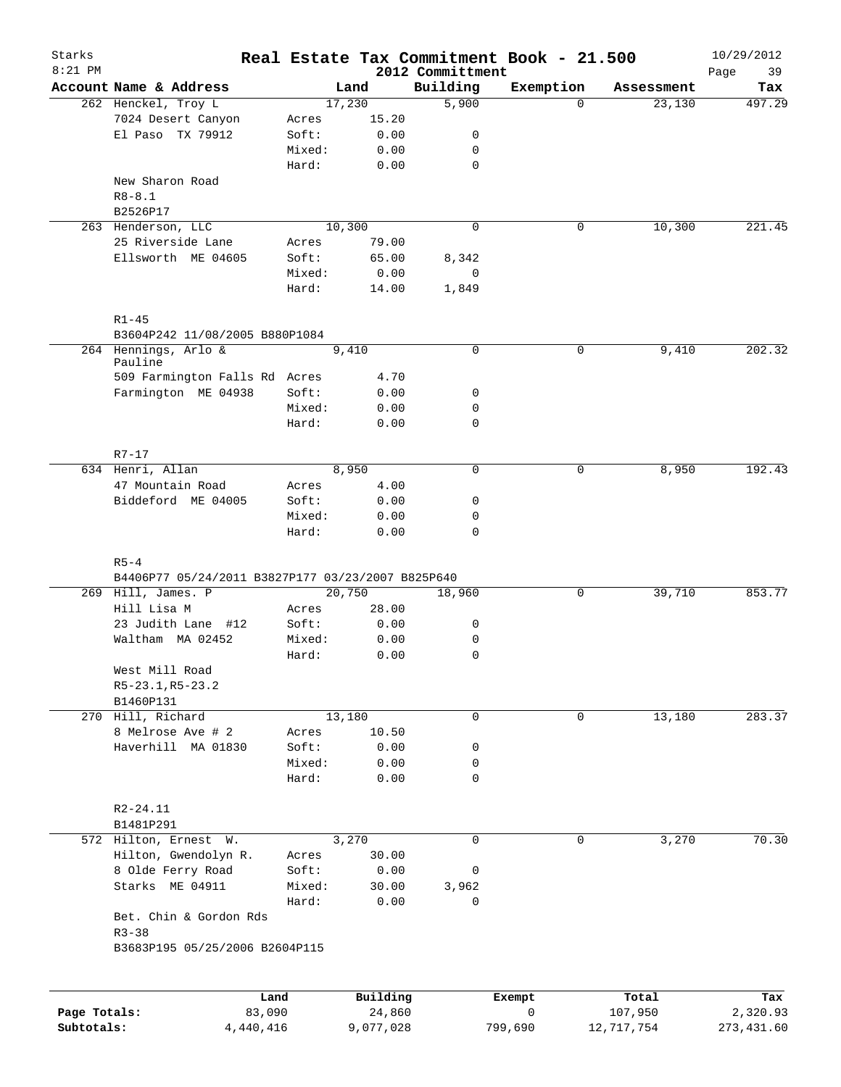| Starks<br>$8:21$ PM |                                                   |        |           | 2012 Committment | Real Estate Tax Commitment Book - 21.500 |            | 10/29/2012<br>39<br>Page |
|---------------------|---------------------------------------------------|--------|-----------|------------------|------------------------------------------|------------|--------------------------|
|                     | Account Name & Address                            |        | Land      | Building         | Exemption                                | Assessment | Tax                      |
|                     | 262 Henckel, Troy L                               |        | 17,230    | 5,900            | $\Omega$                                 | 23,130     | 497.29                   |
|                     | 7024 Desert Canyon                                | Acres  | 15.20     |                  |                                          |            |                          |
|                     | El Paso TX 79912                                  | Soft:  | 0.00      | 0                |                                          |            |                          |
|                     |                                                   | Mixed: | 0.00      | $\mathbf 0$      |                                          |            |                          |
|                     |                                                   | Hard:  | 0.00      | $\mathbf 0$      |                                          |            |                          |
|                     | New Sharon Road                                   |        |           |                  |                                          |            |                          |
|                     | $R8 - 8.1$                                        |        |           |                  |                                          |            |                          |
|                     | B2526P17                                          |        |           |                  |                                          |            |                          |
|                     | 263 Henderson, LLC                                |        | 10,300    | $\mathbf 0$      | 0                                        | 10,300     | 221.45                   |
|                     | 25 Riverside Lane                                 | Acres  | 79.00     |                  |                                          |            |                          |
|                     | Ellsworth ME 04605                                | Soft:  | 65.00     | 8,342            |                                          |            |                          |
|                     |                                                   | Mixed: | 0.00      | 0                |                                          |            |                          |
|                     |                                                   | Hard:  | 14.00     | 1,849            |                                          |            |                          |
|                     | $R1 - 45$                                         |        |           |                  |                                          |            |                          |
|                     | B3604P242 11/08/2005 B880P1084                    |        |           |                  |                                          |            |                          |
|                     | 264 Hennings, Arlo &<br>Pauline                   |        | 9,410     | $\mathbf 0$      | $\mathbf 0$                              | 9,410      | 202.32                   |
|                     | 509 Farmington Falls Rd Acres                     |        | 4.70      |                  |                                          |            |                          |
|                     | Farmington ME 04938                               | Soft:  | 0.00      | 0                |                                          |            |                          |
|                     |                                                   | Mixed: | 0.00      | $\mathbf 0$      |                                          |            |                          |
|                     |                                                   | Hard:  | 0.00      | $\mathbf 0$      |                                          |            |                          |
|                     | $R7 - 17$                                         |        |           |                  |                                          |            |                          |
|                     | 634 Henri, Allan                                  |        | 8,950     | $\mathbf 0$      | 0                                        | 8,950      | 192.43                   |
|                     | 47 Mountain Road                                  | Acres  | 4.00      |                  |                                          |            |                          |
|                     | Biddeford ME 04005                                | Soft:  | 0.00      | 0                |                                          |            |                          |
|                     |                                                   | Mixed: | 0.00      | $\mathbf 0$      |                                          |            |                          |
|                     |                                                   | Hard:  | 0.00      | $\mathbf 0$      |                                          |            |                          |
|                     | $R5 - 4$                                          |        |           |                  |                                          |            |                          |
|                     | B4406P77 05/24/2011 B3827P177 03/23/2007 B825P640 |        |           |                  |                                          |            |                          |
|                     | 269 Hill, James. P                                |        | 20,750    | 18,960           | 0                                        | 39,710     | 853.77                   |
|                     | Hill Lisa M                                       | Acres  | 28.00     |                  |                                          |            |                          |
|                     | 23 Judith Lane #12                                | Soft:  | 0.00      | 0                |                                          |            |                          |
|                     | Waltham MA 02452                                  | Mixed: | 0.00      | 0                |                                          |            |                          |
|                     |                                                   | Hard:  | 0.00      | 0                |                                          |            |                          |
|                     | West Mill Road                                    |        |           |                  |                                          |            |                          |
|                     | R5-23.1, R5-23.2                                  |        |           |                  |                                          |            |                          |
|                     | B1460P131                                         |        |           |                  |                                          |            |                          |
|                     | 270 Hill, Richard                                 |        | 13,180    | 0                | 0                                        | 13,180     | 283.37                   |
|                     | 8 Melrose Ave # 2                                 | Acres  | 10.50     |                  |                                          |            |                          |
|                     | Haverhill MA 01830                                | Soft:  | 0.00      | 0                |                                          |            |                          |
|                     |                                                   | Mixed: | 0.00      | 0                |                                          |            |                          |
|                     |                                                   | Hard:  | 0.00      | 0                |                                          |            |                          |
|                     | R2-24.11                                          |        |           |                  |                                          |            |                          |
|                     | B1481P291                                         |        |           |                  |                                          |            |                          |
|                     | 572 Hilton, Ernest W.                             |        | 3,270     | $\mathbf 0$      | 0                                        | 3,270      | 70.30                    |
|                     | Hilton, Gwendolyn R.                              | Acres  | 30.00     |                  |                                          |            |                          |
|                     | 8 Olde Ferry Road                                 | Soft:  | 0.00      | 0                |                                          |            |                          |
|                     | Starks ME 04911                                   | Mixed: | 30.00     | 3,962            |                                          |            |                          |
|                     |                                                   | Hard:  | 0.00      | 0                |                                          |            |                          |
|                     | Bet. Chin & Gordon Rds<br>$R3 - 38$               |        |           |                  |                                          |            |                          |
|                     | B3683P195 05/25/2006 B2604P115                    |        |           |                  |                                          |            |                          |
|                     |                                                   |        |           |                  |                                          |            |                          |
|                     | Land                                              |        | Building  |                  | Exempt                                   | Total      | Tax                      |
| Page Totals:        | 83,090                                            |        | 24,860    |                  | 0                                        | 107,950    | 2,320.93                 |
| Subtotals:          | 4,440,416                                         |        | 9,077,028 |                  | 799,690                                  | 12,717,754 | 273, 431.60              |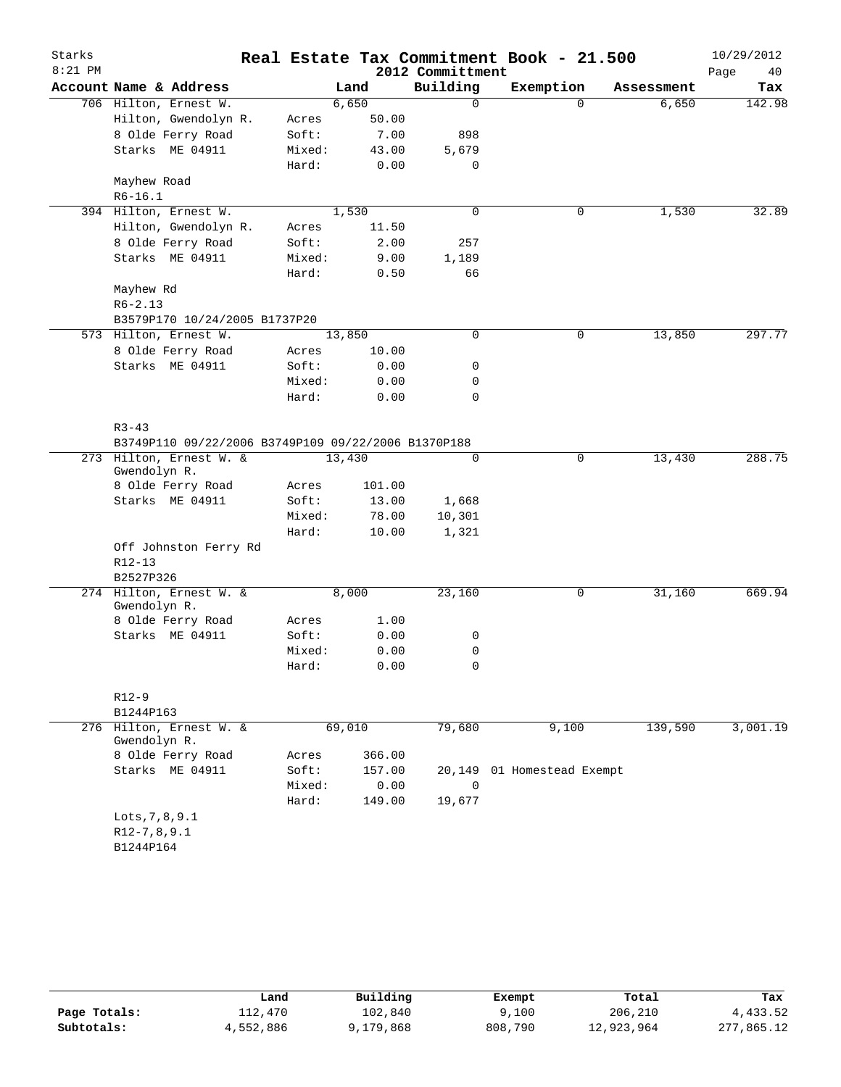| Starks    |                                                     |                |        |        |                  | Real Estate Tax Commitment Book - 21.500 |            | 10/29/2012 |
|-----------|-----------------------------------------------------|----------------|--------|--------|------------------|------------------------------------------|------------|------------|
| $8:21$ PM |                                                     |                |        |        | 2012 Committment |                                          |            | Page<br>40 |
|           | Account Name & Address                              |                | Land   |        | Building         | Exemption                                | Assessment | Tax        |
|           | 706 Hilton, Ernest W.                               |                | 6,650  |        | $\mathsf{O}$     | $\Omega$                                 | 6,650      | 142.98     |
|           | Hilton, Gwendolyn R.                                | Acres          |        | 50.00  |                  |                                          |            |            |
|           | 8 Olde Ferry Road                                   | Soft:          |        | 7.00   | 898              |                                          |            |            |
|           | Starks ME 04911                                     | Mixed:         |        | 43.00  | 5,679            |                                          |            |            |
|           |                                                     | Hard:          |        | 0.00   | 0                |                                          |            |            |
|           | Mayhew Road                                         |                |        |        |                  |                                          |            |            |
|           | $R6 - 16.1$                                         |                |        |        |                  |                                          |            |            |
|           | 394 Hilton, Ernest W.                               |                | 1,530  |        | $\mathbf 0$      | 0                                        | 1,530      | 32.89      |
|           | Hilton, Gwendolyn R.                                | Acres          |        | 11.50  |                  |                                          |            |            |
|           | 8 Olde Ferry Road                                   | Soft:          |        | 2.00   | 257              |                                          |            |            |
|           | Starks ME 04911                                     | Mixed:         |        | 9.00   | 1,189            |                                          |            |            |
|           |                                                     | Hard:          |        | 0.50   | 66               |                                          |            |            |
|           | Mayhew Rd                                           |                |        |        |                  |                                          |            |            |
|           | $R6 - 2.13$<br>B3579P170 10/24/2005 B1737P20        |                |        |        |                  |                                          |            |            |
|           | 573 Hilton, Ernest W.                               |                | 13,850 |        | $\mathbf 0$      | 0                                        | 13,850     | 297.77     |
|           | 8 Olde Ferry Road                                   |                |        | 10.00  |                  |                                          |            |            |
|           | Starks ME 04911                                     | Acres<br>Soft: |        | 0.00   | 0                |                                          |            |            |
|           |                                                     | Mixed:         |        | 0.00   | 0                |                                          |            |            |
|           |                                                     | Hard:          |        | 0.00   | 0                |                                          |            |            |
|           |                                                     |                |        |        |                  |                                          |            |            |
|           | $R3 - 43$                                           |                |        |        |                  |                                          |            |            |
|           | B3749P110 09/22/2006 B3749P109 09/22/2006 B1370P188 |                |        |        |                  |                                          |            |            |
|           | 273 Hilton, Ernest W. &                             |                | 13,430 |        | $\mathbf 0$      | 0                                        | 13,430     | 288.75     |
|           | Gwendolyn R.                                        |                |        |        |                  |                                          |            |            |
|           | 8 Olde Ferry Road                                   | Acres          |        | 101.00 |                  |                                          |            |            |
|           | Starks ME 04911                                     | Soft:          |        | 13.00  | 1,668            |                                          |            |            |
|           |                                                     | Mixed:         |        | 78.00  | 10,301           |                                          |            |            |
|           |                                                     | Hard:          |        | 10.00  | 1,321            |                                          |            |            |
|           | Off Johnston Ferry Rd                               |                |        |        |                  |                                          |            |            |
|           | R12-13                                              |                |        |        |                  |                                          |            |            |
|           | B2527P326                                           |                |        |        |                  |                                          |            |            |
|           | 274 Hilton, Ernest W. &                             |                | 8,000  |        | 23,160           | 0                                        | 31,160     | 669.94     |
|           | Gwendolyn R.<br>8 Olde Ferry Road                   | Acres          |        | 1.00   |                  |                                          |            |            |
|           | Starks ME 04911                                     | Soft:          |        | 0.00   | 0                |                                          |            |            |
|           |                                                     | Mixed:         |        | 0.00   | 0                |                                          |            |            |
|           |                                                     | Hard:          |        | 0.00   | 0                |                                          |            |            |
|           |                                                     |                |        |        |                  |                                          |            |            |
|           | $R12 - 9$                                           |                |        |        |                  |                                          |            |            |
|           | B1244P163                                           |                |        |        |                  |                                          |            |            |
|           | 276 Hilton, Ernest W. &                             |                | 69,010 |        | 79,680           | 9,100                                    | 139,590    | 3,001.19   |
|           | Gwendolyn R.                                        |                |        |        |                  |                                          |            |            |
|           | 8 Olde Ferry Road                                   | Acres          |        | 366.00 |                  |                                          |            |            |
|           | Starks ME 04911                                     | Soft:          |        | 157.00 | 20,149           | 01 Homestead Exempt                      |            |            |
|           |                                                     | Mixed:         |        | 0.00   | 0                |                                          |            |            |
|           |                                                     | Hard:          |        | 149.00 | 19,677           |                                          |            |            |
|           | Lots, 7, 8, 9.1                                     |                |        |        |                  |                                          |            |            |
|           | $R12-7, 8, 9.1$                                     |                |        |        |                  |                                          |            |            |
|           | B1244P164                                           |                |        |        |                  |                                          |            |            |
|           |                                                     |                |        |        |                  |                                          |            |            |

|              | Land      | Building  | Exempt  | Total      | Tax        |
|--------------|-----------|-----------|---------|------------|------------|
| Page Totals: | 112,470   | 102,840   | 9,100   | 206,210    | 4,433.52   |
| Subtotals:   | 4,552,886 | 9,179,868 | 808,790 | 12,923,964 | 277,865.12 |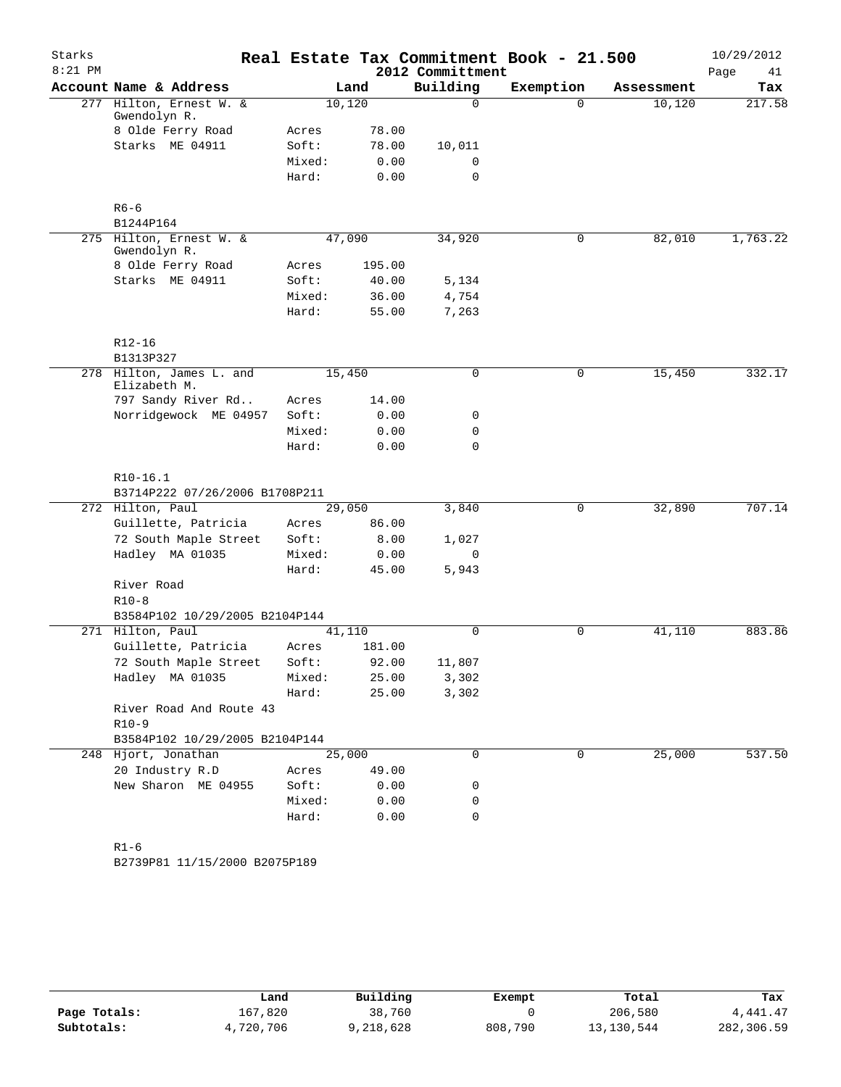| Starks    |                                          |        |        |                  | Real Estate Tax Commitment Book - 21.500 |            | 10/29/2012 |
|-----------|------------------------------------------|--------|--------|------------------|------------------------------------------|------------|------------|
| $8:21$ PM |                                          |        |        | 2012 Committment |                                          |            | Page<br>41 |
|           | Account Name & Address                   |        | Land   | Building         | Exemption                                | Assessment | Tax        |
|           | 277 Hilton, Ernest W. &<br>Gwendolyn R.  |        | 10,120 | $\Omega$         | $\Omega$                                 | 10,120     | 217.58     |
|           | 8 Olde Ferry Road                        | Acres  | 78.00  |                  |                                          |            |            |
|           | Starks ME 04911                          | Soft:  | 78.00  | 10,011           |                                          |            |            |
|           |                                          | Mixed: | 0.00   | 0                |                                          |            |            |
|           |                                          | Hard:  | 0.00   | $\mathbf 0$      |                                          |            |            |
|           | $R6 - 6$                                 |        |        |                  |                                          |            |            |
|           | B1244P164                                |        |        |                  |                                          |            |            |
|           | 275 Hilton, Ernest W. &<br>Gwendolyn R.  |        | 47,090 | 34,920           | $\mathbf 0$                              | 82,010     | 1,763.22   |
|           | 8 Olde Ferry Road                        | Acres  | 195.00 |                  |                                          |            |            |
|           | Starks ME 04911                          | Soft:  | 40.00  | 5,134            |                                          |            |            |
|           |                                          | Mixed: | 36.00  | 4,754            |                                          |            |            |
|           |                                          | Hard:  | 55.00  | 7,263            |                                          |            |            |
|           | $R12 - 16$                               |        |        |                  |                                          |            |            |
|           | B1313P327                                |        |        |                  |                                          |            |            |
|           | 278 Hilton, James L. and<br>Elizabeth M. |        | 15,450 | $\mathbf 0$      | 0                                        | 15,450     | 332.17     |
|           | 797 Sandy River Rd                       | Acres  | 14.00  |                  |                                          |            |            |
|           | Norridgewock ME 04957                    | Soft:  | 0.00   | 0                |                                          |            |            |
|           |                                          | Mixed: | 0.00   | 0                |                                          |            |            |
|           |                                          | Hard:  | 0.00   | 0                |                                          |            |            |
|           | $R10-16.1$                               |        |        |                  |                                          |            |            |
|           | B3714P222 07/26/2006 B1708P211           |        |        |                  |                                          |            |            |
|           | 272 Hilton, Paul                         |        | 29,050 | 3,840            | $\mathbf 0$                              | 32,890     | 707.14     |
|           | Guillette, Patricia                      | Acres  | 86.00  |                  |                                          |            |            |
|           | 72 South Maple Street                    | Soft:  | 8.00   | 1,027            |                                          |            |            |
|           | Hadley MA 01035                          | Mixed: | 0.00   | $\mathbf 0$      |                                          |            |            |
|           |                                          | Hard:  | 45.00  | 5,943            |                                          |            |            |
|           | River Road                               |        |        |                  |                                          |            |            |
|           | $R10-8$                                  |        |        |                  |                                          |            |            |
|           | B3584P102 10/29/2005 B2104P144           |        |        |                  |                                          |            |            |
|           | 271 Hilton, Paul                         |        | 41,110 | 0                | $\mathbf 0$                              | 41,110     | 883.86     |
|           | Guillette, Patricia                      | Acres  | 181.00 |                  |                                          |            |            |
|           | 72 South Maple Street                    | Soft:  | 92.00  | 11,807           |                                          |            |            |
|           | Hadley MA 01035                          | Mixed: | 25.00  | 3,302            |                                          |            |            |
|           |                                          | Hard:  | 25.00  | 3,302            |                                          |            |            |
|           | River Road And Route 43                  |        |        |                  |                                          |            |            |
|           | $R10-9$                                  |        |        |                  |                                          |            |            |
|           | B3584P102 10/29/2005 B2104P144           |        |        |                  |                                          |            |            |
|           | 248 Hjort, Jonathan                      |        | 25,000 | 0                | $\mathbf 0$                              | 25,000     | 537.50     |
|           | 20 Industry R.D                          | Acres  | 49.00  |                  |                                          |            |            |
|           | New Sharon ME 04955                      | Soft:  | 0.00   | 0                |                                          |            |            |
|           |                                          | Mixed: | 0.00   | 0                |                                          |            |            |
|           |                                          | Hard:  | 0.00   | 0                |                                          |            |            |
|           |                                          |        |        |                  |                                          |            |            |
|           | $R1 - 6$                                 |        |        |                  |                                          |            |            |
|           | B2739P81 11/15/2000 B2075P189            |        |        |                  |                                          |            |            |

|              | Land      | Building    | Exempt  | Total      | Tax        |
|--------------|-----------|-------------|---------|------------|------------|
| Page Totals: | 167,820   | 38,760      |         | 206,580    | 4,441.47   |
| Subtotals:   | 4,720,706 | ។, 218, 628 | 808,790 | 13,130,544 | 282,306.59 |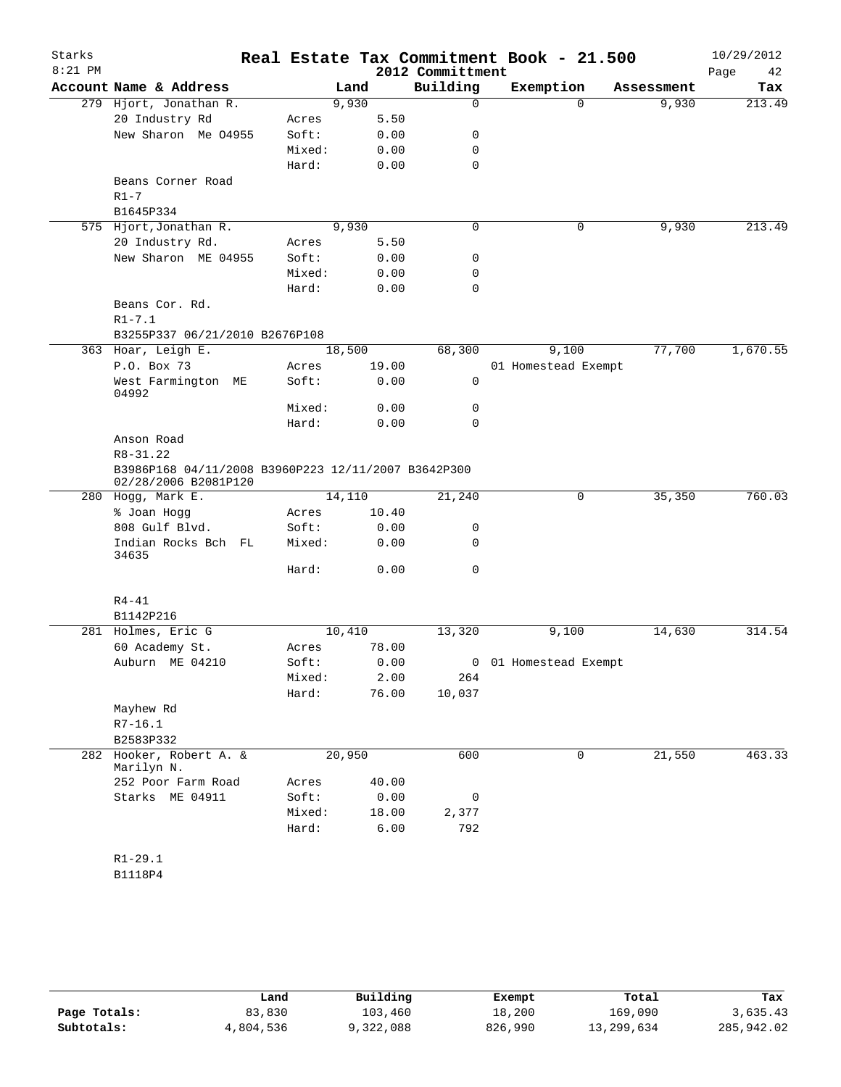| Starks    |                                                                             |        |        |       | Real Estate Tax Commitment Book - 21.500 |                       |            | 10/29/2012 |
|-----------|-----------------------------------------------------------------------------|--------|--------|-------|------------------------------------------|-----------------------|------------|------------|
| $8:21$ PM |                                                                             |        |        |       | 2012 Committment                         |                       |            | 42<br>Page |
|           | Account Name & Address                                                      |        | Land   |       | Building                                 | Exemption             | Assessment | Tax        |
|           | 279 Hjort, Jonathan R.                                                      |        | 9,930  |       | 0                                        | $\Omega$              | 9,930      | 213.49     |
|           | 20 Industry Rd                                                              | Acres  |        | 5.50  |                                          |                       |            |            |
|           | New Sharon Me 04955                                                         | Soft:  |        | 0.00  | 0                                        |                       |            |            |
|           |                                                                             | Mixed: |        | 0.00  | 0                                        |                       |            |            |
|           |                                                                             | Hard:  |        | 0.00  | $\mathbf 0$                              |                       |            |            |
|           | Beans Corner Road<br>$R1 - 7$                                               |        |        |       |                                          |                       |            |            |
|           | B1645P334                                                                   |        |        |       |                                          |                       |            |            |
|           | 575 Hjort, Jonathan R.                                                      |        | 9,930  |       | $\mathbf 0$                              | 0                     | 9,930      | 213.49     |
|           | 20 Industry Rd.                                                             | Acres  |        | 5.50  |                                          |                       |            |            |
|           | New Sharon ME 04955                                                         | Soft:  |        | 0.00  | 0                                        |                       |            |            |
|           |                                                                             | Mixed: |        | 0.00  | 0                                        |                       |            |            |
|           |                                                                             | Hard:  |        | 0.00  | $\mathbf 0$                              |                       |            |            |
|           | Beans Cor. Rd.<br>$R1 - 7.1$                                                |        |        |       |                                          |                       |            |            |
|           | B3255P337 06/21/2010 B2676P108                                              |        |        |       |                                          |                       |            |            |
|           | 363 Hoar, Leigh E.                                                          |        | 18,500 |       | 68,300                                   | 9,100                 | 77,700     | 1,670.55   |
|           | P.O. Box 73                                                                 | Acres  |        | 19.00 |                                          | 01 Homestead Exempt   |            |            |
|           | West Farmington ME<br>04992                                                 | Soft:  |        | 0.00  | 0                                        |                       |            |            |
|           |                                                                             | Mixed: |        | 0.00  | 0                                        |                       |            |            |
|           |                                                                             | Hard:  |        | 0.00  | 0                                        |                       |            |            |
|           | Anson Road                                                                  |        |        |       |                                          |                       |            |            |
|           | R8-31.22                                                                    |        |        |       |                                          |                       |            |            |
|           | B3986P168 04/11/2008 B3960P223 12/11/2007 B3642P300<br>02/28/2006 B2081P120 |        |        |       |                                          |                       |            |            |
|           | 280 Hogg, Mark E.                                                           |        | 14,110 |       | 21,240                                   | 0                     | 35,350     | 760.03     |
|           | % Joan Hogg                                                                 | Acres  |        | 10.40 |                                          |                       |            |            |
|           | 808 Gulf Blvd.                                                              | Soft:  |        | 0.00  | 0                                        |                       |            |            |
|           | Indian Rocks Bch FL<br>34635                                                | Mixed: |        | 0.00  | 0                                        |                       |            |            |
|           |                                                                             | Hard:  |        | 0.00  | 0                                        |                       |            |            |
|           | $R4 - 41$                                                                   |        |        |       |                                          |                       |            |            |
|           | B1142P216                                                                   |        |        |       |                                          |                       |            |            |
|           | 281 Holmes, Eric G                                                          |        | 10,410 |       | 13,320                                   | 9,100                 | 14,630     | 314.54     |
|           | 60 Academy St.                                                              | Acres  |        | 78.00 |                                          |                       |            |            |
|           | Auburn ME 04210                                                             | Soft:  |        | 0.00  |                                          | 0 01 Homestead Exempt |            |            |
|           |                                                                             | Mixed: |        | 2.00  | 264                                      |                       |            |            |
|           |                                                                             | Hard:  |        | 76.00 | 10,037                                   |                       |            |            |
|           | Mayhew Rd                                                                   |        |        |       |                                          |                       |            |            |
|           | $R7 - 16.1$                                                                 |        |        |       |                                          |                       |            |            |
|           | B2583P332                                                                   |        |        |       |                                          |                       |            |            |
| 282       | Hooker, Robert A. &<br>Marilyn N.                                           |        | 20,950 |       | 600                                      | $\mathbf 0$           | 21,550     | 463.33     |
|           | 252 Poor Farm Road                                                          | Acres  |        | 40.00 |                                          |                       |            |            |
|           | Starks ME 04911                                                             | Soft:  |        | 0.00  | 0                                        |                       |            |            |
|           |                                                                             | Mixed: |        | 18.00 | 2,377                                    |                       |            |            |
|           |                                                                             | Hard:  |        | 6.00  | 792                                      |                       |            |            |
|           |                                                                             |        |        |       |                                          |                       |            |            |
|           | $R1 - 29.1$                                                                 |        |        |       |                                          |                       |            |            |
|           | B1118P4                                                                     |        |        |       |                                          |                       |            |            |

|              | Land      | Building  | Exempt  | Total      | Tax        |
|--------------|-----------|-----------|---------|------------|------------|
| Page Totals: | 83,830    | 103,460   | 18,200  | 169,090    | 3,635.43   |
| Subtotals:   | 4,804,536 | 9,322,088 | 826,990 | 13,299,634 | 285,942.02 |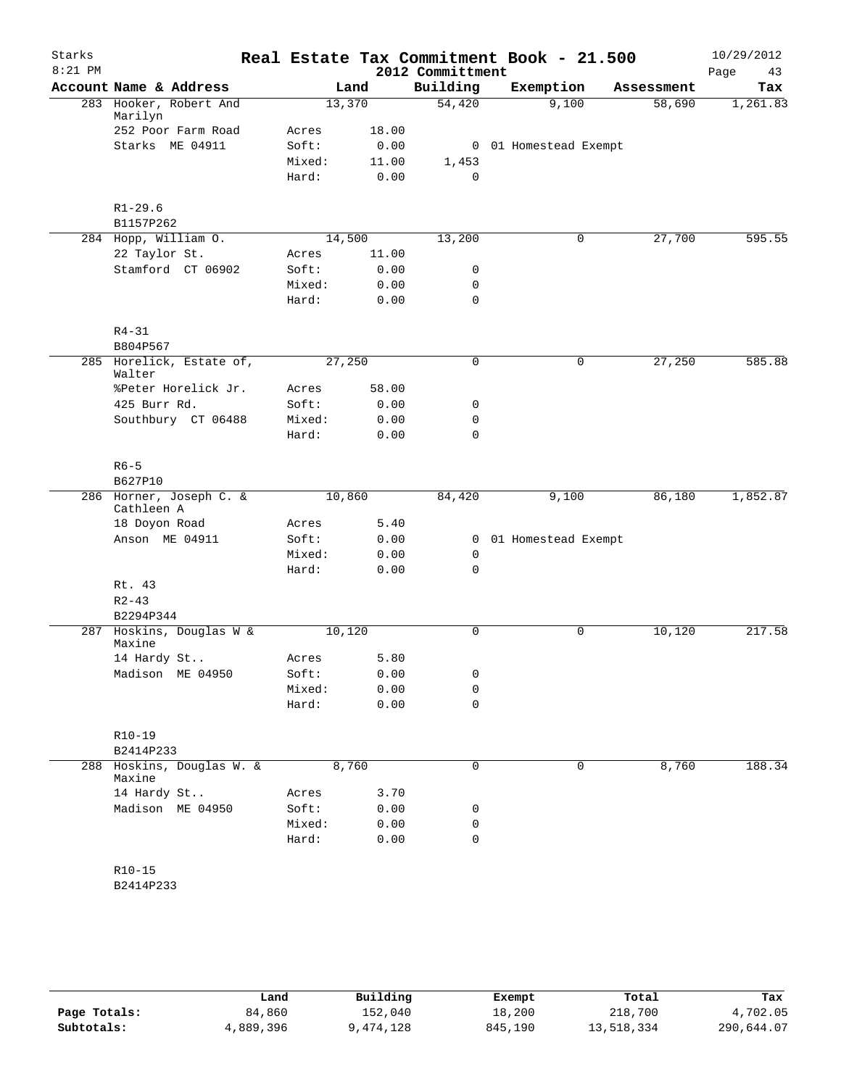| Starks    |                                       |                 |              | Real Estate Tax Commitment Book - 21.500 |                       |             |            | 10/29/2012 |
|-----------|---------------------------------------|-----------------|--------------|------------------------------------------|-----------------------|-------------|------------|------------|
| $8:21$ PM |                                       |                 |              | 2012 Committment                         |                       |             |            | 43<br>Page |
|           | Account Name & Address                |                 | Land         | Building                                 | Exemption             |             | Assessment | Tax        |
|           | 283 Hooker, Robert And<br>Marilyn     | 13,370          |              | 54,420                                   |                       | 9,100       | 58,690     | 1,261.83   |
|           | 252 Poor Farm Road                    | Acres           | 18.00        |                                          |                       |             |            |            |
|           | Starks ME 04911                       | Soft:           | 0.00         |                                          | 0 01 Homestead Exempt |             |            |            |
|           |                                       | Mixed:          | 11.00        | 1,453                                    |                       |             |            |            |
|           |                                       | Hard:           | 0.00         | 0                                        |                       |             |            |            |
|           | $R1 - 29.6$                           |                 |              |                                          |                       |             |            |            |
|           | B1157P262                             |                 |              |                                          |                       |             |            |            |
|           | 284 Hopp, William O.                  | 14,500          |              | 13,200                                   |                       | 0           | 27,700     | 595.55     |
|           | 22 Taylor St.                         | Acres           | 11.00        |                                          |                       |             |            |            |
|           | Stamford CT 06902                     | Soft:           | 0.00         | 0                                        |                       |             |            |            |
|           |                                       | Mixed:          | 0.00         | 0                                        |                       |             |            |            |
|           |                                       | Hard:           | 0.00         | 0                                        |                       |             |            |            |
|           | $R4 - 31$                             |                 |              |                                          |                       |             |            |            |
|           | B804P567                              |                 |              |                                          |                       |             |            |            |
|           | 285 Horelick, Estate of,<br>Walter    | 27,250          |              | 0                                        |                       | $\mathbf 0$ | 27,250     | 585.88     |
|           | %Peter Horelick Jr.                   | Acres           | 58.00        |                                          |                       |             |            |            |
|           | 425 Burr Rd.                          | Soft:           | 0.00         | 0                                        |                       |             |            |            |
|           | Southbury CT 06488                    | Mixed:          | 0.00         | 0                                        |                       |             |            |            |
|           |                                       | Hard:           | 0.00         | 0                                        |                       |             |            |            |
|           | $R6 - 5$                              |                 |              |                                          |                       |             |            |            |
|           | B627P10                               |                 |              |                                          |                       |             |            |            |
|           | 286 Horner, Joseph C. &<br>Cathleen A | 10,860          |              | 84,420                                   |                       | 9,100       | 86,180     | 1,852.87   |
|           | 18 Doyon Road                         | Acres           | 5.40         |                                          |                       |             |            |            |
|           | Anson ME 04911                        | Soft:           | 0.00         | 0                                        | 01 Homestead Exempt   |             |            |            |
|           |                                       | Mixed:          | 0.00         | 0                                        |                       |             |            |            |
|           |                                       | Hard:           | 0.00         | 0                                        |                       |             |            |            |
|           | Rt. 43                                |                 |              |                                          |                       |             |            |            |
|           | $R2 - 43$                             |                 |              |                                          |                       |             |            |            |
|           | B2294P344                             |                 |              |                                          |                       |             |            |            |
|           | 287 Hoskins, Douglas W &<br>Maxine    | 10,120          |              | 0                                        |                       | 0           | 10,120     | 217.58     |
|           | 14 Hardy St                           | Acres           | 5.80         |                                          |                       |             |            |            |
|           | Madison ME 04950                      | Soft:           | 0.00         | 0                                        |                       |             |            |            |
|           |                                       | Mixed:<br>Hard: | 0.00<br>0.00 | 0<br>0                                   |                       |             |            |            |
|           |                                       |                 |              |                                          |                       |             |            |            |
|           | R10-19                                |                 |              |                                          |                       |             |            |            |
|           | B2414P233                             |                 |              |                                          |                       |             |            |            |
| 288       | Hoskins, Douglas W. &<br>Maxine       | 8,760           |              | 0                                        |                       | 0           | 8,760      | 188.34     |
|           | 14 Hardy St                           | Acres           | 3.70         |                                          |                       |             |            |            |
|           | Madison ME 04950                      | Soft:           | 0.00         | 0                                        |                       |             |            |            |
|           |                                       | Mixed:          | 0.00         | 0                                        |                       |             |            |            |
|           |                                       | Hard:           | 0.00         | 0                                        |                       |             |            |            |
|           | $R10 - 15$                            |                 |              |                                          |                       |             |            |            |
|           | B2414P233                             |                 |              |                                          |                       |             |            |            |
|           |                                       |                 |              |                                          |                       |             |            |            |

|              | Land      | Building  | Exempt  | Total      | Tax        |
|--------------|-----------|-----------|---------|------------|------------|
| Page Totals: | 84,860    | 152,040   | 18,200  | 218,700    | 4,702.05   |
| Subtotals:   | 4,889,396 | 9,474,128 | 845,190 | 13,518,334 | 290,644.07 |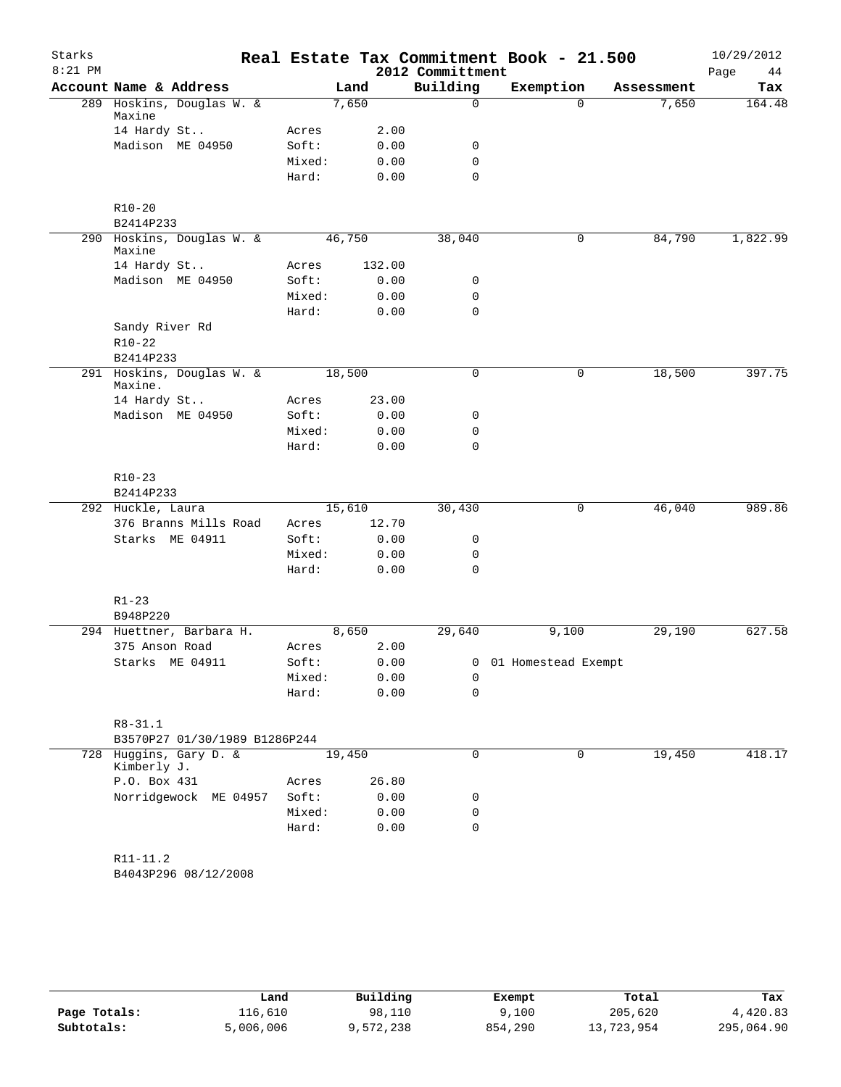| Starks    |                                       |                |        |              | Real Estate Tax Commitment Book - 21.500 |                       |           |            | 10/29/2012 |
|-----------|---------------------------------------|----------------|--------|--------------|------------------------------------------|-----------------------|-----------|------------|------------|
| $8:21$ PM |                                       |                |        |              | 2012 Committment                         |                       |           |            | 44<br>Page |
|           | Account Name & Address                |                | Land   |              | Building                                 |                       | Exemption | Assessment | Tax        |
|           | 289 Hoskins, Douglas W. &<br>Maxine   |                | 7,650  |              | $\mathbf 0$                              |                       | $\Omega$  | 7,650      | 164.48     |
|           | 14 Hardy St                           | Acres          |        | 2.00         |                                          |                       |           |            |            |
|           | Madison ME 04950                      | Soft:          |        | 0.00         | 0                                        |                       |           |            |            |
|           |                                       | Mixed:         |        | 0.00         | $\mathbf 0$                              |                       |           |            |            |
|           |                                       | Hard:          |        | 0.00         | $\mathbf 0$                              |                       |           |            |            |
|           | $R10 - 20$                            |                |        |              |                                          |                       |           |            |            |
|           | B2414P233                             |                |        |              |                                          |                       |           |            |            |
|           | 290 Hoskins, Douglas W. &             |                | 46,750 |              | 38,040                                   |                       | 0         | 84,790     | 1,822.99   |
|           | Maxine                                |                |        |              |                                          |                       |           |            |            |
|           | 14 Hardy St                           | Acres          |        | 132.00       |                                          |                       |           |            |            |
|           | Madison ME 04950                      | Soft:          |        | 0.00         | 0                                        |                       |           |            |            |
|           |                                       | Mixed:         |        | 0.00         | $\mathbf 0$<br>$\mathbf 0$               |                       |           |            |            |
|           | Sandy River Rd                        | Hard:          |        | 0.00         |                                          |                       |           |            |            |
|           | $R10-22$                              |                |        |              |                                          |                       |           |            |            |
|           | B2414P233                             |                |        |              |                                          |                       |           |            |            |
|           | 291 Hoskins, Douglas W. &             |                | 18,500 |              | $\mathbf 0$                              |                       | 0         | 18,500     | 397.75     |
|           | Maxine.                               |                |        |              |                                          |                       |           |            |            |
|           | 14 Hardy St                           | Acres<br>Soft: |        | 23.00        |                                          |                       |           |            |            |
|           | Madison ME 04950                      | Mixed:         |        | 0.00<br>0.00 | 0<br>0                                   |                       |           |            |            |
|           |                                       | Hard:          |        |              | $\mathbf 0$                              |                       |           |            |            |
|           |                                       |                |        | 0.00         |                                          |                       |           |            |            |
|           | $R10-23$                              |                |        |              |                                          |                       |           |            |            |
|           | B2414P233                             |                |        |              |                                          |                       |           |            |            |
|           | 292 Huckle, Laura                     |                | 15,610 |              | 30,430                                   |                       | 0         | 46,040     | 989.86     |
|           | 376 Branns Mills Road                 | Acres          |        | 12.70        |                                          |                       |           |            |            |
|           | Starks ME 04911                       | Soft:          |        | 0.00         | 0                                        |                       |           |            |            |
|           |                                       | Mixed:         |        | 0.00         | 0                                        |                       |           |            |            |
|           |                                       | Hard:          |        | 0.00         | $\mathbf 0$                              |                       |           |            |            |
|           | $R1 - 23$                             |                |        |              |                                          |                       |           |            |            |
|           | B948P220                              |                |        |              |                                          |                       |           |            |            |
|           | 294 Huettner, Barbara H.              |                | 8,650  |              | 29,640                                   |                       | 9,100     | 29,190     | 627.58     |
|           | 375 Anson Road                        | Acres          |        | 2.00         |                                          |                       |           |            |            |
|           | Starks ME 04911                       | Soft:          |        | 0.00         |                                          | 0 01 Homestead Exempt |           |            |            |
|           |                                       | Mixed:         |        | 0.00         | 0                                        |                       |           |            |            |
|           |                                       | Hard:          |        | 0.00         | $\mathbf 0$                              |                       |           |            |            |
|           | $R8 - 31.1$                           |                |        |              |                                          |                       |           |            |            |
|           | B3570P27 01/30/1989 B1286P244         |                |        |              |                                          |                       |           |            |            |
|           | 728 Huggins, Gary D. &<br>Kimberly J. |                | 19,450 |              | 0                                        |                       | 0         | 19,450     | 418.17     |
|           | P.O. Box 431                          | Acres          |        | 26.80        |                                          |                       |           |            |            |
|           | Norridgewock ME 04957                 | Soft:          |        | 0.00         | 0                                        |                       |           |            |            |
|           |                                       | Mixed:         |        | 0.00         | 0                                        |                       |           |            |            |
|           |                                       | Hard:          |        | 0.00         | $\mathbf 0$                              |                       |           |            |            |
|           |                                       |                |        |              |                                          |                       |           |            |            |
|           | R11-11.2<br>B4043P296 08/12/2008      |                |        |              |                                          |                       |           |            |            |
|           |                                       |                |        |              |                                          |                       |           |            |            |
|           |                                       |                |        |              |                                          |                       |           |            |            |

|              | Land      | Building  | Exempt  | Total      | Tax        |
|--------------|-----------|-----------|---------|------------|------------|
| Page Totals: | 116,610   | 98,110    | 9,100   | 205,620    | 4,420.83   |
| Subtotals:   | 5,006,006 | 9,572,238 | 854,290 | 13,723,954 | 295,064.90 |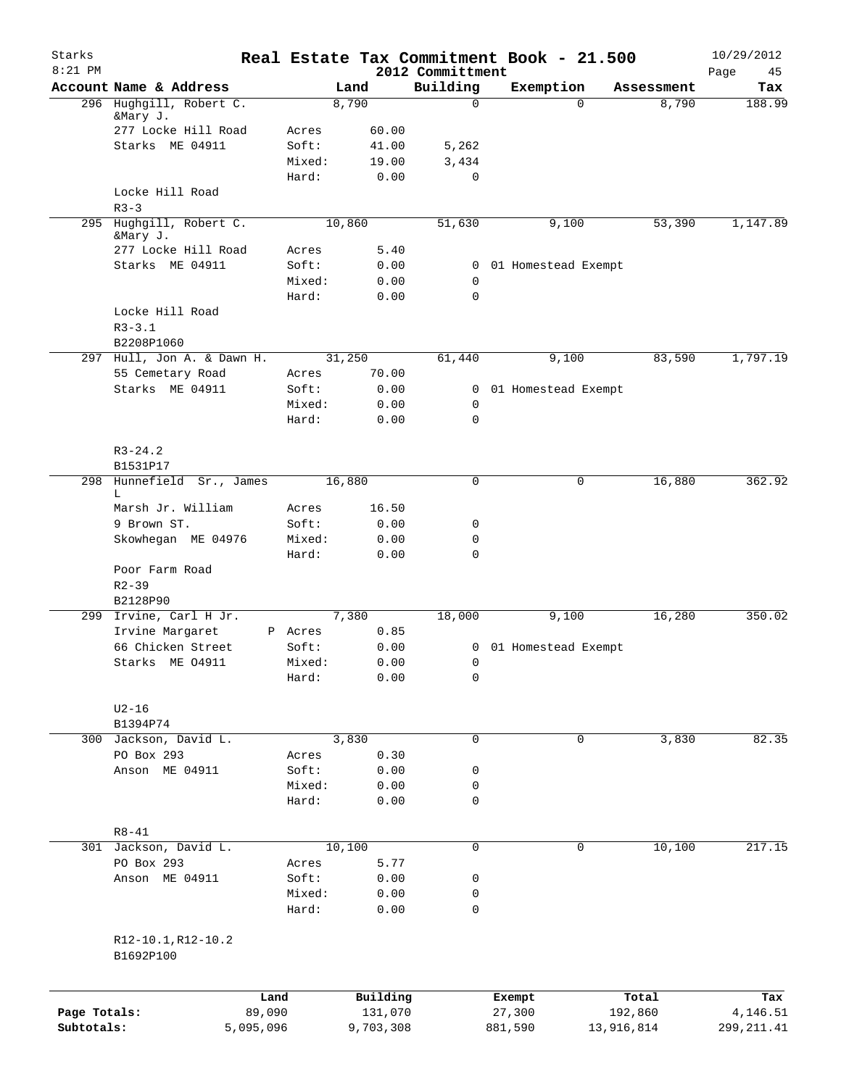| Starks<br>$8:21$ PM |                                 |           |           |                              | Real Estate Tax Commitment Book - 21.500 |            | 10/29/2012        |
|---------------------|---------------------------------|-----------|-----------|------------------------------|------------------------------------------|------------|-------------------|
|                     | Account Name & Address          |           | Land      | 2012 Committment<br>Building | Exemption                                | Assessment | Page<br>45<br>Tax |
|                     | 296 Hughgill, Robert C.         |           | 8,790     | 0                            | $\Omega$                                 | 8,790      | 188.99            |
|                     | &Mary J.                        |           |           |                              |                                          |            |                   |
|                     | 277 Locke Hill Road             | Acres     | 60.00     |                              |                                          |            |                   |
|                     | Starks ME 04911                 | Soft:     | 41.00     | 5,262                        |                                          |            |                   |
|                     |                                 | Mixed:    | 19.00     | 3,434<br>0                   |                                          |            |                   |
|                     | Locke Hill Road                 | Hard:     | 0.00      |                              |                                          |            |                   |
|                     | $R3 - 3$                        |           |           |                              |                                          |            |                   |
|                     | 295 Hughgill, Robert C.         |           | 10,860    | 51,630                       | 9,100                                    | 53,390     | 1,147.89          |
|                     | &Mary J.                        |           |           |                              |                                          |            |                   |
|                     | 277 Locke Hill Road             | Acres     | 5.40      |                              |                                          |            |                   |
|                     | Starks ME 04911                 | Soft:     | 0.00      | 0                            | 01 Homestead Exempt                      |            |                   |
|                     |                                 | Mixed:    | 0.00      | 0                            |                                          |            |                   |
|                     |                                 | Hard:     | 0.00      | 0                            |                                          |            |                   |
|                     | Locke Hill Road                 |           |           |                              |                                          |            |                   |
|                     | $R3 - 3.1$                      |           |           |                              |                                          |            |                   |
|                     | B2208P1060                      |           |           |                              |                                          |            |                   |
| 297                 | Hull, Jon A. & Dawn H.          |           | 31,250    | 61,440                       | 9,100                                    | 83,590     | 1,797.19          |
|                     | 55 Cemetary Road                | Acres     | 70.00     |                              |                                          |            |                   |
|                     | Starks ME 04911                 | Soft:     | 0.00      | 0                            | 01 Homestead Exempt                      |            |                   |
|                     |                                 | Mixed:    | 0.00      | 0                            |                                          |            |                   |
|                     |                                 | Hard:     | 0.00      | $\mathbf 0$                  |                                          |            |                   |
|                     |                                 |           |           |                              |                                          |            |                   |
|                     | $R3 - 24.2$                     |           |           |                              |                                          |            |                   |
|                     | B1531P17                        |           |           |                              |                                          |            |                   |
|                     | 298 Hunnefield Sr., James       |           | 16,880    | 0                            | 0                                        | 16,880     | 362.92            |
|                     | L                               |           |           |                              |                                          |            |                   |
|                     | Marsh Jr. William               | Acres     | 16.50     |                              |                                          |            |                   |
|                     | 9 Brown ST.                     | Soft:     | 0.00      | 0                            |                                          |            |                   |
|                     | Skowhegan ME 04976              | Mixed:    | 0.00      | 0<br>$\Omega$                |                                          |            |                   |
|                     |                                 | Hard:     | 0.00      |                              |                                          |            |                   |
|                     | Poor Farm Road<br>$R2 - 39$     |           |           |                              |                                          |            |                   |
|                     | B2128P90                        |           |           |                              |                                          |            |                   |
|                     | 299 Irvine, Carl H Jr.          |           | 7,380     | 18,000                       | 9,100                                    | 16,280     | 350.02            |
|                     | Irvine Margaret                 | P Acres   | 0.85      |                              |                                          |            |                   |
|                     | 66 Chicken Street               | Soft:     | 0.00      |                              | 0 01 Homestead Exempt                    |            |                   |
|                     | Starks ME 04911                 | Mixed:    | 0.00      | 0                            |                                          |            |                   |
|                     |                                 | Hard:     | 0.00      | 0                            |                                          |            |                   |
|                     |                                 |           |           |                              |                                          |            |                   |
|                     | $U2-16$                         |           |           |                              |                                          |            |                   |
|                     | B1394P74                        |           |           |                              |                                          |            |                   |
|                     | 300 Jackson, David L.           |           | 3,830     | $\mathbf 0$                  | $\mathbf 0$                              | 3,830      | 82.35             |
|                     | PO Box 293                      | Acres     | 0.30      |                              |                                          |            |                   |
|                     | Anson ME 04911                  | Soft:     | 0.00      | 0                            |                                          |            |                   |
|                     |                                 | Mixed:    | 0.00      | 0                            |                                          |            |                   |
|                     |                                 | Hard:     | 0.00      | 0                            |                                          |            |                   |
|                     |                                 |           |           |                              |                                          |            |                   |
|                     | $R8 - 41$                       |           |           |                              |                                          |            |                   |
|                     | 301 Jackson, David L.           |           | 10,100    | $\mathbf 0$                  | 0                                        | 10,100     | 217.15            |
|                     | PO Box 293                      | Acres     | 5.77      |                              |                                          |            |                   |
|                     | Anson ME 04911                  | Soft:     | 0.00      | 0                            |                                          |            |                   |
|                     |                                 | Mixed:    | 0.00      | 0                            |                                          |            |                   |
|                     |                                 | Hard:     | 0.00      | 0                            |                                          |            |                   |
|                     |                                 |           |           |                              |                                          |            |                   |
|                     | R12-10.1, R12-10.2<br>B1692P100 |           |           |                              |                                          |            |                   |
|                     |                                 |           |           |                              |                                          |            |                   |
|                     |                                 | Land      | Building  |                              | Exempt                                   | Total      | Tax               |
| Page Totals:        |                                 | 89,090    | 131,070   |                              | 27,300                                   | 192,860    | 4,146.51          |
| Subtotals:          |                                 | 5,095,096 | 9,703,308 |                              | 881,590                                  | 13,916,814 | 299, 211.41       |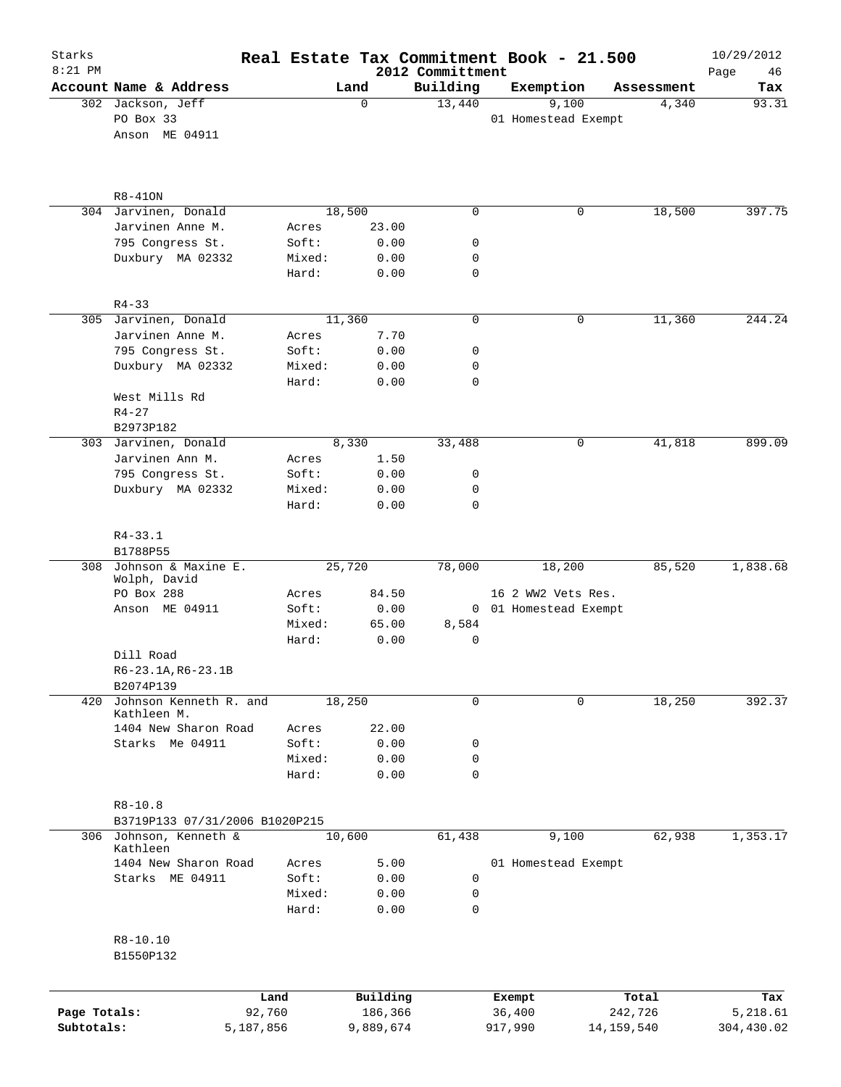| Starks<br>$8:21$ PM |                                       |                 |                     |                              | Real Estate Tax Commitment Book - 21.500 |                  | 10/29/2012        |
|---------------------|---------------------------------------|-----------------|---------------------|------------------------------|------------------------------------------|------------------|-------------------|
|                     | Account Name & Address                |                 | Land                | 2012 Committment<br>Building | Exemption                                | Assessment       | Page<br>46<br>Tax |
|                     | 302 Jackson, Jeff                     |                 | $\mathbf 0$         | 13,440                       | 9,100                                    | 4,340            | 93.31             |
|                     | PO Box 33                             |                 |                     |                              | 01 Homestead Exempt                      |                  |                   |
|                     | Anson ME 04911                        |                 |                     |                              |                                          |                  |                   |
|                     |                                       |                 |                     |                              |                                          |                  |                   |
|                     | $R8-410N$                             |                 |                     |                              |                                          |                  |                   |
|                     | 304 Jarvinen, Donald                  |                 | 18,500              | $\mathbf 0$                  | 0                                        | 18,500           | 397.75            |
|                     | Jarvinen Anne M.                      | Acres           | 23.00               |                              |                                          |                  |                   |
|                     | 795 Congress St.                      | Soft:           | 0.00                | 0                            |                                          |                  |                   |
|                     | Duxbury MA 02332                      | Mixed:<br>Hard: | 0.00<br>0.00        | 0<br>$\mathbf 0$             |                                          |                  |                   |
|                     | $R4 - 33$                             |                 |                     |                              |                                          |                  |                   |
|                     | 305 Jarvinen, Donald                  |                 | 11,360              | $\mathbf 0$                  | 0                                        | 11,360           | 244.24            |
|                     | Jarvinen Anne M.                      | Acres           | 7.70                |                              |                                          |                  |                   |
|                     | 795 Congress St.                      | Soft:           | 0.00                | 0                            |                                          |                  |                   |
|                     | Duxbury MA 02332                      | Mixed:          | 0.00                | 0                            |                                          |                  |                   |
|                     |                                       | Hard:           | 0.00                | $\mathbf 0$                  |                                          |                  |                   |
|                     | West Mills Rd                         |                 |                     |                              |                                          |                  |                   |
|                     | $R4 - 27$<br>B2973P182                |                 |                     |                              |                                          |                  |                   |
|                     | 303 Jarvinen, Donald                  |                 | 8,330               | 33,488                       | 0                                        | 41,818           | 899.09            |
|                     | Jarvinen Ann M.                       | Acres           | 1.50                |                              |                                          |                  |                   |
|                     | 795 Congress St.                      | Soft:           | 0.00                | 0                            |                                          |                  |                   |
|                     | Duxbury MA 02332                      | Mixed:          | 0.00                | 0                            |                                          |                  |                   |
|                     |                                       | Hard:           | 0.00                | $\mathbf 0$                  |                                          |                  |                   |
|                     | $R4 - 33.1$                           |                 |                     |                              |                                          |                  |                   |
|                     | B1788P55                              |                 |                     |                              |                                          |                  |                   |
| 308                 | Johnson & Maxine E.<br>Wolph, David   |                 | 25,720              | 78,000                       | 18,200                                   | 85,520           | 1,838.68          |
|                     | PO Box 288                            | Acres           | 84.50               |                              | 16 2 WW2 Vets Res.                       |                  |                   |
|                     | Anson ME 04911                        | Soft:           | 0.00                |                              | 0 01 Homestead Exempt                    |                  |                   |
|                     |                                       | Mixed:          | 65.00               | 8,584                        |                                          |                  |                   |
|                     |                                       | Hard:           | 0.00                | $\mathbf 0$                  |                                          |                  |                   |
|                     | Dill Road                             |                 |                     |                              |                                          |                  |                   |
|                     | R6-23.1A, R6-23.1B                    |                 |                     |                              |                                          |                  |                   |
|                     | B2074P139                             |                 |                     |                              |                                          |                  |                   |
| 420                 | Johnson Kenneth R. and<br>Kathleen M. |                 | 18,250              | 0                            | 0                                        | 18,250           | 392.37            |
|                     | 1404 New Sharon Road                  | Acres           | 22.00               |                              |                                          |                  |                   |
|                     | Starks Me 04911                       | Soft:           | 0.00                | 0                            |                                          |                  |                   |
|                     |                                       | Mixed:          | 0.00                | 0                            |                                          |                  |                   |
|                     |                                       | Hard:           | 0.00                | $\mathbf 0$                  |                                          |                  |                   |
|                     | $R8 - 10.8$                           |                 |                     |                              |                                          |                  |                   |
|                     | B3719P133 07/31/2006 B1020P215        |                 |                     |                              |                                          |                  |                   |
|                     | 306 Johnson, Kenneth &<br>Kathleen    |                 | 10,600              | 61,438                       | 9,100                                    | 62,938           | 1,353.17          |
|                     | 1404 New Sharon Road                  | Acres           | 5.00                |                              | 01 Homestead Exempt                      |                  |                   |
|                     | Starks ME 04911                       | Soft:           | 0.00                | 0                            |                                          |                  |                   |
|                     |                                       | Mixed:          | 0.00                | 0                            |                                          |                  |                   |
|                     |                                       | Hard:           | 0.00                | $\mathbf 0$                  |                                          |                  |                   |
|                     | R8-10.10                              |                 |                     |                              |                                          |                  |                   |
|                     | B1550P132                             |                 |                     |                              |                                          |                  |                   |
|                     |                                       |                 |                     |                              |                                          |                  |                   |
| Page Totals:        |                                       | Land<br>92,760  | Building<br>186,366 |                              | Exempt<br>36,400                         | Total<br>242,726 | Tax<br>5,218.61   |
| Subtotals:          | 5,187,856                             |                 | 9,889,674           |                              | 917,990                                  | 14, 159, 540     | 304,430.02        |
|                     |                                       |                 |                     |                              |                                          |                  |                   |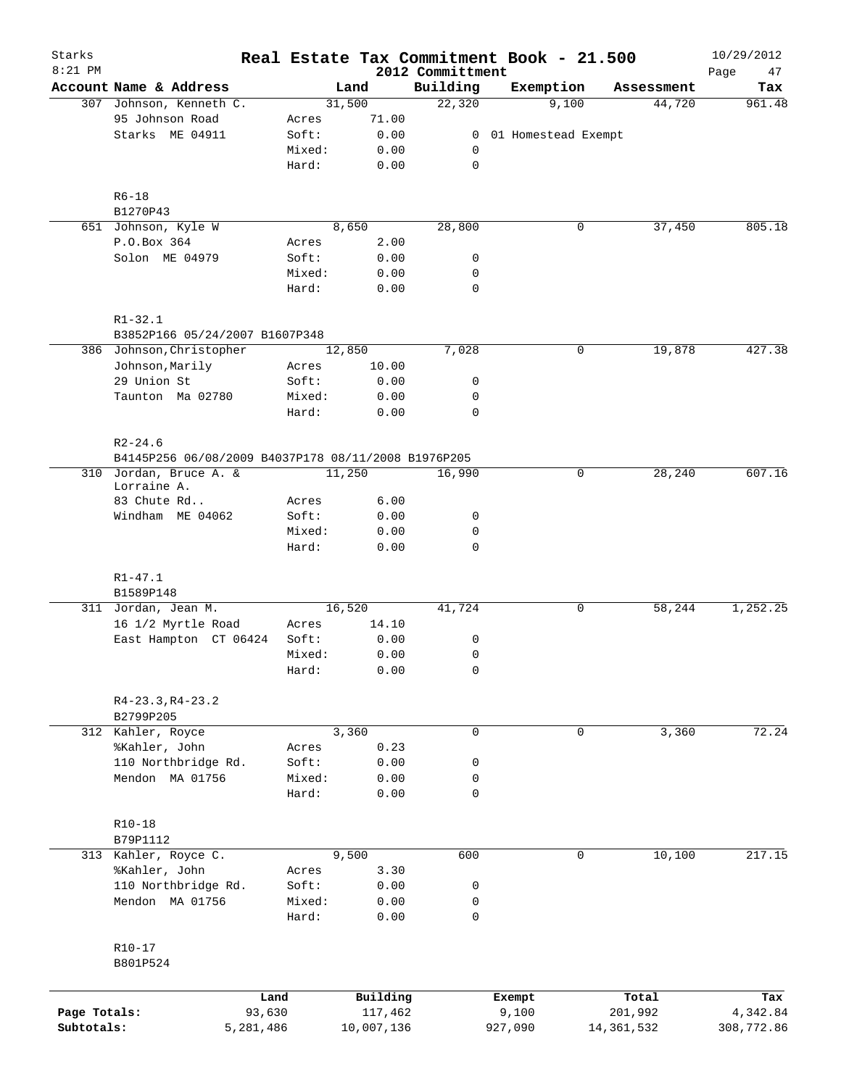| Starks<br>$8:21$ PM |                                                     |                 |              |                              | Real Estate Tax Commitment Book - 21.500 |             |              | 10/29/2012        |
|---------------------|-----------------------------------------------------|-----------------|--------------|------------------------------|------------------------------------------|-------------|--------------|-------------------|
|                     | Account Name & Address                              |                 | Land         | 2012 Committment<br>Building | Exemption                                |             | Assessment   | Page<br>47<br>Tax |
|                     | 307 Johnson, Kenneth C.                             |                 | 31,500       | 22,320                       | 9,100                                    |             | 44,720       | 961.48            |
|                     | 95 Johnson Road                                     | Acres           | 71.00        |                              |                                          |             |              |                   |
|                     | Starks ME 04911                                     | Soft:           | 0.00         | 0                            | 01 Homestead Exempt                      |             |              |                   |
|                     |                                                     | Mixed:          | 0.00         | 0                            |                                          |             |              |                   |
|                     |                                                     | Hard:           | 0.00         | $\mathbf 0$                  |                                          |             |              |                   |
|                     | $R6 - 18$                                           |                 |              |                              |                                          |             |              |                   |
|                     | B1270P43                                            |                 |              |                              |                                          |             |              |                   |
|                     | 651 Johnson, Kyle W                                 |                 | 8,650        | 28,800                       |                                          | 0           | 37,450       | 805.18            |
|                     | P.O.Box 364                                         | Acres           | 2.00         |                              |                                          |             |              |                   |
|                     | Solon ME 04979                                      | Soft:           | 0.00         | 0                            |                                          |             |              |                   |
|                     |                                                     | Mixed:          | 0.00         | 0                            |                                          |             |              |                   |
|                     |                                                     | Hard:           | 0.00         | $\mathbf 0$                  |                                          |             |              |                   |
|                     | $R1 - 32.1$                                         |                 |              |                              |                                          |             |              |                   |
|                     | B3852P166 05/24/2007 B1607P348                      |                 |              |                              |                                          |             |              |                   |
|                     | 386 Johnson, Christopher                            |                 | 12,850       | 7,028                        |                                          | 0           | 19,878       | 427.38            |
|                     | Johnson, Marily                                     | Acres           | 10.00        |                              |                                          |             |              |                   |
|                     | 29 Union St                                         | Soft:           | 0.00         | 0                            |                                          |             |              |                   |
|                     | Taunton Ma 02780                                    | Mixed:          | 0.00         | 0                            |                                          |             |              |                   |
|                     |                                                     | Hard:           | 0.00         | $\mathbf 0$                  |                                          |             |              |                   |
|                     | $R2 - 24.6$                                         |                 |              |                              |                                          |             |              |                   |
|                     | B4145P256 06/08/2009 B4037P178 08/11/2008 B1976P205 |                 |              |                              |                                          |             |              |                   |
|                     | 310 Jordan, Bruce A. &                              |                 | 11,250       | 16,990                       |                                          | 0           | 28,240       | 607.16            |
|                     | Lorraine A.                                         |                 |              |                              |                                          |             |              |                   |
|                     | 83 Chute Rd                                         | Acres           | 6.00         |                              |                                          |             |              |                   |
|                     | Windham ME 04062                                    | Soft:           | 0.00         | 0                            |                                          |             |              |                   |
|                     |                                                     | Mixed:<br>Hard: | 0.00<br>0.00 | 0<br>0                       |                                          |             |              |                   |
|                     | $R1 - 47.1$                                         |                 |              |                              |                                          |             |              |                   |
|                     | B1589P148                                           |                 |              |                              |                                          |             |              |                   |
|                     | 311 Jordan, Jean M.                                 |                 | 16,520       | 41,724                       |                                          | 0           | 58,244       | 1,252.25          |
|                     | 16 1/2 Myrtle Road                                  | Acres           | 14.10        |                              |                                          |             |              |                   |
|                     | East Hampton CT 06424                               | Soft:           | 0.00         | 0                            |                                          |             |              |                   |
|                     |                                                     | Mixed:          | 0.00         | 0                            |                                          |             |              |                   |
|                     |                                                     | Hard:           | 0.00         | 0                            |                                          |             |              |                   |
|                     | $R4-23.3, R4-23.2$                                  |                 |              |                              |                                          |             |              |                   |
|                     | B2799P205                                           |                 |              |                              |                                          |             |              |                   |
|                     | 312 Kahler, Royce                                   |                 | 3,360        | $\mathbf 0$                  |                                          | $\mathbf 0$ | 3,360        | 72.24             |
|                     | %Kahler, John                                       | Acres           | 0.23         |                              |                                          |             |              |                   |
|                     | 110 Northbridge Rd.                                 | Soft:           | 0.00         | 0                            |                                          |             |              |                   |
|                     | Mendon MA 01756                                     | Mixed:          | 0.00         | 0                            |                                          |             |              |                   |
|                     |                                                     | Hard:           | 0.00         | 0                            |                                          |             |              |                   |
|                     | $R10-18$                                            |                 |              |                              |                                          |             |              |                   |
|                     | B79P1112                                            |                 |              |                              |                                          |             |              |                   |
|                     | 313 Kahler, Royce C.                                |                 | 9,500        | 600                          |                                          | 0           | 10,100       | 217.15            |
|                     | %Kahler, John                                       | Acres           | 3.30         |                              |                                          |             |              |                   |
|                     | 110 Northbridge Rd.                                 | Soft:           | 0.00         | 0                            |                                          |             |              |                   |
|                     | Mendon MA 01756                                     | Mixed:          | 0.00         | 0                            |                                          |             |              |                   |
|                     |                                                     | Hard:           | 0.00         | $\mathbf 0$                  |                                          |             |              |                   |
|                     | $R10 - 17$                                          |                 |              |                              |                                          |             |              |                   |
|                     | B801P524                                            |                 |              |                              |                                          |             |              |                   |
|                     |                                                     | Land            | Building     |                              | Exempt                                   |             | Total        | Tax               |
| Page Totals:        |                                                     | 93,630          | 117,462      |                              | 9,100                                    |             | 201,992      | 4,342.84          |
| Subtotals:          | 5,281,486                                           |                 | 10,007,136   |                              | 927,090                                  |             | 14, 361, 532 | 308,772.86        |
|                     |                                                     |                 |              |                              |                                          |             |              |                   |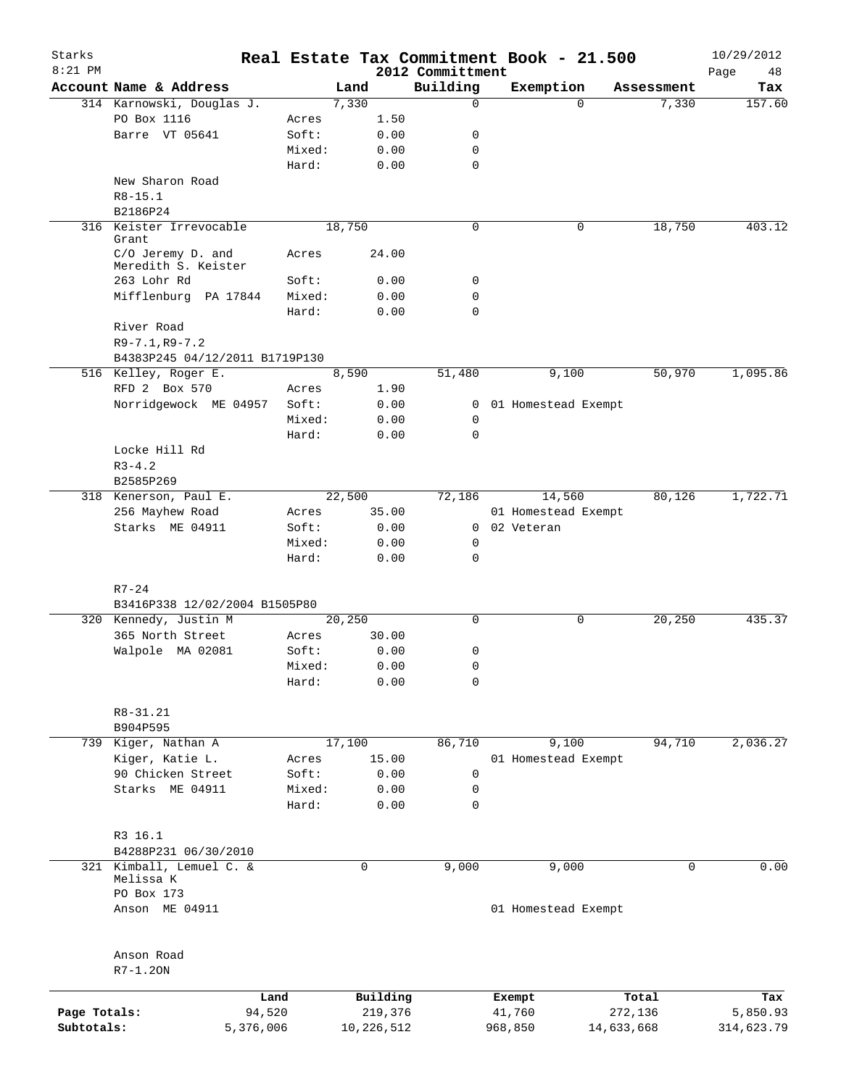| Starks       |                                          |                |              |                  | Real Estate Tax Commitment Book - 21.500 |            |            | 10/29/2012 |
|--------------|------------------------------------------|----------------|--------------|------------------|------------------------------------------|------------|------------|------------|
| $8:21$ PM    |                                          |                |              | 2012 Committment |                                          |            |            | 48<br>Page |
|              | Account Name & Address                   |                | Land         | Building<br>0    | Exemption                                | $\Omega$   | Assessment | Tax        |
|              | 314 Karnowski, Douglas J.<br>PO Box 1116 |                | 7,330        |                  |                                          |            | 7,330      | 157.60     |
|              | Barre VT 05641                           | Acres<br>Soft: | 1.50<br>0.00 | 0                |                                          |            |            |            |
|              |                                          | Mixed:         | 0.00         | 0                |                                          |            |            |            |
|              |                                          | Hard:          |              | 0                |                                          |            |            |            |
|              |                                          |                | 0.00         |                  |                                          |            |            |            |
|              | New Sharon Road                          |                |              |                  |                                          |            |            |            |
|              | $R8 - 15.1$                              |                |              |                  |                                          |            |            |            |
|              | B2186P24                                 |                |              |                  |                                          |            |            |            |
|              | 316 Keister Irrevocable<br>Grant         |                | 18,750       | 0                |                                          | 0          | 18,750     | 403.12     |
|              | C/O Jeremy D. and<br>Meredith S. Keister | Acres          | 24.00        |                  |                                          |            |            |            |
|              | 263 Lohr Rd                              | Soft:          | 0.00         | 0                |                                          |            |            |            |
|              | Mifflenburg PA 17844                     | Mixed:         | 0.00         | 0                |                                          |            |            |            |
|              |                                          | Hard:          | 0.00         | 0                |                                          |            |            |            |
|              | River Road                               |                |              |                  |                                          |            |            |            |
|              | $R9 - 7.1, R9 - 7.2$                     |                |              |                  |                                          |            |            |            |
|              | B4383P245 04/12/2011 B1719P130           |                |              |                  |                                          |            |            |            |
|              | 516 Kelley, Roger E.                     |                | 8,590        | 51,480           | 9,100                                    |            | 50,970     | 1,095.86   |
|              | RFD 2 Box 570                            | Acres          | 1.90         |                  |                                          |            |            |            |
|              | Norridgewock ME 04957                    | Soft:          | 0.00         | $\mathbf{0}$     | 01 Homestead Exempt                      |            |            |            |
|              |                                          | Mixed:         | 0.00         | 0                |                                          |            |            |            |
|              |                                          | Hard:          | 0.00         | 0                |                                          |            |            |            |
|              | Locke Hill Rd                            |                |              |                  |                                          |            |            |            |
|              | $R3 - 4.2$                               |                |              |                  |                                          |            |            |            |
|              | B2585P269                                |                |              |                  |                                          |            |            |            |
|              | 318 Kenerson, Paul E.                    |                | 22,500       | 72,186           | 14,560                                   |            | 80,126     | 1,722.71   |
|              | 256 Mayhew Road                          | Acres          | 35.00        |                  | 01 Homestead Exempt                      |            |            |            |
|              | Starks ME 04911                          | Soft:          |              |                  | 0 02 Veteran                             |            |            |            |
|              |                                          | Mixed:         | 0.00         |                  |                                          |            |            |            |
|              |                                          | Hard:          | 0.00         | 0<br>0           |                                          |            |            |            |
|              |                                          |                | 0.00         |                  |                                          |            |            |            |
|              | $R7 - 24$                                |                |              |                  |                                          |            |            |            |
|              | B3416P338 12/02/2004 B1505P80            |                |              |                  |                                          |            |            |            |
|              | 320 Kennedy, Justin M                    |                | 20,250       | $\mathbf 0$      |                                          | 0          | 20,250     | 435.37     |
|              | 365 North Street                         | Acres          | 30.00        |                  |                                          |            |            |            |
|              | Walpole MA 02081                         | Soft:          | 0.00         | 0                |                                          |            |            |            |
|              |                                          | Mixed:         | 0.00         | 0                |                                          |            |            |            |
|              |                                          | Hard:          | 0.00         | 0                |                                          |            |            |            |
|              |                                          |                |              |                  |                                          |            |            |            |
|              | $R8 - 31.21$                             |                |              |                  |                                          |            |            |            |
|              | B904P595                                 |                |              |                  |                                          |            |            |            |
|              | 739 Kiger, Nathan A                      |                | 17,100       | 86,710           | 9,100                                    |            | 94,710     | 2,036.27   |
|              | Kiger, Katie L.                          | Acres          | 15.00        |                  | 01 Homestead Exempt                      |            |            |            |
|              | 90 Chicken Street                        | Soft:          | 0.00         | 0                |                                          |            |            |            |
|              | Starks ME 04911                          | Mixed:         | 0.00         | 0                |                                          |            |            |            |
|              |                                          | Hard:          | 0.00         | 0                |                                          |            |            |            |
|              |                                          |                |              |                  |                                          |            |            |            |
|              | R3 16.1                                  |                |              |                  |                                          |            |            |            |
|              | B4288P231 06/30/2010                     |                |              |                  |                                          |            |            |            |
|              | 321 Kimball, Lemuel C. &<br>Melissa K    |                | 0            | 9,000            | 9,000                                    |            | 0          | 0.00       |
|              | PO Box 173                               |                |              |                  |                                          |            |            |            |
|              | Anson ME 04911                           |                |              |                  | 01 Homestead Exempt                      |            |            |            |
|              | Anson Road                               |                |              |                  |                                          |            |            |            |
|              | $R7-1.20N$                               |                |              |                  |                                          |            |            |            |
|              |                                          | Land           | Building     |                  | Exempt                                   |            | Total      | Tax        |
| Page Totals: |                                          | 94,520         | 219,376      |                  | 41,760                                   | 272,136    |            | 5,850.93   |
| Subtotals:   |                                          | 5,376,006      | 10,226,512   |                  | 968,850                                  | 14,633,668 |            | 314,623.79 |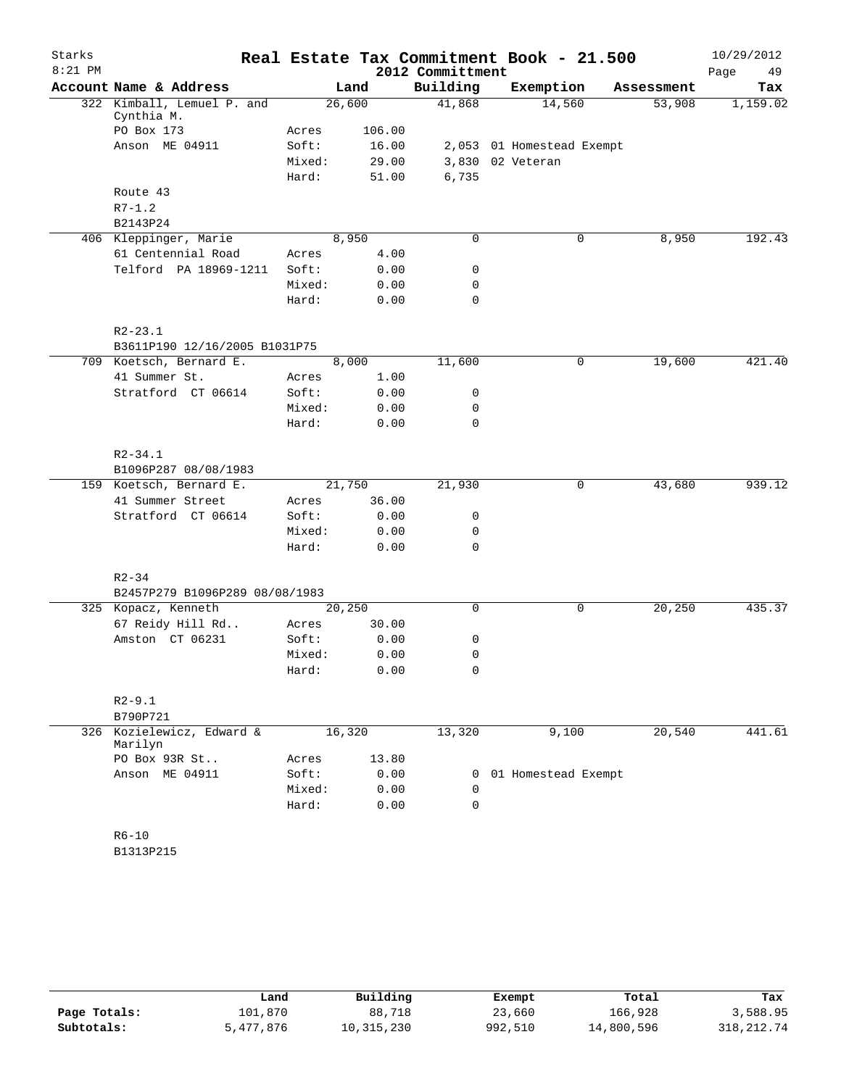| Starks    |                                |                 |              |                  | Real Estate Tax Commitment Book - 21.500 |            | 10/29/2012 |
|-----------|--------------------------------|-----------------|--------------|------------------|------------------------------------------|------------|------------|
| $8:21$ PM |                                |                 |              | 2012 Committment |                                          |            | Page<br>49 |
|           | Account Name & Address         |                 | Land         | Building         | Exemption                                | Assessment | Tax        |
|           | 322 Kimball, Lemuel P. and     |                 | 26,600       | 41,868           | 14,560                                   | 53,908     | 1,159.02   |
|           | Cynthia M.<br>PO Box 173       | Acres           | 106.00       |                  |                                          |            |            |
|           | Anson ME 04911                 | Soft:           | 16.00        |                  | 2,053 01 Homestead Exempt                |            |            |
|           |                                | Mixed:          | 29.00        |                  | 3,830 02 Veteran                         |            |            |
|           |                                | Hard:           | 51.00        | 6,735            |                                          |            |            |
|           | Route 43                       |                 |              |                  |                                          |            |            |
|           | $R7 - 1.2$                     |                 |              |                  |                                          |            |            |
|           | B2143P24                       |                 |              |                  |                                          |            |            |
|           | 406 Kleppinger, Marie          |                 | 8,950        | $\mathbf 0$      | 0                                        | 8,950      | 192.43     |
|           | 61 Centennial Road             | Acres           | 4.00         |                  |                                          |            |            |
|           | Telford PA 18969-1211          | Soft:           | 0.00         | $\mathbf 0$      |                                          |            |            |
|           |                                | Mixed:          | 0.00         | $\mathbf 0$      |                                          |            |            |
|           |                                | Hard:           | 0.00         | $\mathbf 0$      |                                          |            |            |
|           |                                |                 |              |                  |                                          |            |            |
|           | $R2 - 23.1$                    |                 |              |                  |                                          |            |            |
|           | B3611P190 12/16/2005 B1031P75  |                 |              |                  |                                          |            |            |
|           | 709 Koetsch, Bernard E.        |                 | 8,000        | 11,600           | 0                                        | 19,600     | 421.40     |
|           | 41 Summer St.                  | Acres           | 1.00         |                  |                                          |            |            |
|           | Stratford CT 06614             | Soft:           | 0.00         | 0                |                                          |            |            |
|           |                                | Mixed:<br>Hard: | 0.00<br>0.00 | 0<br>$\mathbf 0$ |                                          |            |            |
|           |                                |                 |              |                  |                                          |            |            |
|           | $R2 - 34.1$                    |                 |              |                  |                                          |            |            |
|           | B1096P287 08/08/1983           |                 |              |                  |                                          |            |            |
|           | 159 Koetsch, Bernard E.        |                 | 21,750       | 21,930           | 0                                        | 43,680     | 939.12     |
|           | 41 Summer Street               | Acres           | 36.00        |                  |                                          |            |            |
|           | Stratford CT 06614             | Soft:           | 0.00         | 0                |                                          |            |            |
|           |                                | Mixed:          | 0.00         | 0                |                                          |            |            |
|           |                                | Hard:           | 0.00         | $\mathbf 0$      |                                          |            |            |
|           |                                |                 |              |                  |                                          |            |            |
|           | $R2 - 34$                      |                 |              |                  |                                          |            |            |
|           | B2457P279 B1096P289 08/08/1983 |                 |              |                  |                                          |            |            |
|           | 325 Kopacz, Kenneth            |                 | 20,250       | $\mathbf 0$      | 0                                        | 20,250     | 435.37     |
|           | 67 Reidy Hill Rd               | Acres           | 30.00        |                  |                                          |            |            |
|           | Amston CT 06231                | Soft:           | 0.00         | 0                |                                          |            |            |
|           |                                | Mixed:          | 0.00         | 0                |                                          |            |            |
|           |                                | Hard:           | 0.00         | 0                |                                          |            |            |
|           | $R2 - 9.1$                     |                 |              |                  |                                          |            |            |
|           | B790P721                       |                 |              |                  |                                          |            |            |
|           | 326 Kozielewicz, Edward &      |                 | 16,320       | 13,320           | 9,100                                    | 20,540     | 441.61     |
|           | Marilyn                        |                 |              |                  |                                          |            |            |
|           | PO Box 93R St                  | Acres           | 13.80        |                  |                                          |            |            |
|           | Anson ME 04911                 | Soft:           | 0.00         | 0                | 01 Homestead Exempt                      |            |            |
|           |                                | Mixed:          | 0.00         | 0                |                                          |            |            |
|           |                                | Hard:           | 0.00         | $\Omega$         |                                          |            |            |
|           |                                |                 |              |                  |                                          |            |            |
|           | $R6 - 10$                      |                 |              |                  |                                          |            |            |
|           | B1313P215                      |                 |              |                  |                                          |            |            |

|              | Land      | Building   | Exempt  | Total      | Tax          |
|--------------|-----------|------------|---------|------------|--------------|
| Page Totals: | 101,870   | 88,718     | 23,660  | 166,928    | 3,588.95     |
| Subtotals:   | 5,477,876 | 10,315,230 | 992,510 | 14,800,596 | 318, 212, 74 |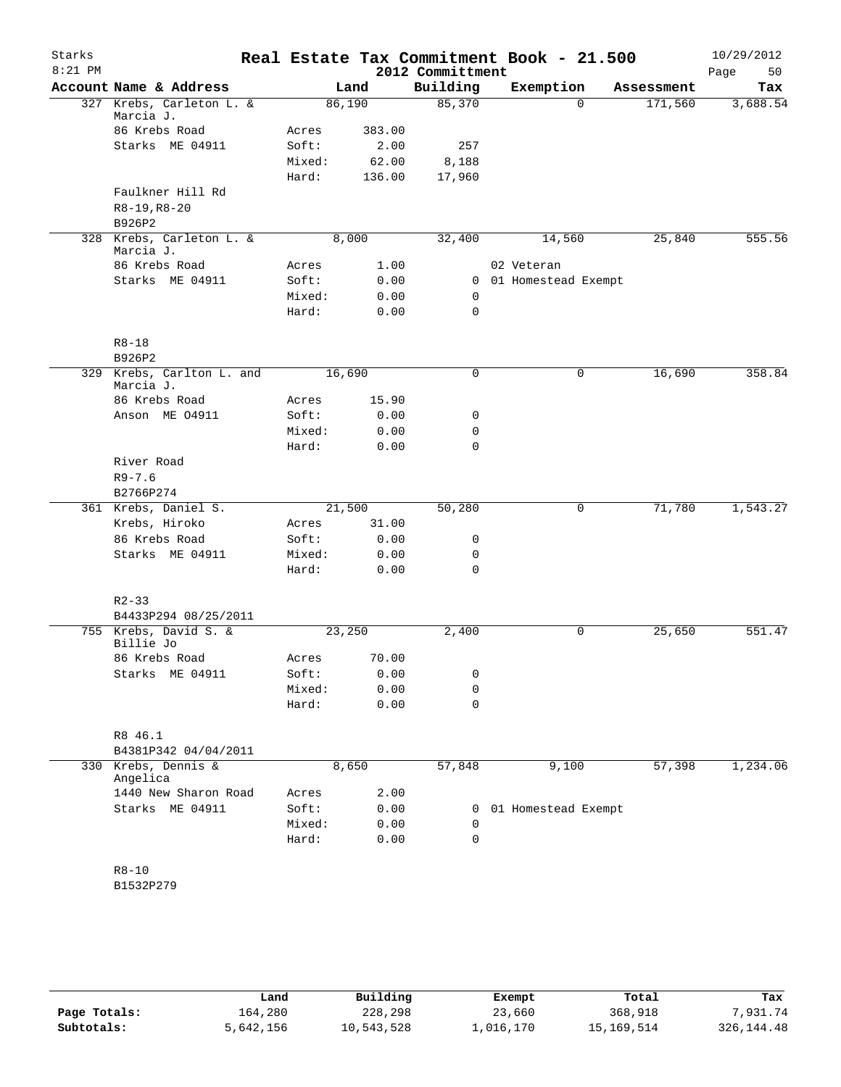| Starks<br>$8:21$ PM |                                        |        |        | 2012 Committment | Real Estate Tax Commitment Book - 21.500 |            | 10/29/2012<br>50<br>Page |
|---------------------|----------------------------------------|--------|--------|------------------|------------------------------------------|------------|--------------------------|
|                     | Account Name & Address                 |        | Land   | Building         | Exemption                                | Assessment | Tax                      |
|                     | 327 Krebs, Carleton L. &<br>Marcia J.  | 86,190 |        | 85,370           | $\Omega$                                 | 171,560    | 3,688.54                 |
|                     | 86 Krebs Road                          | Acres  | 383.00 |                  |                                          |            |                          |
|                     | Starks ME 04911                        | Soft:  | 2.00   | 257              |                                          |            |                          |
|                     |                                        | Mixed: | 62.00  | 8,188            |                                          |            |                          |
|                     |                                        | Hard:  | 136.00 | 17,960           |                                          |            |                          |
|                     | Faulkner Hill Rd                       |        |        |                  |                                          |            |                          |
|                     | $R8-19, R8-20$                         |        |        |                  |                                          |            |                          |
|                     | B926P2                                 |        |        |                  |                                          |            |                          |
|                     | 328 Krebs, Carleton L. &               | 8,000  |        | 32,400           | 14,560                                   | 25,840     | 555.56                   |
|                     | Marcia J.                              |        |        |                  |                                          |            |                          |
|                     | 86 Krebs Road                          | Acres  | 1.00   |                  | 02 Veteran                               |            |                          |
|                     | Starks ME 04911                        | Soft:  | 0.00   |                  | 0 01 Homestead Exempt                    |            |                          |
|                     |                                        | Mixed: | 0.00   | 0                |                                          |            |                          |
|                     |                                        | Hard:  | 0.00   | 0                |                                          |            |                          |
|                     | $R8 - 18$                              |        |        |                  |                                          |            |                          |
|                     | B926P2                                 |        |        |                  |                                          |            |                          |
|                     | 329 Krebs, Carlton L. and<br>Marcia J. | 16,690 |        | $\mathbf 0$      | 0                                        | 16,690     | 358.84                   |
|                     | 86 Krebs Road                          | Acres  | 15.90  |                  |                                          |            |                          |
|                     | Anson ME 04911                         | Soft:  | 0.00   | 0                |                                          |            |                          |
|                     |                                        | Mixed: | 0.00   | 0                |                                          |            |                          |
|                     |                                        | Hard:  | 0.00   | 0                |                                          |            |                          |
|                     | River Road                             |        |        |                  |                                          |            |                          |
|                     | $R9 - 7.6$                             |        |        |                  |                                          |            |                          |
|                     | B2766P274                              |        |        |                  |                                          |            |                          |
|                     | 361 Krebs, Daniel S.                   | 21,500 |        | 50,280           | 0                                        | 71,780     | 1,543.27                 |
|                     | Krebs, Hiroko                          | Acres  | 31.00  |                  |                                          |            |                          |
|                     | 86 Krebs Road                          | Soft:  | 0.00   | 0                |                                          |            |                          |
|                     | Starks ME 04911                        | Mixed: | 0.00   | 0                |                                          |            |                          |
|                     |                                        | Hard:  | 0.00   | 0                |                                          |            |                          |
|                     | $R2 - 33$                              |        |        |                  |                                          |            |                          |
|                     | B4433P294 08/25/2011                   |        |        |                  |                                          |            |                          |
|                     | 755 Krebs, David S. &<br>Billie Jo     | 23,250 |        | 2,400            | 0                                        | 25,650     | 551.47                   |
|                     | 86 Krebs Road                          | Acres  | 70.00  |                  |                                          |            |                          |
|                     | Starks ME 04911                        | Soft:  | 0.00   | 0                |                                          |            |                          |
|                     |                                        | Mixed: | 0.00   | 0                |                                          |            |                          |
|                     |                                        | Hard:  | 0.00   | $\mathbf 0$      |                                          |            |                          |
|                     | R8 46.1                                |        |        |                  |                                          |            |                          |
|                     | B4381P342 04/04/2011                   |        |        |                  |                                          |            |                          |
|                     | 330 Krebs, Dennis &                    | 8,650  |        | 57,848           | 9,100                                    | 57,398     | 1,234.06                 |
|                     | Angelica                               |        |        |                  |                                          |            |                          |
|                     | 1440 New Sharon Road                   | Acres  | 2.00   |                  |                                          |            |                          |
|                     | Starks ME 04911                        | Soft:  | 0.00   | 0                | 01 Homestead Exempt                      |            |                          |
|                     |                                        | Mixed: | 0.00   | 0                |                                          |            |                          |
|                     |                                        | Hard:  | 0.00   | $\mathbf 0$      |                                          |            |                          |
|                     | $R8 - 10$                              |        |        |                  |                                          |            |                          |
|                     | B1532P279                              |        |        |                  |                                          |            |                          |
|                     |                                        |        |        |                  |                                          |            |                          |

|              | Land      | Building   | Exempt    | Total      | Tax          |
|--------------|-----------|------------|-----------|------------|--------------|
| Page Totals: | 164,280   | 228,298    | 23,660    | 368,918    | 7,931.74     |
| Subtotals:   | 5,642,156 | 10,543,528 | ⊥,016,170 | 15,169,514 | 326, 144. 48 |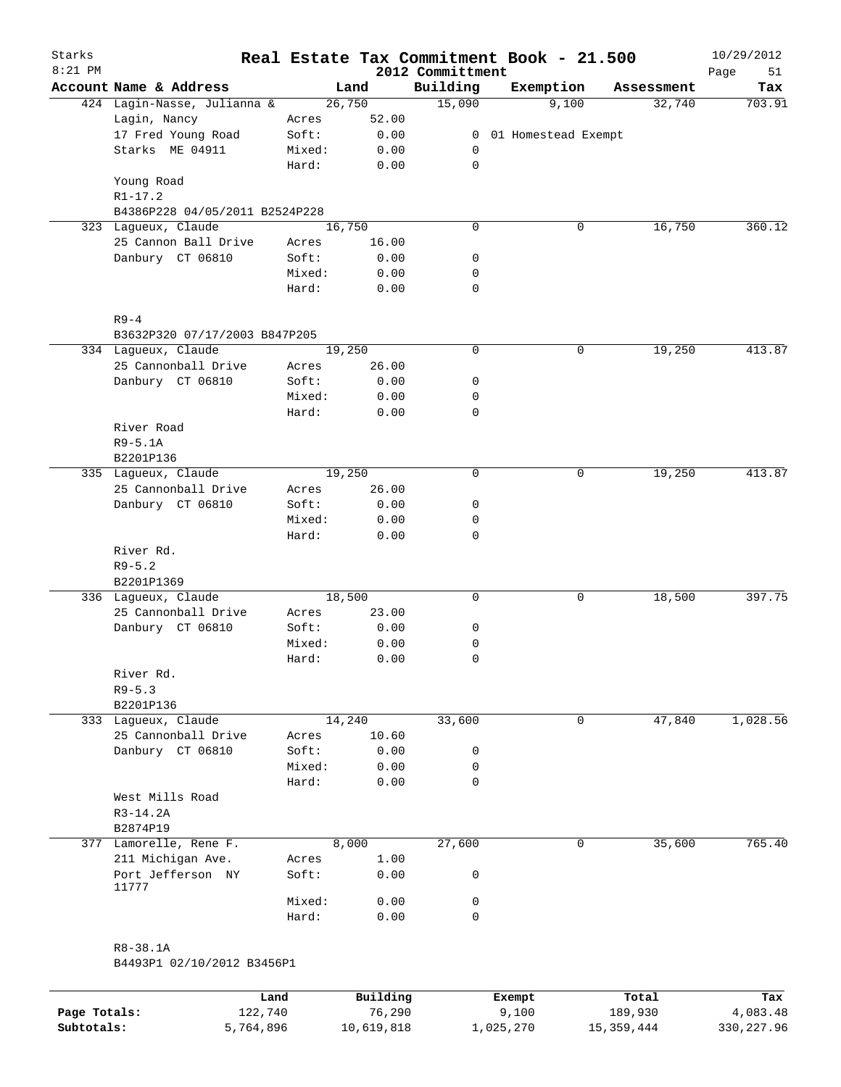| Starks<br>$8:21$ PM |                                |        |        | 2012 Committment | Real Estate Tax Commitment Book - 21.500 |            | 10/29/2012<br>51<br>Page |
|---------------------|--------------------------------|--------|--------|------------------|------------------------------------------|------------|--------------------------|
|                     | Account Name & Address         |        | Land   | Building         | Exemption                                | Assessment | Tax                      |
|                     | 424 Lagin-Nasse, Julianna &    |        | 26,750 | 15,090           | 9,100                                    | 32,740     | 703.91                   |
|                     | Lagin, Nancy                   | Acres  | 52.00  |                  |                                          |            |                          |
|                     | 17 Fred Young Road             | Soft:  | 0.00   |                  | 0 01 Homestead Exempt                    |            |                          |
|                     | Starks ME 04911                | Mixed: | 0.00   | 0                |                                          |            |                          |
|                     |                                | Hard:  | 0.00   | $\mathbf 0$      |                                          |            |                          |
|                     | Young Road                     |        |        |                  |                                          |            |                          |
|                     | $R1 - 17.2$                    |        |        |                  |                                          |            |                          |
|                     | B4386P228 04/05/2011 B2524P228 |        |        |                  |                                          |            |                          |
|                     | 323 Laqueux, Claude            |        | 16,750 | $\mathbf 0$      | 0                                        | 16,750     | 360.12                   |
|                     | 25 Cannon Ball Drive           | Acres  | 16.00  |                  |                                          |            |                          |
|                     | Danbury CT 06810               | Soft:  | 0.00   | $\mathsf{O}$     |                                          |            |                          |
|                     |                                | Mixed: | 0.00   | 0                |                                          |            |                          |
|                     |                                | Hard:  | 0.00   | $\mathbf 0$      |                                          |            |                          |
|                     | $R9 - 4$                       |        |        |                  |                                          |            |                          |
|                     | B3632P320 07/17/2003 B847P205  |        |        |                  |                                          |            |                          |
|                     | 334 Lagueux, Claude            |        | 19,250 | 0                | 0                                        | 19,250     | 413.87                   |
|                     | 25 Cannonball Drive            | Acres  | 26.00  |                  |                                          |            |                          |
|                     | Danbury CT 06810               | Soft:  | 0.00   | 0                |                                          |            |                          |
|                     |                                | Mixed: | 0.00   | 0                |                                          |            |                          |
|                     |                                | Hard:  | 0.00   | $\mathbf 0$      |                                          |            |                          |
|                     | River Road                     |        |        |                  |                                          |            |                          |
|                     | $R9 - 5.1A$                    |        |        |                  |                                          |            |                          |
|                     | B2201P136                      |        |        |                  |                                          |            |                          |
|                     | 335 Laqueux, Claude            |        | 19,250 | 0                | 0                                        | 19,250     | 413.87                   |
|                     | 25 Cannonball Drive            | Acres  | 26.00  |                  |                                          |            |                          |
|                     | Danbury CT 06810               | Soft:  | 0.00   | 0                |                                          |            |                          |
|                     |                                | Mixed: | 0.00   | 0                |                                          |            |                          |
|                     |                                | Hard:  | 0.00   | 0                |                                          |            |                          |
|                     | River Rd.                      |        |        |                  |                                          |            |                          |
|                     | $R9 - 5.2$                     |        |        |                  |                                          |            |                          |
|                     | B2201P1369                     |        |        |                  |                                          |            |                          |
|                     | 336 Lagueux, Claude            |        | 18,500 | 0                | 0                                        | 18,500     | 397.75                   |
|                     | 25 Cannonball Drive            | Acres  | 23.00  |                  |                                          |            |                          |
|                     | Danbury CT 06810               | Soft:  | 0.00   | 0                |                                          |            |                          |
|                     |                                | Mixed: | 0.00   | 0                |                                          |            |                          |
|                     |                                | Hard:  | 0.00   | $\mathbf 0$      |                                          |            |                          |
|                     | River Rd.                      |        |        |                  |                                          |            |                          |
|                     | $R9 - 5.3$                     |        |        |                  |                                          |            |                          |
|                     | B2201P136                      |        |        |                  |                                          |            |                          |
|                     | 333 Lagueux, Claude            |        | 14,240 | 33,600           | $\mathbf 0$                              | 47,840     | 1,028.56                 |
|                     | 25 Cannonball Drive            | Acres  | 10.60  |                  |                                          |            |                          |
|                     | Danbury CT 06810               | Soft:  | 0.00   | 0                |                                          |            |                          |
|                     |                                | Mixed: | 0.00   | 0                |                                          |            |                          |
|                     |                                | Hard:  | 0.00   | 0                |                                          |            |                          |
|                     | West Mills Road<br>$R3-14.2A$  |        |        |                  |                                          |            |                          |
|                     | B2874P19                       |        |        |                  |                                          |            |                          |
| 377                 | Lamorelle, Rene F.             |        | 8,000  | 27,600           | 0                                        | 35,600     | 765.40                   |
|                     | 211 Michigan Ave.              | Acres  | 1.00   |                  |                                          |            |                          |
|                     | Port Jefferson NY<br>11777     | Soft:  | 0.00   | 0                |                                          |            |                          |
|                     |                                | Mixed: | 0.00   | 0                |                                          |            |                          |
|                     |                                | Hard:  | 0.00   | 0                |                                          |            |                          |
|                     |                                |        |        |                  |                                          |            |                          |
|                     | R8-38.1A                       |        |        |                  |                                          |            |                          |

B4493P1 02/10/2012 B3456P1

|              | Land      | Building   | Exempt    | Total      | Tax        |
|--------------|-----------|------------|-----------|------------|------------|
| Page Totals: | 122,740   | 76,290     | 9,100     | 189,930    | 4,083.48   |
| Subtotals:   | 5,764,896 | 10,619,818 | ⊥,025,270 | 15,359,444 | 330,227.96 |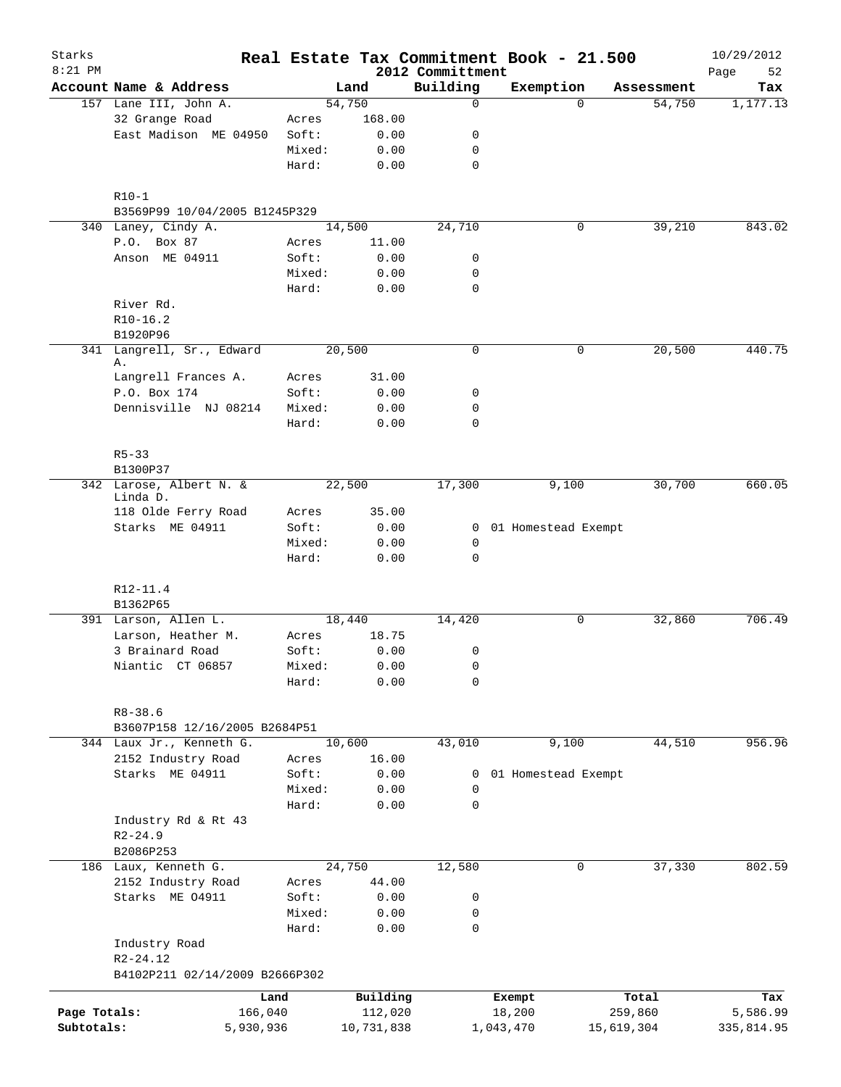| Starks<br>$8:21$ PM |                                              |                 |              | 2012 Committment | Real Estate Tax Commitment Book - 21.500 |             | 10/29/2012<br>Page<br>52 |
|---------------------|----------------------------------------------|-----------------|--------------|------------------|------------------------------------------|-------------|--------------------------|
|                     | Account Name & Address                       |                 | Land         | Building         | Exemption                                | Assessment  | Tax                      |
|                     | 157 Lane III, John A.                        |                 | 54,750       | $\Omega$         |                                          | 54,750<br>0 | 1,177.13                 |
|                     | 32 Grange Road                               | Acres           | 168.00       |                  |                                          |             |                          |
|                     | East Madison ME 04950                        | Soft:           | 0.00         | 0                |                                          |             |                          |
|                     |                                              | Mixed:          | 0.00         | $\mathbf 0$      |                                          |             |                          |
|                     |                                              | Hard:           | 0.00         | $\mathbf 0$      |                                          |             |                          |
|                     | $R10-1$                                      |                 |              |                  |                                          |             |                          |
|                     | B3569P99 10/04/2005 B1245P329                |                 |              |                  |                                          |             |                          |
|                     | 340 Laney, Cindy A.                          |                 | 14,500       | 24,710           |                                          | 39,210<br>0 | 843.02                   |
|                     | P.O. Box 87                                  | Acres           | 11.00        |                  |                                          |             |                          |
|                     | Anson ME 04911                               | Soft:           | 0.00         | 0                |                                          |             |                          |
|                     |                                              | Mixed:          | 0.00         | 0                |                                          |             |                          |
|                     |                                              | Hard:           | 0.00         | $\mathbf 0$      |                                          |             |                          |
|                     | River Rd.                                    |                 |              |                  |                                          |             |                          |
|                     | $R10-16.2$                                   |                 |              |                  |                                          |             |                          |
|                     | B1920P96                                     |                 |              |                  |                                          |             |                          |
|                     | 341 Langrell, Sr., Edward<br>Α.              |                 | 20,500       | 0                |                                          | 20,500<br>0 | 440.75                   |
|                     | Langrell Frances A.                          | Acres           | 31.00        |                  |                                          |             |                          |
|                     | P.O. Box 174                                 | Soft:           | 0.00         | 0                |                                          |             |                          |
|                     | Dennisville NJ 08214                         | Mixed:          | 0.00         | 0                |                                          |             |                          |
|                     |                                              | Hard:           | 0.00         | $\mathbf 0$      |                                          |             |                          |
|                     | $R5 - 33$                                    |                 |              |                  |                                          |             |                          |
|                     | B1300P37<br>342 Larose, Albert N. &          |                 | 22,500       | 17,300           | 9,100                                    | 30,700      | 660.05                   |
|                     | Linda D.                                     |                 |              |                  |                                          |             |                          |
|                     | 118 Olde Ferry Road                          | Acres           | 35.00        |                  |                                          |             |                          |
|                     | Starks ME 04911                              | Soft:           | 0.00         |                  | 0 01 Homestead Exempt                    |             |                          |
|                     |                                              | Mixed:          | 0.00         | 0                |                                          |             |                          |
|                     |                                              | Hard:           | 0.00         | $\mathbf 0$      |                                          |             |                          |
|                     | R12-11.4                                     |                 |              |                  |                                          |             |                          |
|                     | B1362P65                                     |                 |              |                  |                                          |             | 706.49                   |
|                     | 391 Larson, Allen L.                         |                 | 18,440       | 14,420           |                                          | 32,860<br>0 |                          |
|                     | Larson, Heather M.<br>3 Brainard Road        | Acres           | 18.75        |                  |                                          |             |                          |
|                     | Niantic CT 06857                             | Soft:<br>Mixed: | 0.00<br>0.00 | 0<br>0           |                                          |             |                          |
|                     |                                              | Hard:           | 0.00         | 0                |                                          |             |                          |
|                     |                                              |                 |              |                  |                                          |             |                          |
|                     | $R8 - 38.6$<br>B3607P158 12/16/2005 B2684P51 |                 |              |                  |                                          |             |                          |
|                     | 344 Laux Jr., Kenneth G.                     |                 | 10,600       | 43,010           | 9,100                                    | 44,510      | 956.96                   |
|                     | 2152 Industry Road                           | Acres           | 16.00        |                  |                                          |             |                          |
|                     | Starks ME 04911                              | Soft:           | 0.00         | 0                | 01 Homestead Exempt                      |             |                          |
|                     |                                              | Mixed:          | 0.00         | 0                |                                          |             |                          |
|                     |                                              | Hard:           | 0.00         | $\mathbf 0$      |                                          |             |                          |
|                     | Industry Rd & Rt 43                          |                 |              |                  |                                          |             |                          |
|                     | $R2 - 24.9$                                  |                 |              |                  |                                          |             |                          |
|                     | B2086P253                                    |                 |              |                  |                                          |             |                          |
|                     | 186 Laux, Kenneth G.                         |                 | 24,750       | 12,580           |                                          | 37,330<br>0 | 802.59                   |
|                     | 2152 Industry Road                           | Acres           | 44.00        |                  |                                          |             |                          |
|                     | Starks ME 04911                              | Soft:           | 0.00         | 0                |                                          |             |                          |
|                     |                                              | Mixed:          | 0.00         | 0                |                                          |             |                          |
|                     |                                              | Hard:           | 0.00         | $\mathbf 0$      |                                          |             |                          |
|                     | Industry Road<br>$R2 - 24.12$                |                 |              |                  |                                          |             |                          |
|                     | B4102P211 02/14/2009 B2666P302               |                 |              |                  |                                          |             |                          |
|                     |                                              | Land            | Building     |                  | Exempt                                   | Total       | Tax                      |
| Page Totals:        |                                              | 166,040         | 112,020      |                  | 18,200                                   | 259,860     | 5,586.99                 |
| Subtotals:          | 5,930,936                                    |                 | 10,731,838   |                  | 1,043,470                                | 15,619,304  | 335,814.95               |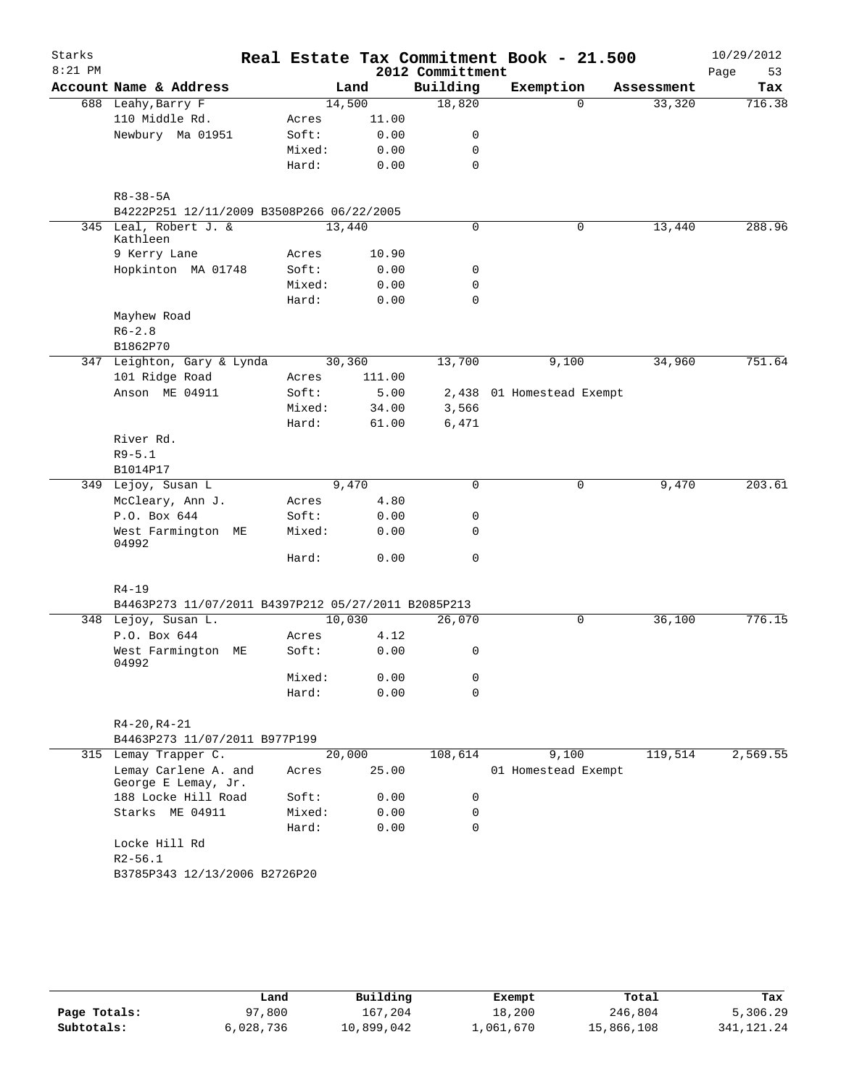| Starks    |                |                                                     |        |        |                  | Real Estate Tax Commitment Book - 21.500 |          |            | 10/29/2012 |
|-----------|----------------|-----------------------------------------------------|--------|--------|------------------|------------------------------------------|----------|------------|------------|
| $8:21$ PM |                |                                                     |        |        | 2012 Committment |                                          |          |            | Page<br>53 |
|           |                | Account Name & Address                              |        | Land   | Building         | Exemption                                |          | Assessment | Tax        |
|           |                | 688 Leahy, Barry F                                  | 14,500 |        | 18,820           |                                          | $\Omega$ | 33,320     | 716.38     |
|           |                | 110 Middle Rd.                                      | Acres  | 11.00  |                  |                                          |          |            |            |
|           |                | Newbury Ma 01951                                    | Soft:  | 0.00   | 0                |                                          |          |            |            |
|           |                |                                                     | Mixed: | 0.00   | 0                |                                          |          |            |            |
|           |                |                                                     | Hard:  | 0.00   | 0                |                                          |          |            |            |
|           | $R8 - 38 - 5A$ |                                                     |        |        |                  |                                          |          |            |            |
|           |                | B4222P251 12/11/2009 B3508P266 06/22/2005           |        |        |                  |                                          |          |            |            |
|           |                | 345 Leal, Robert J. &                               | 13,440 |        | 0                |                                          | 0        | 13,440     | 288.96     |
|           | Kathleen       |                                                     |        |        |                  |                                          |          |            |            |
|           |                | 9 Kerry Lane                                        | Acres  | 10.90  |                  |                                          |          |            |            |
|           |                | Hopkinton MA 01748                                  | Soft:  | 0.00   | 0                |                                          |          |            |            |
|           |                |                                                     | Mixed: | 0.00   | 0                |                                          |          |            |            |
|           |                |                                                     | Hard:  | 0.00   | 0                |                                          |          |            |            |
|           |                | Mayhew Road                                         |        |        |                  |                                          |          |            |            |
|           | $R6 - 2.8$     |                                                     |        |        |                  |                                          |          |            |            |
|           | B1862P70       |                                                     |        |        |                  |                                          |          |            |            |
|           |                | 347 Leighton, Gary & Lynda                          | 30,360 |        | 13,700           | 9,100                                    |          | 34,960     | 751.64     |
|           |                | 101 Ridge Road                                      | Acres  | 111.00 |                  |                                          |          |            |            |
|           |                | Anson ME 04911                                      | Soft:  | 5.00   |                  | 2,438 01 Homestead Exempt                |          |            |            |
|           |                |                                                     | Mixed: | 34.00  | 3,566            |                                          |          |            |            |
|           | River Rd.      |                                                     | Hard:  | 61.00  | 6,471            |                                          |          |            |            |
|           | $R9 - 5.1$     |                                                     |        |        |                  |                                          |          |            |            |
|           | B1014P17       |                                                     |        |        |                  |                                          |          |            |            |
|           |                | 349 Lejoy, Susan L                                  |        | 9,470  | $\mathbf 0$      |                                          | 0        | 9,470      | 203.61     |
|           |                | McCleary, Ann J.                                    | Acres  | 4.80   |                  |                                          |          |            |            |
|           |                | P.O. Box 644                                        | Soft:  | 0.00   | 0                |                                          |          |            |            |
|           | 04992          | West Farmington ME                                  | Mixed: | 0.00   | 0                |                                          |          |            |            |
|           |                |                                                     | Hard:  | 0.00   | 0                |                                          |          |            |            |
|           |                |                                                     |        |        |                  |                                          |          |            |            |
|           | $R4 - 19$      |                                                     |        |        |                  |                                          |          |            |            |
|           |                | B4463P273 11/07/2011 B4397P212 05/27/2011 B2085P213 |        |        |                  |                                          |          |            |            |
|           |                | 348 Lejoy, Susan L.                                 | 10,030 |        | 26,070           |                                          | 0        | 36,100     | 776.15     |
|           |                | P.O. Box 644                                        | Acres  | 4.12   |                  |                                          |          |            |            |
|           | 04992          | West Farmington ME                                  | Soft:  | 0.00   | 0                |                                          |          |            |            |
|           |                |                                                     | Mixed: | 0.00   | 0                |                                          |          |            |            |
|           |                |                                                     | Hard:  | 0.00   | $\Omega$         |                                          |          |            |            |
|           |                | $R4 - 20, R4 - 21$                                  |        |        |                  |                                          |          |            |            |
|           |                | B4463P273 11/07/2011 B977P199                       |        |        |                  |                                          |          |            |            |
|           |                | 315 Lemay Trapper C.                                | 20,000 |        | 108,614          | 9,100                                    |          | 119,514    | 2,569.55   |
|           |                | Lemay Carlene A. and<br>George E Lemay, Jr.         | Acres  | 25.00  |                  | 01 Homestead Exempt                      |          |            |            |
|           |                | 188 Locke Hill Road                                 | Soft:  | 0.00   | 0                |                                          |          |            |            |
|           |                | Starks ME 04911                                     | Mixed: | 0.00   | 0                |                                          |          |            |            |
|           |                |                                                     | Hard:  | 0.00   | 0                |                                          |          |            |            |
|           |                | Locke Hill Rd                                       |        |        |                  |                                          |          |            |            |
|           | $R2 - 56.1$    |                                                     |        |        |                  |                                          |          |            |            |
|           |                | B3785P343 12/13/2006 B2726P20                       |        |        |                  |                                          |          |            |            |
|           |                |                                                     |        |        |                  |                                          |          |            |            |
|           |                |                                                     |        |        |                  |                                          |          |            |            |

|              | Land      | Building   | Exempt    | Total      | Tax          |
|--------------|-----------|------------|-----------|------------|--------------|
| Page Totals: | 97,800    | 167,204    | 18,200    | 246,804    | 5,306.29     |
| Subtotals:   | 6,028,736 | 10,899,042 | 1,061,670 | 15,866,108 | 341, 121, 24 |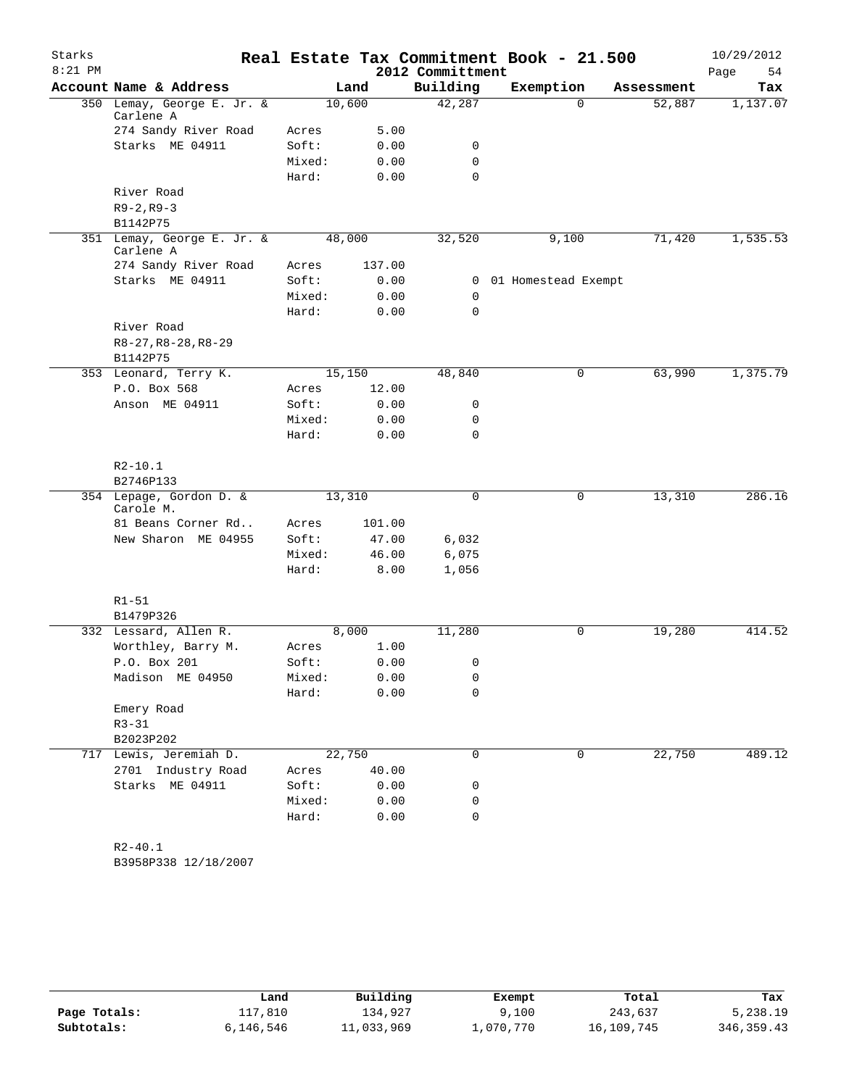| Starks    |                                             |                |               |                   | Real Estate Tax Commitment Book - 21.500 |            | 10/29/2012 |
|-----------|---------------------------------------------|----------------|---------------|-------------------|------------------------------------------|------------|------------|
| $8:21$ PM |                                             |                |               | 2012 Committment  |                                          |            | Page<br>54 |
|           | Account Name & Address                      |                | Land          | Building          | Exemption                                | Assessment | Tax        |
|           | 350 Lemay, George E. Jr. &<br>Carlene A     |                | 10,600        | 42,287            | $\Omega$                                 | 52,887     | 1,137.07   |
|           | 274 Sandy River Road                        | Acres          | 5.00          |                   |                                          |            |            |
|           | Starks ME 04911                             | Soft:          | 0.00          | 0                 |                                          |            |            |
|           |                                             | Mixed:         | 0.00          | $\mathbf 0$       |                                          |            |            |
|           |                                             | Hard:          | 0.00          | $\Omega$          |                                          |            |            |
|           | River Road                                  |                |               |                   |                                          |            |            |
|           | $R9 - 2, R9 - 3$                            |                |               |                   |                                          |            |            |
|           | B1142P75                                    |                |               |                   |                                          |            |            |
|           | 351 Lemay, George E. Jr. &<br>Carlene A     |                | 48,000        | 32,520            | 9,100                                    | 71,420     | 1,535.53   |
|           | 274 Sandy River Road                        | Acres          | 137.00        |                   |                                          |            |            |
|           | Starks ME 04911                             | Soft:          | 0.00          | 0                 | 01 Homestead Exempt                      |            |            |
|           |                                             | Mixed:         | 0.00          | 0                 |                                          |            |            |
|           |                                             | Hard:          | 0.00          | $\mathbf 0$       |                                          |            |            |
|           | River Road                                  |                |               |                   |                                          |            |            |
|           | $R8-27, R8-28, R8-29$                       |                |               |                   |                                          |            |            |
|           | B1142P75                                    |                |               |                   |                                          |            |            |
|           | 353 Leonard, Terry K.                       |                | 15,150        | 48,840            | 0                                        | 63,990     | 1,375.79   |
|           | P.O. Box 568<br>Anson ME 04911              | Acres<br>Soft: | 12.00         |                   |                                          |            |            |
|           |                                             | Mixed:         | 0.00<br>0.00  | 0<br>0            |                                          |            |            |
|           |                                             | Hard:          | 0.00          | $\mathbf 0$       |                                          |            |            |
|           |                                             |                |               |                   |                                          |            |            |
|           | $R2 - 10.1$<br>B2746P133                    |                |               |                   |                                          |            |            |
|           | 354 Lepage, Gordon D. &                     |                | 13,310        | 0                 | 0                                        | 13,310     | 286.16     |
|           | Carole M.                                   |                |               |                   |                                          |            |            |
|           | 81 Beans Corner Rd                          | Acres          | 101.00        |                   |                                          |            |            |
|           | New Sharon ME 04955                         | Soft:          | 47.00         | 6,032             |                                          |            |            |
|           |                                             | Mixed:         | 46.00         | 6,075             |                                          |            |            |
|           |                                             | Hard:          | 8.00          | 1,056             |                                          |            |            |
|           |                                             |                |               |                   |                                          |            |            |
|           | $R1 - 51$                                   |                |               |                   |                                          |            |            |
|           | B1479P326                                   |                |               |                   |                                          |            |            |
|           | 332 Lessard, Allen R.<br>Worthley, Barry M. |                | 8,000<br>1.00 | 11,280            | $\mathbf 0$                              | 19,280     | 414.52     |
|           | P.O. Box 201                                | Acres<br>Soft: | 0.00          |                   |                                          |            |            |
|           | Madison ME 04950                            | Mixed:         | 0.00          | $\mathbf{0}$<br>0 |                                          |            |            |
|           |                                             | Hard:          | 0.00          | 0                 |                                          |            |            |
|           | Emery Road                                  |                |               |                   |                                          |            |            |
|           | $R3 - 31$                                   |                |               |                   |                                          |            |            |
|           | B2023P202                                   |                |               |                   |                                          |            |            |
|           | 717 Lewis, Jeremiah D.                      |                | 22,750        | $\mathbf 0$       | $\mathbf 0$                              | 22,750     | 489.12     |
|           | 2701 Industry Road                          | Acres          | 40.00         |                   |                                          |            |            |
|           | Starks ME 04911                             | Soft:          | 0.00          | 0                 |                                          |            |            |
|           |                                             | Mixed:         | 0.00          | 0                 |                                          |            |            |
|           |                                             | Hard:          | 0.00          | 0                 |                                          |            |            |
|           |                                             |                |               |                   |                                          |            |            |
|           | $R2 - 40.1$                                 |                |               |                   |                                          |            |            |

B3958P338 12/18/2007

|              | Land      | Building   | Exempt    | Total      | Tax        |
|--------------|-----------|------------|-----------|------------|------------|
| Page Totals: | 117,810   | 134,927    | 9,100     | 243,637    | 5,238.19   |
| Subtotals:   | 6,146,546 | 11,033,969 | 1,070,770 | 16,109,745 | 346,359.43 |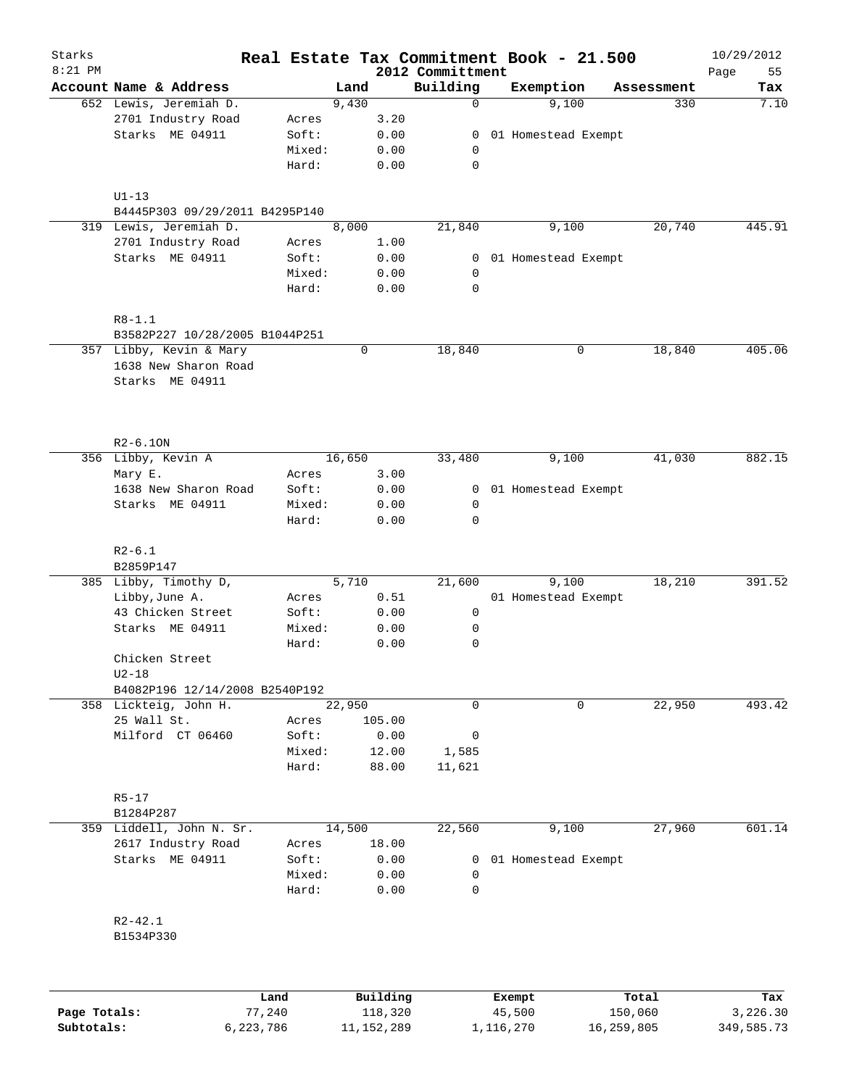| Starks    |                                |                 |        |              |                              | Real Estate Tax Commitment Book - 21.500 |            | 10/29/2012        |
|-----------|--------------------------------|-----------------|--------|--------------|------------------------------|------------------------------------------|------------|-------------------|
| $8:21$ PM | Account Name & Address         |                 | Land   |              | 2012 Committment<br>Building | Exemption                                | Assessment | 55<br>Page<br>Tax |
|           | 652 Lewis, Jeremiah D.         |                 | 9,430  |              | 0                            | 9,100                                    | 330        | 7.10              |
|           | 2701 Industry Road             | Acres           |        | 3.20         |                              |                                          |            |                   |
|           | Starks ME 04911                | Soft:           |        | 0.00         | 0                            | 01 Homestead Exempt                      |            |                   |
|           |                                | Mixed:          |        | 0.00         | 0                            |                                          |            |                   |
|           |                                | Hard:           |        | 0.00         | 0                            |                                          |            |                   |
|           | $U1-13$                        |                 |        |              |                              |                                          |            |                   |
|           | B4445P303 09/29/2011 B4295P140 |                 |        |              |                              |                                          |            |                   |
|           | 319 Lewis, Jeremiah D.         |                 | 8,000  |              | 21,840                       | 9,100                                    | 20,740     | 445.91            |
|           | 2701 Industry Road             | Acres           |        | 1.00         |                              |                                          |            |                   |
|           | Starks ME 04911                | Soft:           |        | 0.00         | 0                            | 01 Homestead Exempt                      |            |                   |
|           |                                | Mixed:<br>Hard: |        | 0.00<br>0.00 | 0<br>$\mathbf 0$             |                                          |            |                   |
|           |                                |                 |        |              |                              |                                          |            |                   |
|           | $R8 - 1.1$                     |                 |        |              |                              |                                          |            |                   |
|           | B3582P227 10/28/2005 B1044P251 |                 |        |              |                              |                                          |            |                   |
|           | 357 Libby, Kevin & Mary        |                 | 0      |              | 18,840                       | 0                                        | 18,840     | 405.06            |
|           | 1638 New Sharon Road           |                 |        |              |                              |                                          |            |                   |
|           | Starks ME 04911                |                 |        |              |                              |                                          |            |                   |
|           | $R2-6.10N$                     |                 |        |              |                              |                                          |            |                   |
|           | 356 Libby, Kevin A             |                 | 16,650 |              | 33,480                       | 9,100                                    | 41,030     | 882.15            |
|           | Mary E.                        | Acres           |        | 3.00         |                              |                                          |            |                   |
|           | 1638 New Sharon Road           | Soft:           |        | 0.00         | 0                            | 01 Homestead Exempt                      |            |                   |
|           | Starks ME 04911                | Mixed:          |        | 0.00         | 0                            |                                          |            |                   |
|           |                                | Hard:           |        | 0.00         | 0                            |                                          |            |                   |
|           | $R2 - 6.1$                     |                 |        |              |                              |                                          |            |                   |
|           | B2859P147                      |                 |        |              |                              |                                          |            |                   |
|           | 385 Libby, Timothy D,          |                 | 5,710  |              | 21,600                       | 9,100                                    | 18,210     | 391.52            |
|           | Libby, June A.                 | Acres           |        | 0.51         |                              | 01 Homestead Exempt                      |            |                   |
|           | 43 Chicken Street              | Soft:           |        | 0.00         | 0                            |                                          |            |                   |
|           | Starks ME 04911                | Mixed:          |        | 0.00         | 0                            |                                          |            |                   |
|           |                                | Hard:           |        | 0.00         | 0                            |                                          |            |                   |
|           | Chicken Street<br>$U2-18$      |                 |        |              |                              |                                          |            |                   |
|           | B4082P196 12/14/2008 B2540P192 |                 |        |              |                              |                                          |            |                   |
|           | 358 Lickteig, John H.          |                 | 22,950 |              | 0                            | 0                                        | 22,950     | 493.42            |
|           | 25 Wall St.                    | Acres           |        | 105.00       |                              |                                          |            |                   |
|           | Milford CT 06460               | Soft:           |        | 0.00         | 0                            |                                          |            |                   |
|           |                                | Mixed:          |        | 12.00        | 1,585                        |                                          |            |                   |
|           |                                | Hard:           |        | 88.00        | 11,621                       |                                          |            |                   |
|           | $R5 - 17$                      |                 |        |              |                              |                                          |            |                   |
|           | B1284P287                      |                 |        |              |                              |                                          |            |                   |
|           | 359 Liddell, John N. Sr.       |                 | 14,500 |              | 22,560                       | 9,100                                    | 27,960     | 601.14            |
|           | 2617 Industry Road             | Acres           |        | 18.00        |                              |                                          |            |                   |
|           | Starks ME 04911                | Soft:           |        | 0.00         | 0                            | 01 Homestead Exempt                      |            |                   |
|           |                                | Mixed:<br>Hard: |        | 0.00<br>0.00 | 0<br>0                       |                                          |            |                   |
|           |                                |                 |        |              |                              |                                          |            |                   |
|           | $R2 - 42.1$<br>B1534P330       |                 |        |              |                              |                                          |            |                   |
|           |                                |                 |        |              |                              |                                          |            |                   |
|           |                                | Land            |        | Building     |                              | Exempt                                   | Total      | Tax               |

|              | Land      | Building     | Exempt    | Total      | Tax        |
|--------------|-----------|--------------|-----------|------------|------------|
| Page Totals: | 77,240    | 118,320      | 45,500    | 150,060    | 3,226.30   |
| Subtotals:   | 6,223,786 | 11, 152, 289 | 1,116,270 | 16,259,805 | 349,585.73 |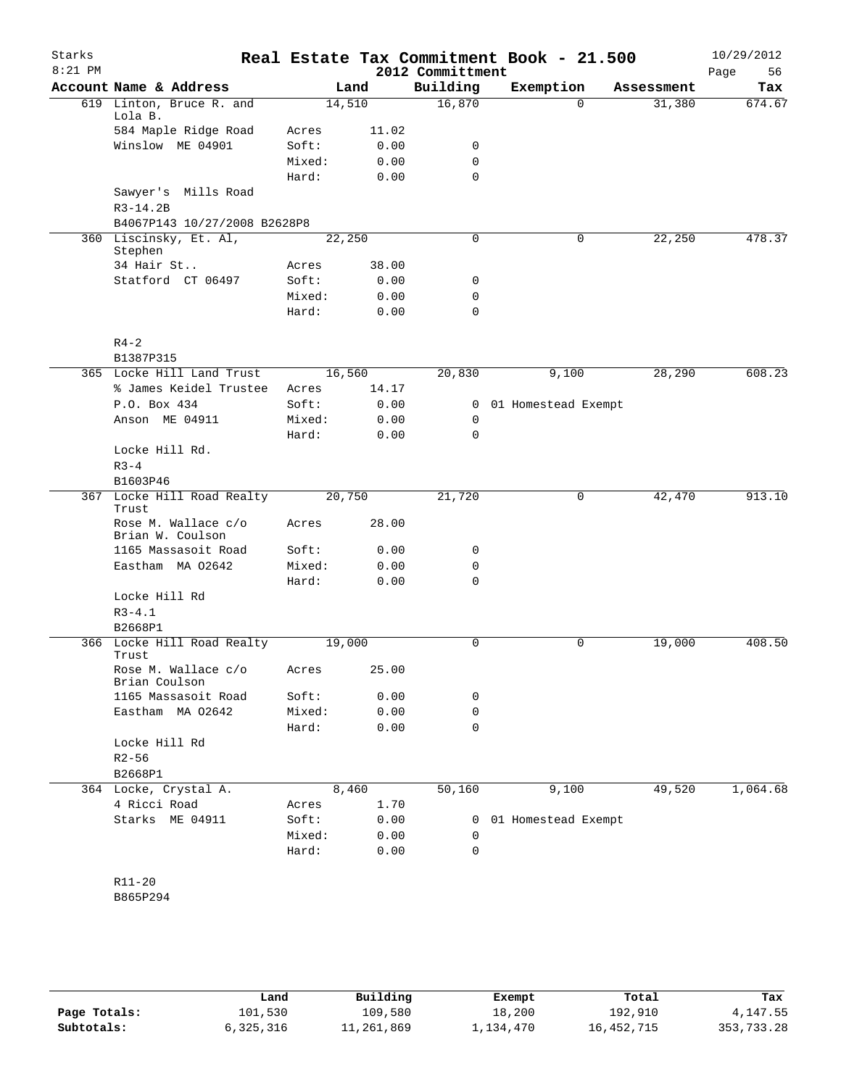| Starks<br>$8:21$ PM |                                         |        |       | 2012 Committment | Real Estate Tax Commitment Book - 21.500 |          |            | 10/29/2012<br>56<br>Page |
|---------------------|-----------------------------------------|--------|-------|------------------|------------------------------------------|----------|------------|--------------------------|
|                     | Account Name & Address                  |        | Land  | Building         | Exemption                                |          | Assessment | Tax                      |
|                     | 619 Linton, Bruce R. and<br>Lola B.     | 14,510 |       | 16,870           |                                          | $\Omega$ | 31,380     | 674.67                   |
|                     | 584 Maple Ridge Road                    | Acres  | 11.02 |                  |                                          |          |            |                          |
|                     | Winslow ME 04901                        | Soft:  | 0.00  | 0                |                                          |          |            |                          |
|                     |                                         | Mixed: | 0.00  | $\mathbf 0$      |                                          |          |            |                          |
|                     |                                         | Hard:  | 0.00  | $\mathbf 0$      |                                          |          |            |                          |
|                     | Sawyer's Mills Road<br>$R3 - 14.2B$     |        |       |                  |                                          |          |            |                          |
|                     | B4067P143 10/27/2008 B2628P8            |        |       |                  |                                          |          |            |                          |
|                     | 360 Liscinsky, Et. Al,<br>Stephen       | 22,250 |       | $\mathbf 0$      |                                          | 0        | 22,250     | 478.37                   |
|                     | 34 Hair St                              | Acres  | 38.00 |                  |                                          |          |            |                          |
|                     | Statford CT 06497                       | Soft:  | 0.00  | 0                |                                          |          |            |                          |
|                     |                                         | Mixed: | 0.00  | $\mathbf 0$      |                                          |          |            |                          |
|                     |                                         | Hard:  | 0.00  | $\mathbf 0$      |                                          |          |            |                          |
|                     | $R4 - 2$<br>B1387P315                   |        |       |                  |                                          |          |            |                          |
|                     | 365 Locke Hill Land Trust               | 16,560 |       | 20,830           | 9,100                                    |          | 28,290     | 608.23                   |
|                     | % James Keidel Trustee                  | Acres  | 14.17 |                  |                                          |          |            |                          |
|                     | P.O. Box 434                            | Soft:  | 0.00  | 0                | 01 Homestead Exempt                      |          |            |                          |
|                     | Anson ME 04911                          | Mixed: | 0.00  | 0                |                                          |          |            |                          |
|                     |                                         | Hard:  | 0.00  | $\Omega$         |                                          |          |            |                          |
|                     | Locke Hill Rd.                          |        |       |                  |                                          |          |            |                          |
|                     | $R3 - 4$                                |        |       |                  |                                          |          |            |                          |
|                     | B1603P46                                |        |       |                  |                                          |          |            |                          |
| 367                 | Locke Hill Road Realty<br>Trust         | 20,750 |       | 21,720           |                                          | 0        | 42,470     | 913.10                   |
|                     | Rose M. Wallace c/o<br>Brian W. Coulson | Acres  | 28.00 |                  |                                          |          |            |                          |
|                     | 1165 Massasoit Road                     | Soft:  | 0.00  | 0                |                                          |          |            |                          |
|                     | Eastham MA 02642                        | Mixed: | 0.00  | 0                |                                          |          |            |                          |
|                     |                                         | Hard:  | 0.00  | $\Omega$         |                                          |          |            |                          |
|                     | Locke Hill Rd<br>$R3 - 4.1$             |        |       |                  |                                          |          |            |                          |
|                     |                                         |        |       |                  |                                          |          |            |                          |
|                     | B2668P1                                 |        |       |                  |                                          |          |            |                          |
|                     | 366 Locke Hill Road Realty<br>Trust     | 19,000 |       | 0                |                                          | 0        | 19,000     | 408.50                   |
|                     | Rose M. Wallace c/o<br>Brian Coulson    | Acres  | 25.00 |                  |                                          |          |            |                          |
|                     | 1165 Massasoit Road                     | Soft:  | 0.00  | 0                |                                          |          |            |                          |
|                     | Eastham MA 02642                        | Mixed: | 0.00  | 0                |                                          |          |            |                          |
|                     | Locke Hill Rd                           | Hard:  | 0.00  | 0                |                                          |          |            |                          |
|                     | $R2 - 56$                               |        |       |                  |                                          |          |            |                          |
|                     | B2668P1                                 |        |       |                  |                                          |          |            |                          |
|                     | 364 Locke, Crystal A.                   | 8,460  |       | 50,160           | 9,100                                    |          | 49,520     | 1,064.68                 |
|                     | 4 Ricci Road                            | Acres  | 1.70  |                  |                                          |          |            |                          |
|                     | Starks ME 04911                         | Soft:  | 0.00  | 0                | 01 Homestead Exempt                      |          |            |                          |
|                     |                                         | Mixed: | 0.00  | 0                |                                          |          |            |                          |
|                     |                                         | Hard:  | 0.00  | 0                |                                          |          |            |                          |
|                     | $R11 - 20$                              |        |       |                  |                                          |          |            |                          |
|                     | B865P294                                |        |       |                  |                                          |          |            |                          |
|                     |                                         |        |       |                  |                                          |          |            |                          |

|              | Land      | Building   | Exempt    | Total      | Tax        |
|--------------|-----------|------------|-----------|------------|------------|
| Page Totals: | 101,530   | 109,580    | 18,200    | 192,910    | 4,147.55   |
| Subtotals:   | 6,325,316 | 11,261,869 | 1,134,470 | 16,452,715 | 353,733.28 |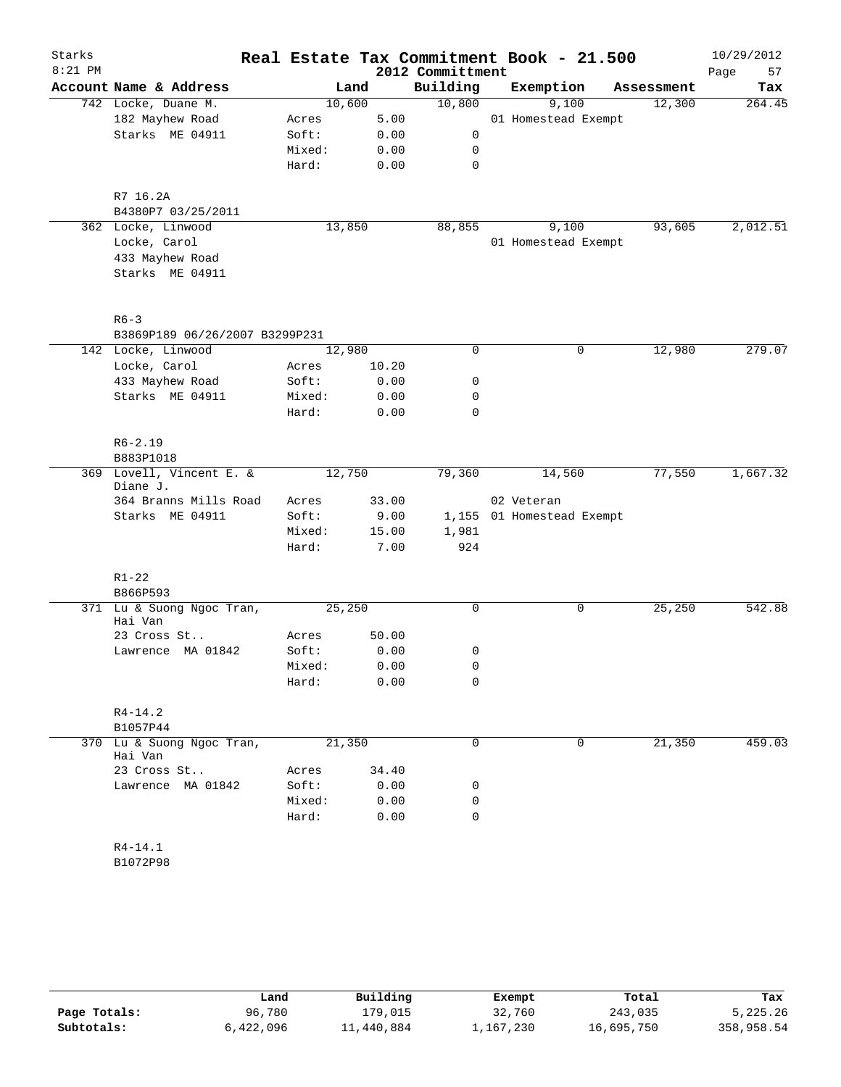| Starks    |                                      |        |        |       |                  | Real Estate Tax Commitment Book - 21.500 |            | 10/29/2012 |
|-----------|--------------------------------------|--------|--------|-------|------------------|------------------------------------------|------------|------------|
| $8:21$ PM |                                      |        |        |       | 2012 Committment |                                          |            | 57<br>Page |
|           | Account Name & Address               |        | Land   |       | Building         | Exemption                                | Assessment | Tax        |
|           | 742 Locke, Duane M.                  |        | 10,600 |       | 10,800           | 9,100                                    | 12,300     | 264.45     |
|           | 182 Mayhew Road                      | Acres  |        | 5.00  |                  | 01 Homestead Exempt                      |            |            |
|           | Starks ME 04911                      | Soft:  |        | 0.00  | 0                |                                          |            |            |
|           |                                      | Mixed: |        | 0.00  | 0                |                                          |            |            |
|           |                                      | Hard:  |        | 0.00  | $\mathbf 0$      |                                          |            |            |
|           | R7 16.2A<br>B4380P7 03/25/2011       |        |        |       |                  |                                          |            |            |
|           | 362 Locke, Linwood                   |        | 13,850 |       | 88,855           | 9,100                                    | 93,605     | 2,012.51   |
|           | Locke, Carol                         |        |        |       |                  | 01 Homestead Exempt                      |            |            |
|           | 433 Mayhew Road                      |        |        |       |                  |                                          |            |            |
|           | Starks ME 04911                      |        |        |       |                  |                                          |            |            |
|           | $R6 - 3$                             |        |        |       |                  |                                          |            |            |
|           | B3869P189 06/26/2007 B3299P231       |        |        |       |                  |                                          |            |            |
|           | 142 Locke, Linwood                   |        | 12,980 |       | 0                | $\mathbf 0$                              | 12,980     | 279.07     |
|           | Locke, Carol                         | Acres  |        | 10.20 |                  |                                          |            |            |
|           | 433 Mayhew Road                      | Soft:  |        | 0.00  | 0                |                                          |            |            |
|           | Starks ME 04911                      | Mixed: |        | 0.00  | 0                |                                          |            |            |
|           |                                      | Hard:  |        | 0.00  | $\mathbf 0$      |                                          |            |            |
|           | $R6 - 2.19$<br>B883P1018             |        |        |       |                  |                                          |            |            |
|           | 369 Lovell, Vincent E. &             |        | 12,750 |       | 79,360           | 14,560                                   | 77,550     | 1,667.32   |
|           | Diane J.                             |        |        |       |                  |                                          |            |            |
|           | 364 Branns Mills Road                | Acres  |        | 33.00 |                  | 02 Veteran                               |            |            |
|           | Starks ME 04911                      | Soft:  |        | 9.00  |                  | 1,155 01 Homestead Exempt                |            |            |
|           |                                      | Mixed: |        | 15.00 | 1,981            |                                          |            |            |
|           |                                      | Hard:  |        | 7.00  | 924              |                                          |            |            |
|           | $R1 - 22$<br>B866P593                |        |        |       |                  |                                          |            |            |
|           | 371 Lu & Suong Ngoc Tran,            |        | 25,250 |       | 0                | 0                                        | 25,250     | 542.88     |
|           | Hai Van                              |        |        |       |                  |                                          |            |            |
|           | 23 Cross St                          | Acres  |        | 50.00 |                  |                                          |            |            |
|           | Lawrence MA 01842                    | Soft:  |        | 0.00  | 0                |                                          |            |            |
|           |                                      | Mixed: |        | 0.00  | 0                |                                          |            |            |
|           |                                      | Hard:  |        | 0.00  | 0                |                                          |            |            |
|           | $R4 - 14.2$<br>B1057P44              |        |        |       |                  |                                          |            |            |
|           | 370 Lu & Suong Ngoc Tran,<br>Hai Van |        | 21,350 |       | 0                | 0                                        | 21,350     | 459.03     |
|           | 23 Cross St                          | Acres  |        | 34.40 |                  |                                          |            |            |
|           | Lawrence MA 01842                    | Soft:  |        | 0.00  | 0                |                                          |            |            |
|           |                                      | Mixed: |        | 0.00  | 0                |                                          |            |            |
|           |                                      | Hard:  |        | 0.00  | $\mathbf 0$      |                                          |            |            |
|           | R4-14.1                              |        |        |       |                  |                                          |            |            |
|           | B1072P98                             |        |        |       |                  |                                          |            |            |
|           |                                      |        |        |       |                  |                                          |            |            |

|              | Land      | Building   | Exempt    | Total      | Tax        |
|--------------|-----------|------------|-----------|------------|------------|
| Page Totals: | 96,780    | 179.015    | 32,760    | 243,035    | 5,225.26   |
| Subtotals:   | 6,422,096 | 11,440,884 | 1,167,230 | 16,695,750 | 358,958.54 |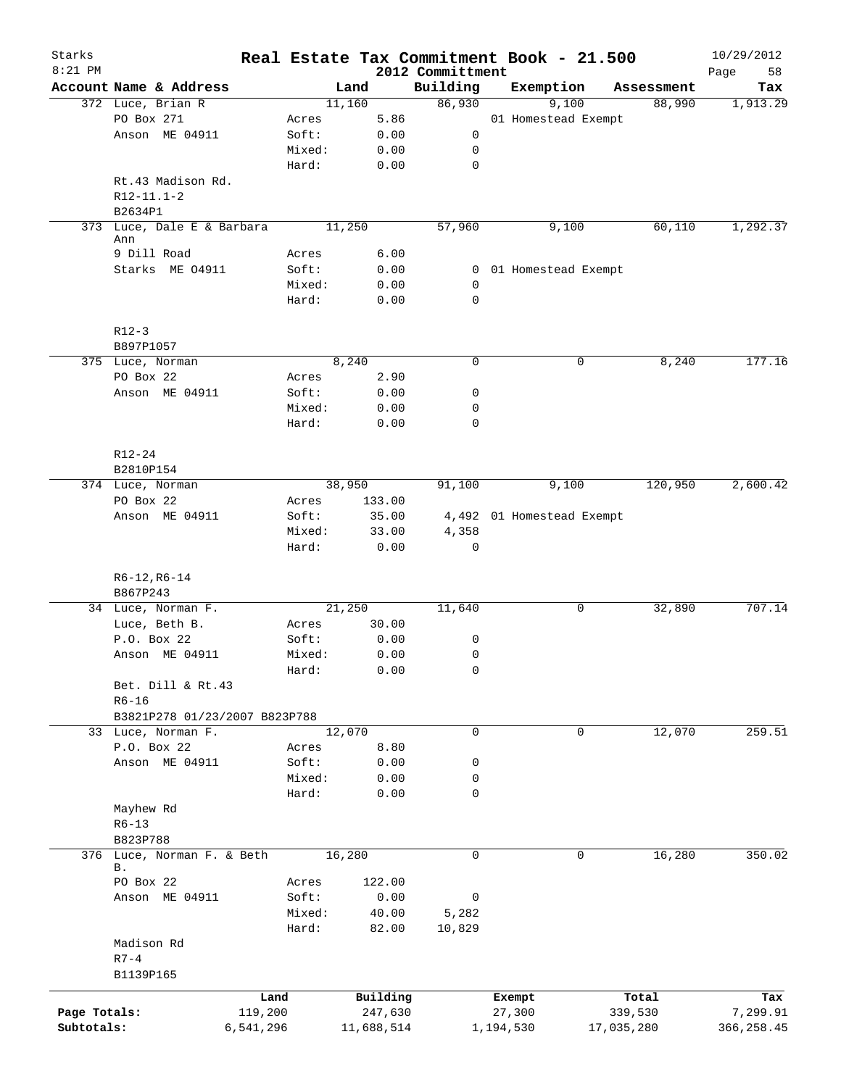| Starks       |                                  |           |            |                              | Real Estate Tax Commitment Book - 21.500 |                       | 10/29/2012        |
|--------------|----------------------------------|-----------|------------|------------------------------|------------------------------------------|-----------------------|-------------------|
| $8:21$ PM    | Account Name & Address           |           | Land       | 2012 Committment<br>Building | Exemption                                | Assessment            | 58<br>Page<br>Tax |
|              | 372 Luce, Brian R                |           | 11,160     | 86,930                       | 9,100                                    | 88,990                | 1,913.29          |
|              | PO Box 271                       | Acres     | 5.86       |                              | 01 Homestead Exempt                      |                       |                   |
|              | Anson ME 04911                   | Soft:     | 0.00       | 0                            |                                          |                       |                   |
|              |                                  | Mixed:    | 0.00       | 0                            |                                          |                       |                   |
|              |                                  | Hard:     | 0.00       | $\mathbf 0$                  |                                          |                       |                   |
|              | Rt.43 Madison Rd.                |           |            |                              |                                          |                       |                   |
|              | $R12 - 11.1 - 2$                 |           |            |                              |                                          |                       |                   |
|              | B2634P1                          |           |            |                              |                                          |                       |                   |
|              | 373 Luce, Dale E & Barbara       |           | 11,250     | 57,960                       | 9,100                                    | 60,110                | 1,292.37          |
|              | Ann                              |           |            |                              |                                          |                       |                   |
|              | 9 Dill Road                      | Acres     | 6.00       |                              |                                          |                       |                   |
|              | Starks ME 04911                  | Soft:     | 0.00       |                              | 0 01 Homestead Exempt                    |                       |                   |
|              |                                  | Mixed:    | 0.00       | 0                            |                                          |                       |                   |
|              |                                  | Hard:     | 0.00       | $\mathbf 0$                  |                                          |                       |                   |
|              | $R12-3$                          |           |            |                              |                                          |                       |                   |
|              | B897P1057                        |           |            |                              |                                          |                       |                   |
|              | 375 Luce, Norman                 |           | 8,240      | $\mathbf 0$                  |                                          | 8,240<br>0            | 177.16            |
|              | PO Box 22                        | Acres     | 2.90       |                              |                                          |                       |                   |
|              | Anson ME 04911                   | Soft:     | 0.00       | 0                            |                                          |                       |                   |
|              |                                  | Mixed:    | 0.00       | $\mathbf 0$                  |                                          |                       |                   |
|              |                                  | Hard:     | 0.00       | $\mathbf 0$                  |                                          |                       |                   |
|              | R12-24                           |           |            |                              |                                          |                       |                   |
|              | B2810P154                        |           |            |                              |                                          |                       |                   |
|              | 374 Luce, Norman                 |           | 38,950     | 91,100                       | 9,100                                    | 120,950               | 2,600.42          |
|              | PO Box 22                        | Acres     | 133.00     |                              |                                          |                       |                   |
|              | Anson ME 04911                   | Soft:     | 35.00      |                              | 4,492 01 Homestead Exempt                |                       |                   |
|              |                                  | Mixed:    | 33.00      | 4,358                        |                                          |                       |                   |
|              |                                  | Hard:     | 0.00       | 0                            |                                          |                       |                   |
|              | $R6-12, R6-14$                   |           |            |                              |                                          |                       |                   |
|              | B867P243                         |           |            |                              |                                          |                       |                   |
|              | 34 Luce, Norman F.               |           | 21,250     | 11,640                       |                                          | 32,890<br>0           | 707.14            |
|              | Luce, Beth B.                    | Acres     | 30.00      |                              |                                          |                       |                   |
|              | P.O. Box 22                      | Soft:     | 0.00       | 0                            |                                          |                       |                   |
|              | Anson ME 04911                   | Mixed:    | 0.00       | $\mathbf 0$                  |                                          |                       |                   |
|              |                                  | Hard:     | 0.00       | 0                            |                                          |                       |                   |
|              | Bet. Dill & Rt.43                |           |            |                              |                                          |                       |                   |
|              | $R6 - 16$                        |           |            |                              |                                          |                       |                   |
|              | B3821P278 01/23/2007 B823P788    |           |            |                              |                                          |                       |                   |
|              | 33 Luce, Norman F.               |           | 12,070     | $\mathbf 0$                  |                                          | 0<br>12,070           | 259.51            |
|              | P.O. Box 22                      | Acres     | 8.80       |                              |                                          |                       |                   |
|              | Anson ME 04911                   | Soft:     | 0.00       | 0                            |                                          |                       |                   |
|              |                                  | Mixed:    | 0.00       | 0                            |                                          |                       |                   |
|              |                                  | Hard:     | 0.00       | $\mathbf 0$                  |                                          |                       |                   |
|              | Mayhew Rd                        |           |            |                              |                                          |                       |                   |
|              | $R6 - 13$                        |           |            |                              |                                          |                       |                   |
|              | B823P788                         |           |            |                              |                                          |                       |                   |
|              | 376 Luce, Norman F. & Beth<br>Β. |           | 16,280     | $\mathbf 0$                  |                                          | $\mathbf 0$<br>16,280 | 350.02            |
|              | PO Box 22                        | Acres     | 122.00     |                              |                                          |                       |                   |
|              | Anson ME 04911                   | Soft:     | 0.00       | $\mathsf 0$                  |                                          |                       |                   |
|              |                                  | Mixed:    | 40.00      | 5,282                        |                                          |                       |                   |
|              |                                  | Hard:     | 82.00      | 10,829                       |                                          |                       |                   |
|              | Madison Rd                       |           |            |                              |                                          |                       |                   |
|              | $R7 - 4$<br>B1139P165            |           |            |                              |                                          |                       |                   |
|              |                                  | Land      | Building   |                              | Exempt                                   | Total                 | Tax               |
| Page Totals: |                                  | 119,200   | 247,630    |                              | 27,300                                   | 339,530               | 7,299.91          |
| Subtotals:   |                                  | 6,541,296 | 11,688,514 |                              | 1,194,530                                | 17,035,280            | 366,258.45        |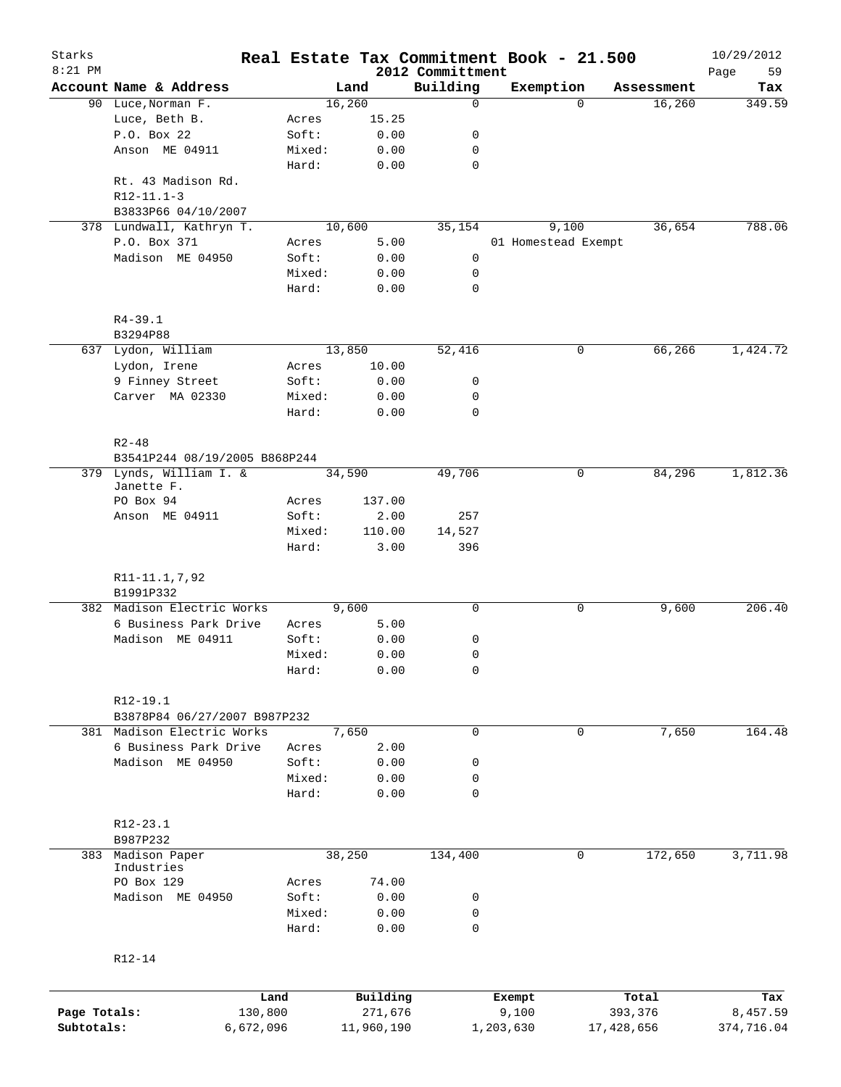| Starks<br>$8:21$ PM |                               |                 |                |                              | Real Estate Tax Commitment Book - 21.500 |                      | 10/29/2012        |
|---------------------|-------------------------------|-----------------|----------------|------------------------------|------------------------------------------|----------------------|-------------------|
|                     | Account Name & Address        |                 | Land           | 2012 Committment<br>Building | Exemption                                | Assessment           | 59<br>Page<br>Tax |
|                     | 90 Luce, Norman F.            |                 | 16,260         | $\mathbf 0$                  |                                          | 16,260<br>$\Omega$   | 349.59            |
|                     | Luce, Beth B.                 | Acres           | 15.25          |                              |                                          |                      |                   |
|                     | P.O. Box 22                   | Soft:           | 0.00           | 0                            |                                          |                      |                   |
|                     | Anson ME 04911                | Mixed:          | 0.00           | 0                            |                                          |                      |                   |
|                     |                               | Hard:           | 0.00           | $\mathbf 0$                  |                                          |                      |                   |
|                     | Rt. 43 Madison Rd.            |                 |                |                              |                                          |                      |                   |
|                     | $R12-11.1-3$                  |                 |                |                              |                                          |                      |                   |
|                     | B3833P66 04/10/2007           |                 |                |                              |                                          |                      |                   |
|                     | 378 Lundwall, Kathryn T.      |                 | 10,600         | 35,154                       | 9,100                                    | 36,654               | 788.06            |
|                     | P.O. Box 371                  | Acres           | 5.00           |                              | 01 Homestead Exempt                      |                      |                   |
|                     | Madison ME 04950              | Soft:           | 0.00           | 0                            |                                          |                      |                   |
|                     |                               | Mixed:          | 0.00           | 0                            |                                          |                      |                   |
|                     |                               | Hard:           | 0.00           | $\mathbf 0$                  |                                          |                      |                   |
|                     |                               |                 |                |                              |                                          |                      |                   |
|                     | $R4 - 39.1$<br>B3294P88       |                 |                |                              |                                          |                      |                   |
|                     | 637 Lydon, William            |                 | 13,850         | 52,416                       |                                          | 0<br>66,266          | 1,424.72          |
|                     | Lydon, Irene                  | Acres           | 10.00          |                              |                                          |                      |                   |
|                     | 9 Finney Street               | Soft:           | 0.00           | 0                            |                                          |                      |                   |
|                     | Carver MA 02330               | Mixed:          | 0.00           | 0                            |                                          |                      |                   |
|                     |                               | Hard:           | 0.00           | $\mathbf 0$                  |                                          |                      |                   |
|                     |                               |                 |                |                              |                                          |                      |                   |
|                     | $R2 - 48$                     |                 |                |                              |                                          |                      |                   |
|                     | B3541P244 08/19/2005 B868P244 |                 |                |                              |                                          |                      |                   |
|                     | 379 Lynds, William I. &       |                 | 34,590         | 49,706                       |                                          | 0<br>84,296          | 1,812.36          |
|                     | Janette F.                    |                 |                |                              |                                          |                      |                   |
|                     | PO Box 94                     | Acres           | 137.00         |                              |                                          |                      |                   |
|                     | Anson ME 04911                | Soft:           | 2.00           | 257                          |                                          |                      |                   |
|                     |                               | Mixed:<br>Hard: | 110.00<br>3.00 | 14,527<br>396                |                                          |                      |                   |
|                     |                               |                 |                |                              |                                          |                      |                   |
|                     | R11-11.1,7,92                 |                 |                |                              |                                          |                      |                   |
|                     | B1991P332                     |                 |                |                              |                                          |                      |                   |
|                     | 382 Madison Electric Works    |                 | 9,600          | 0                            |                                          | 9,600<br>0           | 206.40            |
|                     | 6 Business Park Drive         | Acres           | 5.00           |                              |                                          |                      |                   |
|                     | Madison ME 04911              | Soft:           | 0.00           | 0                            |                                          |                      |                   |
|                     |                               | Mixed:          | 0.00           | 0                            |                                          |                      |                   |
|                     |                               | Hard:           | 0.00           | 0                            |                                          |                      |                   |
|                     | R12-19.1                      |                 |                |                              |                                          |                      |                   |
|                     | B3878P84 06/27/2007 B987P232  |                 |                |                              |                                          |                      |                   |
|                     | 381 Madison Electric Works    |                 | 7,650          | $\mathbf 0$                  |                                          | 7,650<br>$\mathbf 0$ | 164.48            |
|                     | 6 Business Park Drive         | Acres           | 2.00           |                              |                                          |                      |                   |
|                     | Madison ME 04950              | Soft:           | 0.00           | 0                            |                                          |                      |                   |
|                     |                               | Mixed:          | 0.00           | 0                            |                                          |                      |                   |
|                     |                               | Hard:           | 0.00           | 0                            |                                          |                      |                   |
|                     |                               |                 |                |                              |                                          |                      |                   |
|                     | R12-23.1                      |                 |                |                              |                                          |                      |                   |
|                     | B987P232                      |                 |                |                              |                                          |                      |                   |
|                     | 383 Madison Paper             |                 | 38,250         | 134,400                      |                                          | 0<br>172,650         | 3,711.98          |
|                     | Industries<br>PO Box 129      | Acres           | 74.00          |                              |                                          |                      |                   |
|                     | Madison ME 04950              | Soft:           | 0.00           | 0                            |                                          |                      |                   |
|                     |                               | Mixed:          | 0.00           | 0                            |                                          |                      |                   |
|                     |                               | Hard:           | 0.00           | $\mathbf 0$                  |                                          |                      |                   |
|                     |                               |                 |                |                              |                                          |                      |                   |
|                     | R12-14                        |                 |                |                              |                                          |                      |                   |
|                     |                               |                 |                |                              |                                          |                      |                   |
|                     |                               | Land            | Building       |                              | Exempt                                   | Total                | Tax               |
| Page Totals:        |                               | 130,800         | 271,676        |                              | 9,100                                    | 393,376              | 8,457.59          |
| Subtotals:          | 6,672,096                     |                 | 11,960,190     |                              | 1,203,630                                | 17,428,656           | 374,716.04        |
|                     |                               |                 |                |                              |                                          |                      |                   |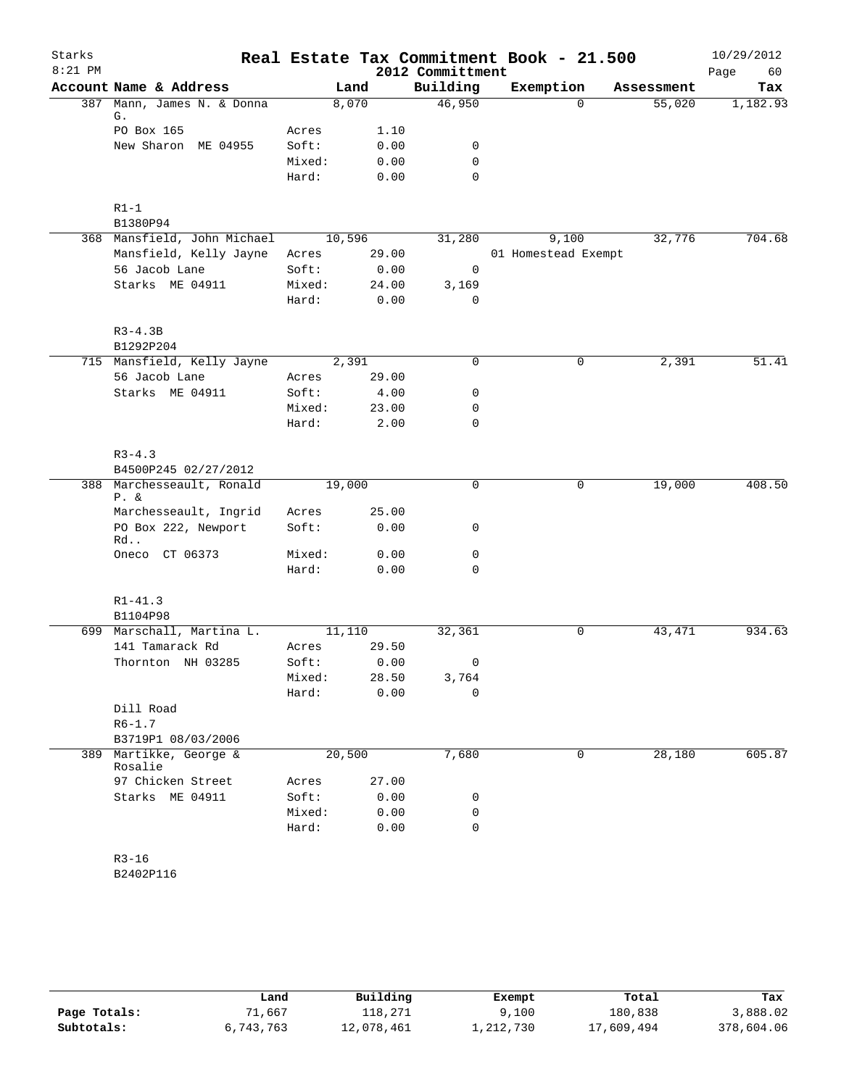| Starks    |                                      |        |        |                  | Real Estate Tax Commitment Book - 21.500 |            | 10/29/2012 |
|-----------|--------------------------------------|--------|--------|------------------|------------------------------------------|------------|------------|
| $8:21$ PM |                                      |        |        | 2012 Committment |                                          |            | 60<br>Page |
|           | Account Name & Address               |        | Land   | Building         | Exemption                                | Assessment | Tax        |
|           | 387 Mann, James N. & Donna<br>G.     |        | 8,070  | 46,950           | $\Omega$                                 | 55,020     | 1,182.93   |
|           | PO Box 165                           | Acres  | 1.10   |                  |                                          |            |            |
|           | New Sharon ME 04955                  | Soft:  | 0.00   | 0                |                                          |            |            |
|           |                                      | Mixed: | 0.00   | $\mathbf 0$      |                                          |            |            |
|           |                                      | Hard:  | 0.00   | $\mathbf 0$      |                                          |            |            |
|           | $R1-1$                               |        |        |                  |                                          |            |            |
|           | B1380P94                             |        |        |                  |                                          |            |            |
|           | 368 Mansfield, John Michael          |        | 10,596 | 31,280           | 9,100                                    | 32,776     | 704.68     |
|           | Mansfield, Kelly Jayne               | Acres  | 29.00  |                  | 01 Homestead Exempt                      |            |            |
|           | 56 Jacob Lane                        | Soft:  | 0.00   | 0                |                                          |            |            |
|           | Starks ME 04911                      | Mixed: | 24.00  | 3,169            |                                          |            |            |
|           |                                      | Hard:  | 0.00   | 0                |                                          |            |            |
|           | $R3 - 4.3B$                          |        |        |                  |                                          |            |            |
|           | B1292P204                            |        |        |                  |                                          |            |            |
|           | 715 Mansfield, Kelly Jayne           |        | 2,391  | 0                | 0                                        | 2,391      | 51.41      |
|           | 56 Jacob Lane                        | Acres  | 29.00  |                  |                                          |            |            |
|           | Starks ME 04911                      | Soft:  | 4.00   | 0                |                                          |            |            |
|           |                                      | Mixed: | 23.00  | 0                |                                          |            |            |
|           |                                      | Hard:  | 2.00   | $\mathbf 0$      |                                          |            |            |
|           | $R3 - 4.3$                           |        |        |                  |                                          |            |            |
|           | B4500P245 02/27/2012                 |        |        |                  |                                          |            |            |
|           | 388 Marchesseault, Ronald<br>$P. \&$ |        | 19,000 | $\mathbf 0$      | $\mathbf 0$                              | 19,000     | 408.50     |
|           | Marchesseault, Ingrid                | Acres  | 25.00  |                  |                                          |            |            |
|           | PO Box 222, Newport                  | Soft:  | 0.00   | 0                |                                          |            |            |
|           | Rd<br>Oneco CT 06373                 | Mixed: | 0.00   | 0                |                                          |            |            |
|           |                                      | Hard:  | 0.00   | 0                |                                          |            |            |
|           |                                      |        |        |                  |                                          |            |            |
|           | $R1 - 41.3$<br>B1104P98              |        |        |                  |                                          |            |            |
|           | 699 Marschall, Martina L.            |        | 11,110 | 32,361           | 0                                        | 43, 471    | 934.63     |
|           | 141 Tamarack Rd                      | Acres  | 29.50  |                  |                                          |            |            |
|           | Thornton NH 03285                    | Soft:  | 0.00   | 0                |                                          |            |            |
|           |                                      | Mixed: | 28.50  | 3,764            |                                          |            |            |
|           |                                      | Hard:  | 0.00   | $\mathbf 0$      |                                          |            |            |
|           | Dill Road                            |        |        |                  |                                          |            |            |
|           | $R6 - 1.7$                           |        |        |                  |                                          |            |            |
|           | B3719P1 08/03/2006                   |        |        |                  |                                          |            |            |
| 389       | Martikke, George &<br>Rosalie        |        | 20,500 | 7,680            | 0                                        | 28,180     | 605.87     |
|           | 97 Chicken Street                    | Acres  | 27.00  |                  |                                          |            |            |
|           | Starks ME 04911                      | Soft:  | 0.00   | 0                |                                          |            |            |
|           |                                      | Mixed: | 0.00   | 0                |                                          |            |            |
|           |                                      | Hard:  | 0.00   | $\mathbf 0$      |                                          |            |            |
|           | $R3 - 16$                            |        |        |                  |                                          |            |            |
|           | B2402P116                            |        |        |                  |                                          |            |            |

|              | Land      | Building   | Exempt    | Total      | Tax        |
|--------------|-----------|------------|-----------|------------|------------|
| Page Totals: | 71,667    | 118,271    | 9,100     | 180,838    | 3,888.02   |
| Subtotals:   | 6,743,763 | 12,078,461 | 1,212,730 | 17,609,494 | 378,604.06 |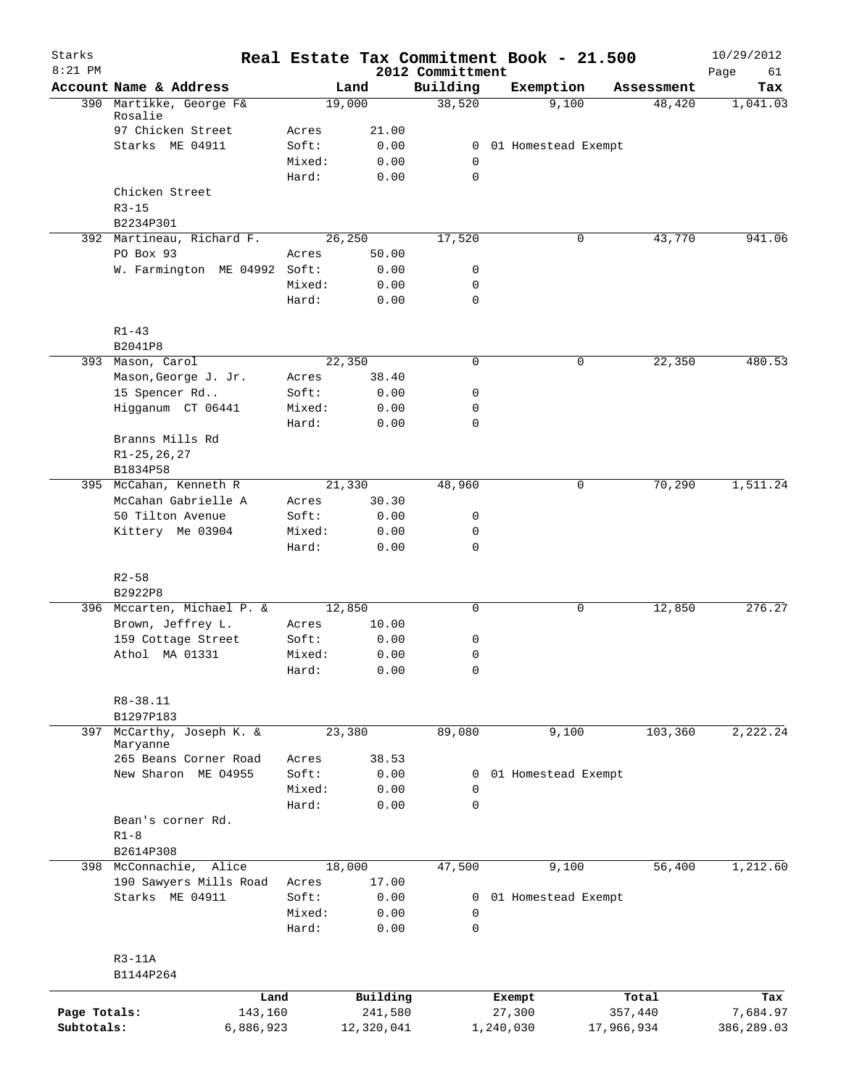| Starks<br>$8:21$ PM |                                      |                 |               | 2012 Committment    | Real Estate Tax Commitment Book - 21.500 |            | 10/29/2012<br>Page<br>61 |
|---------------------|--------------------------------------|-----------------|---------------|---------------------|------------------------------------------|------------|--------------------------|
|                     | Account Name & Address               |                 | Land          | Building            | Exemption                                | Assessment | Tax                      |
|                     | 390 Martikke, George F&              |                 | 19,000        | 38,520              | 9,100                                    | 48,420     | 1,041.03                 |
|                     | Rosalie                              |                 |               |                     |                                          |            |                          |
|                     | 97 Chicken Street<br>Starks ME 04911 | Acres<br>Soft:  | 21.00<br>0.00 |                     | 0 01 Homestead Exempt                    |            |                          |
|                     |                                      | Mixed:          | 0.00          | 0                   |                                          |            |                          |
|                     |                                      | Hard:           | 0.00          | $\mathbf 0$         |                                          |            |                          |
|                     | Chicken Street                       |                 |               |                     |                                          |            |                          |
|                     | $R3 - 15$                            |                 |               |                     |                                          |            |                          |
|                     | B2234P301                            |                 |               |                     |                                          |            |                          |
|                     | 392 Martineau, Richard F.            |                 | 26,250        | 17,520              | 0                                        | 43,770     | 941.06                   |
|                     | PO Box 93                            | Acres           | 50.00         |                     |                                          |            |                          |
|                     | W. Farmington ME 04992 Soft:         |                 | 0.00          | 0                   |                                          |            |                          |
|                     |                                      | Mixed:          | 0.00          | $\mathbf 0$         |                                          |            |                          |
|                     |                                      | Hard:           | 0.00          | $\mathbf 0$         |                                          |            |                          |
|                     | $R1 - 43$                            |                 |               |                     |                                          |            |                          |
|                     | B2041P8                              |                 |               |                     |                                          |            |                          |
|                     | 393 Mason, Carol                     |                 | 22,350        | 0                   | 0                                        | 22,350     | 480.53                   |
|                     | Mason, George J. Jr.                 | Acres           | 38.40         |                     |                                          |            |                          |
|                     | 15 Spencer Rd<br>Higganum CT 06441   | Soft:           | 0.00          | 0                   |                                          |            |                          |
|                     |                                      | Mixed:<br>Hard: | 0.00<br>0.00  | 0<br>$\mathbf 0$    |                                          |            |                          |
|                     | Branns Mills Rd                      |                 |               |                     |                                          |            |                          |
|                     | $R1 - 25, 26, 27$                    |                 |               |                     |                                          |            |                          |
|                     | B1834P58                             |                 |               |                     |                                          |            |                          |
|                     | 395 McCahan, Kenneth R               |                 | 21,330        | 48,960              | 0                                        | 70,290     | 1,511.24                 |
|                     | McCahan Gabrielle A                  | Acres           | 30.30         |                     |                                          |            |                          |
|                     | 50 Tilton Avenue                     | Soft:           | 0.00          | 0                   |                                          |            |                          |
|                     | Kittery Me 03904                     | Mixed:          | 0.00          | 0                   |                                          |            |                          |
|                     |                                      | Hard:           | 0.00          | $\mathbf 0$         |                                          |            |                          |
|                     | $R2 - 58$                            |                 |               |                     |                                          |            |                          |
|                     | B2922P8                              |                 |               |                     |                                          |            |                          |
|                     | 396 Mccarten, Michael P. &           |                 | 12,850        | 0                   | 0                                        | 12,850     | 276.27                   |
|                     | Brown, Jeffrey L.                    | Acres           | 10.00         |                     |                                          |            |                          |
|                     | 159 Cottage Street                   | Soft:           | 0.00          | 0                   |                                          |            |                          |
|                     | Athol MA 01331                       | Mixed:          | 0.00          | $\mathbf 0$         |                                          |            |                          |
|                     |                                      | Hard:           | 0.00          | $\mathsf{O}\xspace$ |                                          |            |                          |
|                     | R8-38.11                             |                 |               |                     |                                          |            |                          |
|                     | B1297P183                            |                 |               |                     |                                          |            |                          |
| 397                 | McCarthy, Joseph K. &<br>Maryanne    |                 | 23,380        | 89,080              | 9,100                                    | 103,360    | 2,222.24                 |
|                     | 265 Beans Corner Road                | Acres           | 38.53         |                     |                                          |            |                          |
|                     | New Sharon ME 04955                  | Soft:           | 0.00          | 0                   | 01 Homestead Exempt                      |            |                          |
|                     |                                      | Mixed:          | 0.00          | 0                   |                                          |            |                          |
|                     |                                      | Hard:           | 0.00          | $\mathbf 0$         |                                          |            |                          |
|                     | Bean's corner Rd.                    |                 |               |                     |                                          |            |                          |
|                     | $R1-8$                               |                 |               |                     |                                          |            |                          |
|                     | B2614P308                            |                 |               |                     |                                          |            |                          |
|                     | 398 McConnachie, Alice               |                 | 18,000        | 47,500              | 9,100                                    | 56,400     | 1,212.60                 |
|                     | 190 Sawyers Mills Road               | Acres           | 17.00         |                     |                                          |            |                          |
|                     | Starks ME 04911                      | Soft:           | 0.00          | 0                   | 01 Homestead Exempt                      |            |                          |
|                     |                                      | Mixed:<br>Hard: | 0.00<br>0.00  | 0<br>$\mathbf 0$    |                                          |            |                          |
|                     |                                      |                 |               |                     |                                          |            |                          |
|                     | $R3-11A$<br>B1144P264                |                 |               |                     |                                          |            |                          |
|                     |                                      |                 |               |                     |                                          |            |                          |
|                     | Land                                 |                 | Building      |                     | Exempt                                   | Total      | Tax                      |
| Page Totals:        | 143,160                              |                 | 241,580       |                     | 27,300                                   | 357,440    | 7,684.97                 |
| Subtotals:          | 6,886,923                            |                 | 12,320,041    |                     | 1,240,030                                | 17,966,934 | 386,289.03               |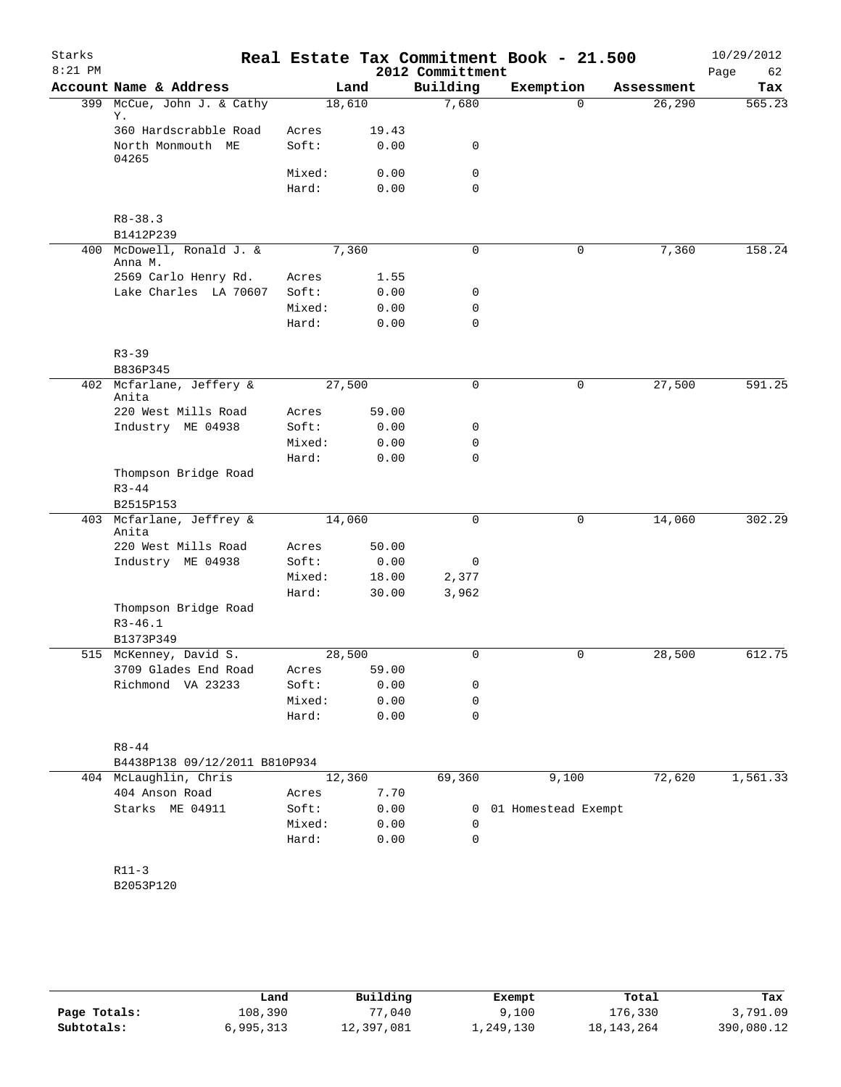| Starks<br>$8:21$ PM |                                                |                |                | 2012 Committment | Real Estate Tax Commitment Book - 21.500 |            | 10/29/2012<br>Page<br>62 |
|---------------------|------------------------------------------------|----------------|----------------|------------------|------------------------------------------|------------|--------------------------|
|                     | Account Name & Address                         |                | Land           | Building         | Exemption                                | Assessment | Tax                      |
|                     | 399 McCue, John J. & Cathy<br>Υ.               |                | 18,610         | 7,680            | $\Omega$                                 | 26, 290    | 565.23                   |
|                     | 360 Hardscrabble Road<br>North Monmouth ME     | Acres<br>Soft: | 19.43<br>0.00  | 0                |                                          |            |                          |
|                     | 04265                                          |                |                |                  |                                          |            |                          |
|                     |                                                | Mixed:         | 0.00           | $\mathsf{O}$     |                                          |            |                          |
|                     |                                                | Hard:          | 0.00           | $\mathbf 0$      |                                          |            |                          |
|                     | $R8 - 38.3$<br>B1412P239                       |                |                |                  |                                          |            |                          |
|                     | 400 McDowell, Ronald J. &<br>Anna M.           |                | 7,360          | 0                | $\mathbf 0$                              | 7,360      | 158.24                   |
|                     | 2569 Carlo Henry Rd.                           | Acres          | 1.55           |                  |                                          |            |                          |
|                     | Lake Charles LA 70607                          | Soft:          | 0.00           | 0                |                                          |            |                          |
|                     |                                                | Mixed:         | 0.00           | 0                |                                          |            |                          |
|                     |                                                | Hard:          | 0.00           | $\mathbf 0$      |                                          |            |                          |
|                     | $R3 - 39$<br>B836P345                          |                |                |                  |                                          |            |                          |
|                     | 402 Mcfarlane, Jeffery &<br>Anita              |                | 27,500         | $\mathbf 0$      | $\mathbf 0$                              | 27,500     | 591.25                   |
|                     | 220 West Mills Road                            | Acres          | 59.00          |                  |                                          |            |                          |
|                     | Industry ME 04938                              | Soft:          | 0.00           | 0                |                                          |            |                          |
|                     |                                                | Mixed:         | 0.00           | $\mathbf 0$      |                                          |            |                          |
|                     |                                                | Hard:          | 0.00           | $\mathbf 0$      |                                          |            |                          |
|                     | Thompson Bridge Road<br>$R3 - 44$<br>B2515P153 |                |                |                  |                                          |            |                          |
|                     | 403 Mcfarlane, Jeffrey &<br>Anita              |                | 14,060         | $\mathbf 0$      | $\mathbf 0$                              | 14,060     | 302.29                   |
|                     | 220 West Mills Road                            | Acres          | 50.00          |                  |                                          |            |                          |
|                     | Industry ME 04938                              | Soft:          | 0.00           | 0                |                                          |            |                          |
|                     |                                                | Mixed:         | 18.00          | 2,377            |                                          |            |                          |
|                     |                                                | Hard:          | 30.00          | 3,962            |                                          |            |                          |
|                     | Thompson Bridge Road<br>$R3 - 46.1$            |                |                |                  |                                          |            |                          |
|                     | B1373P349                                      |                |                |                  |                                          |            |                          |
|                     | 515 McKenney, David S.                         |                | 28,500         | 0                | 0                                        | 28,500     | 612.75                   |
|                     | 3709 Glades End Road                           | Acres          | 59.00          |                  |                                          |            |                          |
|                     | Richmond VA 23233                              | Soft:          | 0.00           | 0                |                                          |            |                          |
|                     |                                                | Mixed:         | 0.00           | 0                |                                          |            |                          |
|                     |                                                | Hard:          | 0.00           | $\mathbf 0$      |                                          |            |                          |
|                     | $R8 - 44$                                      |                |                |                  |                                          |            |                          |
|                     | B4438P138 09/12/2011 B810P934                  |                |                |                  |                                          | 72,620     |                          |
|                     | 404 McLaughlin, Chris<br>404 Anson Road        |                | 12,360<br>7.70 | 69,360           | 9,100                                    |            | 1,561.33                 |
|                     | Starks ME 04911                                | Acres<br>Soft: | 0.00           | 0                | 01 Homestead Exempt                      |            |                          |
|                     |                                                | Mixed:         | 0.00           | 0                |                                          |            |                          |
|                     |                                                | Hard:          | 0.00           | $\mathbf 0$      |                                          |            |                          |
|                     | $R11-3$                                        |                |                |                  |                                          |            |                          |
|                     | B2053P120                                      |                |                |                  |                                          |            |                          |
|                     |                                                |                |                |                  |                                          |            |                          |
|                     |                                                |                |                |                  |                                          |            |                          |

|              | Land      | Building   | Exempt    | Total        | Tax        |
|--------------|-----------|------------|-----------|--------------|------------|
| Page Totals: | 108,390   | 77,040     | 9,100     | 176,330      | 3,791.09   |
| Subtotals:   | 6,995,313 | 12,397,081 | ⊥,249,130 | 18, 143, 264 | 390,080.12 |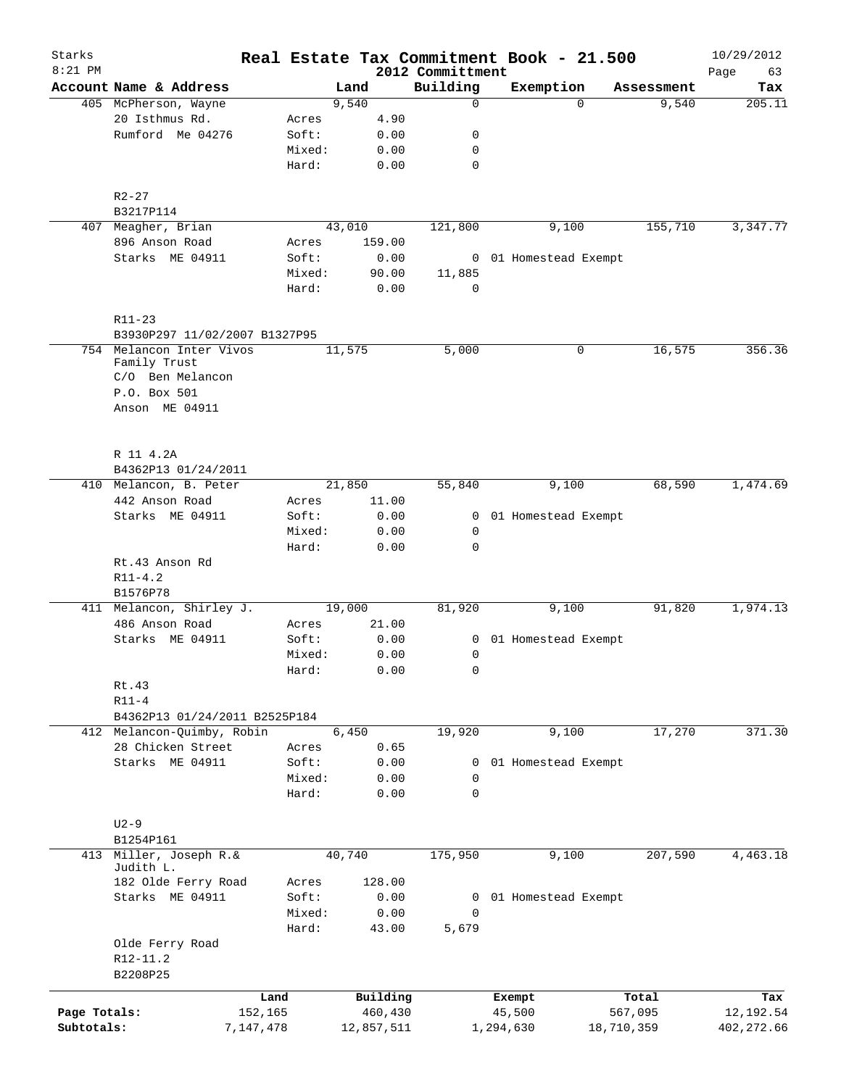| Starks       |                                         |        |            |                              | Real Estate Tax Commitment Book - 21.500 |            | 10/29/2012        |
|--------------|-----------------------------------------|--------|------------|------------------------------|------------------------------------------|------------|-------------------|
| $8:21$ PM    | Account Name & Address                  |        | Land       | 2012 Committment<br>Building | Exemption                                | Assessment | 63<br>Page<br>Tax |
|              | 405 McPherson, Wayne                    |        | 9,540      | 0                            | $\Omega$                                 | 9,540      | 205.11            |
|              | 20 Isthmus Rd.                          | Acres  | 4.90       |                              |                                          |            |                   |
|              | Rumford Me 04276                        | Soft:  | 0.00       | 0                            |                                          |            |                   |
|              |                                         | Mixed: | 0.00       | 0                            |                                          |            |                   |
|              |                                         | Hard:  | 0.00       | 0                            |                                          |            |                   |
|              | $R2 - 27$                               |        |            |                              |                                          |            |                   |
|              | B3217P114                               |        |            |                              |                                          |            |                   |
|              | 407 Meagher, Brian                      |        | 43,010     | 121,800                      | 9,100                                    | 155,710    | 3,347.77          |
|              | 896 Anson Road                          | Acres  | 159.00     |                              |                                          |            |                   |
|              | Starks ME 04911                         | Soft:  | 0.00       |                              | 0 01 Homestead Exempt                    |            |                   |
|              |                                         | Mixed: | 90.00      | 11,885                       |                                          |            |                   |
|              |                                         | Hard:  | 0.00       | $\Omega$                     |                                          |            |                   |
|              | R11-23<br>B3930P297 11/02/2007 B1327P95 |        |            |                              |                                          |            |                   |
|              | 754 Melancon Inter Vivos                |        | 11,575     | 5,000                        | 0                                        | 16,575     | 356.36            |
|              | Family Trust                            |        |            |                              |                                          |            |                   |
|              | C/O Ben Melancon                        |        |            |                              |                                          |            |                   |
|              | P.O. Box 501                            |        |            |                              |                                          |            |                   |
|              | Anson ME 04911                          |        |            |                              |                                          |            |                   |
|              |                                         |        |            |                              |                                          |            |                   |
|              | R 11 4.2A<br>B4362P13 01/24/2011        |        |            |                              |                                          |            |                   |
|              | 410 Melancon, B. Peter                  |        | 21,850     | 55,840                       | 9,100                                    | 68,590     | 1,474.69          |
|              | 442 Anson Road                          | Acres  | 11.00      |                              |                                          |            |                   |
|              | Starks ME 04911                         | Soft:  | 0.00       | 0                            | 01 Homestead Exempt                      |            |                   |
|              |                                         | Mixed: | 0.00       | $\mathsf{O}$                 |                                          |            |                   |
|              |                                         | Hard:  | 0.00       | $\mathbf 0$                  |                                          |            |                   |
|              | Rt.43 Anson Rd                          |        |            |                              |                                          |            |                   |
|              | $R11 - 4.2$                             |        |            |                              |                                          |            |                   |
|              | B1576P78                                |        |            |                              |                                          |            |                   |
|              | 411 Melancon, Shirley J.                |        | 19,000     | 81,920                       | 9,100                                    | 91,820     | 1,974.13          |
|              | 486 Anson Road                          | Acres  | 21.00      |                              |                                          |            |                   |
|              | Starks ME 04911                         | Soft:  | 0.00       | 0                            | 01 Homestead Exempt                      |            |                   |
|              |                                         | Mixed: | 0.00       | 0                            |                                          |            |                   |
|              |                                         | Hard:  | 0.00       | 0                            |                                          |            |                   |
|              | Rt.43                                   |        |            |                              |                                          |            |                   |
|              | $R11 - 4$                               |        |            |                              |                                          |            |                   |
|              | B4362P13 01/24/2011 B2525P184           |        |            |                              |                                          |            |                   |
|              | 412 Melancon-Quimby, Robin              |        | 6,450      | 19,920                       | 9,100                                    | 17,270     | 371.30            |
|              | 28 Chicken Street                       | Acres  | 0.65       |                              |                                          |            |                   |
|              | Starks ME 04911                         | Soft:  | 0.00       | 0                            | 01 Homestead Exempt                      |            |                   |
|              |                                         | Mixed: | 0.00       | 0                            |                                          |            |                   |
|              |                                         | Hard:  | 0.00       | $\mathbf 0$                  |                                          |            |                   |
|              | $U2-9$                                  |        |            |                              |                                          |            |                   |
|              | B1254P161                               |        |            |                              |                                          |            |                   |
|              | 413 Miller, Joseph R.&<br>Judith L.     |        | 40,740     | 175,950                      | 9,100                                    | 207,590    | 4,463.18          |
|              | 182 Olde Ferry Road                     | Acres  | 128.00     |                              |                                          |            |                   |
|              | Starks ME 04911                         | Soft:  | 0.00       |                              | 0 01 Homestead Exempt                    |            |                   |
|              |                                         | Mixed: | 0.00       | 0                            |                                          |            |                   |
|              |                                         | Hard:  | 43.00      | 5,679                        |                                          |            |                   |
|              | Olde Ferry Road                         |        |            |                              |                                          |            |                   |
|              | R12-11.2                                |        |            |                              |                                          |            |                   |
|              | B2208P25                                | Land   | Building   |                              |                                          | Total      | Tax               |
| Page Totals: | 152,165                                 |        | 460,430    |                              | Exempt<br>45,500                         | 567,095    | 12,192.54         |
| Subtotals:   | 7,147,478                               |        | 12,857,511 |                              | 1,294,630                                | 18,710,359 | 402, 272.66       |
|              |                                         |        |            |                              |                                          |            |                   |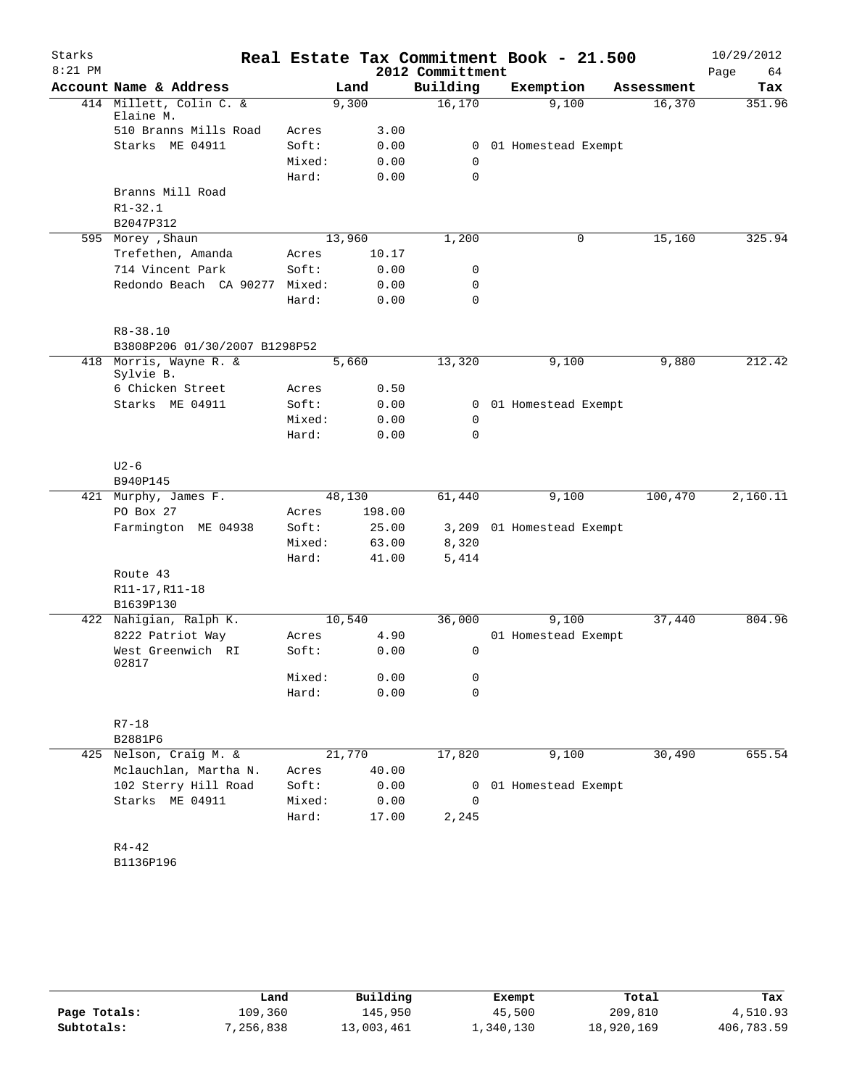| Starks    |                                |        |        |        | Real Estate Tax Commitment Book - 21.500 |                           |            | 10/29/2012 |
|-----------|--------------------------------|--------|--------|--------|------------------------------------------|---------------------------|------------|------------|
| $8:21$ PM |                                |        |        |        | 2012 Committment                         |                           |            | 64<br>Page |
|           | Account Name & Address         |        | Land   |        | Building                                 | Exemption                 | Assessment | Tax        |
|           | 414 Millett, Colin C. &        |        | 9,300  |        | 16,170                                   | 9,100                     | 16,370     | 351.96     |
|           | Elaine M.                      |        |        |        |                                          |                           |            |            |
|           | 510 Branns Mills Road          | Acres  |        | 3.00   |                                          |                           |            |            |
|           | Starks ME 04911                | Soft:  |        | 0.00   | 0                                        | 01 Homestead Exempt       |            |            |
|           |                                | Mixed: |        | 0.00   | $\mathbf 0$                              |                           |            |            |
|           |                                | Hard:  |        | 0.00   | 0                                        |                           |            |            |
|           | Branns Mill Road               |        |        |        |                                          |                           |            |            |
|           | $R1 - 32.1$                    |        |        |        |                                          |                           |            |            |
|           | B2047P312<br>595 Morey , Shaun |        | 13,960 |        | 1,200                                    | 0                         | 15,160     | 325.94     |
|           | Trefethen, Amanda              | Acres  |        | 10.17  |                                          |                           |            |            |
|           | 714 Vincent Park               | Soft:  |        | 0.00   | 0                                        |                           |            |            |
|           | Redondo Beach CA 90277         | Mixed: |        | 0.00   | 0                                        |                           |            |            |
|           |                                | Hard:  |        | 0.00   | 0                                        |                           |            |            |
|           |                                |        |        |        |                                          |                           |            |            |
|           | $R8 - 38.10$                   |        |        |        |                                          |                           |            |            |
|           | B3808P206 01/30/2007 B1298P52  |        |        |        |                                          |                           |            |            |
|           | 418 Morris, Wayne R. &         |        | 5,660  |        | 13,320                                   | 9,100                     | 9,880      | 212.42     |
|           | Sylvie B.                      |        |        |        |                                          |                           |            |            |
|           | 6 Chicken Street               | Acres  |        | 0.50   |                                          |                           |            |            |
|           | Starks ME 04911                | Soft:  |        | 0.00   | 0                                        | 01 Homestead Exempt       |            |            |
|           |                                | Mixed: |        | 0.00   | 0                                        |                           |            |            |
|           |                                | Hard:  |        | 0.00   | 0                                        |                           |            |            |
|           |                                |        |        |        |                                          |                           |            |            |
|           | $U2-6$                         |        |        |        |                                          |                           |            |            |
|           | B940P145                       |        |        |        |                                          |                           |            |            |
| 421       | Murphy, James F.               |        | 48,130 |        | 61,440                                   | 9,100                     | 100,470    | 2,160.11   |
|           | PO Box 27                      | Acres  |        | 198.00 |                                          |                           |            |            |
|           | Farmington ME 04938            | Soft:  |        | 25.00  |                                          | 3,209 01 Homestead Exempt |            |            |
|           |                                | Mixed: |        | 63.00  | 8,320                                    |                           |            |            |
|           |                                | Hard:  |        | 41.00  | 5,414                                    |                           |            |            |
|           | Route 43                       |        |        |        |                                          |                           |            |            |
|           | R11-17, R11-18                 |        |        |        |                                          |                           |            |            |
|           | B1639P130                      |        |        |        |                                          |                           |            |            |
|           | 422 Nahigian, Ralph K.         |        | 10,540 |        | 36,000                                   | 9,100                     | 37,440     | 804.96     |
|           | 8222 Patriot Way               | Acres  |        | 4.90   |                                          | 01 Homestead Exempt       |            |            |
|           | West Greenwich RI<br>02817     | Soft:  |        | 0.00   | 0                                        |                           |            |            |
|           |                                | Mixed: |        | 0.00   | 0                                        |                           |            |            |
|           |                                | Hard:  |        | 0.00   | 0                                        |                           |            |            |
|           |                                |        |        |        |                                          |                           |            |            |
|           | $R7 - 18$                      |        |        |        |                                          |                           |            |            |
|           | B2881P6                        |        |        |        |                                          |                           |            |            |
|           | 425 Nelson, Craig M. &         |        | 21,770 |        | 17,820                                   | 9,100                     | 30,490     | 655.54     |
|           | Mclauchlan, Martha N.          | Acres  |        | 40.00  |                                          |                           |            |            |
|           | 102 Sterry Hill Road           | Soft:  |        | 0.00   | 0                                        | 01 Homestead Exempt       |            |            |
|           | Starks ME 04911                | Mixed: |        | 0.00   | 0                                        |                           |            |            |
|           |                                | Hard:  |        | 17.00  | 2,245                                    |                           |            |            |
|           |                                |        |        |        |                                          |                           |            |            |
|           | $R4 - 42$                      |        |        |        |                                          |                           |            |            |
|           | B1136P196                      |        |        |        |                                          |                           |            |            |

|              | Land      | Building   | Exempt    | Total      | Tax        |
|--------------|-----------|------------|-----------|------------|------------|
| Page Totals: | 109,360   | 145,950    | 45,500    | 209,810    | 4,510.93   |
| Subtotals:   | 7,256,838 | 13,003,461 | 1,340,130 | 18,920,169 | 406,783.59 |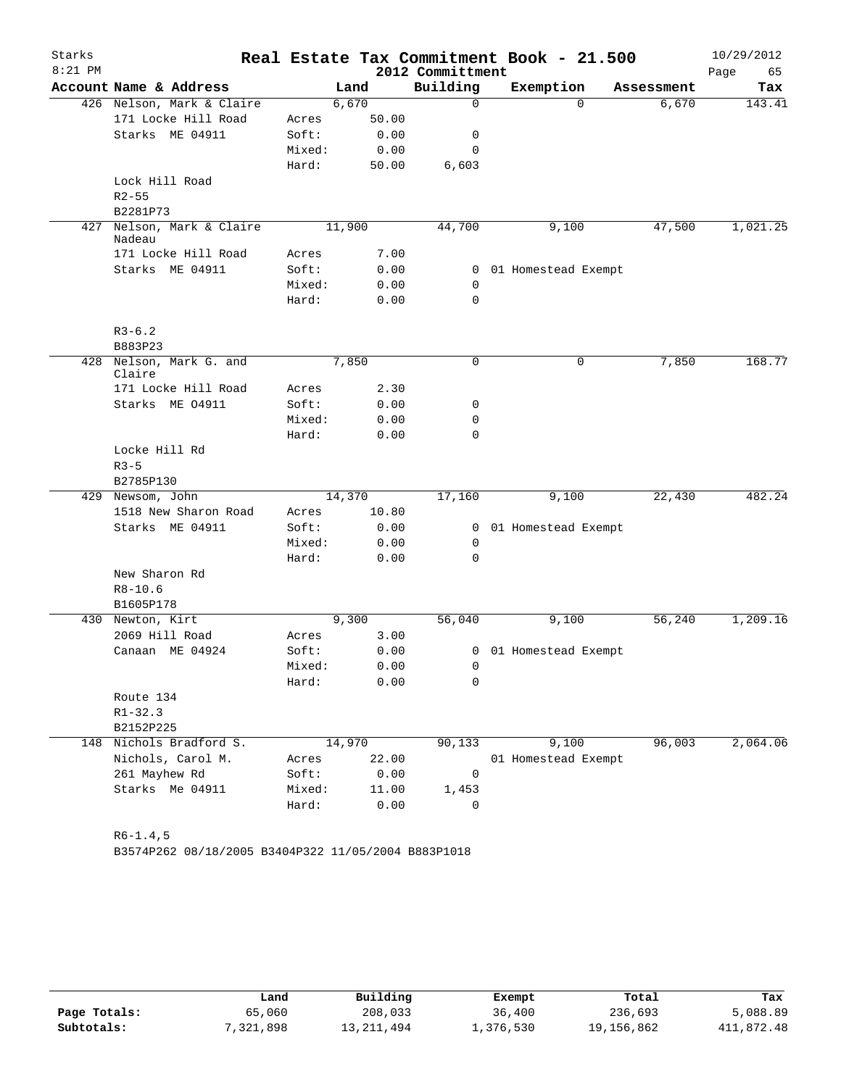| Starks    |                                   |                 |        |                  | Real Estate Tax Commitment Book - 21.500 |            | 10/29/2012 |
|-----------|-----------------------------------|-----------------|--------|------------------|------------------------------------------|------------|------------|
| $8:21$ PM |                                   |                 |        | 2012 Committment |                                          |            | Page<br>65 |
|           | Account Name & Address            |                 | Land   | Building         | Exemption                                | Assessment | Tax        |
|           | 426 Nelson, Mark & Claire         |                 | 6,670  | 0                | $\Omega$                                 | 6,670      | 143.41     |
|           | 171 Locke Hill Road               | Acres           | 50.00  |                  |                                          |            |            |
|           | Starks ME 04911                   | Soft:           | 0.00   | 0                |                                          |            |            |
|           |                                   | Mixed:          | 0.00   | $\mathbf 0$      |                                          |            |            |
|           |                                   | Hard:           | 50.00  | 6,603            |                                          |            |            |
|           | Lock Hill Road                    |                 |        |                  |                                          |            |            |
|           | $R2 - 55$                         |                 |        |                  |                                          |            |            |
| 427       | B2281P73<br>Nelson, Mark & Claire |                 | 11,900 | 44,700           | 9,100                                    | 47,500     | 1,021.25   |
|           | Nadeau                            |                 |        |                  |                                          |            |            |
|           | 171 Locke Hill Road               | Acres           | 7.00   |                  |                                          |            |            |
|           | Starks ME 04911                   | Soft:           | 0.00   | $\mathbf{0}$     | 01 Homestead Exempt                      |            |            |
|           |                                   | Mixed:          | 0.00   | $\mathbf 0$      |                                          |            |            |
|           |                                   | Hard:           | 0.00   | 0                |                                          |            |            |
|           |                                   |                 |        |                  |                                          |            |            |
|           | $R3 - 6.2$                        |                 |        |                  |                                          |            |            |
|           | B883P23                           |                 |        |                  |                                          |            |            |
| 428       | Nelson, Mark G. and<br>Claire     |                 | 7,850  | 0                | 0                                        | 7,850      | 168.77     |
|           | 171 Locke Hill Road               | Acres           | 2.30   |                  |                                          |            |            |
|           | Starks ME 04911                   | Soft:           | 0.00   | 0                |                                          |            |            |
|           |                                   | Mixed:          | 0.00   | 0                |                                          |            |            |
|           |                                   | Hard:           | 0.00   | $\Omega$         |                                          |            |            |
|           | Locke Hill Rd                     |                 |        |                  |                                          |            |            |
|           | $R3 - 5$                          |                 |        |                  |                                          |            |            |
|           | B2785P130                         |                 |        |                  |                                          |            |            |
|           | 429 Newsom, John                  |                 | 14,370 | 17,160           | 9,100                                    | 22,430     | 482.24     |
|           | 1518 New Sharon Road              | Acres           | 10.80  |                  |                                          |            |            |
|           | Starks ME 04911                   | Soft:           | 0.00   | $\mathbf{0}$     | 01 Homestead Exempt                      |            |            |
|           |                                   | Mixed:<br>Hard: | 0.00   | 0<br>$\mathbf 0$ |                                          |            |            |
|           | New Sharon Rd                     |                 | 0.00   |                  |                                          |            |            |
|           | $R8 - 10.6$                       |                 |        |                  |                                          |            |            |
|           | B1605P178                         |                 |        |                  |                                          |            |            |
|           | 430 Newton, Kirt                  |                 | 9,300  | 56,040           | 9,100                                    | 56, 240    | 1,209.16   |
|           | 2069 Hill Road                    | Acres           | 3.00   |                  |                                          |            |            |
|           | Canaan ME 04924                   | Soft:           | 0.00   |                  | 0 01 Homestead Exempt                    |            |            |
|           |                                   | Mixed:          | 0.00   | 0                |                                          |            |            |
|           |                                   | Hard:           | 0.00   | 0                |                                          |            |            |
|           | Route 134                         |                 |        |                  |                                          |            |            |
|           | $R1 - 32.3$                       |                 |        |                  |                                          |            |            |
|           | B2152P225                         |                 |        |                  |                                          |            |            |
|           | 148 Nichols Bradford S.           |                 | 14,970 | 90, 133          | 9,100                                    | 96,003     | 2,064.06   |
|           | Nichols, Carol M.                 | Acres           | 22.00  |                  | 01 Homestead Exempt                      |            |            |
|           | 261 Mayhew Rd                     | Soft:           | 0.00   | $\overline{0}$   |                                          |            |            |
|           | Starks Me 04911                   | Mixed:          | 11.00  | 1,453            |                                          |            |            |
|           |                                   | Hard:           | 0.00   | $\mathbf 0$      |                                          |            |            |
|           |                                   |                 |        |                  |                                          |            |            |
|           | $R6-1.4, 5$                       |                 |        |                  |                                          |            |            |

B3574P262 08/18/2005 B3404P322 11/05/2004 B883P1018

|              | Land     | Building   | Exempt    | Total      | Tax        |
|--------------|----------|------------|-----------|------------|------------|
| Page Totals: | 65,060   | 208,033    | 36,400    | 236,693    | 5,088.89   |
| Subtotals:   | ,321,898 | 13,211,494 | 1,376,530 | 19,156,862 | 411,872.48 |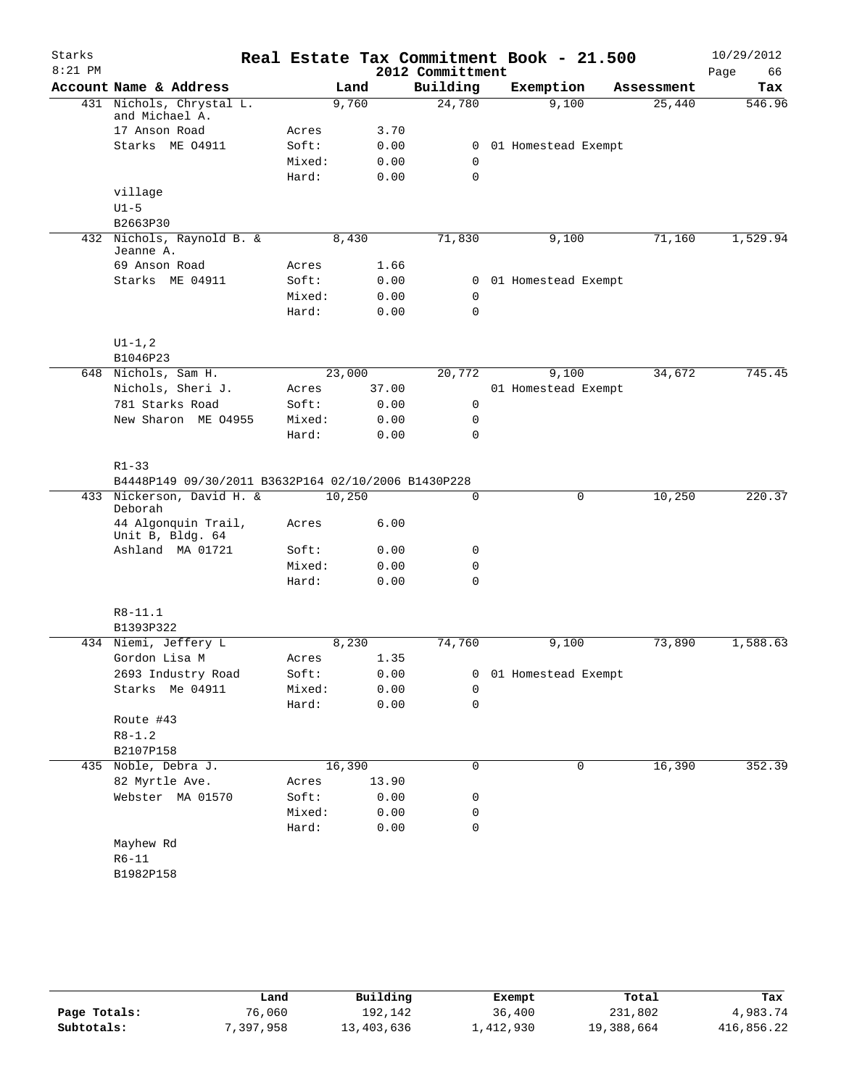| Starks    |                                                     |        |        |       |                  | Real Estate Tax Commitment Book - 21.500 |            | 10/29/2012 |
|-----------|-----------------------------------------------------|--------|--------|-------|------------------|------------------------------------------|------------|------------|
| $8:21$ PM |                                                     |        |        |       | 2012 Committment |                                          |            | 66<br>Page |
|           | Account Name & Address                              |        | Land   |       | Building         | Exemption                                | Assessment | Tax        |
|           | 431 Nichols, Chrystal L.                            |        | 9,760  |       | 24,780           | 9,100                                    | 25,440     | 546.96     |
|           | and Michael A.<br>17 Anson Road                     | Acres  |        | 3.70  |                  |                                          |            |            |
|           | Starks ME 04911                                     | Soft:  |        | 0.00  | 0                | 01 Homestead Exempt                      |            |            |
|           |                                                     | Mixed: |        | 0.00  | 0                |                                          |            |            |
|           |                                                     | Hard:  |        | 0.00  | $\mathbf 0$      |                                          |            |            |
|           | village                                             |        |        |       |                  |                                          |            |            |
|           | $U1-5$                                              |        |        |       |                  |                                          |            |            |
|           | B2663P30                                            |        |        |       |                  |                                          |            |            |
|           | 432 Nichols, Raynold B. &                           |        | 8,430  |       | 71,830           | 9,100                                    | 71,160     | 1,529.94   |
|           | Jeanne A.                                           |        |        |       |                  |                                          |            |            |
|           | 69 Anson Road                                       | Acres  |        | 1.66  |                  |                                          |            |            |
|           | Starks ME 04911                                     | Soft:  |        | 0.00  | 0                | 01 Homestead Exempt                      |            |            |
|           |                                                     | Mixed: |        | 0.00  | 0                |                                          |            |            |
|           |                                                     | Hard:  |        | 0.00  | $\mathbf 0$      |                                          |            |            |
|           | $UI - 1, 2$                                         |        |        |       |                  |                                          |            |            |
|           | B1046P23                                            |        |        |       |                  |                                          |            |            |
| 648       | Nichols, Sam H.                                     |        | 23,000 |       | 20,772           | 9,100                                    | 34,672     | 745.45     |
|           | Nichols, Sheri J.                                   | Acres  |        | 37.00 |                  | 01 Homestead Exempt                      |            |            |
|           | 781 Starks Road                                     | Soft:  |        | 0.00  | 0                |                                          |            |            |
|           | New Sharon ME 04955                                 | Mixed: |        | 0.00  | 0                |                                          |            |            |
|           |                                                     | Hard:  |        | 0.00  | 0                |                                          |            |            |
|           |                                                     |        |        |       |                  |                                          |            |            |
|           | $R1 - 33$                                           |        |        |       |                  |                                          |            |            |
|           | B4448P149 09/30/2011 B3632P164 02/10/2006 B1430P228 |        |        |       |                  |                                          |            |            |
| 433       | Nickerson, David H. &<br>Deborah                    |        | 10,250 |       | 0                | $\mathbf 0$                              | 10,250     | 220.37     |
|           | 44 Algonquin Trail,<br>Unit B, Bldg. 64             | Acres  |        | 6.00  |                  |                                          |            |            |
|           | Ashland MA 01721                                    | Soft:  |        | 0.00  | 0                |                                          |            |            |
|           |                                                     | Mixed: |        | 0.00  | 0                |                                          |            |            |
|           |                                                     | Hard:  |        | 0.00  | $\Omega$         |                                          |            |            |
|           | $R8 - 11.1$                                         |        |        |       |                  |                                          |            |            |
|           | B1393P322                                           |        |        |       |                  |                                          |            |            |
|           | 434 Niemi, Jeffery L                                |        | 8,230  |       | 74,760           | 9,100                                    | 73,890     | 1,588.63   |
|           | Gordon Lisa M                                       | Acres  |        | 1.35  |                  |                                          |            |            |
|           | 2693 Industry Road                                  | Soft:  |        | 0.00  | 0                | 01 Homestead Exempt                      |            |            |
|           | Starks Me 04911                                     | Mixed: |        | 0.00  | 0                |                                          |            |            |
|           |                                                     | Hard:  |        | 0.00  | $\mathbf 0$      |                                          |            |            |
|           | Route #43                                           |        |        |       |                  |                                          |            |            |
|           | $R8 - 1.2$                                          |        |        |       |                  |                                          |            |            |
|           | B2107P158                                           |        |        |       |                  |                                          |            |            |
|           | 435 Noble, Debra J.                                 |        | 16,390 |       | 0                | 0                                        | 16,390     | 352.39     |
|           | 82 Myrtle Ave.                                      | Acres  |        | 13.90 |                  |                                          |            |            |
|           | Webster MA 01570                                    | Soft:  |        | 0.00  | 0                |                                          |            |            |
|           |                                                     | Mixed: |        | 0.00  | 0                |                                          |            |            |
|           |                                                     | Hard:  |        | 0.00  | 0                |                                          |            |            |
|           | Mayhew Rd                                           |        |        |       |                  |                                          |            |            |
|           | $R6 - 11$                                           |        |        |       |                  |                                          |            |            |
|           | B1982P158                                           |        |        |       |                  |                                          |            |            |
|           |                                                     |        |        |       |                  |                                          |            |            |
|           |                                                     |        |        |       |                  |                                          |            |            |

|              | Land      | Building   | Exempt    | Total      | Tax        |
|--------------|-----------|------------|-----------|------------|------------|
| Page Totals: | 76,060    | 192.142    | 36,400    | 231,802    | 4,983.74   |
| Subtotals:   | 7,397,958 | 13,403,636 | 1,412,930 | 19,388,664 | 416,856.22 |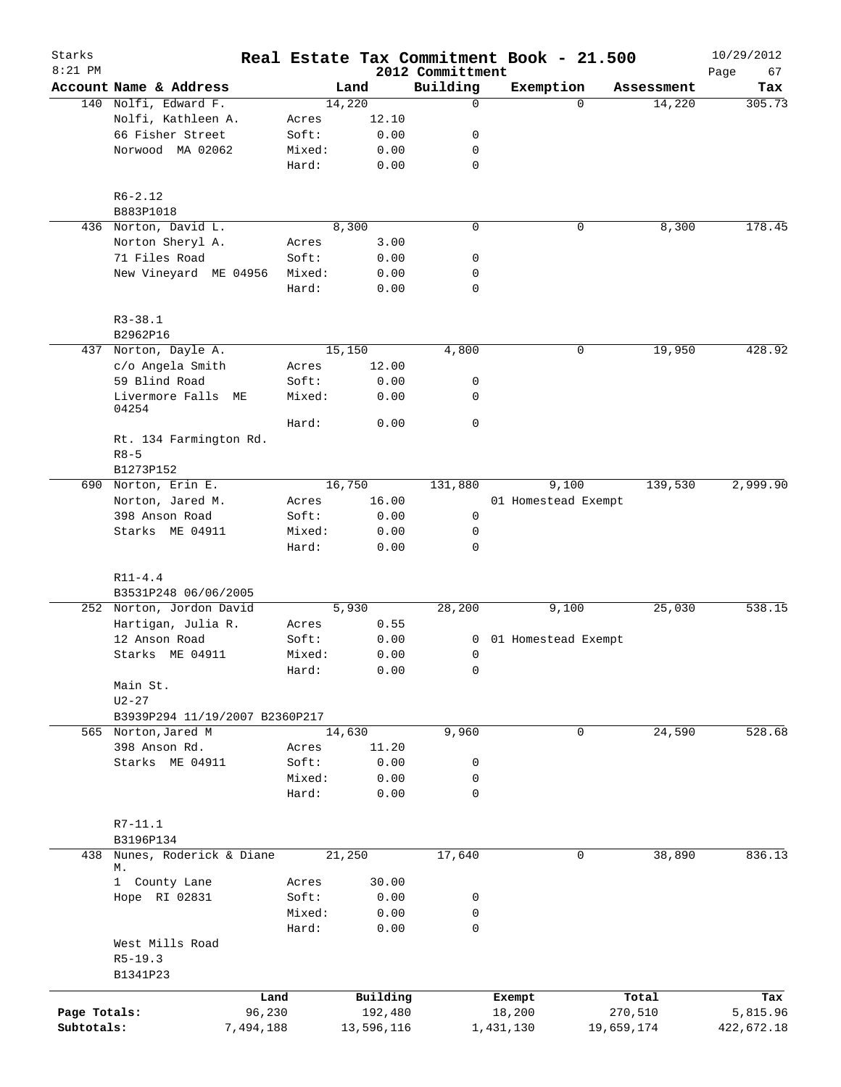| Starks       |                                        |                                |              |                              | Real Estate Tax Commitment Book - 21.500 |          |            | 10/29/2012        |
|--------------|----------------------------------------|--------------------------------|--------------|------------------------------|------------------------------------------|----------|------------|-------------------|
| $8:21$ PM    | Account Name & Address                 |                                | Land         | 2012 Committment<br>Building | Exemption                                |          | Assessment | 67<br>Page<br>Tax |
|              | 140 Nolfi, Edward F.                   |                                | 14,220       | $\mathbf 0$                  |                                          | $\Omega$ | 14,220     | 305.73            |
|              | Nolfi, Kathleen A.                     | Acres                          | 12.10        |                              |                                          |          |            |                   |
|              | 66 Fisher Street                       | Soft:                          | 0.00         | 0                            |                                          |          |            |                   |
|              | Norwood MA 02062                       | Mixed:                         | 0.00         | 0                            |                                          |          |            |                   |
|              |                                        | Hard:                          | 0.00         | $\mathbf 0$                  |                                          |          |            |                   |
|              | $R6 - 2.12$                            |                                |              |                              |                                          |          |            |                   |
|              | B883P1018                              |                                |              |                              |                                          |          |            |                   |
|              | 436 Norton, David L.                   |                                | 8,300        | $\mathbf 0$                  |                                          | 0        | 8,300      | 178.45            |
|              | Norton Sheryl A.                       | Acres                          | 3.00         |                              |                                          |          |            |                   |
|              | 71 Files Road                          | Soft:                          | 0.00         | 0                            |                                          |          |            |                   |
|              | New Vineyard ME 04956                  | Mixed:                         | 0.00         | 0                            |                                          |          |            |                   |
|              |                                        | Hard:                          | 0.00         | $\mathbf 0$                  |                                          |          |            |                   |
|              | $R3 - 38.1$                            |                                |              |                              |                                          |          |            |                   |
|              | B2962P16                               |                                |              |                              |                                          |          |            | 428.92            |
|              | 437 Norton, Dayle A.                   |                                | 15,150       | 4,800                        |                                          | 0        | 19,950     |                   |
|              | c/o Angela Smith                       | Acres                          | 12.00        |                              |                                          |          |            |                   |
|              | 59 Blind Road<br>Livermore Falls<br>МE | Soft:<br>Mixed:                | 0.00<br>0.00 | 0<br>0                       |                                          |          |            |                   |
|              | 04254                                  |                                |              |                              |                                          |          |            |                   |
|              |                                        | Hard:                          | 0.00         | $\mathbf 0$                  |                                          |          |            |                   |
|              | Rt. 134 Farmington Rd.                 |                                |              |                              |                                          |          |            |                   |
|              | $R8 - 5$                               |                                |              |                              |                                          |          |            |                   |
|              | B1273P152                              |                                | 16,750       | 131,880                      |                                          |          | 139,530    |                   |
|              | 690 Norton, Erin E.                    |                                |              |                              | 9,100                                    |          |            | 2,999.90          |
|              | Norton, Jared M.                       | Acres                          | 16.00        |                              | 01 Homestead Exempt                      |          |            |                   |
|              | 398 Anson Road                         | Soft:                          | 0.00<br>0.00 | $\mathbf 0$                  |                                          |          |            |                   |
|              | Starks ME 04911                        | Mixed:<br>Hard:                | 0.00         | 0<br>$\mathbf 0$             |                                          |          |            |                   |
|              | $R11 - 4.4$                            |                                |              |                              |                                          |          |            |                   |
|              | B3531P248 06/06/2005                   |                                |              |                              |                                          |          |            |                   |
|              | 252 Norton, Jordon David               |                                | 5,930        | 28,200                       | 9,100                                    |          | 25,030     | 538.15            |
|              | Hartigan, Julia R.                     | Acres                          | 0.55         |                              |                                          |          |            |                   |
|              | 12 Anson Road                          | Soft:                          | 0.00         | 0                            | 01 Homestead Exempt                      |          |            |                   |
|              | Starks ME 04911                        | Mixed:                         | 0.00         | 0                            |                                          |          |            |                   |
|              |                                        | Hard:                          | 0.00         | $\mathsf 0$                  |                                          |          |            |                   |
|              | Main St.                               |                                |              |                              |                                          |          |            |                   |
|              | $U2 - 27$                              |                                |              |                              |                                          |          |            |                   |
|              |                                        | B3939P294 11/19/2007 B2360P217 |              |                              |                                          |          |            |                   |
|              | 565 Norton, Jared M                    |                                | 14,630       | 9,960                        |                                          | 0        | 24,590     | 528.68            |
|              | 398 Anson Rd.                          | Acres                          | 11.20        |                              |                                          |          |            |                   |
|              | Starks ME 04911                        | Soft:                          | 0.00         | 0                            |                                          |          |            |                   |
|              |                                        | Mixed:                         | 0.00         | 0                            |                                          |          |            |                   |
|              |                                        | Hard:                          | 0.00         | $\mathbf 0$                  |                                          |          |            |                   |
|              | $R7 - 11.1$                            |                                |              |                              |                                          |          |            |                   |
|              | B3196P134                              |                                |              |                              |                                          |          |            |                   |
| 438          | Nunes, Roderick & Diane<br>М.          |                                | 21,250       | 17,640                       |                                          | 0        | 38,890     | 836.13            |
|              | 1 County Lane                          | Acres                          | 30.00        |                              |                                          |          |            |                   |
|              | Hope RI 02831                          | Soft:                          | 0.00         | 0                            |                                          |          |            |                   |
|              |                                        | Mixed:                         | 0.00         | 0                            |                                          |          |            |                   |
|              |                                        | Hard:                          | 0.00         | $\mathbf 0$                  |                                          |          |            |                   |
|              | West Mills Road                        |                                |              |                              |                                          |          |            |                   |
|              | $R5-19.3$                              |                                |              |                              |                                          |          |            |                   |
|              | B1341P23                               |                                |              |                              |                                          |          |            |                   |
|              |                                        | Land                           | Building     |                              | Exempt                                   |          | Total      | Tax               |
| Page Totals: |                                        | 96,230                         | 192,480      |                              | 18,200                                   |          | 270,510    | 5,815.96          |
| Subtotals:   |                                        | 7,494,188                      | 13,596,116   |                              | 1,431,130                                |          | 19,659,174 | 422,672.18        |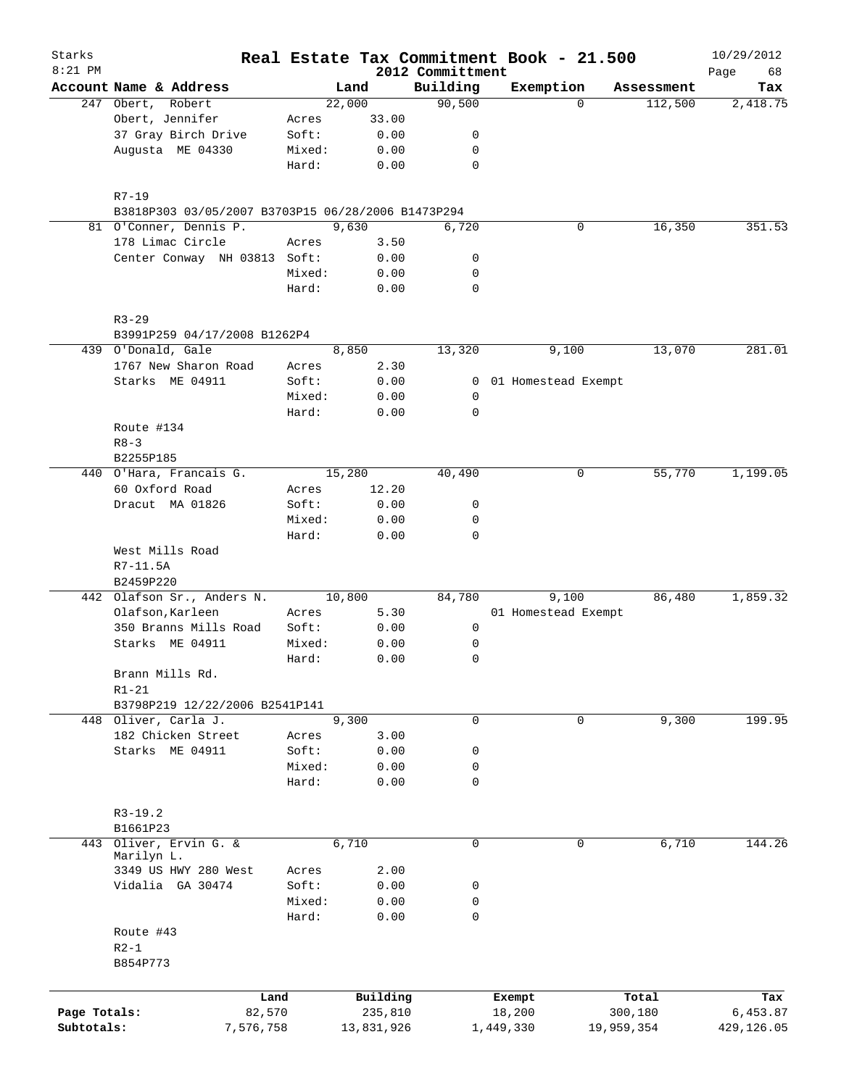| Starks       |                                                    |        |            |                              | Real Estate Tax Commitment Book - 21.500 |            | 10/29/2012        |
|--------------|----------------------------------------------------|--------|------------|------------------------------|------------------------------------------|------------|-------------------|
| $8:21$ PM    | Account Name & Address                             |        | Land       | 2012 Committment<br>Building | Exemption                                | Assessment | Page<br>68<br>Tax |
|              | 247 Obert, Robert                                  |        | 22,000     | 90,500                       | $\Omega$                                 | 112,500    | 2,418.75          |
|              | Obert, Jennifer                                    | Acres  | 33.00      |                              |                                          |            |                   |
|              | 37 Gray Birch Drive                                | Soft:  | 0.00       | 0                            |                                          |            |                   |
|              | Augusta ME 04330                                   | Mixed: | 0.00       | 0                            |                                          |            |                   |
|              |                                                    | Hard:  | 0.00       | $\mathbf 0$                  |                                          |            |                   |
|              | $R7 - 19$                                          |        |            |                              |                                          |            |                   |
|              | B3818P303 03/05/2007 B3703P15 06/28/2006 B1473P294 |        |            |                              |                                          |            |                   |
|              | 81 O'Conner, Dennis P.                             |        | 9,630      | 6,720                        | 0                                        | 16,350     | 351.53            |
|              | 178 Limac Circle                                   | Acres  | 3.50       |                              |                                          |            |                   |
|              | Center Conway NH 03813 Soft:                       |        | 0.00       | 0                            |                                          |            |                   |
|              |                                                    | Mixed: | 0.00       | 0<br>$\mathbf 0$             |                                          |            |                   |
|              |                                                    | Hard:  | 0.00       |                              |                                          |            |                   |
|              | $R3 - 29$<br>B3991P259 04/17/2008 B1262P4          |        |            |                              |                                          |            |                   |
|              | 439 O'Donald, Gale                                 |        | 8,850      | 13,320                       | 9,100                                    | 13,070     | 281.01            |
|              | 1767 New Sharon Road                               | Acres  | 2.30       |                              |                                          |            |                   |
|              | Starks ME 04911                                    | Soft:  | 0.00       | $\mathbf{0}$                 | 01 Homestead Exempt                      |            |                   |
|              |                                                    | Mixed: | 0.00       | 0                            |                                          |            |                   |
|              |                                                    | Hard:  | 0.00       | 0                            |                                          |            |                   |
|              | Route #134                                         |        |            |                              |                                          |            |                   |
|              | $R8 - 3$                                           |        |            |                              |                                          |            |                   |
|              | B2255P185                                          |        |            |                              |                                          |            |                   |
|              | 440 O'Hara, Francais G.                            |        | 15,280     | 40,490                       | 0                                        | 55,770     | 1,199.05          |
|              | 60 Oxford Road                                     | Acres  | 12.20      |                              |                                          |            |                   |
|              | Dracut MA 01826                                    | Soft:  | 0.00       | 0                            |                                          |            |                   |
|              |                                                    | Mixed: | 0.00       | 0                            |                                          |            |                   |
|              |                                                    | Hard:  | 0.00       | $\Omega$                     |                                          |            |                   |
|              | West Mills Road                                    |        |            |                              |                                          |            |                   |
|              | $R7 - 11.5A$<br>B2459P220                          |        |            |                              |                                          |            |                   |
|              | 442 Olafson Sr., Anders N.                         |        | 10,800     | 84,780                       | 9,100                                    | 86,480     | 1,859.32          |
|              | Olafson, Karleen                                   | Acres  | 5.30       |                              | 01 Homestead Exempt                      |            |                   |
|              | 350 Branns Mills Road                              | Soft:  | 0.00       | 0                            |                                          |            |                   |
|              | Starks ME 04911                                    | Mixed: | 0.00       | 0                            |                                          |            |                   |
|              |                                                    | Hard:  | 0.00       | 0                            |                                          |            |                   |
|              | Brann Mills Rd.<br>$R1-21$                         |        |            |                              |                                          |            |                   |
|              | B3798P219 12/22/2006 B2541P141                     |        |            |                              |                                          |            |                   |
|              | 448 Oliver, Carla J.                               |        | 9,300      | 0                            | 0                                        | 9,300      | 199.95            |
|              | 182 Chicken Street                                 | Acres  | 3.00       |                              |                                          |            |                   |
|              | Starks ME 04911                                    | Soft:  | 0.00       | 0                            |                                          |            |                   |
|              |                                                    | Mixed: | 0.00       | 0                            |                                          |            |                   |
|              |                                                    | Hard:  | 0.00       | 0                            |                                          |            |                   |
|              | $R3-19.2$                                          |        |            |                              |                                          |            |                   |
|              | B1661P23                                           |        |            |                              |                                          |            |                   |
|              | 443 Oliver, Ervin G. &<br>Marilyn L.               |        | 6,710      | 0                            | 0                                        | 6,710      | 144.26            |
|              | 3349 US HWY 280 West                               | Acres  | 2.00       |                              |                                          |            |                   |
|              | Vidalia GA 30474                                   | Soft:  | 0.00       | 0                            |                                          |            |                   |
|              |                                                    | Mixed: | 0.00       | 0                            |                                          |            |                   |
|              |                                                    | Hard:  | 0.00       | 0                            |                                          |            |                   |
|              | Route #43<br>$R2-1$<br>B854P773                    |        |            |                              |                                          |            |                   |
|              |                                                    |        |            |                              |                                          |            |                   |
|              | Land                                               |        | Building   |                              | Exempt                                   | Total      | Tax               |
| Page Totals: | 82,570                                             |        | 235,810    |                              | 18,200                                   | 300,180    | 6,453.87          |
| Subtotals:   | 7,576,758                                          |        | 13,831,926 |                              | 1,449,330                                | 19,959,354 | 429,126.05        |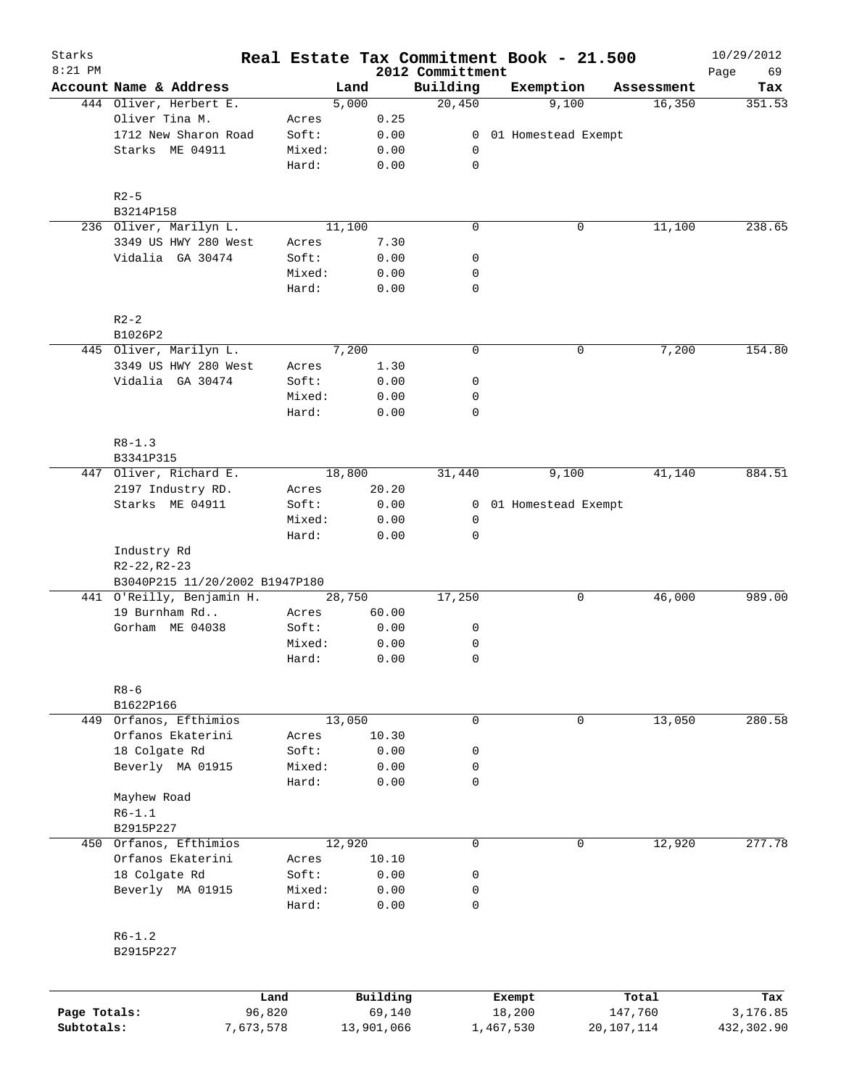| Starks       |                                |                 |            |              |                              |           | Real Estate Tax Commitment Book - 21.500 |            | 10/29/2012        |
|--------------|--------------------------------|-----------------|------------|--------------|------------------------------|-----------|------------------------------------------|------------|-------------------|
| $8:21$ PM    | Account Name & Address         |                 | Land       |              | 2012 Committment<br>Building |           | Exemption                                | Assessment | Page<br>69<br>Tax |
|              | 444 Oliver, Herbert E.         |                 | 5,000      |              | 20,450                       |           | 9,100                                    | 16,350     | 351.53            |
|              | Oliver Tina M.                 | Acres           |            | 0.25         |                              |           |                                          |            |                   |
|              | 1712 New Sharon Road           | Soft:           |            | 0.00         | 0                            |           | 01 Homestead Exempt                      |            |                   |
|              | Starks ME 04911                | Mixed:          |            | 0.00         | 0                            |           |                                          |            |                   |
|              |                                | Hard:           |            | 0.00         | $\mathsf{O}$                 |           |                                          |            |                   |
|              | $R2-5$                         |                 |            |              |                              |           |                                          |            |                   |
|              | B3214P158                      |                 |            |              |                              |           |                                          |            |                   |
|              | 236 Oliver, Marilyn L.         |                 | 11,100     |              | $\mathbf 0$                  |           | 0                                        | 11,100     | 238.65            |
|              | 3349 US HWY 280 West           | Acres           |            | 7.30         |                              |           |                                          |            |                   |
|              | Vidalia GA 30474               | Soft:           |            | 0.00         | 0                            |           |                                          |            |                   |
|              |                                | Mixed:          |            | 0.00         | 0                            |           |                                          |            |                   |
|              |                                | Hard:           |            | 0.00         | $\mathbf 0$                  |           |                                          |            |                   |
|              | $R2-2$                         |                 |            |              |                              |           |                                          |            |                   |
|              | B1026P2                        |                 |            |              |                              |           |                                          |            |                   |
|              | 445 Oliver, Marilyn L.         |                 | 7,200      |              | $\mathbf 0$                  |           | 0                                        | 7,200      | 154.80            |
|              | 3349 US HWY 280 West           | Acres           |            | 1.30         |                              |           |                                          |            |                   |
|              | Vidalia GA 30474               | Soft:           |            | 0.00         | 0                            |           |                                          |            |                   |
|              |                                | Mixed:          |            | 0.00         | 0                            |           |                                          |            |                   |
|              |                                | Hard:           |            | 0.00         | $\mathsf{O}$                 |           |                                          |            |                   |
|              | $R8 - 1.3$                     |                 |            |              |                              |           |                                          |            |                   |
|              | B3341P315                      |                 |            |              |                              |           |                                          |            |                   |
|              | 447 Oliver, Richard E.         |                 | 18,800     |              | 31,440                       |           | 9,100                                    | 41,140     | 884.51            |
|              | 2197 Industry RD.              | Acres           |            | 20.20        |                              |           |                                          |            |                   |
|              | Starks ME 04911                | Soft:           |            | 0.00         | 0                            |           | 01 Homestead Exempt                      |            |                   |
|              |                                | Mixed:          |            | 0.00         | 0                            |           |                                          |            |                   |
|              | Industry Rd<br>$R2-22, R2-23$  | Hard:           |            | 0.00         | $\mathbf 0$                  |           |                                          |            |                   |
|              | B3040P215 11/20/2002 B1947P180 |                 |            |              |                              |           |                                          |            |                   |
|              | 441 O'Reilly, Benjamin H.      |                 | 28,750     |              | 17,250                       |           | 0                                        | 46,000     | 989.00            |
|              | 19 Burnham Rd                  | Acres           |            | 60.00        |                              |           |                                          |            |                   |
|              | Gorham ME 04038                | Soft:           |            | 0.00         | 0                            |           |                                          |            |                   |
|              |                                | Mixed:          |            | 0.00         | 0                            |           |                                          |            |                   |
|              |                                | Hard:           |            | 0.00         | $\mathbf 0$                  |           |                                          |            |                   |
|              | $R8 - 6$                       |                 |            |              |                              |           |                                          |            |                   |
|              | B1622P166                      |                 |            |              |                              |           |                                          |            |                   |
|              | 449 Orfanos, Efthimios         |                 | 13,050     |              | 0                            |           | $\mathbf 0$                              | 13,050     | 280.58            |
|              | Orfanos Ekaterini              | Acres           |            | 10.30        |                              |           |                                          |            |                   |
|              | 18 Colgate Rd                  | Soft:           |            | 0.00         | 0                            |           |                                          |            |                   |
|              | Beverly MA 01915               | Mixed:          |            | 0.00         | 0                            |           |                                          |            |                   |
|              |                                | Hard:           |            | 0.00         | $\mathbf 0$                  |           |                                          |            |                   |
|              | Mayhew Road                    |                 |            |              |                              |           |                                          |            |                   |
|              | $R6 - 1.1$                     |                 |            |              |                              |           |                                          |            |                   |
|              | B2915P227                      |                 |            |              |                              |           |                                          |            |                   |
|              | 450 Orfanos, Efthimios         |                 | 12,920     |              | $\mathbf 0$                  |           | $\mathbf 0$                              | 12,920     | 277.78            |
|              | Orfanos Ekaterini              | Acres           |            | 10.10        |                              |           |                                          |            |                   |
|              | 18 Colgate Rd                  | Soft:           |            | 0.00         | 0                            |           |                                          |            |                   |
|              |                                |                 |            |              |                              |           |                                          |            |                   |
|              | Beverly MA 01915               | Mixed:<br>Hard: |            | 0.00<br>0.00 | 0<br>$\mathbf 0$             |           |                                          |            |                   |
|              | $R6 - 1.2$                     |                 |            |              |                              |           |                                          |            |                   |
|              | B2915P227                      |                 |            |              |                              |           |                                          |            |                   |
|              |                                | Land            |            | Building     |                              |           | Exempt                                   | Total      | Tax               |
| Page Totals: |                                | 96,820          |            | 69,140       |                              |           | 18,200                                   | 147,760    | 3,176.85          |
| Subtotals:   |                                | 7,673,578       | 13,901,066 |              |                              | 1,467,530 |                                          | 20,107,114 | 432,302.90        |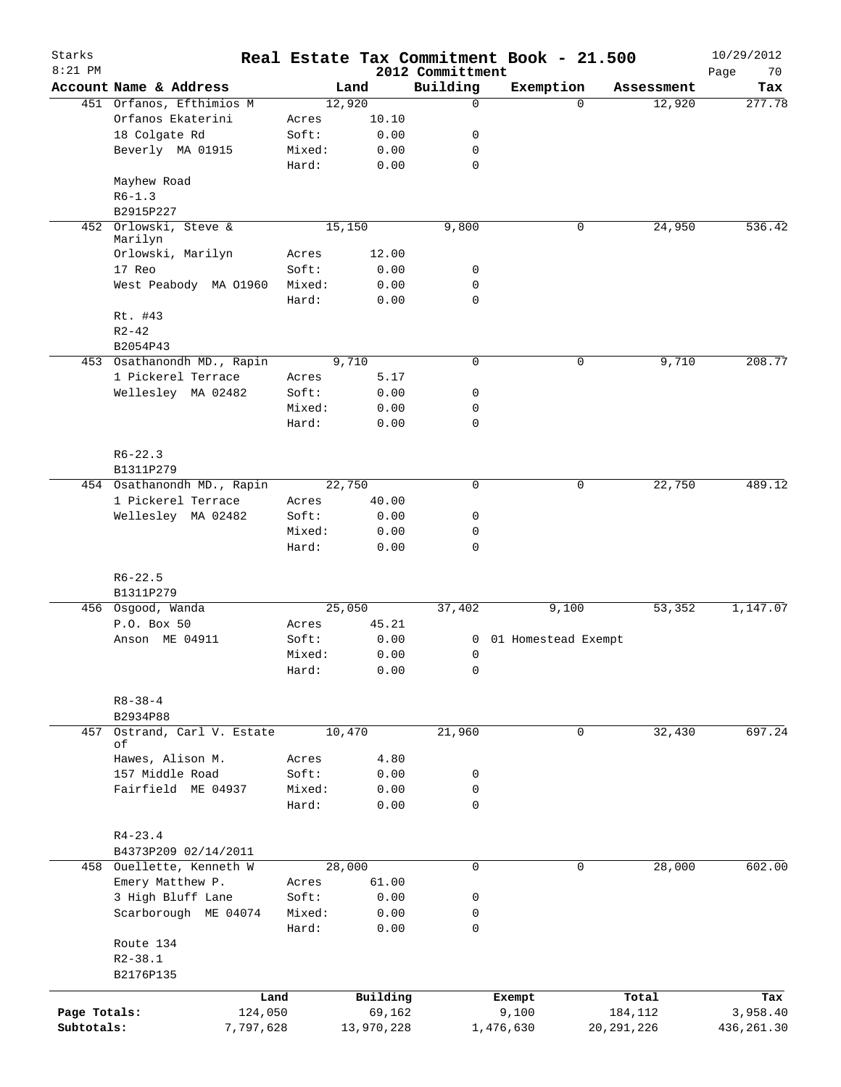| Starks<br>$8:21$ PM |                               |        |            | 2012 Committment | Real Estate Tax Commitment Book - 21.500 |                    | 10/29/2012        |
|---------------------|-------------------------------|--------|------------|------------------|------------------------------------------|--------------------|-------------------|
|                     | Account Name & Address        |        | Land       | Building         | Exemption                                | Assessment         | Page<br>70<br>Tax |
|                     | 451 Orfanos, Efthimios M      |        | 12,920     | $\mathbf 0$      |                                          | $\Omega$<br>12,920 | 277.78            |
|                     | Orfanos Ekaterini             | Acres  | 10.10      |                  |                                          |                    |                   |
|                     | 18 Colgate Rd                 | Soft:  | 0.00       | 0                |                                          |                    |                   |
|                     | Beverly MA 01915              | Mixed: | 0.00       | 0                |                                          |                    |                   |
|                     |                               | Hard:  | 0.00       | $\mathbf 0$      |                                          |                    |                   |
|                     | Mayhew Road                   |        |            |                  |                                          |                    |                   |
|                     | $R6-1.3$                      |        |            |                  |                                          |                    |                   |
|                     | B2915P227                     |        |            |                  |                                          |                    |                   |
| 452                 | Orlowski, Steve &             |        | 15,150     | 9,800            |                                          | 24,950<br>0        | 536.42            |
|                     | Marilyn                       |        |            |                  |                                          |                    |                   |
|                     | Orlowski, Marilyn             | Acres  | 12.00      |                  |                                          |                    |                   |
|                     | 17 Reo                        | Soft:  | 0.00       | 0                |                                          |                    |                   |
|                     | West Peabody MA 01960         | Mixed: | 0.00       | $\mathbf 0$      |                                          |                    |                   |
|                     |                               | Hard:  | 0.00       | $\mathbf 0$      |                                          |                    |                   |
|                     | Rt. #43                       |        |            |                  |                                          |                    |                   |
|                     | $R2 - 42$                     |        |            |                  |                                          |                    |                   |
|                     | B2054P43                      |        |            |                  |                                          |                    |                   |
|                     | 453 Osathanondh MD., Rapin    |        | 9,710      | 0                |                                          | 0<br>9,710         | 208.77            |
|                     | 1 Pickerel Terrace            | Acres  | 5.17       |                  |                                          |                    |                   |
|                     | Wellesley MA 02482            | Soft:  | 0.00       | 0                |                                          |                    |                   |
|                     |                               | Mixed: | 0.00       | 0                |                                          |                    |                   |
|                     |                               | Hard:  | 0.00       | $\mathbf 0$      |                                          |                    |                   |
|                     |                               |        |            |                  |                                          |                    |                   |
|                     | $R6 - 22.3$                   |        |            |                  |                                          |                    |                   |
|                     | B1311P279                     |        |            |                  |                                          |                    |                   |
|                     | 454 Osathanondh MD., Rapin    |        | 22,750     | $\mathbf 0$      |                                          | 22,750<br>0        | 489.12            |
|                     | 1 Pickerel Terrace            | Acres  | 40.00      |                  |                                          |                    |                   |
|                     |                               | Soft:  | 0.00       | 0                |                                          |                    |                   |
|                     | Wellesley MA 02482            | Mixed: | 0.00       | $\mathbf 0$      |                                          |                    |                   |
|                     |                               |        |            | $\mathbf 0$      |                                          |                    |                   |
|                     |                               | Hard:  | 0.00       |                  |                                          |                    |                   |
|                     |                               |        |            |                  |                                          |                    |                   |
|                     | $R6 - 22.5$                   |        |            |                  |                                          |                    |                   |
|                     | B1311P279                     |        |            |                  |                                          |                    |                   |
|                     | 456 Osgood, Wanda             |        | 25,050     | 37,402           | 9,100                                    | 53,352             | 1,147.07          |
|                     | P.O. Box 50                   | Acres  | 45.21      |                  |                                          |                    |                   |
|                     | Anson ME 04911                | Soft:  | 0.00       | 0                | 01 Homestead Exempt                      |                    |                   |
|                     |                               | Mixed: | 0.00       | 0                |                                          |                    |                   |
|                     |                               | Hard:  | 0.00       | 0                |                                          |                    |                   |
|                     |                               |        |            |                  |                                          |                    |                   |
|                     | $R8 - 38 - 4$                 |        |            |                  |                                          |                    |                   |
|                     | B2934P88                      |        |            |                  |                                          |                    |                   |
| 457                 | Ostrand, Carl V. Estate<br>οf |        | 10,470     | 21,960           |                                          | 32,430<br>0        | 697.24            |
|                     | Hawes, Alison M.              | Acres  | 4.80       |                  |                                          |                    |                   |
|                     | 157 Middle Road               | Soft:  | 0.00       | 0                |                                          |                    |                   |
|                     | Fairfield ME 04937            |        |            |                  |                                          |                    |                   |
|                     |                               | Mixed: | 0.00       | 0<br>0           |                                          |                    |                   |
|                     |                               | Hard:  | 0.00       |                  |                                          |                    |                   |
|                     |                               |        |            |                  |                                          |                    |                   |
|                     | $R4 - 23.4$                   |        |            |                  |                                          |                    |                   |
|                     | B4373P209 02/14/2011          |        |            |                  |                                          |                    |                   |
|                     | 458 Ouellette, Kenneth W      |        | 28,000     | 0                |                                          | 28,000<br>0        | 602.00            |
|                     | Emery Matthew P.              | Acres  | 61.00      |                  |                                          |                    |                   |
|                     | 3 High Bluff Lane             | Soft:  | 0.00       | 0                |                                          |                    |                   |
|                     | Scarborough ME 04074          | Mixed: | 0.00       | 0                |                                          |                    |                   |
|                     |                               | Hard:  | 0.00       | 0                |                                          |                    |                   |
|                     | Route 134                     |        |            |                  |                                          |                    |                   |
|                     | $R2 - 38.1$                   |        |            |                  |                                          |                    |                   |
|                     | B2176P135                     |        |            |                  |                                          |                    |                   |
|                     | Land                          |        | Building   |                  | Exempt                                   | Total              | Tax               |
| Page Totals:        | 124,050                       |        | 69,162     |                  | 9,100                                    | 184,112            | 3,958.40          |
| Subtotals:          | 7,797,628                     |        | 13,970,228 |                  | 1,476,630                                | 20, 291, 226       | 436, 261.30       |
|                     |                               |        |            |                  |                                          |                    |                   |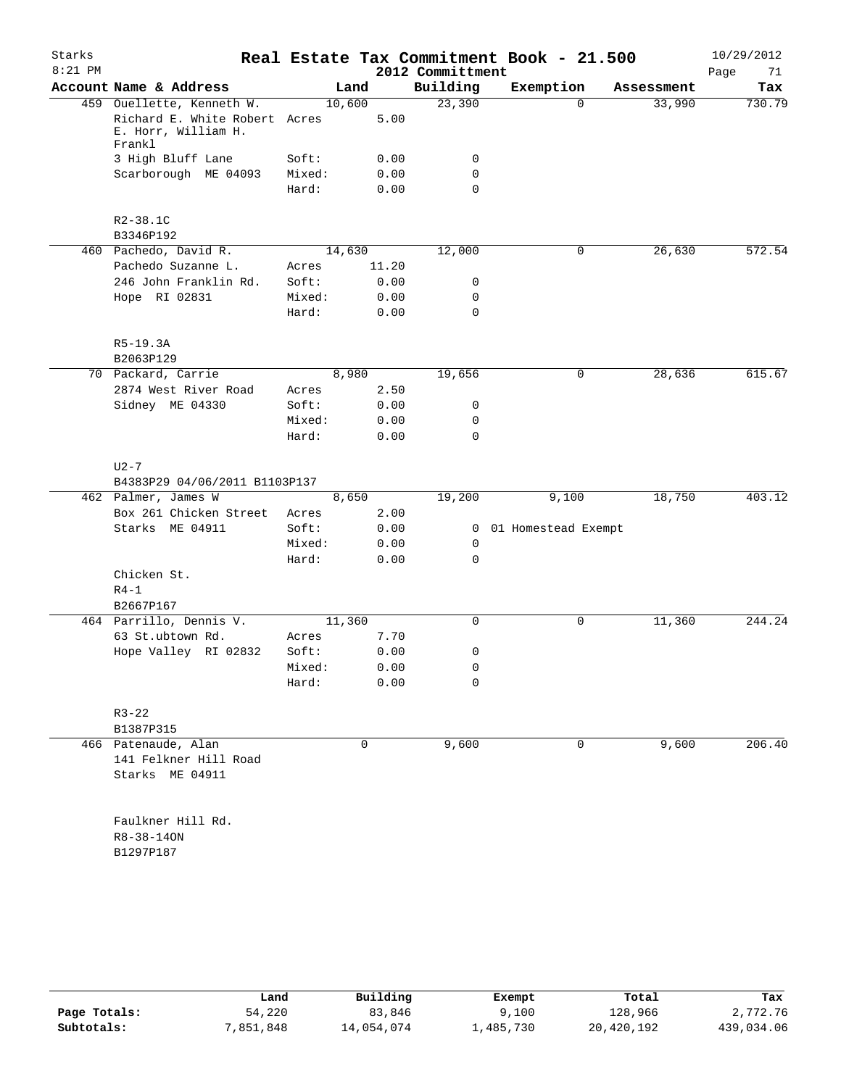| Account Name & Address<br>459 Ouellette, Kenneth W.<br>Richard E. White Robert Acres<br>E. Horr, William H.<br>Frankl<br>3 High Bluff Lane<br>Scarborough ME 04093<br>$R2 - 38.1C$<br>B3346P192<br>460 Pachedo, David R. | 10,600<br>Soft:<br>Mixed:<br>Hard:                                                                                                                          | Land<br>5.00<br>0.00<br>0.00<br>0.00                                                           | Building<br>23,390<br>0<br>0<br>$\mathbf 0$ | Exemption<br>$\Omega$                                                                                                                                                       | Assessment<br>33,990 | Page<br>Tax<br>730.79                               |
|--------------------------------------------------------------------------------------------------------------------------------------------------------------------------------------------------------------------------|-------------------------------------------------------------------------------------------------------------------------------------------------------------|------------------------------------------------------------------------------------------------|---------------------------------------------|-----------------------------------------------------------------------------------------------------------------------------------------------------------------------------|----------------------|-----------------------------------------------------|
|                                                                                                                                                                                                                          |                                                                                                                                                             |                                                                                                |                                             |                                                                                                                                                                             |                      |                                                     |
|                                                                                                                                                                                                                          |                                                                                                                                                             |                                                                                                |                                             |                                                                                                                                                                             |                      |                                                     |
|                                                                                                                                                                                                                          |                                                                                                                                                             |                                                                                                |                                             |                                                                                                                                                                             |                      |                                                     |
|                                                                                                                                                                                                                          |                                                                                                                                                             |                                                                                                |                                             |                                                                                                                                                                             |                      |                                                     |
|                                                                                                                                                                                                                          |                                                                                                                                                             |                                                                                                |                                             |                                                                                                                                                                             |                      |                                                     |
|                                                                                                                                                                                                                          |                                                                                                                                                             |                                                                                                |                                             |                                                                                                                                                                             |                      |                                                     |
|                                                                                                                                                                                                                          |                                                                                                                                                             |                                                                                                |                                             |                                                                                                                                                                             |                      |                                                     |
|                                                                                                                                                                                                                          |                                                                                                                                                             |                                                                                                |                                             |                                                                                                                                                                             |                      |                                                     |
|                                                                                                                                                                                                                          | 14,630                                                                                                                                                      |                                                                                                | 12,000                                      | 0                                                                                                                                                                           | 26,630               | 572.54                                              |
| Pachedo Suzanne L.                                                                                                                                                                                                       | Acres                                                                                                                                                       | 11.20                                                                                          |                                             |                                                                                                                                                                             |                      |                                                     |
| 246 John Franklin Rd.                                                                                                                                                                                                    | Soft:                                                                                                                                                       |                                                                                                | 0                                           |                                                                                                                                                                             |                      |                                                     |
| Hope RI 02831                                                                                                                                                                                                            | Mixed:                                                                                                                                                      |                                                                                                | 0                                           |                                                                                                                                                                             |                      |                                                     |
|                                                                                                                                                                                                                          | Hard:                                                                                                                                                       |                                                                                                | $\mathbf 0$                                 |                                                                                                                                                                             |                      |                                                     |
| $R5-19.3A$                                                                                                                                                                                                               |                                                                                                                                                             |                                                                                                |                                             |                                                                                                                                                                             |                      |                                                     |
|                                                                                                                                                                                                                          |                                                                                                                                                             |                                                                                                |                                             |                                                                                                                                                                             |                      |                                                     |
|                                                                                                                                                                                                                          |                                                                                                                                                             |                                                                                                |                                             |                                                                                                                                                                             |                      | 615.67                                              |
|                                                                                                                                                                                                                          |                                                                                                                                                             |                                                                                                |                                             |                                                                                                                                                                             |                      |                                                     |
|                                                                                                                                                                                                                          |                                                                                                                                                             |                                                                                                |                                             |                                                                                                                                                                             |                      |                                                     |
|                                                                                                                                                                                                                          |                                                                                                                                                             |                                                                                                |                                             |                                                                                                                                                                             |                      |                                                     |
|                                                                                                                                                                                                                          |                                                                                                                                                             |                                                                                                |                                             |                                                                                                                                                                             |                      |                                                     |
| $U2 - 7$                                                                                                                                                                                                                 |                                                                                                                                                             |                                                                                                |                                             |                                                                                                                                                                             |                      |                                                     |
|                                                                                                                                                                                                                          |                                                                                                                                                             |                                                                                                |                                             |                                                                                                                                                                             |                      |                                                     |
| 462 Palmer, James W                                                                                                                                                                                                      |                                                                                                                                                             |                                                                                                |                                             |                                                                                                                                                                             |                      | 403.12                                              |
| Box 261 Chicken Street                                                                                                                                                                                                   | Acres                                                                                                                                                       |                                                                                                |                                             |                                                                                                                                                                             |                      |                                                     |
| Starks ME 04911                                                                                                                                                                                                          | Soft:                                                                                                                                                       |                                                                                                |                                             |                                                                                                                                                                             |                      |                                                     |
|                                                                                                                                                                                                                          | Mixed:                                                                                                                                                      |                                                                                                | 0                                           |                                                                                                                                                                             |                      |                                                     |
|                                                                                                                                                                                                                          | Hard:                                                                                                                                                       |                                                                                                | $\mathbf 0$                                 |                                                                                                                                                                             |                      |                                                     |
| Chicken St.                                                                                                                                                                                                              |                                                                                                                                                             |                                                                                                |                                             |                                                                                                                                                                             |                      |                                                     |
| B2667P167                                                                                                                                                                                                                |                                                                                                                                                             |                                                                                                |                                             |                                                                                                                                                                             |                      |                                                     |
|                                                                                                                                                                                                                          |                                                                                                                                                             |                                                                                                | $\mathbf 0$                                 | 0                                                                                                                                                                           |                      | 244.24                                              |
|                                                                                                                                                                                                                          |                                                                                                                                                             |                                                                                                |                                             |                                                                                                                                                                             |                      |                                                     |
|                                                                                                                                                                                                                          |                                                                                                                                                             |                                                                                                |                                             |                                                                                                                                                                             |                      |                                                     |
|                                                                                                                                                                                                                          |                                                                                                                                                             |                                                                                                |                                             |                                                                                                                                                                             |                      |                                                     |
|                                                                                                                                                                                                                          | Hard:                                                                                                                                                       |                                                                                                | 0                                           |                                                                                                                                                                             |                      |                                                     |
| $R3 - 22$                                                                                                                                                                                                                |                                                                                                                                                             |                                                                                                |                                             |                                                                                                                                                                             |                      |                                                     |
| B1387P315                                                                                                                                                                                                                |                                                                                                                                                             |                                                                                                |                                             |                                                                                                                                                                             |                      |                                                     |
| 466 Patenaude, Alan                                                                                                                                                                                                      |                                                                                                                                                             | 0                                                                                              | 9,600                                       | 0                                                                                                                                                                           | 9,600                | 206.40                                              |
| 141 Felkner Hill Road<br>Starks ME 04911                                                                                                                                                                                 |                                                                                                                                                             |                                                                                                |                                             |                                                                                                                                                                             |                      |                                                     |
| Faulkner Hill Rd.<br>R8-38-140N<br>B1297P187                                                                                                                                                                             |                                                                                                                                                             |                                                                                                |                                             |                                                                                                                                                                             |                      |                                                     |
|                                                                                                                                                                                                                          | B2063P129<br>70 Packard, Carrie<br>2874 West River Road<br>Sidney ME 04330<br>$R4-1$<br>464 Parrillo, Dennis V.<br>63 St.ubtown Rd.<br>Hope Valley RI 02832 | Acres<br>Soft:<br>Mixed:<br>Hard:<br>B4383P29 04/06/2011 B1103P137<br>Acres<br>Soft:<br>Mixed: | 8,980<br>8,650<br>11,360                    | 0.00<br>0.00<br>0.00<br>19,656<br>2.50<br>0.00<br>0<br>0.00<br>0<br>$\mathbf 0$<br>0.00<br>19,200<br>2.00<br>0.00<br>0.00<br>0.00<br>7.70<br>0.00<br>0<br>0.00<br>0<br>0.00 | 0<br>9,100           | 28,636<br>18,750<br>0 01 Homestead Exempt<br>11,360 |

|              | Land      | Building   | Exempt    | Total      | Tax        |
|--------------|-----------|------------|-----------|------------|------------|
|              |           |            |           |            |            |
| Page Totals: | 54,220    | 83,846     | 9,100     | 128,966    | 2,772.76   |
| Subtotals:   | 7,851,848 | 14,054,074 | 1,485,730 | 20,420,192 | 439,034.06 |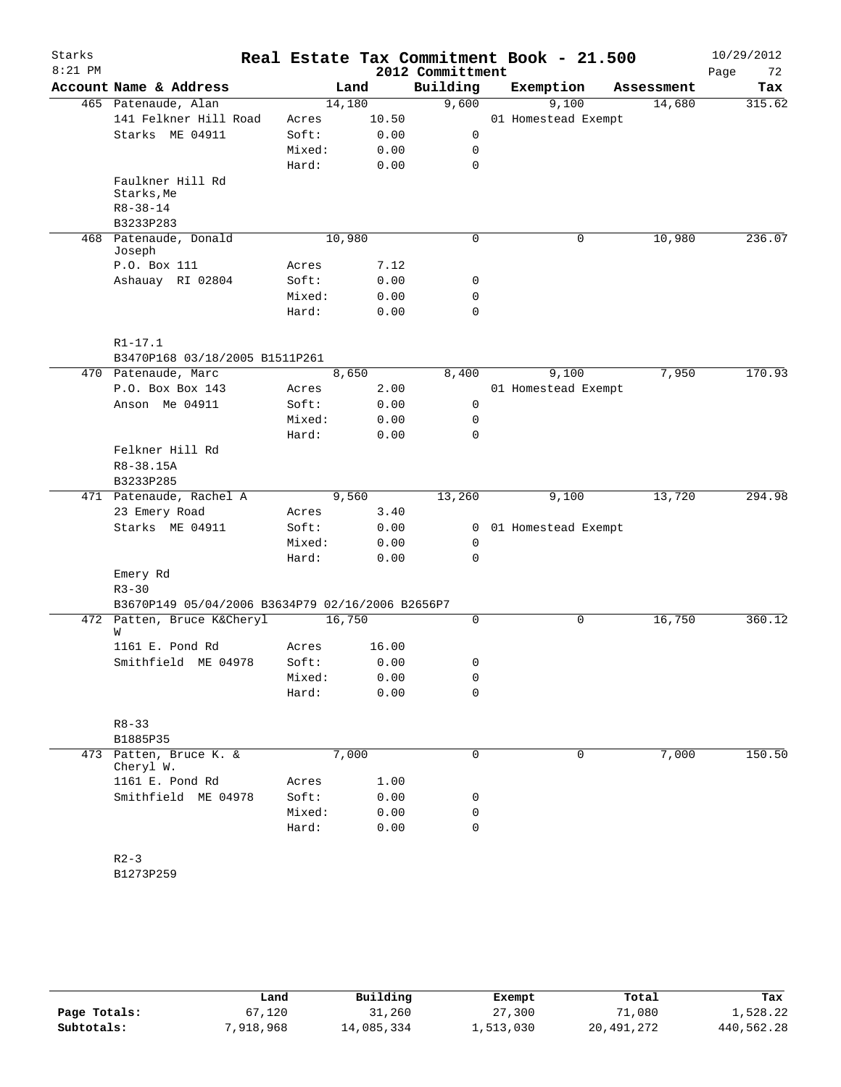| Starks<br>$8:21$ PM |                                                  |                 |        | 2012 Committment | Real Estate Tax Commitment Book - 21.500 |            | 10/29/2012<br>72<br>Page |
|---------------------|--------------------------------------------------|-----------------|--------|------------------|------------------------------------------|------------|--------------------------|
|                     | Account Name & Address                           |                 | Land   | Building         | Exemption                                | Assessment | Tax                      |
|                     | 465 Patenaude, Alan                              |                 | 14,180 | 9,600            | 9,100                                    | 14,680     | 315.62                   |
|                     | 141 Felkner Hill Road                            | Acres           | 10.50  |                  | 01 Homestead Exempt                      |            |                          |
|                     | Starks ME 04911                                  | Soft:           | 0.00   | 0                |                                          |            |                          |
|                     |                                                  | Mixed:          | 0.00   | 0                |                                          |            |                          |
|                     |                                                  | Hard:           | 0.00   | $\mathbf 0$      |                                          |            |                          |
|                     | Faulkner Hill Rd<br>Starks, Me<br>$R8 - 38 - 14$ |                 |        |                  |                                          |            |                          |
|                     | B3233P283                                        |                 |        |                  |                                          |            |                          |
|                     | 468 Patenaude, Donald<br>Joseph                  |                 | 10,980 | $\mathbf 0$      | 0                                        | 10,980     | 236.07                   |
|                     | P.O. Box 111                                     | Acres           | 7.12   |                  |                                          |            |                          |
|                     | Ashauay RI 02804                                 | Soft:           | 0.00   | 0                |                                          |            |                          |
|                     |                                                  | Mixed:<br>Hard: | 0.00   | 0<br>$\mathbf 0$ |                                          |            |                          |
|                     |                                                  |                 | 0.00   |                  |                                          |            |                          |
|                     | $R1 - 17.1$                                      |                 |        |                  |                                          |            |                          |
|                     | B3470P168 03/18/2005 B1511P261                   |                 |        |                  |                                          |            |                          |
|                     | 470 Patenaude, Marc                              |                 | 8,650  | 8,400            | 9,100                                    | 7,950      | 170.93                   |
|                     | P.O. Box Box 143                                 | Acres           | 2.00   |                  | 01 Homestead Exempt                      |            |                          |
|                     | Anson Me 04911                                   | Soft:           | 0.00   | 0                |                                          |            |                          |
|                     |                                                  | Mixed:          | 0.00   | 0                |                                          |            |                          |
|                     |                                                  | Hard:           | 0.00   | $\mathbf 0$      |                                          |            |                          |
|                     | Felkner Hill Rd<br>R8-38.15A                     |                 |        |                  |                                          |            |                          |
|                     | B3233P285                                        |                 |        |                  |                                          |            |                          |
|                     | 471 Patenaude, Rachel A                          |                 | 9,560  | 13,260           | 9,100                                    | 13,720     | 294.98                   |
|                     | 23 Emery Road                                    | Acres           | 3.40   |                  |                                          |            |                          |
|                     | Starks ME 04911                                  | Soft:           | 0.00   |                  | 0 01 Homestead Exempt                    |            |                          |
|                     |                                                  | Mixed:          | 0.00   | 0                |                                          |            |                          |
|                     |                                                  | Hard:           | 0.00   | $\mathbf 0$      |                                          |            |                          |
|                     | Emery Rd<br>$R3 - 30$                            |                 |        |                  |                                          |            |                          |
|                     | B3670P149 05/04/2006 B3634P79 02/16/2006 B2656P7 |                 |        |                  |                                          |            |                          |
|                     | 472 Patten, Bruce K&Cheryl<br>W                  |                 | 16,750 | $\mathbf 0$      | 0                                        | 16,750     | 360.12                   |
|                     | 1161 E. Pond Rd                                  | Acres           | 16.00  |                  |                                          |            |                          |
|                     | Smithfield ME 04978                              | Soft:           | 0.00   | 0                |                                          |            |                          |
|                     |                                                  | Mixed:          | 0.00   | 0                |                                          |            |                          |
|                     |                                                  | Hard:           | 0.00   | 0                |                                          |            |                          |
|                     | $R8 - 33$                                        |                 |        |                  |                                          |            |                          |
|                     | B1885P35                                         |                 |        |                  |                                          |            |                          |
| 473                 | Patten, Bruce K. &<br>Cheryl W.                  |                 | 7,000  | 0                | $\mathbf 0$                              | 7,000      | 150.50                   |
|                     | 1161 E. Pond Rd                                  | Acres           | 1.00   |                  |                                          |            |                          |
|                     | Smithfield ME 04978                              | Soft:           | 0.00   | 0                |                                          |            |                          |
|                     |                                                  | Mixed:          | 0.00   | 0                |                                          |            |                          |
|                     |                                                  | Hard:           | 0.00   | 0                |                                          |            |                          |
|                     | $R2 - 3$                                         |                 |        |                  |                                          |            |                          |
|                     | B1273P259                                        |                 |        |                  |                                          |            |                          |

|              | Land      | Building   | Exempt    | Total      | Tax        |
|--------------|-----------|------------|-----------|------------|------------|
| Page Totals: | 67,120    | 31,260     | 27,300    | 71,080     | 1,528.22   |
| Subtotals:   | 7,918,968 | 14,085,334 | 1,513,030 | 20,491,272 | 440,562.28 |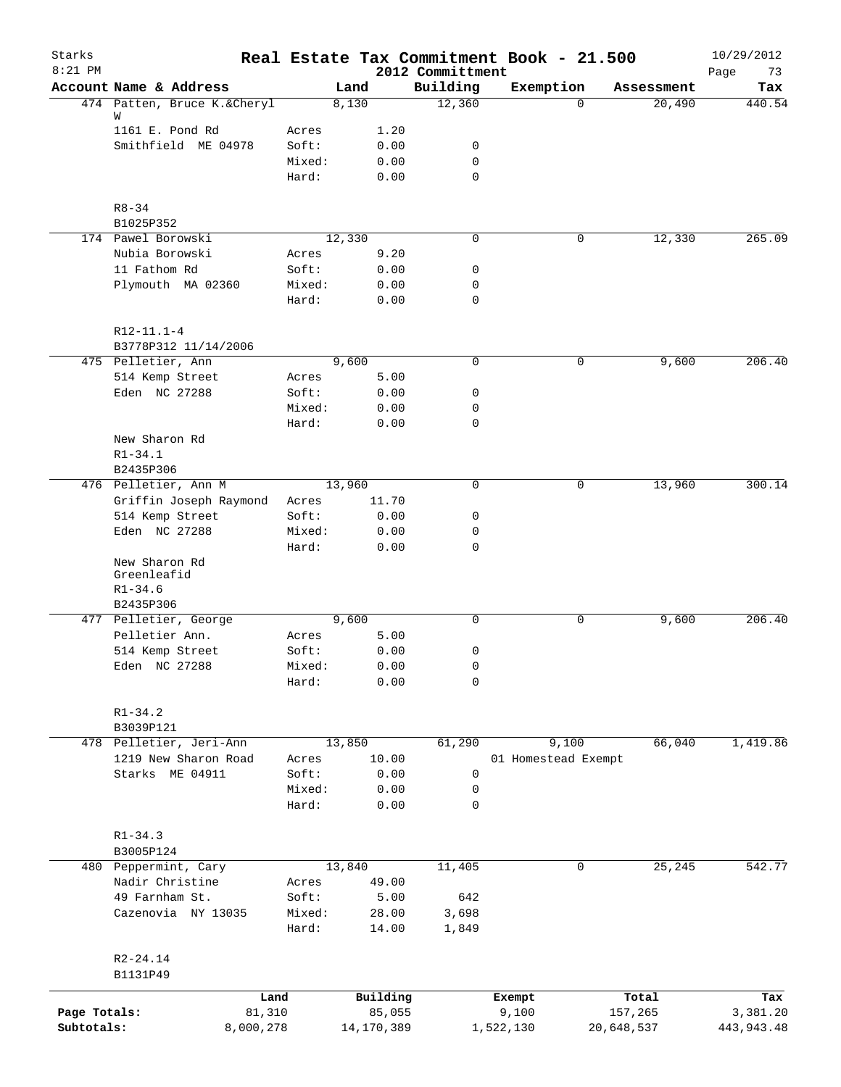| Starks                     |                                        |                 |                      |                              | Real Estate Tax Commitment Book - 21.500 |                       |            | 10/29/2012               |
|----------------------------|----------------------------------------|-----------------|----------------------|------------------------------|------------------------------------------|-----------------------|------------|--------------------------|
| $8:21$ PM                  | Account Name & Address                 |                 | Land                 | 2012 Committment<br>Building | Exemption                                |                       | Assessment | Page<br>73<br>Tax        |
|                            | 474 Patten, Bruce K.&Cheryl            |                 | 8,130                | 12,360                       |                                          | $\Omega$              | 20,490     | 440.54                   |
|                            | W                                      |                 |                      |                              |                                          |                       |            |                          |
|                            | 1161 E. Pond Rd<br>Smithfield ME 04978 | Acres           | 1.20                 | 0                            |                                          |                       |            |                          |
|                            |                                        | Soft:<br>Mixed: | 0.00<br>0.00         | 0                            |                                          |                       |            |                          |
|                            |                                        | Hard:           | 0.00                 | $\mathbf 0$                  |                                          |                       |            |                          |
|                            |                                        |                 |                      |                              |                                          |                       |            |                          |
|                            | $R8 - 34$                              |                 |                      |                              |                                          |                       |            |                          |
|                            | B1025P352                              |                 |                      |                              |                                          |                       |            |                          |
|                            | 174 Pawel Borowski                     |                 | 12,330               | 0                            |                                          | 0                     | 12,330     | 265.09                   |
|                            | Nubia Borowski                         | Acres           | 9.20                 |                              |                                          |                       |            |                          |
|                            | 11 Fathom Rd<br>Plymouth MA 02360      | Soft:<br>Mixed: | 0.00<br>0.00         | 0<br>0                       |                                          |                       |            |                          |
|                            |                                        | Hard:           | 0.00                 | $\mathbf 0$                  |                                          |                       |            |                          |
|                            |                                        |                 |                      |                              |                                          |                       |            |                          |
|                            | $R12-11.1-4$                           |                 |                      |                              |                                          |                       |            |                          |
|                            | B3778P312 11/14/2006                   |                 |                      |                              |                                          |                       |            |                          |
|                            | 475 Pelletier, Ann                     |                 | 9,600                | 0                            |                                          | 0                     | 9,600      | 206.40                   |
|                            | 514 Kemp Street                        | Acres           | 5.00                 |                              |                                          |                       |            |                          |
|                            | Eden NC 27288                          | Soft:           | 0.00                 | 0                            |                                          |                       |            |                          |
|                            |                                        | Mixed:          | 0.00                 | 0                            |                                          |                       |            |                          |
|                            | New Sharon Rd                          | Hard:           | 0.00                 | 0                            |                                          |                       |            |                          |
|                            | $R1 - 34.1$                            |                 |                      |                              |                                          |                       |            |                          |
|                            | B2435P306                              |                 |                      |                              |                                          |                       |            |                          |
|                            | 476 Pelletier, Ann M                   |                 | 13,960               | $\mathbf 0$                  |                                          | 0                     | 13,960     | 300.14                   |
|                            | Griffin Joseph Raymond                 | Acres           | 11.70                |                              |                                          |                       |            |                          |
|                            | 514 Kemp Street                        | Soft:           | 0.00                 | 0                            |                                          |                       |            |                          |
|                            | Eden NC 27288                          | Mixed:          | 0.00                 | 0                            |                                          |                       |            |                          |
|                            |                                        | Hard:           | 0.00                 | $\mathbf 0$                  |                                          |                       |            |                          |
|                            | New Sharon Rd                          |                 |                      |                              |                                          |                       |            |                          |
|                            | Greenleafid                            |                 |                      |                              |                                          |                       |            |                          |
|                            | $R1 - 34.6$                            |                 |                      |                              |                                          |                       |            |                          |
|                            | B2435P306                              |                 |                      |                              |                                          |                       |            |                          |
|                            | 477 Pelletier, George                  |                 | 9,600                | 0                            |                                          | 0                     | 9,600      | 206.40                   |
|                            | Pelletier Ann.                         | Acres           | 5.00                 |                              |                                          |                       |            |                          |
|                            | 514 Kemp Street                        | Soft:           | 0.00                 | 0                            |                                          |                       |            |                          |
|                            | Eden NC 27288                          | Mixed:          | 0.00                 | 0                            |                                          |                       |            |                          |
|                            |                                        | Hard:           | 0.00                 | 0                            |                                          |                       |            |                          |
|                            | $R1 - 34.2$                            |                 |                      |                              |                                          |                       |            |                          |
|                            | B3039P121                              |                 |                      |                              |                                          |                       |            |                          |
|                            | 478 Pelletier, Jeri-Ann                |                 | 13,850               | 61,290                       | 9,100                                    |                       | 66,040     | 1,419.86                 |
|                            | 1219 New Sharon Road                   | Acres           | 10.00                |                              | 01 Homestead Exempt                      |                       |            |                          |
|                            | Starks ME 04911                        | Soft:           | 0.00                 | 0                            |                                          |                       |            |                          |
|                            |                                        | Mixed:          | 0.00                 | 0                            |                                          |                       |            |                          |
|                            |                                        | Hard:           | 0.00                 | $\mathbf 0$                  |                                          |                       |            |                          |
|                            | $R1 - 34.3$                            |                 |                      |                              |                                          |                       |            |                          |
|                            | B3005P124                              |                 |                      |                              |                                          |                       |            |                          |
|                            | 480 Peppermint, Cary                   |                 | 13,840               | 11,405                       |                                          | 0                     | 25,245     | 542.77                   |
|                            | Nadir Christine                        | Acres           | 49.00                |                              |                                          |                       |            |                          |
|                            | 49 Farnham St.                         | Soft:           | 5.00                 | 642                          |                                          |                       |            |                          |
|                            | Cazenovia NY 13035                     | Mixed:          | 28.00                | 3,698                        |                                          |                       |            |                          |
|                            |                                        | Hard:           | 14.00                | 1,849                        |                                          |                       |            |                          |
|                            |                                        |                 |                      |                              |                                          |                       |            |                          |
|                            | $R2 - 24.14$                           |                 |                      |                              |                                          |                       |            |                          |
|                            | B1131P49                               |                 |                      |                              |                                          |                       |            |                          |
|                            |                                        | Land            | Building             |                              | Exempt                                   |                       | Total      | Tax                      |
| Page Totals:<br>Subtotals: | 81,310<br>8,000,278                    |                 | 85,055<br>14,170,389 |                              | 9,100<br>1,522,130                       | 157,265<br>20,648,537 |            | 3,381.20<br>443, 943. 48 |
|                            |                                        |                 |                      |                              |                                          |                       |            |                          |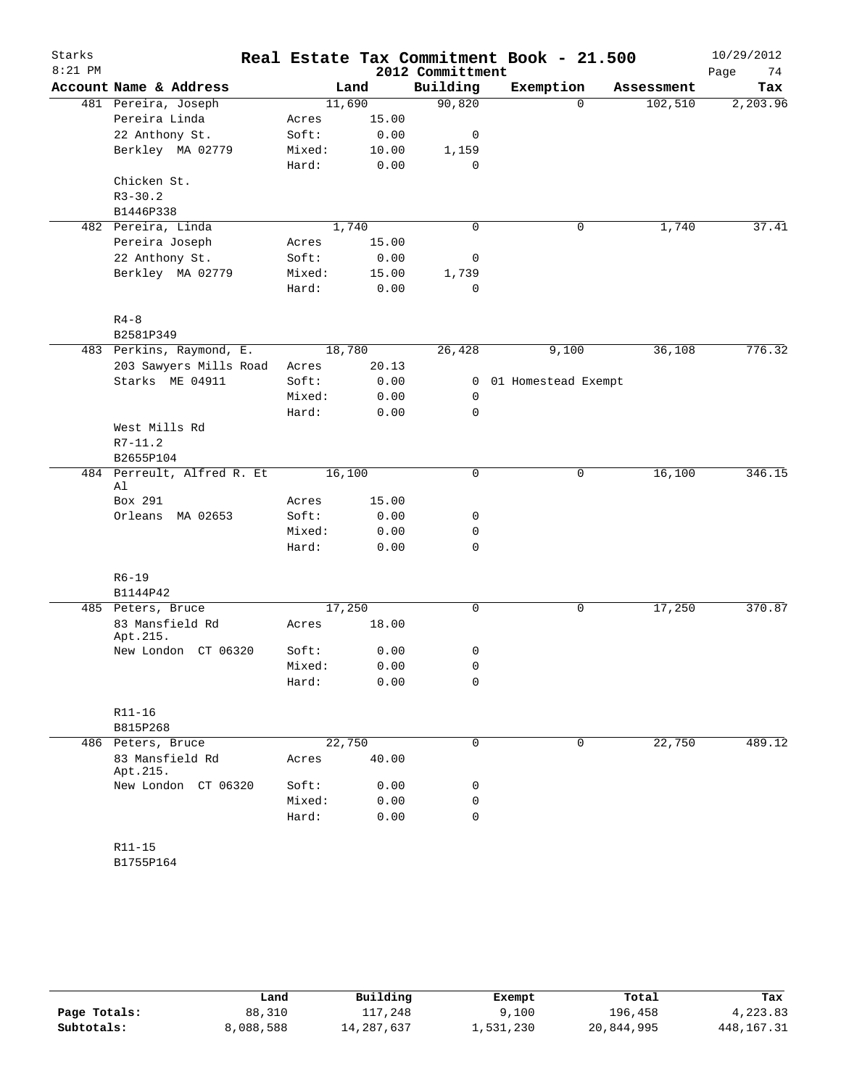| Starks<br>$8:21$ PM |                                  |                |               | 2012 Committment | Real Estate Tax Commitment Book - 21.500 |             |            | 10/29/2012<br>Page<br>74 |
|---------------------|----------------------------------|----------------|---------------|------------------|------------------------------------------|-------------|------------|--------------------------|
|                     | Account Name & Address           |                | Land          | Building         | Exemption                                |             | Assessment | Tax                      |
|                     | 481 Pereira, Joseph              | 11,690         |               | 90,820           |                                          | $\Omega$    | 102,510    | 2,203.96                 |
|                     | Pereira Linda                    | Acres          | 15.00         |                  |                                          |             |            |                          |
|                     | 22 Anthony St.                   | Soft:          | 0.00          | 0                |                                          |             |            |                          |
|                     | Berkley MA 02779                 | Mixed:         | 10.00         | 1,159            |                                          |             |            |                          |
|                     |                                  | Hard:          | 0.00          | 0                |                                          |             |            |                          |
|                     | Chicken St.                      |                |               |                  |                                          |             |            |                          |
|                     | $R3 - 30.2$                      |                |               |                  |                                          |             |            |                          |
|                     | B1446P338                        |                |               |                  |                                          |             |            |                          |
|                     | 482 Pereira, Linda               |                | 1,740         | 0                |                                          | 0           | 1,740      | 37.41                    |
|                     | Pereira Joseph<br>22 Anthony St. | Acres<br>Soft: | 15.00<br>0.00 |                  |                                          |             |            |                          |
|                     | Berkley MA 02779                 | Mixed:         | 15.00         | 0<br>1,739       |                                          |             |            |                          |
|                     |                                  | Hard:          | 0.00          | 0                |                                          |             |            |                          |
|                     | $R4 - 8$                         |                |               |                  |                                          |             |            |                          |
|                     | B2581P349                        |                |               |                  |                                          |             |            |                          |
|                     | 483 Perkins, Raymond, E.         | 18,780         |               | 26,428           | 9,100                                    |             | 36,108     | 776.32                   |
|                     | 203 Sawyers Mills Road           | Acres          | 20.13         |                  |                                          |             |            |                          |
|                     | Starks ME 04911                  | Soft:          | 0.00          | 0                | 01 Homestead Exempt                      |             |            |                          |
|                     |                                  | Mixed:         | 0.00          | 0                |                                          |             |            |                          |
|                     |                                  | Hard:          | 0.00          | 0                |                                          |             |            |                          |
|                     | West Mills Rd                    |                |               |                  |                                          |             |            |                          |
|                     | $R7 - 11.2$                      |                |               |                  |                                          |             |            |                          |
|                     | B2655P104                        |                |               |                  |                                          |             |            |                          |
|                     | 484 Perreult, Alfred R. Et<br>Al | 16,100         |               | 0                |                                          | 0           | 16,100     | 346.15                   |
|                     | Box 291                          | Acres          | 15.00         |                  |                                          |             |            |                          |
|                     | Orleans<br>MA 02653              | Soft:          | 0.00          | 0                |                                          |             |            |                          |
|                     |                                  | Mixed:         | 0.00          | 0                |                                          |             |            |                          |
|                     |                                  | Hard:          | 0.00          | 0                |                                          |             |            |                          |
|                     | $R6 - 19$                        |                |               |                  |                                          |             |            |                          |
|                     | B1144P42                         |                |               |                  |                                          |             |            |                          |
|                     | 485 Peters, Bruce                | 17,250         |               | 0                |                                          | 0           | 17,250     | 370.87                   |
|                     | 83 Mansfield Rd<br>Apt.215.      | Acres          | 18.00         |                  |                                          |             |            |                          |
|                     | New London CT 06320              | Soft:          | 0.00          | 0                |                                          |             |            |                          |
|                     |                                  | Mixed:         | 0.00          | 0                |                                          |             |            |                          |
|                     |                                  | Hard:          | 0.00          | 0                |                                          |             |            |                          |
|                     | $R11 - 16$                       |                |               |                  |                                          |             |            |                          |
|                     | B815P268                         |                |               |                  |                                          |             |            |                          |
|                     | 486 Peters, Bruce                | 22,750         |               | $\mathbf 0$      |                                          | $\mathbf 0$ | 22,750     | 489.12                   |
|                     | 83 Mansfield Rd<br>Apt.215.      | Acres          | 40.00         |                  |                                          |             |            |                          |
|                     | New London CT 06320              | Soft:          | 0.00          | 0                |                                          |             |            |                          |
|                     |                                  | Mixed:         | 0.00          | 0                |                                          |             |            |                          |
|                     |                                  | Hard:          | 0.00          | 0                |                                          |             |            |                          |
|                     | R11-15                           |                |               |                  |                                          |             |            |                          |
|                     | B1755P164                        |                |               |                  |                                          |             |            |                          |

|              | Land      | Building   | Exempt    | Total      | Tax          |
|--------------|-----------|------------|-----------|------------|--------------|
| Page Totals: | 88,310    | 117,248    | 9.100     | 196,458    | 4,223.83     |
| Subtotals:   | 8,088,588 | 14,287,637 | 1,531,230 | 20,844,995 | 448, 167. 31 |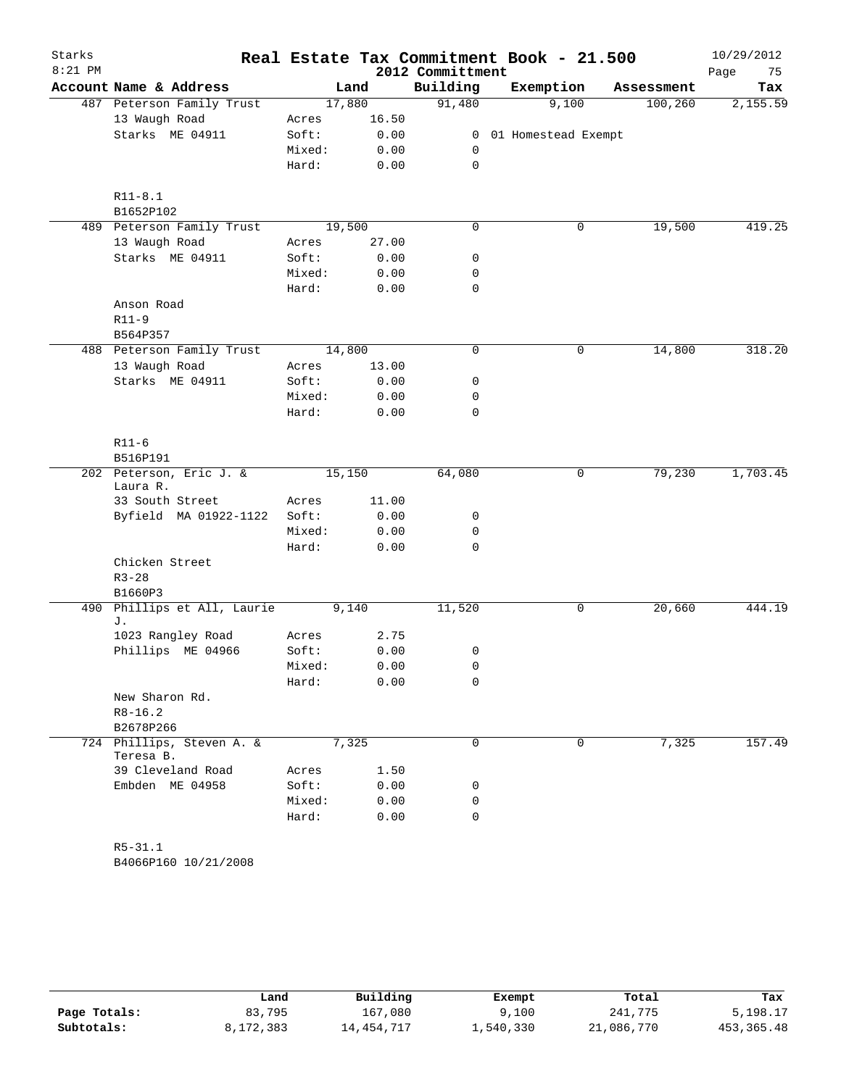| Starks    |                                     |        |        |                  | Real Estate Tax Commitment Book - 21.500 |            | 10/29/2012 |
|-----------|-------------------------------------|--------|--------|------------------|------------------------------------------|------------|------------|
| $8:21$ PM |                                     |        |        | 2012 Committment |                                          |            | 75<br>Page |
|           | Account Name & Address              |        | Land   | Building         | Exemption                                | Assessment | Tax        |
|           | 487 Peterson Family Trust           |        | 17,880 | 91,480           | 9,100                                    | 100, 260   | 2,155.59   |
|           | 13 Waugh Road                       | Acres  | 16.50  |                  |                                          |            |            |
|           | Starks ME 04911                     | Soft:  | 0.00   |                  | 0 01 Homestead Exempt                    |            |            |
|           |                                     | Mixed: | 0.00   | 0                |                                          |            |            |
|           |                                     | Hard:  | 0.00   | $\mathbf 0$      |                                          |            |            |
|           | $R11 - 8.1$                         |        |        |                  |                                          |            |            |
|           | B1652P102                           |        |        |                  |                                          |            |            |
|           | 489 Peterson Family Trust           |        | 19,500 | 0                | $\mathsf{O}$                             | 19,500     | 419.25     |
|           | 13 Waugh Road                       | Acres  | 27.00  |                  |                                          |            |            |
|           | Starks ME 04911                     | Soft:  | 0.00   | 0                |                                          |            |            |
|           |                                     | Mixed: | 0.00   | 0                |                                          |            |            |
|           |                                     | Hard:  | 0.00   | $\mathbf 0$      |                                          |            |            |
|           | Anson Road                          |        |        |                  |                                          |            |            |
|           | $R11-9$                             |        |        |                  |                                          |            |            |
|           | B564P357                            |        |        |                  |                                          |            |            |
|           | 488 Peterson Family Trust           |        | 14,800 | $\mathbf 0$      | $\mathbf 0$                              | 14,800     | 318.20     |
|           | 13 Waugh Road                       | Acres  | 13.00  |                  |                                          |            |            |
|           | Starks ME 04911                     | Soft:  | 0.00   | 0                |                                          |            |            |
|           |                                     | Mixed: | 0.00   | 0                |                                          |            |            |
|           |                                     | Hard:  | 0.00   | $\mathbf 0$      |                                          |            |            |
|           | $R11-6$                             |        |        |                  |                                          |            |            |
|           | B516P191                            |        |        |                  |                                          |            |            |
|           | 202 Peterson, Eric J. &<br>Laura R. |        | 15,150 | 64,080           | 0                                        | 79,230     | 1,703.45   |
|           | 33 South Street                     | Acres  | 11.00  |                  |                                          |            |            |
|           | Byfield MA 01922-1122               | Soft:  | 0.00   | 0                |                                          |            |            |
|           |                                     | Mixed: | 0.00   | 0                |                                          |            |            |
|           |                                     | Hard:  | 0.00   | $\mathbf 0$      |                                          |            |            |
|           | Chicken Street                      |        |        |                  |                                          |            |            |
|           | $R3 - 28$<br>B1660P3                |        |        |                  |                                          |            |            |
| 490       | Phillips et All, Laurie             |        | 9,140  | 11,520           | 0                                        | 20,660     | 444.19     |
|           | J.<br>1023 Rangley Road             | Acres  | 2.75   |                  |                                          |            |            |
|           | Phillips ME 04966                   | Soft:  | 0.00   |                  |                                          |            |            |
|           |                                     | Mixed: | 0.00   | 0                |                                          |            |            |
|           |                                     | Hard:  | 0.00   | 0<br>0           |                                          |            |            |
|           | New Sharon Rd.                      |        |        |                  |                                          |            |            |
|           | $R8 - 16.2$                         |        |        |                  |                                          |            |            |
|           | B2678P266                           |        |        |                  |                                          |            |            |
|           | 724 Phillips, Steven A. &           |        | 7,325  | 0                | 0                                        | 7,325      | 157.49     |
|           | Teresa B.<br>39 Cleveland Road      | Acres  | 1.50   |                  |                                          |            |            |
|           | Embden ME 04958                     | Soft:  | 0.00   | 0                |                                          |            |            |
|           |                                     | Mixed: | 0.00   | 0                |                                          |            |            |
|           |                                     | Hard:  | 0.00   | 0                |                                          |            |            |
|           |                                     |        |        |                  |                                          |            |            |
|           | $R5 - 31.1$                         |        |        |                  |                                          |            |            |

B4066P160 10/21/2008

|              | Land      | Building   | Exempt    | Total      | Tax        |
|--------------|-----------|------------|-----------|------------|------------|
| Page Totals: | 83,795    | 167,080    | 9,100     | 241,775    | 5,198.17   |
| Subtotals:   | 8,172,383 | 14,454,717 | 1,540,330 | 21,086,770 | 453,365.48 |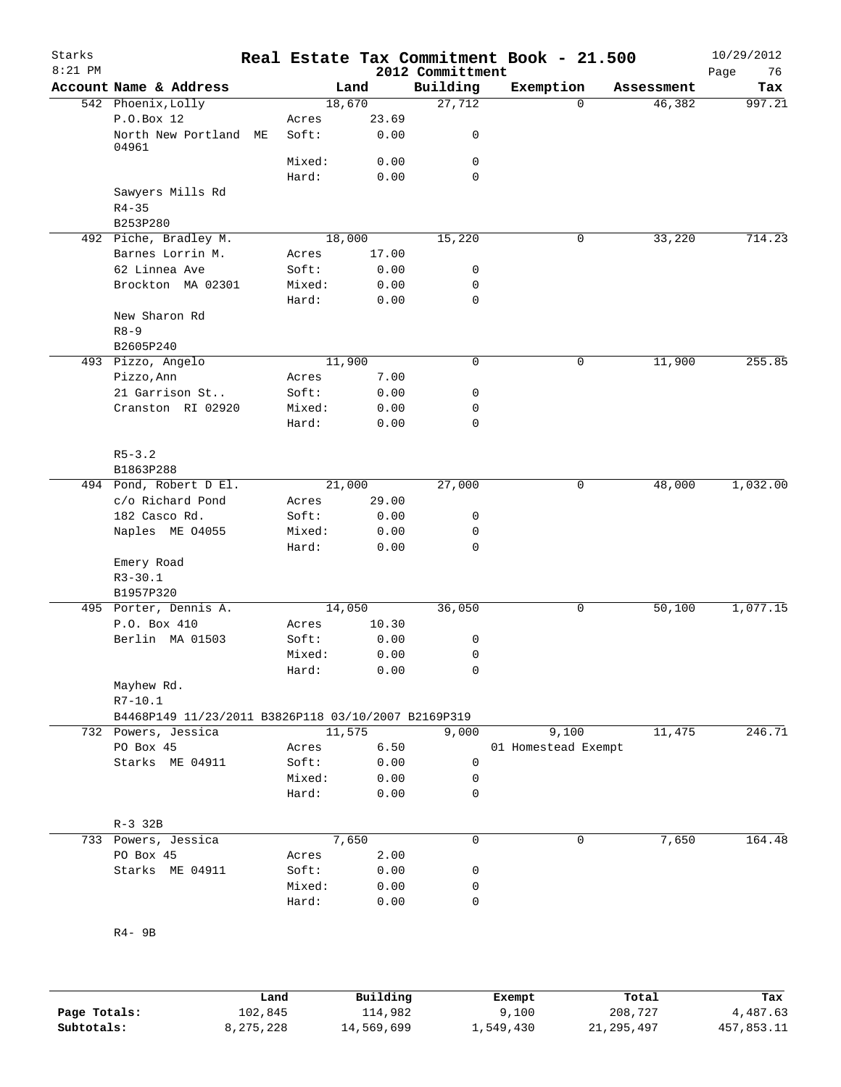| Starks<br>$8:21$ PM |                                                     |    |                |                 | 2012 Committment | Real Estate Tax Commitment Book - 21.500 |            | 10/29/2012<br>Page<br>76 |
|---------------------|-----------------------------------------------------|----|----------------|-----------------|------------------|------------------------------------------|------------|--------------------------|
|                     | Account Name & Address                              |    |                | Land            | Building         | Exemption                                | Assessment | Tax                      |
|                     | 542 Phoenix, Lolly                                  |    |                | 18,670          | 27,712           | $\Omega$                                 | 46,382     | 997.21                   |
|                     | P.O.Box 12<br>North New Portland                    | МE | Acres<br>Soft: | 23.69<br>0.00   | 0                |                                          |            |                          |
|                     | 04961                                               |    | Mixed:         | 0.00            | 0                |                                          |            |                          |
|                     |                                                     |    | Hard:          | 0.00            | $\mathbf 0$      |                                          |            |                          |
|                     | Sawyers Mills Rd<br>$R4 - 35$                       |    |                |                 |                  |                                          |            |                          |
|                     | B253P280                                            |    |                |                 |                  | 0                                        |            | 714.23                   |
|                     | 492 Piche, Bradley M.<br>Barnes Lorrin M.           |    | Acres          | 18,000<br>17.00 | 15,220           |                                          | 33,220     |                          |
|                     | 62 Linnea Ave                                       |    | Soft:          | 0.00            | 0                |                                          |            |                          |
|                     | Brockton MA 02301                                   |    | Mixed:         | 0.00            | 0                |                                          |            |                          |
|                     |                                                     |    | Hard:          | 0.00            | 0                |                                          |            |                          |
|                     | New Sharon Rd<br>$R8 - 9$                           |    |                |                 |                  |                                          |            |                          |
|                     | B2605P240                                           |    |                |                 |                  |                                          |            |                          |
|                     | 493 Pizzo, Angelo<br>Pizzo, Ann                     |    |                | 11,900          | 0                | 0                                        | 11,900     | 255.85                   |
|                     | 21 Garrison St                                      |    | Acres<br>Soft: | 7.00<br>0.00    | 0                |                                          |            |                          |
|                     | Cranston RI 02920                                   |    | Mixed:         | 0.00            | 0                |                                          |            |                          |
|                     |                                                     |    | Hard:          | 0.00            | 0                |                                          |            |                          |
|                     | $R5 - 3.2$<br>B1863P288                             |    |                |                 |                  |                                          |            |                          |
|                     | 494 Pond, Robert D El.                              |    |                | 21,000          | 27,000           | 0                                        | 48,000     | 1,032.00                 |
|                     | c/o Richard Pond                                    |    | Acres          | 29.00           |                  |                                          |            |                          |
|                     | 182 Casco Rd.                                       |    | Soft:          | 0.00            | 0                |                                          |            |                          |
|                     | Naples ME 04055                                     |    | Mixed:         | 0.00            | 0                |                                          |            |                          |
|                     |                                                     |    | Hard:          | 0.00            | 0                |                                          |            |                          |
|                     | Emery Road<br>$R3 - 30.1$                           |    |                |                 |                  |                                          |            |                          |
|                     | B1957P320                                           |    |                |                 |                  |                                          |            |                          |
|                     | 495 Porter, Dennis A.                               |    |                | 14,050          | 36,050           | 0                                        | 50,100     | 1,077.15                 |
|                     | P.O. Box 410                                        |    | Acres          | 10.30           |                  |                                          |            |                          |
|                     | Berlin MA 01503                                     |    | Soft:          | 0.00            | 0<br>0           |                                          |            |                          |
|                     |                                                     |    | Mixed:         | 0.00<br>0.00    | 0                |                                          |            |                          |
|                     | Mayhew Rd.                                          |    | Hard:          |                 |                  |                                          |            |                          |
|                     | $R7 - 10.1$                                         |    |                |                 |                  |                                          |            |                          |
|                     | B4468P149 11/23/2011 B3826P118 03/10/2007 B2169P319 |    |                |                 |                  |                                          |            |                          |
|                     | 732 Powers, Jessica                                 |    |                | 11,575          | 9,000            | 9,100                                    | 11,475     | 246.71                   |
|                     | PO Box 45                                           |    | Acres          | 6.50            |                  | 01 Homestead Exempt                      |            |                          |
|                     | Starks ME 04911                                     |    | Soft:          | 0.00            | 0                |                                          |            |                          |
|                     |                                                     |    | Mixed:         | 0.00            | 0                |                                          |            |                          |
|                     |                                                     |    | Hard:          | 0.00            | 0                |                                          |            |                          |
|                     | $R-3$ 32B                                           |    |                |                 |                  |                                          |            |                          |
|                     | 733 Powers, Jessica<br>PO Box 45                    |    |                | 7,650<br>2.00   | 0                | 0                                        | 7,650      | 164.48                   |
|                     | Starks ME 04911                                     |    | Acres<br>Soft: | 0.00            | 0                |                                          |            |                          |
|                     |                                                     |    | Mixed:         | 0.00            | 0                |                                          |            |                          |
|                     |                                                     |    | Hard:          | 0.00            | 0                |                                          |            |                          |
|                     | $R4 - 9B$                                           |    |                |                 |                  |                                          |            |                          |
|                     |                                                     |    |                |                 |                  |                                          |            |                          |
|                     |                                                     |    |                |                 |                  |                                          |            |                          |

|              | Land      | Building   | Exempt    | Total        | Tax        |
|--------------|-----------|------------|-----------|--------------|------------|
| Page Totals: | 102,845   | 114,982    | 9,100     | 208,727      | 4,487.63   |
| Subtotals:   | 8,275,228 | 14,569,699 | ⊥,549,430 | 21, 295, 497 | 457,853.11 |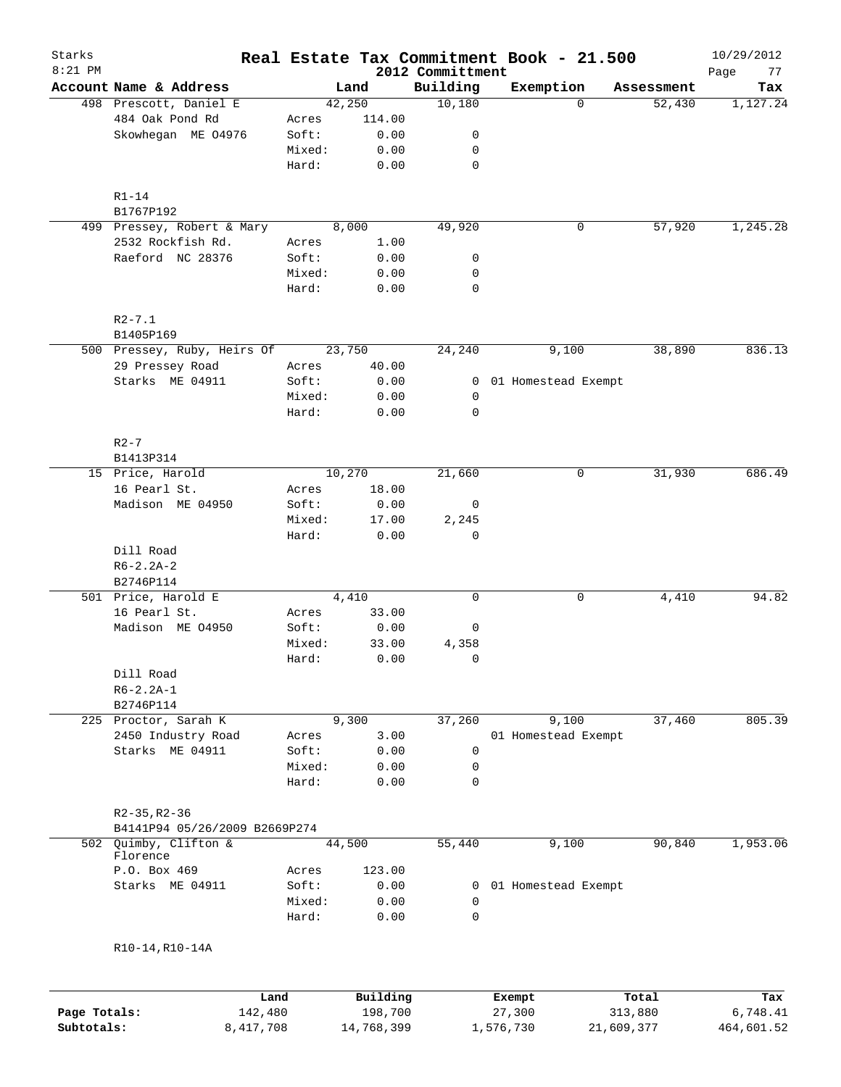| Starks       |                               |                 |              |                              | Real Estate Tax Commitment Book - 21.500 |            | 10/29/2012        |
|--------------|-------------------------------|-----------------|--------------|------------------------------|------------------------------------------|------------|-------------------|
| $8:21$ PM    | Account Name & Address        |                 | Land         | 2012 Committment<br>Building | Exemption                                | Assessment | Page<br>77<br>Tax |
|              | 498 Prescott, Daniel E        |                 | 42,250       | 10,180                       | $\Omega$                                 | 52,430     | 1,127.24          |
|              | 484 Oak Pond Rd               | Acres           | 114.00       |                              |                                          |            |                   |
|              | Skowhegan ME 04976            | Soft:           | 0.00         | 0                            |                                          |            |                   |
|              |                               | Mixed:          | 0.00         | 0                            |                                          |            |                   |
|              |                               | Hard:           | 0.00         | $\mathbf 0$                  |                                          |            |                   |
|              |                               |                 |              |                              |                                          |            |                   |
|              | $R1-14$                       |                 |              |                              |                                          |            |                   |
|              | B1767P192                     |                 |              |                              |                                          |            |                   |
|              | 499 Pressey, Robert & Mary    |                 | 8,000        | 49,920                       | 0                                        | 57,920     | 1,245.28          |
|              | 2532 Rockfish Rd.             | Acres           | 1.00         |                              |                                          |            |                   |
|              | Raeford NC 28376              | Soft:           | 0.00         | 0                            |                                          |            |                   |
|              |                               | Mixed:          | 0.00         | 0<br>$\mathbf 0$             |                                          |            |                   |
|              |                               | Hard:           | 0.00         |                              |                                          |            |                   |
|              | $R2 - 7.1$                    |                 |              |                              |                                          |            |                   |
|              | B1405P169                     |                 |              |                              |                                          |            |                   |
|              | 500 Pressey, Ruby, Heirs Of   |                 | 23,750       | 24,240                       | 9,100                                    | 38,890     | 836.13            |
|              | 29 Pressey Road               | Acres           | 40.00        |                              |                                          |            |                   |
|              | Starks ME 04911               | Soft:           | 0.00         | $\mathbf{0}$                 | 01 Homestead Exempt                      |            |                   |
|              |                               | Mixed:          | 0.00         | 0                            |                                          |            |                   |
|              |                               | Hard:           | 0.00         | $\mathbf 0$                  |                                          |            |                   |
|              | $R2-7$                        |                 |              |                              |                                          |            |                   |
|              | B1413P314                     |                 |              |                              |                                          |            |                   |
|              | 15 Price, Harold              |                 | 10,270       | 21,660                       | 0                                        | 31,930     | 686.49            |
|              | 16 Pearl St.                  | Acres           | 18.00        |                              |                                          |            |                   |
|              | Madison ME 04950              | Soft:           | 0.00         | 0                            |                                          |            |                   |
|              |                               | Mixed:          | 17.00        | 2,245                        |                                          |            |                   |
|              |                               | Hard:           | 0.00         | $\mathbf 0$                  |                                          |            |                   |
|              | Dill Road                     |                 |              |                              |                                          |            |                   |
|              | $R6 - 2.2A - 2$               |                 |              |                              |                                          |            |                   |
|              | B2746P114                     |                 |              |                              |                                          |            |                   |
|              | 501 Price, Harold E           |                 | 4,410        | 0                            | 0                                        | 4,410      | 94.82             |
|              | 16 Pearl St.                  | Acres           | 33.00        |                              |                                          |            |                   |
|              | Madison ME 04950              | Soft:           | 0.00         | 0                            |                                          |            |                   |
|              |                               | Mixed:          | 33.00        | 4,358                        |                                          |            |                   |
|              |                               | Hard:           | 0.00         | $\mathbf 0$                  |                                          |            |                   |
|              | Dill Road                     |                 |              |                              |                                          |            |                   |
|              | $R6 - 2.2A - 1$               |                 |              |                              |                                          |            |                   |
|              | B2746P114                     |                 |              |                              |                                          |            |                   |
|              | 225 Proctor, Sarah K          |                 | 9,300        | 37,260                       | 9,100                                    | 37,460     | 805.39            |
|              | 2450 Industry Road            | Acres           | 3.00         |                              | 01 Homestead Exempt                      |            |                   |
|              | Starks ME 04911               | Soft:           | 0.00         | 0                            |                                          |            |                   |
|              |                               | Mixed:          | 0.00         | $\mathsf 0$                  |                                          |            |                   |
|              |                               | Hard:           | 0.00         | $\mathbf 0$                  |                                          |            |                   |
|              | $R2-35, R2-36$                |                 |              |                              |                                          |            |                   |
|              | B4141P94 05/26/2009 B2669P274 |                 |              |                              |                                          |            |                   |
|              | 502 Quimby, Clifton &         |                 | 44,500       | 55,440                       | 9,100                                    | 90,840     | 1,953.06          |
|              | Florence                      |                 |              |                              |                                          |            |                   |
|              | P.O. Box 469                  | Acres           | 123.00       |                              |                                          |            |                   |
|              | Starks ME 04911               | Soft:           | 0.00         | 0                            | 01 Homestead Exempt                      |            |                   |
|              |                               | Mixed:<br>Hard: | 0.00<br>0.00 | 0<br>0                       |                                          |            |                   |
|              |                               |                 |              |                              |                                          |            |                   |
|              | R10-14, R10-14A               |                 |              |                              |                                          |            |                   |
|              |                               |                 |              |                              |                                          |            |                   |
|              | Land                          |                 | Building     |                              | Exempt                                   | Total      | Tax               |
| Page Totals: | 142,480                       |                 | 198,700      |                              | 27,300                                   | 313,880    | 6,748.41          |
| Subtotals:   | 8,417,708                     |                 | 14,768,399   |                              | 1,576,730                                | 21,609,377 | 464,601.52        |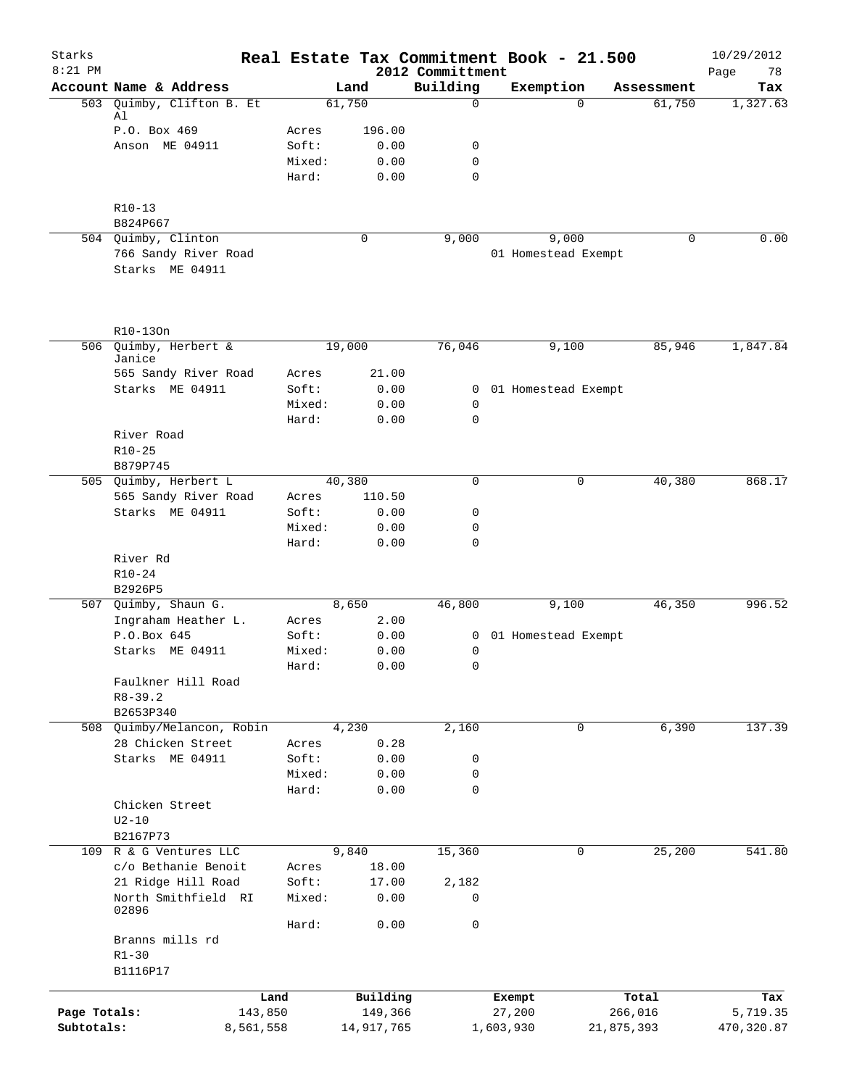| Starks<br>$8:21$ PM |                                     |                |              | Real Estate Tax Commitment Book - 21.500<br>2012 Committment |                       |             |            | 10/29/2012<br>78<br>Page |
|---------------------|-------------------------------------|----------------|--------------|--------------------------------------------------------------|-----------------------|-------------|------------|--------------------------|
|                     | Account Name & Address              |                | Land         | Building                                                     | Exemption             |             | Assessment | Tax                      |
| 503                 | Quimby, Clifton B. Et               |                | 61,750       | $\Omega$                                                     |                       | $\Omega$    | 61,750     | 1,327.63                 |
|                     | Al                                  |                |              |                                                              |                       |             |            |                          |
|                     | P.O. Box 469<br>Anson ME 04911      | Acres<br>Soft: | 196.00       |                                                              |                       |             |            |                          |
|                     |                                     | Mixed:         | 0.00<br>0.00 | 0<br>0                                                       |                       |             |            |                          |
|                     |                                     | Hard:          | 0.00         | 0                                                            |                       |             |            |                          |
|                     |                                     |                |              |                                                              |                       |             |            |                          |
|                     | $R10-13$                            |                |              |                                                              |                       |             |            |                          |
|                     | B824P667<br>504 Quimby, Clinton     |                | 0            | 9,000                                                        |                       | 9,000       | 0          | 0.00                     |
|                     | 766 Sandy River Road                |                |              |                                                              | 01 Homestead Exempt   |             |            |                          |
|                     | Starks ME 04911                     |                |              |                                                              |                       |             |            |                          |
|                     |                                     |                |              |                                                              |                       |             |            |                          |
|                     | R10-130n                            |                |              |                                                              |                       |             |            |                          |
|                     | 506 Quimby, Herbert &               |                | 19,000       | 76,046                                                       |                       | 9,100       | 85,946     | 1,847.84                 |
|                     | Janice<br>565 Sandy River Road      | Acres          | 21.00        |                                                              |                       |             |            |                          |
|                     | Starks ME 04911                     | Soft:          | 0.00         |                                                              | 0 01 Homestead Exempt |             |            |                          |
|                     |                                     | Mixed:         | 0.00         | 0                                                            |                       |             |            |                          |
|                     |                                     | Hard:          | 0.00         | 0                                                            |                       |             |            |                          |
|                     | River Road                          |                |              |                                                              |                       |             |            |                          |
|                     | $R10 - 25$                          |                |              |                                                              |                       |             |            |                          |
|                     | B879P745                            |                |              |                                                              |                       |             |            |                          |
|                     | 505 Quimby, Herbert L               |                | 40,380       | $\mathbf 0$                                                  |                       | $\mathbf 0$ | 40,380     | 868.17                   |
|                     | 565 Sandy River Road                | Acres          | 110.50       |                                                              |                       |             |            |                          |
|                     | Starks ME 04911                     | Soft:          | 0.00         | 0                                                            |                       |             |            |                          |
|                     |                                     | Mixed:         | 0.00         | 0                                                            |                       |             |            |                          |
|                     |                                     | Hard:          | 0.00         | 0                                                            |                       |             |            |                          |
|                     | River Rd<br>$R10 - 24$              |                |              |                                                              |                       |             |            |                          |
|                     | B2926P5                             |                |              |                                                              |                       |             |            |                          |
| 507                 | Quimby, Shaun G.                    |                | 8,650        | 46,800                                                       |                       | 9,100       | 46,350     | 996.52                   |
|                     | Ingraham Heather L.                 | Acres          | 2.00         |                                                              |                       |             |            |                          |
|                     | P.O.Box 645                         | Soft:          | 0.00         | $\mathbf{0}$                                                 | 01 Homestead Exempt   |             |            |                          |
|                     | Starks ME 04911                     | Mixed:         | 0.00         | 0                                                            |                       |             |            |                          |
|                     |                                     | Hard:          | 0.00         | 0                                                            |                       |             |            |                          |
|                     | Faulkner Hill Road                  |                |              |                                                              |                       |             |            |                          |
|                     | $R8 - 39.2$                         |                |              |                                                              |                       |             |            |                          |
| 508                 | B2653P340<br>Quimby/Melancon, Robin |                | 4,230        | 2,160                                                        |                       | 0           | 6,390      | 137.39                   |
|                     | 28 Chicken Street                   | Acres          | 0.28         |                                                              |                       |             |            |                          |
|                     | Starks ME 04911                     | Soft:          | 0.00         | 0                                                            |                       |             |            |                          |
|                     |                                     | Mixed:         | 0.00         | 0                                                            |                       |             |            |                          |
|                     |                                     | Hard:          | 0.00         | 0                                                            |                       |             |            |                          |
|                     | Chicken Street                      |                |              |                                                              |                       |             |            |                          |
|                     | $U2-10$                             |                |              |                                                              |                       |             |            |                          |
|                     | B2167P73                            |                |              |                                                              |                       |             |            |                          |
| 109                 | R & G Ventures LLC                  |                | 9,840        | 15,360                                                       |                       | 0           | 25,200     | 541.80                   |
|                     | c/o Bethanie Benoit                 | Acres          | 18.00        |                                                              |                       |             |            |                          |
|                     | 21 Ridge Hill Road                  | Soft:          | 17.00        | 2,182                                                        |                       |             |            |                          |
|                     | North Smithfield RI                 | Mixed:         | 0.00         | 0                                                            |                       |             |            |                          |
|                     | 02896                               | Hard:          | 0.00         | 0                                                            |                       |             |            |                          |
|                     | Branns mills rd                     |                |              |                                                              |                       |             |            |                          |
|                     | $R1 - 30$                           |                |              |                                                              |                       |             |            |                          |
|                     | B1116P17                            |                |              |                                                              |                       |             |            |                          |
|                     |                                     |                |              |                                                              |                       |             |            |                          |
|                     | Land                                |                | Building     |                                                              | Exempt                |             | Total      | Tax                      |
| Page Totals:        | 143,850                             |                | 149,366      |                                                              | 27,200                |             | 266,016    | 5,719.35                 |
| Subtotals:          | 8,561,558                           |                | 14,917,765   |                                                              | 1,603,930             |             | 21,875,393 | 470,320.87               |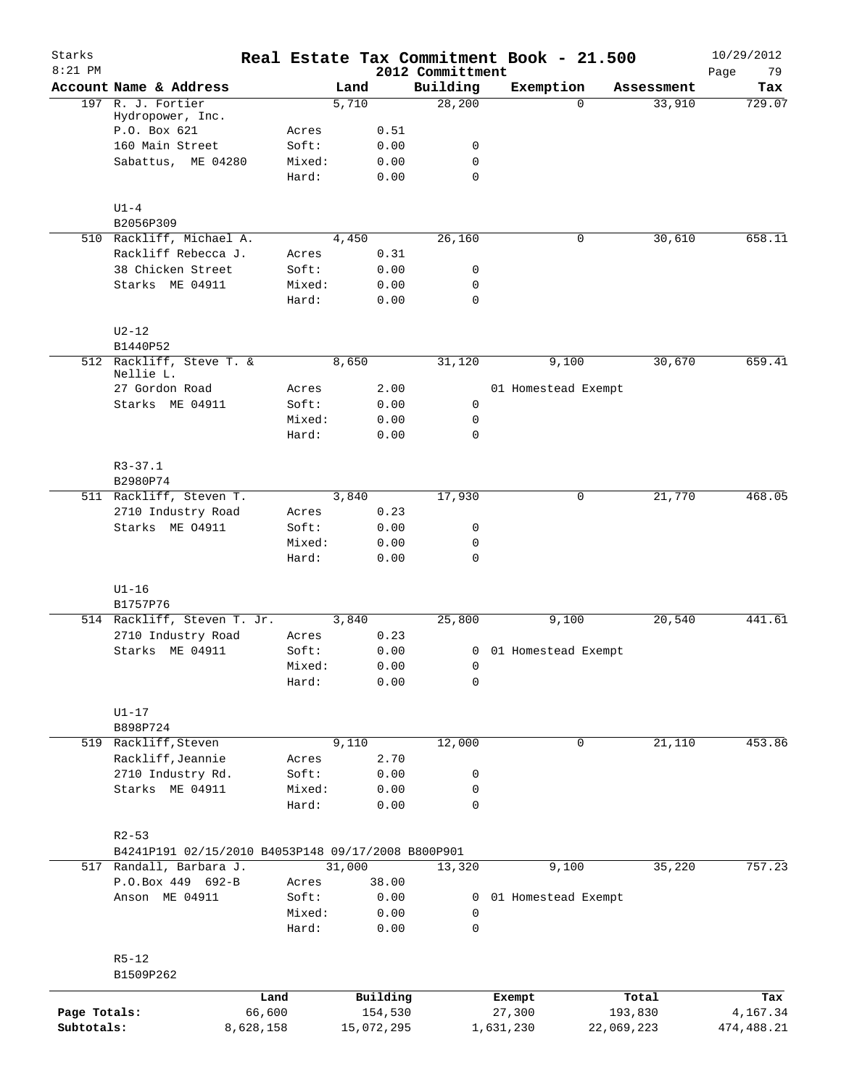| Account Name & Address<br>Building<br>Exemption<br>Land<br>Assessment<br>Tax<br>28,200<br>197 R. J. Fortier<br>5,710<br>33,910<br>$\Omega$<br>Hydropower, Inc.<br>P.O. Box 621<br>0.51<br>Acres<br>160 Main Street<br>Soft:<br>0.00<br>0<br>Sabattus, ME 04280<br>Mixed:<br>0.00<br>0<br>$\mathbf 0$<br>Hard:<br>0.00<br>$U1-4$<br>B2056P309<br>510 Rackliff, Michael A.<br>4,450<br>26,160<br>0<br>30,610<br>Rackliff Rebecca J.<br>0.31<br>Acres<br>38 Chicken Street<br>Soft:<br>0.00<br>0<br>Starks ME 04911<br>0.00<br>Mixed:<br>$\mathbf 0$<br>$\mathbf 0$<br>Hard:<br>0.00<br>$U2-12$<br>B1440P52<br>512 Rackliff, Steve T. &<br>8,650<br>30,670<br>31,120<br>9,100<br>Nellie L.<br>27 Gordon Road<br>2.00<br>01 Homestead Exempt<br>Acres<br>Soft:<br>Starks ME 04911<br>0.00<br>0<br>Mixed:<br>0.00<br>0<br>Hard:<br>$\mathbf 0$<br>0.00<br>$R3 - 37.1$<br>B2980P74<br>511 Rackliff, Steven T.<br>17,930<br>21,770<br>3,840<br>0<br>2710 Industry Road<br>0.23<br>Acres<br>Starks ME 04911<br>Soft:<br>0.00<br>0<br>Mixed:<br>0.00<br>0<br>Hard:<br>0.00<br>$\mathbf 0$<br>$U1-16$<br>B1757P76<br>514 Rackliff, Steven T. Jr.<br>25,800<br>9,100<br>20,540<br>3,840<br>2710 Industry Road<br>0.23<br>Acres<br>Starks ME 04911<br>Soft:<br>0.00<br>0 01 Homestead Exempt<br>0.00<br>Mixed:<br>0<br>0.00<br>0<br>Hard:<br>$UI-17$<br>B898P724<br>Rackliff, Steven<br>12,000<br>21,110<br>9,110<br>0<br>519<br>Rackliff, Jeannie<br>Acres<br>2.70<br>2710 Industry Rd.<br>Soft:<br>0.00<br>0<br>Starks ME 04911<br>Mixed:<br>0.00<br>0<br>$\mathbf 0$<br>Hard:<br>0.00<br>$R2 - 53$<br>B4241P191 02/15/2010 B4053P148 09/17/2008 B800P901<br>31,000<br>517 Randall, Barbara J.<br>9,100<br>35,220<br>13,320<br>P.O.Box 449 692-B<br>38.00<br>Acres<br>Anson ME 04911<br>Soft:<br>0.00<br>01 Homestead Exempt<br>0<br>Mixed:<br>0.00<br>0<br>$\mathbf 0$<br>Hard:<br>0.00<br>$R5 - 12$<br>B1509P262<br>Building<br>Land<br>Total<br>Exempt<br>66,600<br>Page Totals:<br>154,530<br>27,300<br>193,830<br>Subtotals:<br>8,628,158<br>15,072,295<br>1,631,230<br>22,069,223 | Starks<br>$8:21$ PM |  |  | 2012 Committment | Real Estate Tax Commitment Book - 21.500 | 10/29/2012<br>79<br>Page |
|-------------------------------------------------------------------------------------------------------------------------------------------------------------------------------------------------------------------------------------------------------------------------------------------------------------------------------------------------------------------------------------------------------------------------------------------------------------------------------------------------------------------------------------------------------------------------------------------------------------------------------------------------------------------------------------------------------------------------------------------------------------------------------------------------------------------------------------------------------------------------------------------------------------------------------------------------------------------------------------------------------------------------------------------------------------------------------------------------------------------------------------------------------------------------------------------------------------------------------------------------------------------------------------------------------------------------------------------------------------------------------------------------------------------------------------------------------------------------------------------------------------------------------------------------------------------------------------------------------------------------------------------------------------------------------------------------------------------------------------------------------------------------------------------------------------------------------------------------------------------------------------------------------------------------------------------------------------------------------------------------------------------------------------------------------------------------------|---------------------|--|--|------------------|------------------------------------------|--------------------------|
| 729.07                                                                                                                                                                                                                                                                                                                                                                                                                                                                                                                                                                                                                                                                                                                                                                                                                                                                                                                                                                                                                                                                                                                                                                                                                                                                                                                                                                                                                                                                                                                                                                                                                                                                                                                                                                                                                                                                                                                                                                                                                                                                        |                     |  |  |                  |                                          |                          |
|                                                                                                                                                                                                                                                                                                                                                                                                                                                                                                                                                                                                                                                                                                                                                                                                                                                                                                                                                                                                                                                                                                                                                                                                                                                                                                                                                                                                                                                                                                                                                                                                                                                                                                                                                                                                                                                                                                                                                                                                                                                                               |                     |  |  |                  |                                          |                          |
| 658.11<br>659.41<br>468.05<br>441.61<br>453.86<br>757.23<br>Tax                                                                                                                                                                                                                                                                                                                                                                                                                                                                                                                                                                                                                                                                                                                                                                                                                                                                                                                                                                                                                                                                                                                                                                                                                                                                                                                                                                                                                                                                                                                                                                                                                                                                                                                                                                                                                                                                                                                                                                                                               |                     |  |  |                  |                                          |                          |
|                                                                                                                                                                                                                                                                                                                                                                                                                                                                                                                                                                                                                                                                                                                                                                                                                                                                                                                                                                                                                                                                                                                                                                                                                                                                                                                                                                                                                                                                                                                                                                                                                                                                                                                                                                                                                                                                                                                                                                                                                                                                               |                     |  |  |                  |                                          |                          |
|                                                                                                                                                                                                                                                                                                                                                                                                                                                                                                                                                                                                                                                                                                                                                                                                                                                                                                                                                                                                                                                                                                                                                                                                                                                                                                                                                                                                                                                                                                                                                                                                                                                                                                                                                                                                                                                                                                                                                                                                                                                                               |                     |  |  |                  |                                          |                          |
|                                                                                                                                                                                                                                                                                                                                                                                                                                                                                                                                                                                                                                                                                                                                                                                                                                                                                                                                                                                                                                                                                                                                                                                                                                                                                                                                                                                                                                                                                                                                                                                                                                                                                                                                                                                                                                                                                                                                                                                                                                                                               |                     |  |  |                  |                                          |                          |
|                                                                                                                                                                                                                                                                                                                                                                                                                                                                                                                                                                                                                                                                                                                                                                                                                                                                                                                                                                                                                                                                                                                                                                                                                                                                                                                                                                                                                                                                                                                                                                                                                                                                                                                                                                                                                                                                                                                                                                                                                                                                               |                     |  |  |                  |                                          |                          |
|                                                                                                                                                                                                                                                                                                                                                                                                                                                                                                                                                                                                                                                                                                                                                                                                                                                                                                                                                                                                                                                                                                                                                                                                                                                                                                                                                                                                                                                                                                                                                                                                                                                                                                                                                                                                                                                                                                                                                                                                                                                                               |                     |  |  |                  |                                          |                          |
|                                                                                                                                                                                                                                                                                                                                                                                                                                                                                                                                                                                                                                                                                                                                                                                                                                                                                                                                                                                                                                                                                                                                                                                                                                                                                                                                                                                                                                                                                                                                                                                                                                                                                                                                                                                                                                                                                                                                                                                                                                                                               |                     |  |  |                  |                                          |                          |
|                                                                                                                                                                                                                                                                                                                                                                                                                                                                                                                                                                                                                                                                                                                                                                                                                                                                                                                                                                                                                                                                                                                                                                                                                                                                                                                                                                                                                                                                                                                                                                                                                                                                                                                                                                                                                                                                                                                                                                                                                                                                               |                     |  |  |                  |                                          |                          |
|                                                                                                                                                                                                                                                                                                                                                                                                                                                                                                                                                                                                                                                                                                                                                                                                                                                                                                                                                                                                                                                                                                                                                                                                                                                                                                                                                                                                                                                                                                                                                                                                                                                                                                                                                                                                                                                                                                                                                                                                                                                                               |                     |  |  |                  |                                          |                          |
|                                                                                                                                                                                                                                                                                                                                                                                                                                                                                                                                                                                                                                                                                                                                                                                                                                                                                                                                                                                                                                                                                                                                                                                                                                                                                                                                                                                                                                                                                                                                                                                                                                                                                                                                                                                                                                                                                                                                                                                                                                                                               |                     |  |  |                  |                                          |                          |
|                                                                                                                                                                                                                                                                                                                                                                                                                                                                                                                                                                                                                                                                                                                                                                                                                                                                                                                                                                                                                                                                                                                                                                                                                                                                                                                                                                                                                                                                                                                                                                                                                                                                                                                                                                                                                                                                                                                                                                                                                                                                               |                     |  |  |                  |                                          |                          |
|                                                                                                                                                                                                                                                                                                                                                                                                                                                                                                                                                                                                                                                                                                                                                                                                                                                                                                                                                                                                                                                                                                                                                                                                                                                                                                                                                                                                                                                                                                                                                                                                                                                                                                                                                                                                                                                                                                                                                                                                                                                                               |                     |  |  |                  |                                          |                          |
|                                                                                                                                                                                                                                                                                                                                                                                                                                                                                                                                                                                                                                                                                                                                                                                                                                                                                                                                                                                                                                                                                                                                                                                                                                                                                                                                                                                                                                                                                                                                                                                                                                                                                                                                                                                                                                                                                                                                                                                                                                                                               |                     |  |  |                  |                                          |                          |
|                                                                                                                                                                                                                                                                                                                                                                                                                                                                                                                                                                                                                                                                                                                                                                                                                                                                                                                                                                                                                                                                                                                                                                                                                                                                                                                                                                                                                                                                                                                                                                                                                                                                                                                                                                                                                                                                                                                                                                                                                                                                               |                     |  |  |                  |                                          |                          |
|                                                                                                                                                                                                                                                                                                                                                                                                                                                                                                                                                                                                                                                                                                                                                                                                                                                                                                                                                                                                                                                                                                                                                                                                                                                                                                                                                                                                                                                                                                                                                                                                                                                                                                                                                                                                                                                                                                                                                                                                                                                                               |                     |  |  |                  |                                          |                          |
|                                                                                                                                                                                                                                                                                                                                                                                                                                                                                                                                                                                                                                                                                                                                                                                                                                                                                                                                                                                                                                                                                                                                                                                                                                                                                                                                                                                                                                                                                                                                                                                                                                                                                                                                                                                                                                                                                                                                                                                                                                                                               |                     |  |  |                  |                                          |                          |
|                                                                                                                                                                                                                                                                                                                                                                                                                                                                                                                                                                                                                                                                                                                                                                                                                                                                                                                                                                                                                                                                                                                                                                                                                                                                                                                                                                                                                                                                                                                                                                                                                                                                                                                                                                                                                                                                                                                                                                                                                                                                               |                     |  |  |                  |                                          |                          |
|                                                                                                                                                                                                                                                                                                                                                                                                                                                                                                                                                                                                                                                                                                                                                                                                                                                                                                                                                                                                                                                                                                                                                                                                                                                                                                                                                                                                                                                                                                                                                                                                                                                                                                                                                                                                                                                                                                                                                                                                                                                                               |                     |  |  |                  |                                          |                          |
|                                                                                                                                                                                                                                                                                                                                                                                                                                                                                                                                                                                                                                                                                                                                                                                                                                                                                                                                                                                                                                                                                                                                                                                                                                                                                                                                                                                                                                                                                                                                                                                                                                                                                                                                                                                                                                                                                                                                                                                                                                                                               |                     |  |  |                  |                                          |                          |
|                                                                                                                                                                                                                                                                                                                                                                                                                                                                                                                                                                                                                                                                                                                                                                                                                                                                                                                                                                                                                                                                                                                                                                                                                                                                                                                                                                                                                                                                                                                                                                                                                                                                                                                                                                                                                                                                                                                                                                                                                                                                               |                     |  |  |                  |                                          |                          |
|                                                                                                                                                                                                                                                                                                                                                                                                                                                                                                                                                                                                                                                                                                                                                                                                                                                                                                                                                                                                                                                                                                                                                                                                                                                                                                                                                                                                                                                                                                                                                                                                                                                                                                                                                                                                                                                                                                                                                                                                                                                                               |                     |  |  |                  |                                          |                          |
|                                                                                                                                                                                                                                                                                                                                                                                                                                                                                                                                                                                                                                                                                                                                                                                                                                                                                                                                                                                                                                                                                                                                                                                                                                                                                                                                                                                                                                                                                                                                                                                                                                                                                                                                                                                                                                                                                                                                                                                                                                                                               |                     |  |  |                  |                                          |                          |
|                                                                                                                                                                                                                                                                                                                                                                                                                                                                                                                                                                                                                                                                                                                                                                                                                                                                                                                                                                                                                                                                                                                                                                                                                                                                                                                                                                                                                                                                                                                                                                                                                                                                                                                                                                                                                                                                                                                                                                                                                                                                               |                     |  |  |                  |                                          |                          |
|                                                                                                                                                                                                                                                                                                                                                                                                                                                                                                                                                                                                                                                                                                                                                                                                                                                                                                                                                                                                                                                                                                                                                                                                                                                                                                                                                                                                                                                                                                                                                                                                                                                                                                                                                                                                                                                                                                                                                                                                                                                                               |                     |  |  |                  |                                          |                          |
|                                                                                                                                                                                                                                                                                                                                                                                                                                                                                                                                                                                                                                                                                                                                                                                                                                                                                                                                                                                                                                                                                                                                                                                                                                                                                                                                                                                                                                                                                                                                                                                                                                                                                                                                                                                                                                                                                                                                                                                                                                                                               |                     |  |  |                  |                                          |                          |
|                                                                                                                                                                                                                                                                                                                                                                                                                                                                                                                                                                                                                                                                                                                                                                                                                                                                                                                                                                                                                                                                                                                                                                                                                                                                                                                                                                                                                                                                                                                                                                                                                                                                                                                                                                                                                                                                                                                                                                                                                                                                               |                     |  |  |                  |                                          |                          |
|                                                                                                                                                                                                                                                                                                                                                                                                                                                                                                                                                                                                                                                                                                                                                                                                                                                                                                                                                                                                                                                                                                                                                                                                                                                                                                                                                                                                                                                                                                                                                                                                                                                                                                                                                                                                                                                                                                                                                                                                                                                                               |                     |  |  |                  |                                          |                          |
|                                                                                                                                                                                                                                                                                                                                                                                                                                                                                                                                                                                                                                                                                                                                                                                                                                                                                                                                                                                                                                                                                                                                                                                                                                                                                                                                                                                                                                                                                                                                                                                                                                                                                                                                                                                                                                                                                                                                                                                                                                                                               |                     |  |  |                  |                                          |                          |
|                                                                                                                                                                                                                                                                                                                                                                                                                                                                                                                                                                                                                                                                                                                                                                                                                                                                                                                                                                                                                                                                                                                                                                                                                                                                                                                                                                                                                                                                                                                                                                                                                                                                                                                                                                                                                                                                                                                                                                                                                                                                               |                     |  |  |                  |                                          |                          |
|                                                                                                                                                                                                                                                                                                                                                                                                                                                                                                                                                                                                                                                                                                                                                                                                                                                                                                                                                                                                                                                                                                                                                                                                                                                                                                                                                                                                                                                                                                                                                                                                                                                                                                                                                                                                                                                                                                                                                                                                                                                                               |                     |  |  |                  |                                          |                          |
|                                                                                                                                                                                                                                                                                                                                                                                                                                                                                                                                                                                                                                                                                                                                                                                                                                                                                                                                                                                                                                                                                                                                                                                                                                                                                                                                                                                                                                                                                                                                                                                                                                                                                                                                                                                                                                                                                                                                                                                                                                                                               |                     |  |  |                  |                                          |                          |
|                                                                                                                                                                                                                                                                                                                                                                                                                                                                                                                                                                                                                                                                                                                                                                                                                                                                                                                                                                                                                                                                                                                                                                                                                                                                                                                                                                                                                                                                                                                                                                                                                                                                                                                                                                                                                                                                                                                                                                                                                                                                               |                     |  |  |                  |                                          |                          |
|                                                                                                                                                                                                                                                                                                                                                                                                                                                                                                                                                                                                                                                                                                                                                                                                                                                                                                                                                                                                                                                                                                                                                                                                                                                                                                                                                                                                                                                                                                                                                                                                                                                                                                                                                                                                                                                                                                                                                                                                                                                                               |                     |  |  |                  |                                          |                          |
|                                                                                                                                                                                                                                                                                                                                                                                                                                                                                                                                                                                                                                                                                                                                                                                                                                                                                                                                                                                                                                                                                                                                                                                                                                                                                                                                                                                                                                                                                                                                                                                                                                                                                                                                                                                                                                                                                                                                                                                                                                                                               |                     |  |  |                  |                                          |                          |
|                                                                                                                                                                                                                                                                                                                                                                                                                                                                                                                                                                                                                                                                                                                                                                                                                                                                                                                                                                                                                                                                                                                                                                                                                                                                                                                                                                                                                                                                                                                                                                                                                                                                                                                                                                                                                                                                                                                                                                                                                                                                               |                     |  |  |                  |                                          |                          |
|                                                                                                                                                                                                                                                                                                                                                                                                                                                                                                                                                                                                                                                                                                                                                                                                                                                                                                                                                                                                                                                                                                                                                                                                                                                                                                                                                                                                                                                                                                                                                                                                                                                                                                                                                                                                                                                                                                                                                                                                                                                                               |                     |  |  |                  |                                          |                          |
|                                                                                                                                                                                                                                                                                                                                                                                                                                                                                                                                                                                                                                                                                                                                                                                                                                                                                                                                                                                                                                                                                                                                                                                                                                                                                                                                                                                                                                                                                                                                                                                                                                                                                                                                                                                                                                                                                                                                                                                                                                                                               |                     |  |  |                  |                                          |                          |
|                                                                                                                                                                                                                                                                                                                                                                                                                                                                                                                                                                                                                                                                                                                                                                                                                                                                                                                                                                                                                                                                                                                                                                                                                                                                                                                                                                                                                                                                                                                                                                                                                                                                                                                                                                                                                                                                                                                                                                                                                                                                               |                     |  |  |                  |                                          |                          |
|                                                                                                                                                                                                                                                                                                                                                                                                                                                                                                                                                                                                                                                                                                                                                                                                                                                                                                                                                                                                                                                                                                                                                                                                                                                                                                                                                                                                                                                                                                                                                                                                                                                                                                                                                                                                                                                                                                                                                                                                                                                                               |                     |  |  |                  |                                          |                          |
|                                                                                                                                                                                                                                                                                                                                                                                                                                                                                                                                                                                                                                                                                                                                                                                                                                                                                                                                                                                                                                                                                                                                                                                                                                                                                                                                                                                                                                                                                                                                                                                                                                                                                                                                                                                                                                                                                                                                                                                                                                                                               |                     |  |  |                  |                                          |                          |
|                                                                                                                                                                                                                                                                                                                                                                                                                                                                                                                                                                                                                                                                                                                                                                                                                                                                                                                                                                                                                                                                                                                                                                                                                                                                                                                                                                                                                                                                                                                                                                                                                                                                                                                                                                                                                                                                                                                                                                                                                                                                               |                     |  |  |                  |                                          |                          |
|                                                                                                                                                                                                                                                                                                                                                                                                                                                                                                                                                                                                                                                                                                                                                                                                                                                                                                                                                                                                                                                                                                                                                                                                                                                                                                                                                                                                                                                                                                                                                                                                                                                                                                                                                                                                                                                                                                                                                                                                                                                                               |                     |  |  |                  |                                          |                          |
|                                                                                                                                                                                                                                                                                                                                                                                                                                                                                                                                                                                                                                                                                                                                                                                                                                                                                                                                                                                                                                                                                                                                                                                                                                                                                                                                                                                                                                                                                                                                                                                                                                                                                                                                                                                                                                                                                                                                                                                                                                                                               |                     |  |  |                  |                                          |                          |
|                                                                                                                                                                                                                                                                                                                                                                                                                                                                                                                                                                                                                                                                                                                                                                                                                                                                                                                                                                                                                                                                                                                                                                                                                                                                                                                                                                                                                                                                                                                                                                                                                                                                                                                                                                                                                                                                                                                                                                                                                                                                               |                     |  |  |                  |                                          |                          |
|                                                                                                                                                                                                                                                                                                                                                                                                                                                                                                                                                                                                                                                                                                                                                                                                                                                                                                                                                                                                                                                                                                                                                                                                                                                                                                                                                                                                                                                                                                                                                                                                                                                                                                                                                                                                                                                                                                                                                                                                                                                                               |                     |  |  |                  |                                          |                          |
|                                                                                                                                                                                                                                                                                                                                                                                                                                                                                                                                                                                                                                                                                                                                                                                                                                                                                                                                                                                                                                                                                                                                                                                                                                                                                                                                                                                                                                                                                                                                                                                                                                                                                                                                                                                                                                                                                                                                                                                                                                                                               |                     |  |  |                  |                                          |                          |
|                                                                                                                                                                                                                                                                                                                                                                                                                                                                                                                                                                                                                                                                                                                                                                                                                                                                                                                                                                                                                                                                                                                                                                                                                                                                                                                                                                                                                                                                                                                                                                                                                                                                                                                                                                                                                                                                                                                                                                                                                                                                               |                     |  |  |                  |                                          |                          |
|                                                                                                                                                                                                                                                                                                                                                                                                                                                                                                                                                                                                                                                                                                                                                                                                                                                                                                                                                                                                                                                                                                                                                                                                                                                                                                                                                                                                                                                                                                                                                                                                                                                                                                                                                                                                                                                                                                                                                                                                                                                                               |                     |  |  |                  |                                          |                          |
|                                                                                                                                                                                                                                                                                                                                                                                                                                                                                                                                                                                                                                                                                                                                                                                                                                                                                                                                                                                                                                                                                                                                                                                                                                                                                                                                                                                                                                                                                                                                                                                                                                                                                                                                                                                                                                                                                                                                                                                                                                                                               |                     |  |  |                  |                                          |                          |
|                                                                                                                                                                                                                                                                                                                                                                                                                                                                                                                                                                                                                                                                                                                                                                                                                                                                                                                                                                                                                                                                                                                                                                                                                                                                                                                                                                                                                                                                                                                                                                                                                                                                                                                                                                                                                                                                                                                                                                                                                                                                               |                     |  |  |                  |                                          |                          |
|                                                                                                                                                                                                                                                                                                                                                                                                                                                                                                                                                                                                                                                                                                                                                                                                                                                                                                                                                                                                                                                                                                                                                                                                                                                                                                                                                                                                                                                                                                                                                                                                                                                                                                                                                                                                                                                                                                                                                                                                                                                                               |                     |  |  |                  |                                          |                          |
|                                                                                                                                                                                                                                                                                                                                                                                                                                                                                                                                                                                                                                                                                                                                                                                                                                                                                                                                                                                                                                                                                                                                                                                                                                                                                                                                                                                                                                                                                                                                                                                                                                                                                                                                                                                                                                                                                                                                                                                                                                                                               |                     |  |  |                  |                                          |                          |
|                                                                                                                                                                                                                                                                                                                                                                                                                                                                                                                                                                                                                                                                                                                                                                                                                                                                                                                                                                                                                                                                                                                                                                                                                                                                                                                                                                                                                                                                                                                                                                                                                                                                                                                                                                                                                                                                                                                                                                                                                                                                               |                     |  |  |                  |                                          |                          |
|                                                                                                                                                                                                                                                                                                                                                                                                                                                                                                                                                                                                                                                                                                                                                                                                                                                                                                                                                                                                                                                                                                                                                                                                                                                                                                                                                                                                                                                                                                                                                                                                                                                                                                                                                                                                                                                                                                                                                                                                                                                                               |                     |  |  |                  |                                          | 4,167.34                 |
|                                                                                                                                                                                                                                                                                                                                                                                                                                                                                                                                                                                                                                                                                                                                                                                                                                                                                                                                                                                                                                                                                                                                                                                                                                                                                                                                                                                                                                                                                                                                                                                                                                                                                                                                                                                                                                                                                                                                                                                                                                                                               |                     |  |  |                  |                                          | 474,488.21               |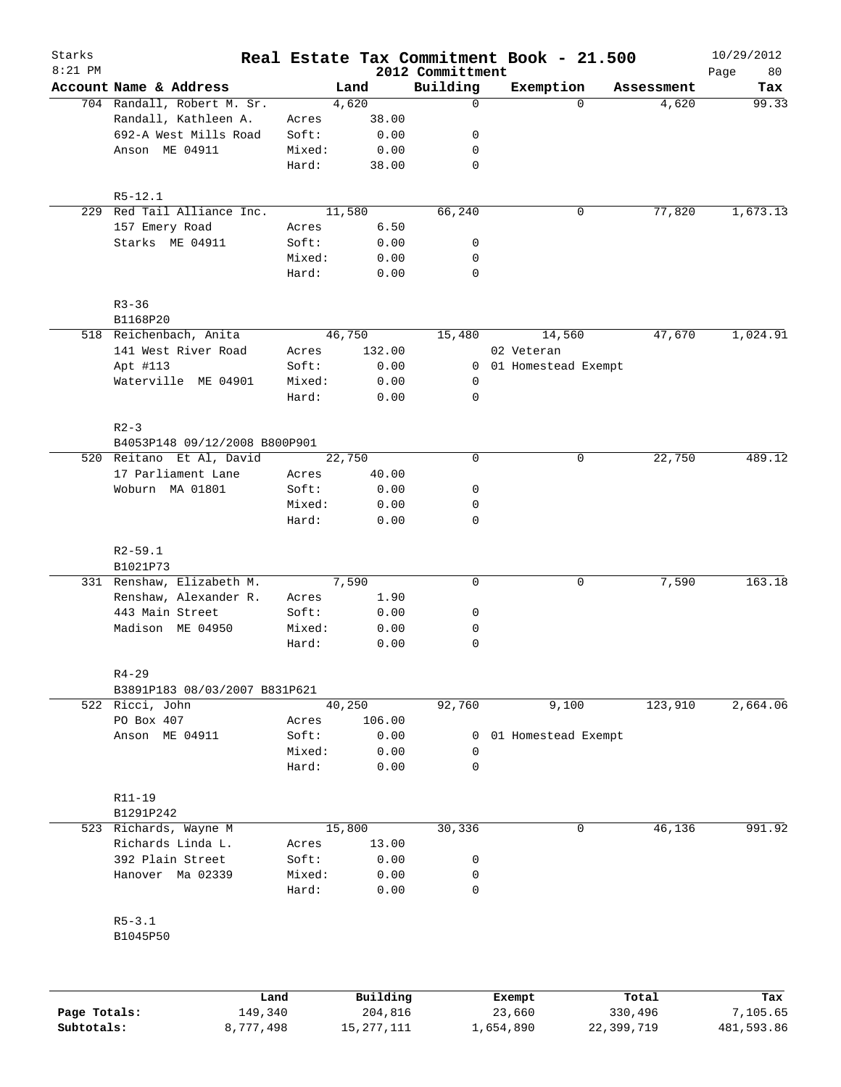| Starks    |                                                           |                 |              |                              | Real Estate Tax Commitment Book - 21.500 |            | 10/29/2012        |
|-----------|-----------------------------------------------------------|-----------------|--------------|------------------------------|------------------------------------------|------------|-------------------|
| $8:21$ PM | Account Name & Address                                    |                 | Land         | 2012 Committment<br>Building | Exemption                                | Assessment | 80<br>Page<br>Tax |
|           | 704 Randall, Robert M. Sr.                                |                 | 4,620        | 0                            | $\Omega$                                 | 4,620      | 99.33             |
|           | Randall, Kathleen A.                                      | Acres           | 38.00        |                              |                                          |            |                   |
|           | 692-A West Mills Road                                     | Soft:           | 0.00         | 0                            |                                          |            |                   |
|           | Anson ME 04911                                            | Mixed:          | 0.00         | 0                            |                                          |            |                   |
|           |                                                           | Hard:           | 38.00        | 0                            |                                          |            |                   |
|           | $R5 - 12.1$                                               |                 |              |                              |                                          |            |                   |
|           | 229 Red Tail Alliance Inc.                                |                 | 11,580       | 66,240                       | 0                                        | 77,820     | 1,673.13          |
|           | 157 Emery Road                                            | Acres           | 6.50         |                              |                                          |            |                   |
|           | Starks ME 04911                                           | Soft:           | 0.00         | 0                            |                                          |            |                   |
|           |                                                           | Mixed:          | 0.00         | 0                            |                                          |            |                   |
|           |                                                           | Hard:           | 0.00         | 0                            |                                          |            |                   |
|           | $R3 - 36$                                                 |                 |              |                              |                                          |            |                   |
|           | B1168P20                                                  |                 |              |                              |                                          |            |                   |
|           | 518 Reichenbach, Anita                                    |                 | 46,750       | 15,480                       | 14,560                                   | 47,670     | 1,024.91          |
|           | 141 West River Road                                       | Acres           | 132.00       |                              | 02 Veteran                               |            |                   |
|           | Apt #113                                                  | Soft:           | 0.00         |                              | 0 01 Homestead Exempt                    |            |                   |
|           | Waterville ME 04901                                       | Mixed:          | 0.00         | 0                            |                                          |            |                   |
|           |                                                           | Hard:           | 0.00         | 0                            |                                          |            |                   |
|           | $R2 - 3$                                                  |                 |              |                              |                                          |            |                   |
|           | B4053P148 09/12/2008 B800P901<br>520 Reitano Et Al, David |                 | 22,750       | $\mathbf 0$                  | 0                                        | 22,750     | 489.12            |
|           |                                                           |                 |              |                              |                                          |            |                   |
|           | 17 Parliament Lane                                        | Acres           | 40.00        |                              |                                          |            |                   |
|           | Woburn MA 01801                                           | Soft:           | 0.00         | 0                            |                                          |            |                   |
|           |                                                           | Mixed:<br>Hard: | 0.00<br>0.00 | 0<br>0                       |                                          |            |                   |
|           | $R2 - 59.1$                                               |                 |              |                              |                                          |            |                   |
|           | B1021P73                                                  |                 |              |                              |                                          |            |                   |
|           | 331 Renshaw, Elizabeth M.                                 |                 | 7,590        | 0                            | $\mathbf 0$                              | 7,590      | 163.18            |
|           | Renshaw, Alexander R.                                     | Acres           | 1.90         |                              |                                          |            |                   |
|           | 443 Main Street                                           | Soft:           | 0.00         | 0                            |                                          |            |                   |
|           | Madison ME 04950                                          | Mixed:          | 0.00         | 0                            |                                          |            |                   |
|           |                                                           | Hard:           | 0.00         | 0                            |                                          |            |                   |
|           | $R4 - 29$                                                 |                 |              |                              |                                          |            |                   |
|           | B3891P183 08/03/2007 B831P621                             |                 |              |                              |                                          |            |                   |
|           | 522 Ricci, John                                           |                 | 40,250       | 92,760                       | 9,100                                    | 123,910    | 2,664.06          |
|           | PO Box 407                                                | Acres           | 106.00       |                              |                                          |            |                   |
|           | Anson ME 04911                                            | Soft:           | 0.00         | $\overline{0}$               | 01 Homestead Exempt                      |            |                   |
|           |                                                           | Mixed:          | 0.00         | 0                            |                                          |            |                   |
|           |                                                           | Hard:           | 0.00         | 0                            |                                          |            |                   |
|           | R11-19                                                    |                 |              |                              |                                          |            |                   |
|           | B1291P242                                                 |                 |              |                              |                                          |            |                   |
|           | 523 Richards, Wayne M                                     |                 | 15,800       | 30,336                       | 0                                        | 46,136     | 991.92            |
|           | Richards Linda L.                                         | Acres           | 13.00        |                              |                                          |            |                   |
|           | 392 Plain Street                                          | Soft:           | 0.00         | 0                            |                                          |            |                   |
|           | Hanover Ma 02339                                          | Mixed:<br>Hard: | 0.00<br>0.00 | 0<br>0                       |                                          |            |                   |
|           | $R5 - 3.1$                                                |                 |              |                              |                                          |            |                   |
|           | B1045P50                                                  |                 |              |                              |                                          |            |                   |
|           |                                                           |                 |              |                              |                                          |            |                   |
|           | Land                                                      |                 | Building     |                              | Exempt                                   | Total      | Tax               |

|              | Land      | Building     | Exempt    | Total      | Tax        |
|--------------|-----------|--------------|-----------|------------|------------|
| Page Totals: | 149,340   | 204,816      | 23,660    | 330,496    | 7,105.65   |
| Subtotals:   | 8,777,498 | 15, 277, 111 | 1,654,890 | 22,399,719 | 481,593.86 |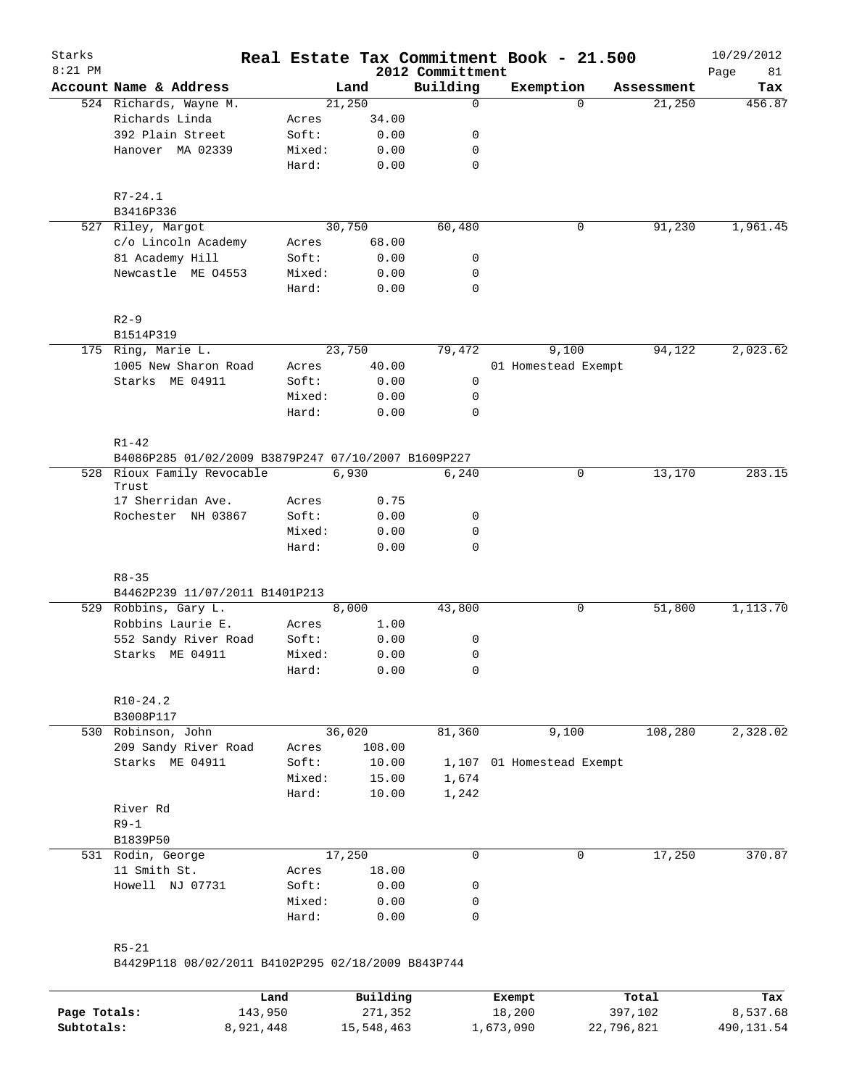| Starks<br>$8:21$ PM |                                                                 |                 |              | 2012 Committment | Real Estate Tax Commitment Book - 21.500 |            | 10/29/2012<br>Page<br>81 |
|---------------------|-----------------------------------------------------------------|-----------------|--------------|------------------|------------------------------------------|------------|--------------------------|
|                     | Account Name & Address                                          |                 | Land         | Building         | Exemption                                | Assessment | Tax                      |
|                     | 524 Richards, Wayne M.                                          |                 | 21,250       | $\mathbf 0$      | $\Omega$                                 | 21,250     | 456.87                   |
|                     | Richards Linda                                                  | Acres           | 34.00        |                  |                                          |            |                          |
|                     | 392 Plain Street                                                | Soft:           | 0.00         | 0                |                                          |            |                          |
|                     | Hanover MA 02339                                                | Mixed:          | 0.00         | 0                |                                          |            |                          |
|                     |                                                                 | Hard:           | 0.00         | $\mathbf 0$      |                                          |            |                          |
|                     | $R7 - 24.1$                                                     |                 |              |                  |                                          |            |                          |
|                     | B3416P336                                                       |                 |              |                  |                                          |            |                          |
|                     | 527 Riley, Margot                                               |                 | 30,750       | 60,480           | 0                                        | 91,230     | 1,961.45                 |
|                     | c/o Lincoln Academy                                             | Acres           | 68.00        |                  |                                          |            |                          |
|                     | 81 Academy Hill                                                 | Soft:           | 0.00         | 0                |                                          |            |                          |
|                     | Newcastle ME 04553                                              | Mixed:<br>Hard: | 0.00<br>0.00 | 0<br>$\mathbf 0$ |                                          |            |                          |
|                     | $R2-9$                                                          |                 |              |                  |                                          |            |                          |
|                     | B1514P319                                                       |                 |              |                  |                                          |            |                          |
|                     | 175 Ring, Marie L.                                              |                 | 23,750       | 79,472           | 9,100                                    | 94,122     | 2,023.62                 |
|                     | 1005 New Sharon Road                                            | Acres           | 40.00        |                  | 01 Homestead Exempt                      |            |                          |
|                     | Starks ME 04911                                                 | Soft:           | 0.00         | 0                |                                          |            |                          |
|                     |                                                                 | Mixed:          | 0.00         | 0                |                                          |            |                          |
|                     |                                                                 | Hard:           | 0.00         | $\mathbf 0$      |                                          |            |                          |
|                     | $R1 - 42$                                                       |                 |              |                  |                                          |            |                          |
|                     | B4086P285 01/02/2009 B3879P247 07/10/2007 B1609P227             |                 |              |                  |                                          |            |                          |
|                     | 528 Rioux Family Revocable<br>Trust                             |                 | 6,930        | 6,240            | 0                                        | 13,170     | 283.15                   |
|                     | 17 Sherridan Ave.                                               | Acres           | 0.75         |                  |                                          |            |                          |
|                     | Rochester NH 03867                                              | Soft:           | 0.00         | 0                |                                          |            |                          |
|                     |                                                                 | Mixed:          | 0.00         | 0                |                                          |            |                          |
|                     |                                                                 | Hard:           | 0.00         | $\mathbf 0$      |                                          |            |                          |
|                     | $R8 - 35$                                                       |                 |              |                  |                                          |            |                          |
|                     | B4462P239 11/07/2011 B1401P213                                  |                 |              |                  |                                          |            |                          |
|                     | 529 Robbins, Gary L.                                            |                 | 8,000        | 43,800           | 0                                        | 51,800     | 1,113.70                 |
|                     | Robbins Laurie E.                                               | Acres           | 1.00         |                  |                                          |            |                          |
|                     | 552 Sandy River Road                                            | Soft:           | 0.00         | 0                |                                          |            |                          |
|                     | Starks ME 04911                                                 | Mixed:<br>Hard: | 0.00<br>0.00 | 0<br>0           |                                          |            |                          |
|                     |                                                                 |                 |              |                  |                                          |            |                          |
|                     | $R10-24.2$<br>B3008P117                                         |                 |              |                  |                                          |            |                          |
|                     | 530 Robinson, John                                              |                 | 36,020       | 81,360           | 9,100                                    | 108,280    | 2,328.02                 |
|                     | 209 Sandy River Road                                            | Acres           | 108.00       |                  |                                          |            |                          |
|                     | Starks ME 04911                                                 | Soft:           | 10.00        | 1,107            | 01 Homestead Exempt                      |            |                          |
|                     |                                                                 | Mixed:          | 15.00        | 1,674            |                                          |            |                          |
|                     |                                                                 | Hard:           | 10.00        | 1,242            |                                          |            |                          |
|                     | River Rd                                                        |                 |              |                  |                                          |            |                          |
|                     | $R9-1$                                                          |                 |              |                  |                                          |            |                          |
|                     | B1839P50                                                        |                 |              |                  |                                          |            |                          |
|                     | 531 Rodin, George                                               |                 | 17,250       | 0                | 0                                        | 17,250     | 370.87                   |
|                     | 11 Smith St.                                                    | Acres           | 18.00        |                  |                                          |            |                          |
|                     | Howell NJ 07731                                                 | Soft:           | 0.00         | 0                |                                          |            |                          |
|                     |                                                                 | Mixed:          | 0.00         | 0                |                                          |            |                          |
|                     |                                                                 | Hard:           | 0.00         | 0                |                                          |            |                          |
|                     | $R5 - 21$<br>B4429P118 08/02/2011 B4102P295 02/18/2009 B843P744 |                 |              |                  |                                          |            |                          |
|                     |                                                                 |                 |              |                  |                                          |            |                          |
|                     |                                                                 | Land            | Building     |                  | Exempt                                   | Total      | Tax                      |

|              | Land      | Building   | Exempt    | Total      | Tax        |
|--------------|-----------|------------|-----------|------------|------------|
| Page Totals: | 143,950   | 271,352    | 18,200    | 397,102    | 8,537.68   |
| Subtotals:   | 8,921,448 | 15,548,463 | 1,673,090 | 22,796,821 | 490,131.54 |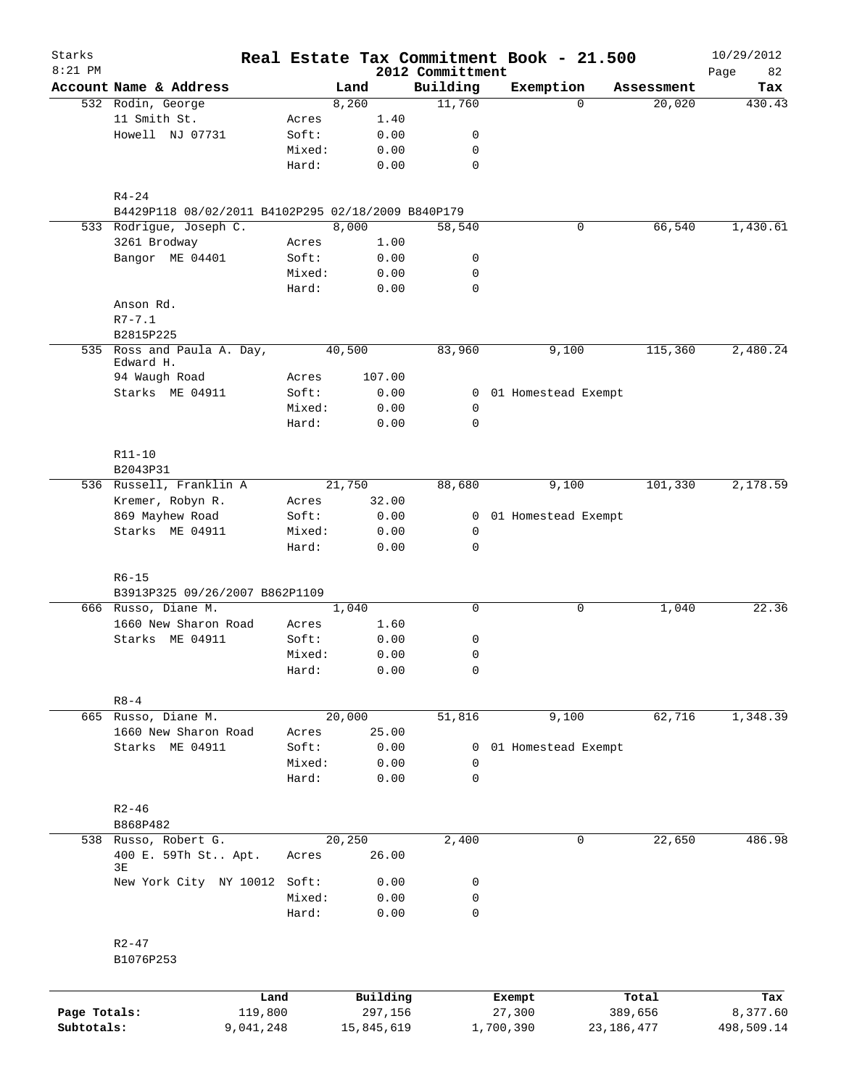| Starks<br>$8:21$ PM |                                                    |                 |        |              | 2012 Committment | Real Estate Tax Commitment Book - 21.500 |              | 10/29/2012        |
|---------------------|----------------------------------------------------|-----------------|--------|--------------|------------------|------------------------------------------|--------------|-------------------|
|                     | Account Name & Address                             |                 | Land   |              | Building         | Exemption                                | Assessment   | 82<br>Page<br>Tax |
|                     | 532 Rodin, George                                  |                 | 8,260  |              | 11,760           | $\Omega$                                 | 20,020       | 430.43            |
|                     | 11 Smith St.                                       | Acres           |        | 1.40         |                  |                                          |              |                   |
|                     | Howell NJ 07731                                    | Soft:           |        | 0.00         | 0                |                                          |              |                   |
|                     |                                                    | Mixed:          |        | 0.00         | 0                |                                          |              |                   |
|                     |                                                    | Hard:           |        | 0.00         | 0                |                                          |              |                   |
|                     | $R4 - 24$                                          |                 |        |              |                  |                                          |              |                   |
|                     | B4429P118 08/02/2011 B4102P295 02/18/2009 B840P179 |                 |        |              |                  |                                          |              |                   |
|                     | 533 Rodrigue, Joseph C.                            |                 | 8,000  |              | 58,540           | $\mathbf 0$                              | 66,540       | 1,430.61          |
|                     | 3261 Brodway                                       | Acres           |        | 1.00         |                  |                                          |              |                   |
|                     | Bangor ME 04401                                    | Soft:           |        | 0.00         | 0                |                                          |              |                   |
|                     |                                                    | Mixed:          |        | 0.00         | 0                |                                          |              |                   |
|                     |                                                    | Hard:           |        | 0.00         | 0                |                                          |              |                   |
|                     | Anson Rd.                                          |                 |        |              |                  |                                          |              |                   |
|                     | $R7 - 7.1$                                         |                 |        |              |                  |                                          |              |                   |
|                     | B2815P225                                          |                 |        |              |                  |                                          |              |                   |
|                     | 535 Ross and Paula A. Day,<br>Edward H.            |                 | 40,500 |              | 83,960           | 9,100                                    | 115,360      | 2,480.24          |
|                     | 94 Waugh Road                                      | Acres           |        | 107.00       |                  |                                          |              |                   |
|                     | Starks ME 04911                                    | Soft:           |        | 0.00         |                  | 0 01 Homestead Exempt                    |              |                   |
|                     |                                                    | Mixed:          |        | 0.00         | 0                |                                          |              |                   |
|                     |                                                    | Hard:           |        | 0.00         | $\mathbf 0$      |                                          |              |                   |
|                     | R11-10                                             |                 |        |              |                  |                                          |              |                   |
|                     | B2043P31                                           |                 |        |              |                  |                                          |              |                   |
|                     | 536 Russell, Franklin A                            |                 | 21,750 |              | 88,680           | 9,100                                    | 101,330      | 2,178.59          |
|                     |                                                    |                 |        | 32.00        |                  |                                          |              |                   |
|                     | Kremer, Robyn R.                                   | Acres           |        |              |                  |                                          |              |                   |
|                     | 869 Mayhew Road                                    | Soft:           |        | 0.00         |                  | 0 01 Homestead Exempt                    |              |                   |
|                     | Starks ME 04911                                    | Mixed:<br>Hard: |        | 0.00<br>0.00 | 0<br>$\mathbf 0$ |                                          |              |                   |
|                     |                                                    |                 |        |              |                  |                                          |              |                   |
|                     | $R6 - 15$                                          |                 |        |              |                  |                                          |              |                   |
|                     | B3913P325 09/26/2007 B862P1109                     |                 |        |              |                  |                                          |              |                   |
|                     | 666 Russo, Diane M.                                |                 | 1,040  |              | 0                | 0                                        | 1,040        | 22.36             |
|                     | 1660 New Sharon Road                               | Acres           |        | 1.60         |                  |                                          |              |                   |
|                     | Starks ME 04911                                    | Soft:           |        | 0.00         | 0                |                                          |              |                   |
|                     |                                                    | Mixed:          |        | 0.00<br>0.00 | 0<br>0           |                                          |              |                   |
|                     |                                                    | Hard:           |        |              |                  |                                          |              |                   |
|                     | $R8 - 4$                                           |                 |        |              |                  |                                          |              |                   |
|                     | 665 Russo, Diane M.                                |                 | 20,000 |              | 51,816           | 9,100                                    | 62,716       | 1,348.39          |
|                     | 1660 New Sharon Road                               | Acres           |        | 25.00        |                  |                                          |              |                   |
|                     | Starks ME 04911                                    | Soft:           |        | 0.00         | 0                | 01 Homestead Exempt                      |              |                   |
|                     |                                                    | Mixed:          |        | 0.00         | 0                |                                          |              |                   |
|                     |                                                    | Hard:           |        | 0.00         | 0                |                                          |              |                   |
|                     | $R2 - 46$                                          |                 |        |              |                  |                                          |              |                   |
|                     | B868P482                                           |                 |        |              |                  |                                          |              |                   |
|                     | 538 Russo, Robert G.                               |                 | 20,250 |              | 2,400            | 0                                        | 22,650       | 486.98            |
|                     | 400 E. 59Th St Apt.<br>3E                          | Acres           |        | 26.00        |                  |                                          |              |                   |
|                     | New York City NY 10012 Soft:                       |                 |        | 0.00         | 0                |                                          |              |                   |
|                     |                                                    | Mixed:          |        | 0.00         | 0                |                                          |              |                   |
|                     |                                                    | Hard:           |        | 0.00         | 0                |                                          |              |                   |
|                     | $R2 - 47$                                          |                 |        |              |                  |                                          |              |                   |
|                     | B1076P253                                          |                 |        |              |                  |                                          |              |                   |
|                     |                                                    |                 |        |              |                  |                                          |              |                   |
|                     |                                                    | Land            |        | Building     |                  | Exempt                                   | Total        | Tax               |
| Page Totals:        | 119,800                                            |                 |        | 297,156      |                  | 27,300                                   | 389,656      | 8,377.60          |
| Subtotals:          | 9,041,248                                          |                 |        | 15,845,619   |                  | 1,700,390                                | 23, 186, 477 | 498,509.14        |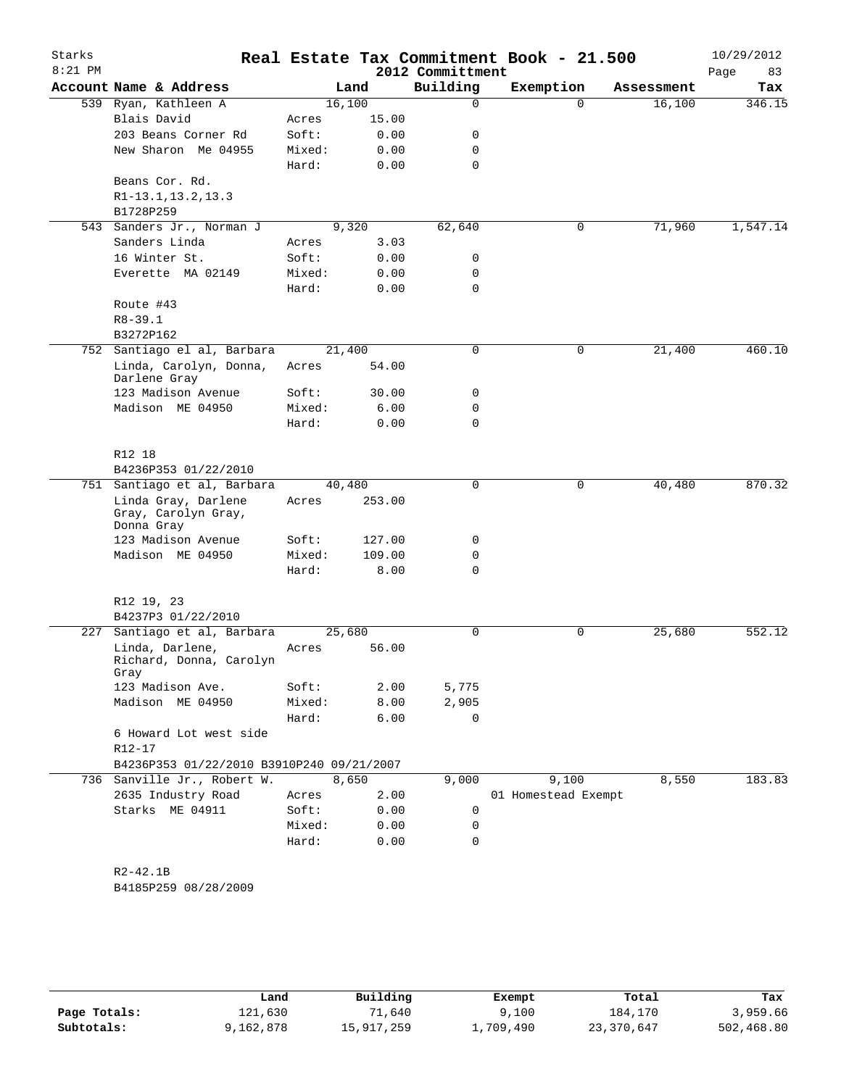| Starks<br>$8:21$ PM |                                                          |        |        | 2012 Committment | Real Estate Tax Commitment Book - 21.500 |            | 10/29/2012<br>Page<br>83 |
|---------------------|----------------------------------------------------------|--------|--------|------------------|------------------------------------------|------------|--------------------------|
|                     | Account Name & Address                                   |        | Land   | Building         | Exemption                                | Assessment | Tax                      |
| 539                 | Ryan, Kathleen A                                         |        | 16,100 | 0                | $\Omega$                                 | 16,100     | 346.15                   |
|                     | Blais David                                              | Acres  | 15.00  |                  |                                          |            |                          |
|                     | 203 Beans Corner Rd                                      | Soft:  | 0.00   | 0                |                                          |            |                          |
|                     | New Sharon Me 04955                                      | Mixed: | 0.00   | 0                |                                          |            |                          |
|                     |                                                          | Hard:  | 0.00   | 0                |                                          |            |                          |
|                     | Beans Cor. Rd.                                           |        |        |                  |                                          |            |                          |
|                     | R1-13.1, 13.2, 13.3                                      |        |        |                  |                                          |            |                          |
|                     | B1728P259                                                |        |        |                  |                                          |            |                          |
| 543                 | Sanders Jr., Norman J                                    |        | 9,320  | 62,640           | 0                                        | 71,960     | 1,547.14                 |
|                     | Sanders Linda                                            | Acres  | 3.03   |                  |                                          |            |                          |
|                     | 16 Winter St.                                            | Soft:  | 0.00   | 0                |                                          |            |                          |
|                     | Everette MA 02149                                        | Mixed: | 0.00   | 0                |                                          |            |                          |
|                     |                                                          | Hard:  | 0.00   | 0                |                                          |            |                          |
|                     | Route #43                                                |        |        |                  |                                          |            |                          |
|                     | $R8 - 39.1$                                              |        |        |                  |                                          |            |                          |
|                     | B3272P162                                                |        |        |                  |                                          |            |                          |
|                     | 752 Santiago el al, Barbara                              |        | 21,400 | 0                | 0                                        | 21,400     | 460.10                   |
|                     | Linda, Carolyn, Donna,<br>Darlene Gray                   | Acres  | 54.00  |                  |                                          |            |                          |
|                     | 123 Madison Avenue                                       | Soft:  | 30.00  | 0                |                                          |            |                          |
|                     | Madison ME 04950                                         | Mixed: | 6.00   | 0                |                                          |            |                          |
|                     |                                                          | Hard:  | 0.00   | $\Omega$         |                                          |            |                          |
|                     | R12 18                                                   |        |        |                  |                                          |            |                          |
|                     | B4236P353 01/22/2010                                     |        |        |                  |                                          |            |                          |
|                     | 751 Santiago et al, Barbara                              |        | 40,480 | $\Omega$         | 0                                        | 40,480     | 870.32                   |
|                     | Linda Gray, Darlene<br>Gray, Carolyn Gray,<br>Donna Gray | Acres  | 253.00 |                  |                                          |            |                          |
|                     | 123 Madison Avenue                                       | Soft:  | 127.00 | 0                |                                          |            |                          |
|                     | Madison ME 04950                                         | Mixed: | 109.00 | 0                |                                          |            |                          |
|                     |                                                          | Hard:  | 8.00   | 0                |                                          |            |                          |
|                     | R12 19, 23                                               |        |        |                  |                                          |            |                          |
|                     | B4237P3 01/22/2010                                       |        |        |                  |                                          |            |                          |
| 227                 | Santiago et al, Barbara                                  |        | 25,680 | 0                | 0                                        | 25,680     | 552.12                   |
|                     | Linda, Darlene,<br>Richard, Donna, Carolyn<br>Gray       | Acres  | 56.00  |                  |                                          |            |                          |
|                     | 123 Madison Ave.                                         | Soft:  | 2.00   | 5,775            |                                          |            |                          |
|                     | Madison ME 04950                                         | Mixed: | 8.00   | 2,905            |                                          |            |                          |
|                     |                                                          | Hard:  | 6.00   | 0                |                                          |            |                          |
|                     | 6 Howard Lot west side                                   |        |        |                  |                                          |            |                          |
|                     | R12-17                                                   |        |        |                  |                                          |            |                          |
|                     | B4236P353 01/22/2010 B3910P240 09/21/2007                |        |        |                  |                                          |            |                          |
| 736                 | Sanville Jr., Robert W.                                  |        | 8,650  | 9,000            | 9,100                                    | 8,550      | 183.83                   |
|                     | 2635 Industry Road                                       | Acres  | 2.00   |                  | 01 Homestead Exempt                      |            |                          |
|                     | Starks ME 04911                                          | Soft:  | 0.00   | 0                |                                          |            |                          |
|                     |                                                          | Mixed: | 0.00   | 0                |                                          |            |                          |
|                     |                                                          | Hard:  | 0.00   | 0                |                                          |            |                          |
|                     | $R2 - 42.1B$                                             |        |        |                  |                                          |            |                          |

B4185P259 08/28/2009

|              | Land      | Building   | Exempt    | Total      | Tax        |
|--------------|-----------|------------|-----------|------------|------------|
| Page Totals: | 121,630   | 1,640      | ,100      | 184,170    | 3,959.66   |
| Subtotals:   | 9,162,878 | 15,917,259 | ⊥,709,490 | 23,370,647 | 502,468.80 |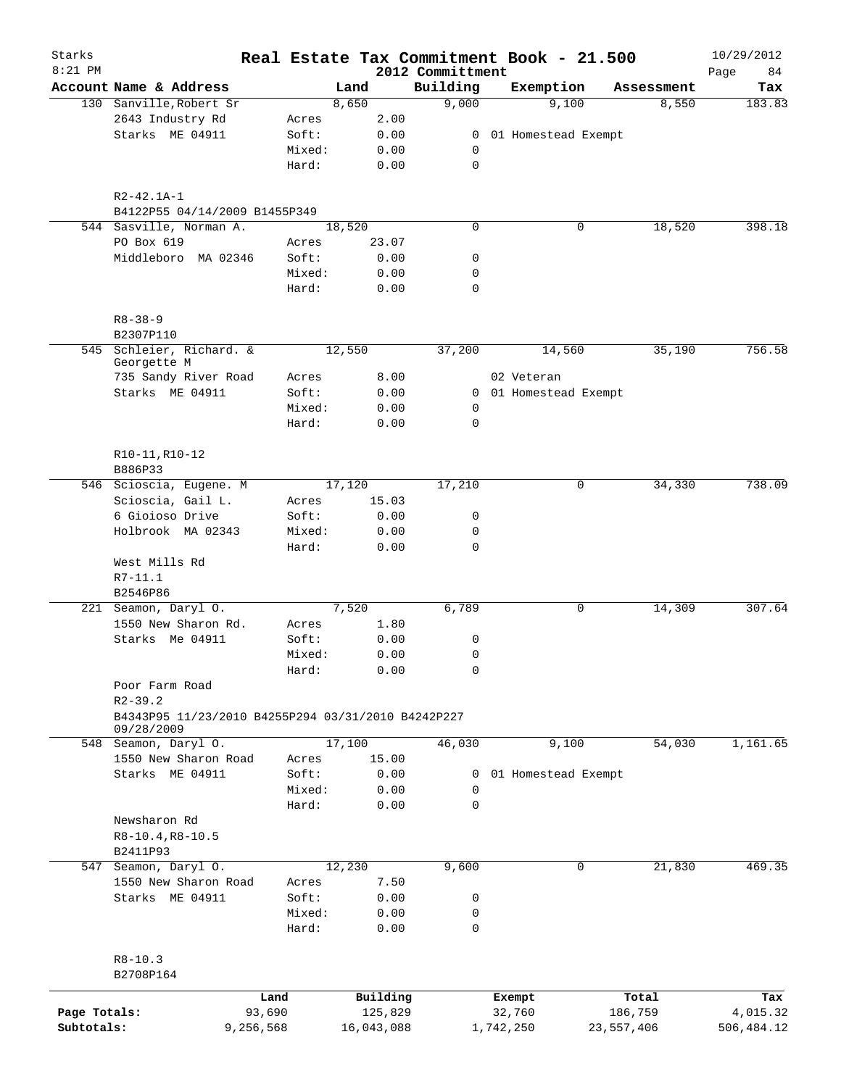| Starks<br>$8:21$ PM |                                                    |                 |        |              | Real Estate Tax Commitment Book - 21.500<br>2012 Committment |            |                       |            | 10/29/2012<br>84<br>Page |
|---------------------|----------------------------------------------------|-----------------|--------|--------------|--------------------------------------------------------------|------------|-----------------------|------------|--------------------------|
|                     | Account Name & Address                             |                 | Land   |              | Building                                                     |            | Exemption             | Assessment | Tax                      |
|                     | 130 Sanville, Robert Sr                            |                 | 8,650  |              | 9,000                                                        |            | 9,100                 | 8,550      | 183.83                   |
|                     | 2643 Industry Rd                                   | Acres           |        | 2.00         |                                                              |            |                       |            |                          |
|                     | Starks ME 04911                                    | Soft:           |        | 0.00         |                                                              |            | 0 01 Homestead Exempt |            |                          |
|                     |                                                    | Mixed:          |        | 0.00         | 0                                                            |            |                       |            |                          |
|                     |                                                    | Hard:           |        | 0.00         | $\mathbf 0$                                                  |            |                       |            |                          |
|                     | $R2 - 42.1A - 1$<br>B4122P55 04/14/2009 B1455P349  |                 |        |              |                                                              |            |                       |            |                          |
|                     | 544 Sasville, Norman A.                            |                 | 18,520 |              | $\mathbf 0$                                                  |            | 0                     | 18,520     | 398.18                   |
|                     | PO Box 619                                         |                 |        | 23.07        |                                                              |            |                       |            |                          |
|                     | Middleboro MA 02346                                | Acres<br>Soft:  |        | 0.00         | 0                                                            |            |                       |            |                          |
|                     |                                                    | Mixed:          |        | 0.00         | 0                                                            |            |                       |            |                          |
|                     |                                                    | Hard:           |        | 0.00         | 0                                                            |            |                       |            |                          |
|                     |                                                    |                 |        |              |                                                              |            |                       |            |                          |
|                     | $R8 - 38 - 9$<br>B2307P110                         |                 |        |              |                                                              |            |                       |            |                          |
|                     | 545 Schleier, Richard. &                           |                 | 12,550 |              | 37,200                                                       |            | 14,560                | 35,190     | 756.58                   |
|                     | Georgette M                                        |                 |        |              |                                                              |            |                       |            |                          |
|                     | 735 Sandy River Road                               | Acres           |        | 8.00         |                                                              | 02 Veteran |                       |            |                          |
|                     | Starks ME 04911                                    | Soft:           |        | 0.00         |                                                              |            | 0 01 Homestead Exempt |            |                          |
|                     |                                                    | Mixed:          |        | 0.00         | 0                                                            |            |                       |            |                          |
|                     |                                                    | Hard:           |        | 0.00         | $\mathbf 0$                                                  |            |                       |            |                          |
|                     | R10-11, R10-12<br>B886P33                          |                 |        |              |                                                              |            |                       |            |                          |
|                     | 546 Scioscia, Eugene. M                            |                 | 17,120 |              | 17,210                                                       |            | 0                     | 34,330     | 738.09                   |
|                     | Scioscia, Gail L.                                  | Acres           |        | 15.03        |                                                              |            |                       |            |                          |
|                     | 6 Gioioso Drive                                    | Soft:           |        | 0.00         | 0                                                            |            |                       |            |                          |
|                     | Holbrook MA 02343                                  | Mixed:          |        | 0.00         | 0                                                            |            |                       |            |                          |
|                     | West Mills Rd                                      | Hard:           |        | 0.00         | $\mathbf 0$                                                  |            |                       |            |                          |
|                     | R7-11.1<br>B2546P86                                |                 |        |              |                                                              |            |                       |            |                          |
|                     | 221 Seamon, Daryl O.                               |                 | 7,520  |              | 6,789                                                        |            | 0                     | 14,309     | 307.64                   |
|                     | 1550 New Sharon Rd.                                | Acres           |        | 1.80         |                                                              |            |                       |            |                          |
|                     | Starks Me 04911                                    | Soft:           |        | 0.00         | 0                                                            |            |                       |            |                          |
|                     |                                                    | Mixed:          |        | 0.00         | 0                                                            |            |                       |            |                          |
|                     |                                                    | Hard:           |        | 0.00         | 0                                                            |            |                       |            |                          |
|                     | Poor Farm Road                                     |                 |        |              |                                                              |            |                       |            |                          |
|                     | $R2 - 39.2$                                        |                 |        |              |                                                              |            |                       |            |                          |
|                     | B4343P95 11/23/2010 B4255P294 03/31/2010 B4242P227 |                 |        |              |                                                              |            |                       |            |                          |
|                     | 09/28/2009<br>548 Seamon, Daryl O.                 |                 | 17,100 |              | 46,030                                                       |            | 9,100                 | 54,030     | 1,161.65                 |
|                     | 1550 New Sharon Road                               | Acres           |        | 15.00        |                                                              |            |                       |            |                          |
|                     | Starks ME 04911                                    | Soft:           |        |              |                                                              |            |                       |            |                          |
|                     |                                                    | Mixed:          |        | 0.00         | 0                                                            |            | 01 Homestead Exempt   |            |                          |
|                     |                                                    |                 |        | 0.00         | 0                                                            |            |                       |            |                          |
|                     |                                                    | Hard:           |        | 0.00         | $\mathbf 0$                                                  |            |                       |            |                          |
|                     | Newsharon Rd                                       |                 |        |              |                                                              |            |                       |            |                          |
|                     | R8-10.4, R8-10.5                                   |                 |        |              |                                                              |            |                       |            |                          |
|                     | B2411P93                                           |                 |        |              |                                                              |            |                       |            |                          |
|                     | 547 Seamon, Daryl O.                               |                 | 12,230 |              | 9,600                                                        |            | 0                     | 21,830     | 469.35                   |
|                     | 1550 New Sharon Road                               | Acres           |        | 7.50         |                                                              |            |                       |            |                          |
|                     | Starks ME 04911                                    | Soft:           |        | 0.00         | 0                                                            |            |                       |            |                          |
|                     |                                                    | Mixed:<br>Hard: |        | 0.00<br>0.00 | 0<br>0                                                       |            |                       |            |                          |
|                     |                                                    |                 |        |              |                                                              |            |                       |            |                          |
|                     | $R8 - 10.3$                                        |                 |        |              |                                                              |            |                       |            |                          |
|                     | B2708P164                                          |                 |        |              |                                                              |            |                       |            |                          |
|                     | Land                                               |                 |        | Building     |                                                              | Exempt     |                       | Total      | Tax                      |
| Page Totals:        | 93,690                                             |                 |        | 125,829      |                                                              | 32,760     |                       | 186,759    | 4,015.32                 |
| Subtotals:          | 9,256,568                                          |                 |        | 16,043,088   |                                                              | 1,742,250  |                       | 23,557,406 | 506,484.12               |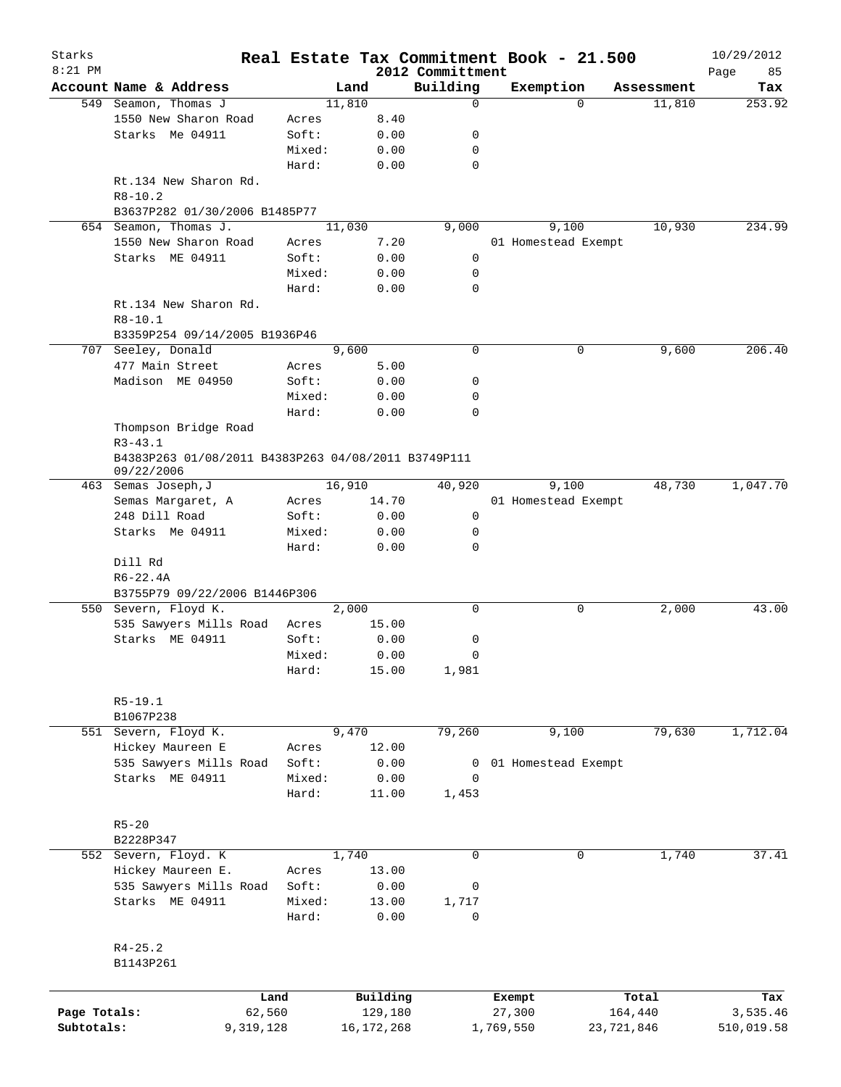| Starks<br>$8:21$ PM |                                                                   |        |        |              | 2012 Committment | Real Estate Tax Commitment Book - 21.500 |             |            | 10/29/2012        |
|---------------------|-------------------------------------------------------------------|--------|--------|--------------|------------------|------------------------------------------|-------------|------------|-------------------|
|                     | Account Name & Address                                            |        | Land   |              | Building         | Exemption                                |             | Assessment | Page<br>85<br>Tax |
|                     | 549 Seamon, Thomas J                                              |        | 11,810 |              | $\mathbf 0$      |                                          | $\Omega$    | 11,810     | 253.92            |
|                     | 1550 New Sharon Road                                              | Acres  |        | 8.40         |                  |                                          |             |            |                   |
|                     | Starks Me 04911                                                   | Soft:  |        | 0.00         | 0                |                                          |             |            |                   |
|                     |                                                                   | Mixed: |        | 0.00         | 0                |                                          |             |            |                   |
|                     |                                                                   | Hard:  |        | 0.00         | $\mathbf 0$      |                                          |             |            |                   |
|                     | Rt.134 New Sharon Rd.<br>$R8 - 10.2$                              |        |        |              |                  |                                          |             |            |                   |
|                     | B3637P282 01/30/2006 B1485P77                                     |        |        |              |                  |                                          |             |            |                   |
|                     | 654 Seamon, Thomas J.                                             |        | 11,030 |              | 9,000            | 9,100                                    |             | 10,930     | 234.99            |
|                     |                                                                   |        |        |              |                  |                                          |             |            |                   |
|                     | 1550 New Sharon Road                                              | Acres  |        | 7.20         |                  | 01 Homestead Exempt                      |             |            |                   |
|                     | Starks ME 04911                                                   | Soft:  |        | 0.00         | 0                |                                          |             |            |                   |
|                     |                                                                   | Mixed: |        | 0.00         | 0                |                                          |             |            |                   |
|                     |                                                                   | Hard:  |        | 0.00         | $\mathbf 0$      |                                          |             |            |                   |
|                     | Rt.134 New Sharon Rd.                                             |        |        |              |                  |                                          |             |            |                   |
|                     | $R8 - 10.1$                                                       |        |        |              |                  |                                          |             |            |                   |
|                     | B3359P254 09/14/2005 B1936P46                                     |        |        |              |                  |                                          |             |            |                   |
|                     | 707 Seeley, Donald                                                |        | 9,600  |              | 0                |                                          | 0           | 9,600      | 206.40            |
|                     | 477 Main Street                                                   | Acres  |        | 5.00         |                  |                                          |             |            |                   |
|                     | Madison ME 04950                                                  | Soft:  |        | 0.00         | 0                |                                          |             |            |                   |
|                     |                                                                   | Mixed: |        | 0.00         | 0                |                                          |             |            |                   |
|                     |                                                                   | Hard:  |        | 0.00         | $\mathbf 0$      |                                          |             |            |                   |
|                     | Thompson Bridge Road<br>$R3 - 43.1$                               |        |        |              |                  |                                          |             |            |                   |
|                     | B4383P263 01/08/2011 B4383P263 04/08/2011 B3749P111<br>09/22/2006 |        |        |              |                  |                                          |             |            |                   |
|                     | 463 Semas Joseph, J                                               |        | 16,910 |              | 40,920           | 9,100                                    |             | 48,730     | 1,047.70          |
|                     |                                                                   | Acres  |        | 14.70        |                  | 01 Homestead Exempt                      |             |            |                   |
|                     | Semas Margaret, A                                                 |        |        |              |                  |                                          |             |            |                   |
|                     | 248 Dill Road                                                     | Soft:  |        | 0.00         | 0                |                                          |             |            |                   |
|                     | Starks Me 04911                                                   | Mixed: |        | 0.00         | 0                |                                          |             |            |                   |
|                     |                                                                   | Hard:  |        | 0.00         | 0                |                                          |             |            |                   |
|                     | Dill Rd                                                           |        |        |              |                  |                                          |             |            |                   |
|                     | $R6 - 22.4A$                                                      |        |        |              |                  |                                          |             |            |                   |
|                     | B3755P79 09/22/2006 B1446P306                                     |        |        |              |                  |                                          |             |            |                   |
|                     | 550 Severn, Floyd K.                                              |        | 2,000  |              | $\mathbf 0$      |                                          | 0           | 2,000      | 43.00             |
|                     | 535 Sawyers Mills Road                                            | Acres  |        | 15.00        |                  |                                          |             |            |                   |
|                     | Starks ME 04911                                                   | Soft:  |        | 0.00         | 0                |                                          |             |            |                   |
|                     |                                                                   | Mixed: |        | 0.00         | 0                |                                          |             |            |                   |
|                     |                                                                   | Hard:  |        | 15.00        | 1,981            |                                          |             |            |                   |
|                     | $R5-19.1$                                                         |        |        |              |                  |                                          |             |            |                   |
|                     | B1067P238                                                         |        |        |              |                  |                                          |             |            |                   |
|                     | 551 Severn, Floyd K.                                              |        | 9,470  |              | 79,260           | 9,100                                    |             | 79,630     | 1,712.04          |
|                     | Hickey Maureen E                                                  | Acres  |        | 12.00        |                  |                                          |             |            |                   |
|                     | 535 Sawyers Mills Road                                            | Soft:  |        | 0.00         | 0                | 01 Homestead Exempt                      |             |            |                   |
|                     | Starks ME 04911                                                   | Mixed: |        | 0.00         | 0                |                                          |             |            |                   |
|                     |                                                                   | Hard:  |        | 11.00        | 1,453            |                                          |             |            |                   |
|                     | $R5 - 20$                                                         |        |        |              |                  |                                          |             |            |                   |
|                     | B2228P347                                                         |        |        |              |                  |                                          |             |            |                   |
|                     | 552 Severn, Floyd. K                                              |        | 1,740  |              | $\mathbf 0$      |                                          | $\mathbf 0$ | 1,740      | 37.41             |
|                     | Hickey Maureen E.                                                 | Acres  |        | 13.00        |                  |                                          |             |            |                   |
|                     | 535 Sawyers Mills Road                                            | Soft:  |        | 0.00         | 0                |                                          |             |            |                   |
|                     | Starks ME 04911                                                   | Mixed: |        | 13.00        | 1,717            |                                          |             |            |                   |
|                     |                                                                   | Hard:  |        | 0.00         | 0                |                                          |             |            |                   |
|                     | $R4 - 25.2$                                                       |        |        |              |                  |                                          |             |            |                   |
|                     | B1143P261                                                         |        |        |              |                  |                                          |             |            |                   |
|                     |                                                                   | Land   |        | Building     |                  | Exempt                                   |             | Total      | Tax               |
| Page Totals:        |                                                                   | 62,560 |        | 129,180      |                  | 27,300                                   |             | 164,440    | 3,535.46          |
| Subtotals:          | 9,319,128                                                         |        |        | 16, 172, 268 |                  | 1,769,550                                | 23,721,846  |            | 510,019.58        |
|                     |                                                                   |        |        |              |                  |                                          |             |            |                   |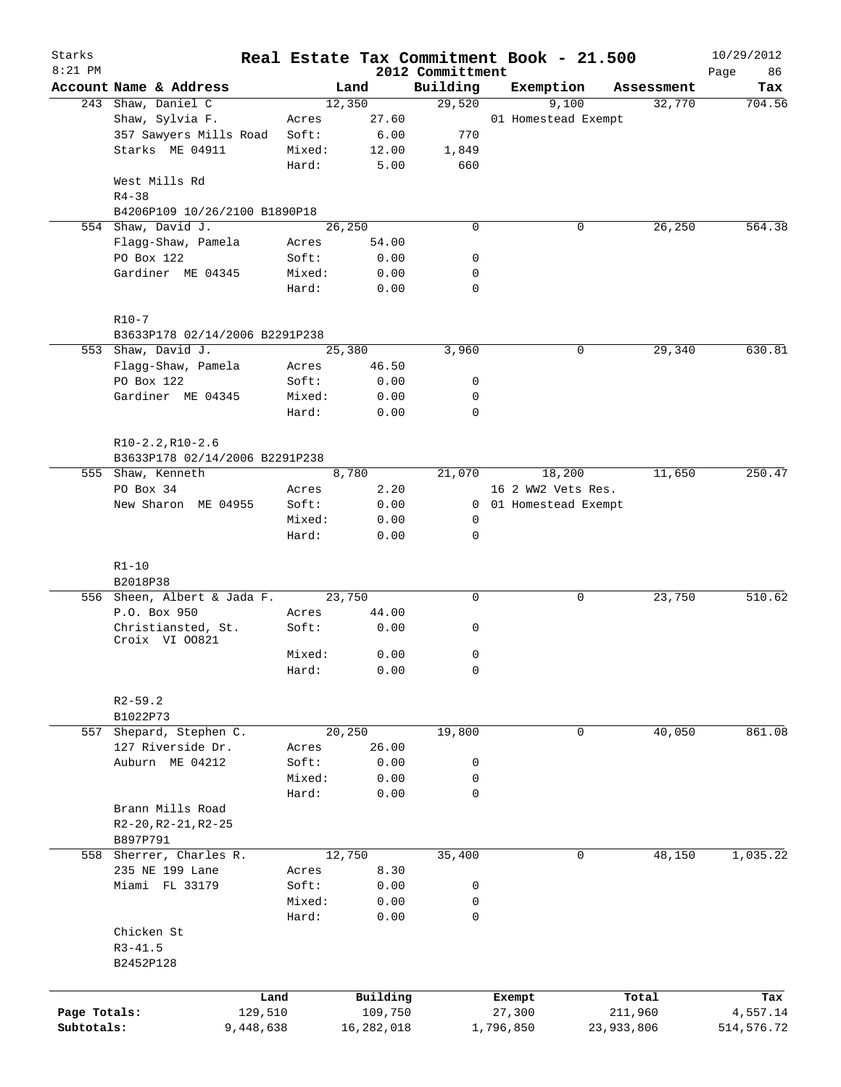| Starks<br>$8:21$ PM |                                      |        |              |                              | Real Estate Tax Commitment Book - 21.500 |            | 10/29/2012        |
|---------------------|--------------------------------------|--------|--------------|------------------------------|------------------------------------------|------------|-------------------|
|                     | Account Name & Address               |        | Land         | 2012 Committment<br>Building | Exemption                                | Assessment | Page<br>86<br>Tax |
| 243                 | Shaw, Daniel C                       |        | 12,350       | 29,520                       | 9,100                                    | 32,770     | 704.56            |
|                     | Shaw, Sylvia F.                      | Acres  | 27.60        |                              | 01 Homestead Exempt                      |            |                   |
|                     | 357 Sawyers Mills Road               | Soft:  | 6.00         | 770                          |                                          |            |                   |
|                     | Starks ME 04911                      | Mixed: | 12.00        | 1,849                        |                                          |            |                   |
|                     |                                      | Hard:  | 5.00         | 660                          |                                          |            |                   |
|                     | West Mills Rd                        |        |              |                              |                                          |            |                   |
|                     | $R4 - 38$                            |        |              |                              |                                          |            |                   |
|                     | B4206P109 10/26/2100 B1890P18        |        |              |                              |                                          |            |                   |
|                     | 554 Shaw, David J.                   |        | 26,250       | $\mathbf 0$                  | 0                                        | 26,250     | 564.38            |
|                     | Flagg-Shaw, Pamela                   | Acres  | 54.00        |                              |                                          |            |                   |
|                     | PO Box 122                           | Soft:  | 0.00         | 0                            |                                          |            |                   |
|                     | Gardiner ME 04345                    | Mixed: | 0.00         | 0                            |                                          |            |                   |
|                     |                                      | Hard:  | 0.00         | $\mathbf 0$                  |                                          |            |                   |
|                     | $R10 - 7$                            |        |              |                              |                                          |            |                   |
|                     | B3633P178 02/14/2006 B2291P238       |        |              |                              |                                          |            |                   |
|                     | 553 Shaw, David J.                   |        | 25,380       | 3,960                        | 0                                        | 29,340     | 630.81            |
|                     | Flagg-Shaw, Pamela                   | Acres  | 46.50        |                              |                                          |            |                   |
|                     | PO Box 122                           | Soft:  | 0.00         | 0                            |                                          |            |                   |
|                     | Gardiner ME 04345                    | Mixed: | 0.00         | 0                            |                                          |            |                   |
|                     |                                      | Hard:  | 0.00         | $\mathbf 0$                  |                                          |            |                   |
|                     | $R10-2.2, R10-2.6$                   |        |              |                              |                                          |            |                   |
|                     | B3633P178 02/14/2006 B2291P238       |        |              |                              |                                          |            |                   |
|                     | 555 Shaw, Kenneth                    |        | 8,780        | 21,070                       | 18,200                                   | 11,650     | 250.47            |
|                     | PO Box 34                            | Acres  | 2.20         |                              | 16 2 WW2 Vets Res.                       |            |                   |
|                     | New Sharon ME 04955                  | Soft:  | 0.00         | $\mathbf{0}$                 | 01 Homestead Exempt                      |            |                   |
|                     |                                      | Mixed: | 0.00         | 0                            |                                          |            |                   |
|                     |                                      | Hard:  | 0.00         | $\mathbf 0$                  |                                          |            |                   |
|                     | $R1 - 10$                            |        |              |                              |                                          |            |                   |
|                     | B2018P38                             |        |              |                              |                                          |            |                   |
|                     | 556 Sheen, Albert & Jada F.          |        | 23,750       | 0                            | 0                                        | 23,750     | 510.62            |
|                     | P.O. Box 950                         | Acres  | 44.00        |                              |                                          |            |                   |
|                     | Christiansted, St.<br>Croix VI 00821 | Soft:  | 0.00         | 0                            |                                          |            |                   |
|                     |                                      | Mixed: | 0.00         | $\mathbf 0$                  |                                          |            |                   |
|                     |                                      | Hard:  | 0.00         | 0                            |                                          |            |                   |
|                     |                                      |        |              |                              |                                          |            |                   |
|                     | $R2 - 59.2$<br>B1022P73              |        |              |                              |                                          |            |                   |
| 557                 | Shepard, Stephen C.                  |        | 20, 250      | 19,800                       | 0                                        | 40,050     | 861.08            |
|                     | 127 Riverside Dr.                    | Acres  | 26.00        |                              |                                          |            |                   |
|                     | Auburn ME 04212                      | Soft:  | 0.00         | 0                            |                                          |            |                   |
|                     |                                      | Mixed: | 0.00         | 0                            |                                          |            |                   |
|                     |                                      | Hard:  | 0.00         | 0                            |                                          |            |                   |
|                     | Brann Mills Road                     |        |              |                              |                                          |            |                   |
|                     | $R2-20, R2-21, R2-25$                |        |              |                              |                                          |            |                   |
|                     | B897P791                             |        |              |                              |                                          |            |                   |
|                     | 558 Sherrer, Charles R.              |        | 12,750       | 35,400                       | 0                                        | 48,150     | 1,035.22          |
|                     | 235 NE 199 Lane                      | Acres  | 8.30         |                              |                                          |            |                   |
|                     | Miami FL 33179                       | Soft:  | 0.00         | 0                            |                                          |            |                   |
|                     |                                      | Mixed: | 0.00         | 0                            |                                          |            |                   |
|                     |                                      | Hard:  | 0.00         | $\mathbf 0$                  |                                          |            |                   |
|                     | Chicken St                           |        |              |                              |                                          |            |                   |
|                     | $R3 - 41.5$                          |        |              |                              |                                          |            |                   |
|                     | B2452P128                            |        |              |                              |                                          |            |                   |
|                     |                                      |        |              |                              |                                          |            |                   |
|                     |                                      | Land   | Building     |                              | Exempt                                   | Total      | Tax               |
| Page Totals:        | 129,510                              |        | 109,750      |                              | 27,300                                   | 211,960    | 4,557.14          |
| Subtotals:          | 9,448,638                            |        | 16, 282, 018 |                              | 1,796,850                                | 23,933,806 | 514,576.72        |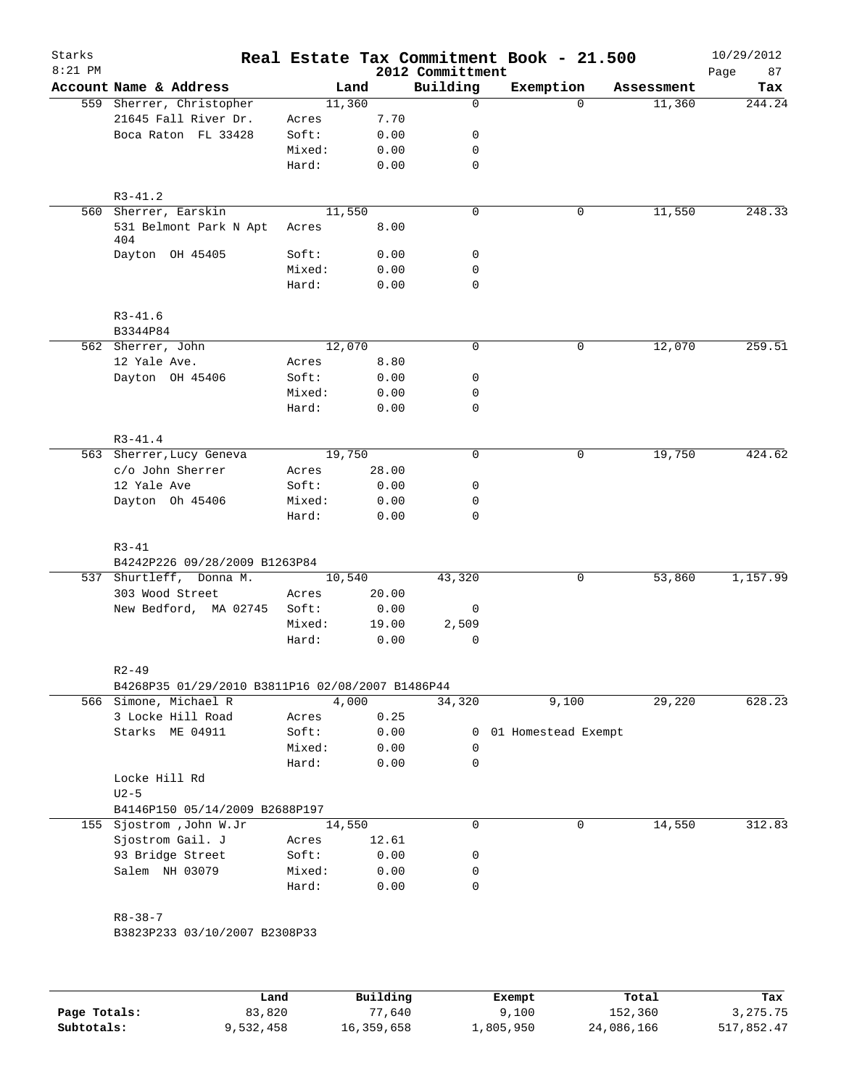| Starks<br>$8:21$ PM |                                                  |                 |              | 2012 Committment | Real Estate Tax Commitment Book - 21.500 |            | 10/29/2012<br>87 |
|---------------------|--------------------------------------------------|-----------------|--------------|------------------|------------------------------------------|------------|------------------|
|                     | Account Name & Address                           |                 | Land         | Building         | Exemption                                | Assessment | Page<br>Tax      |
|                     | 559 Sherrer, Christopher                         |                 | 11,360       | $\Omega$         | $\Omega$                                 | 11,360     | 244.24           |
|                     | 21645 Fall River Dr.                             | Acres           | 7.70         |                  |                                          |            |                  |
|                     | Boca Raton FL 33428                              | Soft:           | 0.00         | 0                |                                          |            |                  |
|                     |                                                  | Mixed:          | 0.00         | 0                |                                          |            |                  |
|                     |                                                  | Hard:           | 0.00         | 0                |                                          |            |                  |
|                     |                                                  |                 |              |                  |                                          |            |                  |
|                     | $R3 - 41.2$                                      |                 |              |                  |                                          |            |                  |
|                     | 560 Sherrer, Earskin                             |                 | 11,550       | $\mathbf 0$      | 0                                        | 11,550     | 248.33           |
|                     | 531 Belmont Park N Apt<br>404                    | Acres           | 8.00         |                  |                                          |            |                  |
|                     | Dayton OH 45405                                  | Soft:           | 0.00         | 0                |                                          |            |                  |
|                     |                                                  | Mixed:<br>Hard: | 0.00<br>0.00 | 0<br>$\mathbf 0$ |                                          |            |                  |
|                     | $R3 - 41.6$                                      |                 |              |                  |                                          |            |                  |
|                     | B3344P84                                         |                 |              |                  |                                          |            |                  |
|                     | 562 Sherrer, John                                |                 | 12,070       | 0                | 0                                        | 12,070     | 259.51           |
|                     | 12 Yale Ave.                                     | Acres           | 8.80         |                  |                                          |            |                  |
|                     | Dayton OH 45406                                  | Soft:           | 0.00         | 0                |                                          |            |                  |
|                     |                                                  | Mixed:          |              | 0                |                                          |            |                  |
|                     |                                                  | Hard:           | 0.00<br>0.00 | $\mathbf 0$      |                                          |            |                  |
|                     |                                                  |                 |              |                  |                                          |            |                  |
|                     | $R3 - 41.4$                                      |                 |              |                  |                                          |            |                  |
|                     | 563 Sherrer, Lucy Geneva                         |                 | 19,750       | $\mathbf 0$      | 0                                        | 19,750     | 424.62           |
|                     | c/o John Sherrer                                 | Acres           | 28.00        |                  |                                          |            |                  |
|                     | 12 Yale Ave                                      | Soft:           | 0.00         | 0                |                                          |            |                  |
|                     | Dayton Oh 45406                                  | Mixed:          | 0.00         | 0                |                                          |            |                  |
|                     |                                                  | Hard:           | 0.00         | $\mathbf 0$      |                                          |            |                  |
|                     | $R3 - 41$                                        |                 |              |                  |                                          |            |                  |
|                     | B4242P226 09/28/2009 B1263P84                    |                 |              |                  |                                          |            |                  |
|                     | 537 Shurtleff, Donna M.                          |                 | 10,540       | 43,320           | 0                                        | 53,860     | 1,157.99         |
|                     | 303 Wood Street                                  | Acres           | 20.00        |                  |                                          |            |                  |
|                     | New Bedford, MA 02745                            | Soft:           | 0.00         | 0                |                                          |            |                  |
|                     |                                                  | Mixed:          | 19.00        | 2,509            |                                          |            |                  |
|                     |                                                  | Hard:           | 0.00         | 0                |                                          |            |                  |
|                     | $R2 - 49$                                        |                 |              |                  |                                          |            |                  |
|                     | B4268P35 01/29/2010 B3811P16 02/08/2007 B1486P44 |                 |              |                  |                                          |            |                  |
|                     | 566 Simone, Michael R                            |                 | 4,000        | 34,320           | 9,100                                    | 29,220     | 628.23           |
|                     | 3 Locke Hill Road                                | Acres           | 0.25         |                  |                                          |            |                  |
|                     | Starks ME 04911                                  | Soft:           | 0.00         |                  | 0 01 Homestead Exempt                    |            |                  |
|                     |                                                  | Mixed:          | 0.00         | 0                |                                          |            |                  |
|                     |                                                  | Hard:           | 0.00         | 0                |                                          |            |                  |
|                     | Locke Hill Rd                                    |                 |              |                  |                                          |            |                  |
|                     | $U2-5$                                           |                 |              |                  |                                          |            |                  |
|                     | B4146P150 05/14/2009 B2688P197                   |                 |              |                  |                                          |            |                  |
|                     | 155 Sjostrom , John W.Jr                         |                 | 14,550       | 0                | 0                                        | 14,550     | 312.83           |
|                     | Sjostrom Gail. J                                 | Acres           | 12.61        |                  |                                          |            |                  |
|                     | 93 Bridge Street                                 | Soft:           | 0.00         | 0                |                                          |            |                  |
|                     | Salem NH 03079                                   | Mixed:          | 0.00         | 0                |                                          |            |                  |
|                     |                                                  | Hard:           | 0.00         | 0                |                                          |            |                  |
|                     |                                                  |                 |              |                  |                                          |            |                  |
|                     | $R8 - 38 - 7$<br>B3823P233 03/10/2007 B2308P33   |                 |              |                  |                                          |            |                  |
|                     |                                                  |                 |              |                  |                                          |            |                  |
|                     |                                                  |                 |              |                  |                                          |            |                  |
|                     |                                                  |                 |              |                  |                                          |            |                  |

|              | Land      | Building   | Exempt    | Total      | Tax        |
|--------------|-----------|------------|-----------|------------|------------|
| Page Totals: | 83,820    | 77,640     | 9,100     | 152,360    | 3, 275, 75 |
| Subtotals:   | 9,532,458 | 16,359,658 | 1,805,950 | 24,086,166 | 517,852.47 |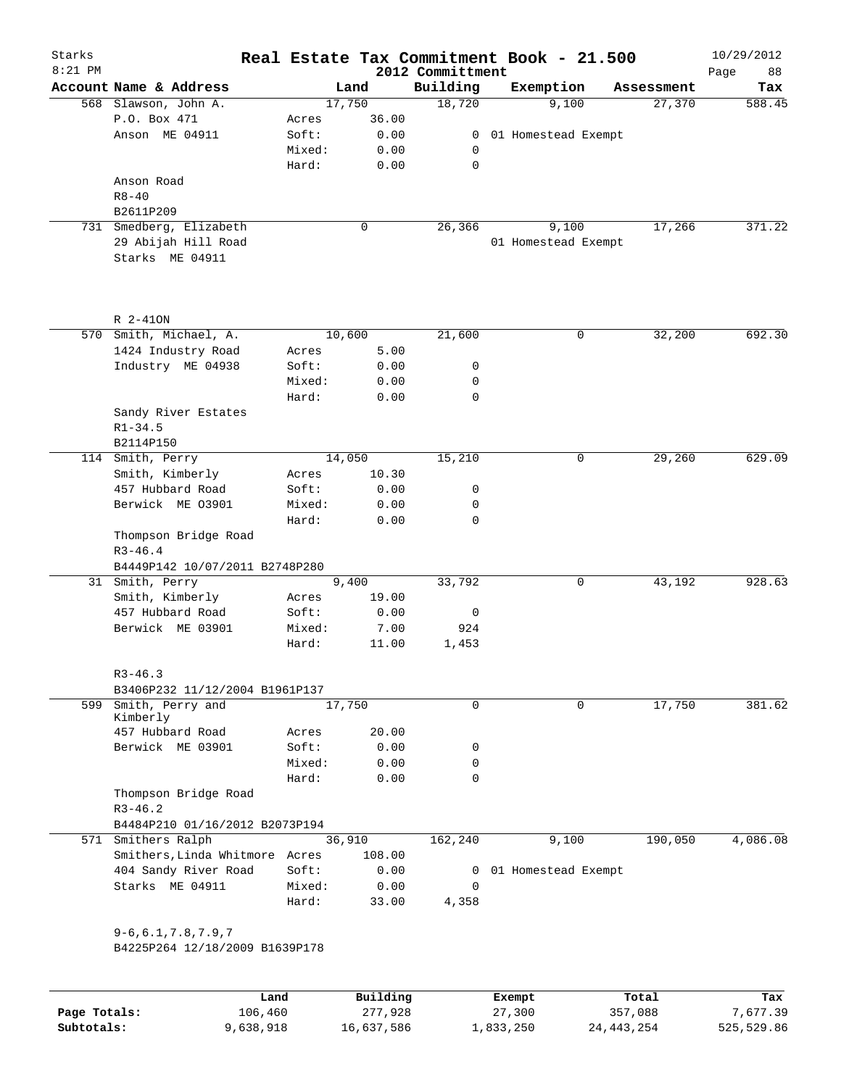| Starks<br>$8:21$ PM |                                                             |        |          | 2012 Committment | Real Estate Tax Commitment Book - 21.500 |            | 10/29/2012<br>88<br>Page |
|---------------------|-------------------------------------------------------------|--------|----------|------------------|------------------------------------------|------------|--------------------------|
|                     | Account Name & Address                                      |        | Land     | Building         | Exemption                                | Assessment | Tax                      |
|                     | 568 Slawson, John A.                                        |        | 17,750   | 18,720           | 9,100                                    | 27,370     | 588.45                   |
|                     | P.O. Box 471                                                | Acres  | 36.00    |                  |                                          |            |                          |
|                     | Anson ME 04911                                              | Soft:  | 0.00     | 0                | 01 Homestead Exempt                      |            |                          |
|                     |                                                             | Mixed: | 0.00     | 0                |                                          |            |                          |
|                     |                                                             | Hard:  | 0.00     | $\mathbf 0$      |                                          |            |                          |
|                     | Anson Road                                                  |        |          |                  |                                          |            |                          |
|                     | $R8 - 40$                                                   |        |          |                  |                                          |            |                          |
|                     | B2611P209                                                   |        |          |                  |                                          |            |                          |
|                     | 731 Smedberg, Elizabeth                                     |        | 0        | 26,366           | 9,100                                    | 17,266     | 371.22                   |
|                     | 29 Abijah Hill Road                                         |        |          |                  | 01 Homestead Exempt                      |            |                          |
|                     | Starks ME 04911                                             |        |          |                  |                                          |            |                          |
|                     |                                                             |        |          |                  |                                          |            |                          |
|                     | R 2-410N                                                    |        |          |                  |                                          |            |                          |
|                     | 570 Smith, Michael, A.                                      |        | 10,600   | 21,600           | $\mathbf 0$                              | 32,200     | 692.30                   |
|                     | 1424 Industry Road                                          | Acres  | 5.00     |                  |                                          |            |                          |
|                     | Industry ME 04938                                           | Soft:  | 0.00     | 0                |                                          |            |                          |
|                     |                                                             | Mixed: | 0.00     | 0                |                                          |            |                          |
|                     |                                                             | Hard:  | 0.00     | 0                |                                          |            |                          |
|                     | Sandy River Estates                                         |        |          |                  |                                          |            |                          |
|                     | $R1 - 34.5$                                                 |        |          |                  |                                          |            |                          |
|                     | B2114P150                                                   |        |          |                  |                                          |            |                          |
|                     | 114 Smith, Perry                                            |        | 14,050   | 15,210           | 0                                        | 29,260     | 629.09                   |
|                     | Smith, Kimberly                                             | Acres  | 10.30    |                  |                                          |            |                          |
|                     | 457 Hubbard Road                                            | Soft:  | 0.00     | 0                |                                          |            |                          |
|                     | Berwick ME 03901                                            | Mixed: | 0.00     | 0                |                                          |            |                          |
|                     |                                                             | Hard:  | 0.00     | $\mathbf 0$      |                                          |            |                          |
|                     | Thompson Bridge Road                                        |        |          |                  |                                          |            |                          |
|                     | $R3 - 46.4$<br>B4449P142 10/07/2011 B2748P280               |        |          |                  |                                          |            |                          |
|                     | 31 Smith, Perry                                             |        | 9,400    | 33,792           | 0                                        | 43,192     | 928.63                   |
|                     | Smith, Kimberly                                             | Acres  | 19.00    |                  |                                          |            |                          |
|                     | 457 Hubbard Road                                            | Soft:  | 0.00     | 0                |                                          |            |                          |
|                     | Berwick ME 03901                                            | Mixed: | 7.00     | 924              |                                          |            |                          |
|                     |                                                             | Hard:  | 11.00    | 1,453            |                                          |            |                          |
|                     | $R3 - 46.3$                                                 |        |          |                  |                                          |            |                          |
|                     | B3406P232 11/12/2004 B1961P137                              |        |          |                  |                                          |            |                          |
|                     | 599 Smith, Perry and<br>Kimberly                            |        | 17,750   | $\mathbf 0$      | $\mathbf 0$                              | 17,750     | 381.62                   |
|                     | 457 Hubbard Road                                            | Acres  | 20.00    |                  |                                          |            |                          |
|                     | Berwick ME 03901                                            | Soft:  | 0.00     | 0                |                                          |            |                          |
|                     |                                                             | Mixed: | 0.00     | 0                |                                          |            |                          |
|                     |                                                             | Hard:  | 0.00     | 0                |                                          |            |                          |
|                     | Thompson Bridge Road<br>$R3 - 46.2$                         |        |          |                  |                                          |            |                          |
|                     | B4484P210 01/16/2012 B2073P194                              |        |          |                  |                                          |            |                          |
|                     | 571 Smithers Ralph                                          |        | 36,910   | 162,240          | 9,100                                    | 190,050    | 4,086.08                 |
|                     | Smithers, Linda Whitmore Acres                              |        | 108.00   |                  |                                          |            |                          |
|                     | 404 Sandy River Road                                        | Soft:  | 0.00     | 0                | 01 Homestead Exempt                      |            |                          |
|                     | Starks ME 04911                                             | Mixed: | 0.00     | $\mathbf 0$      |                                          |            |                          |
|                     |                                                             | Hard:  | 33.00    | 4,358            |                                          |            |                          |
|                     | $9 - 6, 6.1, 7.8, 7.9, 7$<br>B4225P264 12/18/2009 B1639P178 |        |          |                  |                                          |            |                          |
|                     |                                                             |        |          |                  |                                          |            |                          |
|                     |                                                             | Land   | Building |                  | Exempt                                   | Total      | Tax                      |

|              | Land      | Building   | Exempt    | Total        | Tax        |
|--------------|-----------|------------|-----------|--------------|------------|
| Page Totals: | 106,460   | 277,928    | 27,300    | 357,088      | 7,677.39   |
| Subtotals:   | 9,638,918 | 16,637,586 | 1,833,250 | 24, 443, 254 | 525,529.86 |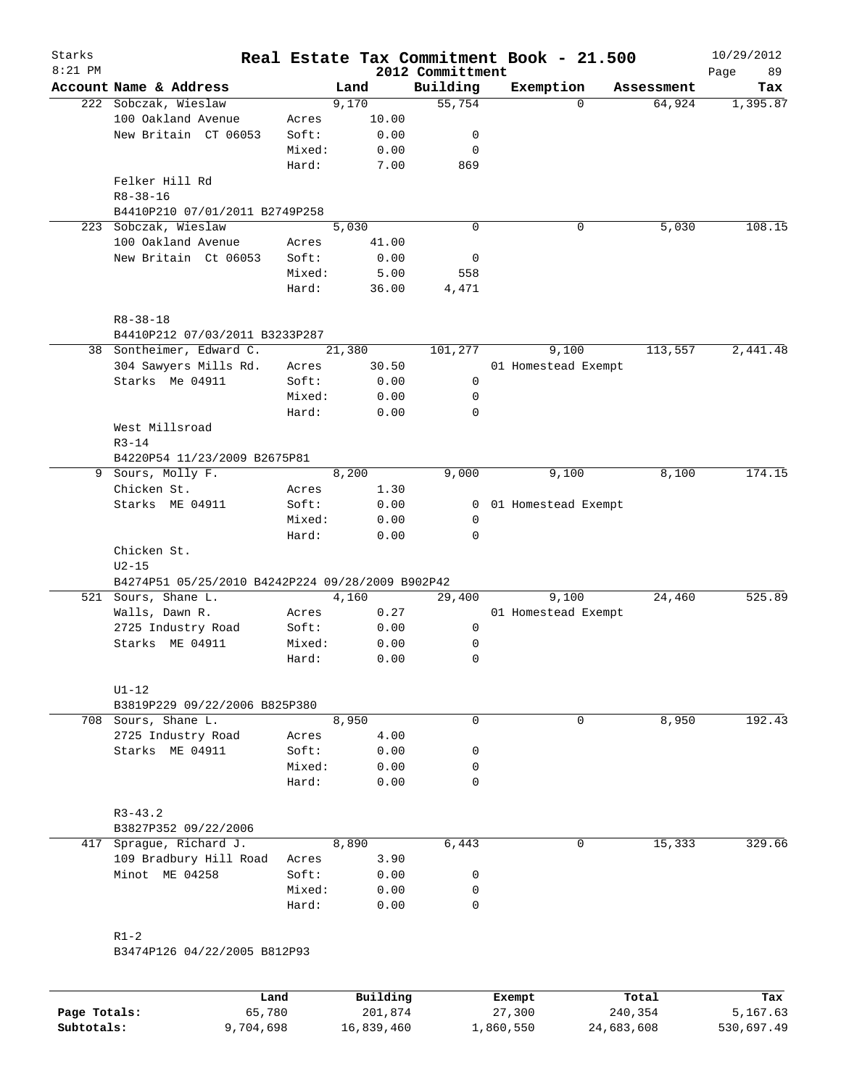| $8:21$ PM |                                                  |        |        | 2012 Committment | Real Estate Tax Commitment Book - 21.500 |            | 10/29/2012<br>Page<br>89 |
|-----------|--------------------------------------------------|--------|--------|------------------|------------------------------------------|------------|--------------------------|
|           | Account Name & Address                           |        | Land   | Building         | Exemption                                | Assessment | Tax                      |
|           | 222 Sobczak, Wieslaw                             |        | 9,170  | 55,754           | $\Omega$                                 | 64,924     | 1,395.87                 |
|           | 100 Oakland Avenue                               | Acres  | 10.00  |                  |                                          |            |                          |
|           | New Britain CT 06053                             | Soft:  | 0.00   | 0                |                                          |            |                          |
|           |                                                  | Mixed: | 0.00   | 0                |                                          |            |                          |
|           |                                                  | Hard:  | 7.00   | 869              |                                          |            |                          |
|           | Felker Hill Rd                                   |        |        |                  |                                          |            |                          |
|           | $R8 - 38 - 16$                                   |        |        |                  |                                          |            |                          |
|           | B4410P210 07/01/2011 B2749P258                   |        |        |                  |                                          |            |                          |
| 223       | Sobczak, Wieslaw                                 |        | 5,030  | $\mathbf 0$      | 0                                        | 5,030      | 108.15                   |
|           | 100 Oakland Avenue                               | Acres  | 41.00  |                  |                                          |            |                          |
|           | New Britain Ct 06053                             | Soft:  | 0.00   | 0                |                                          |            |                          |
|           |                                                  | Mixed: | 5.00   | 558              |                                          |            |                          |
|           |                                                  | Hard:  | 36.00  | 4,471            |                                          |            |                          |
|           |                                                  |        |        |                  |                                          |            |                          |
|           | $R8 - 38 - 18$<br>B4410P212 07/03/2011 B3233P287 |        |        |                  |                                          |            |                          |
|           | 38 Sontheimer, Edward C.                         |        | 21,380 | 101,277          | 9,100                                    | 113,557    | 2,441.48                 |
|           |                                                  |        |        |                  |                                          |            |                          |
|           | 304 Sawyers Mills Rd.                            | Acres  | 30.50  |                  | 01 Homestead Exempt                      |            |                          |
|           | Starks Me 04911                                  | Soft:  | 0.00   | 0                |                                          |            |                          |
|           |                                                  | Mixed: | 0.00   | 0                |                                          |            |                          |
|           |                                                  | Hard:  | 0.00   | $\mathbf 0$      |                                          |            |                          |
|           | West Millsroad                                   |        |        |                  |                                          |            |                          |
|           | $R3 - 14$                                        |        |        |                  |                                          |            |                          |
|           | B4220P54 11/23/2009 B2675P81                     |        | 8,200  | 9,000            | 9,100                                    | 8,100      | 174.15                   |
|           | 9 Sours, Molly F.<br>Chicken St.                 |        |        |                  |                                          |            |                          |
|           |                                                  | Acres  | 1.30   |                  |                                          |            |                          |
|           | Starks ME 04911                                  | Soft:  | 0.00   | 0                | 01 Homestead Exempt                      |            |                          |
|           |                                                  | Mixed: | 0.00   | 0<br>$\mathbf 0$ |                                          |            |                          |
|           | Chicken St.                                      | Hard:  | 0.00   |                  |                                          |            |                          |
|           | $U2-15$                                          |        |        |                  |                                          |            |                          |
|           | B4274P51 05/25/2010 B4242P224 09/28/2009 B902P42 |        |        |                  |                                          |            |                          |
|           | 521 Sours, Shane L.                              |        | 4,160  | 29,400           | 9,100                                    | 24,460     | 525.89                   |
|           | Walls, Dawn R.                                   | Acres  | 0.27   |                  | 01 Homestead Exempt                      |            |                          |
|           | 2725 Industry Road                               | Soft:  | 0.00   | 0                |                                          |            |                          |
|           | Starks ME 04911                                  | Mixed: | 0.00   | 0                |                                          |            |                          |
|           |                                                  | Hard:  | 0.00   | $\mathbf 0$      |                                          |            |                          |
|           |                                                  |        |        |                  |                                          |            |                          |
|           | $U1-12$                                          |        |        |                  |                                          |            |                          |
|           | B3819P229 09/22/2006 B825P380                    |        |        |                  |                                          |            |                          |
|           | 708 Sours, Shane L.                              |        | 8,950  | 0                | 0                                        | 8,950      | 192.43                   |
|           | 2725 Industry Road                               | Acres  | 4.00   |                  |                                          |            |                          |
|           | Starks ME 04911                                  | Soft:  | 0.00   | 0                |                                          |            |                          |
|           |                                                  | Mixed: | 0.00   | 0                |                                          |            |                          |
|           |                                                  | Hard:  | 0.00   | $\mathbf 0$      |                                          |            |                          |
|           |                                                  |        |        |                  |                                          |            |                          |
|           | $R3 - 43.2$                                      |        |        |                  |                                          |            |                          |
|           | B3827P352 09/22/2006                             |        |        |                  |                                          |            |                          |
| 417       | Sprague, Richard J.                              |        | 8,890  | 6,443            | 0                                        | 15,333     | 329.66                   |
|           | 109 Bradbury Hill Road                           | Acres  | 3.90   |                  |                                          |            |                          |
|           | Minot ME 04258                                   | Soft:  | 0.00   | 0                |                                          |            |                          |
|           |                                                  | Mixed: | 0.00   | 0                |                                          |            |                          |
|           |                                                  | Hard:  | 0.00   | 0                |                                          |            |                          |
|           |                                                  |        |        |                  |                                          |            |                          |
|           | $R1-2$                                           |        |        |                  |                                          |            |                          |

|              | Land      | Building   | Exempt    | Total      | Tax        |
|--------------|-----------|------------|-----------|------------|------------|
| Page Totals: | 65,780    | 201,874    | 27,300    | 240,354    | 5,167.63   |
| Subtotals:   | 9,704,698 | 16,839,460 | ⊥,860,550 | 24,683,608 | 530,697.49 |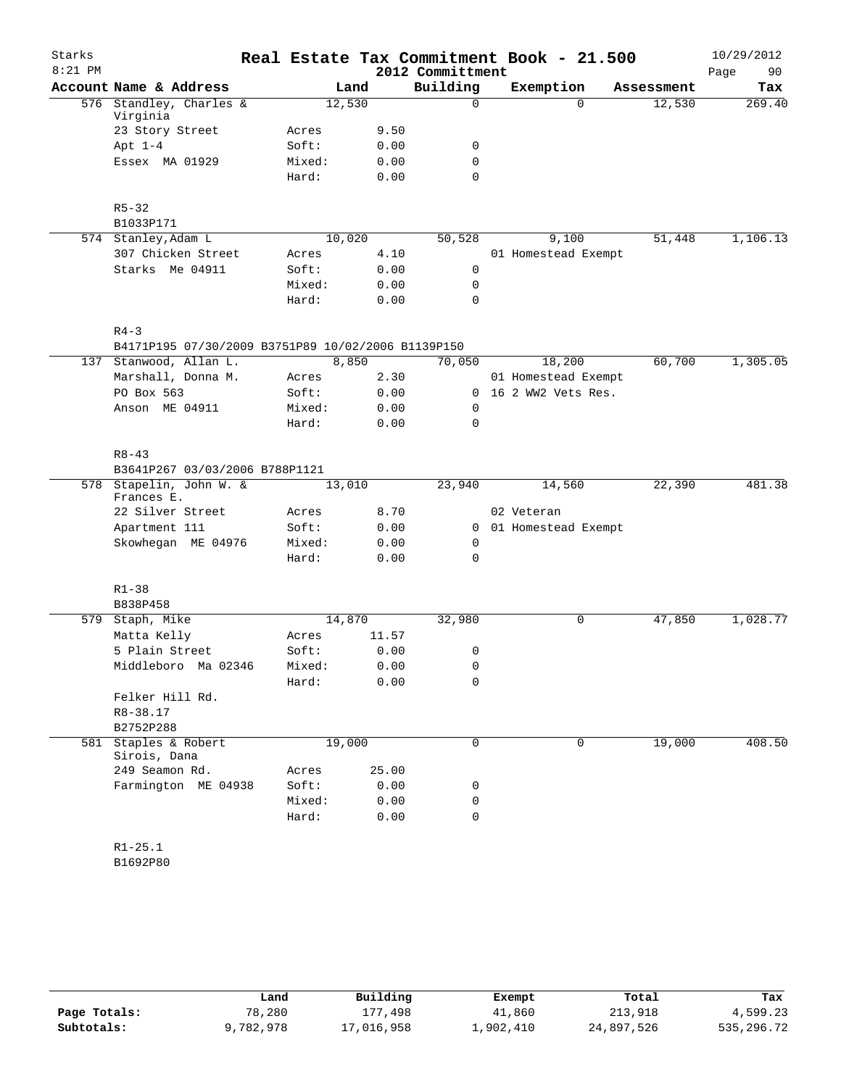| Starks<br>$8:21$ PM |                                                                              |                 |              | 2012 Committment | Real Estate Tax Commitment Book - 21.500 |            | 10/29/2012<br>Page<br>90 |
|---------------------|------------------------------------------------------------------------------|-----------------|--------------|------------------|------------------------------------------|------------|--------------------------|
|                     | Account Name & Address                                                       |                 | Land         | Building         | Exemption                                | Assessment | Tax                      |
|                     | 576 Standley, Charles &<br>Virginia                                          | 12,530          |              | 0                | $\Omega$                                 | 12,530     | 269.40                   |
|                     | 23 Story Street                                                              | Acres           | 9.50         |                  |                                          |            |                          |
|                     | Apt $1-4$                                                                    | Soft:           | 0.00         | 0                |                                          |            |                          |
|                     | Essex MA 01929                                                               | Mixed:          | 0.00         | $\mathbf 0$      |                                          |            |                          |
|                     |                                                                              | Hard:           | 0.00         | $\Omega$         |                                          |            |                          |
|                     | $R5 - 32$                                                                    |                 |              |                  |                                          |            |                          |
|                     | B1033P171                                                                    |                 |              |                  |                                          |            |                          |
|                     | 574 Stanley, Adam L                                                          | 10,020          |              | 50,528           | 9,100                                    | 51,448     | 1,106.13                 |
|                     | 307 Chicken Street                                                           | Acres           | 4.10         |                  | 01 Homestead Exempt                      |            |                          |
|                     | Starks Me 04911                                                              | Soft:           | 0.00         | $\mathbf 0$      |                                          |            |                          |
|                     |                                                                              | Mixed:<br>Hard: | 0.00<br>0.00 | 0<br>0           |                                          |            |                          |
|                     |                                                                              |                 |              |                  |                                          |            |                          |
|                     | $R4 - 3$                                                                     |                 |              |                  |                                          |            |                          |
|                     | B4171P195 07/30/2009 B3751P89 10/02/2006 B1139P150<br>137 Stanwood, Allan L. |                 |              |                  |                                          |            |                          |
|                     |                                                                              |                 | 8,850        | 70,050           | 18,200                                   | 60,700     | 1,305.05                 |
|                     | Marshall, Donna M.                                                           | Acres           | 2.30         |                  | 01 Homestead Exempt                      |            |                          |
|                     | PO Box 563                                                                   | Soft:           | 0.00         |                  | 0 16 2 WW2 Vets Res.                     |            |                          |
|                     | Anson ME 04911                                                               | Mixed:<br>Hard: | 0.00<br>0.00 | 0<br>0           |                                          |            |                          |
|                     | $R8 - 43$                                                                    |                 |              |                  |                                          |            |                          |
|                     |                                                                              |                 |              |                  |                                          |            |                          |
|                     | B3641P267 03/03/2006 B788P1121<br>578 Stapelin, John W. &                    | 13,010          |              | 23,940           | 14,560                                   | 22,390     | 481.38                   |
|                     | Frances E.                                                                   |                 |              |                  |                                          |            |                          |
|                     | 22 Silver Street                                                             | Acres           | 8.70         |                  | 02 Veteran                               |            |                          |
|                     | Apartment 111                                                                | Soft:           | 0.00         |                  | 0 01 Homestead Exempt                    |            |                          |
|                     | Skowhegan ME 04976                                                           | Mixed:          | 0.00         | 0                |                                          |            |                          |
|                     |                                                                              | Hard:           | 0.00         | $\mathbf 0$      |                                          |            |                          |
|                     | $R1 - 38$                                                                    |                 |              |                  |                                          |            |                          |
|                     | B838P458                                                                     |                 |              |                  |                                          |            |                          |
|                     | 579 Staph, Mike                                                              | 14,870          |              | 32,980           | 0                                        | 47,850     | 1,028.77                 |
|                     | Matta Kelly                                                                  | Acres           | 11.57        |                  |                                          |            |                          |
|                     | 5 Plain Street                                                               | Soft:           | 0.00         | 0                |                                          |            |                          |
|                     | Middleboro Ma 02346                                                          | Mixed:          | 0.00         | 0                |                                          |            |                          |
|                     |                                                                              | Hard:           | 0.00         | 0                |                                          |            |                          |
|                     | Felker Hill Rd.                                                              |                 |              |                  |                                          |            |                          |
|                     | R8-38.17                                                                     |                 |              |                  |                                          |            |                          |
|                     | B2752P288                                                                    |                 |              |                  |                                          |            |                          |
|                     | 581 Staples & Robert                                                         | 19,000          |              | $\mathbf 0$      | $\mathbf 0$                              | 19,000     | 408.50                   |
|                     | Sirois, Dana                                                                 |                 |              |                  |                                          |            |                          |
|                     | 249 Seamon Rd.                                                               | Acres           | 25.00        |                  |                                          |            |                          |
|                     | Farmington ME 04938                                                          | Soft:           | 0.00         | 0                |                                          |            |                          |
|                     |                                                                              | Mixed:          | 0.00         | 0                |                                          |            |                          |
|                     |                                                                              | Hard:           | 0.00         | 0                |                                          |            |                          |
|                     | $R1 - 25.1$                                                                  |                 |              |                  |                                          |            |                          |
|                     | B1692P80                                                                     |                 |              |                  |                                          |            |                          |

|              | Land      | Building   | Exempt    | Total      | Tax        |
|--------------|-----------|------------|-----------|------------|------------|
| Page Totals: | 78,280    | 177,498    | 41,860    | 213,918    | 4,599.23   |
| Subtotals:   | 9,782,978 | 17,016,958 | ⊥,902,410 | 24,897,526 | 535,296.72 |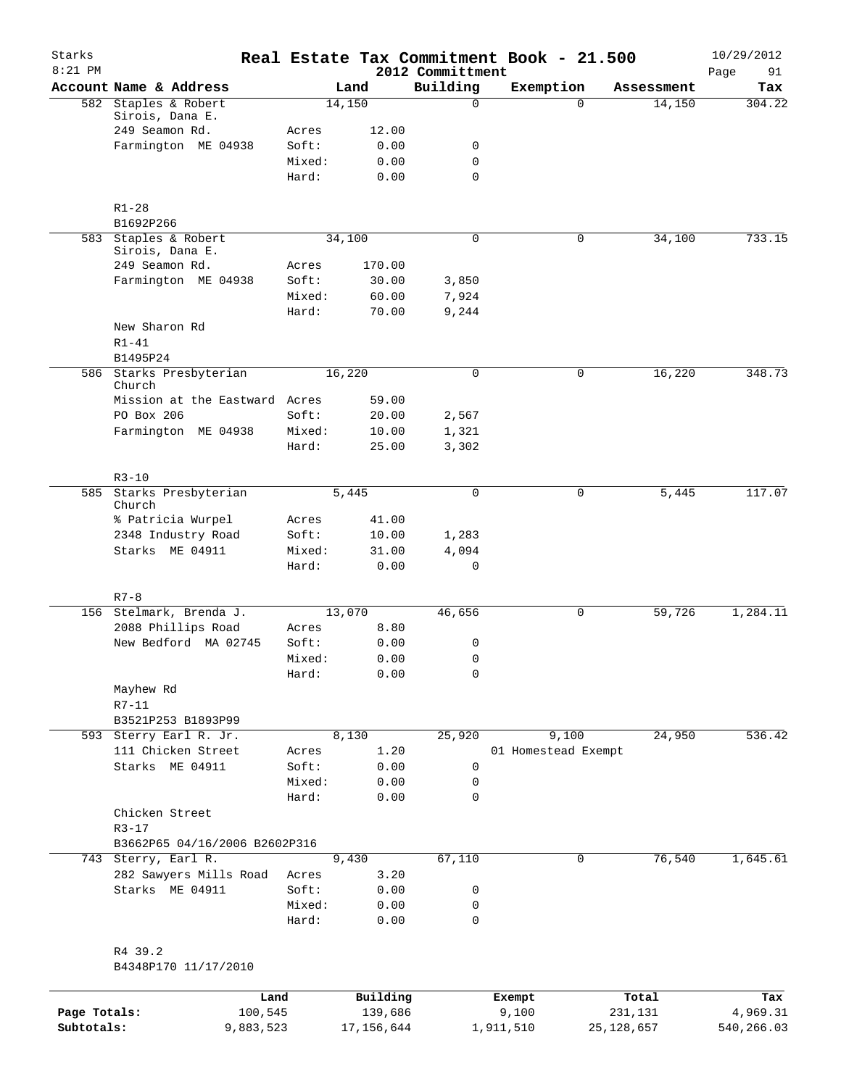| Starks<br>$8:21$ PM |                                             |                 |                |                              | Real Estate Tax Commitment Book - 21.500 |              | 10/29/2012        |
|---------------------|---------------------------------------------|-----------------|----------------|------------------------------|------------------------------------------|--------------|-------------------|
|                     | Account Name & Address                      |                 | Land           | 2012 Committment<br>Building | Exemption                                | Assessment   | 91<br>Page<br>Tax |
|                     | 582 Staples & Robert                        |                 | 14,150         | $\mathbf 0$                  | $\Omega$                                 | 14,150       | 304.22            |
|                     | Sirois, Dana E.                             |                 |                |                              |                                          |              |                   |
|                     | 249 Seamon Rd.<br>Farmington ME 04938       | Acres<br>Soft:  | 12.00<br>0.00  | 0                            |                                          |              |                   |
|                     |                                             | Mixed:          | 0.00           | $\mathbf 0$                  |                                          |              |                   |
|                     |                                             | Hard:           | 0.00           | 0                            |                                          |              |                   |
|                     | $R1 - 28$                                   |                 |                |                              |                                          |              |                   |
|                     | B1692P266                                   |                 |                |                              |                                          |              |                   |
|                     | 583 Staples & Robert<br>Sirois, Dana E.     |                 | 34,100         | $\Omega$                     | 0                                        | 34,100       | 733.15            |
|                     | 249 Seamon Rd.                              | Acres           | 170.00         |                              |                                          |              |                   |
|                     | Farmington ME 04938                         | Soft:           | 30.00          | 3,850                        |                                          |              |                   |
|                     |                                             | Mixed:<br>Hard: | 60.00<br>70.00 | 7,924<br>9,244               |                                          |              |                   |
|                     | New Sharon Rd                               |                 |                |                              |                                          |              |                   |
|                     | $R1 - 41$<br>B1495P24                       |                 |                |                              |                                          |              |                   |
|                     | 586 Starks Presbyterian                     |                 | 16,220         | $\mathbf 0$                  | 0                                        | 16,220       | 348.73            |
|                     | Church                                      |                 |                |                              |                                          |              |                   |
|                     | Mission at the Eastward Acres<br>PO Box 206 | Soft:           | 59.00<br>20.00 | 2,567                        |                                          |              |                   |
|                     | Farmington ME 04938                         | Mixed:          | 10.00          | 1,321                        |                                          |              |                   |
|                     |                                             | Hard:           | 25.00          | 3,302                        |                                          |              |                   |
|                     |                                             |                 |                |                              |                                          |              |                   |
|                     | $R3 - 10$<br>585 Starks Presbyterian        |                 | 5,445          | 0                            | 0                                        | 5,445        | 117.07            |
|                     | Church                                      |                 |                |                              |                                          |              |                   |
|                     | % Patricia Wurpel                           | Acres           | 41.00          |                              |                                          |              |                   |
|                     | 2348 Industry Road                          | Soft:           | 10.00          | 1,283                        |                                          |              |                   |
|                     | Starks ME 04911                             | Mixed:          | 31.00          | 4,094                        |                                          |              |                   |
|                     |                                             | Hard:           | 0.00           | 0                            |                                          |              |                   |
|                     | $R7 - 8$                                    |                 |                |                              |                                          |              |                   |
|                     | 156 Stelmark, Brenda J.                     |                 | 13,070         | 46,656                       | 0                                        | 59,726       | 1,284.11          |
|                     | 2088 Phillips Road<br>New Bedford MA 02745  | Acres           | 8.80           |                              |                                          |              |                   |
|                     |                                             | Soft:<br>Mixed: | 0.00<br>0.00   | 0<br>$\mathbf 0$             |                                          |              |                   |
|                     |                                             | Hard:           | 0.00           | 0                            |                                          |              |                   |
|                     | Mayhew Rd                                   |                 |                |                              |                                          |              |                   |
|                     | $R7 - 11$                                   |                 |                |                              |                                          |              |                   |
|                     | B3521P253 B1893P99                          |                 |                |                              |                                          |              |                   |
|                     | 593 Sterry Earl R. Jr.                      |                 | 8,130          | 25,920                       | 9,100                                    | 24,950       | 536.42            |
|                     | 111 Chicken Street                          | Acres           | 1.20           |                              | 01 Homestead Exempt                      |              |                   |
|                     | Starks ME 04911                             | Soft:           | 0.00           | 0                            |                                          |              |                   |
|                     |                                             | Mixed:<br>Hard: | 0.00<br>0.00   | 0<br>$\mathbf 0$             |                                          |              |                   |
|                     | Chicken Street                              |                 |                |                              |                                          |              |                   |
|                     | $R3 - 17$<br>B3662P65 04/16/2006 B2602P316  |                 |                |                              |                                          |              |                   |
|                     | 743 Sterry, Earl R.                         |                 | 9,430          | 67,110                       | $\mathbf 0$                              | 76,540       | 1,645.61          |
|                     | 282 Sawyers Mills Road                      | Acres           | 3.20           |                              |                                          |              |                   |
|                     | Starks ME 04911                             | Soft:           | 0.00           | 0                            |                                          |              |                   |
|                     |                                             | Mixed:          | 0.00           | 0                            |                                          |              |                   |
|                     |                                             | Hard:           | 0.00           | $\mathbf 0$                  |                                          |              |                   |
|                     | R4 39.2                                     |                 |                |                              |                                          |              |                   |
|                     | B4348P170 11/17/2010                        |                 |                |                              |                                          |              |                   |
|                     |                                             | Land            | Building       |                              | Exempt                                   | Total        | Tax               |
| Page Totals:        | 100,545                                     |                 | 139,686        |                              | 9,100                                    | 231,131      | 4,969.31          |
| Subtotals:          | 9,883,523                                   |                 | 17, 156, 644   |                              | 1,911,510                                | 25, 128, 657 | 540,266.03        |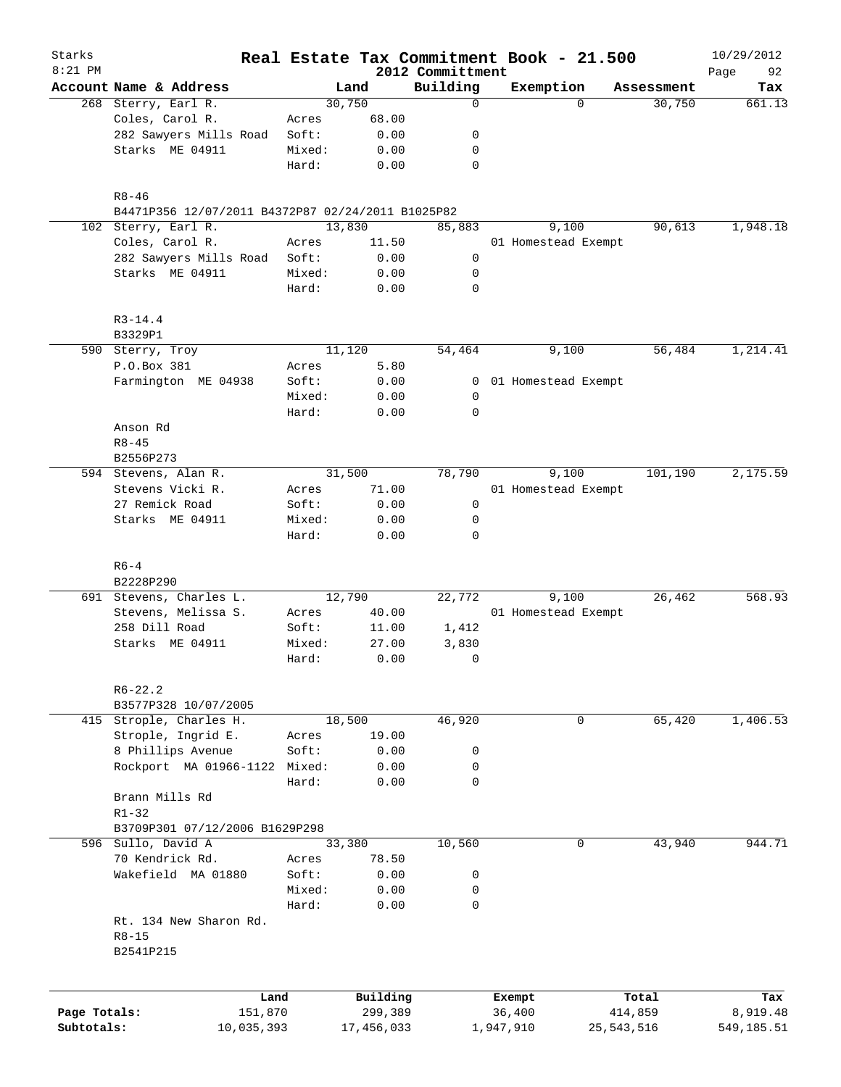| Starks<br>$8:21$ PM |                                                   |         |            | 2012 Committment | Real Estate Tax Commitment Book - 21.500 |                       | 10/29/2012<br>92<br>Page |
|---------------------|---------------------------------------------------|---------|------------|------------------|------------------------------------------|-----------------------|--------------------------|
|                     | Account Name & Address                            |         | Land       | Building         | Exemption                                | Assessment            | Tax                      |
|                     | 268 Sterry, Earl R.                               |         | 30,750     | 0                |                                          | $\Omega$<br>30,750    | 661.13                   |
|                     | Coles, Carol R.                                   | Acres   | 68.00      |                  |                                          |                       |                          |
|                     | 282 Sawyers Mills Road                            | Soft:   | 0.00       | 0                |                                          |                       |                          |
|                     | Starks ME 04911                                   | Mixed:  | 0.00       | 0                |                                          |                       |                          |
|                     |                                                   | Hard:   | 0.00       | 0                |                                          |                       |                          |
|                     | $R8 - 46$                                         |         |            |                  |                                          |                       |                          |
|                     | B4471P356 12/07/2011 B4372P87 02/24/2011 B1025P82 |         |            |                  |                                          |                       |                          |
|                     | 102 Sterry, Earl R.                               |         | 13,830     | 85,883           | 9,100                                    | 90,613                | 1,948.18                 |
|                     | Coles, Carol R.                                   | Acres   | 11.50      |                  | 01 Homestead Exempt                      |                       |                          |
|                     | 282 Sawyers Mills Road                            | Soft:   | 0.00       | 0                |                                          |                       |                          |
|                     | Starks ME 04911                                   | Mixed:  | 0.00       | 0                |                                          |                       |                          |
|                     |                                                   | Hard:   | 0.00       | 0                |                                          |                       |                          |
|                     | $R3 - 14.4$                                       |         |            |                  |                                          |                       |                          |
|                     | B3329P1                                           |         |            |                  |                                          |                       |                          |
|                     | 590 Sterry, Troy                                  |         | 11,120     | 54,464           | 9,100                                    | 56,484                | 1,214.41                 |
|                     | P.O.Box 381                                       | Acres   | 5.80       |                  |                                          |                       |                          |
|                     | Farmington ME 04938                               | Soft:   | 0.00       |                  | 0 01 Homestead Exempt                    |                       |                          |
|                     |                                                   | Mixed:  | 0.00       | 0                |                                          |                       |                          |
|                     |                                                   | Hard:   | 0.00       | 0                |                                          |                       |                          |
|                     | Anson Rd                                          |         |            |                  |                                          |                       |                          |
|                     | $R8 - 45$                                         |         |            |                  |                                          |                       |                          |
|                     | B2556P273                                         |         |            |                  |                                          |                       |                          |
|                     | 594 Stevens, Alan R.                              |         | 31,500     | 78,790           | 9,100                                    | 101,190               | 2,175.59                 |
|                     | Stevens Vicki R.                                  | Acres   | 71.00      |                  | 01 Homestead Exempt                      |                       |                          |
|                     | 27 Remick Road                                    | Soft:   | 0.00       | 0                |                                          |                       |                          |
|                     | Starks ME 04911                                   | Mixed:  | 0.00       | 0                |                                          |                       |                          |
|                     |                                                   | Hard:   | 0.00       | 0                |                                          |                       |                          |
|                     | $R6-4$                                            |         |            |                  |                                          |                       |                          |
|                     | B2228P290                                         |         |            |                  |                                          |                       |                          |
|                     | 691 Stevens, Charles L.                           |         | 12,790     | 22,772           | 9,100                                    | 26,462                | 568.93                   |
|                     | Stevens, Melissa S.                               | Acres   | 40.00      |                  | 01 Homestead Exempt                      |                       |                          |
|                     | 258 Dill Road                                     | Soft:   | 11.00      | 1,412            |                                          |                       |                          |
|                     | Starks ME 04911                                   | Mixed:  | 27.00      | 3,830            |                                          |                       |                          |
|                     |                                                   | Hard:   | 0.00       | $\mathbf 0$      |                                          |                       |                          |
|                     | $R6 - 22.2$                                       |         |            |                  |                                          |                       |                          |
|                     | B3577P328 10/07/2005                              |         |            |                  |                                          |                       |                          |
|                     | 415 Strople, Charles H.                           |         | 18,500     | 46,920           |                                          | $\mathbf 0$<br>65,420 | 1,406.53                 |
|                     | Strople, Ingrid E.                                | Acres   | 19.00      |                  |                                          |                       |                          |
|                     | 8 Phillips Avenue                                 | Soft:   | 0.00       | 0                |                                          |                       |                          |
|                     | Rockport MA 01966-1122                            | Mixed:  | 0.00       | 0                |                                          |                       |                          |
|                     |                                                   | Hard:   | 0.00       | 0                |                                          |                       |                          |
|                     | Brann Mills Rd                                    |         |            |                  |                                          |                       |                          |
|                     | $R1 - 32$                                         |         |            |                  |                                          |                       |                          |
|                     | B3709P301 07/12/2006 B1629P298                    |         |            |                  |                                          |                       |                          |
|                     | 596 Sullo, David A                                |         | 33,380     | 10,560           |                                          | 43,940<br>0           | 944.71                   |
|                     | 70 Kendrick Rd.                                   | Acres   | 78.50      |                  |                                          |                       |                          |
|                     | Wakefield MA 01880                                | Soft:   | 0.00       | 0                |                                          |                       |                          |
|                     |                                                   | Mixed:  | 0.00       |                  |                                          |                       |                          |
|                     |                                                   |         |            | 0<br>$\mathbf 0$ |                                          |                       |                          |
|                     |                                                   | Hard:   | 0.00       |                  |                                          |                       |                          |
|                     | Rt. 134 New Sharon Rd.                            |         |            |                  |                                          |                       |                          |
|                     | $R8 - 15$<br>B2541P215                            |         |            |                  |                                          |                       |                          |
|                     |                                                   |         |            |                  |                                          |                       |                          |
|                     |                                                   | Land    | Building   |                  | Exempt                                   | Total                 | Tax                      |
| Page Totals:        |                                                   | 151,870 | 299,389    |                  | 36,400                                   | 414,859               | 8,919.48                 |
| Subtotals:          | 10,035,393                                        |         | 17,456,033 |                  | 1,947,910                                | 25, 543, 516          | 549,185.51               |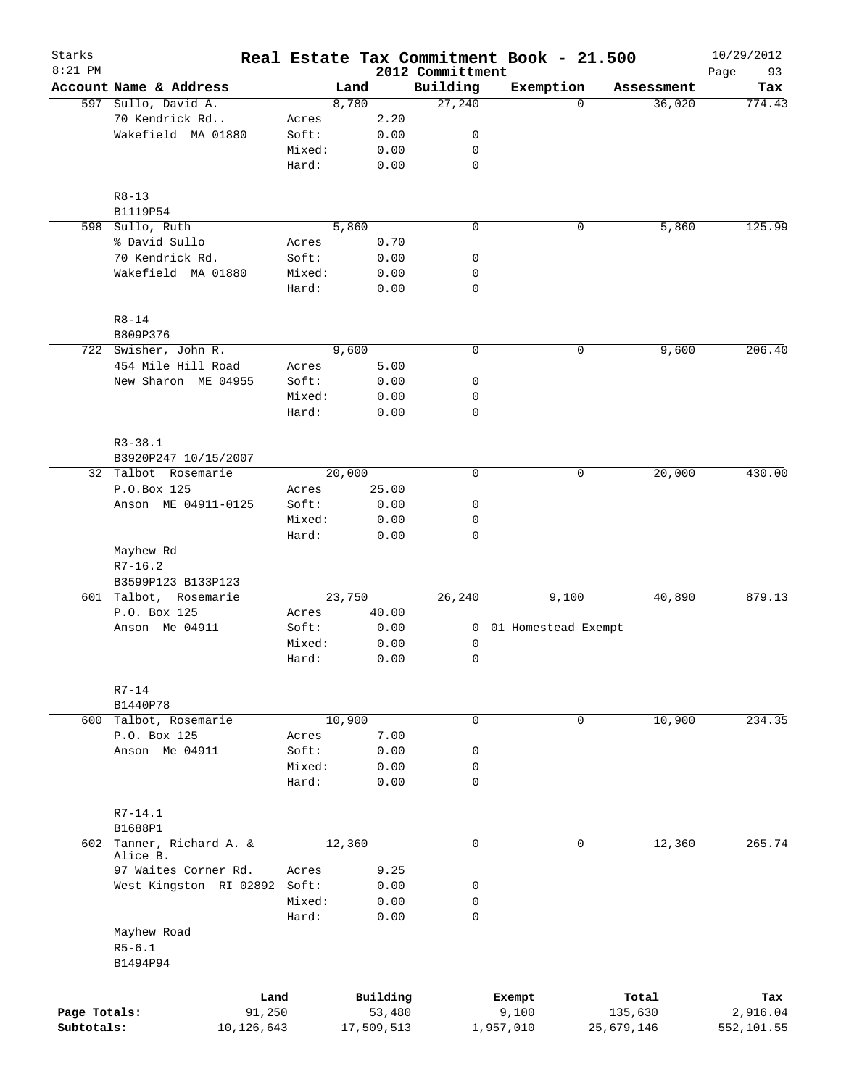| Starks<br>$8:21$ PM |                                       |        |            | 2012 Committment | Real Estate Tax Commitment Book - 21.500 |            | 10/29/2012<br>93<br>Page |
|---------------------|---------------------------------------|--------|------------|------------------|------------------------------------------|------------|--------------------------|
|                     | Account Name & Address                |        | Land       | Building         | Exemption                                | Assessment | Tax                      |
|                     | 597 Sullo, David A.                   |        | 8,780      | 27,240           | $\Omega$                                 | 36,020     | 774.43                   |
|                     | 70 Kendrick Rd                        | Acres  | 2.20       |                  |                                          |            |                          |
|                     | Wakefield MA 01880                    | Soft:  | 0.00       | 0                |                                          |            |                          |
|                     |                                       | Mixed: | 0.00       | 0                |                                          |            |                          |
|                     |                                       | Hard:  | 0.00       | $\mathbf 0$      |                                          |            |                          |
|                     | $R8 - 13$                             |        |            |                  |                                          |            |                          |
|                     | B1119P54                              |        |            |                  |                                          |            |                          |
| 598                 | Sullo, Ruth                           |        | 5,860      | $\mathbf 0$      | 0                                        | 5,860      | 125.99                   |
|                     | % David Sullo                         | Acres  | 0.70       |                  |                                          |            |                          |
|                     | 70 Kendrick Rd.                       | Soft:  | 0.00       | 0                |                                          |            |                          |
|                     | Wakefield MA 01880                    | Mixed: | 0.00       | 0                |                                          |            |                          |
|                     |                                       | Hard:  | 0.00       | $\mathbf 0$      |                                          |            |                          |
|                     | $R8 - 14$<br>B809P376                 |        |            |                  |                                          |            |                          |
|                     | 722 Swisher, John R.                  |        | 9,600      | $\mathbf 0$      | 0                                        | 9,600      | 206.40                   |
|                     | 454 Mile Hill Road                    | Acres  | 5.00       |                  |                                          |            |                          |
|                     | New Sharon ME 04955                   | Soft:  | 0.00       | 0                |                                          |            |                          |
|                     |                                       | Mixed: | 0.00       | 0                |                                          |            |                          |
|                     |                                       | Hard:  | 0.00       | $\mathbf 0$      |                                          |            |                          |
|                     |                                       |        |            |                  |                                          |            |                          |
|                     | $R3 - 38.1$<br>B3920P247 10/15/2007   |        |            |                  |                                          |            |                          |
|                     | 32 Talbot Rosemarie                   |        | 20,000     | $\mathbf 0$      | 0                                        | 20,000     | 430.00                   |
|                     | P.O.Box 125                           | Acres  | 25.00      |                  |                                          |            |                          |
|                     | Anson ME 04911-0125                   | Soft:  | 0.00       | 0                |                                          |            |                          |
|                     |                                       | Mixed: | 0.00       | 0                |                                          |            |                          |
|                     |                                       | Hard:  | 0.00       | 0                |                                          |            |                          |
|                     | Mayhew Rd<br>$R7 - 16.2$              |        |            |                  |                                          |            |                          |
|                     | B3599P123 B133P123                    |        |            |                  |                                          |            |                          |
|                     | 601 Talbot, Rosemarie                 |        | 23,750     | 26,240           | 9,100                                    | 40,890     | 879.13                   |
|                     | P.O. Box 125                          | Acres  | 40.00      |                  |                                          |            |                          |
|                     | Anson Me 04911                        | Soft:  | 0.00       | 0                | 01 Homestead Exempt                      |            |                          |
|                     |                                       | Mixed: | 0.00       | 0                |                                          |            |                          |
|                     |                                       | Hard:  | 0.00       | 0                |                                          |            |                          |
|                     | $R7-14$                               |        |            |                  |                                          |            |                          |
|                     | B1440P78                              |        | 10,900     |                  |                                          |            |                          |
|                     | 600 Talbot, Rosemarie                 |        |            | 0                | $\mathbf 0$                              | 10,900     | 234.35                   |
|                     | P.O. Box 125                          | Acres  | 7.00       |                  |                                          |            |                          |
|                     | Anson Me 04911                        | Soft:  | 0.00       | 0                |                                          |            |                          |
|                     |                                       | Mixed: | 0.00       | 0                |                                          |            |                          |
|                     |                                       | Hard:  | 0.00       | $\mathbf 0$      |                                          |            |                          |
|                     | $R7 - 14.1$                           |        |            |                  |                                          |            |                          |
|                     | B1688P1                               |        |            |                  |                                          |            |                          |
|                     | 602 Tanner, Richard A. &<br>Alice B.  |        | 12,360     | $\mathbf 0$      | 0                                        | 12,360     | 265.74                   |
|                     | 97 Waites Corner Rd.                  | Acres  | 9.25       |                  |                                          |            |                          |
|                     | West Kingston RI 02892                | Soft:  | 0.00       | 0                |                                          |            |                          |
|                     |                                       | Mixed: | 0.00       | 0                |                                          |            |                          |
|                     |                                       | Hard:  | 0.00       | $\mathbf 0$      |                                          |            |                          |
|                     | Mayhew Road<br>$R5 - 6.1$<br>B1494P94 |        |            |                  |                                          |            |                          |
|                     |                                       | Land   | Building   |                  | Exempt                                   | Total      | Tax                      |
| Page Totals:        |                                       | 91,250 | 53,480     |                  | 9,100                                    | 135,630    | 2,916.04                 |
| Subtotals:          | 10,126,643                            |        | 17,509,513 |                  | 1,957,010                                | 25,679,146 | 552,101.55               |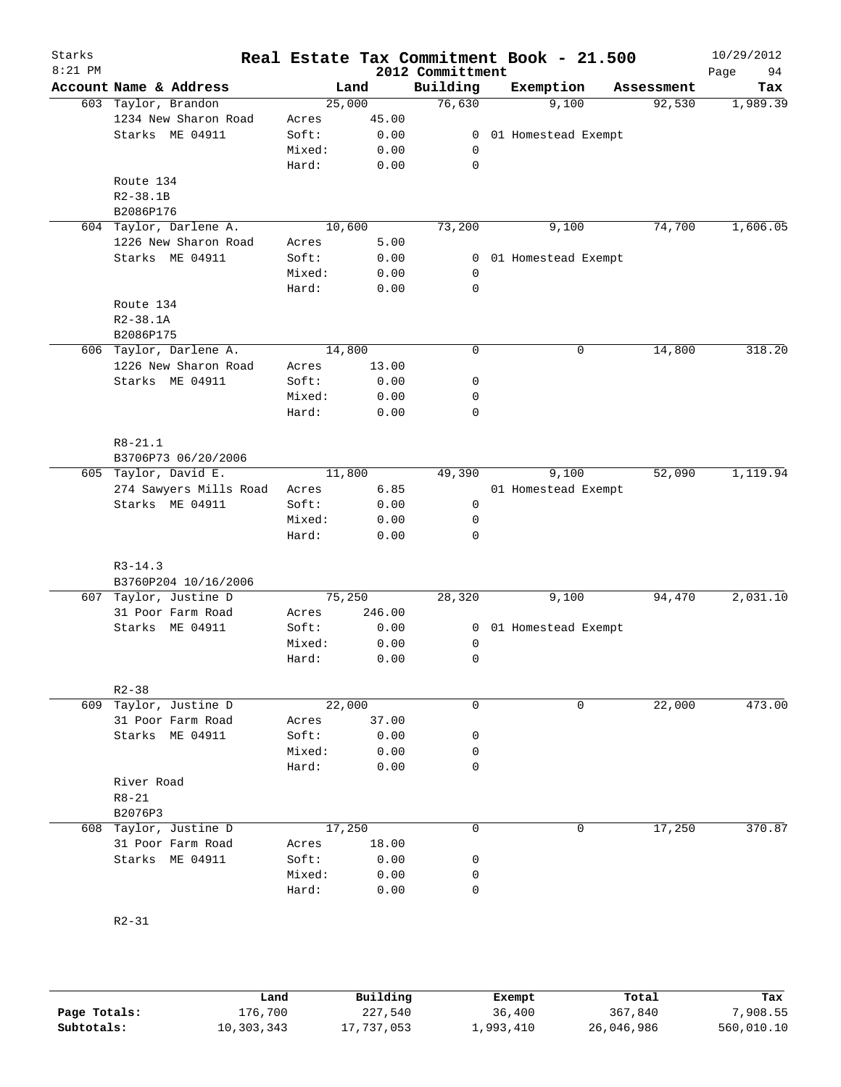| Starks<br>$8:21$ PM |                                        |                 |              | 2012 Committment | Real Estate Tax Commitment Book - 21.500 |            | 10/29/2012<br>94<br>Page |
|---------------------|----------------------------------------|-----------------|--------------|------------------|------------------------------------------|------------|--------------------------|
|                     | Account Name & Address                 |                 | Land         | Building         | Exemption                                | Assessment | Tax                      |
|                     | 603 Taylor, Brandon                    | 25,000          |              | 76,630           | 9,100                                    | 92,530     | 1,989.39                 |
|                     | 1234 New Sharon Road                   | Acres           | 45.00        |                  |                                          |            |                          |
|                     | Starks ME 04911                        | Soft:           | 0.00         |                  | 0 01 Homestead Exempt                    |            |                          |
|                     |                                        | Mixed:          | 0.00         | 0                |                                          |            |                          |
|                     |                                        | Hard:           | 0.00         | $\mathbf 0$      |                                          |            |                          |
|                     | Route 134                              |                 |              |                  |                                          |            |                          |
|                     | $R2 - 38.1B$                           |                 |              |                  |                                          |            |                          |
|                     | B2086P176                              |                 |              |                  |                                          |            |                          |
|                     | 604 Taylor, Darlene A.                 | 10,600          |              | 73,200           | 9,100                                    | 74,700     | 1,606.05                 |
|                     | 1226 New Sharon Road                   | Acres           | 5.00         |                  |                                          |            |                          |
|                     | Starks ME 04911                        | Soft:           | 0.00         |                  | 0 01 Homestead Exempt                    |            |                          |
|                     |                                        | Mixed:          | 0.00         | 0                |                                          |            |                          |
|                     |                                        | Hard:           | 0.00         | 0                |                                          |            |                          |
|                     | Route 134                              |                 |              |                  |                                          |            |                          |
|                     | $R2 - 38.1A$                           |                 |              |                  |                                          |            |                          |
|                     | B2086P175                              |                 |              |                  |                                          |            |                          |
|                     | 606 Taylor, Darlene A.                 | 14,800          |              | $\mathbf 0$      | 0                                        | 14,800     | 318.20                   |
|                     | 1226 New Sharon Road                   | Acres           | 13.00        |                  |                                          |            |                          |
|                     | Starks ME 04911                        | Soft:           | 0.00         | $\mathbf 0$      |                                          |            |                          |
|                     |                                        | Mixed:          | 0.00         | 0                |                                          |            |                          |
|                     |                                        | Hard:           | 0.00         | $\mathbf 0$      |                                          |            |                          |
|                     |                                        |                 |              |                  |                                          |            |                          |
|                     | $R8 - 21.1$                            |                 |              |                  |                                          |            |                          |
|                     | B3706P73 06/20/2006                    |                 |              |                  |                                          |            |                          |
|                     | 605 Taylor, David E.                   | 11,800          |              | 49,390           | 9,100                                    | 52,090     | 1,119.94                 |
|                     | 274 Sawyers Mills Road                 | Acres           | 6.85         |                  | 01 Homestead Exempt                      |            |                          |
|                     | Starks ME 04911                        | Soft:           | 0.00         | $\mathsf{O}$     |                                          |            |                          |
|                     |                                        | Mixed:          | 0.00         | 0                |                                          |            |                          |
|                     |                                        | Hard:           | 0.00         | $\mathbf 0$      |                                          |            |                          |
|                     |                                        |                 |              |                  |                                          |            |                          |
|                     | $R3 - 14.3$                            |                 |              |                  |                                          |            |                          |
|                     | B3760P204 10/16/2006                   |                 |              |                  |                                          | 94,470     |                          |
| 607                 | Taylor, Justine D<br>31 Poor Farm Road | 75,250          |              | 28,320           | 9,100                                    |            | 2,031.10                 |
|                     |                                        | Acres           | 246.00       |                  |                                          |            |                          |
|                     | Starks ME 04911                        | Soft:           | 0.00         | 0                | 01 Homestead Exempt                      |            |                          |
|                     |                                        | Mixed:<br>Hard: | 0.00<br>0.00 | 0<br>0           |                                          |            |                          |
|                     |                                        |                 |              |                  |                                          |            |                          |
|                     | $R2 - 38$                              |                 |              |                  |                                          |            |                          |
| 609                 | Taylor, Justine D                      | 22,000          |              | $\mathbf 0$      | 0                                        | 22,000     | 473.00                   |
|                     | 31 Poor Farm Road                      | Acres           | 37.00        |                  |                                          |            |                          |
|                     | Starks ME 04911                        | Soft:           | 0.00         | 0                |                                          |            |                          |
|                     |                                        | Mixed:          | 0.00         | 0                |                                          |            |                          |
|                     |                                        | Hard:           | 0.00         | 0                |                                          |            |                          |
|                     | River Road                             |                 |              |                  |                                          |            |                          |
|                     | $R8 - 21$                              |                 |              |                  |                                          |            |                          |
|                     | B2076P3                                |                 |              |                  |                                          |            |                          |
| 608                 | Taylor, Justine D                      | 17,250          |              | 0                | 0                                        | 17,250     | 370.87                   |
|                     | 31 Poor Farm Road                      | Acres           | 18.00        |                  |                                          |            |                          |
|                     | Starks ME 04911                        | Soft:           | 0.00         | 0                |                                          |            |                          |
|                     |                                        | Mixed:          | 0.00         | 0                |                                          |            |                          |
|                     |                                        | Hard:           | 0.00         | $\mathbf 0$      |                                          |            |                          |
|                     |                                        |                 |              |                  |                                          |            |                          |
|                     | $R2 - 31$                              |                 |              |                  |                                          |            |                          |
|                     |                                        |                 |              |                  |                                          |            |                          |

|              | Land       | Building   | Exempt    | Total      | Tax        |
|--------------|------------|------------|-----------|------------|------------|
| Page Totals: | 176,700    | 227,540    | 36,400    | 367,840    | 7,908.55   |
| Subtotals:   | 10,303,343 | 17,737,053 | ⊥,993,410 | 26,046,986 | 560,010.10 |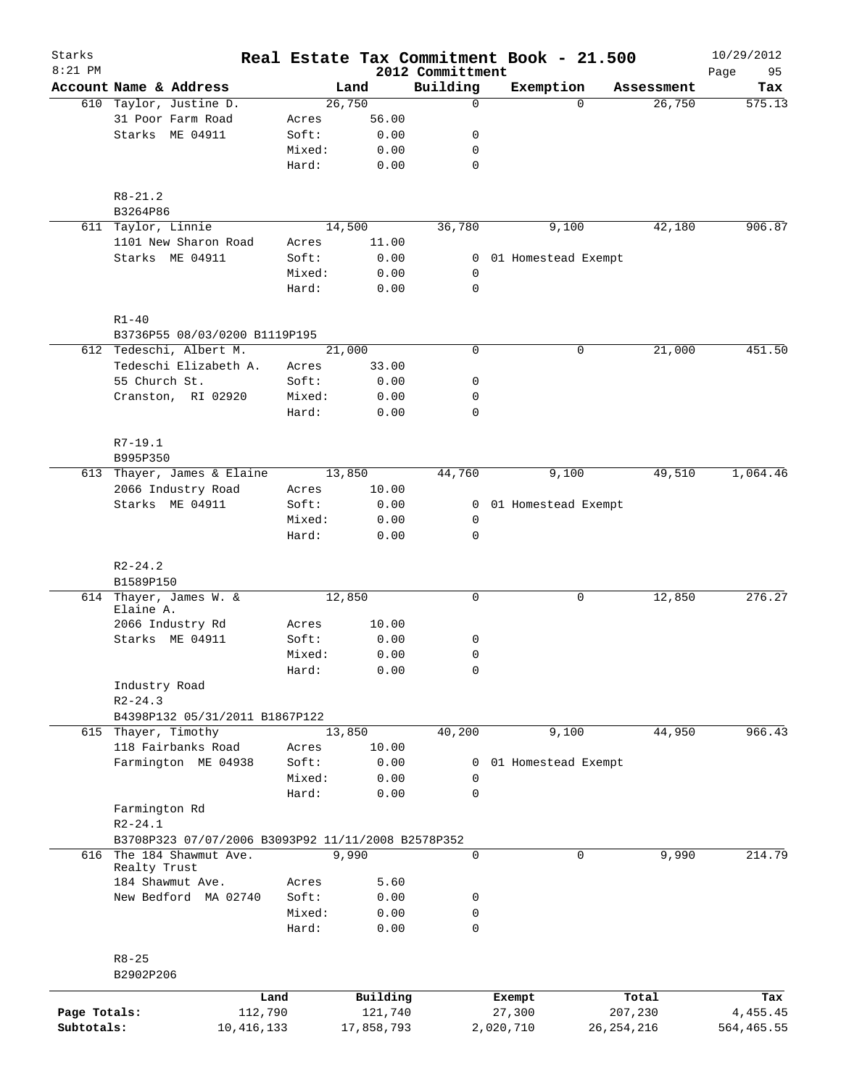| Starks<br>$8:21$ PM |                                      |                                                    |                 |                     | 2012 Committment | Real Estate Tax Commitment Book - 21.500 |              |            | 10/29/2012<br>95 |
|---------------------|--------------------------------------|----------------------------------------------------|-----------------|---------------------|------------------|------------------------------------------|--------------|------------|------------------|
|                     | Account Name & Address               |                                                    |                 | Land                | Building         | Exemption                                |              | Assessment | Page<br>Tax      |
|                     | 610 Taylor, Justine D.               |                                                    |                 | 26,750              | $\mathbf 0$      |                                          | $\Omega$     | 26,750     | 575.13           |
|                     | 31 Poor Farm Road                    |                                                    | Acres           | 56.00               |                  |                                          |              |            |                  |
|                     | Starks ME 04911                      |                                                    | Soft:           | 0.00                | 0                |                                          |              |            |                  |
|                     |                                      |                                                    | Mixed:          | 0.00                | 0                |                                          |              |            |                  |
|                     |                                      |                                                    | Hard:           | 0.00                | $\mathbf 0$      |                                          |              |            |                  |
|                     | $R8 - 21.2$                          |                                                    |                 |                     |                  |                                          |              |            |                  |
|                     | B3264P86                             |                                                    |                 |                     |                  |                                          |              |            |                  |
| 611                 | Taylor, Linnie                       |                                                    |                 | 14,500              | 36,780           | 9,100                                    |              | 42,180     | 906.87           |
|                     | 1101 New Sharon Road                 |                                                    | Acres           | 11.00               |                  |                                          |              |            |                  |
|                     | Starks ME 04911                      |                                                    | Soft:<br>Mixed: | 0.00                | 0<br>0           | 01 Homestead Exempt                      |              |            |                  |
|                     |                                      |                                                    | Hard:           | 0.00<br>0.00        | $\mathbf 0$      |                                          |              |            |                  |
|                     |                                      |                                                    |                 |                     |                  |                                          |              |            |                  |
|                     | $R1 - 40$                            | B3736P55 08/03/0200 B1119P195                      |                 |                     |                  |                                          |              |            |                  |
|                     | 612 Tedeschi, Albert M.              |                                                    |                 | $\overline{21,000}$ | 0                |                                          | 0            | 21,000     | 451.50           |
|                     | Tedeschi Elizabeth A.                |                                                    | Acres           | 33.00               |                  |                                          |              |            |                  |
|                     | 55 Church St.                        |                                                    | Soft:           | 0.00                | 0                |                                          |              |            |                  |
|                     | Cranston, RI 02920                   |                                                    | Mixed:          | 0.00                | 0                |                                          |              |            |                  |
|                     |                                      |                                                    | Hard:           | 0.00                | $\mathbf 0$      |                                          |              |            |                  |
|                     | $R7-19.1$                            |                                                    |                 |                     |                  |                                          |              |            |                  |
|                     | B995P350                             |                                                    |                 |                     |                  |                                          |              |            |                  |
|                     | 613 Thayer, James & Elaine           |                                                    |                 | 13,850              | 44,760           | 9,100                                    |              | 49,510     | 1,064.46         |
|                     | 2066 Industry Road                   |                                                    | Acres           | 10.00               |                  |                                          |              |            |                  |
|                     | Starks ME 04911                      |                                                    | Soft:           | 0.00                | 0                | 01 Homestead Exempt                      |              |            |                  |
|                     |                                      |                                                    | Mixed:          | 0.00                | 0                |                                          |              |            |                  |
|                     |                                      |                                                    | Hard:           | 0.00                | $\mathbf 0$      |                                          |              |            |                  |
|                     | $R2 - 24.2$                          |                                                    |                 |                     |                  |                                          |              |            |                  |
|                     | B1589P150                            |                                                    |                 |                     |                  |                                          |              |            |                  |
|                     | 614 Thayer, James W. &<br>Elaine A.  |                                                    |                 | 12,850              | 0                |                                          | 0            | 12,850     | 276.27           |
|                     | 2066 Industry Rd                     |                                                    | Acres           | 10.00               |                  |                                          |              |            |                  |
|                     | Starks ME 04911                      |                                                    | Soft:           | 0.00                | 0                |                                          |              |            |                  |
|                     |                                      |                                                    | Mixed:          | 0.00                | $\mathbf 0$      |                                          |              |            |                  |
|                     |                                      |                                                    | Hard:           | 0.00                | 0                |                                          |              |            |                  |
|                     | Industry Road                        |                                                    |                 |                     |                  |                                          |              |            |                  |
|                     | $R2 - 24.3$                          |                                                    |                 |                     |                  |                                          |              |            |                  |
|                     |                                      | B4398P132 05/31/2011 B1867P122                     |                 |                     |                  |                                          |              |            |                  |
|                     | 615 Thayer, Timothy                  |                                                    |                 | 13,850              | 40,200           | 9,100                                    |              | 44,950     | 966.43           |
|                     | 118 Fairbanks Road                   |                                                    | Acres           | 10.00               |                  |                                          |              |            |                  |
|                     | Farmington ME 04938                  |                                                    | Soft:           | 0.00                | 0                | 01 Homestead Exempt                      |              |            |                  |
|                     |                                      |                                                    | Mixed:          | 0.00                | 0                |                                          |              |            |                  |
|                     |                                      |                                                    | Hard:           | 0.00                | 0                |                                          |              |            |                  |
|                     | Farmington Rd                        |                                                    |                 |                     |                  |                                          |              |            |                  |
|                     | $R2 - 24.1$                          |                                                    |                 |                     |                  |                                          |              |            |                  |
|                     |                                      | B3708P323 07/07/2006 B3093P92 11/11/2008 B2578P352 |                 |                     |                  |                                          |              |            |                  |
| 616                 | The 184 Shawmut Ave.<br>Realty Trust |                                                    |                 | 9,990               | $\mathbf 0$      |                                          | $\mathbf 0$  | 9,990      | 214.79           |
|                     | 184 Shawmut Ave.                     |                                                    | Acres           | 5.60                |                  |                                          |              |            |                  |
|                     | New Bedford MA 02740                 |                                                    | Soft:           | 0.00                | 0                |                                          |              |            |                  |
|                     |                                      |                                                    | Mixed:          | 0.00                | 0                |                                          |              |            |                  |
|                     |                                      |                                                    | Hard:           | 0.00                | $\mathbf 0$      |                                          |              |            |                  |
|                     | $R8 - 25$                            |                                                    |                 |                     |                  |                                          |              |            |                  |
|                     | B2902P206                            |                                                    |                 |                     |                  |                                          |              |            |                  |
|                     |                                      | Land                                               |                 | Building            |                  | Exempt                                   |              | Total      | Tax              |
| Page Totals:        |                                      | 112,790                                            |                 | 121,740             |                  | 27,300                                   |              | 207,230    | 4, 455. 45       |
| Subtotals:          |                                      | 10, 416, 133                                       |                 | 17,858,793          |                  | 2,020,710                                | 26, 254, 216 |            | 564,465.55       |
|                     |                                      |                                                    |                 |                     |                  |                                          |              |            |                  |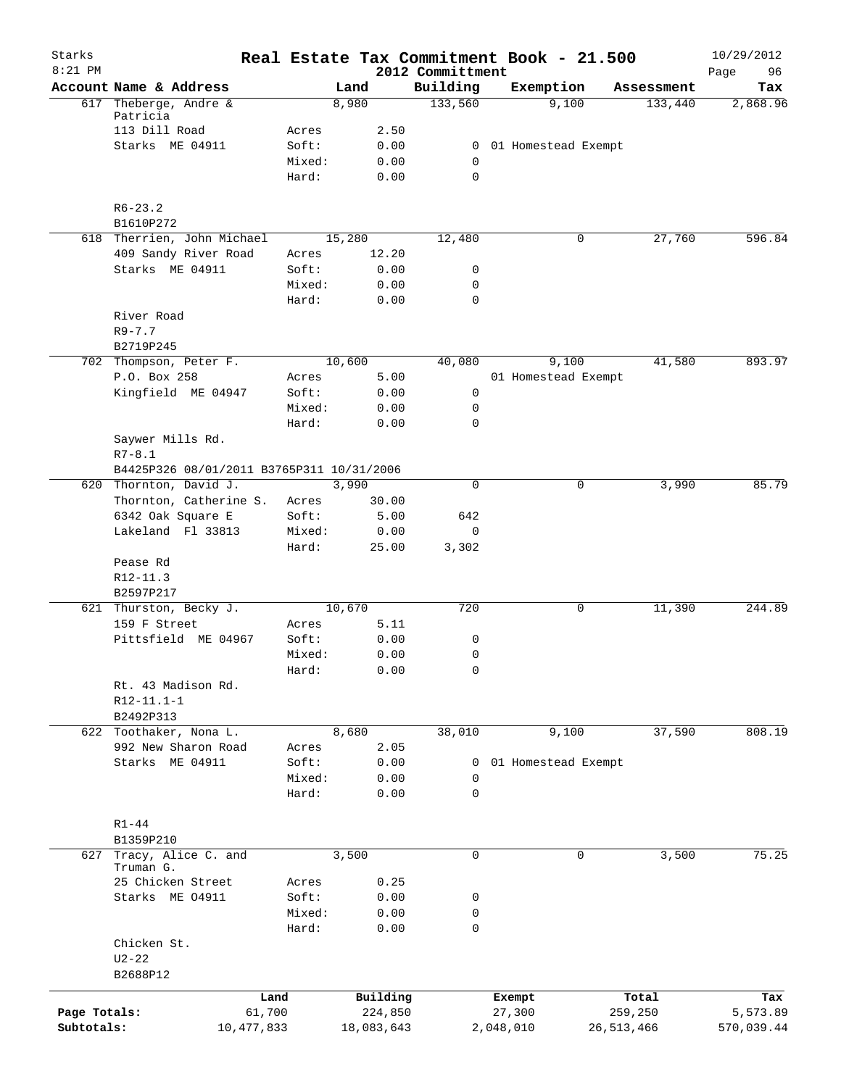| Starks       |                                           |                |              | Real Estate Tax Commitment Book - 21.500 |           |                     |              | 10/29/2012        |
|--------------|-------------------------------------------|----------------|--------------|------------------------------------------|-----------|---------------------|--------------|-------------------|
| $8:21$ PM    | Account Name & Address                    |                | Land         | 2012 Committment<br>Building             |           | Exemption           | Assessment   | 96<br>Page<br>Tax |
|              | 617 Theberge, Andre &                     |                | 8,980        | 133,560                                  |           | 9,100               | 133,440      | 2,868.96          |
|              | Patricia<br>113 Dill Road                 |                |              |                                          |           |                     |              |                   |
|              | Starks ME 04911                           | Acres<br>Soft: | 2.50<br>0.00 | $\mathbf{0}$                             |           | 01 Homestead Exempt |              |                   |
|              |                                           | Mixed:         | 0.00         | 0                                        |           |                     |              |                   |
|              |                                           | Hard:          | 0.00         | $\mathbf 0$                              |           |                     |              |                   |
|              | $R6 - 23.2$                               |                |              |                                          |           |                     |              |                   |
|              | B1610P272                                 |                |              |                                          |           |                     |              |                   |
|              | 618 Therrien, John Michael                |                | 15,280       | 12,480                                   |           | 0                   | 27,760       | 596.84            |
|              | 409 Sandy River Road                      | Acres          | 12.20        |                                          |           |                     |              |                   |
|              | Starks ME 04911                           | Soft:          | 0.00         | 0                                        |           |                     |              |                   |
|              |                                           | Mixed:         | 0.00         | $\mathbf 0$                              |           |                     |              |                   |
|              |                                           | Hard:          | 0.00         | $\mathbf 0$                              |           |                     |              |                   |
|              | River Road<br>$R9 - 7.7$                  |                |              |                                          |           |                     |              |                   |
|              | B2719P245                                 |                |              |                                          |           |                     |              |                   |
|              | 702 Thompson, Peter F.                    |                | 10,600       | 40,080                                   |           | 9,100               | 41,580       | 893.97            |
|              | P.O. Box 258                              | Acres          | 5.00         |                                          |           | 01 Homestead Exempt |              |                   |
|              | Kingfield ME 04947                        | Soft:          | 0.00         | 0                                        |           |                     |              |                   |
|              |                                           | Mixed:         | 0.00         | 0                                        |           |                     |              |                   |
|              |                                           | Hard:          | 0.00         | $\mathbf 0$                              |           |                     |              |                   |
|              | Saywer Mills Rd.                          |                |              |                                          |           |                     |              |                   |
|              | $R7 - 8.1$                                |                |              |                                          |           |                     |              |                   |
|              | B4425P326 08/01/2011 B3765P311 10/31/2006 |                |              |                                          |           |                     |              |                   |
|              | 620 Thornton, David J.                    |                | 3,990        | $\mathbf 0$                              |           | 0                   | 3,990        | 85.79             |
|              | Thornton, Catherine S.                    | Acres          | 30.00        |                                          |           |                     |              |                   |
|              | 6342 Oak Square E                         | Soft:          | 5.00         | 642                                      |           |                     |              |                   |
|              | Lakeland Fl 33813                         | Mixed:         | 0.00         | 0                                        |           |                     |              |                   |
|              |                                           | Hard:          | 25.00        | 3,302                                    |           |                     |              |                   |
|              | Pease Rd                                  |                |              |                                          |           |                     |              |                   |
|              | R12-11.3                                  |                |              |                                          |           |                     |              |                   |
|              | B2597P217                                 |                |              |                                          |           |                     |              |                   |
|              | 621 Thurston, Becky J.                    |                | 10,670       | 720                                      |           | 0                   | 11,390       | 244.89            |
|              | 159 F Street                              | Acres          | 5.11         |                                          |           |                     |              |                   |
|              | Pittsfield ME 04967                       | Soft:          | 0.00         | 0                                        |           |                     |              |                   |
|              |                                           | Mixed:         | 0.00<br>0.00 | 0<br>0                                   |           |                     |              |                   |
|              | Rt. 43 Madison Rd.                        | Hard:          |              |                                          |           |                     |              |                   |
|              | $R12 - 11.1 - 1$                          |                |              |                                          |           |                     |              |                   |
|              | B2492P313                                 |                |              |                                          |           |                     |              |                   |
|              | 622 Toothaker, Nona L.                    |                | 8,680        | 38,010                                   |           | 9,100               | 37,590       | 808.19            |
|              | 992 New Sharon Road                       | Acres          | 2.05         |                                          |           |                     |              |                   |
|              | Starks ME 04911                           | Soft:          | 0.00         | 0                                        |           | 01 Homestead Exempt |              |                   |
|              |                                           | Mixed:         | 0.00         | $\mathbf 0$                              |           |                     |              |                   |
|              |                                           | Hard:          | 0.00         | $\mathbf 0$                              |           |                     |              |                   |
|              |                                           |                |              |                                          |           |                     |              |                   |
|              | $R1 - 44$                                 |                |              |                                          |           |                     |              |                   |
|              | B1359P210                                 |                |              |                                          |           |                     |              |                   |
|              | 627 Tracy, Alice C. and<br>Truman G.      |                | 3,500        | $\mathbf 0$                              |           | $\mathbf 0$         | 3,500        | 75.25             |
|              | 25 Chicken Street                         | Acres          | 0.25         |                                          |           |                     |              |                   |
|              | Starks ME 04911                           | Soft:          | 0.00         | 0                                        |           |                     |              |                   |
|              |                                           | Mixed:         | 0.00         | 0                                        |           |                     |              |                   |
|              |                                           | Hard:          | 0.00         | $\mathbf 0$                              |           |                     |              |                   |
|              | Chicken St.                               |                |              |                                          |           |                     |              |                   |
|              | $U2 - 22$                                 |                |              |                                          |           |                     |              |                   |
|              | B2688P12                                  |                |              |                                          |           |                     |              |                   |
|              | Land                                      |                | Building     |                                          | Exempt    |                     | Total        | Tax               |
| Page Totals: | 61,700                                    |                | 224,850      |                                          | 27,300    |                     | 259,250      | 5,573.89          |
| Subtotals:   | 10,477,833                                |                | 18,083,643   |                                          | 2,048,010 |                     | 26, 513, 466 | 570,039.44        |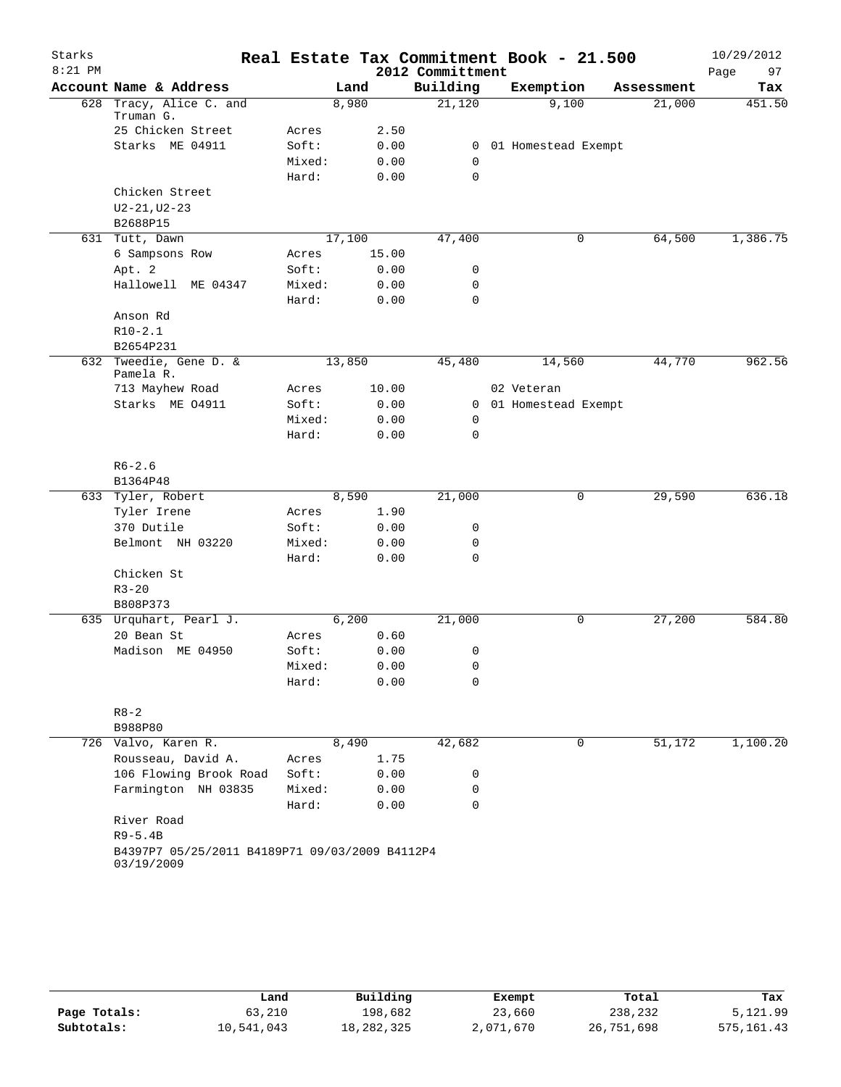| Real Estate Tax Commitment Book - 21.500<br>$8:21$ PM<br>2012 Committment<br>97<br>Page<br>Account Name & Address<br>Building<br>Exemption<br>Land<br>Tax<br>Assessment<br>Tracy, Alice C. and<br>21,120<br>9,100<br>8,980<br>21,000<br>451.50<br>628<br>Truman G.<br>25 Chicken Street<br>2.50<br>Acres<br>Starks ME 04911<br>Soft:<br>0.00<br>0<br>01 Homestead Exempt<br>Mixed:<br>0.00<br>0<br>$\mathbf 0$<br>Hard:<br>0.00<br>Chicken Street<br>$U2 - 21, U2 - 23$<br>B2688P15<br>17,100<br>47,400<br>64,500<br>1,386.75<br>631 Tutt, Dawn<br>0<br>6 Sampsons Row<br>15.00<br>Acres<br>Apt. 2<br>Soft:<br>0.00<br>0<br>Hallowell ME 04347<br>Mixed:<br>0.00<br>0<br>0<br>Hard:<br>0.00<br>Anson Rd<br>$R10-2.1$<br>B2654P231<br>962.56<br>632 Tweedie, Gene D. &<br>13,850<br>44,770<br>45,480<br>14,560<br>Pamela R.<br>713 Mayhew Road<br>10.00<br>02 Veteran<br>Acres |
|-------------------------------------------------------------------------------------------------------------------------------------------------------------------------------------------------------------------------------------------------------------------------------------------------------------------------------------------------------------------------------------------------------------------------------------------------------------------------------------------------------------------------------------------------------------------------------------------------------------------------------------------------------------------------------------------------------------------------------------------------------------------------------------------------------------------------------------------------------------------------------|
|                                                                                                                                                                                                                                                                                                                                                                                                                                                                                                                                                                                                                                                                                                                                                                                                                                                                               |
|                                                                                                                                                                                                                                                                                                                                                                                                                                                                                                                                                                                                                                                                                                                                                                                                                                                                               |
|                                                                                                                                                                                                                                                                                                                                                                                                                                                                                                                                                                                                                                                                                                                                                                                                                                                                               |
|                                                                                                                                                                                                                                                                                                                                                                                                                                                                                                                                                                                                                                                                                                                                                                                                                                                                               |
|                                                                                                                                                                                                                                                                                                                                                                                                                                                                                                                                                                                                                                                                                                                                                                                                                                                                               |
|                                                                                                                                                                                                                                                                                                                                                                                                                                                                                                                                                                                                                                                                                                                                                                                                                                                                               |
|                                                                                                                                                                                                                                                                                                                                                                                                                                                                                                                                                                                                                                                                                                                                                                                                                                                                               |
|                                                                                                                                                                                                                                                                                                                                                                                                                                                                                                                                                                                                                                                                                                                                                                                                                                                                               |
|                                                                                                                                                                                                                                                                                                                                                                                                                                                                                                                                                                                                                                                                                                                                                                                                                                                                               |
|                                                                                                                                                                                                                                                                                                                                                                                                                                                                                                                                                                                                                                                                                                                                                                                                                                                                               |
|                                                                                                                                                                                                                                                                                                                                                                                                                                                                                                                                                                                                                                                                                                                                                                                                                                                                               |
|                                                                                                                                                                                                                                                                                                                                                                                                                                                                                                                                                                                                                                                                                                                                                                                                                                                                               |
|                                                                                                                                                                                                                                                                                                                                                                                                                                                                                                                                                                                                                                                                                                                                                                                                                                                                               |
|                                                                                                                                                                                                                                                                                                                                                                                                                                                                                                                                                                                                                                                                                                                                                                                                                                                                               |
|                                                                                                                                                                                                                                                                                                                                                                                                                                                                                                                                                                                                                                                                                                                                                                                                                                                                               |
|                                                                                                                                                                                                                                                                                                                                                                                                                                                                                                                                                                                                                                                                                                                                                                                                                                                                               |
|                                                                                                                                                                                                                                                                                                                                                                                                                                                                                                                                                                                                                                                                                                                                                                                                                                                                               |
|                                                                                                                                                                                                                                                                                                                                                                                                                                                                                                                                                                                                                                                                                                                                                                                                                                                                               |
|                                                                                                                                                                                                                                                                                                                                                                                                                                                                                                                                                                                                                                                                                                                                                                                                                                                                               |
|                                                                                                                                                                                                                                                                                                                                                                                                                                                                                                                                                                                                                                                                                                                                                                                                                                                                               |
|                                                                                                                                                                                                                                                                                                                                                                                                                                                                                                                                                                                                                                                                                                                                                                                                                                                                               |
| Starks ME 04911<br>Soft:<br>0.00<br>01 Homestead Exempt<br>0                                                                                                                                                                                                                                                                                                                                                                                                                                                                                                                                                                                                                                                                                                                                                                                                                  |
| Mixed:<br>0.00<br>0                                                                                                                                                                                                                                                                                                                                                                                                                                                                                                                                                                                                                                                                                                                                                                                                                                                           |
| Hard:<br>$\mathbf 0$<br>0.00                                                                                                                                                                                                                                                                                                                                                                                                                                                                                                                                                                                                                                                                                                                                                                                                                                                  |
| $R6 - 2.6$                                                                                                                                                                                                                                                                                                                                                                                                                                                                                                                                                                                                                                                                                                                                                                                                                                                                    |
| B1364P48                                                                                                                                                                                                                                                                                                                                                                                                                                                                                                                                                                                                                                                                                                                                                                                                                                                                      |
| 636.18<br>633 Tyler, Robert<br>21,000<br>29,590<br>8,590<br>0                                                                                                                                                                                                                                                                                                                                                                                                                                                                                                                                                                                                                                                                                                                                                                                                                 |
| Tyler Irene<br>1.90<br>Acres                                                                                                                                                                                                                                                                                                                                                                                                                                                                                                                                                                                                                                                                                                                                                                                                                                                  |
| 370 Dutile<br>Soft:<br>0.00<br>0                                                                                                                                                                                                                                                                                                                                                                                                                                                                                                                                                                                                                                                                                                                                                                                                                                              |
| Belmont NH 03220<br>Mixed:<br>0.00<br>0                                                                                                                                                                                                                                                                                                                                                                                                                                                                                                                                                                                                                                                                                                                                                                                                                                       |
| Hard:<br>$\mathbf 0$<br>0.00                                                                                                                                                                                                                                                                                                                                                                                                                                                                                                                                                                                                                                                                                                                                                                                                                                                  |
| Chicken St                                                                                                                                                                                                                                                                                                                                                                                                                                                                                                                                                                                                                                                                                                                                                                                                                                                                    |
| $R3 - 20$                                                                                                                                                                                                                                                                                                                                                                                                                                                                                                                                                                                                                                                                                                                                                                                                                                                                     |
| B808P373                                                                                                                                                                                                                                                                                                                                                                                                                                                                                                                                                                                                                                                                                                                                                                                                                                                                      |
| 635 Urquhart, Pearl J.<br>6,200<br>21,000<br>0<br>27,200<br>584.80                                                                                                                                                                                                                                                                                                                                                                                                                                                                                                                                                                                                                                                                                                                                                                                                            |
| 20 Bean St<br>0.60<br>Acres                                                                                                                                                                                                                                                                                                                                                                                                                                                                                                                                                                                                                                                                                                                                                                                                                                                   |
| Madison ME 04950<br>Soft:<br>0.00<br>0                                                                                                                                                                                                                                                                                                                                                                                                                                                                                                                                                                                                                                                                                                                                                                                                                                        |
| Mixed:<br>0.00<br>0                                                                                                                                                                                                                                                                                                                                                                                                                                                                                                                                                                                                                                                                                                                                                                                                                                                           |
| 0<br>Hard:<br>0.00                                                                                                                                                                                                                                                                                                                                                                                                                                                                                                                                                                                                                                                                                                                                                                                                                                                            |
|                                                                                                                                                                                                                                                                                                                                                                                                                                                                                                                                                                                                                                                                                                                                                                                                                                                                               |
| $R8 - 2$                                                                                                                                                                                                                                                                                                                                                                                                                                                                                                                                                                                                                                                                                                                                                                                                                                                                      |
| B988P80                                                                                                                                                                                                                                                                                                                                                                                                                                                                                                                                                                                                                                                                                                                                                                                                                                                                       |
| 726 Valvo, Karen R.<br>42,682<br>51,172<br>1,100.20<br>8,490<br>0                                                                                                                                                                                                                                                                                                                                                                                                                                                                                                                                                                                                                                                                                                                                                                                                             |
| Rousseau, David A.<br>1.75<br>Acres                                                                                                                                                                                                                                                                                                                                                                                                                                                                                                                                                                                                                                                                                                                                                                                                                                           |
| 106 Flowing Brook Road<br>Soft:<br>0.00<br>0                                                                                                                                                                                                                                                                                                                                                                                                                                                                                                                                                                                                                                                                                                                                                                                                                                  |
| Farmington NH 03835<br>Mixed:<br>0.00<br>0                                                                                                                                                                                                                                                                                                                                                                                                                                                                                                                                                                                                                                                                                                                                                                                                                                    |
| 0<br>Hard:<br>0.00                                                                                                                                                                                                                                                                                                                                                                                                                                                                                                                                                                                                                                                                                                                                                                                                                                                            |
| River Road                                                                                                                                                                                                                                                                                                                                                                                                                                                                                                                                                                                                                                                                                                                                                                                                                                                                    |
| $R9 - 5.4B$                                                                                                                                                                                                                                                                                                                                                                                                                                                                                                                                                                                                                                                                                                                                                                                                                                                                   |
| B4397P7 05/25/2011 B4189P71 09/03/2009 B4112P4<br>03/19/2009                                                                                                                                                                                                                                                                                                                                                                                                                                                                                                                                                                                                                                                                                                                                                                                                                  |

|              | Land       | Building   | Exempt    | Total      | Tax          |
|--------------|------------|------------|-----------|------------|--------------|
| Page Totals: | 63,210     | 198,682    | 23,660    | 238,232    | 5,121.99     |
| Subtotals:   | 10,541,043 | 18,282,325 | 2,071,670 | 26,751,698 | 575, 161, 43 |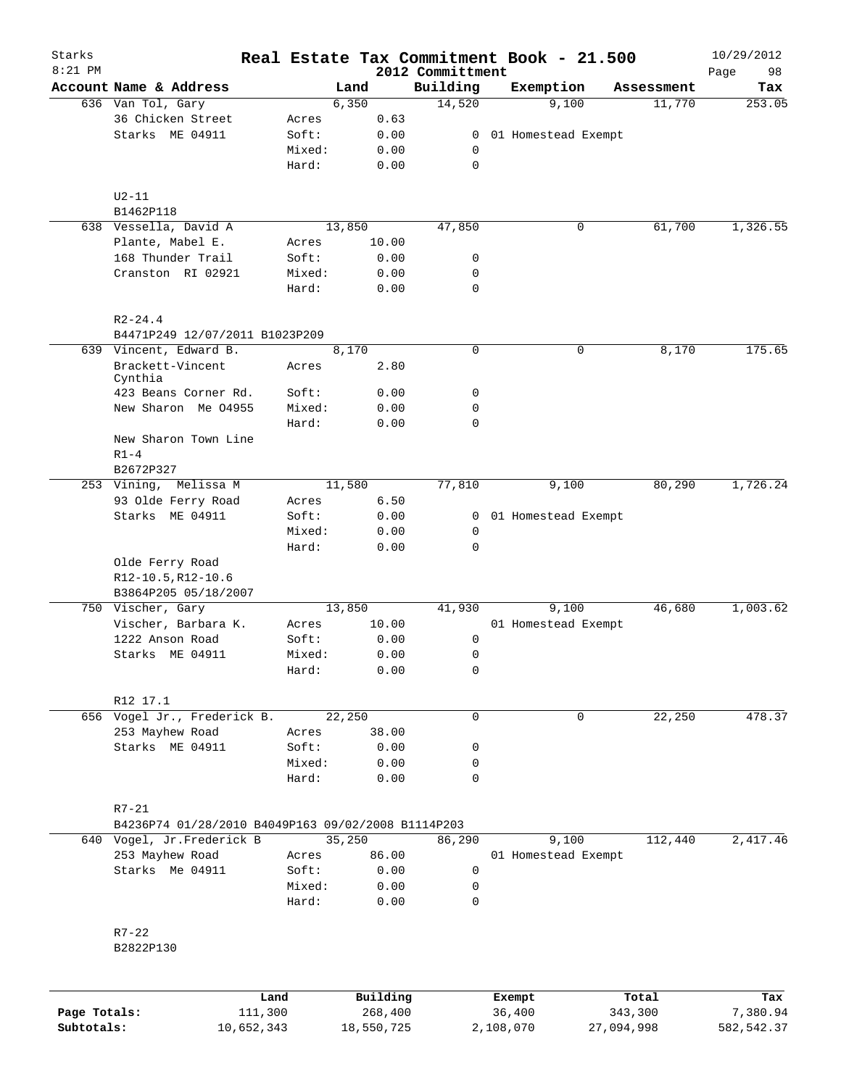| Starks       |                                                    |                 |                     |                              | Real Estate Tax Commitment Book - 21.500 |                  | 10/29/2012        |
|--------------|----------------------------------------------------|-----------------|---------------------|------------------------------|------------------------------------------|------------------|-------------------|
| $8:21$ PM    | Account Name & Address                             |                 | Land                | 2012 Committment<br>Building | Exemption                                | Assessment       | 98<br>Page<br>Tax |
|              | 636 Van Tol, Gary                                  |                 | 6,350               | 14,520                       | 9,100                                    | 11,770           | 253.05            |
|              | 36 Chicken Street                                  | Acres           | 0.63                |                              |                                          |                  |                   |
|              | Starks ME 04911                                    | Soft:           | 0.00                | 0                            | 01 Homestead Exempt                      |                  |                   |
|              |                                                    | Mixed:          | 0.00                | 0                            |                                          |                  |                   |
|              |                                                    | Hard:           | 0.00                | $\mathbf 0$                  |                                          |                  |                   |
|              | $U2-11$                                            |                 |                     |                              |                                          |                  |                   |
|              | B1462P118                                          |                 |                     |                              |                                          |                  |                   |
|              | 638 Vessella, David A                              |                 | 13,850              | 47,850                       | 0                                        | 61,700           | 1,326.55          |
|              | Plante, Mabel E.                                   | Acres           | 10.00               |                              |                                          |                  |                   |
|              | 168 Thunder Trail                                  | Soft:           | 0.00                | 0                            |                                          |                  |                   |
|              | Cranston RI 02921                                  | Mixed:          | 0.00                | 0                            |                                          |                  |                   |
|              |                                                    | Hard:           | 0.00                | $\mathbf 0$                  |                                          |                  |                   |
|              | $R2 - 24.4$                                        |                 |                     |                              |                                          |                  |                   |
|              | B4471P249 12/07/2011 B1023P209                     |                 |                     |                              |                                          |                  |                   |
|              | 639 Vincent, Edward B.                             |                 | 8,170               | $\mathbf 0$                  | 0                                        | 8,170            | 175.65            |
|              | Brackett-Vincent<br>Cynthia                        | Acres           | 2.80                |                              |                                          |                  |                   |
|              | 423 Beans Corner Rd.                               | Soft:           | 0.00                | 0                            |                                          |                  |                   |
|              | New Sharon Me 04955                                | Mixed:          | 0.00                | $\mathbf 0$                  |                                          |                  |                   |
|              |                                                    | Hard:           | 0.00                | $\mathbf 0$                  |                                          |                  |                   |
|              | New Sharon Town Line<br>$R1-4$                     |                 |                     |                              |                                          |                  |                   |
|              | B2672P327                                          |                 |                     |                              |                                          |                  |                   |
|              | Melissa M<br>253 Vining,                           |                 | 11,580              | 77,810                       | 9,100                                    | 80,290           | 1,726.24          |
|              | 93 Olde Ferry Road                                 | Acres           | 6.50                |                              |                                          |                  |                   |
|              | Starks ME 04911                                    | Soft:           | 0.00                |                              | 0 01 Homestead Exempt                    |                  |                   |
|              |                                                    | Mixed:          | 0.00                | 0                            |                                          |                  |                   |
|              |                                                    | Hard:           | 0.00                | $\mathbf 0$                  |                                          |                  |                   |
|              | Olde Ferry Road<br>R12-10.5, R12-10.6              |                 |                     |                              |                                          |                  |                   |
|              | B3864P205 05/18/2007                               |                 |                     |                              |                                          |                  |                   |
|              | 750 Vischer, Gary                                  |                 | 13,850              | 41,930                       | 9,100                                    | 46,680           | 1,003.62          |
|              | Vischer, Barbara K.                                | Acres           | 10.00               |                              | 01 Homestead Exempt                      |                  |                   |
|              | 1222 Anson Road                                    | Soft:           | 0.00                | 0                            |                                          |                  |                   |
|              | Starks ME 04911                                    | Mixed:          | 0.00                | 0                            |                                          |                  |                   |
|              |                                                    | Hard:           | 0.00                | 0                            |                                          |                  |                   |
|              | R12 17.1                                           |                 |                     |                              |                                          |                  |                   |
|              | 656 Vogel Jr., Frederick B.                        |                 | 22,250              | $\mathbf 0$                  | 0                                        | 22,250           | 478.37            |
|              | 253 Mayhew Road                                    | Acres           | 38.00               |                              |                                          |                  |                   |
|              | Starks ME 04911                                    | Soft:           | 0.00                | 0                            |                                          |                  |                   |
|              |                                                    | Mixed:          | 0.00                | 0                            |                                          |                  |                   |
|              |                                                    | Hard:           | 0.00                | $\mathbf 0$                  |                                          |                  |                   |
|              | $R7 - 21$                                          |                 |                     |                              |                                          |                  |                   |
|              | B4236P74 01/28/2010 B4049P163 09/02/2008 B1114P203 |                 |                     |                              |                                          |                  |                   |
|              | 640 Vogel, Jr.Frederick B                          |                 | 35,250              | 86,290                       | 9,100                                    | 112,440          | 2,417.46          |
|              | 253 Mayhew Road                                    | Acres           | 86.00               |                              | 01 Homestead Exempt                      |                  |                   |
|              | Starks Me 04911                                    | Soft:           | 0.00                | $\mathbf 0$                  |                                          |                  |                   |
|              |                                                    | Mixed:          | 0.00                | $\mathbf 0$                  |                                          |                  |                   |
|              |                                                    | Hard:           | 0.00                | 0                            |                                          |                  |                   |
|              | $R7 - 22$                                          |                 |                     |                              |                                          |                  |                   |
|              | B2822P130                                          |                 |                     |                              |                                          |                  |                   |
|              |                                                    |                 |                     |                              |                                          |                  |                   |
| Page Totals: |                                                    | Land<br>111,300 | Building<br>268,400 |                              | Exempt<br>36,400                         | Total<br>343,300 | Tax<br>7,380.94   |

**Subtotals:** 10,652,343 18,550,725 2,108,070 27,094,998 582,542.37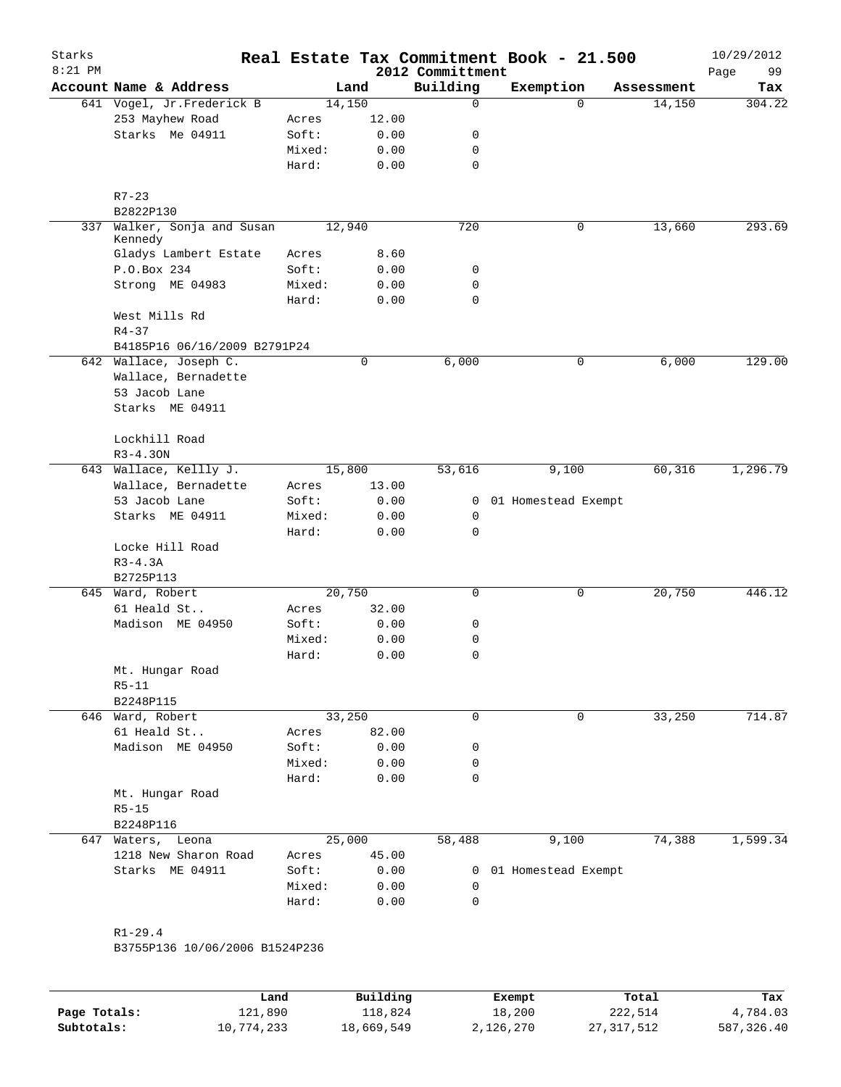| Account Name & Address<br>641 Vogel, Jr. Frederick B<br>253 Mayhew Road<br>Starks Me 04911<br>$R7 - 23$<br>B2822P130<br>Walker, Sonja and Susan<br>Kennedy<br>Gladys Lambert Estate<br>P.O.Box 234<br>Strong ME 04983<br>West Mills Rd<br>$R4 - 37$<br>B4185P16 06/16/2009 B2791P24<br>642 Wallace, Joseph C.<br>Wallace, Bernadette<br>53 Jacob Lane<br>Starks ME 04911 | Acres<br>Soft:<br>Mixed:<br>Hard:<br>Acres<br>Soft:<br>Mixed:<br>Hard:                             | Land<br>14,150<br>12.00<br>0.00<br>0.00<br>0.00<br>12,940<br>8.60<br>0.00<br>0.00<br>0.00 | 2012 Committment<br>Building<br>$\mathbf 0$<br>0<br>0<br>$\mathbf 0$<br>720<br>0<br>0<br>$\mathbf 0$ | Exemption<br>$\Omega$<br>0 | Assessment<br>14,150<br>13,660 | 99<br>Page<br>Tax<br>304.22<br>293.69   |
|--------------------------------------------------------------------------------------------------------------------------------------------------------------------------------------------------------------------------------------------------------------------------------------------------------------------------------------------------------------------------|----------------------------------------------------------------------------------------------------|-------------------------------------------------------------------------------------------|------------------------------------------------------------------------------------------------------|----------------------------|--------------------------------|-----------------------------------------|
|                                                                                                                                                                                                                                                                                                                                                                          |                                                                                                    |                                                                                           |                                                                                                      |                            |                                |                                         |
|                                                                                                                                                                                                                                                                                                                                                                          |                                                                                                    |                                                                                           |                                                                                                      |                            |                                |                                         |
|                                                                                                                                                                                                                                                                                                                                                                          |                                                                                                    |                                                                                           |                                                                                                      |                            |                                |                                         |
|                                                                                                                                                                                                                                                                                                                                                                          |                                                                                                    |                                                                                           |                                                                                                      |                            |                                |                                         |
|                                                                                                                                                                                                                                                                                                                                                                          |                                                                                                    |                                                                                           |                                                                                                      |                            |                                |                                         |
|                                                                                                                                                                                                                                                                                                                                                                          |                                                                                                    |                                                                                           |                                                                                                      |                            |                                |                                         |
|                                                                                                                                                                                                                                                                                                                                                                          |                                                                                                    |                                                                                           |                                                                                                      |                            |                                |                                         |
|                                                                                                                                                                                                                                                                                                                                                                          |                                                                                                    |                                                                                           |                                                                                                      |                            |                                |                                         |
|                                                                                                                                                                                                                                                                                                                                                                          |                                                                                                    |                                                                                           |                                                                                                      |                            |                                |                                         |
|                                                                                                                                                                                                                                                                                                                                                                          |                                                                                                    |                                                                                           |                                                                                                      |                            |                                |                                         |
|                                                                                                                                                                                                                                                                                                                                                                          |                                                                                                    |                                                                                           |                                                                                                      |                            |                                |                                         |
|                                                                                                                                                                                                                                                                                                                                                                          |                                                                                                    |                                                                                           |                                                                                                      |                            |                                |                                         |
|                                                                                                                                                                                                                                                                                                                                                                          |                                                                                                    |                                                                                           |                                                                                                      |                            |                                |                                         |
|                                                                                                                                                                                                                                                                                                                                                                          |                                                                                                    |                                                                                           |                                                                                                      |                            |                                |                                         |
|                                                                                                                                                                                                                                                                                                                                                                          |                                                                                                    |                                                                                           |                                                                                                      |                            |                                |                                         |
|                                                                                                                                                                                                                                                                                                                                                                          |                                                                                                    | 0                                                                                         | 6,000                                                                                                | 0                          | 6,000                          | 129.00                                  |
|                                                                                                                                                                                                                                                                                                                                                                          |                                                                                                    |                                                                                           |                                                                                                      |                            |                                |                                         |
|                                                                                                                                                                                                                                                                                                                                                                          |                                                                                                    |                                                                                           |                                                                                                      |                            |                                |                                         |
|                                                                                                                                                                                                                                                                                                                                                                          |                                                                                                    |                                                                                           |                                                                                                      |                            |                                |                                         |
| Lockhill Road                                                                                                                                                                                                                                                                                                                                                            |                                                                                                    |                                                                                           |                                                                                                      |                            |                                |                                         |
| $R3 - 4.30N$                                                                                                                                                                                                                                                                                                                                                             |                                                                                                    |                                                                                           |                                                                                                      |                            |                                |                                         |
| 643 Wallace, Kellly J.                                                                                                                                                                                                                                                                                                                                                   |                                                                                                    | 15,800                                                                                    | 53,616                                                                                               | 9,100                      | 60,316                         | 1,296.79                                |
| Wallace, Bernadette                                                                                                                                                                                                                                                                                                                                                      | Acres                                                                                              | 13.00                                                                                     |                                                                                                      |                            |                                |                                         |
| 53 Jacob Lane                                                                                                                                                                                                                                                                                                                                                            | Soft:                                                                                              | 0.00                                                                                      | $\mathbf{0}$                                                                                         | 01 Homestead Exempt        |                                |                                         |
| Starks ME 04911                                                                                                                                                                                                                                                                                                                                                          | Mixed:                                                                                             | 0.00                                                                                      | $\mathbf 0$                                                                                          |                            |                                |                                         |
|                                                                                                                                                                                                                                                                                                                                                                          | Hard:                                                                                              | 0.00                                                                                      | 0                                                                                                    |                            |                                |                                         |
| Locke Hill Road<br>$R3 - 4.3A$                                                                                                                                                                                                                                                                                                                                           |                                                                                                    |                                                                                           |                                                                                                      |                            |                                |                                         |
|                                                                                                                                                                                                                                                                                                                                                                          |                                                                                                    |                                                                                           |                                                                                                      |                            |                                |                                         |
|                                                                                                                                                                                                                                                                                                                                                                          |                                                                                                    |                                                                                           |                                                                                                      |                            |                                | 446.12                                  |
|                                                                                                                                                                                                                                                                                                                                                                          |                                                                                                    |                                                                                           |                                                                                                      |                            |                                |                                         |
|                                                                                                                                                                                                                                                                                                                                                                          |                                                                                                    |                                                                                           |                                                                                                      |                            |                                |                                         |
|                                                                                                                                                                                                                                                                                                                                                                          |                                                                                                    |                                                                                           |                                                                                                      |                            |                                |                                         |
|                                                                                                                                                                                                                                                                                                                                                                          |                                                                                                    |                                                                                           |                                                                                                      |                            |                                |                                         |
|                                                                                                                                                                                                                                                                                                                                                                          |                                                                                                    |                                                                                           |                                                                                                      |                            |                                |                                         |
| $R5 - 11$                                                                                                                                                                                                                                                                                                                                                                |                                                                                                    |                                                                                           |                                                                                                      |                            |                                |                                         |
| B2248P115                                                                                                                                                                                                                                                                                                                                                                |                                                                                                    |                                                                                           |                                                                                                      |                            |                                |                                         |
| 646 Ward, Robert                                                                                                                                                                                                                                                                                                                                                         |                                                                                                    |                                                                                           | 0                                                                                                    | 0                          |                                | 714.87                                  |
| 61 Heald St                                                                                                                                                                                                                                                                                                                                                              | Acres                                                                                              | 82.00                                                                                     |                                                                                                      |                            |                                |                                         |
| Madison ME 04950                                                                                                                                                                                                                                                                                                                                                         | Soft:                                                                                              | 0.00                                                                                      | 0                                                                                                    |                            |                                |                                         |
|                                                                                                                                                                                                                                                                                                                                                                          | Mixed:                                                                                             | 0.00                                                                                      | 0                                                                                                    |                            |                                |                                         |
|                                                                                                                                                                                                                                                                                                                                                                          | Hard:                                                                                              | 0.00                                                                                      | 0                                                                                                    |                            |                                |                                         |
| Mt. Hungar Road                                                                                                                                                                                                                                                                                                                                                          |                                                                                                    |                                                                                           |                                                                                                      |                            |                                |                                         |
| $R5 - 15$                                                                                                                                                                                                                                                                                                                                                                |                                                                                                    |                                                                                           |                                                                                                      |                            |                                |                                         |
| B2248P116                                                                                                                                                                                                                                                                                                                                                                |                                                                                                    |                                                                                           |                                                                                                      |                            |                                |                                         |
| 647 Waters, Leona                                                                                                                                                                                                                                                                                                                                                        |                                                                                                    |                                                                                           | 58,488                                                                                               | 9,100                      | 74,388                         | 1,599.34                                |
| 1218 New Sharon Road                                                                                                                                                                                                                                                                                                                                                     | Acres                                                                                              | 45.00                                                                                     |                                                                                                      |                            |                                |                                         |
| Starks ME 04911                                                                                                                                                                                                                                                                                                                                                          | Soft:                                                                                              | 0.00                                                                                      |                                                                                                      |                            |                                |                                         |
|                                                                                                                                                                                                                                                                                                                                                                          | Mixed:                                                                                             | 0.00                                                                                      | 0                                                                                                    |                            |                                |                                         |
|                                                                                                                                                                                                                                                                                                                                                                          | Hard:                                                                                              | 0.00                                                                                      | 0                                                                                                    |                            |                                |                                         |
|                                                                                                                                                                                                                                                                                                                                                                          |                                                                                                    |                                                                                           |                                                                                                      |                            |                                |                                         |
|                                                                                                                                                                                                                                                                                                                                                                          |                                                                                                    |                                                                                           |                                                                                                      |                            |                                |                                         |
|                                                                                                                                                                                                                                                                                                                                                                          |                                                                                                    |                                                                                           |                                                                                                      |                            |                                |                                         |
|                                                                                                                                                                                                                                                                                                                                                                          | B2725P113<br>645 Ward, Robert<br>61 Heald St<br>Madison ME 04950<br>Mt. Hungar Road<br>$R1 - 29.4$ | Acres<br>Soft:<br>Mixed:<br>Hard:<br>B3755P136 10/06/2006 B1524P236                       | 20,750<br>32.00<br>0.00<br>0.00<br>0.00<br>33,250<br>25,000                                          | 0<br>0<br>0<br>$\mathbf 0$ | 0<br>$\mathbf{0}$              | 20,750<br>33,250<br>01 Homestead Exempt |

|              | Land       | Building   | Exempt    | Total      | Tax        |
|--------------|------------|------------|-----------|------------|------------|
| Page Totals: | 121,890    | 118,824    | 18,200    | 222,514    | 4,784.03   |
| Subtotals:   | 10,774,233 | 18,669,549 | 2,126,270 | 27,317,512 | 587,326.40 |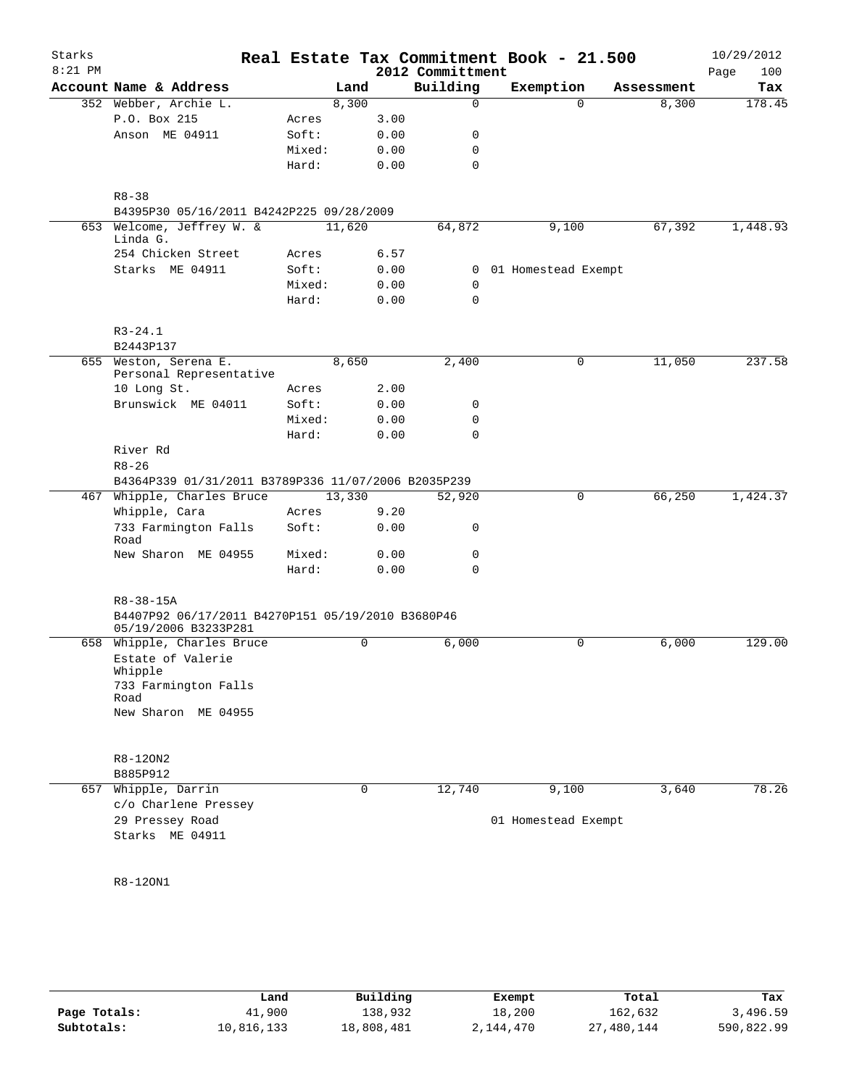| Starks<br>$8:21$ PM |                                                                      |        |             | 2012 Committment | Real Estate Tax Commitment Book - 21.500 |            | 10/29/2012<br>100<br>Page |
|---------------------|----------------------------------------------------------------------|--------|-------------|------------------|------------------------------------------|------------|---------------------------|
|                     | Account Name & Address                                               |        | Land        | Building         | Exemption                                | Assessment | Tax                       |
|                     | 352 Webber, Archie L.                                                |        | 8,300       | 0                | $\Omega$                                 | 8,300      | 178.45                    |
|                     | P.O. Box 215                                                         | Acres  | 3.00        |                  |                                          |            |                           |
|                     | Anson ME 04911                                                       | Soft:  | 0.00        | 0                |                                          |            |                           |
|                     |                                                                      | Mixed: | 0.00        | $\mathbf 0$      |                                          |            |                           |
|                     |                                                                      | Hard:  | 0.00        | $\mathbf 0$      |                                          |            |                           |
|                     |                                                                      |        |             |                  |                                          |            |                           |
|                     | $R8 - 38$                                                            |        |             |                  |                                          |            |                           |
|                     | B4395P30 05/16/2011 B4242P225 09/28/2009                             |        |             |                  |                                          |            |                           |
|                     | 653 Welcome, Jeffrey W. &<br>Linda G.                                |        | 11,620      | 64,872           | 9,100                                    | 67,392     | 1,448.93                  |
|                     | 254 Chicken Street                                                   | Acres  | 6.57        |                  |                                          |            |                           |
|                     | Starks ME 04911                                                      | Soft:  | 0.00        |                  | 0 01 Homestead Exempt                    |            |                           |
|                     |                                                                      | Mixed: | 0.00        | $\mathbf 0$      |                                          |            |                           |
|                     |                                                                      | Hard:  | 0.00        | $\mathbf 0$      |                                          |            |                           |
|                     |                                                                      |        |             |                  |                                          |            |                           |
|                     | $R3 - 24.1$                                                          |        |             |                  |                                          |            |                           |
|                     | B2443P137<br>655 Weston, Serena E.                                   |        | 8,650       | 2,400            | 0                                        | 11,050     | 237.58                    |
|                     | Personal Representative                                              |        |             |                  |                                          |            |                           |
|                     | 10 Long St.                                                          | Acres  | 2.00        |                  |                                          |            |                           |
|                     | Brunswick ME 04011                                                   | Soft:  | 0.00        | 0                |                                          |            |                           |
|                     |                                                                      | Mixed: | 0.00        | 0                |                                          |            |                           |
|                     |                                                                      | Hard:  | 0.00        | $\Omega$         |                                          |            |                           |
|                     | River Rd                                                             |        |             |                  |                                          |            |                           |
|                     | $R8 - 26$                                                            |        |             |                  |                                          |            |                           |
|                     | B4364P339 01/31/2011 B3789P336 11/07/2006 B2035P239                  |        |             |                  |                                          |            |                           |
|                     | 467 Whipple, Charles Bruce                                           |        | 13,330      | 52,920           | 0                                        | 66,250     | 1,424.37                  |
|                     | Whipple, Cara                                                        | Acres  | 9.20        |                  |                                          |            |                           |
|                     | 733 Farmington Falls<br>Road                                         | Soft:  | 0.00        | 0                |                                          |            |                           |
|                     | New Sharon ME 04955                                                  | Mixed: | 0.00        | 0                |                                          |            |                           |
|                     |                                                                      | Hard:  | 0.00        | 0                |                                          |            |                           |
|                     |                                                                      |        |             |                  |                                          |            |                           |
|                     | $R8 - 38 - 15A$<br>B4407P92 06/17/2011 B4270P151 05/19/2010 B3680P46 |        |             |                  |                                          |            |                           |
|                     | 05/19/2006 B3233P281                                                 |        |             |                  |                                          |            |                           |
|                     | 658 Whipple, Charles Bruce                                           |        | 0           | 6,000            | 0                                        | 6,000      | 129.00                    |
|                     | Estate of Valerie                                                    |        |             |                  |                                          |            |                           |
|                     | Whipple<br>733 Farmington Falls                                      |        |             |                  |                                          |            |                           |
|                     | Road                                                                 |        |             |                  |                                          |            |                           |
|                     | New Sharon ME 04955                                                  |        |             |                  |                                          |            |                           |
|                     |                                                                      |        |             |                  |                                          |            |                           |
|                     | R8-120N2                                                             |        |             |                  |                                          |            |                           |
|                     | B885P912                                                             |        |             |                  |                                          |            |                           |
|                     | 657 Whipple, Darrin                                                  |        | $\mathbf 0$ | 12,740           | 9,100                                    | 3,640      | 78.26                     |
|                     | c/o Charlene Pressey                                                 |        |             |                  |                                          |            |                           |
|                     | 29 Pressey Road                                                      |        |             |                  | 01 Homestead Exempt                      |            |                           |
|                     | Starks ME 04911                                                      |        |             |                  |                                          |            |                           |
|                     |                                                                      |        |             |                  |                                          |            |                           |
|                     |                                                                      |        |             |                  |                                          |            |                           |
|                     | R8-120N1                                                             |        |             |                  |                                          |            |                           |
|                     |                                                                      |        |             |                  |                                          |            |                           |
|                     |                                                                      |        |             |                  |                                          |            |                           |

|              | Land       | Building   | Exempt    | Total      | Tax        |
|--------------|------------|------------|-----------|------------|------------|
|              |            |            |           |            |            |
| Page Totals: | 41,900     | 138,932    | 18,200    | 162,632    | 3,496.59   |
| Subtotals:   | 10,816,133 | 18,808,481 | 2,144,470 | 27,480,144 | 590,822.99 |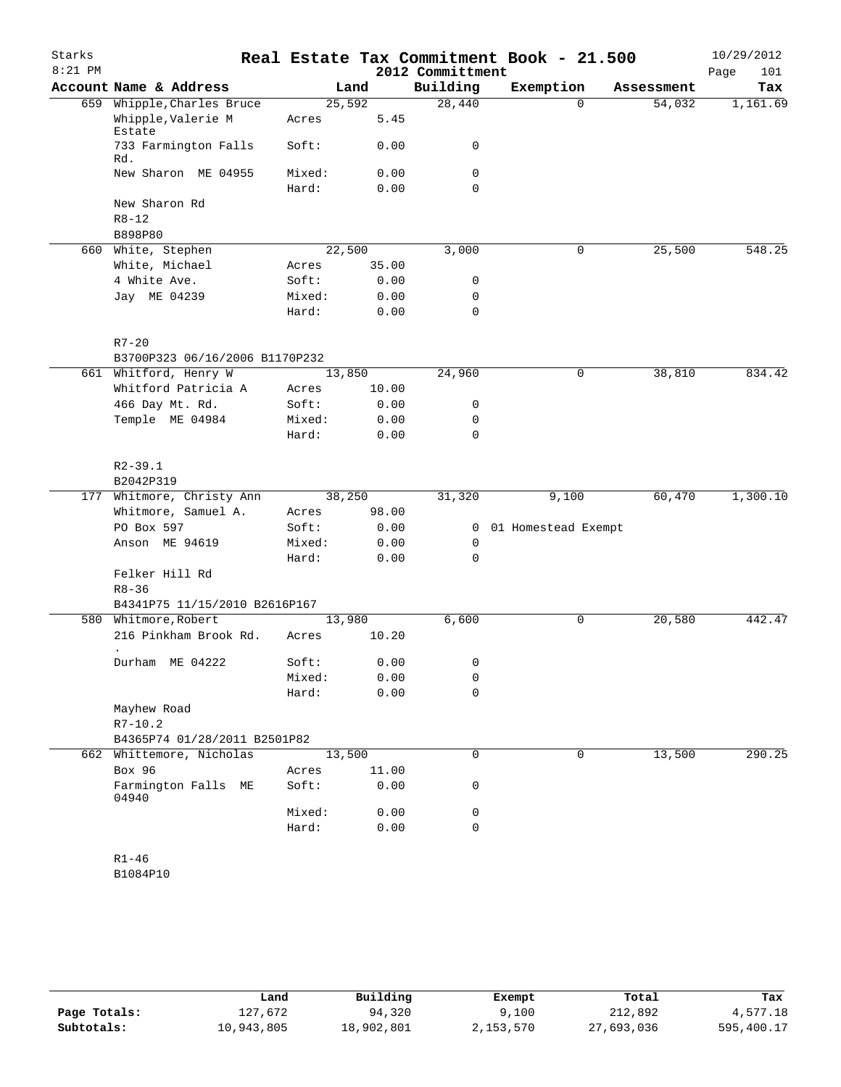| Starks    |                                |        |       |                  | Real Estate Tax Commitment Book - 21.500 |            | 10/29/2012  |
|-----------|--------------------------------|--------|-------|------------------|------------------------------------------|------------|-------------|
| $8:21$ PM |                                |        |       | 2012 Committment |                                          |            | 101<br>Page |
|           | Account Name & Address         |        | Land  | Building         | Exemption                                | Assessment | Tax         |
|           | 659 Whipple, Charles Bruce     | 25,592 |       | 28,440           | $\Omega$                                 | 54,032     | 1,161.69    |
|           | Whipple, Valerie M<br>Estate   | Acres  | 5.45  |                  |                                          |            |             |
|           | 733 Farmington Falls<br>Rd.    | Soft:  | 0.00  | 0                |                                          |            |             |
|           | New Sharon ME 04955            | Mixed: | 0.00  | 0                |                                          |            |             |
|           |                                | Hard:  | 0.00  | 0                |                                          |            |             |
|           | New Sharon Rd                  |        |       |                  |                                          |            |             |
|           | $R8 - 12$                      |        |       |                  |                                          |            |             |
|           | B898P80                        |        |       |                  |                                          |            |             |
|           | 660 White, Stephen             | 22,500 |       | 3,000            | 0                                        | 25,500     | 548.25      |
|           | White, Michael                 | Acres  | 35.00 |                  |                                          |            |             |
|           | 4 White Ave.                   | Soft:  | 0.00  | 0                |                                          |            |             |
|           | Jay ME 04239                   | Mixed: | 0.00  | 0                |                                          |            |             |
|           |                                | Hard:  | 0.00  | $\mathbf 0$      |                                          |            |             |
|           | $R7 - 20$                      |        |       |                  |                                          |            |             |
|           | B3700P323 06/16/2006 B1170P232 |        |       |                  |                                          |            |             |
|           | 661 Whitford, Henry W          | 13,850 |       | 24,960           | 0                                        | 38,810     | 834.42      |
|           | Whitford Patricia A            | Acres  | 10.00 |                  |                                          |            |             |
|           | 466 Day Mt. Rd.                | Soft:  | 0.00  | 0                |                                          |            |             |
|           | Temple ME 04984                | Mixed: | 0.00  | 0                |                                          |            |             |
|           |                                | Hard:  | 0.00  | $\mathbf 0$      |                                          |            |             |
|           | $R2 - 39.1$                    |        |       |                  |                                          |            |             |
|           | B2042P319                      |        |       |                  |                                          |            |             |
|           | 177 Whitmore, Christy Ann      | 38,250 |       | 31,320           | 9,100                                    | 60,470     | 1,300.10    |
|           | Whitmore, Samuel A.            | Acres  | 98.00 |                  |                                          |            |             |
|           | PO Box 597                     | Soft:  | 0.00  | $\overline{0}$   | 01 Homestead Exempt                      |            |             |
|           | Anson ME 94619                 | Mixed: | 0.00  | 0                |                                          |            |             |
|           |                                | Hard:  | 0.00  | $\mathbf 0$      |                                          |            |             |
|           | Felker Hill Rd                 |        |       |                  |                                          |            |             |
|           | $R8 - 36$                      |        |       |                  |                                          |            |             |
|           | B4341P75 11/15/2010 B2616P167  |        |       |                  |                                          |            |             |
|           | 580 Whitmore, Robert           | 13,980 |       | 6,600            | 0                                        | 20,580     | 442.47      |
|           | 216 Pinkham Brook Rd.          | Acres  | 10.20 |                  |                                          |            |             |
|           | Durham ME 04222                | Soft:  | 0.00  | 0                |                                          |            |             |
|           |                                | Mixed: | 0.00  | 0                |                                          |            |             |
|           |                                | Hard:  | 0.00  | $\mathbf 0$      |                                          |            |             |
|           | Mayhew Road                    |        |       |                  |                                          |            |             |
|           | $R7 - 10.2$                    |        |       |                  |                                          |            |             |
|           | B4365P74 01/28/2011 B2501P82   |        |       |                  |                                          |            |             |
|           | 662 Whittemore, Nicholas       | 13,500 |       | $\mathbf 0$      | 0                                        | 13,500     | 290.25      |
|           | Box 96                         | Acres  | 11.00 |                  |                                          |            |             |
|           | Farmington Falls ME<br>04940   | Soft:  | 0.00  | 0                |                                          |            |             |
|           |                                | Mixed: | 0.00  | 0                |                                          |            |             |
|           |                                | Hard:  | 0.00  | $\mathbf 0$      |                                          |            |             |
|           | $R1 - 46$                      |        |       |                  |                                          |            |             |
|           | B1084P10                       |        |       |                  |                                          |            |             |

|              | Land       | Building   | Exempt    | Total      | Tax        |
|--------------|------------|------------|-----------|------------|------------|
| Page Totals: | 127,672    | 94,320     | 9,100     | 212,892    | 4,577.18   |
| Subtotals:   | 10,943,805 | 18,902,801 | 2,153,570 | 27,693,036 | 595,400.17 |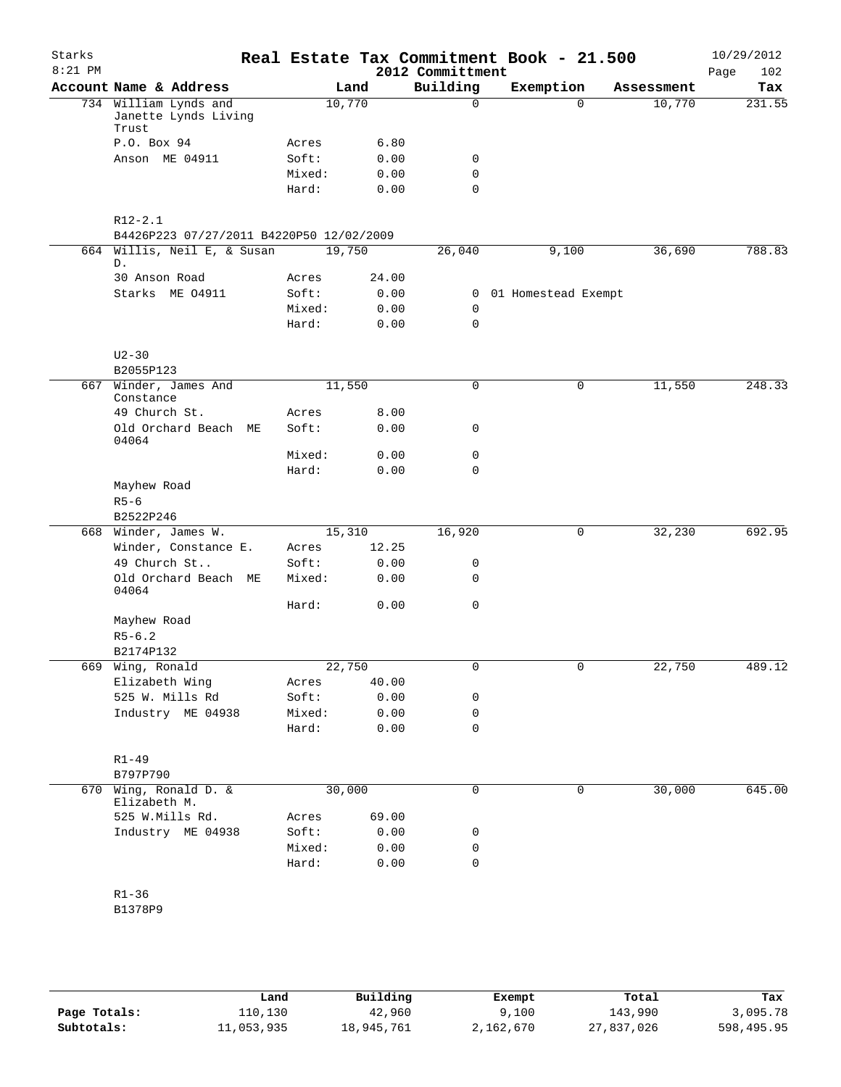| Starks<br>$8:21$ PM |                                                         |        |        |       | 2012 Committment | Real Estate Tax Commitment Book - 21.500 |            | 10/29/2012<br>102<br>Page |
|---------------------|---------------------------------------------------------|--------|--------|-------|------------------|------------------------------------------|------------|---------------------------|
|                     | Account Name & Address                                  |        | Land   |       | Building         | Exemption                                | Assessment | Tax                       |
|                     | 734 William Lynds and<br>Janette Lynds Living<br>Trust  |        | 10,770 |       | 0                | $\Omega$                                 | 10,770     | 231.55                    |
|                     | P.O. Box 94                                             | Acres  |        | 6.80  |                  |                                          |            |                           |
|                     | Anson ME 04911                                          | Soft:  |        | 0.00  | 0                |                                          |            |                           |
|                     |                                                         | Mixed: |        | 0.00  | 0                |                                          |            |                           |
|                     |                                                         | Hard:  |        | 0.00  | 0                |                                          |            |                           |
|                     | $R12 - 2.1$<br>B4426P223 07/27/2011 B4220P50 12/02/2009 |        |        |       |                  |                                          |            |                           |
|                     | 664 Willis, Neil E, & Susan<br>D.                       |        | 19,750 |       | 26,040           | 9,100                                    | 36,690     | 788.83                    |
|                     | 30 Anson Road                                           | Acres  |        | 24.00 |                  |                                          |            |                           |
|                     | Starks ME 04911                                         | Soft:  |        | 0.00  | $\mathbf{0}$     | 01 Homestead Exempt                      |            |                           |
|                     |                                                         | Mixed: |        | 0.00  | 0                |                                          |            |                           |
|                     |                                                         | Hard:  |        | 0.00  | 0                |                                          |            |                           |
|                     | $U2 - 30$<br>B2055P123                                  |        |        |       |                  |                                          |            |                           |
|                     | 667 Winder, James And                                   |        | 11,550 |       | $\Omega$         | 0                                        | 11,550     | 248.33                    |
|                     | Constance                                               |        |        |       |                  |                                          |            |                           |
|                     | 49 Church St.                                           | Acres  |        | 8.00  |                  |                                          |            |                           |
|                     | Old Orchard Beach ME<br>04064                           | Soft:  |        | 0.00  | 0                |                                          |            |                           |
|                     |                                                         | Mixed: |        | 0.00  | 0                |                                          |            |                           |
|                     |                                                         | Hard:  |        | 0.00  | 0                |                                          |            |                           |
|                     | Mayhew Road                                             |        |        |       |                  |                                          |            |                           |
|                     | $R5-6$                                                  |        |        |       |                  |                                          |            |                           |
|                     | B2522P246                                               |        |        |       |                  |                                          |            |                           |
|                     | 668 Winder, James W.                                    |        | 15,310 |       | 16,920           | 0                                        | 32,230     | 692.95                    |
|                     | Winder, Constance E.                                    | Acres  |        | 12.25 |                  |                                          |            |                           |
|                     | 49 Church St                                            | Soft:  |        | 0.00  | 0                |                                          |            |                           |
|                     | Old Orchard Beach ME<br>04064                           | Mixed: |        | 0.00  | 0                |                                          |            |                           |
|                     |                                                         | Hard:  |        | 0.00  | 0                |                                          |            |                           |
|                     | Mayhew Road<br>$R5 - 6.2$                               |        |        |       |                  |                                          |            |                           |
|                     | B2174P132                                               |        |        |       |                  |                                          |            |                           |
|                     | 669 Wing, Ronald                                        |        | 22,750 |       | 0                | 0                                        | 22,750     | 489.12                    |
|                     | Elizabeth Wing                                          | Acres  |        | 40.00 |                  |                                          |            |                           |
|                     | 525 W. Mills Rd                                         | Soft:  |        | 0.00  | 0                |                                          |            |                           |
|                     | Industry ME 04938                                       | Mixed: |        | 0.00  | 0                |                                          |            |                           |
|                     |                                                         | Hard:  |        | 0.00  | 0                |                                          |            |                           |
|                     |                                                         |        |        |       |                  |                                          |            |                           |
|                     | $R1 - 49$<br>B797P790                                   |        |        |       |                  |                                          |            |                           |
|                     | 670 Wing, Ronald D. &<br>Elizabeth M.                   |        | 30,000 |       | 0                | 0                                        | 30,000     | 645.00                    |
|                     | 525 W.Mills Rd.                                         | Acres  |        | 69.00 |                  |                                          |            |                           |
|                     | Industry ME 04938                                       | Soft:  |        | 0.00  | 0                |                                          |            |                           |
|                     |                                                         | Mixed: |        | 0.00  | 0                |                                          |            |                           |
|                     |                                                         | Hard:  |        | 0.00  | 0                |                                          |            |                           |
|                     | $R1 - 36$                                               |        |        |       |                  |                                          |            |                           |
|                     | B1378P9                                                 |        |        |       |                  |                                          |            |                           |
|                     |                                                         |        |        |       |                  |                                          |            |                           |
|                     |                                                         |        |        |       |                  |                                          |            |                           |

|              | Land       | Building   | Exempt    | Total      | Tax        |
|--------------|------------|------------|-----------|------------|------------|
| Page Totals: | 110,130    | 42,960     | 9,100     | 143,990    | 3,095.78   |
| Subtotals:   | 11,053,935 | 18,945,761 | 2,162,670 | 27,837,026 | 598,495.95 |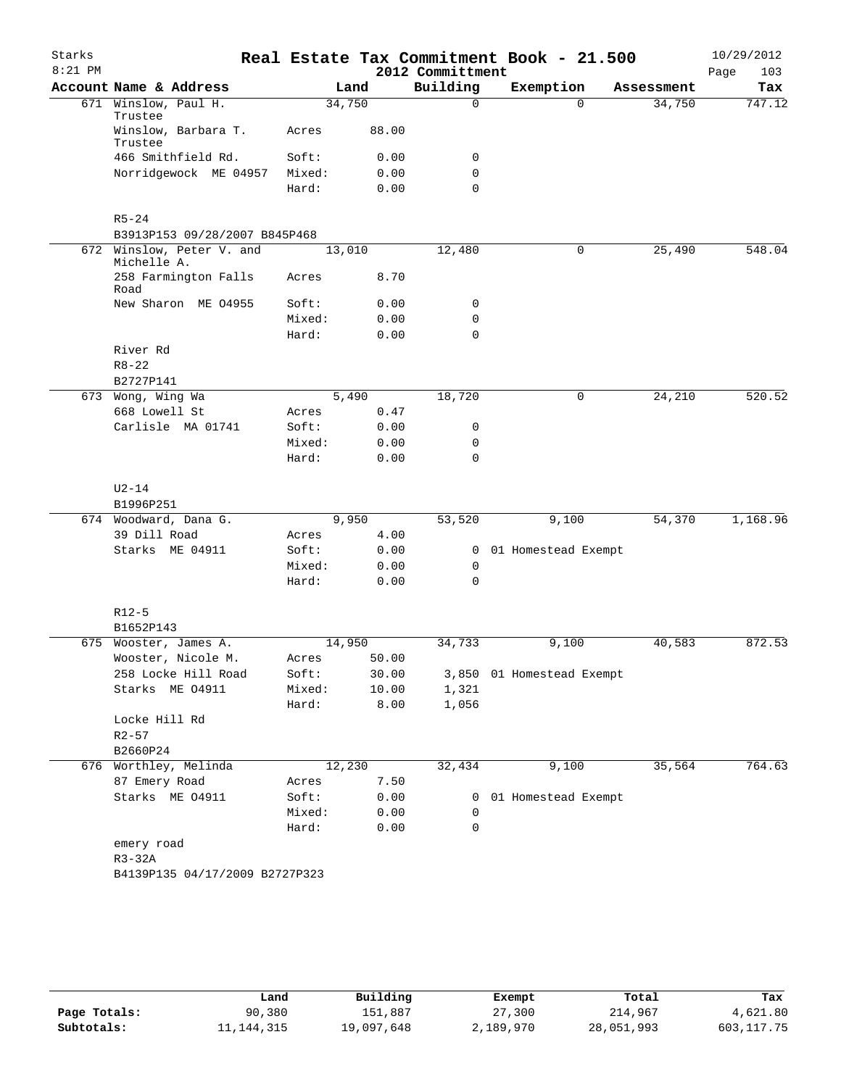| Starks<br>$8:21$ PM |                                        |        |       | 2012 Committment | Real Estate Tax Commitment Book - 21.500 |            | 10/29/2012<br>Page<br>103 |
|---------------------|----------------------------------------|--------|-------|------------------|------------------------------------------|------------|---------------------------|
|                     | Account Name & Address                 |        | Land  | Building         | Exemption                                | Assessment | Tax                       |
|                     | 671 Winslow, Paul H.<br>Trustee        | 34,750 |       | $\Omega$         | $\Omega$                                 | 34,750     | 747.12                    |
|                     | Winslow, Barbara T.<br>Trustee         | Acres  | 88.00 |                  |                                          |            |                           |
|                     | 466 Smithfield Rd.                     | Soft:  | 0.00  | 0                |                                          |            |                           |
|                     | Norridgewock ME 04957                  | Mixed: | 0.00  | $\mathbf 0$      |                                          |            |                           |
|                     |                                        | Hard:  | 0.00  | $\Omega$         |                                          |            |                           |
|                     | $R5 - 24$                              |        |       |                  |                                          |            |                           |
|                     | B3913P153 09/28/2007 B845P468          |        |       |                  |                                          |            |                           |
| 672                 | Winslow, Peter V. and<br>Michelle A.   | 13,010 |       | 12,480           | $\mathbf 0$                              | 25,490     | 548.04                    |
|                     | 258 Farmington Falls<br>Road           | Acres  | 8.70  |                  |                                          |            |                           |
|                     | New Sharon ME 04955                    | Soft:  | 0.00  | 0                |                                          |            |                           |
|                     |                                        | Mixed: | 0.00  | 0                |                                          |            |                           |
|                     |                                        | Hard:  | 0.00  | $\mathbf 0$      |                                          |            |                           |
|                     | River Rd                               |        |       |                  |                                          |            |                           |
|                     | $R8 - 22$                              |        |       |                  |                                          |            |                           |
|                     | B2727P141                              |        |       |                  |                                          |            |                           |
|                     | 673 Wong, Wing Wa                      |        | 5,490 | 18,720           | 0                                        | 24,210     | 520.52                    |
|                     | 668 Lowell St                          | Acres  | 0.47  |                  |                                          |            |                           |
|                     | Carlisle MA 01741                      | Soft:  | 0.00  | 0                |                                          |            |                           |
|                     |                                        | Mixed: | 0.00  | 0                |                                          |            |                           |
|                     |                                        | Hard:  | 0.00  | $\mathbf 0$      |                                          |            |                           |
|                     | $U2-14$<br>B1996P251                   |        |       |                  |                                          |            |                           |
|                     | 674 Woodward, Dana G.                  |        | 9,950 | 53,520           | 9,100                                    | 54,370     | 1,168.96                  |
|                     | 39 Dill Road                           | Acres  | 4.00  |                  |                                          |            |                           |
|                     | Starks ME 04911                        | Soft:  | 0.00  | 0                | 01 Homestead Exempt                      |            |                           |
|                     |                                        | Mixed: | 0.00  | 0                |                                          |            |                           |
|                     |                                        | Hard:  | 0.00  | $\Omega$         |                                          |            |                           |
|                     | $R12-5$                                |        |       |                  |                                          |            |                           |
|                     | B1652P143                              |        |       |                  |                                          |            |                           |
| 675                 | Wooster, James A.                      | 14,950 |       | 34,733           | 9,100                                    | 40,583     | 872.53                    |
|                     | Wooster, Nicole M.                     | Acres  | 50.00 |                  |                                          |            |                           |
|                     | 258 Locke Hill Road                    | Soft:  | 30.00 |                  | 3,850 01 Homestead Exempt                |            |                           |
|                     | Starks ME 04911                        | Mixed: | 10.00 | 1,321            |                                          |            |                           |
|                     |                                        | Hard:  | 8.00  | 1,056            |                                          |            |                           |
|                     | Locke Hill Rd                          |        |       |                  |                                          |            |                           |
|                     | $R2 - 57$                              |        |       |                  |                                          |            |                           |
|                     | B2660P24                               |        |       |                  |                                          | 35,564     | 764.63                    |
|                     | 676 Worthley, Melinda<br>87 Emery Road | 12,230 |       | 32,434           | 9,100                                    |            |                           |
|                     |                                        | Acres  | 7.50  |                  |                                          |            |                           |
|                     | Starks ME 04911                        | Soft:  | 0.00  | $\mathbf{0}$     | 01 Homestead Exempt                      |            |                           |
|                     |                                        | Mixed: | 0.00  | 0                |                                          |            |                           |
|                     |                                        | Hard:  | 0.00  | $\mathbf 0$      |                                          |            |                           |
|                     | emery road                             |        |       |                  |                                          |            |                           |
|                     | R3-32A                                 |        |       |                  |                                          |            |                           |
|                     | B4139P135 04/17/2009 B2727P323         |        |       |                  |                                          |            |                           |
|                     |                                        |        |       |                  |                                          |            |                           |

|              | Land         | Building   | Exempt    | Total      | Tax         |
|--------------|--------------|------------|-----------|------------|-------------|
| Page Totals: | 90,380       | 151,887    | 27,300    | 214,967    | 4,621.80    |
| Subtotals:   | 11, 144, 315 | 19,097,648 | 2,189,970 | 28,051,993 | 603, 117.75 |